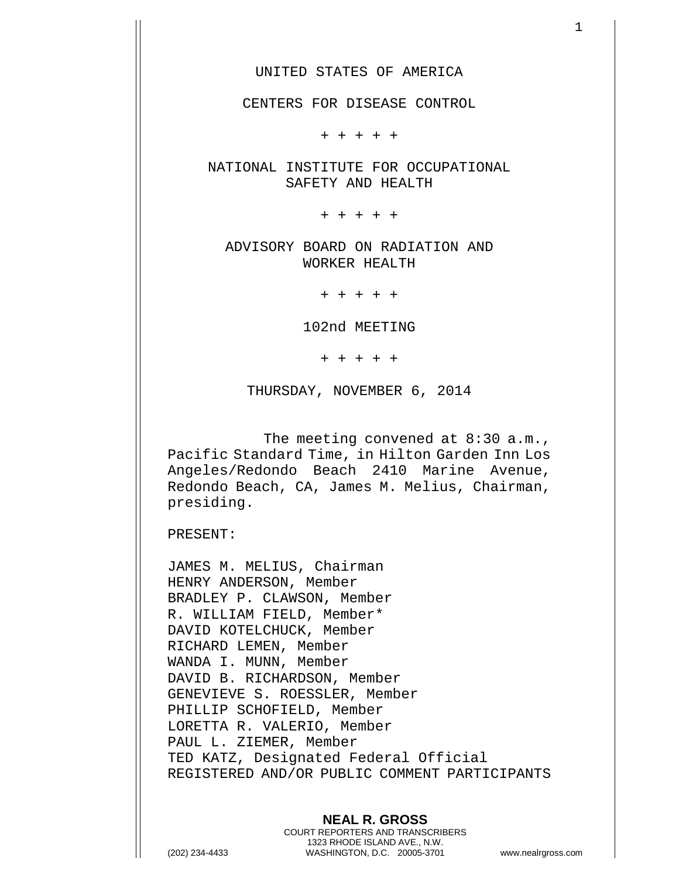CENTERS FOR DISEASE CONTROL

+ + + + +

NATIONAL INSTITUTE FOR OCCUPATIONAL SAFETY AND HEALTH

+ + + + +

ADVISORY BOARD ON RADIATION AND WORKER HEALTH

+ + + + +

102nd MEETING

+ + + + +

THURSDAY, NOVEMBER 6, 2014

The meeting convened at 8:30 a.m., Pacific Standard Time, in Hilton Garden Inn Los Angeles/Redondo Beach 2410 Marine Avenue, Redondo Beach, CA, James M. Melius, Chairman, presiding.

PRESENT:

JAMES M. MELIUS, Chairman HENRY ANDERSON, Member BRADLEY P. CLAWSON, Member R. WILLIAM FIELD, Member\* DAVID KOTELCHUCK, Member RICHARD LEMEN, Member WANDA I. MUNN, Member DAVID B. RICHARDSON, Member GENEVIEVE S. ROESSLER, Member PHILLIP SCHOFIELD, Member LORETTA R. VALERIO, Member PAUL L. ZIEMER, Member TED KATZ, Designated Federal Official REGISTERED AND/OR PUBLIC COMMENT PARTICIPANTS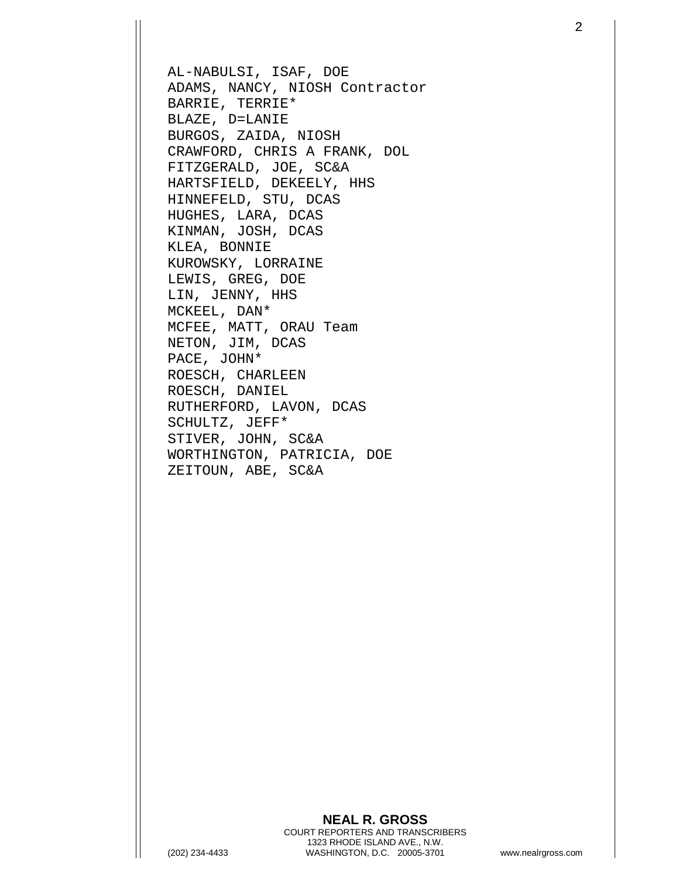AL-NABULSI, ISAF, DOE ADAMS, NANCY, NIOSH Contractor BARRIE, TERRIE\* BLAZE, D=LANIE BURGOS, ZAIDA, NIOSH CRAWFORD, CHRIS A FRANK, DOL FITZGERALD, JOE, SC&A HARTSFIELD, DEKEELY, HHS HINNEFELD, STU, DCAS HUGHES, LARA, DCAS KINMAN, JOSH, DCAS KLEA, BONNIE KUROWSKY, LORRAINE LEWIS, GREG, DOE LIN, JENNY, HHS MCKEEL, DAN\* MCFEE, MATT, ORAU Team NETON, JIM, DCAS PACE, JOHN\* ROESCH, CHARLEEN ROESCH, DANIEL RUTHERFORD, LAVON, DCAS SCHULTZ, JEFF\* STIVER, JOHN, SC&A WORTHINGTON, PATRICIA, DOE ZEITOUN, ABE, SC&A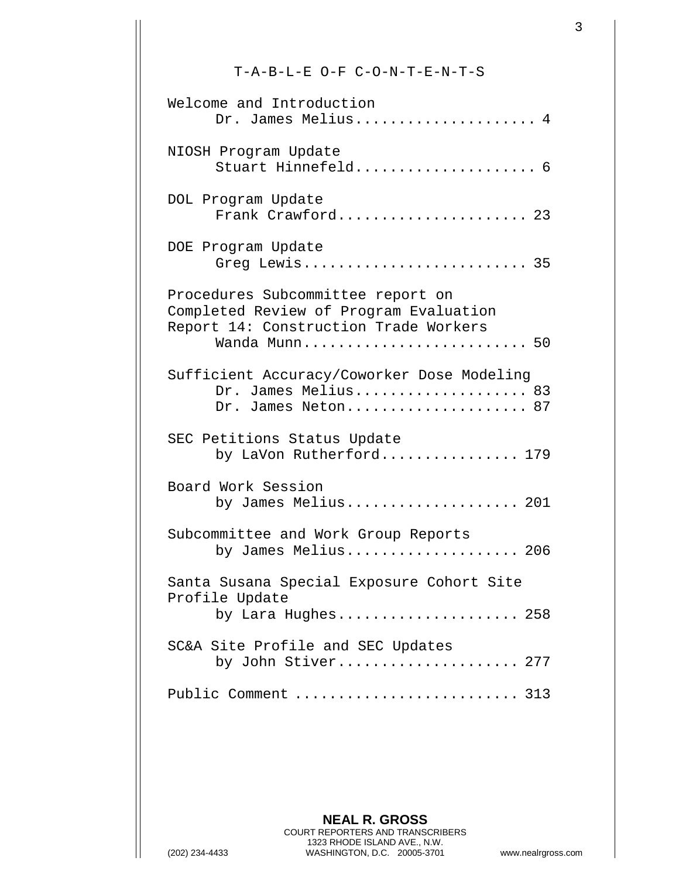## T-A-B-L-E O-F C-O-N-T-E-N-T-S

| Welcome and Introduction<br>Dr. James Melius 4                                                                                        |
|---------------------------------------------------------------------------------------------------------------------------------------|
| NIOSH Program Update<br>Stuart Hinnefeld 6                                                                                            |
| DOL Program Update<br>Frank Crawford 23                                                                                               |
| DOE Program Update<br>Greg Lewis 35                                                                                                   |
| Procedures Subcommittee report on<br>Completed Review of Program Evaluation<br>Report 14: Construction Trade Workers<br>Wanda Munn 50 |
| Sufficient Accuracy/Coworker Dose Modeling<br>Dr. James Melius 83<br>Dr. James Neton 87                                               |
| SEC Petitions Status Update<br>by LaVon Rutherford 179                                                                                |
| Board Work Session<br>by James Melius 201                                                                                             |
| Subcommittee and Work Group Reports<br>by James Melius 206                                                                            |
| Santa Susana Special Exposure Cohort Site<br>Profile Update<br>by Lara Hughes 258                                                     |
| SC&A Site Profile and SEC Updates<br>by John Stiver 277                                                                               |
| Public Comment  313                                                                                                                   |

**NEAL R. GROSS** COURT REPORTERS AND TRANSCRIBERS 1323 RHODE ISLAND AVE., N.W. (202) 234-4433 WASHINGTON, D.C. 20005-3701 www.nealrgross.com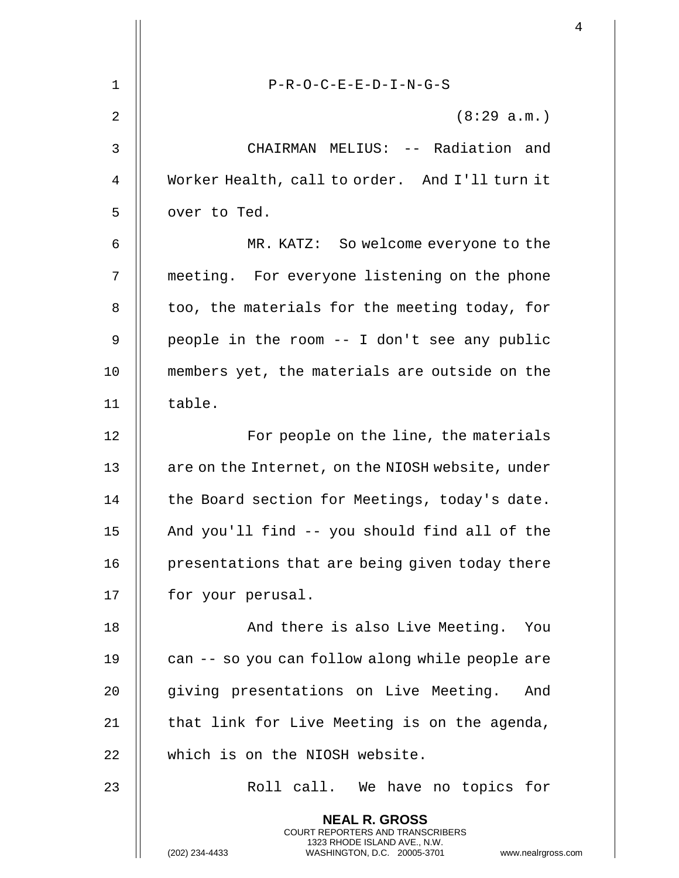|    |                                                                                                                                                                        | $\overline{4}$ |
|----|------------------------------------------------------------------------------------------------------------------------------------------------------------------------|----------------|
| 1  | $P-R-O-C-E-E-D-I-N-G-S$                                                                                                                                                |                |
| 2  | (8:29 a.m.)                                                                                                                                                            |                |
|    |                                                                                                                                                                        |                |
| 3  | CHAIRMAN MELIUS: -- Radiation and                                                                                                                                      |                |
| 4  | Worker Health, call to order. And I'll turn it                                                                                                                         |                |
| 5  | over to Ted.                                                                                                                                                           |                |
| 6  | MR. KATZ: So welcome everyone to the                                                                                                                                   |                |
| 7  | meeting. For everyone listening on the phone                                                                                                                           |                |
| 8  | too, the materials for the meeting today, for                                                                                                                          |                |
| 9  | people in the room -- I don't see any public                                                                                                                           |                |
| 10 | members yet, the materials are outside on the                                                                                                                          |                |
| 11 | table.                                                                                                                                                                 |                |
| 12 | For people on the line, the materials                                                                                                                                  |                |
| 13 | are on the Internet, on the NIOSH website, under                                                                                                                       |                |
| 14 | the Board section for Meetings, today's date.                                                                                                                          |                |
| 15 | And you'll find -- you should find all of the                                                                                                                          |                |
| 16 | presentations that are being given today there                                                                                                                         |                |
| 17 | for your perusal.                                                                                                                                                      |                |
| 18 | And there is also Live Meeting. You                                                                                                                                    |                |
| 19 | can -- so you can follow along while people are                                                                                                                        |                |
| 20 | giving presentations on Live Meeting. And                                                                                                                              |                |
| 21 | that link for Live Meeting is on the agenda,                                                                                                                           |                |
| 22 | which is on the NIOSH website.                                                                                                                                         |                |
| 23 | Roll call. We have no topics for                                                                                                                                       |                |
|    | <b>NEAL R. GROSS</b><br><b>COURT REPORTERS AND TRANSCRIBERS</b><br>1323 RHODE ISLAND AVE., N.W.<br>(202) 234-4433<br>WASHINGTON, D.C. 20005-3701<br>www.nealrgross.com |                |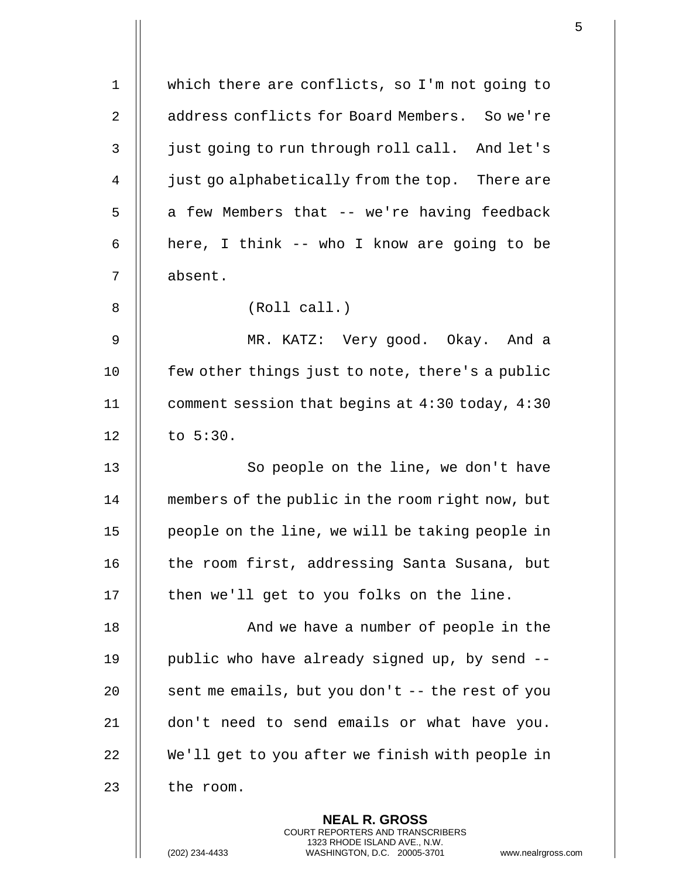| $\mathbf 1$ | which there are conflicts, so I'm not going to                                                                                                                      |
|-------------|---------------------------------------------------------------------------------------------------------------------------------------------------------------------|
| 2           | address conflicts for Board Members. So we're                                                                                                                       |
| 3           | just going to run through roll call. And let's                                                                                                                      |
| 4           | just go alphabetically from the top. There are                                                                                                                      |
| 5           | a few Members that -- we're having feedback                                                                                                                         |
| 6           | here, I think -- who I know are going to be                                                                                                                         |
| 7           | absent.                                                                                                                                                             |
| 8           | (Roll call.)                                                                                                                                                        |
| 9           | MR. KATZ: Very good. Okay. And a                                                                                                                                    |
| 10          | few other things just to note, there's a public                                                                                                                     |
| 11          | comment session that begins at 4:30 today, 4:30                                                                                                                     |
| 12          | to 5:30.                                                                                                                                                            |
| 13          | So people on the line, we don't have                                                                                                                                |
| 14          | members of the public in the room right now, but                                                                                                                    |
| 15          | people on the line, we will be taking people in                                                                                                                     |
| 16          | the room first, addressing Santa Susana, but                                                                                                                        |
| 17          | then we'll get to you folks on the line.                                                                                                                            |
| 18          | And we have a number of people in the                                                                                                                               |
| 19          | public who have already signed up, by send --                                                                                                                       |
| 20          | sent me emails, but you don't -- the rest of you                                                                                                                    |
| 21          | don't need to send emails or what have you.                                                                                                                         |
| 22          | We'll get to you after we finish with people in                                                                                                                     |
| 23          | the room.                                                                                                                                                           |
|             | <b>NEAL R. GROSS</b><br><b>COURT REPORTERS AND TRANSCRIBERS</b><br>1323 RHODE ISLAND AVE., N.W.<br>(202) 234-4433<br>WASHINGTON, D.C. 20005-3701<br>www.nealrgross. |

 $\overline{\mathsf{I}}$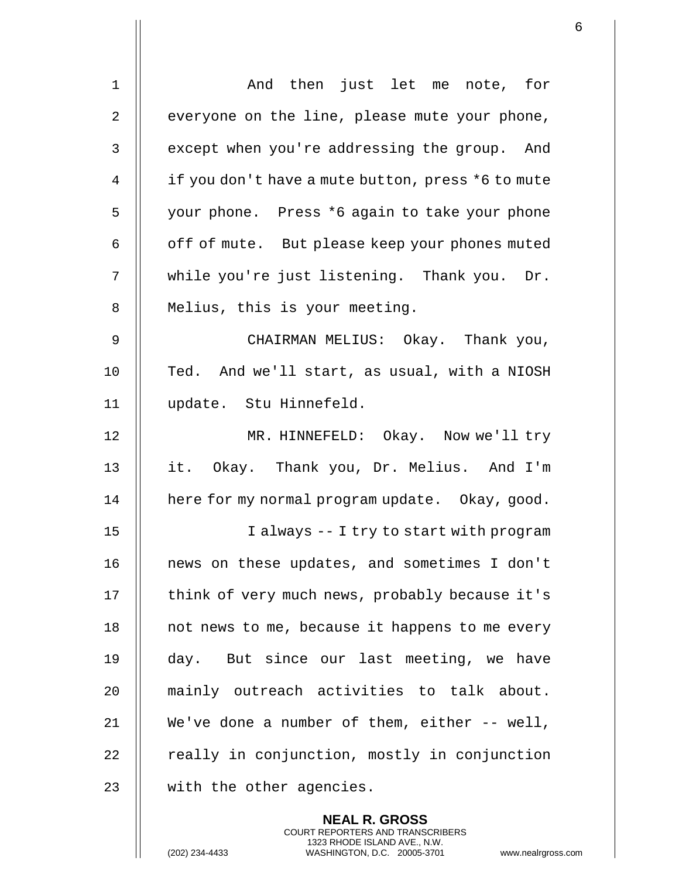| 1  | And then just let me note, for                    |
|----|---------------------------------------------------|
| 2  | everyone on the line, please mute your phone,     |
| 3  | except when you're addressing the group. And      |
| 4  | if you don't have a mute button, press *6 to mute |
| 5  | your phone. Press *6 again to take your phone     |
| 6  | off of mute. But please keep your phones muted    |
| 7  | while you're just listening. Thank you. Dr.       |
| 8  | Melius, this is your meeting.                     |
| 9  | CHAIRMAN MELIUS: Okay. Thank you,                 |
| 10 | Ted. And we'll start, as usual, with a NIOSH      |
| 11 | update. Stu Hinnefeld.                            |
| 12 | MR. HINNEFELD: Okay. Now we'll try                |
| 13 | it. Okay. Thank you, Dr. Melius. And I'm          |
| 14 | here for my normal program update. Okay, good.    |
| 15 | I always -- I try to start with program           |
| 16 | news on these updates, and sometimes I don't      |
| 17 | think of very much news, probably because it's    |
| 18 | not news to me, because it happens to me every    |
| 19 | day. But since our last meeting, we have          |
| 20 | mainly outreach activities to talk about.         |
| 21 | We've done a number of them, either -- well,      |
| 22 | really in conjunction, mostly in conjunction      |
| 23 | with the other agencies.                          |
|    |                                                   |

**NEAL R. GROSS** COURT REPORTERS AND TRANSCRIBERS 1323 RHODE ISLAND AVE., N.W.

(202) 234-4433 WASHINGTON, D.C. 20005-3701 www.nealrgross.com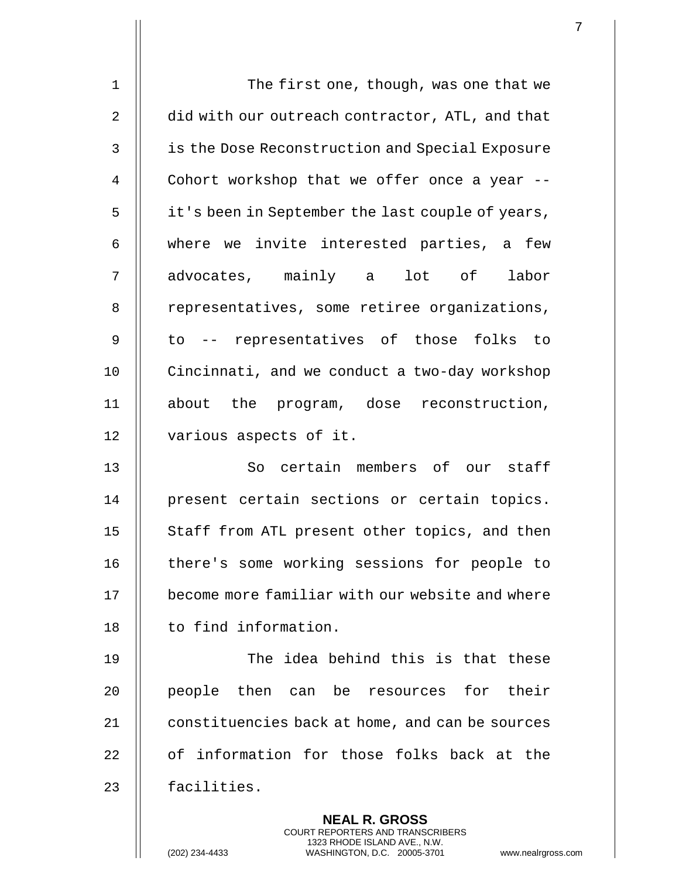| $\mathbf 1$ | The first one, though, was one that we                                                                                                                             |
|-------------|--------------------------------------------------------------------------------------------------------------------------------------------------------------------|
| 2           | did with our outreach contractor, ATL, and that                                                                                                                    |
| 3           | is the Dose Reconstruction and Special Exposure                                                                                                                    |
| 4           | Cohort workshop that we offer once a year --                                                                                                                       |
| 5           | it's been in September the last couple of years,                                                                                                                   |
| 6           | where we invite interested parties, a few                                                                                                                          |
| 7           | advocates, mainly a lot of labor                                                                                                                                   |
| 8           | representatives, some retiree organizations,                                                                                                                       |
| 9           | to -- representatives of those folks<br>to                                                                                                                         |
| 10          | Cincinnati, and we conduct a two-day workshop                                                                                                                      |
| 11          | about the program, dose reconstruction,                                                                                                                            |
| 12          | various aspects of it.                                                                                                                                             |
| 13          | So certain members of our staff                                                                                                                                    |
| 14          | present certain sections or certain topics.                                                                                                                        |
| 15          | Staff from ATL present other topics, and then                                                                                                                      |
| 16          | there's some working sessions for people to                                                                                                                        |
| 17          | become more familiar with our website and where                                                                                                                    |
| 18          | to find information.                                                                                                                                               |
| 19          | The idea behind this is that these                                                                                                                                 |
| 20          | their<br>people then<br>can be resources for                                                                                                                       |
| 21          | constituencies back at home, and can be sources                                                                                                                    |
| 22          | of information for those folks back at the                                                                                                                         |
| 23          | facilities.                                                                                                                                                        |
|             | <b>NEAL R. GROSS</b><br><b>COURT REPORTERS AND TRANSCRIBERS</b><br>1323 RHODE ISLAND AVE., N.W.<br>(202) 234-4433<br>WASHINGTON, D.C. 20005-3701<br>www.nealrgross |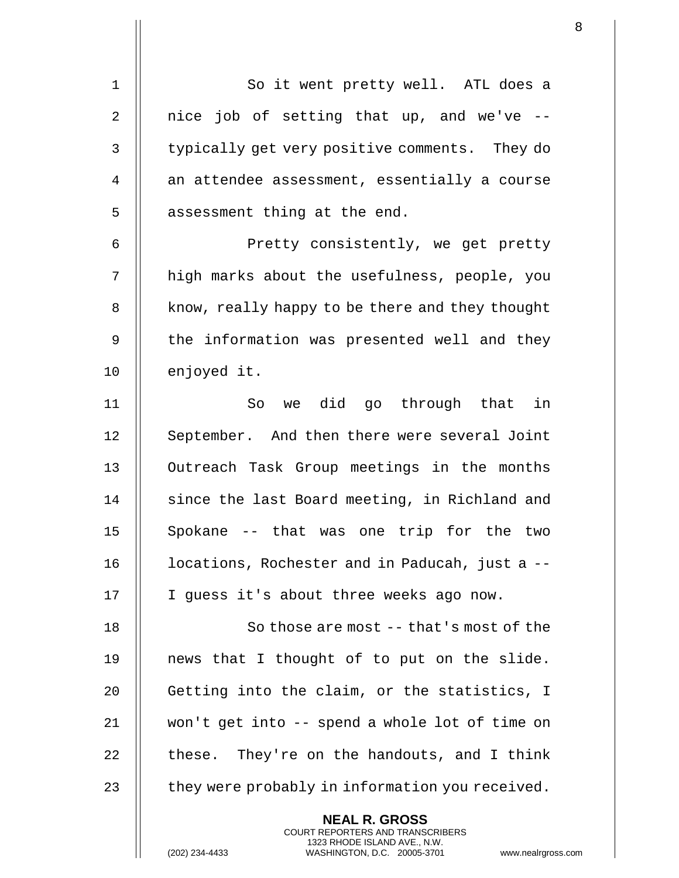1 || So it went pretty well. ATL does a 2  $\parallel$  nice job of setting that up, and we've --3 | typically get very positive comments. They do 4 an attendee assessment, essentially a course  $5$  || assessment thing at the end. 6 || Pretty consistently, we get pretty 7 || high marks about the usefulness, people, you 8 | know, really happy to be there and they thought 9 || the information was presented well and they 10 || enjoyed it. 11 So we did go through that in 12 || September. And then there were several Joint 13 || Outreach Task Group meetings in the months 14 || since the last Board meeting, in Richland and 15 || Spokane -- that was one trip for the two 16 | locations, Rochester and in Paducah, just a --17 || I guess it's about three weeks ago now. 18 || So those are most -- that's most of the 19  $\parallel$  news that I thought of to put on the slide. 20 || Getting into the claim, or the statistics, I 21 won't get into -- spend a whole lot of time on 22  $\parallel$  these. They're on the handouts, and I think 23  $\parallel$  they were probably in information you received. **NEAL R. GROSS**

> COURT REPORTERS AND TRANSCRIBERS 1323 RHODE ISLAND AVE., N.W.

(202) 234-4433 WASHINGTON, D.C. 20005-3701 www.nealrgross.com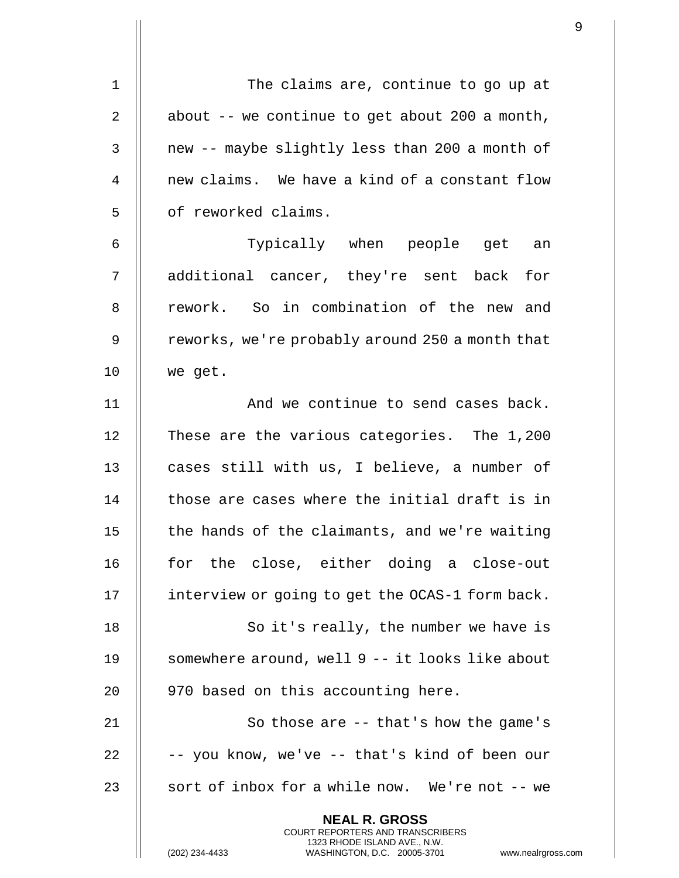| 1  | The claims are, continue to go up at                                                                                                                             |
|----|------------------------------------------------------------------------------------------------------------------------------------------------------------------|
| 2  | about -- we continue to get about 200 a month,                                                                                                                   |
| 3  | new -- maybe slightly less than 200 a month of                                                                                                                   |
| 4  | new claims. We have a kind of a constant flow                                                                                                                    |
| 5  | of reworked claims.                                                                                                                                              |
| 6  | Typically when people get an                                                                                                                                     |
| 7  | additional cancer, they're sent back for                                                                                                                         |
| 8  | rework. So in combination of the new and                                                                                                                         |
| 9  | reworks, we're probably around 250 a month that                                                                                                                  |
| 10 | we get.                                                                                                                                                          |
| 11 | And we continue to send cases back.                                                                                                                              |
| 12 | These are the various categories. The 1,200                                                                                                                      |
| 13 | cases still with us, I believe, a number of                                                                                                                      |
| 14 | those are cases where the initial draft is in                                                                                                                    |
| 15 | the hands of the claimants, and we're waiting                                                                                                                    |
| 16 | for the close, either doing a close-out                                                                                                                          |
| 17 | interview or going to get the OCAS-1 form back.                                                                                                                  |
| 18 | So it's really, the number we have is                                                                                                                            |
|    | somewhere around, well 9 -- it looks like about                                                                                                                  |
| 19 |                                                                                                                                                                  |
| 20 | 970 based on this accounting here.                                                                                                                               |
| 21 | So those are $-$ - that's how the game's                                                                                                                         |
| 22 | -- you know, we've -- that's kind of been our                                                                                                                    |
| 23 | sort of inbox for a while now. We're not -- we                                                                                                                   |
|    | <b>NEAL R. GROSS</b><br><b>COURT REPORTERS AND TRANSCRIBERS</b><br>1323 RHODE ISLAND AVE., N.W.<br>WASHINGTON, D.C. 20005-3701 www.nealrgross.<br>(202) 234-4433 |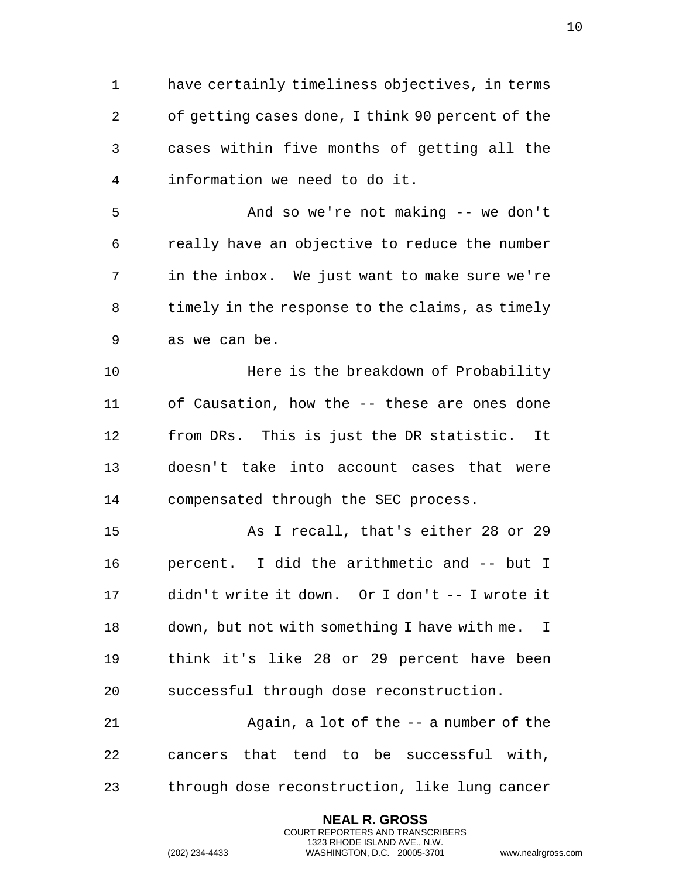| $\mathbf 1$    | have certainly timeliness objectives, in terms                                                                                                                     |
|----------------|--------------------------------------------------------------------------------------------------------------------------------------------------------------------|
| $\overline{2}$ | of getting cases done, I think 90 percent of the                                                                                                                   |
| 3              | cases within five months of getting all the                                                                                                                        |
| 4              | information we need to do it.                                                                                                                                      |
| 5              | And so we're not making -- we don't                                                                                                                                |
| 6              | really have an objective to reduce the number                                                                                                                      |
| 7              | in the inbox. We just want to make sure we're                                                                                                                      |
| 8              | timely in the response to the claims, as timely                                                                                                                    |
| $\mathsf 9$    | as we can be.                                                                                                                                                      |
| 10             | Here is the breakdown of Probability                                                                                                                               |
| 11             | of Causation, how the -- these are ones done                                                                                                                       |
| 12             | from DRs. This is just the DR statistic. It                                                                                                                        |
| 13             | doesn't take into account cases that were                                                                                                                          |
| 14             | compensated through the SEC process.                                                                                                                               |
| 15             | As I recall, that's either 28 or 29                                                                                                                                |
| 16             | percent. I did the arithmetic and -- but I                                                                                                                         |
| 17             | didn't write it down. Or I don't -- I wrote it                                                                                                                     |
| 18             | down, but not with something I have with me. I                                                                                                                     |
| 19             | think it's like 28 or 29 percent have been                                                                                                                         |
| 20             | successful through dose reconstruction.                                                                                                                            |
| 21             | Again, a lot of the $-$ a number of the                                                                                                                            |
| 22             | cancers that tend to be successful with,                                                                                                                           |
| 23             | through dose reconstruction, like lung cancer                                                                                                                      |
|                | <b>NEAL R. GROSS</b><br><b>COURT REPORTERS AND TRANSCRIBERS</b><br>1323 RHODE ISLAND AVE., N.W.<br>(202) 234-4433<br>WASHINGTON, D.C. 20005-3701<br>www.nealrgross |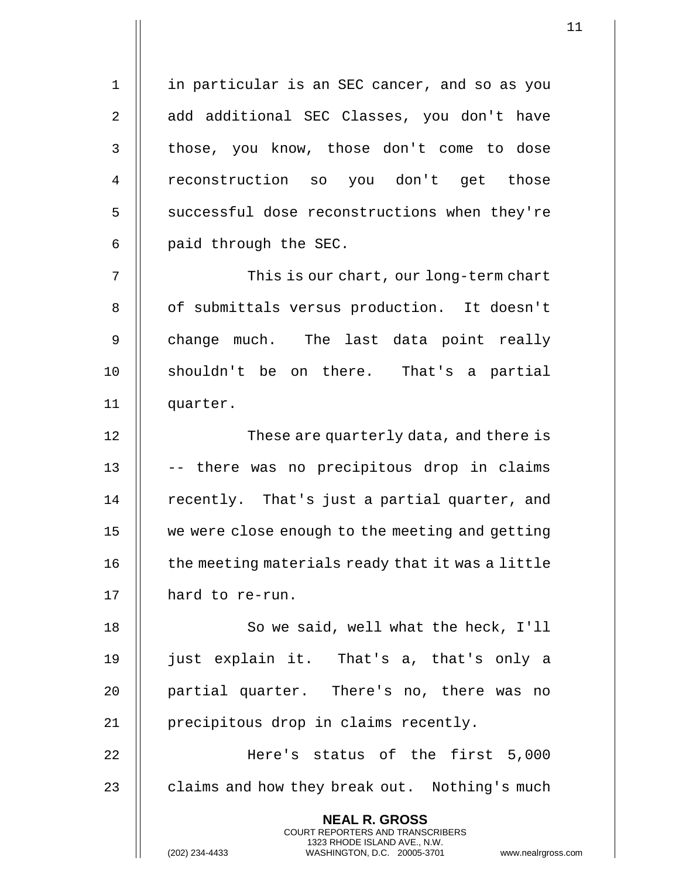1 || in particular is an SEC cancer, and so as you 2 add additional SEC Classes, you don't have 3 || those, you know, those don't come to dose 4 || reconstruction so you don't get those 5 | successful dose reconstructions when they're  $6$  || paid through the SEC.

7 This is our chart, our long-term chart 8 || of submittals versus production. It doesn't 9 || change much. The last data point really 10 || shouldn't be on there. That's a partial 11 || quarter.

12 || These are quarterly data, and there is 13 || -- there was no precipitous drop in claims 14 || recently. That's just a partial quarter, and 15 we were close enough to the meeting and getting  $16$   $\parallel$  the meeting materials ready that it was a little 17 | hard to re-run.

18 || So we said, well what the heck, I'll 19 just explain it. That's a, that's only a 20 || partial quarter. There's no, there was no 21 || precipitous drop in claims recently.

22 Here's status of the first 5,000 23  $\parallel$  claims and how they break out. Nothing's much

> **NEAL R. GROSS** COURT REPORTERS AND TRANSCRIBERS 1323 RHODE ISLAND AVE., N.W.

(202) 234-4433 WASHINGTON, D.C. 20005-3701 www.nealrgross.com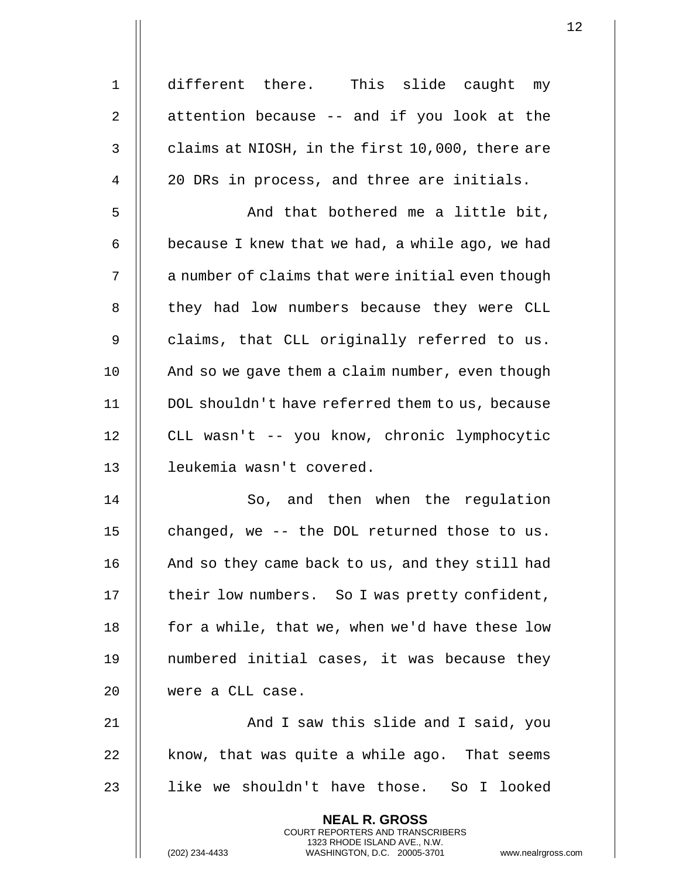1 different there. This slide caught my  $2 \parallel$  attention because -- and if you look at the  $3 \parallel$  claims at NIOSH, in the first 10,000, there are 4 | 20 DRs in process, and three are initials. 5 And that bothered me a little bit, 6  $\parallel$  because I knew that we had, a while ago, we had

 $7$   $\parallel$  a number of claims that were initial even though 8 || they had low numbers because they were CLL 9 || claims, that CLL originally referred to us. 10 | And so we gave them a claim number, even though 11 DOL shouldn't have referred them to us, because 12 CLL wasn't -- you know, chronic lymphocytic 13 leukemia wasn't covered.

14 || So, and then when the regulation 15  $\parallel$  changed, we -- the DOL returned those to us. 16 || And so they came back to us, and they still had 17 | their low numbers. So I was pretty confident, 18  $\parallel$  for a while, that we, when we'd have these low 19 numbered initial cases, it was because they 20 were a CLL case.

21 || And I saw this slide and I said, you 22  $\parallel$  know, that was quite a while ago. That seems 23 like we shouldn't have those. So I looked

> **NEAL R. GROSS** COURT REPORTERS AND TRANSCRIBERS 1323 RHODE ISLAND AVE., N.W.

(202) 234-4433 WASHINGTON, D.C. 20005-3701 www.nealrgross.com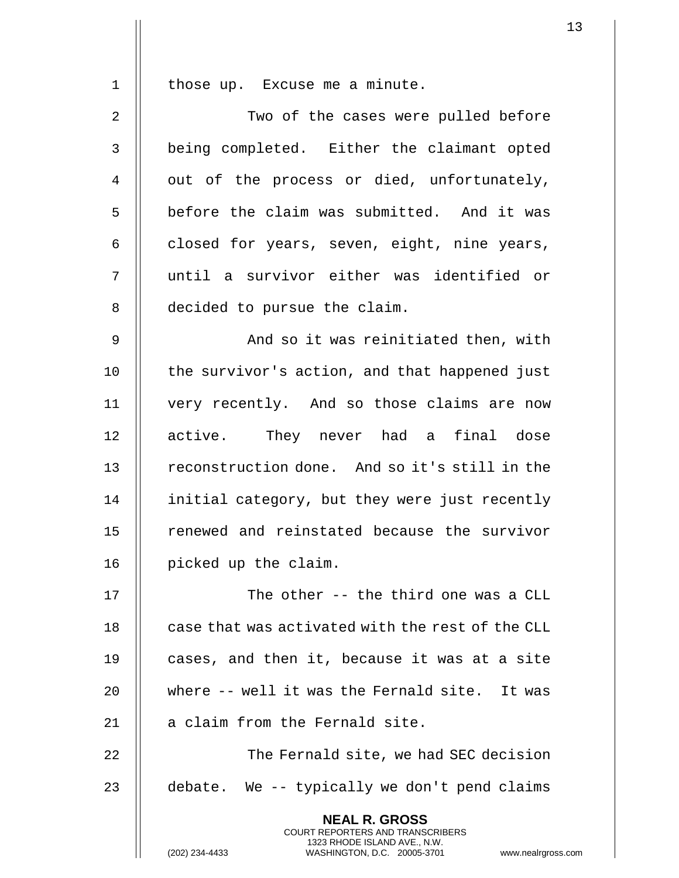1 || those up. Excuse me a minute. 2 || Two of the cases were pulled before 3 || being completed. Either the claimant opted 4 || out of the process or died, unfortunately, 5 | before the claim was submitted. And it was 6  $\parallel$  closed for years, seven, eight, nine years, 7 until a survivor either was identified or 8 | decided to pursue the claim. 9 And so it was reinitiated then, with 10 || the survivor's action, and that happened just 11 very recently. And so those claims are now 12 || active. They never had a final dose 13 || reconstruction done. And so it's still in the 14 | initial category, but they were just recently 15 || renewed and reinstated because the survivor 16 | picked up the claim. 17 || The other -- the third one was a CLL  $18$   $\parallel$  case that was activated with the rest of the CLL 19 || cases, and then it, because it was at a site 20 where -- well it was the Fernald site. It was 21 | a claim from the Fernald site. 22 || The Fernald site, we had SEC decision 23  $\parallel$  debate. We -- typically we don't pend claims **NEAL R. GROSS** COURT REPORTERS AND TRANSCRIBERS

1323 RHODE ISLAND AVE., N.W.

(202) 234-4433 WASHINGTON, D.C. 20005-3701 www.nealrgross.com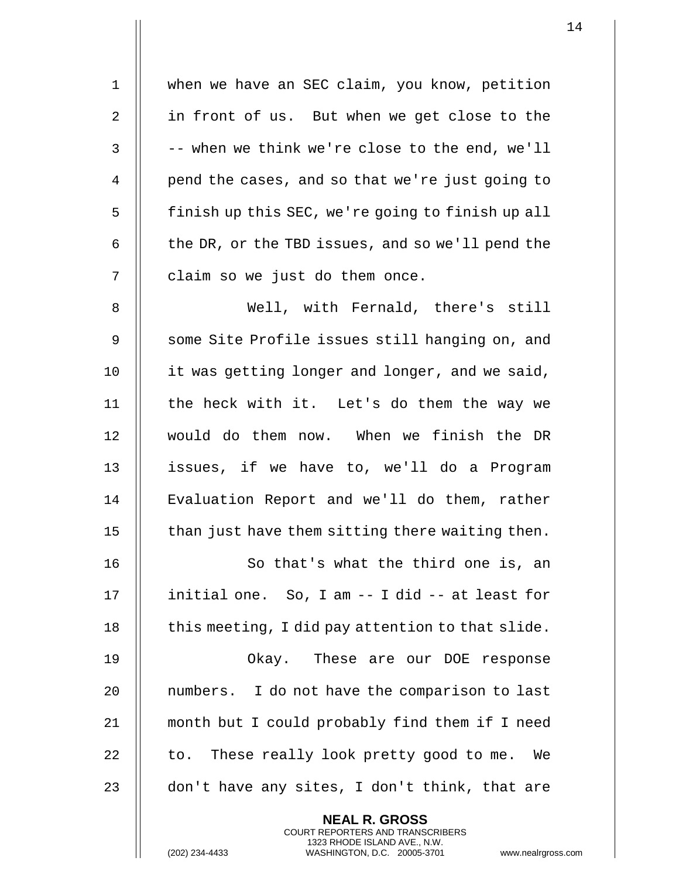1 | when we have an SEC claim, you know, petition 2 || in front of us. But when we get close to the  $3$   $\parallel$  -- when we think we're close to the end, we'll 4 | pend the cases, and so that we're just going to 5 | finish up this SEC, we're going to finish up all 6  $\parallel$  the DR, or the TBD issues, and so we'll pend the 7 | claim so we just do them once. 8 Well, with Fernald, there's still 9 || some Site Profile issues still hanging on, and 10 | it was getting longer and longer, and we said, 11 || the heck with it. Let's do them the way we 12 would do them now. When we finish the DR 13 || issues, if we have to, we'll do a Program 14 || Evaluation Report and we'll do them, rather 15  $\parallel$  than just have them sitting there waiting then. 16 || So that's what the third one is, an

17  $\parallel$  initial one. So, I am  $-$ - I did  $-$ - at least for 18  $\parallel$  this meeting, I did pay attention to that slide.

 Okay. These are our DOE response 20 || numbers. I do not have the comparison to last month but I could probably find them if I need  $\parallel$  to. These really look pretty good to me. We  $\parallel$  don't have any sites, I don't think, that are

> **NEAL R. GROSS** COURT REPORTERS AND TRANSCRIBERS 1323 RHODE ISLAND AVE., N.W.

(202) 234-4433 WASHINGTON, D.C. 20005-3701 www.nealrgross.com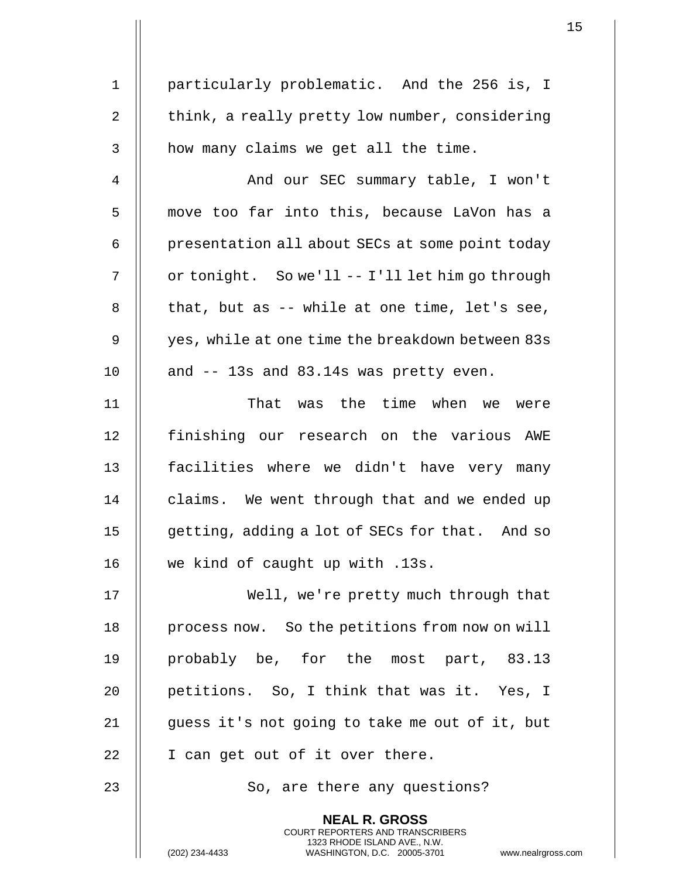| $\mathbf 1$    | particularly problematic. And the 256 is, I                                                                                                                     |
|----------------|-----------------------------------------------------------------------------------------------------------------------------------------------------------------|
| $\sqrt{2}$     | think, a really pretty low number, considering                                                                                                                  |
| 3              | how many claims we get all the time.                                                                                                                            |
| $\overline{4}$ | And our SEC summary table, I won't                                                                                                                              |
| 5              | move too far into this, because LaVon has a                                                                                                                     |
| 6              | presentation all about SECs at some point today                                                                                                                 |
| 7              | or tonight. So we'll -- I'll let him go through                                                                                                                 |
| $\, 8$         | that, but as -- while at one time, let's see,                                                                                                                   |
| $\mathsf 9$    | yes, while at one time the breakdown between 83s                                                                                                                |
| 10             | and -- 13s and 83.14s was pretty even.                                                                                                                          |
| 11             | That was the time when we were                                                                                                                                  |
| 12             | finishing our research on the various AWE                                                                                                                       |
| 13             | facilities where we didn't have very many                                                                                                                       |
| 14             | claims. We went through that and we ended up                                                                                                                    |
| 15             | getting, adding a lot of SECs for that. And so                                                                                                                  |
| 16             | we kind of caught up with .13s.                                                                                                                                 |
| 17             | Well, we're pretty much through that                                                                                                                            |
| 18             | process now. So the petitions from now on will                                                                                                                  |
| 19             | probably be, for the most part, 83.13                                                                                                                           |
| 20             | petitions. So, I think that was it. Yes, I                                                                                                                      |
| 21             | guess it's not going to take me out of it, but                                                                                                                  |
| 22             | I can get out of it over there.                                                                                                                                 |
| 23             | So, are there any questions?                                                                                                                                    |
|                | <b>NEAL R. GROSS</b><br>COURT REPORTERS AND TRANSCRIBERS<br>1323 RHODE ISLAND AVE., N.W.<br>(202) 234-4433<br>WASHINGTON, D.C. 20005-3701<br>www.nealrgross.com |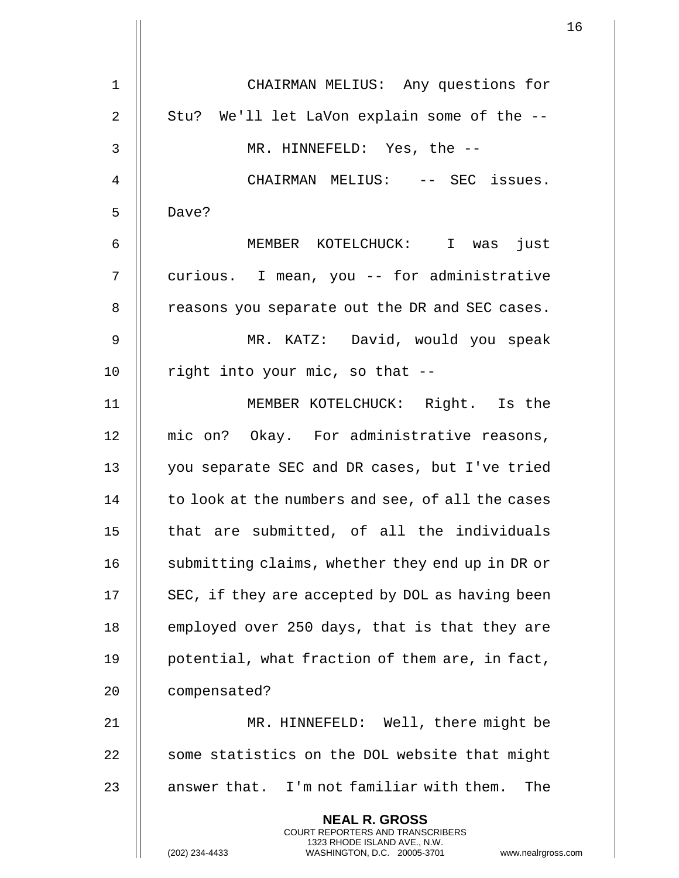| 1  | CHAIRMAN MELIUS: Any questions for                                                                                                                                 |
|----|--------------------------------------------------------------------------------------------------------------------------------------------------------------------|
| 2  | Stu? We'll let LaVon explain some of the --                                                                                                                        |
| 3  | MR. HINNEFELD: Yes, the --                                                                                                                                         |
| 4  | CHAIRMAN MELIUS: -- SEC issues.                                                                                                                                    |
| 5  | Dave?                                                                                                                                                              |
| 6  | MEMBER KOTELCHUCK: I was just                                                                                                                                      |
| 7  | curious. I mean, you -- for administrative                                                                                                                         |
| 8  | reasons you separate out the DR and SEC cases.                                                                                                                     |
| 9  | MR. KATZ: David, would you speak                                                                                                                                   |
| 10 | right into your mic, so that --                                                                                                                                    |
| 11 | MEMBER KOTELCHUCK: Right. Is the                                                                                                                                   |
| 12 | mic on? Okay. For administrative reasons,                                                                                                                          |
| 13 | you separate SEC and DR cases, but I've tried                                                                                                                      |
| 14 | to look at the numbers and see, of all the cases                                                                                                                   |
| 15 | that are submitted, of all the individuals                                                                                                                         |
| 16 | submitting claims, whether they end up in DR or                                                                                                                    |
| 17 | SEC, if they are accepted by DOL as having been                                                                                                                    |
| 18 | employed over 250 days, that is that they are                                                                                                                      |
| 19 | potential, what fraction of them are, in fact,                                                                                                                     |
| 20 | compensated?                                                                                                                                                       |
| 21 | MR. HINNEFELD: Well, there might be                                                                                                                                |
| 22 | some statistics on the DOL website that might                                                                                                                      |
| 23 | answer that. I'm not familiar with them. The                                                                                                                       |
|    | <b>NEAL R. GROSS</b><br><b>COURT REPORTERS AND TRANSCRIBERS</b><br>1323 RHODE ISLAND AVE., N.W.<br>(202) 234-4433<br>WASHINGTON, D.C. 20005-3701<br>www.nealrgross |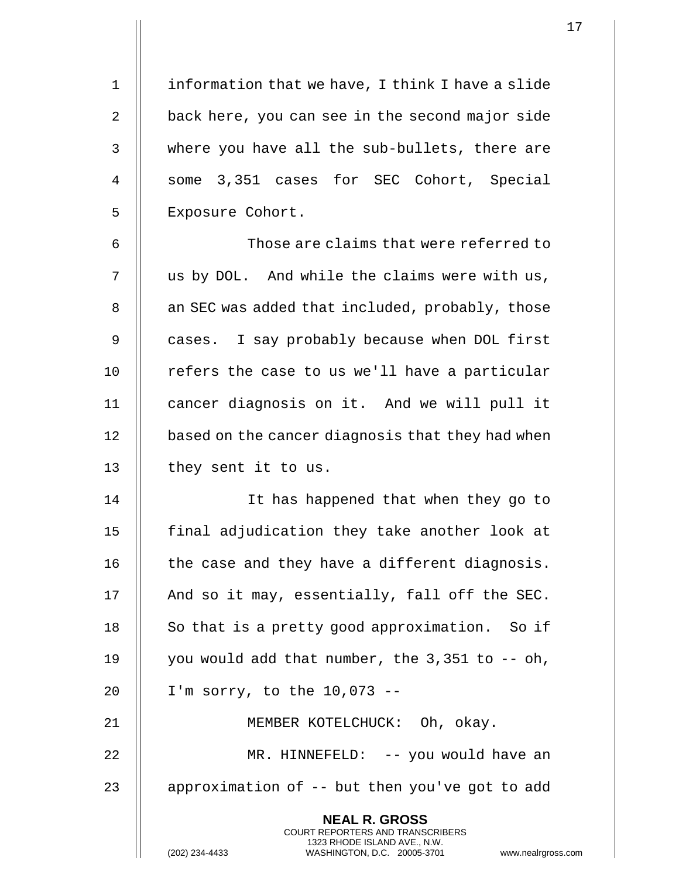1 | information that we have, I think I have a slide 2  $\parallel$  back here, you can see in the second major side 3 where you have all the sub-bullets, there are 4 || some 3,351 cases for SEC Cohort, Special 5 | Exposure Cohort.

6 || Those are claims that were referred to  $7 \parallel$  us by DOL. And while the claims were with us, 8 | an SEC was added that included, probably, those 9 || cases. I say probably because when DOL first  $10$  | refers the case to us we'll have a particular 11 cancer diagnosis on it. And we will pull it 12 | based on the cancer diagnosis that they had when  $13$  | they sent it to us.

14 || It has happened that when they go to final adjudication they take another look at  $\parallel$  the case and they have a different diagnosis.  $\parallel$  And so it may, essentially, fall off the SEC.  $\parallel$  So that is a pretty good approximation. So if  $\parallel$  you would add that number, the 3,351 to  $-$ - oh, I'm sorry, to the 10,073 --

21 || **MEMBER KOTELCHUCK:** Oh, okay. 22 || MR. HINNEFELD: -- you would have an 23  $\parallel$  approximation of  $-$ - but then you've got to add

> **NEAL R. GROSS** COURT REPORTERS AND TRANSCRIBERS 1323 RHODE ISLAND AVE., N.W.

(202) 234-4433 WASHINGTON, D.C. 20005-3701 www.nealrgross.com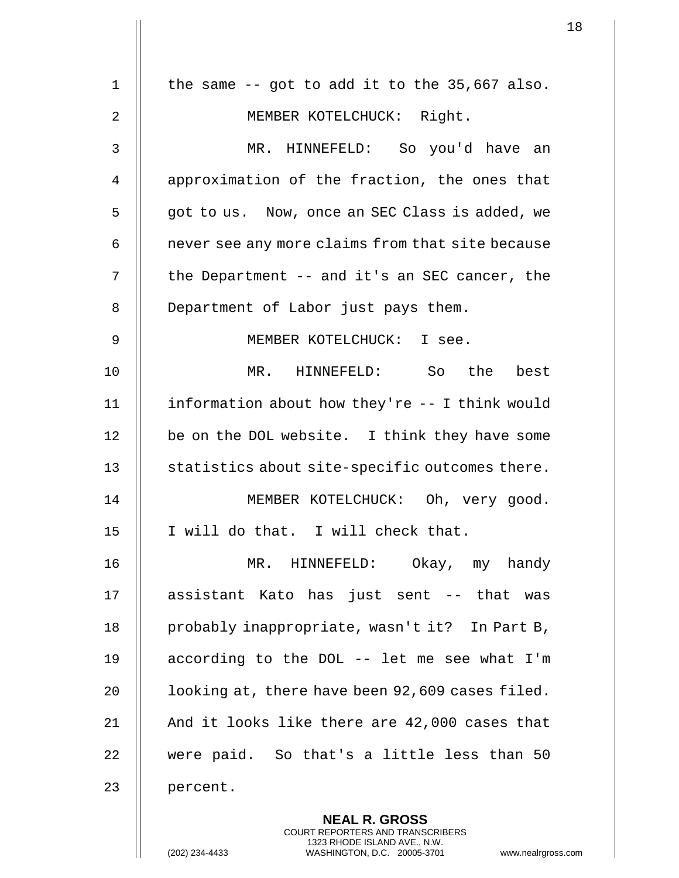| $\mathbf 1$ | the same $-$ got to add it to the 35,667 also.    |
|-------------|---------------------------------------------------|
| 2           | MEMBER KOTELCHUCK: Right.                         |
| 3           | MR. HINNEFELD: So you'd have an                   |
| 4           | approximation of the fraction, the ones that      |
| 5           | got to us. Now, once an SEC Class is added, we    |
| 6           | never see any more claims from that site because  |
| 7           | the Department -- and it's an SEC cancer, the     |
| 8           | Department of Labor just pays them.               |
| 9           | MEMBER KOTELCHUCK: I see.                         |
| 10          | MR. HINNEFELD: So the best                        |
| 11          | information about how they're $-$ - I think would |
| 12          | be on the DOL website. I think they have some     |
| 13          | statistics about site-specific outcomes there.    |
| 14          | MEMBER KOTELCHUCK: Oh, very good.                 |
| 15          | I will do that. I will check that.                |
| 16          | MR. HINNEFELD:<br>Okay, my handy                  |
| 17          | assistant Kato has just sent -- that was          |
| 18          | probably inappropriate, wasn't it? In Part B,     |
| 19          | according to the DOL -- let me see what I'm       |
| 20          | looking at, there have been 92,609 cases filed.   |
| 21          | And it looks like there are 42,000 cases that     |
| 22          | were paid. So that's a little less than 50        |
| 23          | percent.                                          |
|             | <b>NEAL R. GROSS</b>                              |

COURT REPORTERS AND TRANSCRIBERS 1323 RHODE ISLAND AVE., N.W.

 $\prod$ 

 $\mathop{||}$ 

(202) 234-4433 WASHINGTON, D.C. 20005-3701 www.nealrgross.com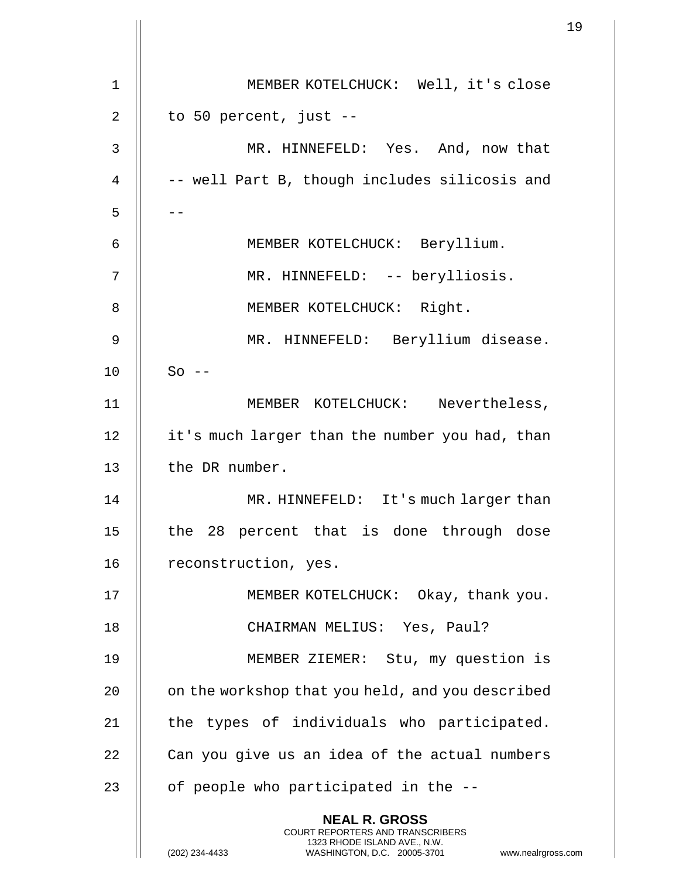|    |                                                                                                                                                                       | 1 |
|----|-----------------------------------------------------------------------------------------------------------------------------------------------------------------------|---|
| 1  | MEMBER KOTELCHUCK: Well, it's close                                                                                                                                   |   |
| 2  | to 50 percent, just --                                                                                                                                                |   |
| 3  | MR. HINNEFELD: Yes. And, now that                                                                                                                                     |   |
| 4  | -- well Part B, though includes silicosis and                                                                                                                         |   |
| 5  |                                                                                                                                                                       |   |
| 6  | MEMBER KOTELCHUCK: Beryllium.                                                                                                                                         |   |
| 7  | MR. HINNEFELD: -- berylliosis.                                                                                                                                        |   |
| 8  | MEMBER KOTELCHUCK: Right.                                                                                                                                             |   |
| 9  | MR. HINNEFELD: Beryllium disease.                                                                                                                                     |   |
| 10 | $So$ --                                                                                                                                                               |   |
| 11 | MEMBER KOTELCHUCK: Nevertheless,                                                                                                                                      |   |
| 12 |                                                                                                                                                                       |   |
|    | it's much larger than the number you had, than                                                                                                                        |   |
| 13 | the DR number.                                                                                                                                                        |   |
| 14 | MR. HINNEFELD: It's much larger than                                                                                                                                  |   |
| 15 | the 28 percent that is done through dose                                                                                                                              |   |
| 16 | reconstruction, yes.                                                                                                                                                  |   |
| 17 | MEMBER KOTELCHUCK: Okay, thank you.                                                                                                                                   |   |
| 18 | CHAIRMAN MELIUS: Yes, Paul?                                                                                                                                           |   |
| 19 | MEMBER ZIEMER: Stu, my question is                                                                                                                                    |   |
| 20 | on the workshop that you held, and you described                                                                                                                      |   |
| 21 | the types of individuals who participated.                                                                                                                            |   |
| 22 | Can you give us an idea of the actual numbers                                                                                                                         |   |
| 23 | of people who participated in the --                                                                                                                                  |   |
|    | <b>NEAL R. GROSS</b><br><b>COURT REPORTERS AND TRANSCRIBERS</b><br>1323 RHODE ISLAND AVE., N.W.<br>(202) 234-4433<br>WASHINGTON, D.C. 20005-3701<br>www.nealrgross.co |   |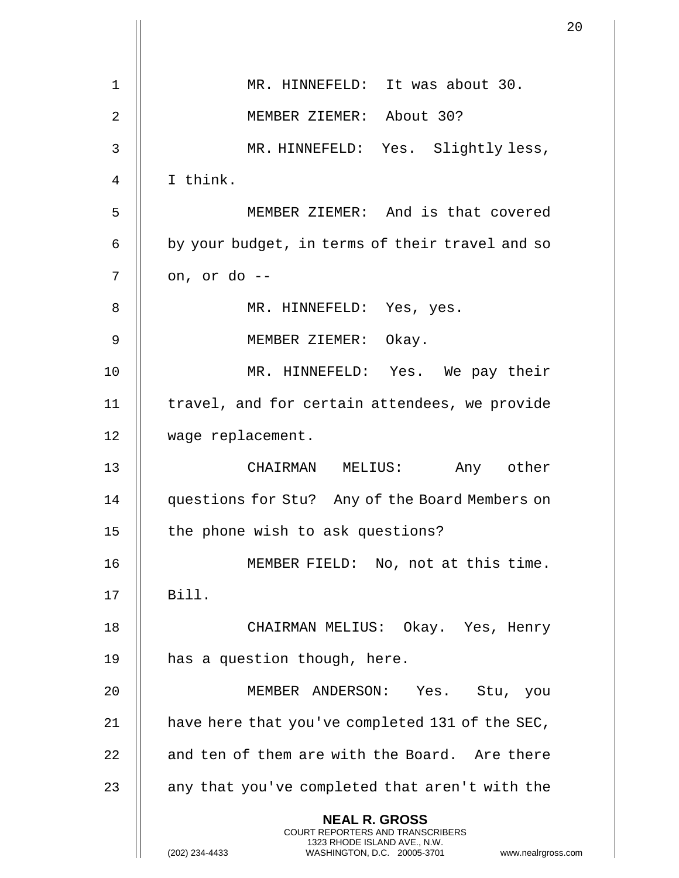|                |                                                                                                                                                                        | 20 |
|----------------|------------------------------------------------------------------------------------------------------------------------------------------------------------------------|----|
| $\mathbf 1$    | MR. HINNEFELD: It was about 30.                                                                                                                                        |    |
|                |                                                                                                                                                                        |    |
| 2              | MEMBER ZIEMER: About 30?                                                                                                                                               |    |
| 3              | MR. HINNEFELD: Yes. Slightly less,                                                                                                                                     |    |
| $\overline{4}$ | I think.                                                                                                                                                               |    |
| 5              | MEMBER ZIEMER: And is that covered                                                                                                                                     |    |
| 6              | by your budget, in terms of their travel and so                                                                                                                        |    |
| 7              | on, or do --                                                                                                                                                           |    |
| 8              | MR. HINNEFELD: Yes, yes.                                                                                                                                               |    |
| 9              | MEMBER ZIEMER: Okay.                                                                                                                                                   |    |
| 10             | MR. HINNEFELD: Yes. We pay their                                                                                                                                       |    |
| 11             | travel, and for certain attendees, we provide                                                                                                                          |    |
| 12             | wage replacement.                                                                                                                                                      |    |
| 13             | CHAIRMAN MELIUS: Any other                                                                                                                                             |    |
| 14             | questions for Stu? Any of the Board Members on                                                                                                                         |    |
| 15             | the phone wish to ask questions?                                                                                                                                       |    |
| 16             | MEMBER FIELD: No, not at this time.                                                                                                                                    |    |
| 17             | Bill.                                                                                                                                                                  |    |
| 18             | CHAIRMAN MELIUS: Okay. Yes, Henry                                                                                                                                      |    |
| 19             | has a question though, here.                                                                                                                                           |    |
| 20             | MEMBER ANDERSON: Yes. Stu, you                                                                                                                                         |    |
| 21             | have here that you've completed 131 of the SEC,                                                                                                                        |    |
| 22             | and ten of them are with the Board. Are there                                                                                                                          |    |
| 23             | any that you've completed that aren't with the                                                                                                                         |    |
|                |                                                                                                                                                                        |    |
|                | <b>NEAL R. GROSS</b><br><b>COURT REPORTERS AND TRANSCRIBERS</b><br>1323 RHODE ISLAND AVE., N.W.<br>(202) 234-4433<br>WASHINGTON, D.C. 20005-3701<br>www.nealrgross.com |    |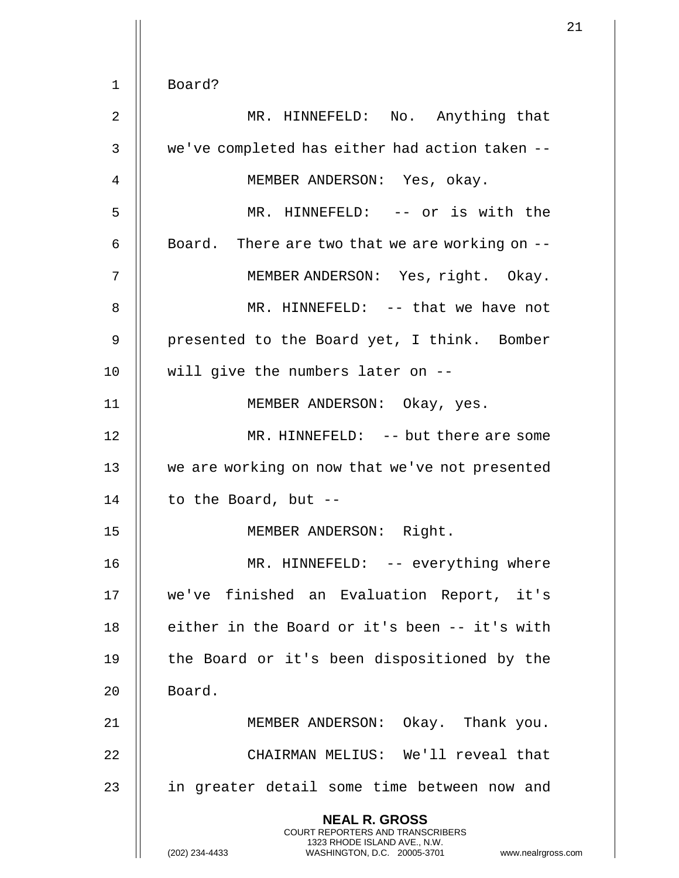1 Board? 2 || MR. HINNEFELD: No. Anything that 3 || we've completed has either had action taken --4 MEMBER ANDERSON: Yes, okay. 5 MR. HINNEFELD: -- or is with the 6  $\parallel$  Board. There are two that we are working on  $-$ -7 || MEMBER ANDERSON: Yes, right. Okay. 8 || MR. HINNEFELD: -- that we have not 9 || presented to the Board yet, I think. Bomber 10 || will give the numbers later on --11 || MEMBER ANDERSON: Okay, yes. 12 MR. HINNEFELD: -- but there are some 13 || we are working on now that we've not presented 14  $\parallel$  to the Board, but --15 MEMBER ANDERSON: Right. 16 || MR. HINNEFELD: -- everything where 17 we've finished an Evaluation Report, it's 18 || either in the Board or it's been -- it's with 19 || the Board or it's been dispositioned by the 20 | Board. 21 MEMBER ANDERSON: Okay. Thank you. 22 CHAIRMAN MELIUS: We'll reveal that 23 || in greater detail some time between now and **NEAL R. GROSS** COURT REPORTERS AND TRANSCRIBERS 1323 RHODE ISLAND AVE., N.W.

(202) 234-4433 WASHINGTON, D.C. 20005-3701 www.nealrgross.com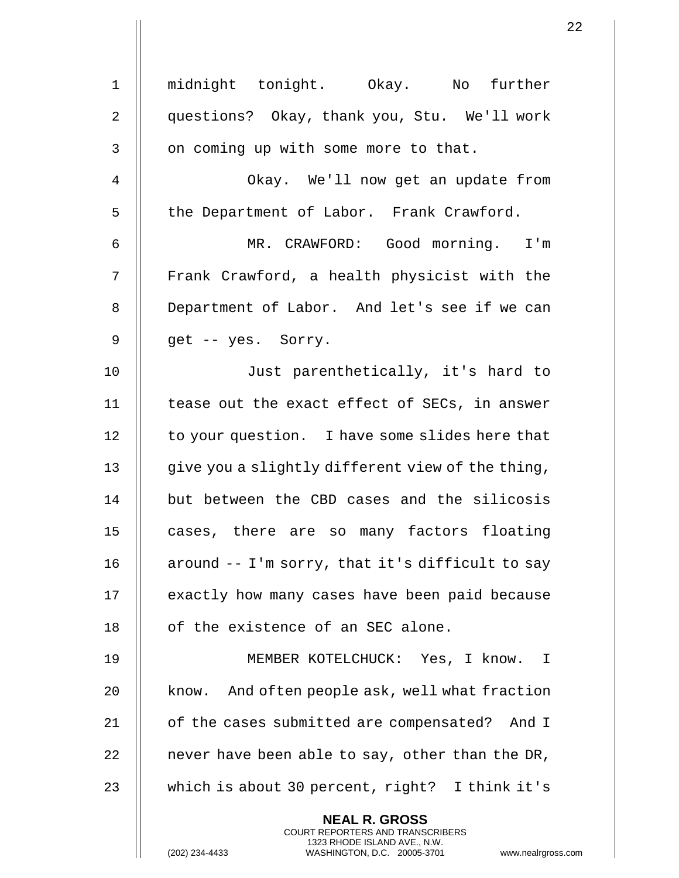| 1            | midnight tonight. Okay. No further                                                                                                                            |
|--------------|---------------------------------------------------------------------------------------------------------------------------------------------------------------|
| 2            | questions? Okay, thank you, Stu. We'll work                                                                                                                   |
| $\mathbf{3}$ | on coming up with some more to that.                                                                                                                          |
| 4            | Okay. We'll now get an update from                                                                                                                            |
| 5            | the Department of Labor. Frank Crawford.                                                                                                                      |
| 6            | MR. CRAWFORD: Good morning. I'm                                                                                                                               |
| 7            | Frank Crawford, a health physicist with the                                                                                                                   |
| 8            | Department of Labor. And let's see if we can                                                                                                                  |
| 9            | get -- yes. Sorry.                                                                                                                                            |
| 10           | Just parenthetically, it's hard to                                                                                                                            |
| 11           | tease out the exact effect of SECs, in answer                                                                                                                 |
| 12           | to your question. I have some slides here that                                                                                                                |
| 13           | give you a slightly different view of the thing,                                                                                                              |
| 14           | but between the CBD cases and the silicosis                                                                                                                   |
| 15           | cases, there are so many factors floating                                                                                                                     |
| 16           | around -- I'm sorry, that it's difficult to say                                                                                                               |
| 17           | exactly how many cases have been paid because                                                                                                                 |
| 18           | of the existence of an SEC alone.                                                                                                                             |
| 19           | MEMBER KOTELCHUCK: Yes, I know. I                                                                                                                             |
| 20           | know. And often people ask, well what fraction                                                                                                                |
| 21           | of the cases submitted are compensated? And I                                                                                                                 |
| 22           | never have been able to say, other than the DR,                                                                                                               |
| 23           | which is about 30 percent, right? I think it's                                                                                                                |
|              | <b>NEAL R. GROSS</b><br>COURT REPORTERS AND TRANSCRIBERS<br>1323 RHODE ISLAND AVE., N.W.<br>(202) 234-4433<br>WASHINGTON, D.C. 20005-3701<br>www.nealrgross.o |

 $\mathbf{1}$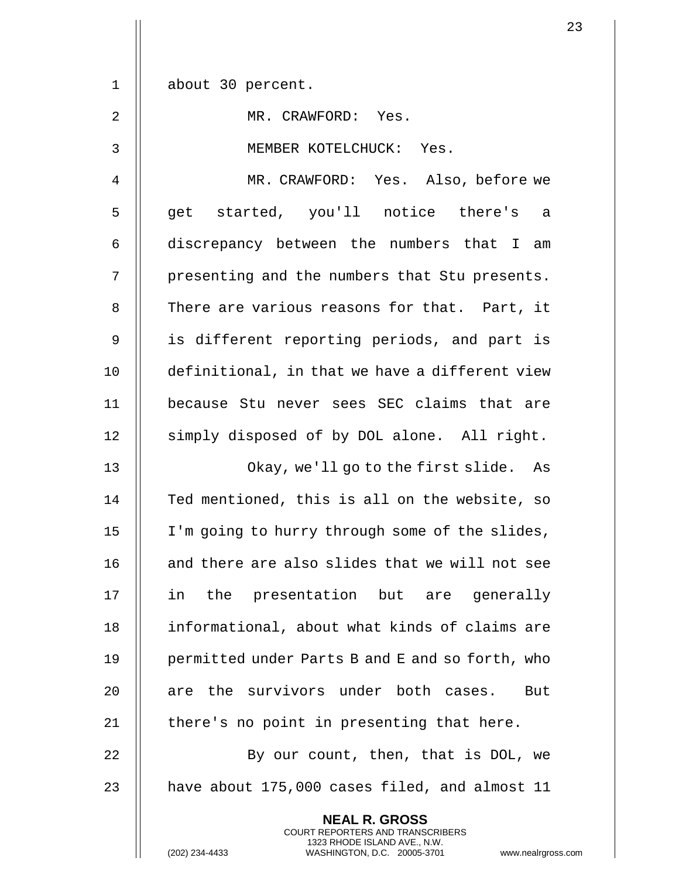| $\mathbf 1$ | about 30 percent.                                                                                                                                                  |
|-------------|--------------------------------------------------------------------------------------------------------------------------------------------------------------------|
| 2           | MR. CRAWFORD: Yes.                                                                                                                                                 |
| 3           | MEMBER KOTELCHUCK: Yes.                                                                                                                                            |
| 4           | MR. CRAWFORD: Yes. Also, before we                                                                                                                                 |
| 5           | get started, you'll notice there's a                                                                                                                               |
| 6           | discrepancy between the numbers that I<br>am                                                                                                                       |
| 7           | presenting and the numbers that Stu presents.                                                                                                                      |
| 8           | There are various reasons for that. Part, it                                                                                                                       |
| 9           | is different reporting periods, and part is                                                                                                                        |
| 10          | definitional, in that we have a different view                                                                                                                     |
| 11          | because Stu never sees SEC claims that are                                                                                                                         |
| 12          | simply disposed of by DOL alone. All right.                                                                                                                        |
| 13          | Okay, we'll go to the first slide. As                                                                                                                              |
| 14          | Ted mentioned, this is all on the website, so                                                                                                                      |
| 15          | I'm going to hurry through some of the slides,                                                                                                                     |
| 16          | and there are also slides that we will not see                                                                                                                     |
| 17          | the presentation but are generally<br>in                                                                                                                           |
| 18          | informational, about what kinds of claims are                                                                                                                      |
| 19          | permitted under Parts B and E and so forth, who                                                                                                                    |
| 20          | are the survivors under both cases.<br>But                                                                                                                         |
| 21          | there's no point in presenting that here.                                                                                                                          |
| 22          | By our count, then, that is DOL, we                                                                                                                                |
| 23          | have about 175,000 cases filed, and almost 11                                                                                                                      |
|             | <b>NEAL R. GROSS</b><br><b>COURT REPORTERS AND TRANSCRIBERS</b><br>1323 RHODE ISLAND AVE., N.W.<br>(202) 234-4433<br>WASHINGTON, D.C. 20005-3701<br>www.nealrgross |

 $\mathbf{I}$ 

(202) 234-4433 WASHINGTON, D.C. 20005-3701 www.nealrgross.com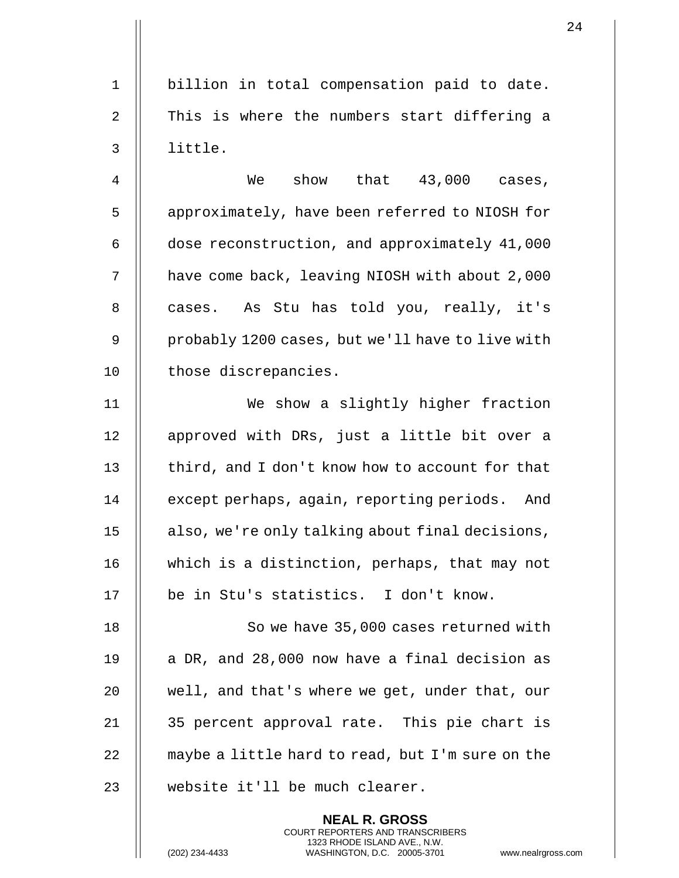1 || billion in total compensation paid to date. 2  $\parallel$  This is where the numbers start differing a

3 little.

4 We show that 43,000 cases, 5 | approximately, have been referred to NIOSH for 6 dose reconstruction, and approximately 41,000 7 | have come back, leaving NIOSH with about 2,000 8 || cases. As Stu has told you, really, it's 9 | probably 1200 cases, but we'll have to live with 10 | those discrepancies.

11 We show a slightly higher fraction 12 || approved with DRs, just a little bit over a 13  $\parallel$  third, and I don't know how to account for that 14 | except perhaps, again, reporting periods. And 15 || also, we're only talking about final decisions, 16 which is a distinction, perhaps, that may not 17 || be in Stu's statistics. I don't know.

18 || So we have 35,000 cases returned with  $\parallel$  a DR, and 28,000 now have a final decision as | well, and that's where we get, under that, our 35 percent approval rate. This pie chart is  $\parallel$  maybe a little hard to read, but I'm sure on the 23 || website it'll be much clearer.

> **NEAL R. GROSS** COURT REPORTERS AND TRANSCRIBERS 1323 RHODE ISLAND AVE., N.W.

(202) 234-4433 WASHINGTON, D.C. 20005-3701 www.nealrgross.com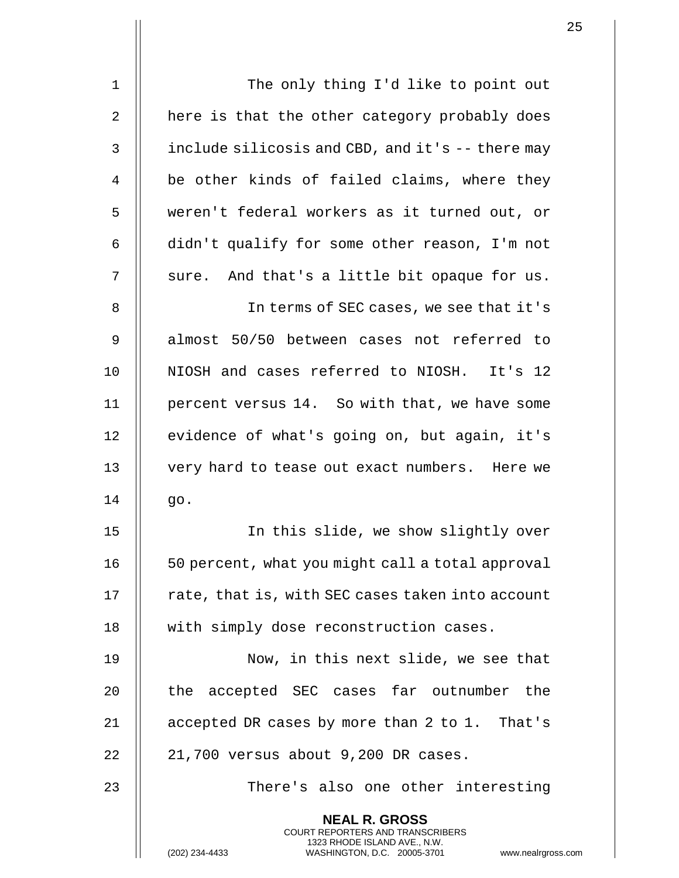| $\mathbf 1$    | The only thing I'd like to point out                                                                                                                               |
|----------------|--------------------------------------------------------------------------------------------------------------------------------------------------------------------|
| $\overline{2}$ | here is that the other category probably does                                                                                                                      |
| 3              | include silicosis and CBD, and it's -- there may                                                                                                                   |
| 4              | be other kinds of failed claims, where they                                                                                                                        |
| 5              | weren't federal workers as it turned out, or                                                                                                                       |
| 6              | didn't qualify for some other reason, I'm not                                                                                                                      |
| 7              | sure. And that's a little bit opaque for us.                                                                                                                       |
| 8              | In terms of SEC cases, we see that it's                                                                                                                            |
| $\mathsf 9$    | almost 50/50 between cases not referred to                                                                                                                         |
| 10             | NIOSH and cases referred to NIOSH. It's 12                                                                                                                         |
| 11             | percent versus 14. So with that, we have some                                                                                                                      |
| 12             | evidence of what's going on, but again, it's                                                                                                                       |
| 13             | very hard to tease out exact numbers. Here we                                                                                                                      |
| 14             | go.                                                                                                                                                                |
| 15             | In this slide, we show slightly over                                                                                                                               |
| 16             | 50 percent, what you might call a total approval                                                                                                                   |
| 17             | rate, that is, with SEC cases taken into account                                                                                                                   |
| 18             | with simply dose reconstruction cases.                                                                                                                             |
| 19             | Now, in this next slide, we see that                                                                                                                               |
| 20             | the accepted SEC cases far outnumber the                                                                                                                           |
| 21             | accepted DR cases by more than 2 to 1. That's                                                                                                                      |
| 22             | 21,700 versus about 9,200 DR cases.                                                                                                                                |
| 23             | There's also one other interesting                                                                                                                                 |
|                | <b>NEAL R. GROSS</b><br><b>COURT REPORTERS AND TRANSCRIBERS</b><br>1323 RHODE ISLAND AVE., N.W.<br>WASHINGTON, D.C. 20005-3701<br>(202) 234-4433<br>www.nealrgross |

(202) 234-4433 WASHINGTON, D.C. 20005-3701 www.nealrgross.com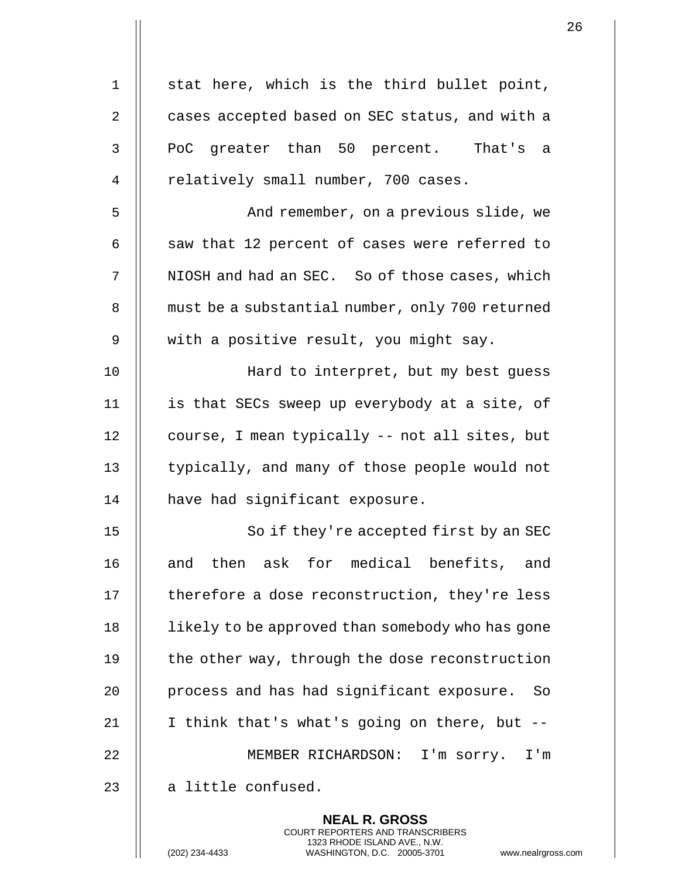| $\mathbf 1$    | stat here, which is the third bullet point,                                                                                                                  |
|----------------|--------------------------------------------------------------------------------------------------------------------------------------------------------------|
| $\overline{2}$ | cases accepted based on SEC status, and with a                                                                                                               |
| 3              | PoC greater than 50 percent. That's a                                                                                                                        |
| 4              | relatively small number, 700 cases.                                                                                                                          |
| 5              | And remember, on a previous slide, we                                                                                                                        |
| 6              | saw that 12 percent of cases were referred to                                                                                                                |
| 7              | NIOSH and had an SEC. So of those cases, which                                                                                                               |
| 8              | must be a substantial number, only 700 returned                                                                                                              |
| 9              | with a positive result, you might say.                                                                                                                       |
| 10             | Hard to interpret, but my best guess                                                                                                                         |
| 11             | is that SECs sweep up everybody at a site, of                                                                                                                |
| 12             | course, I mean typically -- not all sites, but                                                                                                               |
| 13             | typically, and many of those people would not                                                                                                                |
| 14             | have had significant exposure.                                                                                                                               |
| 15             | So if they're accepted first by an SEC                                                                                                                       |
| 16             | and then ask for medical benefits, and                                                                                                                       |
| 17             | therefore a dose reconstruction, they're less                                                                                                                |
| 18             | likely to be approved than somebody who has gone                                                                                                             |
| 19             | the other way, through the dose reconstruction                                                                                                               |
| 20             | process and has had significant exposure. So                                                                                                                 |
| 21             | I think that's what's going on there, but --                                                                                                                 |
| 22             | MEMBER RICHARDSON: I'm sorry. I'm                                                                                                                            |
| 23             | a little confused.                                                                                                                                           |
|                | <b>NEAL R. GROSS</b><br>COURT REPORTERS AND TRANSCRIBERS<br>1323 RHODE ISLAND AVE., N.W.<br>(202) 234-4433<br>WASHINGTON, D.C. 20005-3701<br>www.nealrgross. |

 $\mathbf{1}$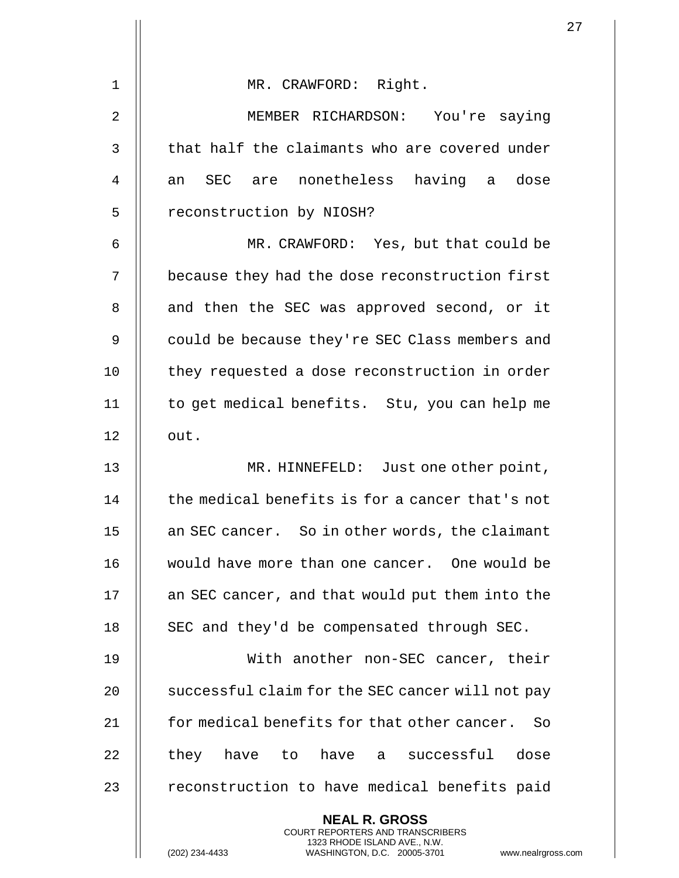| $\mathbf 1$    | MR. CRAWFORD: Right.                                                                                                                                               |
|----------------|--------------------------------------------------------------------------------------------------------------------------------------------------------------------|
| $\overline{2}$ | MEMBER RICHARDSON: You're saying                                                                                                                                   |
| 3              | that half the claimants who are covered under                                                                                                                      |
| 4              | an SEC are nonetheless having a dose                                                                                                                               |
| 5              | reconstruction by NIOSH?                                                                                                                                           |
| 6              | MR. CRAWFORD: Yes, but that could be                                                                                                                               |
| 7              | because they had the dose reconstruction first                                                                                                                     |
| 8              | and then the SEC was approved second, or it                                                                                                                        |
| 9              | could be because they're SEC Class members and                                                                                                                     |
| 10             | they requested a dose reconstruction in order                                                                                                                      |
| 11             | to get medical benefits. Stu, you can help me                                                                                                                      |
| 12             | out.                                                                                                                                                               |
| 13             | MR. HINNEFELD: Just one other point,                                                                                                                               |
| 14             | the medical benefits is for a cancer that's not                                                                                                                    |
| 15             | an SEC cancer. So in other words, the claimant                                                                                                                     |
| 16             | would have more than one cancer. One would be                                                                                                                      |
| 17             | an SEC cancer, and that would put them into the                                                                                                                    |
| 18             | SEC and they'd be compensated through SEC.                                                                                                                         |
| 19             | With another non-SEC cancer, their                                                                                                                                 |
| 20             | successful claim for the SEC cancer will not pay                                                                                                                   |
| 21             | for medical benefits for that other cancer. So                                                                                                                     |
| 22             | have a successful dose<br>they<br>have to                                                                                                                          |
| 23             | reconstruction to have medical benefits paid                                                                                                                       |
|                | <b>NEAL R. GROSS</b><br><b>COURT REPORTERS AND TRANSCRIBERS</b><br>1323 RHODE ISLAND AVE., N.W.<br>WASHINGTON, D.C. 20005-3701<br>(202) 234-4433<br>www.nealrgross |

(202) 234-4433 WASHINGTON, D.C. 20005-3701 www.nealrgross.com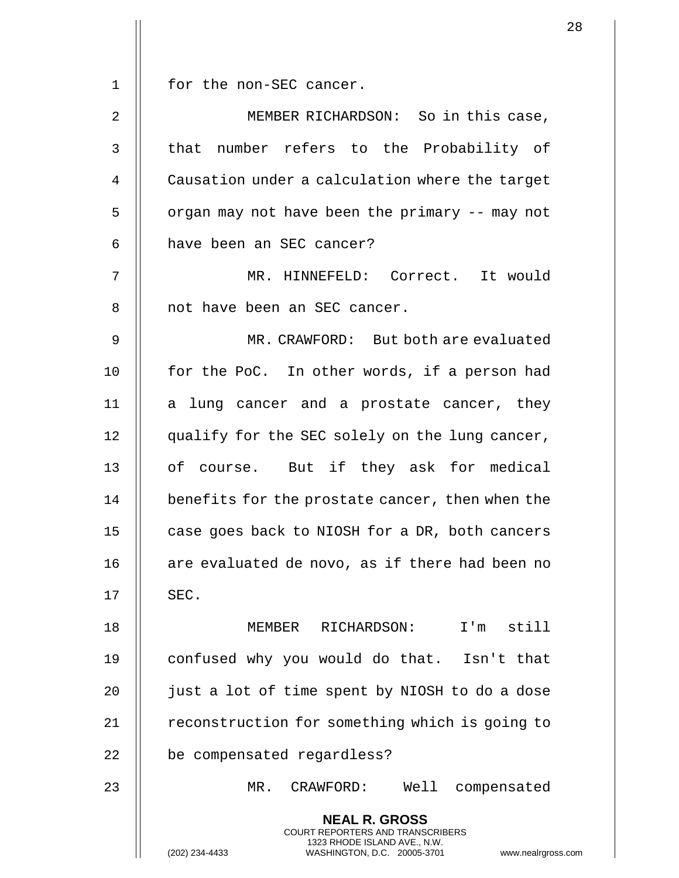1 | for the non-SEC cancer.

| $\overline{2}$ | MEMBER RICHARDSON: So in this case,                                                                                                                               |
|----------------|-------------------------------------------------------------------------------------------------------------------------------------------------------------------|
| 3              | number refers to the Probability of<br>that                                                                                                                       |
| $\overline{4}$ | Causation under a calculation where the target                                                                                                                    |
| 5              | organ may not have been the primary -- may not                                                                                                                    |
| 6              | have been an SEC cancer?                                                                                                                                          |
| 7              | MR. HINNEFELD: Correct. It would                                                                                                                                  |
| 8              | not have been an SEC cancer.                                                                                                                                      |
| 9              | MR. CRAWFORD: But both are evaluated                                                                                                                              |
| 10             | for the PoC. In other words, if a person had                                                                                                                      |
| 11             | a lung cancer and a prostate cancer, they                                                                                                                         |
| 12             | qualify for the SEC solely on the lung cancer,                                                                                                                    |
| 13             | of course. But if they ask for medical                                                                                                                            |
| 14             | benefits for the prostate cancer, then when the                                                                                                                   |
| 15             | case goes back to NIOSH for a DR, both cancers                                                                                                                    |
| 16             | are evaluated de novo, as if there had been no                                                                                                                    |
| 17             | SEC.                                                                                                                                                              |
| 18             | MEMBER RICHARDSON: I'm still                                                                                                                                      |
| 19             | confused why you would do that. Isn't that                                                                                                                        |
| 20             | just a lot of time spent by NIOSH to do a dose                                                                                                                    |
| 21             | reconstruction for something which is going to                                                                                                                    |
| 22             | be compensated regardless?                                                                                                                                        |
| 23             | Well compensated<br>MR. CRAWFORD:                                                                                                                                 |
|                | <b>NEAL R. GROSS</b><br><b>COURT REPORTERS AND TRANSCRIBERS</b><br>1323 RHODE ISLAND AVE., N.W.<br>(202) 234-4433<br>WASHINGTON, D.C. 20005-3701<br>www.nealrgros |

(202) 234-4433 WASHINGTON, D.C. 20005-3701 www.nealrgross.com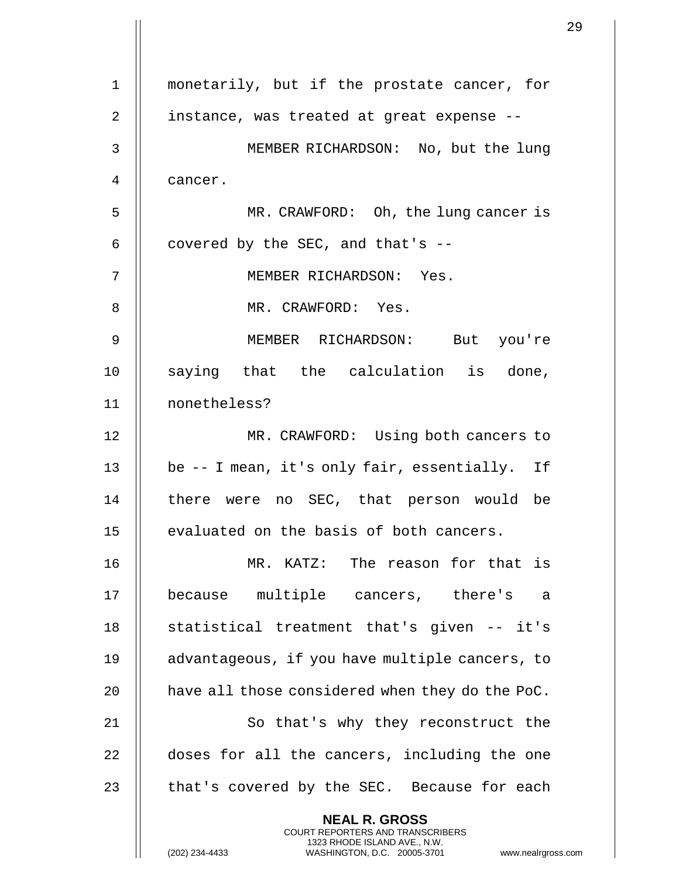1 || monetarily, but if the prostate cancer, for 2 || instance, was treated at great expense --3 MEMBER RICHARDSON: No, but the lung 4 cancer. 5 || MR. CRAWFORD: Oh, the lung cancer is 6  $\parallel$  covered by the SEC, and that's --7 MEMBER RICHARDSON: Yes. 8 || MR. CRAWFORD: Yes. 9 MEMBER RICHARDSON: But you're 10 || saying that the calculation is done, 11 nonetheless? 12 MR. CRAWFORD: Using both cancers to 13 || be -- I mean, it's only fair, essentially. If 14 || there were no SEC, that person would be 15 | evaluated on the basis of both cancers. 16 MR. KATZ: The reason for that is 17 because multiple cancers, there's a 18 || statistical treatment that's given -- it's 19 advantageous, if you have multiple cancers, to 20  $\parallel$  have all those considered when they do the PoC. 21 || So that's why they reconstruct the 22 | doses for all the cancers, including the one 23  $\parallel$  that's covered by the SEC. Because for each **NEAL R. GROSS** COURT REPORTERS AND TRANSCRIBERS 1323 RHODE ISLAND AVE., N.W.

(202) 234-4433 WASHINGTON, D.C. 20005-3701 www.nealrgross.com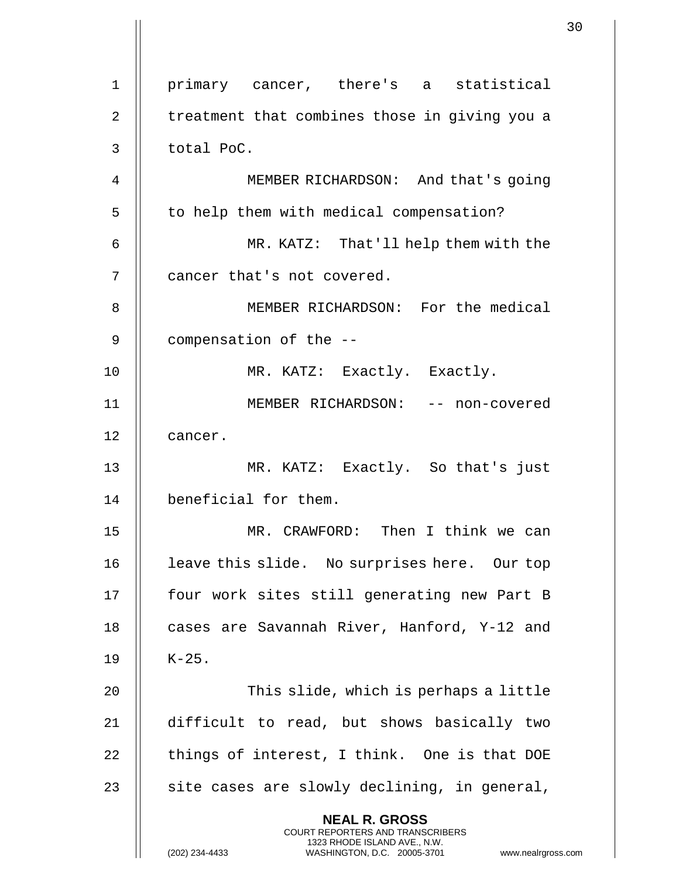1 primary cancer, there's a statistical  $2 \parallel$  treatment that combines those in giving you a 3 || total PoC. 4 || MEMBER RICHARDSON: And that's going 5 | to help them with medical compensation? 6 MR. KATZ: That'll help them with the 7 || cancer that's not covered. 8 || MEMBER RICHARDSON: For the medical 9 | compensation of the --10 || MR. KATZ: Exactly. Exactly. 11 MEMBER RICHARDSON: -- non-covered 12 | cancer. 13 MR. KATZ: Exactly. So that's just 14 | beneficial for them. 15 MR. CRAWFORD: Then I think we can 16 || leave this slide. No surprises here. Our top 17 || four work sites still generating new Part B 18 || cases are Savannah River, Hanford, Y-12 and  $19$  |  $K-25$ . 20 || This slide, which is perhaps a little 21 difficult to read, but shows basically two  $22$  | things of interest, I think. One is that DOE 23  $\parallel$  site cases are slowly declining, in general, **NEAL R. GROSS** COURT REPORTERS AND TRANSCRIBERS 1323 RHODE ISLAND AVE., N.W. (202) 234-4433 WASHINGTON, D.C. 20005-3701 www.nealrgross.com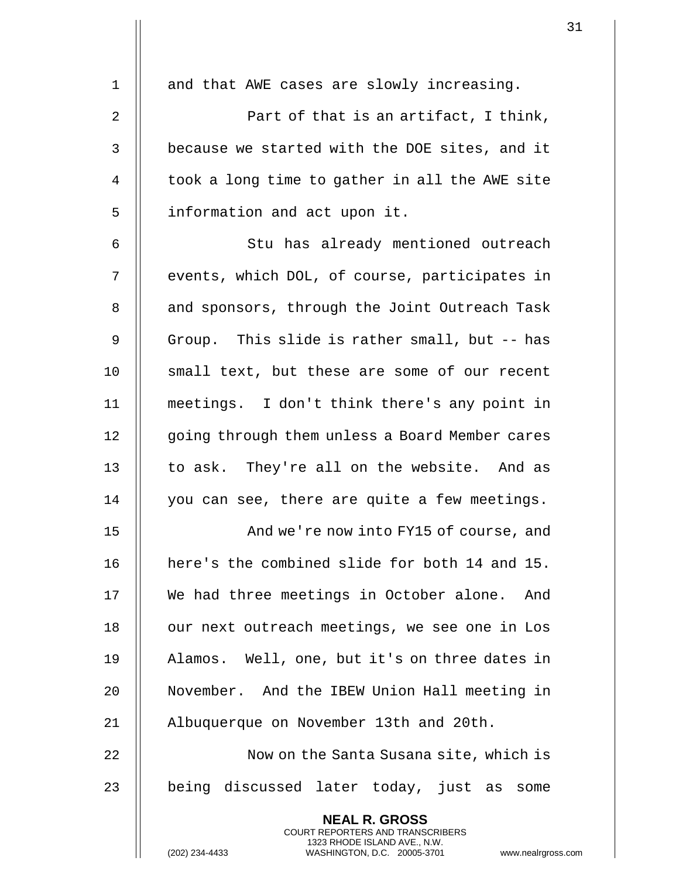|    |                                                                                                                                                                        | 31 |
|----|------------------------------------------------------------------------------------------------------------------------------------------------------------------------|----|
| 1  | and that AWE cases are slowly increasing.                                                                                                                              |    |
| 2  | Part of that is an artifact, I think,                                                                                                                                  |    |
| 3  | because we started with the DOE sites, and it                                                                                                                          |    |
| 4  | took a long time to gather in all the AWE site                                                                                                                         |    |
| 5  | information and act upon it.                                                                                                                                           |    |
| 6  | Stu has already mentioned outreach                                                                                                                                     |    |
| 7  | events, which DOL, of course, participates in                                                                                                                          |    |
|    |                                                                                                                                                                        |    |
| 8  | and sponsors, through the Joint Outreach Task                                                                                                                          |    |
| 9  | Group. This slide is rather small, but -- has                                                                                                                          |    |
| 10 | small text, but these are some of our recent                                                                                                                           |    |
| 11 | meetings. I don't think there's any point in                                                                                                                           |    |
| 12 | going through them unless a Board Member cares                                                                                                                         |    |
| 13 | to ask. They're all on the website. And as                                                                                                                             |    |
| 14 | you can see, there are quite a few meetings.                                                                                                                           |    |
| 15 | And we're now into FY15 of course, and                                                                                                                                 |    |
| 16 | here's the combined slide for both 14 and 15.                                                                                                                          |    |
| 17 | We had three meetings in October alone. And                                                                                                                            |    |
| 18 | our next outreach meetings, we see one in Los                                                                                                                          |    |
| 19 | Alamos. Well, one, but it's on three dates in                                                                                                                          |    |
| 20 | November. And the IBEW Union Hall meeting in                                                                                                                           |    |
| 21 | Albuquerque on November 13th and 20th.                                                                                                                                 |    |
| 22 | Now on the Santa Susana site, which is                                                                                                                                 |    |
| 23 | being discussed later today, just as some                                                                                                                              |    |
|    | <b>NEAL R. GROSS</b><br><b>COURT REPORTERS AND TRANSCRIBERS</b><br>1323 RHODE ISLAND AVE., N.W.<br>WASHINGTON, D.C. 20005-3701<br>(202) 234-4433<br>www.nealrgross.com |    |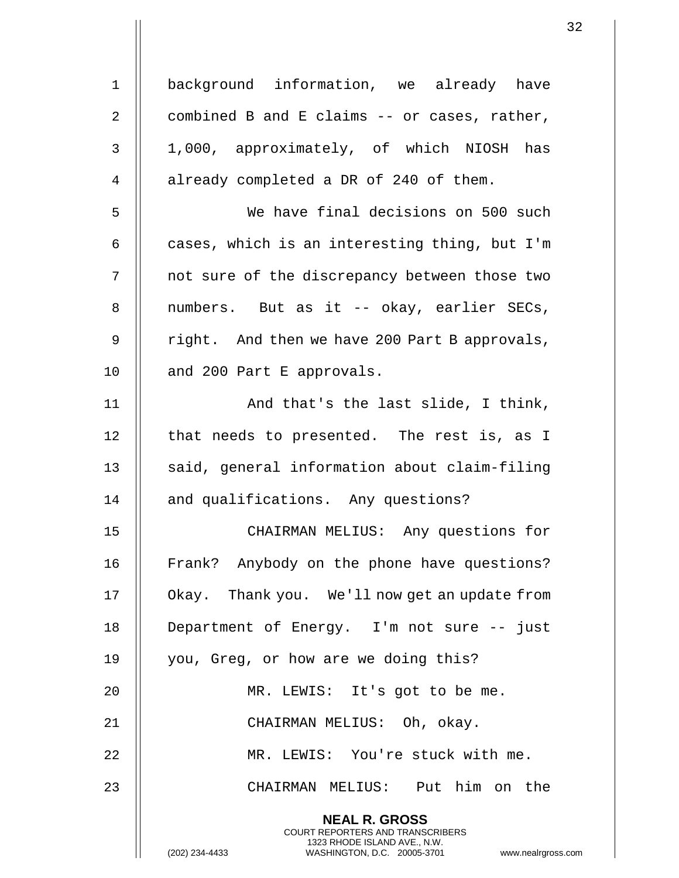| $\mathbf 1$ | background information, we already have                                                                                                                      |
|-------------|--------------------------------------------------------------------------------------------------------------------------------------------------------------|
| 2           | combined B and E claims -- or cases, rather,                                                                                                                 |
| 3           | 1,000, approximately, of which NIOSH has                                                                                                                     |
| 4           | already completed a DR of 240 of them.                                                                                                                       |
| 5           | We have final decisions on 500 such                                                                                                                          |
| 6           | cases, which is an interesting thing, but I'm                                                                                                                |
| 7           | not sure of the discrepancy between those two                                                                                                                |
| 8           | numbers. But as it -- okay, earlier SECs,                                                                                                                    |
| 9           | right. And then we have 200 Part B approvals,                                                                                                                |
| 10          | and 200 Part E approvals.                                                                                                                                    |
| 11          | And that's the last slide, I think,                                                                                                                          |
| 12          | that needs to presented. The rest is, as I                                                                                                                   |
| 13          | said, general information about claim-filing                                                                                                                 |
| 14          | and qualifications. Any questions?                                                                                                                           |
| 15          | CHAIRMAN MELIUS: Any questions for                                                                                                                           |
| 16          | Frank? Anybody on the phone have questions?                                                                                                                  |
| 17          | Okay. Thank you. We'll now get an update from                                                                                                                |
| 18          | Department of Energy. I'm not sure -- just                                                                                                                   |
| 19          | you, Greg, or how are we doing this?                                                                                                                         |
| 20          | MR. LEWIS: It's got to be me.                                                                                                                                |
| 21          | CHAIRMAN MELIUS: Oh, okay.                                                                                                                                   |
| 22          | MR. LEWIS: You're stuck with me.                                                                                                                             |
| 23          | CHAIRMAN MELIUS: Put him on the                                                                                                                              |
|             | <b>NEAL R. GROSS</b><br>COURT REPORTERS AND TRANSCRIBERS<br>1323 RHODE ISLAND AVE., N.W.<br>(202) 234-4433<br>WASHINGTON, D.C. 20005-3701<br>www.nealrgross. |

 $\begin{array}{c} \hline \end{array}$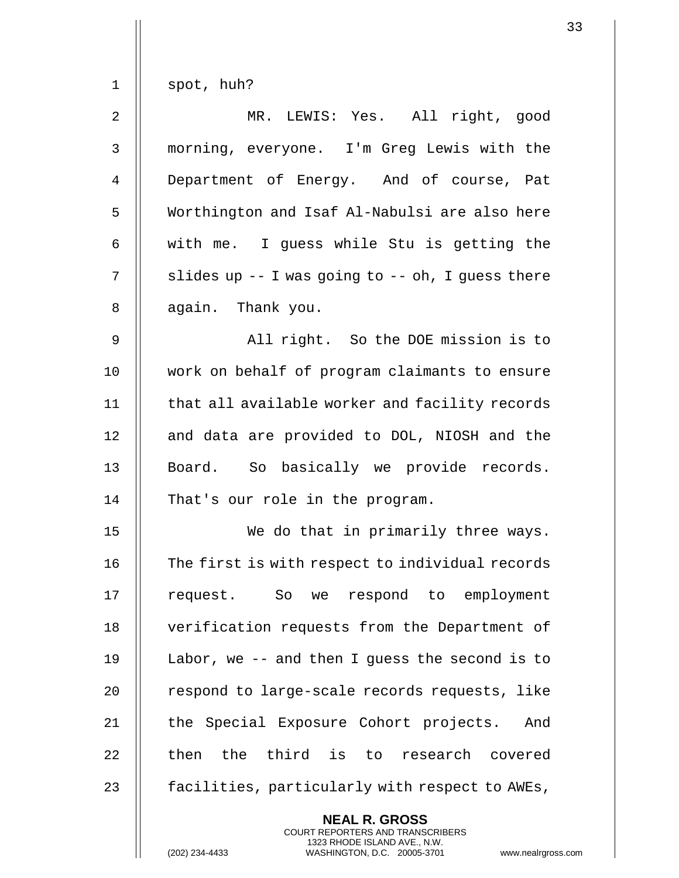| spot, huh?                                             |
|--------------------------------------------------------|
| MR. LEWIS: Yes. All right, good                        |
| morning, everyone. I'm Greg Lewis with the             |
| Department of Energy. And of course, Pat               |
| Worthington and Isaf Al-Nabulsi are also here          |
| with me. I guess while Stu is getting the              |
| slides up $-$ - I was going to $-$ - oh, I guess there |
| again. Thank you.                                      |
| All right. So the DOE mission is to                    |
| work on behalf of program claimants to ensure          |
| that all available worker and facility records         |
| and data are provided to DOL, NIOSH and the            |
| Board. So basically we provide records.                |
| That's our role in the program.                        |
| We do that in primarily three ways.                    |
| The first is with respect to individual records        |
| request. So we respond to employment                   |
| verification requests from the Department of           |
| Labor, we $-$ - and then I guess the second is to      |
| respond to large-scale records requests, like          |
| the Special Exposure Cohort projects.<br>And           |
| then the third is to research covered                  |
| facilities, particularly with respect to AWEs,         |
| <b>NEAL R. GROSS</b>                                   |
|                                                        |

COURT REPORTERS AND TRANSCRIBERS 1323 RHODE ISLAND AVE., N.W.

 $\mathsf{II}$ 

(202) 234-4433 WASHINGTON, D.C. 20005-3701 www.nealrgross.com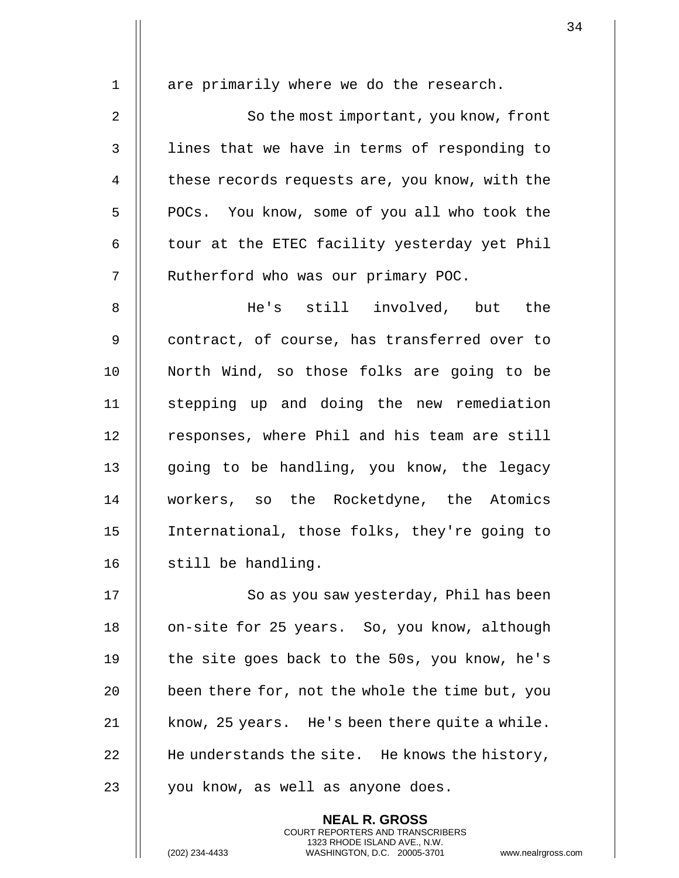|              | <b>NEAL R. GROSS</b>                            |
|--------------|-------------------------------------------------|
| 23           | you know, as well as anyone does.               |
| 22           | He understands the site. He knows the history,  |
| 21           | know, 25 years. He's been there quite a while.  |
| 20           | been there for, not the whole the time but, you |
| 19           | the site goes back to the 50s, you know, he's   |
| 18           | on-site for 25 years. So, you know, although    |
| 17           | So as you saw yesterday, Phil has been          |
| 16           | still be handling.                              |
| 15           | International, those folks, they're going to    |
| 14           | workers, so the Rocketdyne, the Atomics         |
| 13           | going to be handling, you know, the legacy      |
| 12           | responses, where Phil and his team are still    |
| 11           | stepping up and doing the new remediation       |
| 10           | North Wind, so those folks are going to be      |
| 9            | contract, of course, has transferred over to    |
| 8            | He's still involved, but the                    |
| 7            | Rutherford who was our primary POC.             |
| 6            | tour at the ETEC facility yesterday yet Phil    |
| 5            | POCs. You know, some of you all who took the    |
| 4            | these records requests are, you know, with the  |
| $\mathbf{3}$ | lines that we have in terms of responding to    |
| 2            | So the most important, you know, front          |
| $\mathbf 1$  | are primarily where we do the research.         |
|              |                                                 |

COURT REPORTERS AND TRANSCRIBERS 1323 RHODE ISLAND AVE., N.W.

 $\mathsf{I}$ 

 $\mathsf{l}\mathsf{l}$ 

(202) 234-4433 WASHINGTON, D.C. 20005-3701 www.nealrgross.com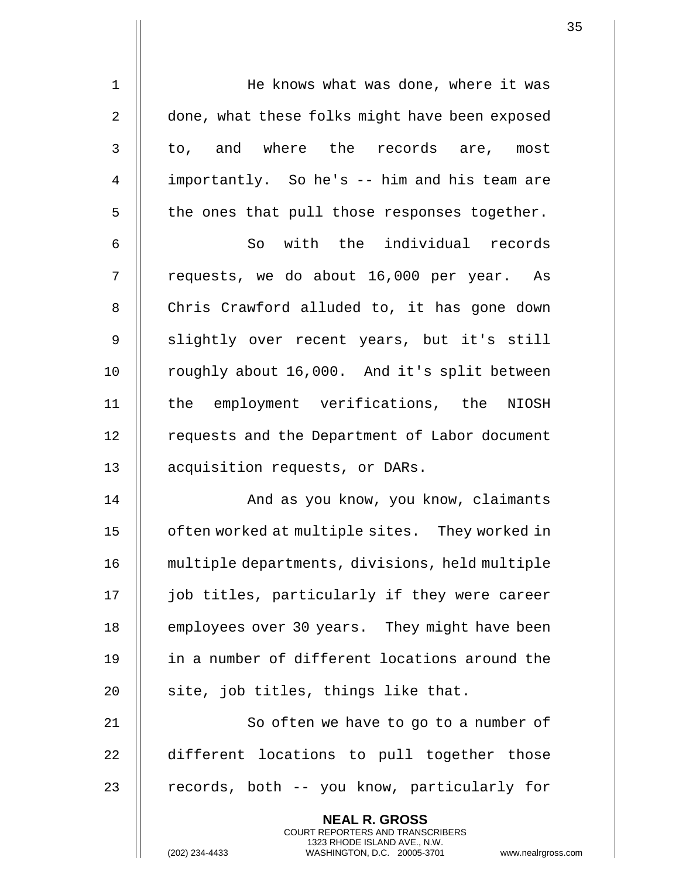| $\mathbf 1$    | He knows what was done, where it was                                                                                                                       |
|----------------|------------------------------------------------------------------------------------------------------------------------------------------------------------|
| $\overline{2}$ | done, what these folks might have been exposed                                                                                                             |
| 3              | to, and where the records are, most                                                                                                                        |
| 4              | importantly. So he's -- him and his team are                                                                                                               |
| 5              | the ones that pull those responses together.                                                                                                               |
| 6              | So with the individual records                                                                                                                             |
| 7              | requests, we do about 16,000 per year. As                                                                                                                  |
| 8              | Chris Crawford alluded to, it has gone down                                                                                                                |
| 9              | slightly over recent years, but it's still                                                                                                                 |
| 10             | roughly about 16,000. And it's split between                                                                                                               |
| 11             | the employment verifications, the NIOSH                                                                                                                    |
| 12             | requests and the Department of Labor document                                                                                                              |
| 13             | acquisition requests, or DARs.                                                                                                                             |
| 14             | And as you know, you know, claimants                                                                                                                       |
| 15             | often worked at multiple sites. They worked in                                                                                                             |
| 16             | multiple departments, divisions, held multiple                                                                                                             |
| 17             | job titles, particularly if they were career                                                                                                               |
| 18             | employees over 30 years. They might have been                                                                                                              |
| 19             | in a number of different locations around the                                                                                                              |
| 20             | site, job titles, things like that.                                                                                                                        |
| 21             | So often we have to go to a number of                                                                                                                      |
| 22             | different locations to pull together those                                                                                                                 |
| 23             | records, both -- you know, particularly for                                                                                                                |
|                | <b>NEAL R. GROSS</b><br>COURT REPORTERS AND TRANSCRIBERS<br>1323 RHODE ISLAND AVE., N.W.<br>(202) 234-4433<br>WASHINGTON, D.C. 20005-3701<br>www.nealrgros |

 $\mathbf{I}$ 

(202) 234-4433 WASHINGTON, D.C. 20005-3701 www.nealrgross.com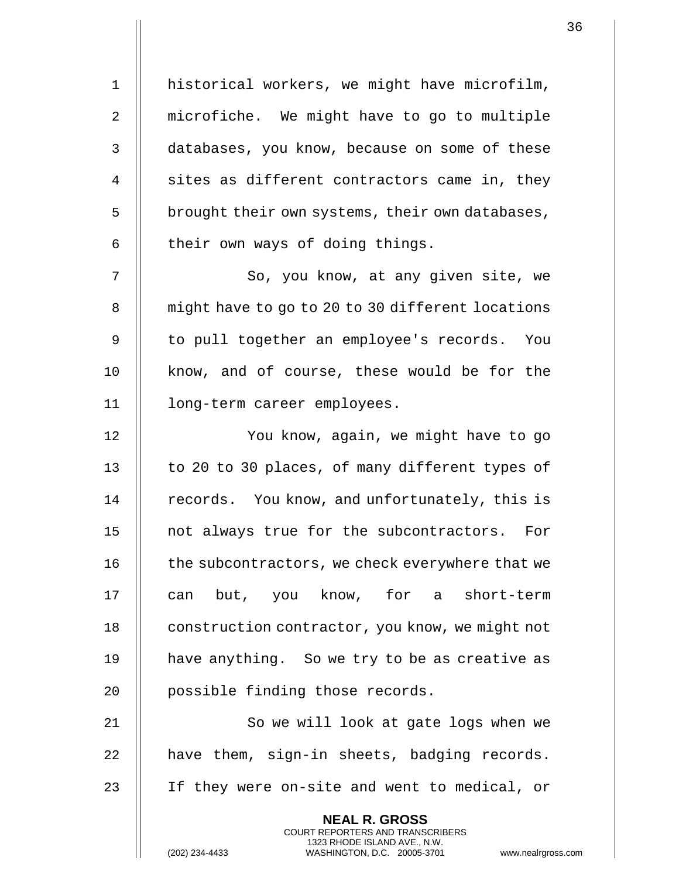1 | historical workers, we might have microfilm, 2 | microfiche. We might have to go to multiple 3 databases, you know, because on some of these  $4 \parallel$  sites as different contractors came in, they  $5$  | brought their own systems, their own databases,  $6$  | their own ways of doing things. 7 || So, you know, at any given site, we 8 | might have to go to 20 to 30 different locations 9 || to pull together an employee's records. You 10 || know, and of course, these would be for the 11 long-term career employees. 12 || You know, again, we might have to go 13  $\parallel$  to 20 to 30 places, of many different types of 14 | records. You know, and unfortunately, this is 15 || not always true for the subcontractors. For 16 | the subcontractors, we check everywhere that we 17 || can but, you know, for a short-term 18 | construction contractor, you know, we might not 19 || have anything. So we try to be as creative as 20 || possible finding those records. 21 || So we will look at gate logs when we  $22$  | have them, sign-in sheets, badging records. 23 If they were on-site and went to medical, or **NEAL R. GROSS**

> COURT REPORTERS AND TRANSCRIBERS 1323 RHODE ISLAND AVE., N.W.

(202) 234-4433 WASHINGTON, D.C. 20005-3701 www.nealrgross.com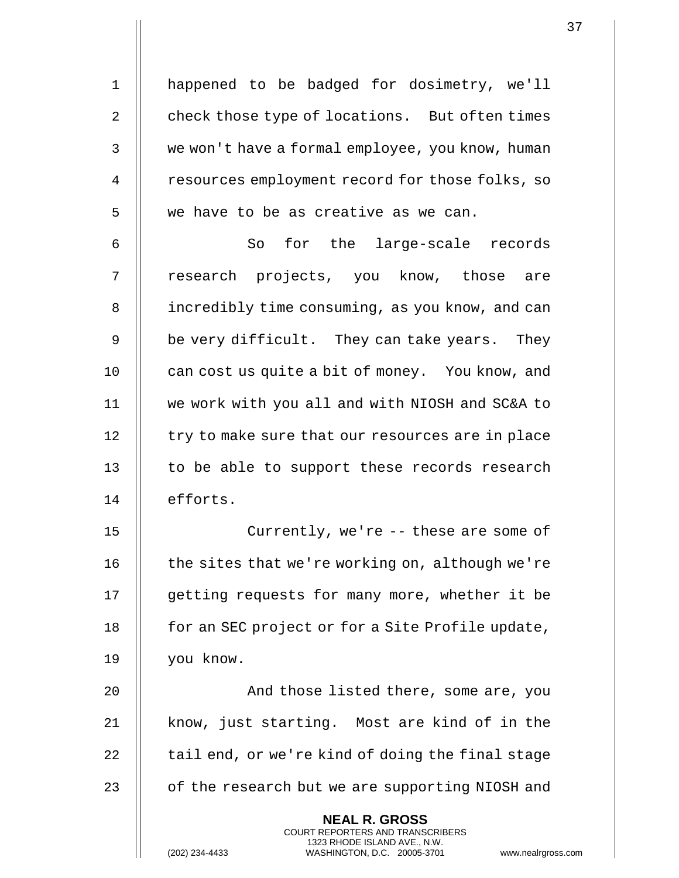1 happened to be badged for dosimetry, we'll 2 check those type of locations. But often times 3 | we won't have a formal employee, you know, human 4 | resources employment record for those folks, so  $5 \parallel$  we have to be as creative as we can. 6 || So for the large-scale records 7 || research projects, you know, those are 8 | incredibly time consuming, as you know, and can  $9 \parallel$  be very difficult. They can take years. They 10 **can cost us quite a bit of money.** You know, and 11 we work with you all and with NIOSH and SC&A to 12 | try to make sure that our resources are in place  $13$   $\parallel$  to be able to support these records research 14 | efforts. 15 || Currently, we're -- these are some of 16  $\parallel$  the sites that we're working on, although we're 17 | getting requests for many more, whether it be 18 | for an SEC project or for a Site Profile update, 19 you know. 20 || And those listed there, some are, you 21 || know, just starting. Most are kind of in the 22  $\parallel$  tail end, or we're kind of doing the final stage 23 | of the research but we are supporting NIOSH and **NEAL R. GROSS** COURT REPORTERS AND TRANSCRIBERS 1323 RHODE ISLAND AVE., N.W.

(202) 234-4433 WASHINGTON, D.C. 20005-3701 www.nealrgross.com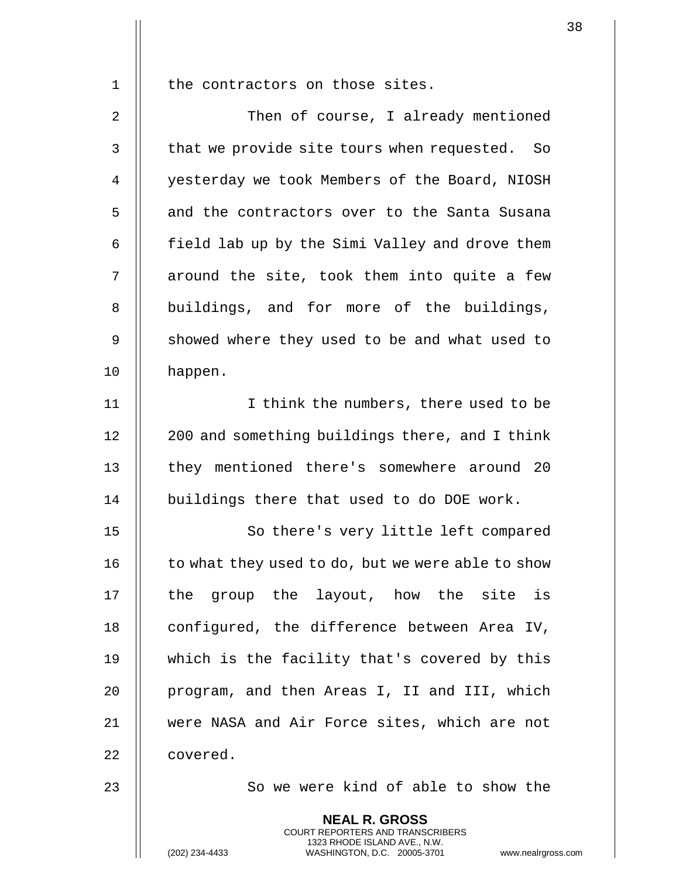1 || the contractors on those sites.

2 | Then of course, I already mentioned 3 || that we provide site tours when requested. So 4 | yesterday we took Members of the Board, NIOSH 5 | and the contractors over to the Santa Susana 6  $\parallel$  field lab up by the Simi Valley and drove them  $7$   $\parallel$  around the site, took them into quite a few 8 || buildings, and for more of the buildings, 9 | showed where they used to be and what used to 10 happen.

11 || I think the numbers, there used to be  $12$  | 200 and something buildings there, and I think 13 || they mentioned there's somewhere around 20 14 | buildings there that used to do DOE work.

15 || So there's very little left compared 16  $\parallel$  to what they used to do, but we were able to show 17  $\parallel$  the group the layout, how the site is 18 | configured, the difference between Area IV, 19 which is the facility that's covered by this 20 || program, and then Areas I, II and III, which 21 were NASA and Air Force sites, which are not 22 l covered.

23 || So we were kind of able to show the

**NEAL R. GROSS** COURT REPORTERS AND TRANSCRIBERS 1323 RHODE ISLAND AVE., N.W.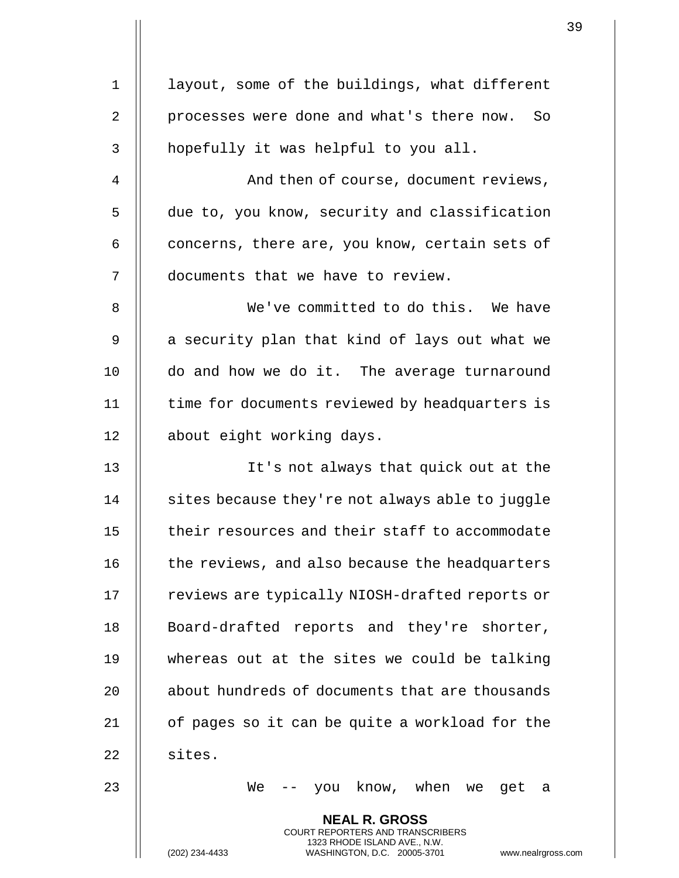|    |                                                                                                                                                                        | 39 |
|----|------------------------------------------------------------------------------------------------------------------------------------------------------------------------|----|
| 1  | layout, some of the buildings, what different                                                                                                                          |    |
| 2  | processes were done and what's there now. So                                                                                                                           |    |
| 3  | hopefully it was helpful to you all.                                                                                                                                   |    |
|    |                                                                                                                                                                        |    |
| 4  | And then of course, document reviews,                                                                                                                                  |    |
| 5  | due to, you know, security and classification                                                                                                                          |    |
| 6  | concerns, there are, you know, certain sets of                                                                                                                         |    |
| 7  | documents that we have to review.                                                                                                                                      |    |
| 8  | We've committed to do this. We have                                                                                                                                    |    |
| 9  | a security plan that kind of lays out what we                                                                                                                          |    |
| 10 | do and how we do it. The average turnaround                                                                                                                            |    |
| 11 | time for documents reviewed by headquarters is                                                                                                                         |    |
| 12 | about eight working days.                                                                                                                                              |    |
| 13 | It's not always that quick out at the                                                                                                                                  |    |
| 14 | sites because they're not always able to juggle                                                                                                                        |    |
| 15 | their resources and their staff to accommodate                                                                                                                         |    |
| 16 | the reviews, and also because the headquarters                                                                                                                         |    |
| 17 | reviews are typically NIOSH-drafted reports or                                                                                                                         |    |
| 18 | Board-drafted reports and they're shorter,                                                                                                                             |    |
| 19 | whereas out at the sites we could be talking                                                                                                                           |    |
| 20 | about hundreds of documents that are thousands                                                                                                                         |    |
| 21 | of pages so it can be quite a workload for the                                                                                                                         |    |
| 22 | sites.                                                                                                                                                                 |    |
| 23 | -- you know, when we get a<br>We                                                                                                                                       |    |
|    | <b>NEAL R. GROSS</b><br><b>COURT REPORTERS AND TRANSCRIBERS</b><br>1323 RHODE ISLAND AVE., N.W.<br>WASHINGTON, D.C. 20005-3701<br>(202) 234-4433<br>www.nealrgross.com |    |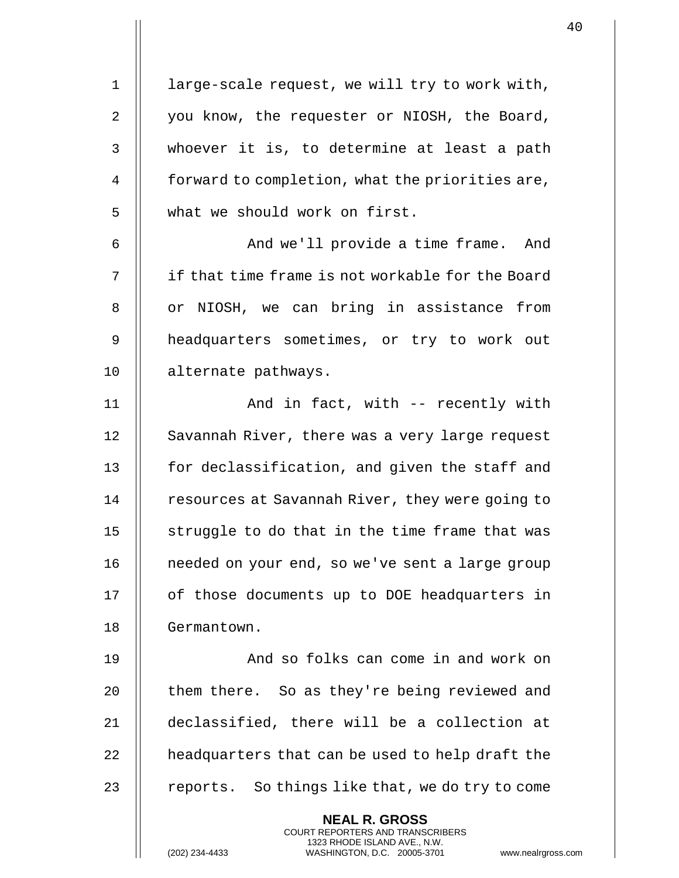1 | large-scale request, we will try to work with, 2 | you know, the requester or NIOSH, the Board, 3 | whoever it is, to determine at least a path 4 **forward to completion, what the priorities are,** 5 | what we should work on first.

6 || And we'll provide a time frame. And 7 if that time frame is not workable for the Board 8 || or NIOSH, we can bring in assistance from 9 || headquarters sometimes, or try to work out 10 | alternate pathways.

11 || And in fact, with -- recently with 12 || Savannah River, there was a very large request 13 | for declassification, and given the staff and 14 | resources at Savannah River, they were going to 15  $\parallel$  struggle to do that in the time frame that was 16 | needed on your end, so we've sent a large group 17 | of those documents up to DOE headquarters in 18 | Germantown.

19 || And so folks can come in and work on 20 | them there. So as they're being reviewed and 21 declassified, there will be a collection at  $22$  || headquarters that can be used to help draft the 23  $\parallel$  reports. So things like that, we do try to come

> **NEAL R. GROSS** COURT REPORTERS AND TRANSCRIBERS 1323 RHODE ISLAND AVE., N.W.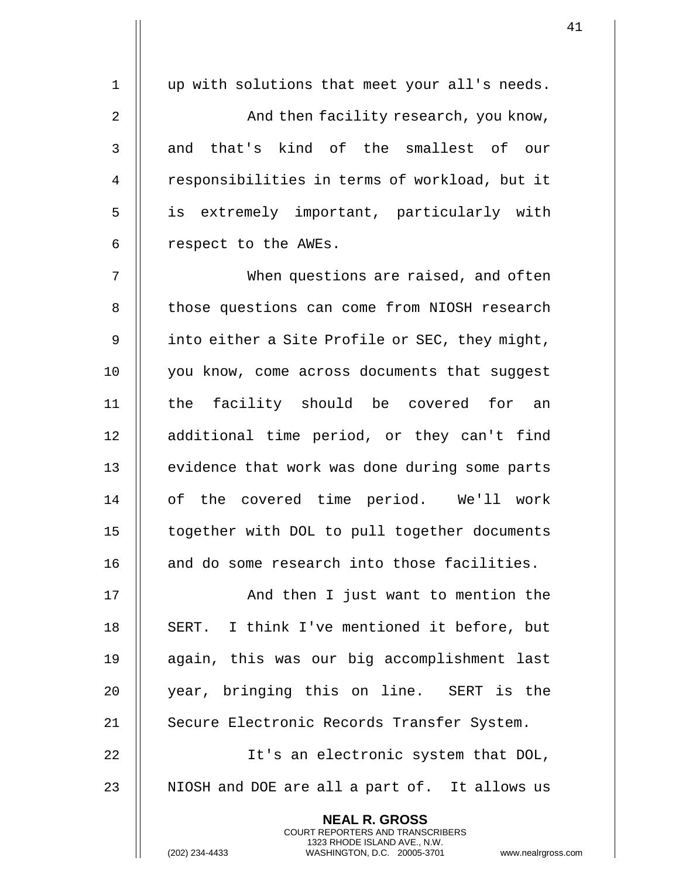| $\mathbf 1$ | up with solutions that meet your all's needs.                                                                                                              |
|-------------|------------------------------------------------------------------------------------------------------------------------------------------------------------|
| 2           | And then facility research, you know,                                                                                                                      |
| 3           | and that's kind of the smallest of our                                                                                                                     |
| 4           | responsibilities in terms of workload, but it                                                                                                              |
| 5           | is extremely important, particularly with                                                                                                                  |
| 6           | respect to the AWEs.                                                                                                                                       |
| 7           | When questions are raised, and often                                                                                                                       |
| 8           | those questions can come from NIOSH research                                                                                                               |
| 9           | into either a Site Profile or SEC, they might,                                                                                                             |
| 10          | you know, come across documents that suggest                                                                                                               |
| 11          | the facility should be covered for an                                                                                                                      |
| 12          | additional time period, or they can't find                                                                                                                 |
| 13          | evidence that work was done during some parts                                                                                                              |
| 14          | of the covered time period. We'll work                                                                                                                     |
| 15          | together with DOL to pull together documents                                                                                                               |
| 16          | and do some research into those facilities.                                                                                                                |
| 17          | And then I just want to mention the                                                                                                                        |
| 18          | SERT. I think I've mentioned it before, but                                                                                                                |
| 19          | again, this was our big accomplishment last                                                                                                                |
| 20          | year, bringing this on line. SERT is the                                                                                                                   |
| 21          | Secure Electronic Records Transfer System.                                                                                                                 |
| 22          | It's an electronic system that DOL,                                                                                                                        |
| 23          | NIOSH and DOE are all a part of. It allows us                                                                                                              |
|             | <b>NEAL R. GROSS</b><br>COURT REPORTERS AND TRANSCRIBERS<br>1323 RHODE ISLAND AVE., N.W.<br>(202) 234-4433<br>WASHINGTON, D.C. 20005-3701<br>www.nealrgros |

 $\mathbf{1}$ 

(202) 234-4433 WASHINGTON, D.C. 20005-3701 www.nealrgross.com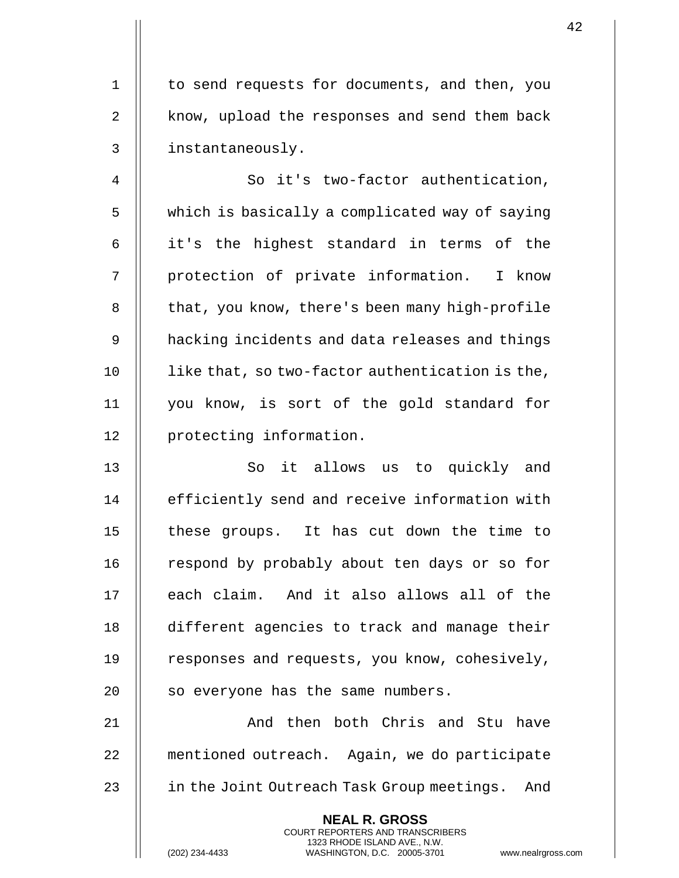1 | to send requests for documents, and then, you 2 || know, upload the responses and send them back 3 instantaneously.

4 | So it's two-factor authentication, 5 | which is basically a complicated way of saying  $6$  || it's the highest standard in terms of the 7 || protection of private information. I know 8 | that, you know, there's been many high-profile 9 || hacking incidents and data releases and things 10 | like that, so two-factor authentication is the, 11 you know, is sort of the gold standard for 12 | protecting information.

13 || So it allows us to quickly and 14 | efficiently send and receive information with 15 || these groups. It has cut down the time to 16 | respond by probably about ten days or so for 17 || each claim. And it also allows all of the 18 different agencies to track and manage their 19 | responses and requests, you know, cohesively,  $20$  || so everyone has the same numbers.

21 And then both Chris and Stu have 22 mentioned outreach. Again, we do participate 23 **i** in the Joint Outreach Task Group meetings. And

> **NEAL R. GROSS** COURT REPORTERS AND TRANSCRIBERS 1323 RHODE ISLAND AVE., N.W.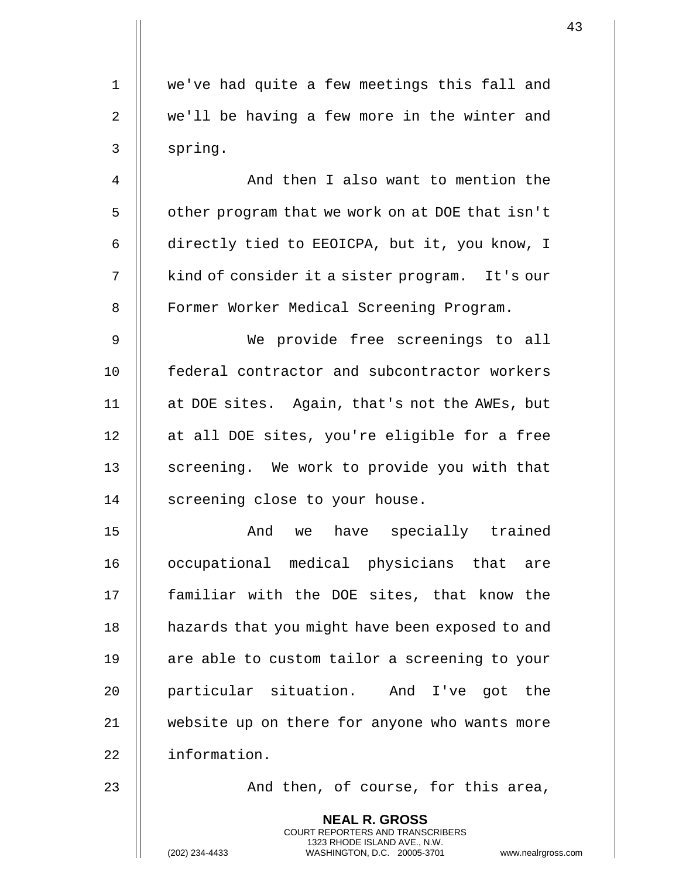| $\mathbf 1$ | we've had quite a few meetings this fall and    |
|-------------|-------------------------------------------------|
| 2           | we'll be having a few more in the winter and    |
| 3           | spring.                                         |
| 4           | And then I also want to mention the             |
| 5           | other program that we work on at DOE that isn't |
| 6           | directly tied to EEOICPA, but it, you know, I   |
| 7           | kind of consider it a sister program. It's our  |
| 8           | Former Worker Medical Screening Program.        |
| $\mathsf 9$ | We provide free screenings to all               |
| 10          | federal contractor and subcontractor workers    |
| 11          | at DOE sites. Again, that's not the AWEs, but   |
| 12          | at all DOE sites, you're eligible for a free    |
| 13          | screening. We work to provide you with that     |
| 14          | screening close to your house.                  |
| 15          | And we have specially trained                   |
| 16          | occupational medical physicians that are        |
| 17          | familiar with the DOE sites, that know the      |
| 18          | hazards that you might have been exposed to and |
| 19          | are able to custom tailor a screening to your   |
| 20          | particular situation. And I've got the          |
| 21          | website up on there for anyone who wants more   |
| 22          | information.                                    |
| 23          | And then, of course, for this area,             |
|             | <b>NEAL R. GROSS</b>                            |

COURT REPORTERS AND TRANSCRIBERS 1323 RHODE ISLAND AVE., N.W.

(202) 234-4433 WASHINGTON, D.C. 20005-3701 www.nealrgross.com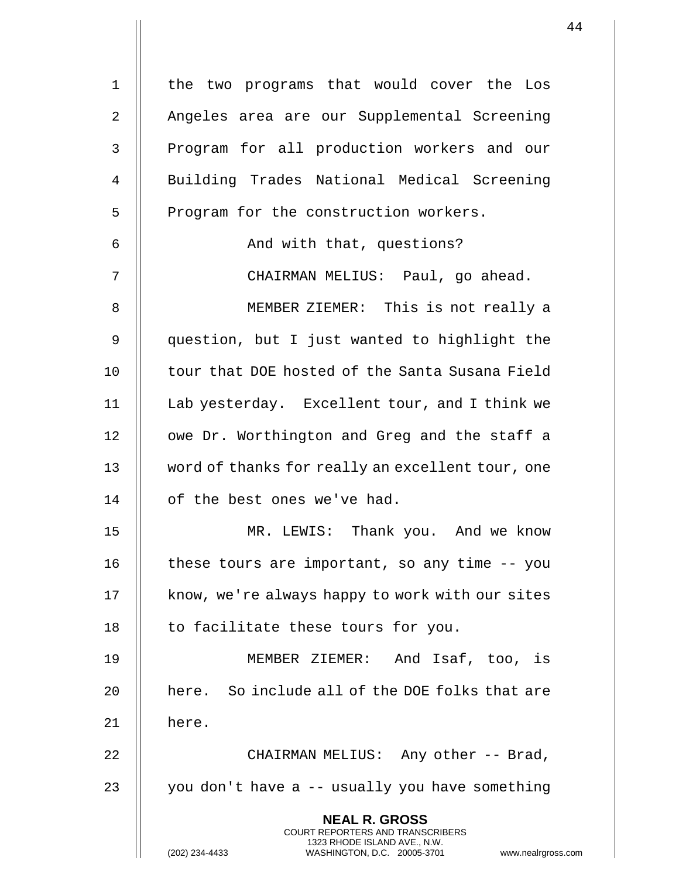| $\mathbf 1$    | the two programs that would cover the Los                                                                                                                          |
|----------------|--------------------------------------------------------------------------------------------------------------------------------------------------------------------|
| $\overline{2}$ | Angeles area are our Supplemental Screening                                                                                                                        |
| 3              | Program for all production workers and our                                                                                                                         |
| 4              | Building Trades National Medical Screening                                                                                                                         |
| 5              | Program for the construction workers.                                                                                                                              |
| 6              | And with that, questions?                                                                                                                                          |
| 7              | CHAIRMAN MELIUS: Paul, go ahead.                                                                                                                                   |
| 8              | MEMBER ZIEMER: This is not really a                                                                                                                                |
| 9              | question, but I just wanted to highlight the                                                                                                                       |
| 10             | tour that DOE hosted of the Santa Susana Field                                                                                                                     |
| 11             | Lab yesterday. Excellent tour, and I think we                                                                                                                      |
| 12             | owe Dr. Worthington and Greg and the staff a                                                                                                                       |
| 13             | word of thanks for really an excellent tour, one                                                                                                                   |
| 14             | of the best ones we've had.                                                                                                                                        |
| 15             | MR. LEWIS: Thank you. And we know                                                                                                                                  |
| 16             | these tours are important, so any time -- you                                                                                                                      |
| 17             | know, we're always happy to work with our sites                                                                                                                    |
| 18             | to facilitate these tours for you.                                                                                                                                 |
| 19             | MEMBER ZIEMER: And Isaf, too, is                                                                                                                                   |
| 20             | here. So include all of the DOE folks that are                                                                                                                     |
| 21             | here.                                                                                                                                                              |
| 22             | CHAIRMAN MELIUS: Any other -- Brad,                                                                                                                                |
| 23             | you don't have a -- usually you have something                                                                                                                     |
|                | <b>NEAL R. GROSS</b><br><b>COURT REPORTERS AND TRANSCRIBERS</b><br>1323 RHODE ISLAND AVE., N.W.<br>(202) 234-4433<br>WASHINGTON, D.C. 20005-3701<br>www.nealrgross |

 $\mathbf{1}$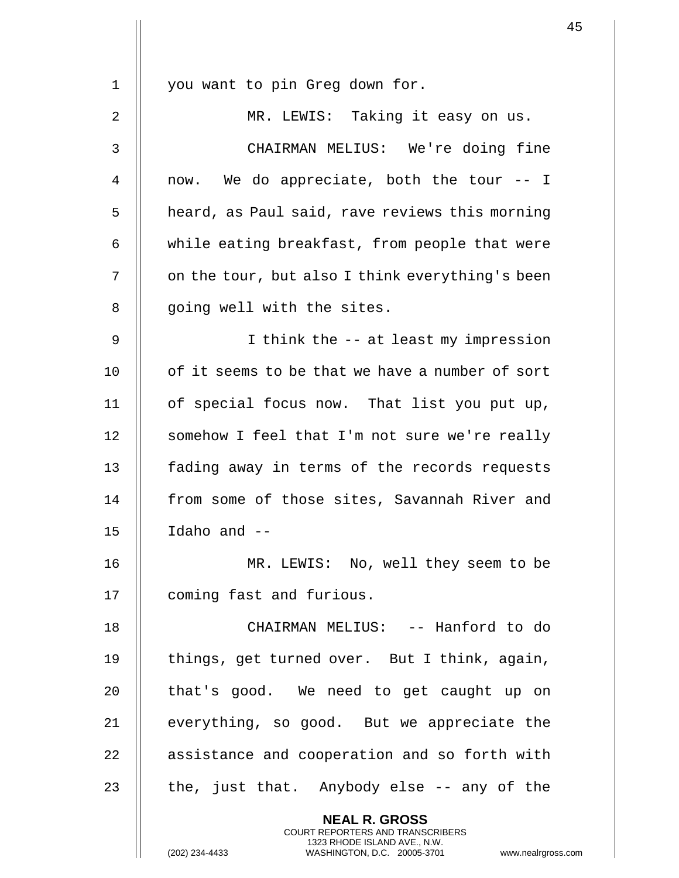| $\mathbf 1$ | you want to pin Greg down for.                                                                                                                                     |
|-------------|--------------------------------------------------------------------------------------------------------------------------------------------------------------------|
| 2           | MR. LEWIS: Taking it easy on us.                                                                                                                                   |
| 3           | CHAIRMAN MELIUS: We're doing fine                                                                                                                                  |
| 4           | now. We do appreciate, both the tour -- I                                                                                                                          |
| 5           | heard, as Paul said, rave reviews this morning                                                                                                                     |
| 6           | while eating breakfast, from people that were                                                                                                                      |
| 7           | on the tour, but also I think everything's been                                                                                                                    |
| 8           | going well with the sites.                                                                                                                                         |
| $\mathsf 9$ | I think the -- at least my impression                                                                                                                              |
| 10          | of it seems to be that we have a number of sort                                                                                                                    |
| 11          | of special focus now. That list you put up,                                                                                                                        |
| 12          | somehow I feel that I'm not sure we're really                                                                                                                      |
| 13          | fading away in terms of the records requests                                                                                                                       |
| 14          | from some of those sites, Savannah River and                                                                                                                       |
| 15          | Idaho and --                                                                                                                                                       |
| 16          | MR. LEWIS: No, well they seem to be                                                                                                                                |
| 17          | coming fast and furious.                                                                                                                                           |
| 18          | CHAIRMAN MELIUS: -- Hanford to do                                                                                                                                  |
| 19          | things, get turned over. But I think, again,                                                                                                                       |
| 20          | that's good. We need to get caught up on                                                                                                                           |
| 21          | everything, so good. But we appreciate the                                                                                                                         |
| 22          | assistance and cooperation and so forth with                                                                                                                       |
| 23          | the, just that. Anybody else -- any of the                                                                                                                         |
|             | <b>NEAL R. GROSS</b><br><b>COURT REPORTERS AND TRANSCRIBERS</b><br>1323 RHODE ISLAND AVE., N.W.<br>(202) 234-4433<br>WASHINGTON, D.C. 20005-3701<br>www.nealrgross |

 $\mathbf{I}$  $\mathsf{l}$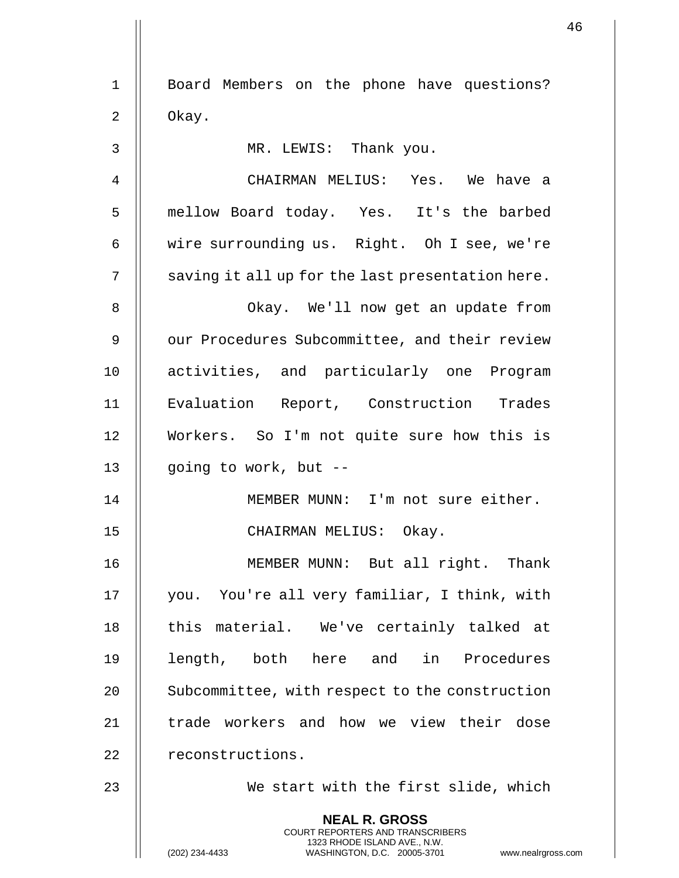|             |                                                                                                                                                                     | 46 |
|-------------|---------------------------------------------------------------------------------------------------------------------------------------------------------------------|----|
| $\mathbf 1$ | Board Members on the phone have questions?                                                                                                                          |    |
| 2           | Okay.                                                                                                                                                               |    |
| 3           | MR. LEWIS: Thank you.                                                                                                                                               |    |
| 4           | CHAIRMAN MELIUS: Yes. We have a                                                                                                                                     |    |
| 5           | mellow Board today. Yes. It's the barbed                                                                                                                            |    |
| 6           | wire surrounding us. Right. Oh I see, we're                                                                                                                         |    |
| 7           | saving it all up for the last presentation here.                                                                                                                    |    |
| 8           | Okay. We'll now get an update from                                                                                                                                  |    |
| 9           | our Procedures Subcommittee, and their review                                                                                                                       |    |
| 10          | activities, and particularly one Program                                                                                                                            |    |
| 11          | Evaluation Report, Construction Trades                                                                                                                              |    |
| 12          | Workers. So I'm not quite sure how this is                                                                                                                          |    |
| 13          | going to work, but --                                                                                                                                               |    |
| 14          | MEMBER MUNN: I'm not sure either.                                                                                                                                   |    |
| 15          | CHAIRMAN MELIUS: Okay.                                                                                                                                              |    |
| 16          | MEMBER MUNN: But all right. Thank                                                                                                                                   |    |
| 17          | you. You're all very familiar, I think, with                                                                                                                        |    |
| 18          | this material. We've certainly talked at                                                                                                                            |    |
| 19          | length, both here and<br>in Procedures                                                                                                                              |    |
| 20          | Subcommittee, with respect to the construction                                                                                                                      |    |
| 21          | trade workers and how we view their dose                                                                                                                            |    |
| 22          | reconstructions.                                                                                                                                                    |    |
| 23          | We start with the first slide, which                                                                                                                                |    |
|             | <b>NEAL R. GROSS</b><br><b>COURT REPORTERS AND TRANSCRIBERS</b><br>1323 RHODE ISLAND AVE., N.W.<br>WASHINGTON, D.C. 20005-3701 www.nealrgross.com<br>(202) 234-4433 |    |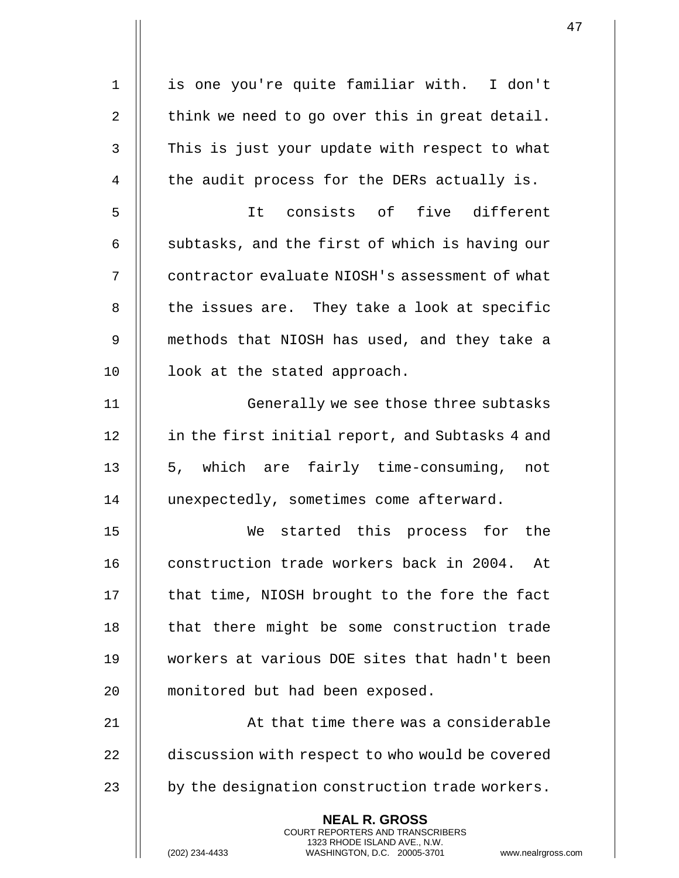1 || is one you're quite familiar with. I don't 2  $\parallel$  think we need to go over this in great detail. 3 || This is just your update with respect to what  $4$   $\parallel$  the audit process for the DERs actually is. 5 It consists of five different 6  $\parallel$  subtasks, and the first of which is having our 7 || contractor evaluate NIOSH's assessment of what  $8$  || the issues are. They take a look at specific 9 methods that NIOSH has used, and they take a 10 || look at the stated approach. 11 || Generally we see those three subtasks 12 | in the first initial report, and Subtasks 4 and 13 || 5, which are fairly time-consuming, not 14 | unexpectedly, sometimes come afterward. 15 We started this process for the 16 || construction trade workers back in 2004. At 17 || that time, NIOSH brought to the fore the fact 18 || that there might be some construction trade 19 workers at various DOE sites that hadn't been 20 || monitored but had been exposed. 21 || At that time there was a considerable 22 **discussion with respect to who would be covered** 23  $\parallel$  by the designation construction trade workers. **NEAL R. GROSS** COURT REPORTERS AND TRANSCRIBERS 1323 RHODE ISLAND AVE., N.W.

(202) 234-4433 WASHINGTON, D.C. 20005-3701 www.nealrgross.com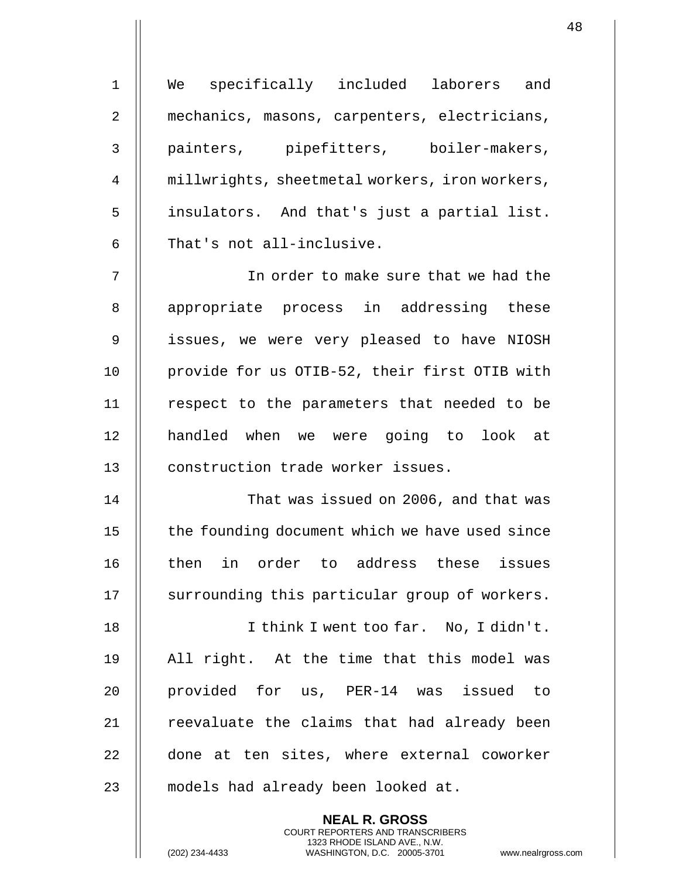| $\mathbf 1$    | We specifically included laborers and          |
|----------------|------------------------------------------------|
| 2              | mechanics, masons, carpenters, electricians,   |
| 3              | painters, pipefitters, boiler-makers,          |
| $\overline{4}$ | millwrights, sheetmetal workers, iron workers, |
| 5              | insulators. And that's just a partial list.    |
| 6              | That's not all-inclusive.                      |
| 7              | In order to make sure that we had the          |
| 8              | appropriate process in addressing these        |
| 9              | issues, we were very pleased to have NIOSH     |
| 10             | provide for us OTIB-52, their first OTIB with  |
| 11             | respect to the parameters that needed to be    |
| 12             | handled when we were going to look at          |
| 13             | construction trade worker issues.              |
| 14             | That was issued on 2006, and that was          |
| 15             | the founding document which we have used since |
| 16             | then in order to address these issues          |
| 17             | surrounding this particular group of workers.  |
| 18             | I think I went too far. No, I didn't.          |
| 19             | All right. At the time that this model was     |
| 20             | provided for us, PER-14 was issued to          |
| 21             | reevaluate the claims that had already been    |
| 22             | done at ten sites, where external coworker     |
| 23             | models had already been looked at.             |
|                |                                                |

**NEAL R. GROSS** COURT REPORTERS AND TRANSCRIBERS 1323 RHODE ISLAND AVE., N.W.

 $\mathsf{I}$ 

(202) 234-4433 WASHINGTON, D.C. 20005-3701 www.nealrgross.com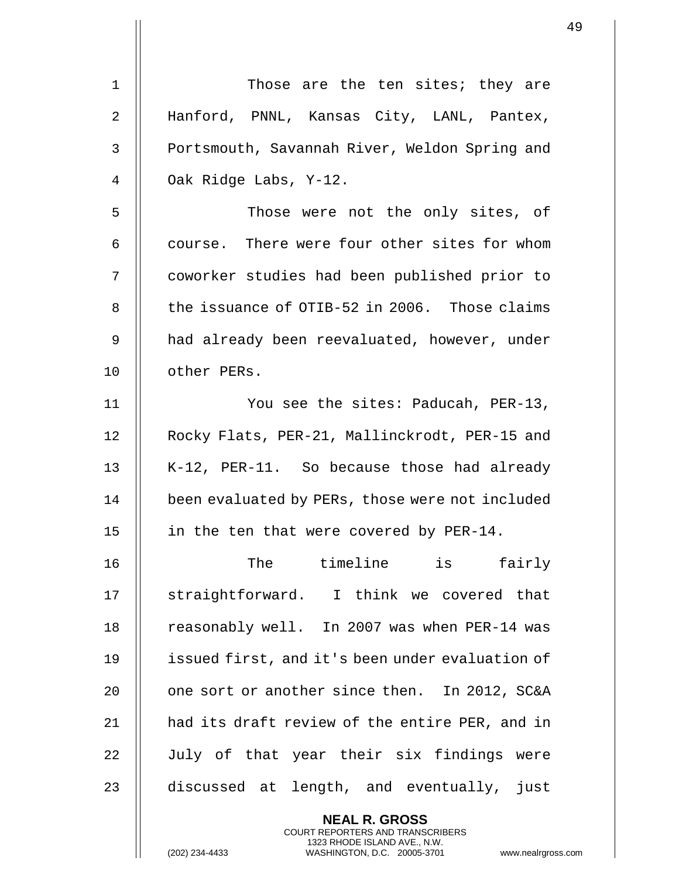| 1              | Those are the ten sites; they are               |
|----------------|-------------------------------------------------|
| $\overline{2}$ | Hanford, PNNL, Kansas City, LANL, Pantex,       |
| 3              | Portsmouth, Savannah River, Weldon Spring and   |
| 4              | Oak Ridge Labs, Y-12.                           |
| 5              | Those were not the only sites, of               |
| 6              | course. There were four other sites for whom    |
| 7              | coworker studies had been published prior to    |
| 8              | the issuance of OTIB-52 in 2006. Those claims   |
| 9              | had already been reevaluated, however, under    |
| 10             | other PERs.                                     |
| 11             | You see the sites: Paducah, PER-13,             |
| 12             | Rocky Flats, PER-21, Mallinckrodt, PER-15 and   |
| 13             | K-12, PER-11. So because those had already      |
| 14             | been evaluated by PERs, those were not included |
| 15             | in the ten that were covered by PER-14.         |
| 16             | The timeline is<br>fairly                       |
| 17             | straightforward. I think we covered that        |
| 18             | reasonably well. In 2007 was when PER-14 was    |
| 19             | issued first, and it's been under evaluation of |
| 20             | one sort or another since then. In 2012, SC&A   |
| 21             | had its draft review of the entire PER, and in  |
| 22             | July of that year their six findings were       |
| 23             | discussed at length, and eventually, just       |
|                | <b>NEAL R. GROSS</b>                            |

COURT REPORTERS AND TRANSCRIBERS 1323 RHODE ISLAND AVE., N.W.

 $\mathsf{II}$ 

(202) 234-4433 WASHINGTON, D.C. 20005-3701 www.nealrgross.com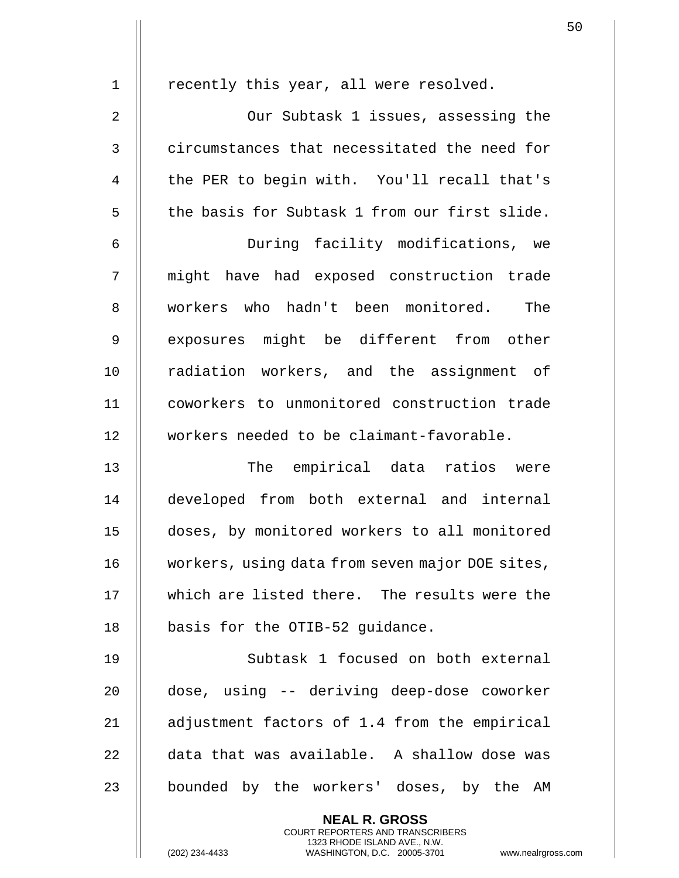| $\mathbf 1$    | recently this year, all were resolved.                                                          |
|----------------|-------------------------------------------------------------------------------------------------|
| $\overline{2}$ | Our Subtask 1 issues, assessing the                                                             |
| 3              | circumstances that necessitated the need for                                                    |
| 4              | the PER to begin with. You'll recall that's                                                     |
| 5              | the basis for Subtask 1 from our first slide.                                                   |
| 6              | During facility modifications, we                                                               |
| 7              | might have had exposed construction trade                                                       |
| 8              | workers who hadn't been monitored. The                                                          |
| 9              | exposures might be different from other                                                         |
| 10             | radiation workers, and the assignment of                                                        |
| 11             | coworkers to unmonitored construction trade                                                     |
| 12             | workers needed to be claimant-favorable.                                                        |
| 13             | The empirical data ratios were                                                                  |
| 14             | developed from both external and internal                                                       |
| 15             | doses, by monitored workers to all monitored                                                    |
| 16             | workers, using data from seven major DOE sites,                                                 |
| 17             | which are listed there. The results were the                                                    |
| 18             | basis for the OTIB-52 guidance.                                                                 |
| 19             | Subtask 1 focused on both external                                                              |
| 20             | dose, using -- deriving deep-dose coworker                                                      |
| 21             | adjustment factors of 1.4 from the empirical                                                    |
| 22             | data that was available. A shallow dose was                                                     |
| 23             | bounded by the workers' doses, by the AM                                                        |
|                | <b>NEAL R. GROSS</b><br><b>COURT REPORTERS AND TRANSCRIBERS</b><br>1323 RHODE ISLAND AVE., N.W. |
|                | (202) 234-4433<br>WASHINGTON, D.C. 20005-3701<br>www.nealrgros                                  |

 $\mathop{||}$ 

(202) 234-4433 WASHINGTON, D.C. 20005-3701 www.nealrgross.com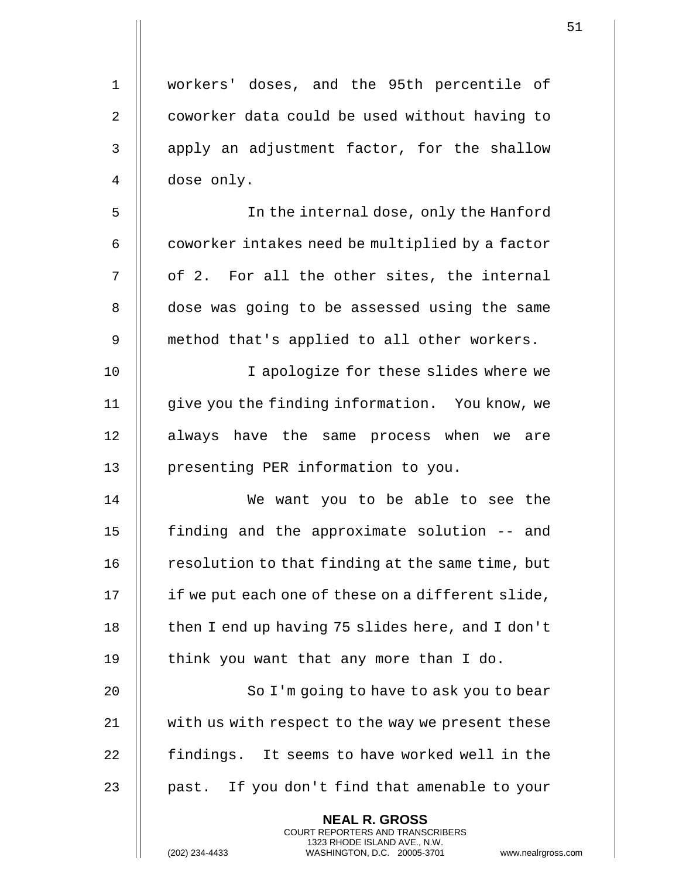| $\mathbf 1$    | workers' doses, and the 95th percentile of                                                                                                                        |
|----------------|-------------------------------------------------------------------------------------------------------------------------------------------------------------------|
| 2              | coworker data could be used without having to                                                                                                                     |
| 3              | apply an adjustment factor, for the shallow                                                                                                                       |
| $\overline{4}$ | dose only.                                                                                                                                                        |
| 5              | In the internal dose, only the Hanford                                                                                                                            |
| 6              | coworker intakes need be multiplied by a factor                                                                                                                   |
| 7              | of 2. For all the other sites, the internal                                                                                                                       |
| 8              | dose was going to be assessed using the same                                                                                                                      |
| 9              | method that's applied to all other workers.                                                                                                                       |
| 10             | I apologize for these slides where we                                                                                                                             |
| 11             | give you the finding information. You know, we                                                                                                                    |
| 12             | always have the same process when we are                                                                                                                          |
| 13             | presenting PER information to you.                                                                                                                                |
| 14             | We want you to be able to see the                                                                                                                                 |
| 15             | finding and the approximate solution -- and                                                                                                                       |
| 16             | resolution to that finding at the same time, but                                                                                                                  |
| 17             | if we put each one of these on a different slide,                                                                                                                 |
| 18             | then I end up having 75 slides here, and I don't                                                                                                                  |
| 19             | think you want that any more than I do.                                                                                                                           |
| 20             | So I'm going to have to ask you to bear                                                                                                                           |
| 21             | with us with respect to the way we present these                                                                                                                  |
| 22             | findings. It seems to have worked well in the                                                                                                                     |
| 23             | past. If you don't find that amenable to your                                                                                                                     |
|                | <b>NEAL R. GROSS</b><br><b>COURT REPORTERS AND TRANSCRIBERS</b><br>1323 RHODE ISLAND AVE., N.W.<br>WASHINGTON, D.C. 20005-3701<br>(202) 234-4433<br>www.nealrgros |

(202) 234-4433 WASHINGTON, D.C. 20005-3701 www.nealrgross.com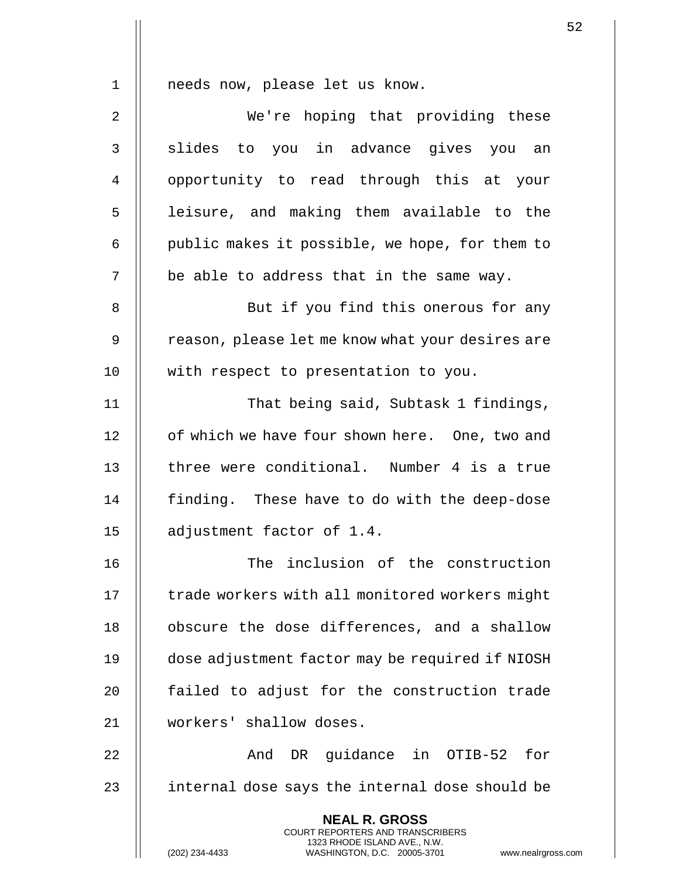1 || needs now, please let us know. 2 || We're hoping that providing these 3 || slides to you in advance gives you an 4 || opportunity to read through this at your 5 || leisure, and making them available to the  $6$  | public makes it possible, we hope, for them to  $7$  || be able to address that in the same way. 8 || But if you find this onerous for any 9 | reason, please let me know what your desires are 10 || with respect to presentation to you. 11 || That being said, Subtask 1 findings, 12 | of which we have four shown here. One, two and 13 H three were conditional. Number 4 is a true 14 | finding. These have to do with the deep-dose 15 adjustment factor of 1.4. 16 || The inclusion of the construction 17 | trade workers with all monitored workers might 18 | obscure the dose differences, and a shallow 19 dose adjustment factor may be required if NIOSH 20 || failed to adjust for the construction trade 21 workers' shallow doses. 22 And DR guidance in OTIB-52 for 23 || internal dose says the internal dose should be **NEAL R. GROSS** COURT REPORTERS AND TRANSCRIBERS

1323 RHODE ISLAND AVE., N.W.

(202) 234-4433 WASHINGTON, D.C. 20005-3701 www.nealrgross.com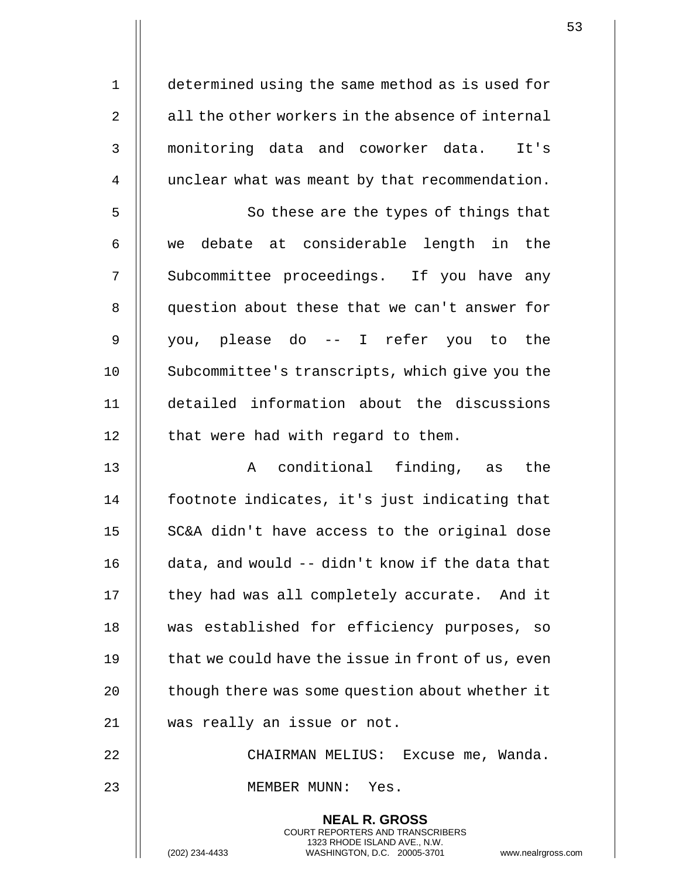determined using the same method as is used for  $\parallel$  all the other workers in the absence of internal monitoring data and coworker data. It's 4 | unclear what was meant by that recommendation.

5 || So these are the types of things that  $6$   $\parallel$  we debate at considerable length in the 7 || Subcommittee proceedings. If you have any 8 || question about these that we can't answer for 9 you, please do -- I refer you to the 10 | Subcommittee's transcripts, which give you the 11 detailed information about the discussions  $12$  | that were had with regard to them.

13 || The Conditional finding, as the 14 || footnote indicates, it's just indicating that 15 || SC&A didn't have access to the original dose 16 data, and would -- didn't know if the data that 17 | they had was all completely accurate. And it 18 || was established for efficiency purposes, so 19  $\parallel$  that we could have the issue in front of us, even 20 | though there was some question about whether it 21 was really an issue or not.

22 CHAIRMAN MELIUS: Excuse me, Wanda.

**NEAL R. GROSS** COURT REPORTERS AND TRANSCRIBERS 1323 RHODE ISLAND AVE., N.W.

23 MEMBER MUNN: Yes.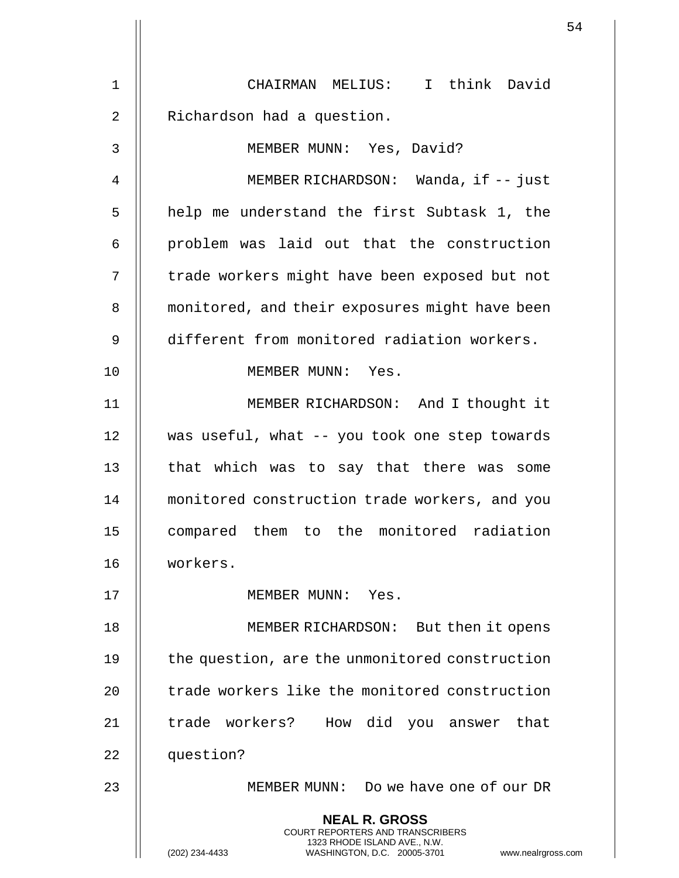|                   |                                                                                                                                                                        | 54 |
|-------------------|------------------------------------------------------------------------------------------------------------------------------------------------------------------------|----|
| 1                 | CHAIRMAN MELIUS: I think David                                                                                                                                         |    |
| $\overline{2}$    | Richardson had a question.                                                                                                                                             |    |
|                   |                                                                                                                                                                        |    |
| 3                 | MEMBER MUNN: Yes, David?                                                                                                                                               |    |
| 4                 | MEMBER RICHARDSON: Wanda, if -- just                                                                                                                                   |    |
| 5                 | help me understand the first Subtask 1, the                                                                                                                            |    |
| 6                 | problem was laid out that the construction                                                                                                                             |    |
| 7                 | trade workers might have been exposed but not                                                                                                                          |    |
| 8                 | monitored, and their exposures might have been                                                                                                                         |    |
| 9                 | different from monitored radiation workers.                                                                                                                            |    |
| 10                | MEMBER MUNN: Yes.                                                                                                                                                      |    |
| 11                | MEMBER RICHARDSON: And I thought it                                                                                                                                    |    |
| $12 \overline{ }$ | was useful, what -- you took one step towards                                                                                                                          |    |
| 13                | that which was to say that there was some                                                                                                                              |    |
| 14                | monitored construction trade workers, and you                                                                                                                          |    |
| 15                | compared them to the monitored radiation                                                                                                                               |    |
| 16                | workers.                                                                                                                                                               |    |
| 17                | MEMBER MUNN: Yes.                                                                                                                                                      |    |
| 18                | MEMBER RICHARDSON: But then it opens                                                                                                                                   |    |
| 19                | the question, are the unmonitored construction                                                                                                                         |    |
| 20                | trade workers like the monitored construction                                                                                                                          |    |
| 21                | trade workers? How did you answer<br>that                                                                                                                              |    |
| 22                | question?                                                                                                                                                              |    |
| 23                | MEMBER MUNN: Do we have one of our DR                                                                                                                                  |    |
|                   | <b>NEAL R. GROSS</b><br><b>COURT REPORTERS AND TRANSCRIBERS</b><br>1323 RHODE ISLAND AVE., N.W.<br>(202) 234-4433<br>WASHINGTON, D.C. 20005-3701<br>www.nealrgross.com |    |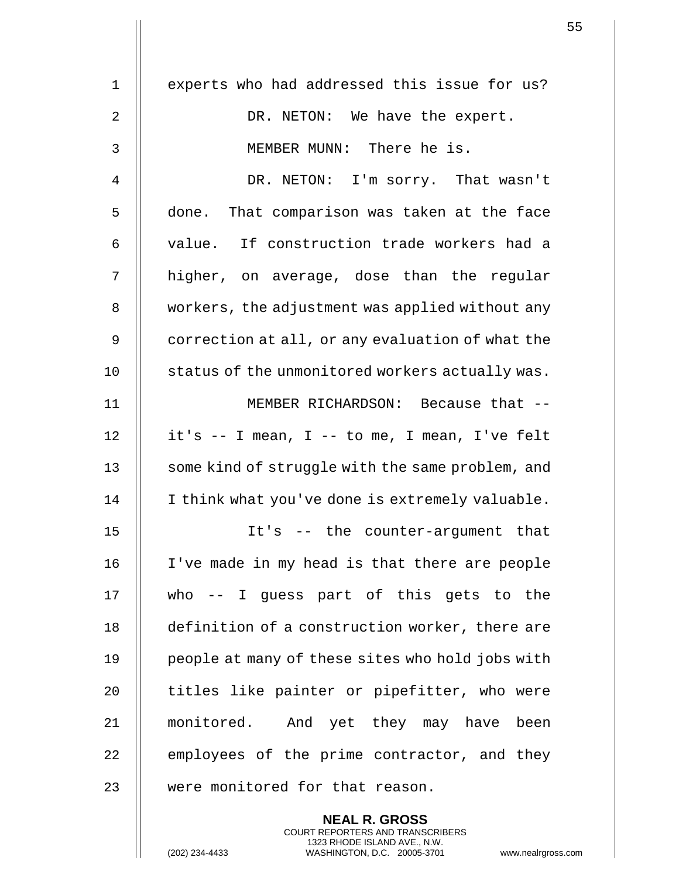| $\mathbf 1$ | experts who had addressed this issue for us?     |
|-------------|--------------------------------------------------|
| 2           | DR. NETON: We have the expert.                   |
| 3           | MEMBER MUNN: There he is.                        |
| 4           | DR. NETON: I'm sorry. That wasn't                |
| 5           | done. That comparison was taken at the face      |
| 6           | value. If construction trade workers had a       |
| 7           | higher, on average, dose than the regular        |
| 8           | workers, the adjustment was applied without any  |
| 9           | correction at all, or any evaluation of what the |
| 10          | status of the unmonitored workers actually was.  |
| 11          | MEMBER RICHARDSON: Because that --               |
| 12          | it's -- I mean, I -- to me, I mean, I've felt    |
| 13          | some kind of struggle with the same problem, and |
| 14          | I think what you've done is extremely valuable.  |
| 15          | It's -- the counter-argument that                |
| 16          | I've made in my head is that there are people    |
| 17          | who -- I guess part of this gets to the          |
| 18          | definition of a construction worker, there are   |
| 19          | people at many of these sites who hold jobs with |
| 20          | titles like painter or pipefitter, who were      |
| 21          | monitored. And yet they may have been            |
| 22          | employees of the prime contractor, and they      |
| 23          | were monitored for that reason.                  |
|             | <b>NEAL R. GROSS</b>                             |

COURT REPORTERS AND TRANSCRIBERS 1323 RHODE ISLAND AVE., N.W.

 $\mathbf{1}$  $\mathsf{l}$ 

(202) 234-4433 WASHINGTON, D.C. 20005-3701 www.nealrgross.com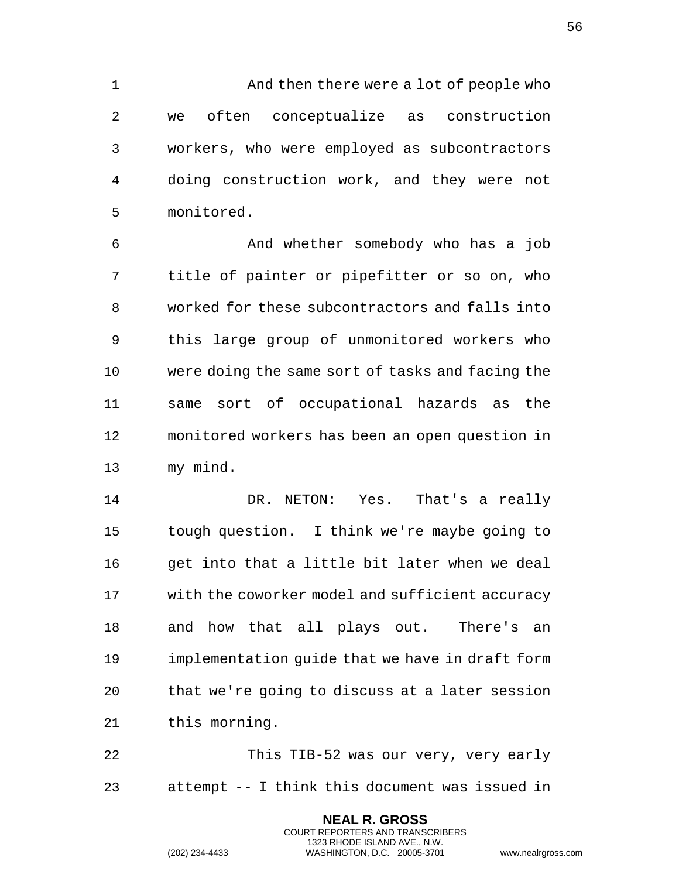1 And then there were a lot of people who 2 || we often conceptualize as construction 3 | workers, who were employed as subcontractors 4 || doing construction work, and they were not 5 monitored.

6 And whether somebody who has a job  $7$  || title of painter or pipefitter or so on, who 8 Worked for these subcontractors and falls into 9 || this large group of unmonitored workers who 10 were doing the same sort of tasks and facing the 11 || same sort of occupational hazards as the 12 monitored workers has been an open question in 13 || my mind.

14 DR. NETON: Yes. That's a really 15 tough question. I think we're maybe going to  $16$  || qet into that a little bit later when we deal 17 | with the coworker model and sufficient accuracy 18 || and how that all plays out. There's an 19 | implementation quide that we have in draft form 20  $\parallel$  that we're going to discuss at a later session 21 | this morning.

22 || This TIB-52 was our very, very early 23  $\parallel$  attempt -- I think this document was issued in

> **NEAL R. GROSS** COURT REPORTERS AND TRANSCRIBERS 1323 RHODE ISLAND AVE., N.W.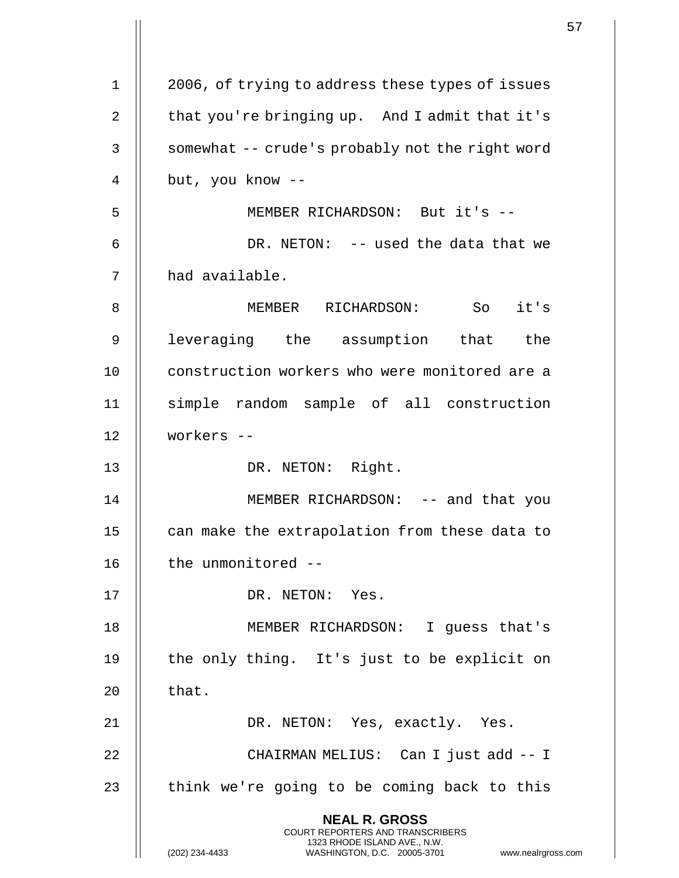|    |                                                                                                                                                                     | 57 |
|----|---------------------------------------------------------------------------------------------------------------------------------------------------------------------|----|
| 1  | 2006, of trying to address these types of issues                                                                                                                    |    |
|    |                                                                                                                                                                     |    |
| 2  | that you're bringing up. And I admit that it's                                                                                                                      |    |
| 3  | somewhat -- crude's probably not the right word                                                                                                                     |    |
| 4  | but, you know --                                                                                                                                                    |    |
| 5  | MEMBER RICHARDSON: But it's --                                                                                                                                      |    |
| 6  | DR. NETON: -- used the data that we                                                                                                                                 |    |
| 7  | had available.                                                                                                                                                      |    |
| 8  | MEMBER RICHARDSON: So it's                                                                                                                                          |    |
| 9  | leveraging the assumption that the                                                                                                                                  |    |
| 10 | construction workers who were monitored are a                                                                                                                       |    |
| 11 | simple random sample of all construction                                                                                                                            |    |
| 12 | workers --                                                                                                                                                          |    |
| 13 | DR. NETON: Right.                                                                                                                                                   |    |
| 14 | MEMBER RICHARDSON: -- and that you                                                                                                                                  |    |
| 15 | can make the extrapolation from these data to                                                                                                                       |    |
| 16 | the unmonitored --                                                                                                                                                  |    |
| 17 | DR. NETON: Yes.                                                                                                                                                     |    |
| 18 | MEMBER RICHARDSON: I guess that's                                                                                                                                   |    |
| 19 | the only thing. It's just to be explicit on                                                                                                                         |    |
| 20 | that.                                                                                                                                                               |    |
| 21 | DR. NETON: Yes, exactly. Yes.                                                                                                                                       |    |
| 22 | CHAIRMAN MELIUS: Can I just add -- I                                                                                                                                |    |
| 23 | think we're going to be coming back to this                                                                                                                         |    |
|    | <b>NEAL R. GROSS</b><br><b>COURT REPORTERS AND TRANSCRIBERS</b><br>1323 RHODE ISLAND AVE., N.W.<br>(202) 234-4433<br>WASHINGTON, D.C. 20005-3701 www.nealrgross.com |    |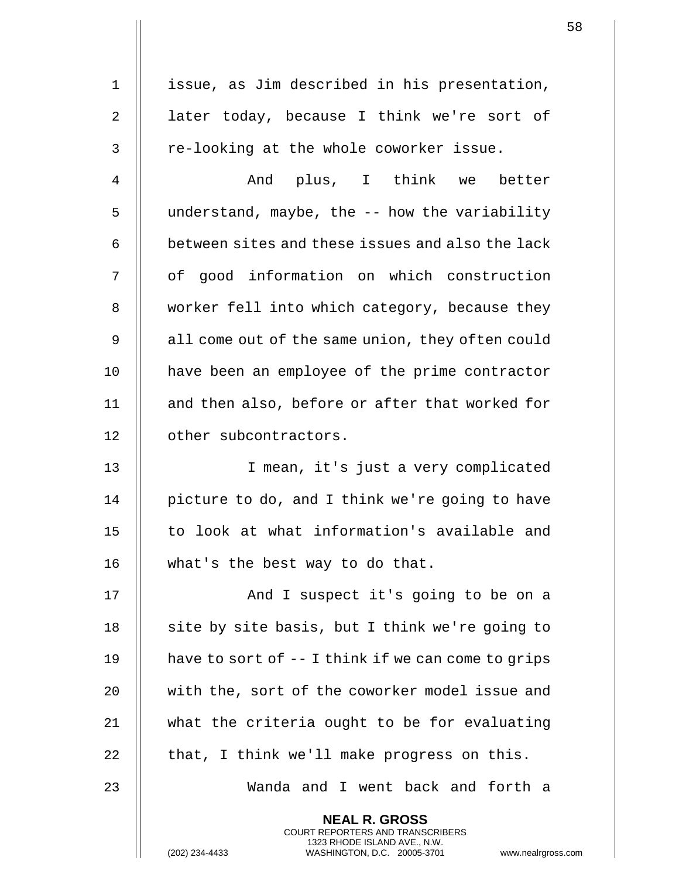| $\mathbf 1$    | issue, as Jim described in his presentation,                                                                                                                           |
|----------------|------------------------------------------------------------------------------------------------------------------------------------------------------------------------|
| $\overline{2}$ | later today, because I think we're sort of                                                                                                                             |
| 3              | re-looking at the whole coworker issue.                                                                                                                                |
| 4              | And plus, I think we better                                                                                                                                            |
| 5              | understand, maybe, the -- how the variability                                                                                                                          |
| 6              | between sites and these issues and also the lack                                                                                                                       |
| 7              | of good information on which construction                                                                                                                              |
| 8              | worker fell into which category, because they                                                                                                                          |
| 9              | all come out of the same union, they often could                                                                                                                       |
| 10             | have been an employee of the prime contractor                                                                                                                          |
| 11             | and then also, before or after that worked for                                                                                                                         |
| 12             | other subcontractors.                                                                                                                                                  |
| 13             | I mean, it's just a very complicated                                                                                                                                   |
| 14             | picture to do, and I think we're going to have                                                                                                                         |
| 15             | to look at what information's available and                                                                                                                            |
| 16             | what's the best way to do that.                                                                                                                                        |
| 17             | And I suspect it's going to be on a                                                                                                                                    |
| 18             | site by site basis, but I think we're going to                                                                                                                         |
| 19             | have to sort of -- I think if we can come to grips                                                                                                                     |
| 20             | with the, sort of the coworker model issue and                                                                                                                         |
| 21             | what the criteria ought to be for evaluating                                                                                                                           |
| 22             | that, I think we'll make progress on this.                                                                                                                             |
| 23             | Wanda and I went back and forth a                                                                                                                                      |
|                | <b>NEAL R. GROSS</b><br><b>COURT REPORTERS AND TRANSCRIBERS</b><br>1323 RHODE ISLAND AVE., N.W.<br>(202) 234-4433<br>WASHINGTON, D.C. 20005-3701<br>www.nealrgross.com |

 $\mathbf{1}$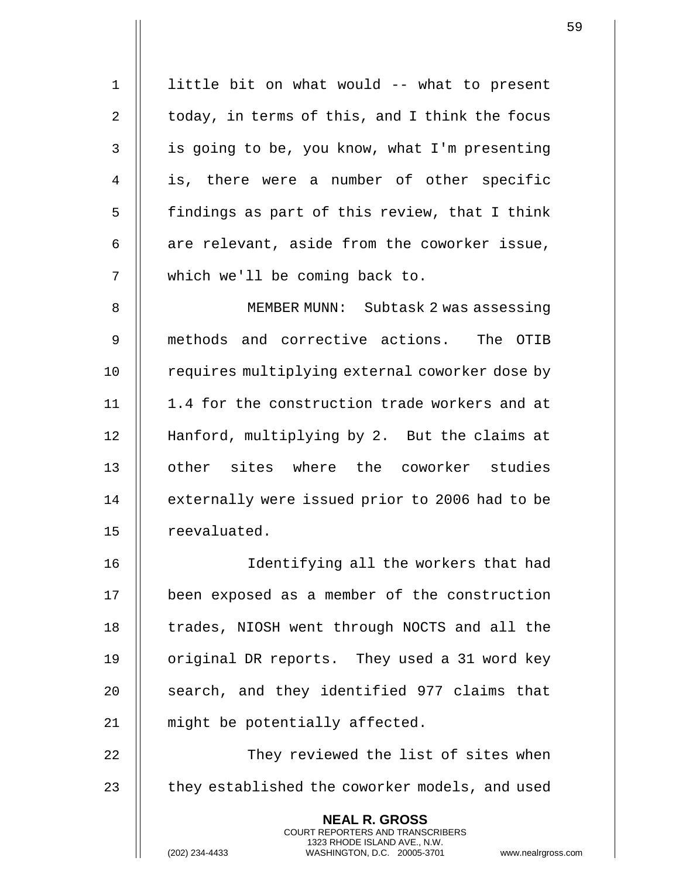| $\mathbf 1$  | little bit on what would -- what to present                                                                                                                       |
|--------------|-------------------------------------------------------------------------------------------------------------------------------------------------------------------|
| 2            | today, in terms of this, and I think the focus                                                                                                                    |
| $\mathsf{3}$ | is going to be, you know, what I'm presenting                                                                                                                     |
| 4            | is, there were a number of other specific                                                                                                                         |
| 5            | findings as part of this review, that I think                                                                                                                     |
| 6            | are relevant, aside from the coworker issue,                                                                                                                      |
| 7            | which we'll be coming back to.                                                                                                                                    |
| 8            | MEMBER MUNN: Subtask 2 was assessing                                                                                                                              |
| 9            | methods and corrective actions. The OTIB                                                                                                                          |
| 10           | requires multiplying external coworker dose by                                                                                                                    |
| 11           | 1.4 for the construction trade workers and at                                                                                                                     |
| 12           | Hanford, multiplying by 2. But the claims at                                                                                                                      |
| 13           | other sites where the coworker studies                                                                                                                            |
| 14           | externally were issued prior to 2006 had to be                                                                                                                    |
| $15$         | reevaluated.                                                                                                                                                      |
| 16           | Identifying all the workers that had                                                                                                                              |
| 17           | been exposed as a member of the construction                                                                                                                      |
| 18           | trades, NIOSH went through NOCTS and all the                                                                                                                      |
| 19           | original DR reports. They used a 31 word key                                                                                                                      |
| 20           | search, and they identified 977 claims that                                                                                                                       |
| 21           | might be potentially affected.                                                                                                                                    |
| 22           | They reviewed the list of sites when                                                                                                                              |
| 23           | they established the coworker models, and used                                                                                                                    |
|              | <b>NEAL R. GROSS</b><br><b>COURT REPORTERS AND TRANSCRIBERS</b><br>1323 RHODE ISLAND AVE., N.W.<br>(202) 234-4433<br>WASHINGTON, D.C. 20005-3701<br>www.nealrgros |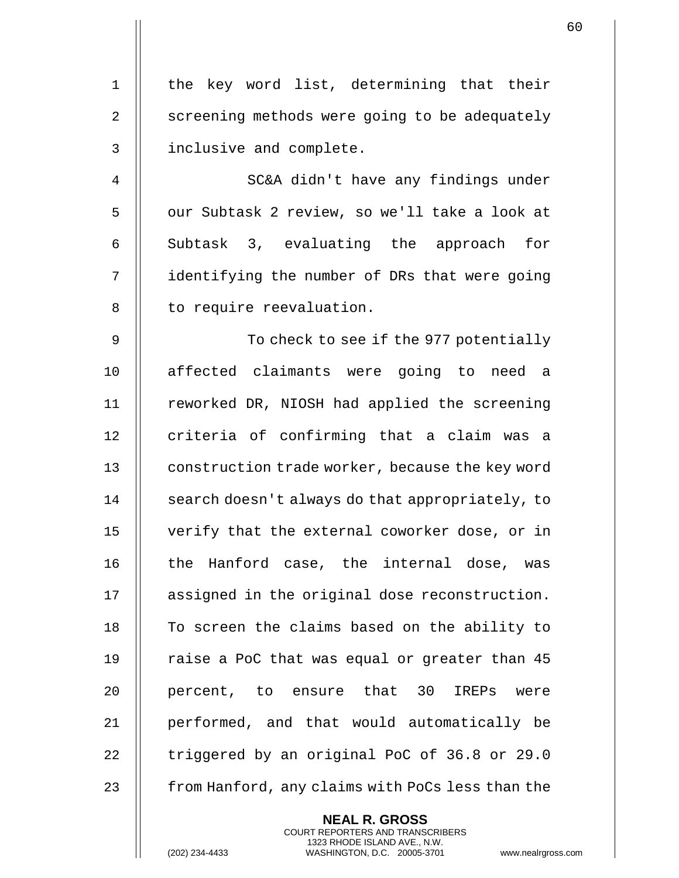1 || the key word list, determining that their 2  $\parallel$  screening methods were going to be adequately 3 | inclusive and complete.

4 || SC&A didn't have any findings under 5 || our Subtask 2 review, so we'll take a look at 6  $\parallel$  Subtask 3, evaluating the approach for 7 | identifying the number of DRs that were going 8 | to require reevaluation.

9 To check to see if the 977 potentially 10 || affected claimants were going to need a 11 || reworked DR, NIOSH had applied the screening 12 || criteria of confirming that a claim was a 13 **construction trade worker, because the key word** 14 | search doesn't always do that appropriately, to 15 verify that the external coworker dose, or in 16 || the Hanford case, the internal dose, was 17 || assigned in the original dose reconstruction. 18 || To screen the claims based on the ability to 19  $\parallel$  raise a PoC that was equal or greater than 45 20 || percent, to ensure that 30 IREPs were 21 || performed, and that would automatically be 22  $\parallel$  triggered by an original PoC of 36.8 or 29.0 23 **from Hanford, any claims with PoCs less than the** 

> **NEAL R. GROSS** COURT REPORTERS AND TRANSCRIBERS 1323 RHODE ISLAND AVE., N.W.

(202) 234-4433 WASHINGTON, D.C. 20005-3701 www.nealrgross.com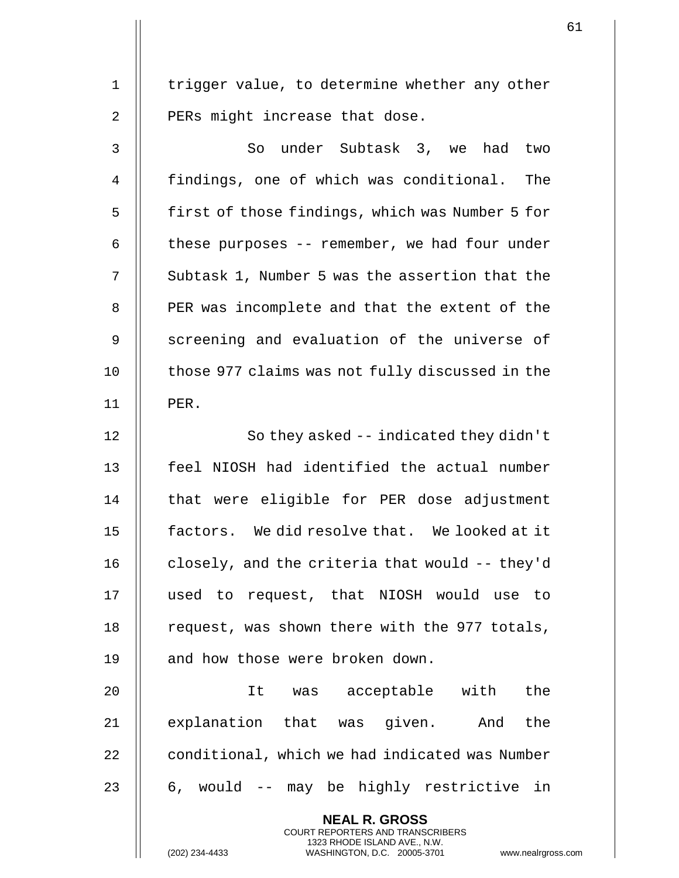1 | trigger value, to determine whether any other  $2$  | PERs might increase that dose.

3 || So under Subtask 3, we had two 4 | findings, one of which was conditional. The 5 | first of those findings, which was Number 5 for 6  $\parallel$  these purposes -- remember, we had four under 7  $\parallel$  Subtask 1, Number 5 was the assertion that the 8 | PER was incomplete and that the extent of the 9 || screening and evaluation of the universe of  $10$   $\parallel$  those 977 claims was not fully discussed in the 11 PER.

12 || So they asked -- indicated they didn't 13 feel NIOSH had identified the actual number 14 || that were eligible for PER dose adjustment 15 factors. We did resolve that. We looked at it 16 | closely, and the criteria that would -- they'd 17 used to request, that NIOSH would use to 18  $\parallel$  request, was shown there with the 977 totals, 19 || and how those were broken down.

20 It was acceptable with the 21 || explanation that was given. And the 22 | conditional, which we had indicated was Number 23  $\parallel$  6, would -- may be highly restrictive in

> **NEAL R. GROSS** COURT REPORTERS AND TRANSCRIBERS 1323 RHODE ISLAND AVE., N.W.

(202) 234-4433 WASHINGTON, D.C. 20005-3701 www.nealrgross.com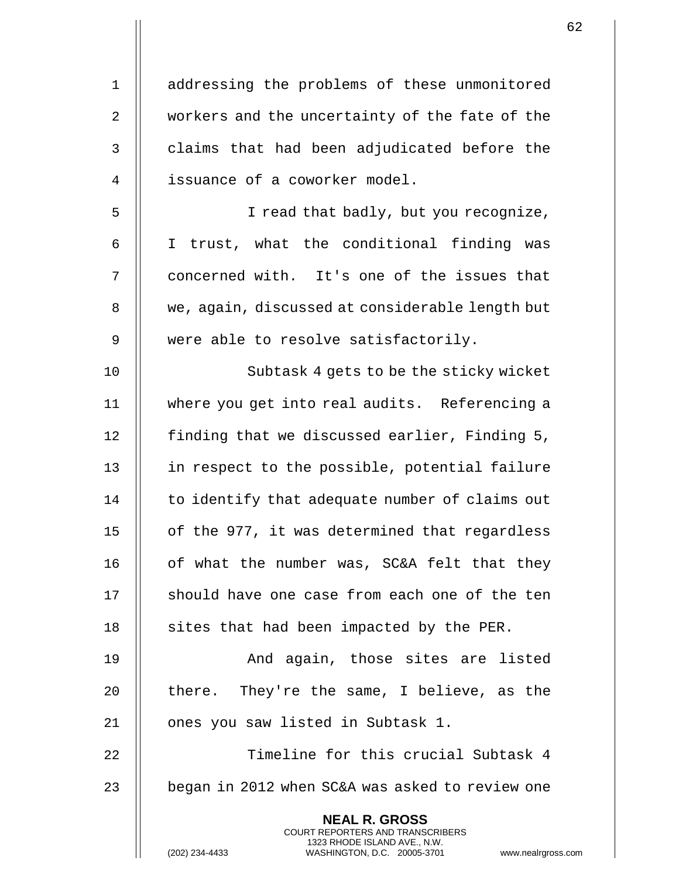1 | addressing the problems of these unmonitored 2 | workers and the uncertainty of the fate of the  $3$   $\parallel$  claims that had been adjudicated before the 4 || issuance of a coworker model. 5 || I read that badly, but you recognize, 6 I trust, what the conditional finding was 7 || concerned with. It's one of the issues that 8 | we, again, discussed at considerable length but 9 || were able to resolve satisfactorily. 10 || Subtask 4 gets to be the sticky wicket 11 where you get into real audits. Referencing a 12 **finding that we discussed earlier, Finding 5,** 13 || in respect to the possible, potential failure 14 | to identify that adequate number of claims out 15 || of the 977, it was determined that regardless 16 || of what the number was, SC&A felt that they 17 || should have one case from each one of the ten 18 | sites that had been impacted by the PER. 19 **And again, those sites are listed** 20  $\parallel$  there. They're the same, I believe, as the 21 || ones you saw listed in Subtask 1. 22 Timeline for this crucial Subtask 4 23  $\parallel$  began in 2012 when SC&A was asked to review one **NEAL R. GROSS** COURT REPORTERS AND TRANSCRIBERS

1323 RHODE ISLAND AVE., N.W.

(202) 234-4433 WASHINGTON, D.C. 20005-3701 www.nealrgross.com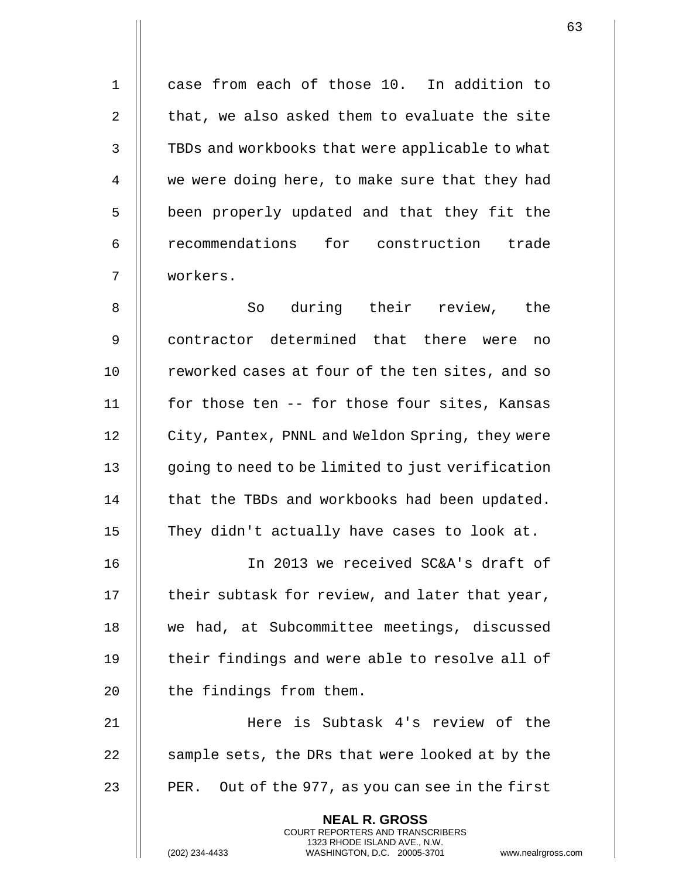1 case from each of those 10. In addition to 2  $\parallel$  that, we also asked them to evaluate the site 3 | TBDs and workbooks that were applicable to what 4 | we were doing here, to make sure that they had 5 | been properly updated and that they fit the 6 | recommendations for construction trade 7 workers. 8 So during their review, the 9 II contractor determined that there were no

10 | reworked cases at four of the ten sites, and so 11 || for those ten -- for those four sites, Kansas 12 | City, Pantex, PNNL and Weldon Spring, they were 13 || going to need to be limited to just verification 14 | that the TBDs and workbooks had been updated. 15 || They didn't actually have cases to look at.

 In 2013 we received SC&A's draft of  $\parallel$  their subtask for review, and later that year, 18 || we had, at Subcommittee meetings, discussed  $\parallel$  their findings and were able to resolve all of || the findings from them.

21 Here is Subtask 4's review of the 22  $\parallel$  sample sets, the DRs that were looked at by the 23  $\parallel$  PER. Out of the 977, as you can see in the first

> **NEAL R. GROSS** COURT REPORTERS AND TRANSCRIBERS 1323 RHODE ISLAND AVE., N.W.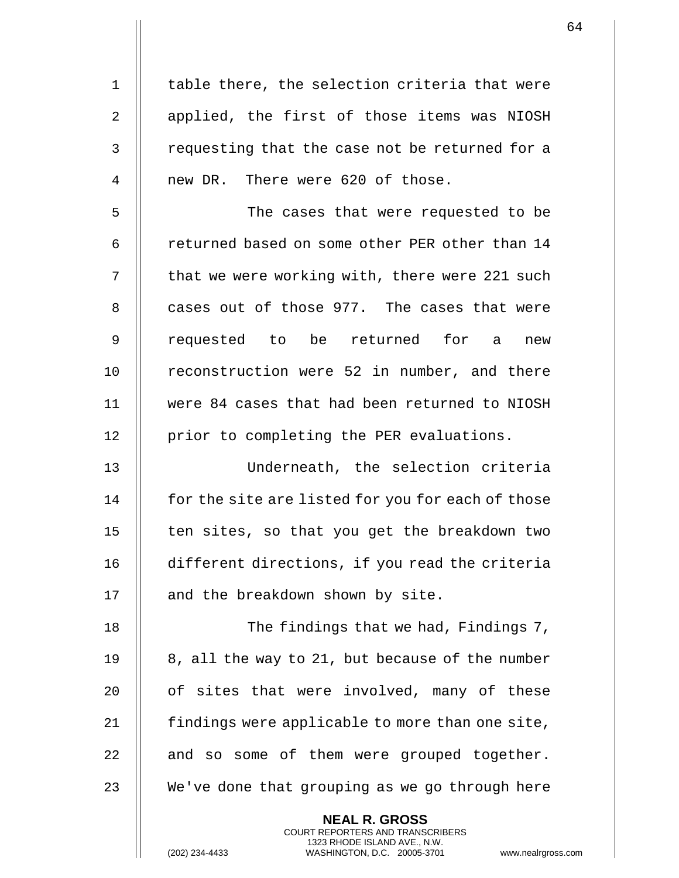1 || table there, the selection criteria that were 2 | applied, the first of those items was NIOSH 3 || requesting that the case not be returned for a 4 || new DR. There were 620 of those.

5 || The cases that were requested to be 6 | returned based on some other PER other than 14  $7$   $\parallel$  that we were working with, there were 221 such 8 || cases out of those 977. The cases that were 9 || requested to be returned for a new 10 || reconstruction were 52 in number, and there 11 were 84 cases that had been returned to NIOSH 12 | prior to completing the PER evaluations.

13 Underneath, the selection criteria 14 | for the site are listed for you for each of those  $15$  | ten sites, so that you get the breakdown two 16 different directions, if you read the criteria 17 || and the breakdown shown by site.

18 || The findings that we had, Findings 7, 19  $\parallel$  8, all the way to 21, but because of the number 20 || of sites that were involved, many of these 21 | findings were applicable to more than one site,  $22$  | and so some of them were grouped together. 23  $\parallel$  We've done that grouping as we go through here

> **NEAL R. GROSS** COURT REPORTERS AND TRANSCRIBERS 1323 RHODE ISLAND AVE., N.W.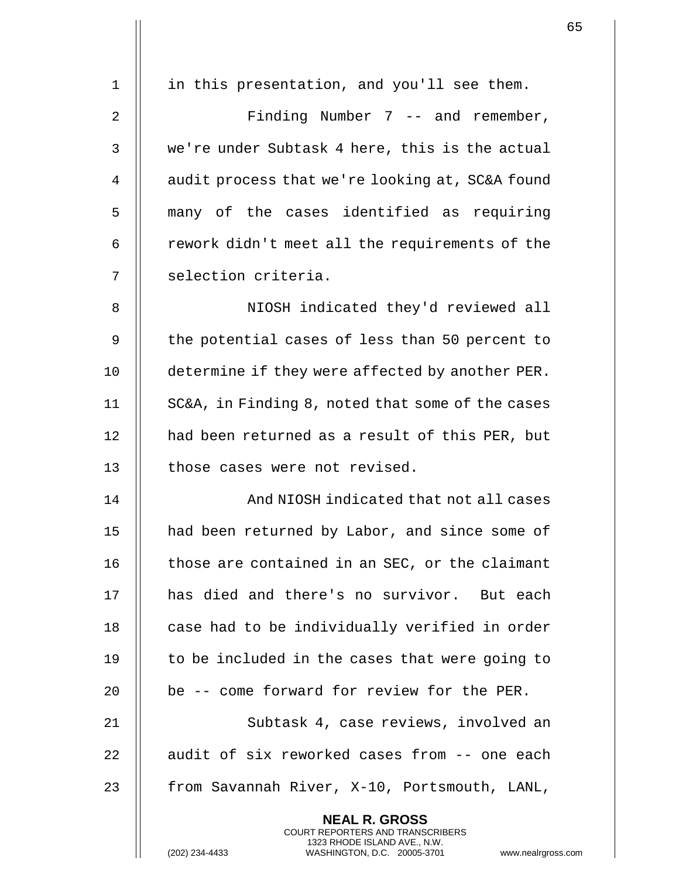| $\mathbf 1$    | in this presentation, and you'll see them.                                                                                                                      |
|----------------|-----------------------------------------------------------------------------------------------------------------------------------------------------------------|
| $\overline{2}$ | Finding Number $7$ -- and remember,                                                                                                                             |
| 3              | we're under Subtask 4 here, this is the actual                                                                                                                  |
| 4              | audit process that we're looking at, SC&A found                                                                                                                 |
| 5              | many of the cases identified as requiring                                                                                                                       |
| 6              | rework didn't meet all the requirements of the                                                                                                                  |
| 7              | selection criteria.                                                                                                                                             |
| 8              | NIOSH indicated they'd reviewed all                                                                                                                             |
| 9              | the potential cases of less than 50 percent to                                                                                                                  |
| 10             | determine if they were affected by another PER.                                                                                                                 |
| 11             | SC&A, in Finding 8, noted that some of the cases                                                                                                                |
| 12             | had been returned as a result of this PER, but                                                                                                                  |
| 13             | those cases were not revised.                                                                                                                                   |
| 14             | And NIOSH indicated that not all cases                                                                                                                          |
| 15             | had been returned by Labor, and since some of                                                                                                                   |
| 16             | those are contained in an SEC, or the claimant                                                                                                                  |
| 17             | has died and there's no survivor. But each                                                                                                                      |
| 18             | case had to be individually verified in order                                                                                                                   |
| 19             | to be included in the cases that were going to                                                                                                                  |
| 20             | be -- come forward for review for the PER.                                                                                                                      |
| 21             | Subtask 4, case reviews, involved an                                                                                                                            |
| 22             | audit of six reworked cases from -- one each                                                                                                                    |
| 23             | from Savannah River, X-10, Portsmouth, LANL,                                                                                                                    |
|                | <b>NEAL R. GROSS</b><br><b>COURT REPORTERS AND TRANSCRIBERS</b><br>1323 RHODE ISLAND AVE., N.W.<br>WASHINGTON, D.C. 20005-3701 www.nealrgross<br>(202) 234-4433 |

(202) 234-4433 WASHINGTON, D.C. 20005-3701 www.nealrgross.com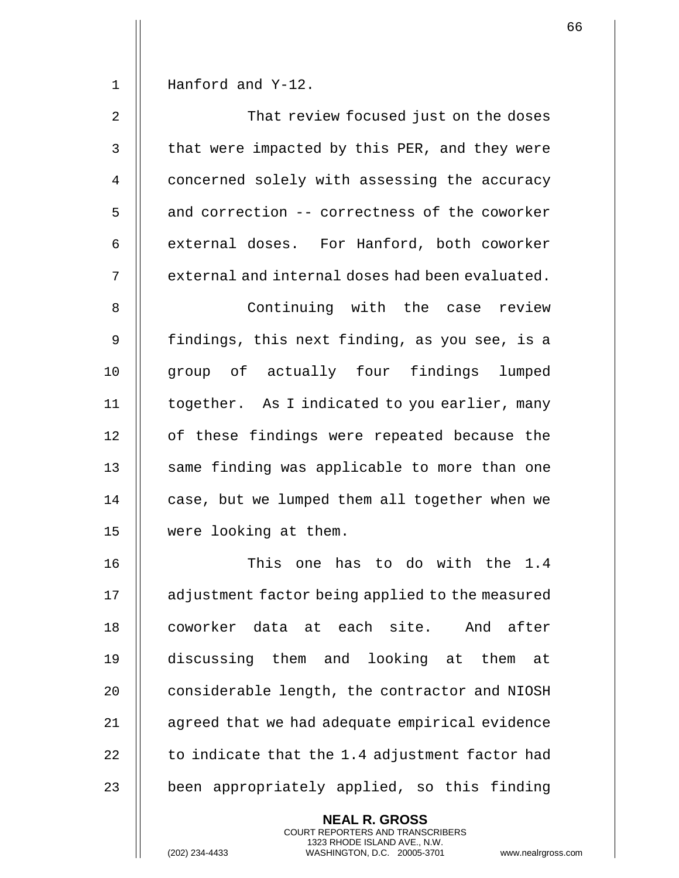1 Hanford and Y-12.

| 2              | That review focused just on the doses           |
|----------------|-------------------------------------------------|
| 3              | that were impacted by this PER, and they were   |
| $\overline{4}$ | concerned solely with assessing the accuracy    |
| 5              | and correction -- correctness of the coworker   |
| 6              | external doses. For Hanford, both coworker      |
| 7              | external and internal doses had been evaluated. |

8 || Continuing with the case review 9 || findings, this next finding, as you see, is a 10 || group of actually four findings lumped 11 | together. As I indicated to you earlier, many 12 || of these findings were repeated because the 13 || same finding was applicable to more than one 14 | case, but we lumped them all together when we 15 were looking at them.

16 || This one has to do with the 1.4 17 | adjustment factor being applied to the measured 18 || coworker data at each site. And after 19 discussing them and looking at them at 20 | considerable length, the contractor and NIOSH 21 | agreed that we had adequate empirical evidence 22  $\parallel$  to indicate that the 1.4 adjustment factor had 23 || been appropriately applied, so this finding

> **NEAL R. GROSS** COURT REPORTERS AND TRANSCRIBERS 1323 RHODE ISLAND AVE., N.W.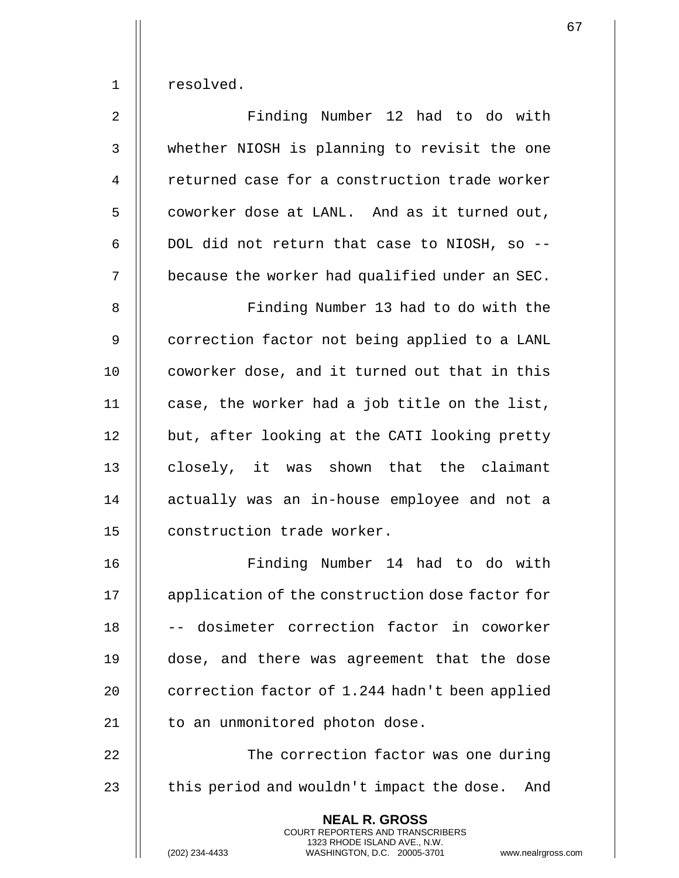1 resolved.

2 Finding Number 12 had to do with 3 whether NIOSH is planning to revisit the one 4 | returned case for a construction trade worker 5 | coworker dose at LANL. And as it turned out,  $6$  || DOL did not return that case to NIOSH, so --7 | because the worker had qualified under an SEC.

8 || Finding Number 13 had to do with the 9 | correction factor not being applied to a LANL 10 || coworker dose, and it turned out that in this 11  $\parallel$  case, the worker had a job title on the list, 12 | but, after looking at the CATI looking pretty 13 || closely, it was shown that the claimant 14 || actually was an in-house employee and not a 15 | construction trade worker.

16 Finding Number 14 had to do with 17 | application of the construction dose factor for 18 || -- dosimeter correction factor in coworker 19 dose, and there was agreement that the dose 20  $\parallel$  correction factor of 1.244 hadn't been applied 21 || to an unmonitored photon dose.

22 | | The correction factor was one during 23  $\parallel$  this period and wouldn't impact the dose. And

> **NEAL R. GROSS** COURT REPORTERS AND TRANSCRIBERS 1323 RHODE ISLAND AVE., N.W.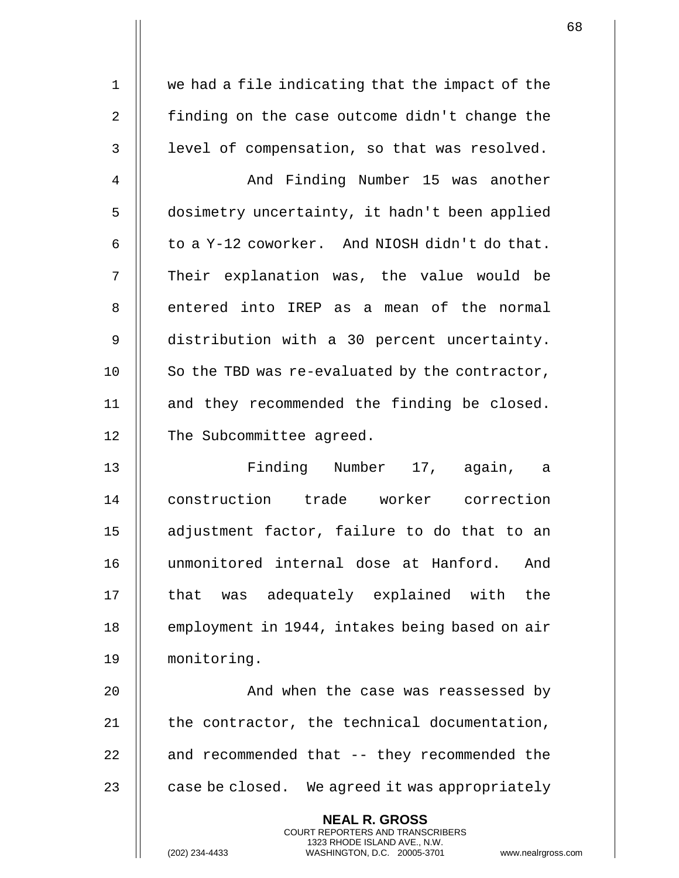1 || we had a file indicating that the impact of the 2 **finding on the case outcome didn't change the** 3 | level of compensation, so that was resolved.

4 | And Finding Number 15 was another 5 | dosimetry uncertainty, it hadn't been applied 6  $\parallel$  to a Y-12 coworker. And NIOSH didn't do that. 7 || Their explanation was, the value would be 8 || entered into IREP as a mean of the normal 9 distribution with a 30 percent uncertainty. 10  $\parallel$  So the TBD was re-evaluated by the contractor, 11 || and they recommended the finding be closed. 12 | The Subcommittee agreed.

13 || Finding Number 17, again, a 14 construction trade worker correction 15 adjustment factor, failure to do that to an 16 unmonitored internal dose at Hanford. And 17 || that was adequately explained with the 18 | employment in 1944, intakes being based on air 19 monitoring.

20 || And when the case was reassessed by || the contractor, the technical documentation,  $\parallel$  and recommended that  $-$  they recommended the  $\parallel$  case be closed. We agreed it was appropriately

> **NEAL R. GROSS** COURT REPORTERS AND TRANSCRIBERS 1323 RHODE ISLAND AVE., N.W.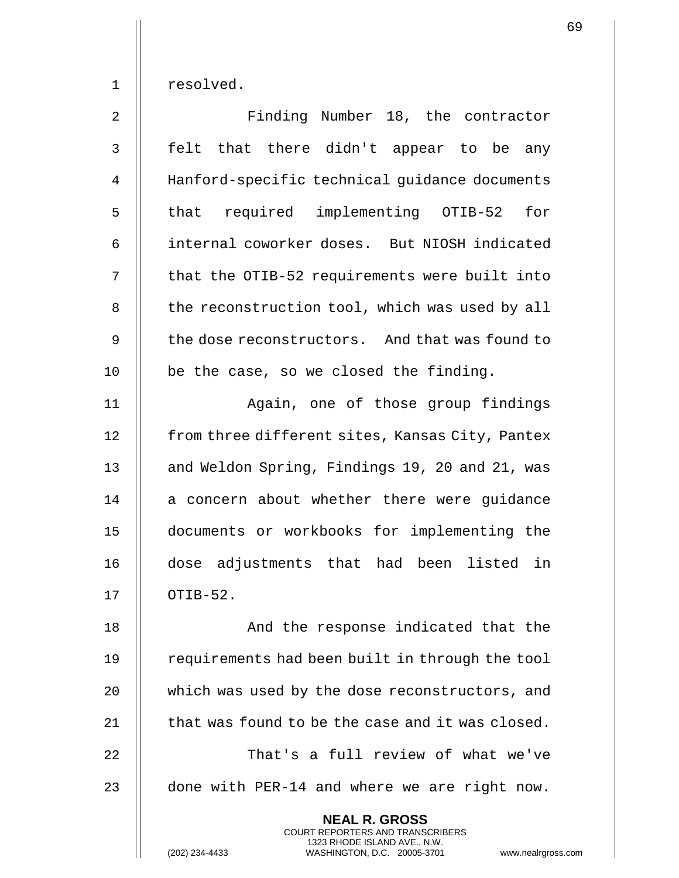1 resolved.

2 || Finding Number 18, the contractor 3 || felt that there didn't appear to be any 4 | Hanford-specific technical guidance documents 5 || that required implementing OTIB-52 for 6 | internal coworker doses. But NIOSH indicated 7 || that the OTIB-52 requirements were built into 8 | the reconstruction tool, which was used by all 9 || the dose reconstructors. And that was found to  $10$  | be the case, so we closed the finding. 11 || Again, one of those group findings 12 | from three different sites, Kansas City, Pantex 13 || and Weldon Spring, Findings 19, 20 and 21, was 14 || a concern about whether there were guidance

16 dose adjustments that had been listed in  $17$   $\parallel$  OTIB-52.

15 documents or workbooks for implementing the

18 || And the response indicated that the 19 | requirements had been built in through the tool 20 | which was used by the dose reconstructors, and 21  $\parallel$  that was found to be the case and it was closed. 22 || That's a full review of what we've 23  $\parallel$  done with PER-14 and where we are right now.

> **NEAL R. GROSS** COURT REPORTERS AND TRANSCRIBERS 1323 RHODE ISLAND AVE., N.W.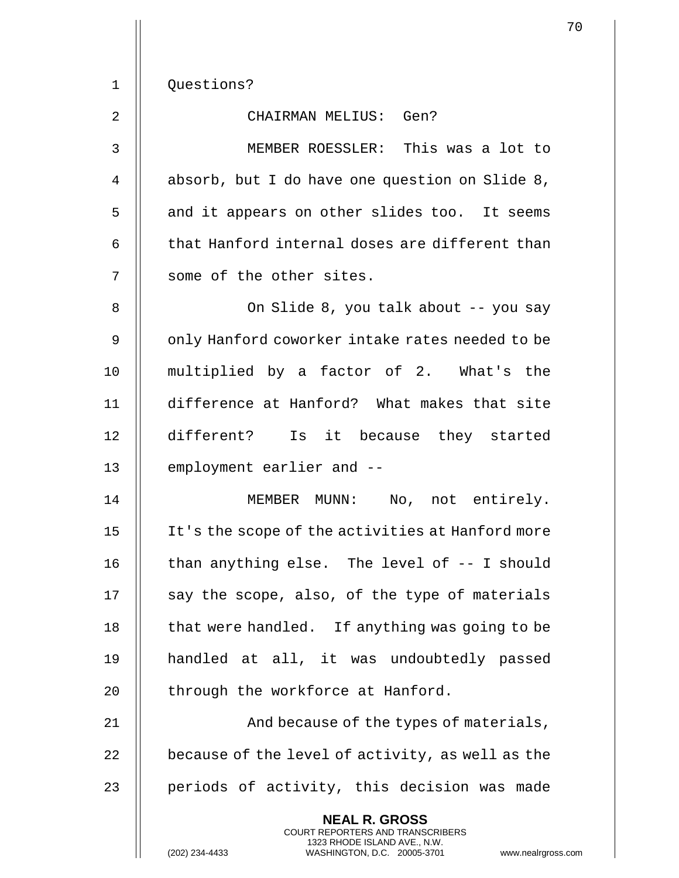1 | Questions?

## 2 || CHAIRMAN MELIUS: Gen?

3 MEMBER ROESSLER: This was a lot to 4 | absorb, but I do have one question on Slide 8, 5 || and it appears on other slides too. It seems 6  $\parallel$  that Hanford internal doses are different than 7 || some of the other sites.

8 || Con Slide 8, you talk about -- you say 9 || only Hanford coworker intake rates needed to be 10 multiplied by a factor of 2. What's the 11 difference at Hanford? What makes that site 12 different? Is it because they started 13 | employment earlier and --

 MEMBER MUNN: No, not entirely. It's the scope of the activities at Hanford more  $\parallel$  than anything else. The level of  $-$ - I should  $\parallel$  say the scope, also, of the type of materials  $\parallel$  that were handled. If anything was going to be handled at all, it was undoubtedly passed  $\parallel$  through the workforce at Hanford.

21 || Rand because of the types of materials, 22  $\parallel$  because of the level of activity, as well as the 23  $\parallel$  periods of activity, this decision was made

> **NEAL R. GROSS** COURT REPORTERS AND TRANSCRIBERS 1323 RHODE ISLAND AVE., N.W.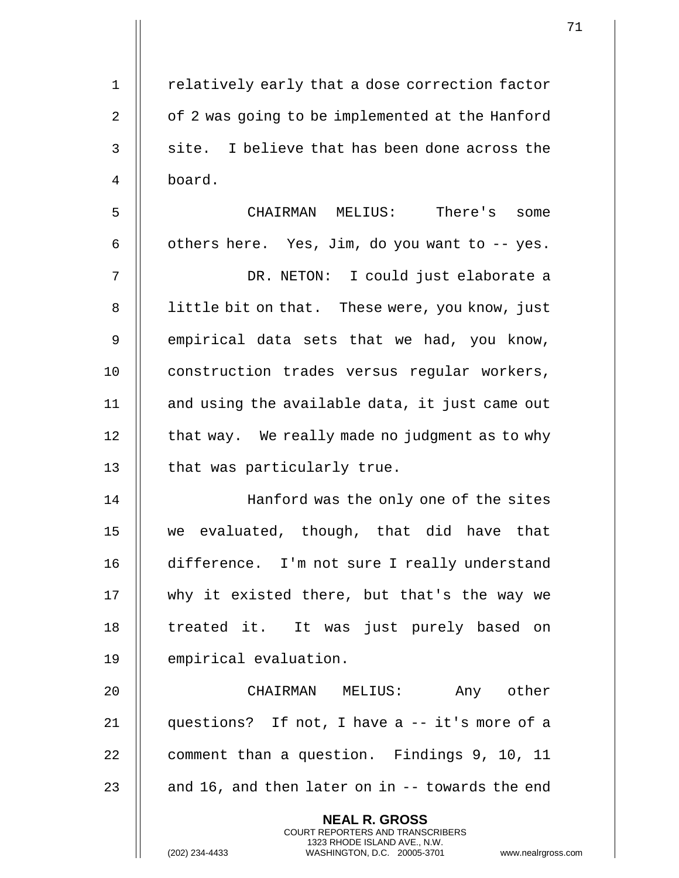| $\mathbf 1$ | relatively early that a dose correction factor                                                                                                                  |
|-------------|-----------------------------------------------------------------------------------------------------------------------------------------------------------------|
| 2           | of 2 was going to be implemented at the Hanford                                                                                                                 |
| 3           | site. I believe that has been done across the                                                                                                                   |
| 4           | board.                                                                                                                                                          |
| 5           | CHAIRMAN MELIUS: There's some                                                                                                                                   |
| 6           | others here. Yes, Jim, do you want to -- yes.                                                                                                                   |
| 7           | DR. NETON: I could just elaborate a                                                                                                                             |
| 8           | little bit on that. These were, you know, just                                                                                                                  |
| 9           | empirical data sets that we had, you know,                                                                                                                      |
| 10          | construction trades versus regular workers,                                                                                                                     |
| 11          | and using the available data, it just came out                                                                                                                  |
| 12          | that way. We really made no judgment as to why                                                                                                                  |
| 13          | that was particularly true.                                                                                                                                     |
| 14          | Hanford was the only one of the sites                                                                                                                           |
| 15          | we evaluated, though, that did have that                                                                                                                        |
| 16          | difference. I'm not sure I really understand                                                                                                                    |
| 17          | why it existed there, but that's the way we                                                                                                                     |
| 18          | treated it. It was just purely based on                                                                                                                         |
| 19          | empirical evaluation.                                                                                                                                           |
| 20          | CHAIRMAN MELIUS:<br>Any other                                                                                                                                   |
| 21          | questions? If not, I have a -- it's more of a                                                                                                                   |
| 22          | comment than a question. Findings 9, 10, 11                                                                                                                     |
| 23          | and 16, and then later on in -- towards the end                                                                                                                 |
|             | <b>NEAL R. GROSS</b><br><b>COURT REPORTERS AND TRANSCRIBERS</b><br>1323 RHODE ISLAND AVE., N.W.<br>WASHINGTON, D.C. 20005-3701 www.nealrgross<br>(202) 234-4433 |

(202) 234-4433 WASHINGTON, D.C. 20005-3701 www.nealrgross.com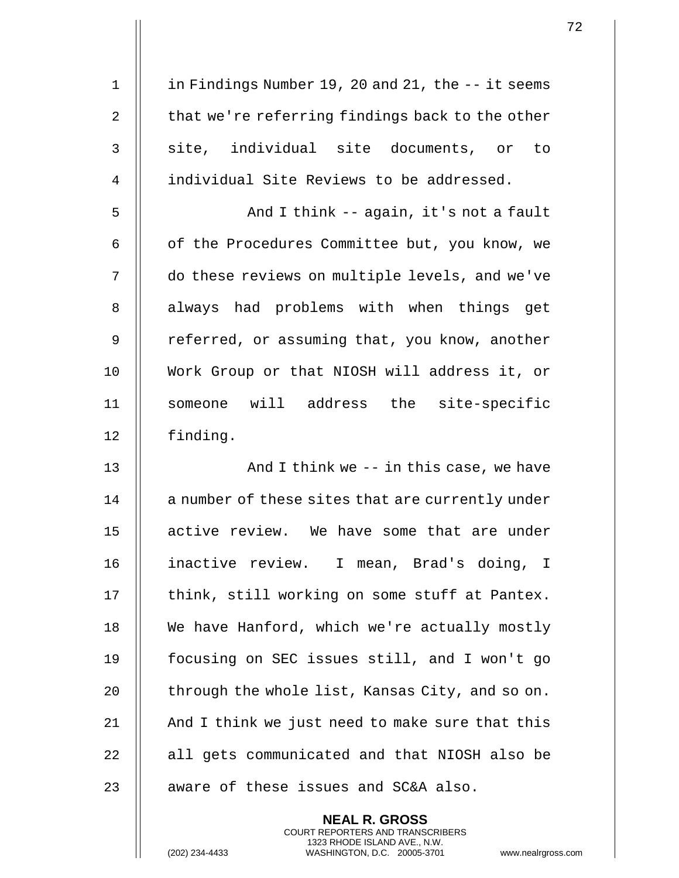1 | in Findings Number 19, 20 and 21, the -- it seems 2  $\parallel$  that we're referring findings back to the other 3 || site, individual site documents, or to 4 | individual Site Reviews to be addressed. 5 And I think -- again, it's not a fault 6 | of the Procedures Committee but, you know, we 7 | do these reviews on multiple levels, and we've 8 || always had problems with when things get 9 | referred, or assuming that, you know, another 10 Work Group or that NIOSH will address it, or 11 || someone will address the site-specific 12 finding. 13 || And I think we -- in this case, we have 14 || a number of these sites that are currently under 15 active review. We have some that are under 16 inactive review. I mean, Brad's doing, I 17 || think, still working on some stuff at Pantex. 18 || We have Hanford, which we're actually mostly 19 focusing on SEC issues still, and I won't go 20  $\parallel$  through the whole list, Kansas City, and so on. 21  $\parallel$  And I think we just need to make sure that this 22 || all gets communicated and that NIOSH also be  $23$  || aware of these issues and SC&A also.

> **NEAL R. GROSS** COURT REPORTERS AND TRANSCRIBERS 1323 RHODE ISLAND AVE., N.W.

(202) 234-4433 WASHINGTON, D.C. 20005-3701 www.nealrgross.com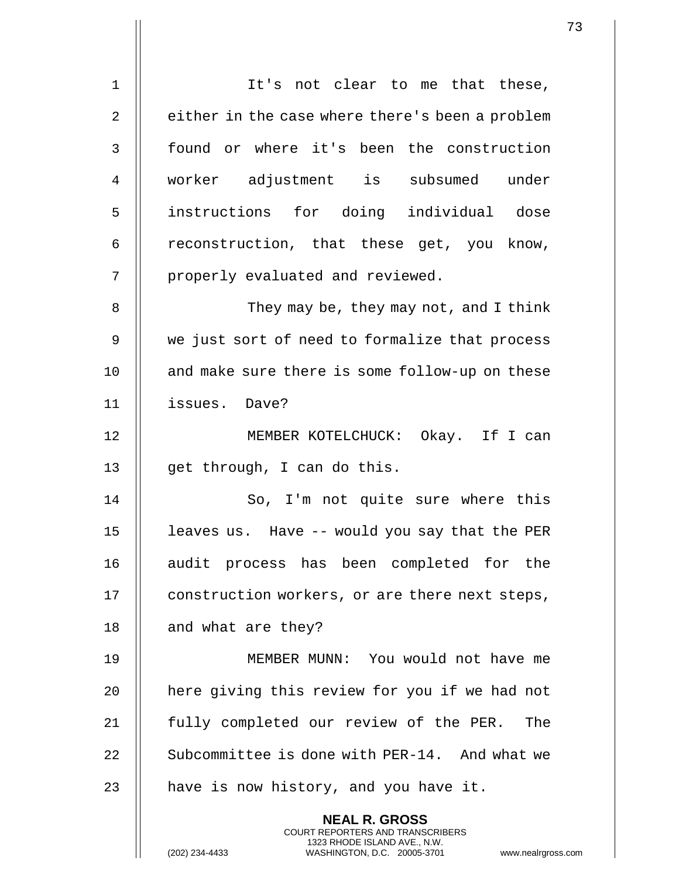| $\mathbf 1$    | It's not clear to me that these,                                                                                                                                   |
|----------------|--------------------------------------------------------------------------------------------------------------------------------------------------------------------|
| $\overline{2}$ | either in the case where there's been a problem                                                                                                                    |
| 3              | found or where it's been the construction                                                                                                                          |
| $\overline{4}$ | worker adjustment is subsumed under                                                                                                                                |
| 5              | instructions for doing individual dose                                                                                                                             |
| 6              | reconstruction, that these get, you know,                                                                                                                          |
| 7              | properly evaluated and reviewed.                                                                                                                                   |
| 8              | They may be, they may not, and I think                                                                                                                             |
| 9              | we just sort of need to formalize that process                                                                                                                     |
| 10             | and make sure there is some follow-up on these                                                                                                                     |
| 11             | issues. Dave?                                                                                                                                                      |
| 12             | MEMBER KOTELCHUCK: Okay. If I can                                                                                                                                  |
| 13             | get through, I can do this.                                                                                                                                        |
| 14             | So, I'm not quite sure where this                                                                                                                                  |
| 15             | leaves us. Have -- would you say that the PER                                                                                                                      |
| 16             | audit process has been completed for the                                                                                                                           |
| 17             | construction workers, or are there next steps,                                                                                                                     |
| 18             | and what are they?                                                                                                                                                 |
| 19             | MEMBER MUNN: You would not have me                                                                                                                                 |
| 20             | here giving this review for you if we had not                                                                                                                      |
| 21             | fully completed our review of the PER.<br>The                                                                                                                      |
| 22             | Subcommittee is done with PER-14. And what we                                                                                                                      |
| 23             | have is now history, and you have it.                                                                                                                              |
|                | <b>NEAL R. GROSS</b><br><b>COURT REPORTERS AND TRANSCRIBERS</b><br>1323 RHODE ISLAND AVE., N.W.<br>(202) 234-4433<br>WASHINGTON, D.C. 20005-3701<br>www.nealrgross |

 $\mathsf{l}$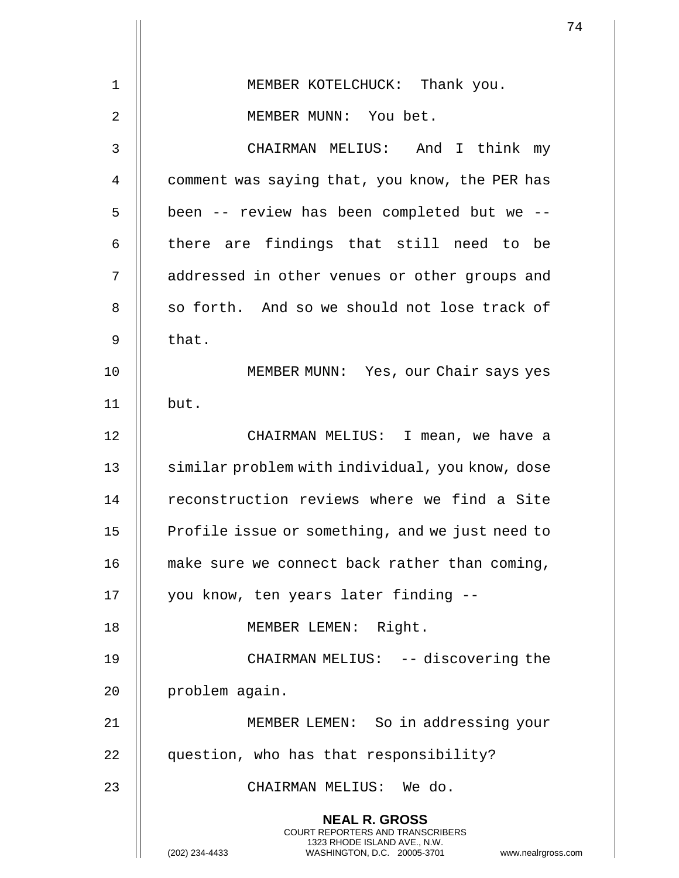|    |                                                                                                                                                                        | 74 |
|----|------------------------------------------------------------------------------------------------------------------------------------------------------------------------|----|
| 1  |                                                                                                                                                                        |    |
|    | MEMBER KOTELCHUCK: Thank you.                                                                                                                                          |    |
| 2  | MEMBER MUNN: You bet.                                                                                                                                                  |    |
| 3  | CHAIRMAN MELIUS: And I think my                                                                                                                                        |    |
| 4  | comment was saying that, you know, the PER has                                                                                                                         |    |
| 5  | been -- review has been completed but we --                                                                                                                            |    |
| 6  | there are findings that still need to be                                                                                                                               |    |
| 7  | addressed in other venues or other groups and                                                                                                                          |    |
| 8  | so forth. And so we should not lose track of                                                                                                                           |    |
| 9  | that.                                                                                                                                                                  |    |
| 10 | MEMBER MUNN: Yes, our Chair says yes                                                                                                                                   |    |
| 11 | but.                                                                                                                                                                   |    |
| 12 | CHAIRMAN MELIUS: I mean, we have a                                                                                                                                     |    |
| 13 | similar problem with individual, you know, dose                                                                                                                        |    |
| 14 | reconstruction reviews where we find a Site                                                                                                                            |    |
| 15 | Profile issue or something, and we just need to                                                                                                                        |    |
| 16 | make sure we connect back rather than coming,                                                                                                                          |    |
| 17 | you know, ten years later finding --                                                                                                                                   |    |
| 18 | MEMBER LEMEN: Right.                                                                                                                                                   |    |
| 19 | CHAIRMAN MELIUS: -- discovering the                                                                                                                                    |    |
| 20 | problem again.                                                                                                                                                         |    |
| 21 | MEMBER LEMEN: So in addressing your                                                                                                                                    |    |
| 22 | question, who has that responsibility?                                                                                                                                 |    |
| 23 | CHAIRMAN MELIUS: We do.                                                                                                                                                |    |
|    | <b>NEAL R. GROSS</b><br><b>COURT REPORTERS AND TRANSCRIBERS</b><br>1323 RHODE ISLAND AVE., N.W.<br>(202) 234-4433<br>WASHINGTON, D.C. 20005-3701<br>www.nealrgross.com |    |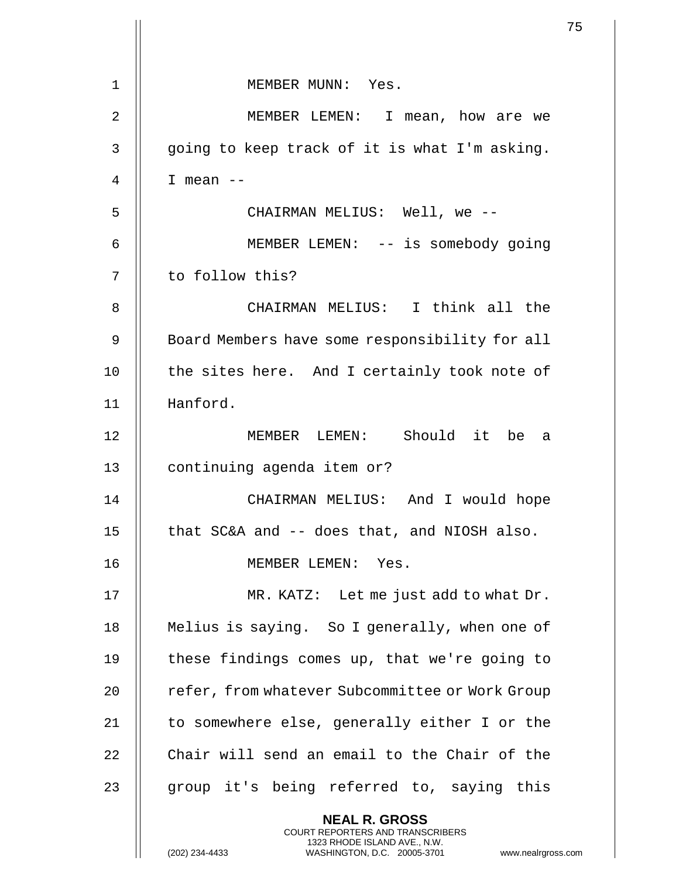| $\mathbf 1$    | MEMBER MUNN: Yes.                                                                                                                                                    |  |
|----------------|----------------------------------------------------------------------------------------------------------------------------------------------------------------------|--|
| $\overline{2}$ | MEMBER LEMEN: I mean, how are we                                                                                                                                     |  |
| 3              | going to keep track of it is what I'm asking.                                                                                                                        |  |
| 4              | I mean $--$                                                                                                                                                          |  |
| 5              | CHAIRMAN MELIUS: Well, we --                                                                                                                                         |  |
| 6              | MEMBER LEMEN: -- is somebody going                                                                                                                                   |  |
| 7              | to follow this?                                                                                                                                                      |  |
| 8              | CHAIRMAN MELIUS: I think all the                                                                                                                                     |  |
| 9              | Board Members have some responsibility for all                                                                                                                       |  |
| 10             | the sites here. And I certainly took note of                                                                                                                         |  |
| 11             | Hanford.                                                                                                                                                             |  |
| 12             | MEMBER LEMEN: Should it be a                                                                                                                                         |  |
| 13             | continuing agenda item or?                                                                                                                                           |  |
| 14             | CHAIRMAN MELIUS: And I would hope                                                                                                                                    |  |
| 15             | that SC&A and -- does that, and NIOSH also.                                                                                                                          |  |
| 16             | MEMBER LEMEN: Yes.                                                                                                                                                   |  |
| 17             | MR. KATZ: Let me just add to what Dr.                                                                                                                                |  |
| 18             | Melius is saying. So I generally, when one of                                                                                                                        |  |
| 19             | these findings comes up, that we're going to                                                                                                                         |  |
| 20             | refer, from whatever Subcommittee or Work Group                                                                                                                      |  |
| 21             | to somewhere else, generally either I or the                                                                                                                         |  |
| 22             | Chair will send an email to the Chair of the                                                                                                                         |  |
| 23             | group it's being referred to, saying this                                                                                                                            |  |
|                | <b>NEAL R. GROSS</b><br><b>COURT REPORTERS AND TRANSCRIBERS</b><br>1323 RHODE ISLAND AVE., N.W.<br>(202) 234-4433<br>WASHINGTON, D.C. 20005-3701<br>www.nealrgross.c |  |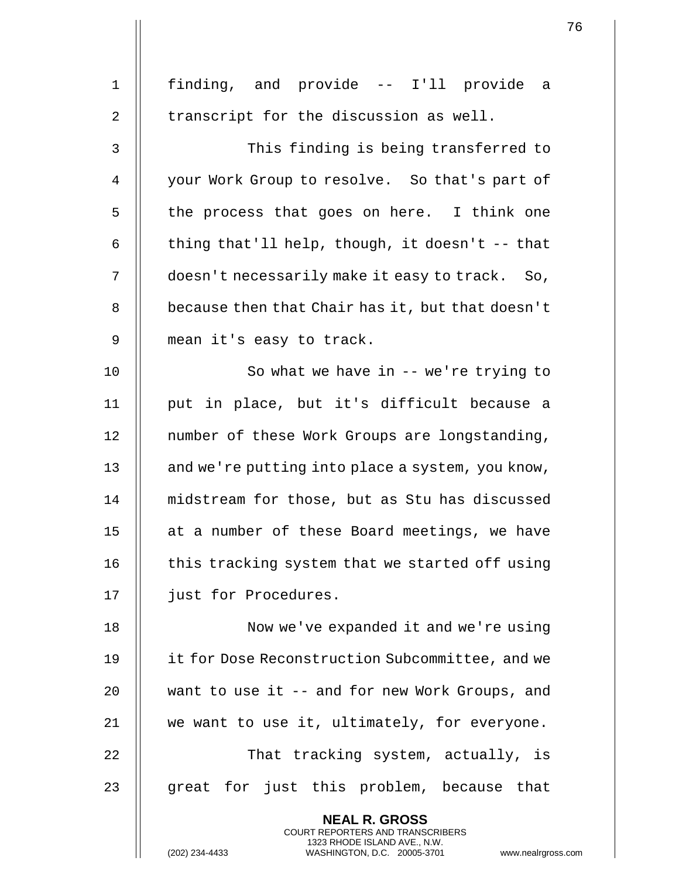| $\mathbf 1$    | finding, and provide -- I'll provide a                                                                                                                             |
|----------------|--------------------------------------------------------------------------------------------------------------------------------------------------------------------|
| $\overline{2}$ | transcript for the discussion as well.                                                                                                                             |
| 3              | This finding is being transferred to                                                                                                                               |
| 4              | your Work Group to resolve. So that's part of                                                                                                                      |
| 5              | the process that goes on here. I think one                                                                                                                         |
| 6              | thing that'll help, though, it doesn't -- that                                                                                                                     |
| 7              | doesn't necessarily make it easy to track. So,                                                                                                                     |
| 8              | because then that Chair has it, but that doesn't                                                                                                                   |
| 9              | mean it's easy to track.                                                                                                                                           |
| 10             | So what we have in -- we're trying to                                                                                                                              |
| 11             | put in place, but it's difficult because a                                                                                                                         |
| 12             | number of these Work Groups are longstanding,                                                                                                                      |
| 13             | and we're putting into place a system, you know,                                                                                                                   |
| 14             | midstream for those, but as Stu has discussed                                                                                                                      |
| 15             | at a number of these Board meetings, we have                                                                                                                       |
| 16             | this tracking system that we started off using                                                                                                                     |
| 17             | just for Procedures.                                                                                                                                               |
| 18             | Now we've expanded it and we're using                                                                                                                              |
| 19             | it for Dose Reconstruction Subcommittee, and we                                                                                                                    |
| 20             | want to use it -- and for new Work Groups, and                                                                                                                     |
| 21             | we want to use it, ultimately, for everyone.                                                                                                                       |
| 22             | That tracking system, actually, is                                                                                                                                 |
| 23             | great for just this problem, because that                                                                                                                          |
|                | <b>NEAL R. GROSS</b><br><b>COURT REPORTERS AND TRANSCRIBERS</b><br>1323 RHODE ISLAND AVE., N.W.<br>(202) 234-4433<br>WASHINGTON, D.C. 20005-3701<br>www.nealrgross |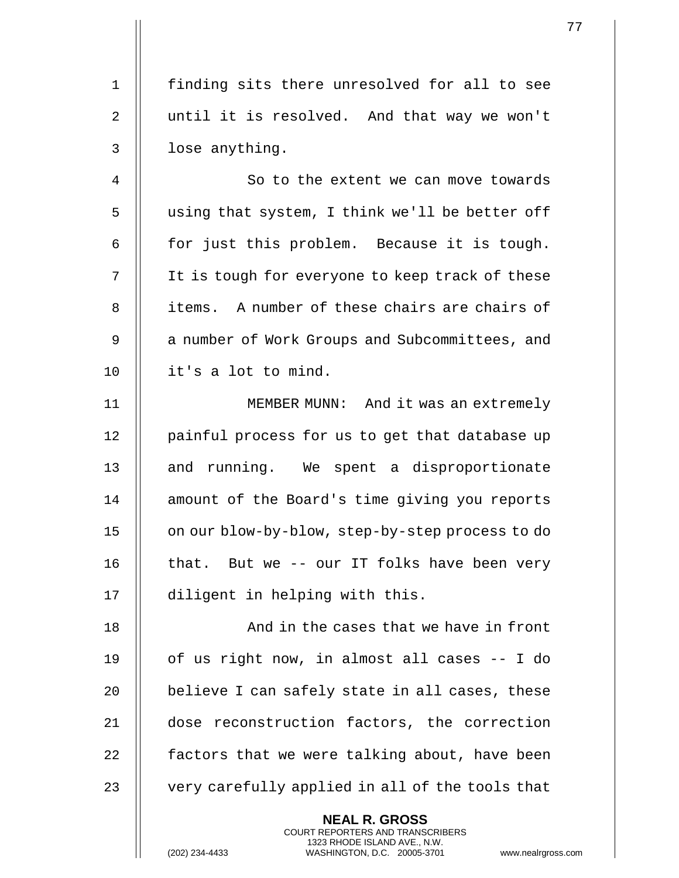1 finding sits there unresolved for all to see 2 || until it is resolved. And that way we won't  $3$  | lose anything.

4 | | So to the extent we can move towards 5 | using that system, I think we'll be better off 6  $\parallel$  for just this problem. Because it is tough. 7 | It is tough for everyone to keep track of these 8 || items. A number of these chairs are chairs of 9 | a number of Work Groups and Subcommittees, and 10 it's a lot to mind.

11 MEMBER MUNN: And it was an extremely 12 | painful process for us to get that database up 13 || and running. We spent a disproportionate 14 || amount of the Board's time giving you reports 15 | on our blow-by-blow, step-by-step process to do 16  $\parallel$  that. But we -- our IT folks have been very 17 diligent in helping with this.

18 || And in the cases that we have in front  $\parallel$  of us right now, in almost all cases  $-$  I do  $\parallel$  believe I can safely state in all cases, these dose reconstruction factors, the correction  $\parallel$  factors that we were talking about, have been  $\parallel$  very carefully applied in all of the tools that

> **NEAL R. GROSS** COURT REPORTERS AND TRANSCRIBERS 1323 RHODE ISLAND AVE., N.W.

(202) 234-4433 WASHINGTON, D.C. 20005-3701 www.nealrgross.com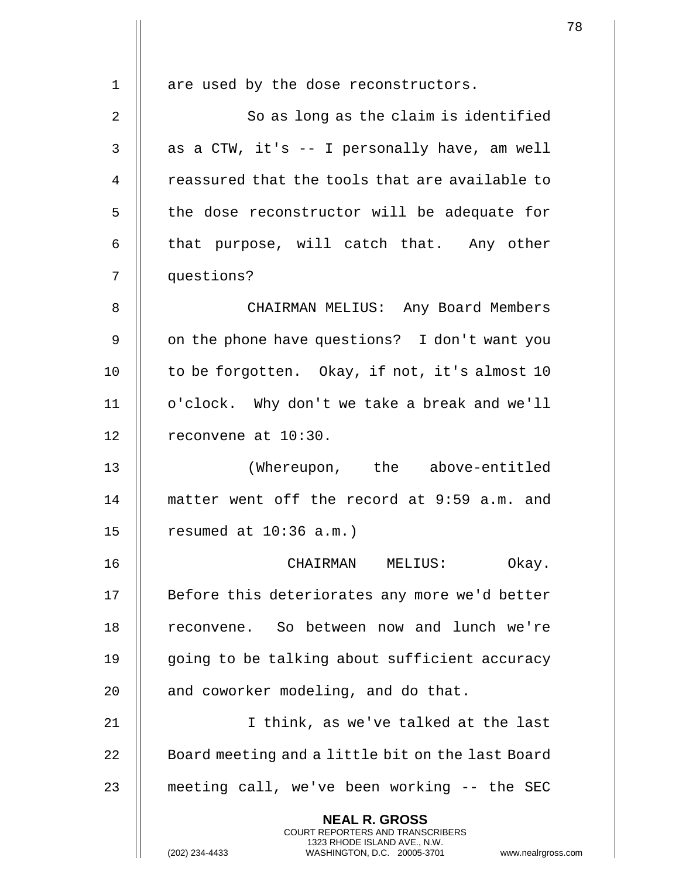| $\mathbf{1}$   | are used by the dose reconstructors.                                                                                                                               |
|----------------|--------------------------------------------------------------------------------------------------------------------------------------------------------------------|
| $\overline{2}$ | So as long as the claim is identified                                                                                                                              |
| 3              | as a CTW, it's -- I personally have, am well                                                                                                                       |
| 4              | reassured that the tools that are available to                                                                                                                     |
| 5              | the dose reconstructor will be adequate for                                                                                                                        |
| 6              | that purpose, will catch that. Any other                                                                                                                           |
|                |                                                                                                                                                                    |
| 7              | questions?                                                                                                                                                         |
| 8              | CHAIRMAN MELIUS: Any Board Members                                                                                                                                 |
| 9              | on the phone have questions? I don't want you                                                                                                                      |
| 10             | to be forgotten. Okay, if not, it's almost 10                                                                                                                      |
| 11             | o'clock. Why don't we take a break and we'll                                                                                                                       |
| 12             | reconvene at 10:30.                                                                                                                                                |
| 13             | (Whereupon, the above-entitled                                                                                                                                     |
| 14             | matter went off the record at 9:59 a.m. and                                                                                                                        |
| 15             | resumed at $10:36$ a.m.)                                                                                                                                           |
| 16             | CHAIRMAN MELIUS:<br>Okay.                                                                                                                                          |
| 17             | Before this deteriorates any more we'd better                                                                                                                      |
| 18             | reconvene. So between now and lunch we're                                                                                                                          |
| 19             | going to be talking about sufficient accuracy                                                                                                                      |
| 20             | and coworker modeling, and do that.                                                                                                                                |
| 21             | I think, as we've talked at the last                                                                                                                               |
| 22             | Board meeting and a little bit on the last Board                                                                                                                   |
| 23             | meeting call, we've been working -- the SEC                                                                                                                        |
|                | <b>NEAL R. GROSS</b><br><b>COURT REPORTERS AND TRANSCRIBERS</b><br>1323 RHODE ISLAND AVE., N.W.<br>(202) 234-4433<br>www.nealrgross<br>WASHINGTON, D.C. 20005-3701 |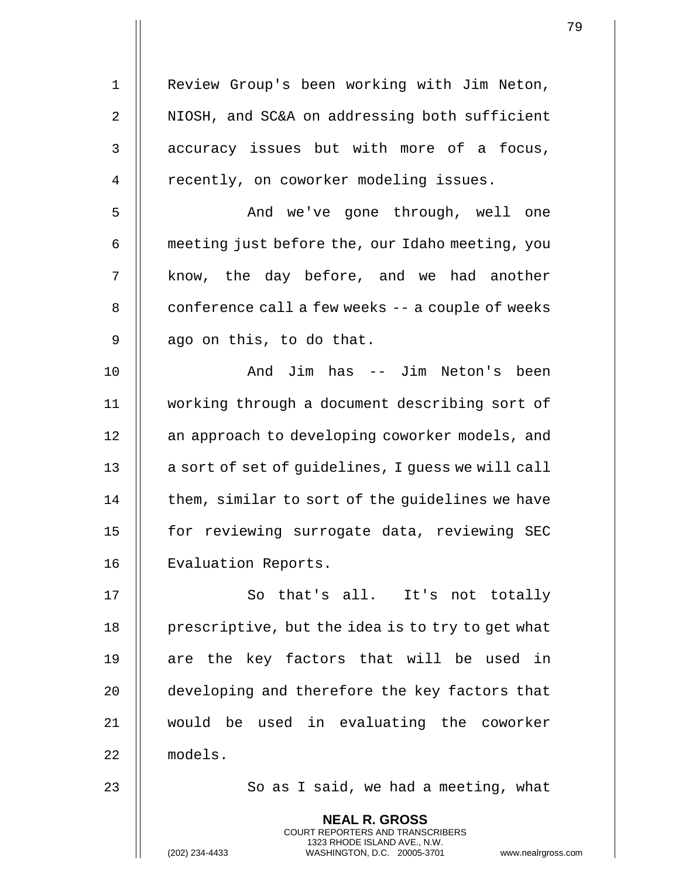| $\mathbf 1$ | Review Group's been working with Jim Neton,                                                                                                                |
|-------------|------------------------------------------------------------------------------------------------------------------------------------------------------------|
| $\sqrt{2}$  | NIOSH, and SC&A on addressing both sufficient                                                                                                              |
| 3           | accuracy issues but with more of a focus,                                                                                                                  |
| 4           | recently, on coworker modeling issues.                                                                                                                     |
| 5           | And we've gone through, well one                                                                                                                           |
| 6           | meeting just before the, our Idaho meeting, you                                                                                                            |
| 7           | know, the day before, and we had another                                                                                                                   |
| 8           | conference call a few weeks -- a couple of weeks                                                                                                           |
| 9           | ago on this, to do that.                                                                                                                                   |
| 10          | And Jim has -- Jim Neton's been                                                                                                                            |
| 11          | working through a document describing sort of                                                                                                              |
| 12          | an approach to developing coworker models, and                                                                                                             |
| 13          | a sort of set of guidelines, I guess we will call                                                                                                          |
| 14          | them, similar to sort of the guidelines we have                                                                                                            |
| 15          | for reviewing surrogate data, reviewing SEC                                                                                                                |
| 16          | Evaluation Reports.                                                                                                                                        |
| 17          | So that's all.<br>It's not totally                                                                                                                         |
| 18          | prescriptive, but the idea is to try to get what                                                                                                           |
| 19          | are the key factors that will be used in                                                                                                                   |
| 20          | developing and therefore the key factors that                                                                                                              |
| 21          | would be used in evaluating the coworker                                                                                                                   |
| 22          | models.                                                                                                                                                    |
| 23          | So as I said, we had a meeting, what                                                                                                                       |
|             | <b>NEAL R. GROSS</b><br>COURT REPORTERS AND TRANSCRIBERS<br>1323 RHODE ISLAND AVE., N.W.<br>(202) 234-4433<br>WASHINGTON, D.C. 20005-3701<br>www.nealrgros |

(202) 234-4433 WASHINGTON, D.C. 20005-3701 www.nealrgross.com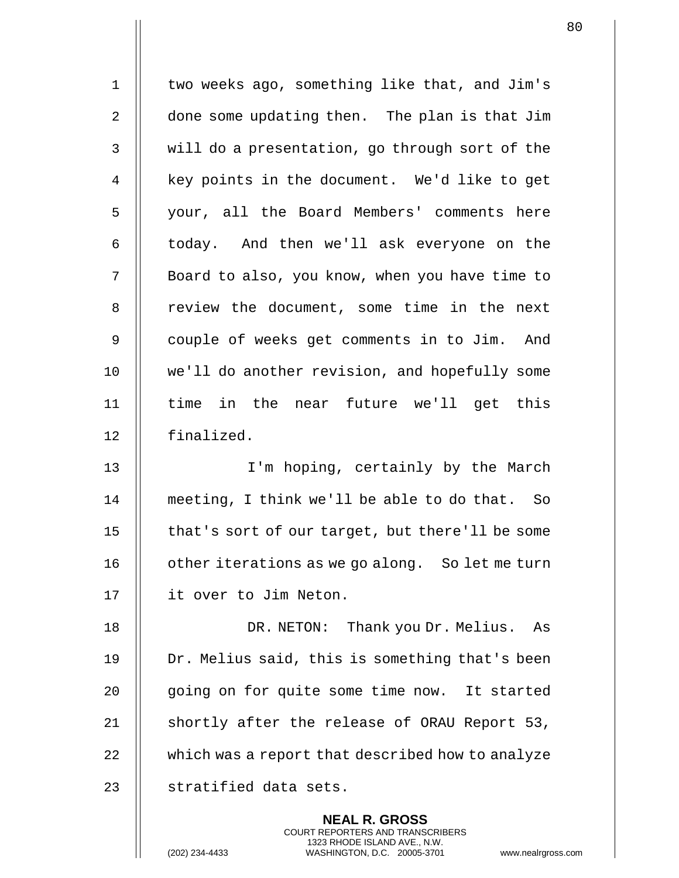| $\mathbf 1$    | two weeks ago, something like that, and Jim's    |
|----------------|--------------------------------------------------|
| $\overline{2}$ | done some updating then. The plan is that Jim    |
| 3              | will do a presentation, go through sort of the   |
| 4              | key points in the document. We'd like to get     |
| 5              | your, all the Board Members' comments here       |
| 6              | today. And then we'll ask everyone on the        |
| 7              | Board to also, you know, when you have time to   |
| 8              | review the document, some time in the next       |
| 9              | couple of weeks get comments in to Jim. And      |
| 10             | we'll do another revision, and hopefully some    |
| 11             | time in the near future we'll get this           |
| 12             | finalized.                                       |
| 13             | I'm hoping, certainly by the March               |
| 14             | meeting, I think we'll be able to do that. So    |
| 15             | that's sort of our target, but there'll be some  |
| 16             | other iterations as we go along. So let me turn  |
| 17             | it over to Jim Neton.                            |
| 18             | DR. NETON: Thank you Dr. Melius. As              |
| 19             | Dr. Melius said, this is something that's been   |
| 20             | going on for quite some time now. It started     |
| 21             | shortly after the release of ORAU Report 53,     |
| 22             | which was a report that described how to analyze |
| 23             | stratified data sets.                            |
|                | <b>NEAL R. GROSS</b>                             |

COURT REPORTERS AND TRANSCRIBERS 1323 RHODE ISLAND AVE., N.W.

(202) 234-4433 WASHINGTON, D.C. 20005-3701 www.nealrgross.com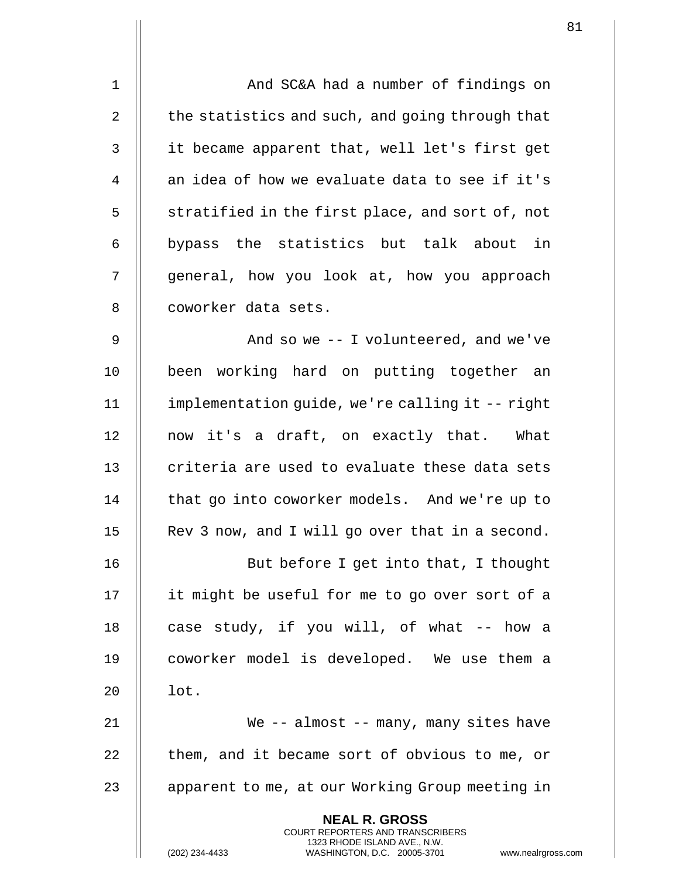| $\mathbf{1}$   | And SC&A had a number of findings on                                                           |
|----------------|------------------------------------------------------------------------------------------------|
| 2              | the statistics and such, and going through that                                                |
| 3              | it became apparent that, well let's first get                                                  |
| $\overline{4}$ | an idea of how we evaluate data to see if it's                                                 |
| 5              | stratified in the first place, and sort of, not                                                |
| 6              | bypass the statistics but talk about in                                                        |
| 7              | general, how you look at, how you approach                                                     |
| 8              | coworker data sets.                                                                            |
| 9              | And so we $-$ I volunteered, and we've                                                         |
| 10             | been working hard on putting together an                                                       |
| 11             | implementation guide, we're calling it -- right                                                |
| 12             | now it's a draft, on exactly that. What                                                        |
| 13             | criteria are used to evaluate these data sets                                                  |
| 14             | that go into coworker models. And we're up to                                                  |
| 15             | Rev 3 now, and I will go over that in a second.                                                |
| 16             | But before I get into that, I thought                                                          |
| 17             | it might be useful for me to go over sort of a                                                 |
| 18             | case study, if you will, of what -- how a                                                      |
| 19             | coworker model is developed. We use them a                                                     |
| 20             | lot.                                                                                           |
| 21             | We $-$ almost $-$ many, many sites have                                                        |
| 22             | them, and it became sort of obvious to me, or                                                  |
| 23             | apparent to me, at our Working Group meeting in                                                |
|                | <b>NEAL R. GROSS</b><br><b>COURT REPORTERS AND TRANSCRIBERS</b>                                |
|                | 1323 RHODE ISLAND AVE., N.W.<br>(202) 234-4433<br>WASHINGTON, D.C. 20005-3701<br>www.nealrgros |

 $\mathop{||}$ 

(202) 234-4433 WASHINGTON, D.C. 20005-3701 www.nealrgross.com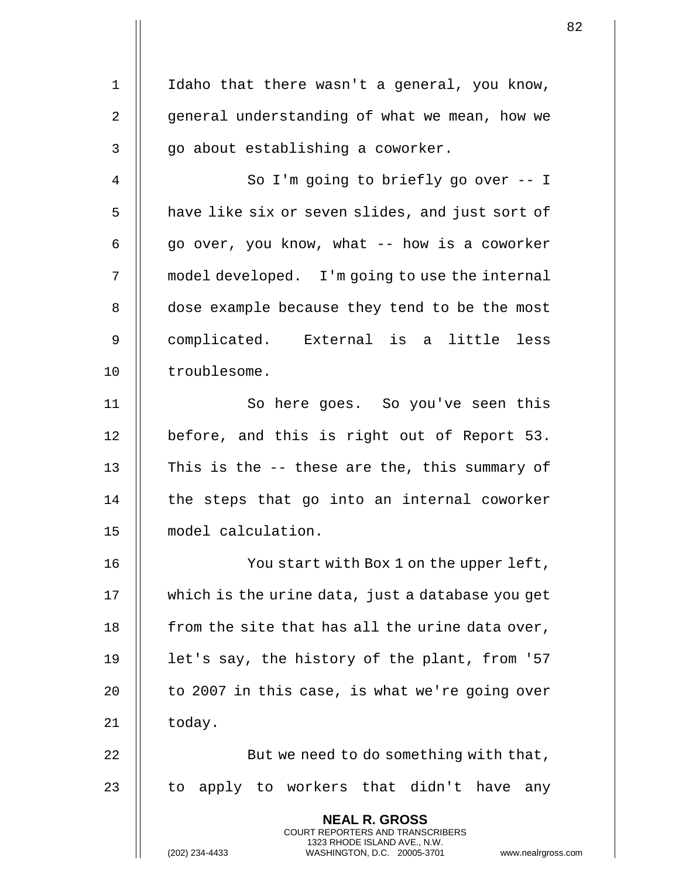1 || Idaho that there wasn't a general, you know, 2 | general understanding of what we mean, how we  $3 \parallel$  go about establishing a coworker. 4 || So I'm going to briefly go over -- I 5 | have like six or seven slides, and just sort of 6  $\parallel$  qo over, you know, what -- how is a coworker 7 | model developed. I'm going to use the internal 8 | dose example because they tend to be the most 9 complicated. External is a little less 10 | troublesome. 11 || So here goes. So you've seen this 12 || before, and this is right out of Report 53. 13  $\parallel$  This is the -- these are the, this summary of  $14$   $\parallel$  the steps that go into an internal coworker 15 model calculation. 16 || You start with Box 1 on the upper left, 17 | which is the urine data, just a database you get 18  $\parallel$  from the site that has all the urine data over, 19  $\parallel$  let's say, the history of the plant, from '57 20  $\parallel$  to 2007 in this case, is what we're going over  $21$  | today. 22  $\parallel$  But we need to do something with that, 23  $\parallel$  to apply to workers that didn't have any **NEAL R. GROSS** COURT REPORTERS AND TRANSCRIBERS 1323 RHODE ISLAND AVE., N.W. (202) 234-4433 WASHINGTON, D.C. 20005-3701 www.nealrgross.com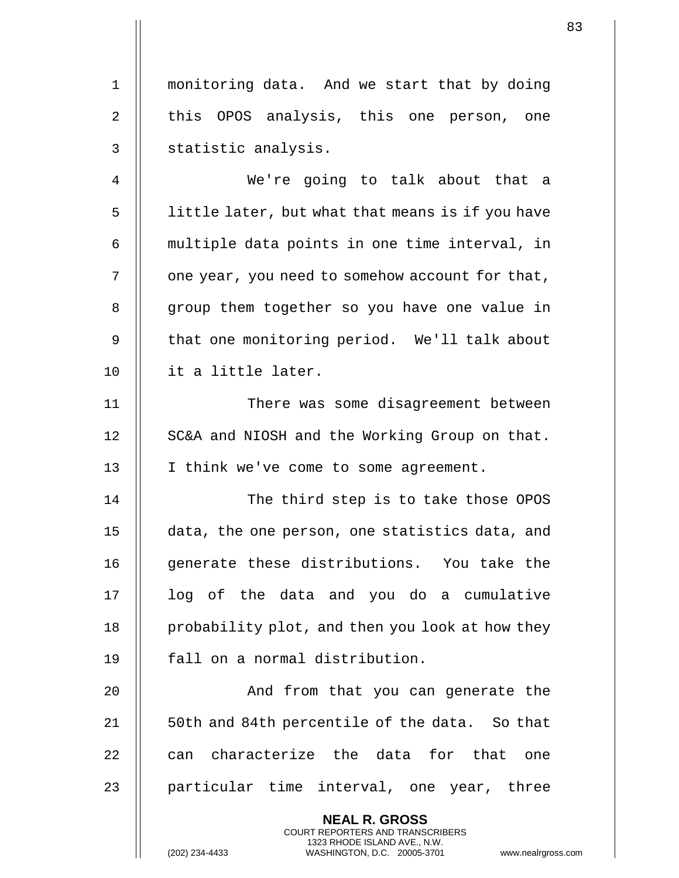1 | monitoring data. And we start that by doing 2 || this OPOS analysis, this one person, one 3 || statistic analysis.

4 We're going to talk about that a 5 | little later, but what that means is if you have 6 || multiple data points in one time interval, in  $7$  |  $\circ$  one year, you need to somehow account for that, 8 || group them together so you have one value in 9 || that one monitoring period. We'll talk about 10 it a little later.

11 There was some disagreement between 12 || SC&A and NIOSH and the Working Group on that. 13 || I think we've come to some agreement.

14 || The third step is to take those OPOS 15 data, the one person, one statistics data, and 16 || generate these distributions. You take the 17 || log of the data and you do a cumulative  $18$  | probability plot, and then you look at how they 19 || fall on a normal distribution.

20 || And from that you can generate the 21 || 50th and 84th percentile of the data. So that  $22$   $\parallel$  can characterize the data for that one  $23$  || particular time interval, one year, three

> **NEAL R. GROSS** COURT REPORTERS AND TRANSCRIBERS 1323 RHODE ISLAND AVE., N.W.

(202) 234-4433 WASHINGTON, D.C. 20005-3701 www.nealrgross.com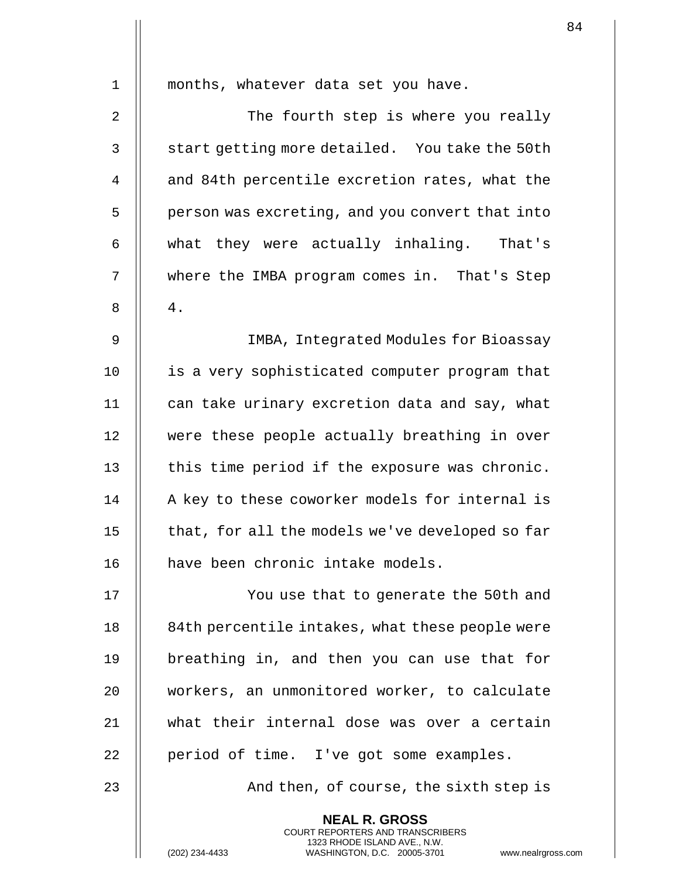| 1              | months, whatever data set you have.                                                                                                                               |
|----------------|-------------------------------------------------------------------------------------------------------------------------------------------------------------------|
| $\overline{2}$ | The fourth step is where you really                                                                                                                               |
| 3              | start getting more detailed. You take the 50th                                                                                                                    |
| 4              | and 84th percentile excretion rates, what the                                                                                                                     |
| 5              | person was excreting, and you convert that into                                                                                                                   |
| 6              | they were actually inhaling. That's<br>what                                                                                                                       |
| 7              | where the IMBA program comes in. That's Step                                                                                                                      |
| 8              | $4$ .                                                                                                                                                             |
| 9              | IMBA, Integrated Modules for Bioassay                                                                                                                             |
| 10             | is a very sophisticated computer program that                                                                                                                     |
| 11             | can take urinary excretion data and say, what                                                                                                                     |
| 12             | were these people actually breathing in over                                                                                                                      |
| 13             | this time period if the exposure was chronic.                                                                                                                     |
| 14             | A key to these coworker models for internal is                                                                                                                    |
| 15             | that, for all the models we've developed so far                                                                                                                   |
| 16             | have been chronic intake models.                                                                                                                                  |
| 17             | You use that to generate the 50th and                                                                                                                             |
| 18             | 84th percentile intakes, what these people were                                                                                                                   |
| 19             | breathing in, and then you can use that for                                                                                                                       |
| 20             | workers, an unmonitored worker, to calculate                                                                                                                      |
| 21             | what their internal dose was over a certain                                                                                                                       |
| 22             | period of time. I've got some examples.                                                                                                                           |
| 23             | And then, of course, the sixth step is                                                                                                                            |
|                | <b>NEAL R. GROSS</b><br><b>COURT REPORTERS AND TRANSCRIBERS</b><br>1323 RHODE ISLAND AVE., N.W.<br>WASHINGTON, D.C. 20005-3701<br>(202) 234-4433<br>www.nealrgros |

(202) 234-4433 WASHINGTON, D.C. 20005-3701 www.nealrgross.com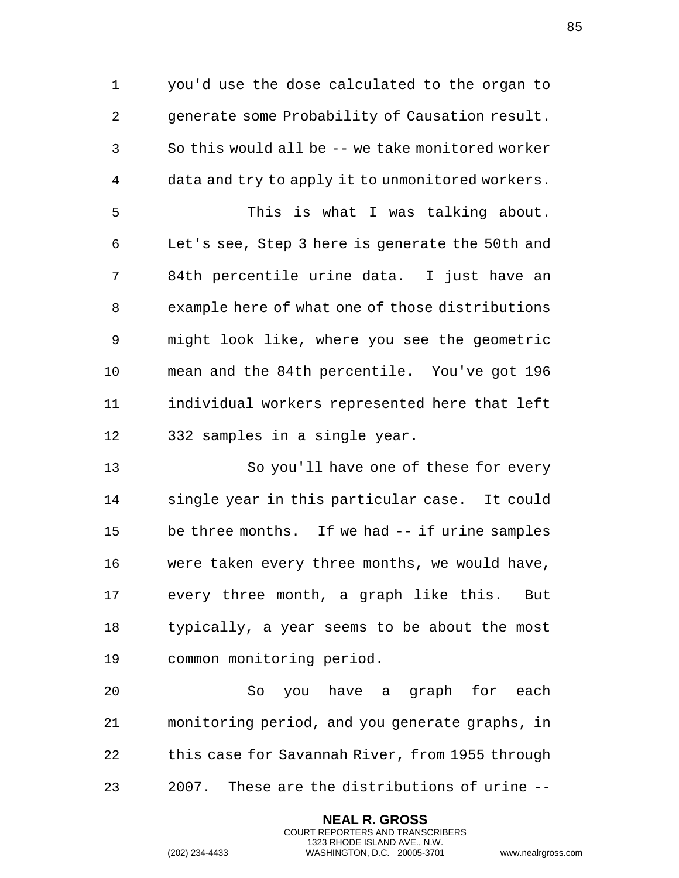1 || you'd use the dose calculated to the organ to 2 | qenerate some Probability of Causation result.  $3 \parallel$  So this would all be -- we take monitored worker  $4 \parallel$  data and try to apply it to unmonitored workers. 5 This is what I was talking about. 6  $\parallel$  Let's see, Step 3 here is generate the 50th and 7 || 84th percentile urine data. I just have an 8 | example here of what one of those distributions 9 might look like, where you see the geometric 10 mean and the 84th percentile. You've got 196 11 individual workers represented here that left  $12$  | 332 samples in a single year. 13 || So you'll have one of these for every 14 || single year in this particular case. It could 15 | be three months. If we had -- if urine samples 16 || were taken every three months, we would have, 17 || every three month, a graph like this. But 18 | typically, a year seems to be about the most 19 common monitoring period. 20 So you have a graph for each 21 monitoring period, and you generate graphs, in 22  $\parallel$  this case for Savannah River, from 1955 through  $23$   $\parallel$  2007. These are the distributions of urine  $-$ **NEAL R. GROSS** COURT REPORTERS AND TRANSCRIBERS 1323 RHODE ISLAND AVE., N.W.

(202) 234-4433 WASHINGTON, D.C. 20005-3701 www.nealrgross.com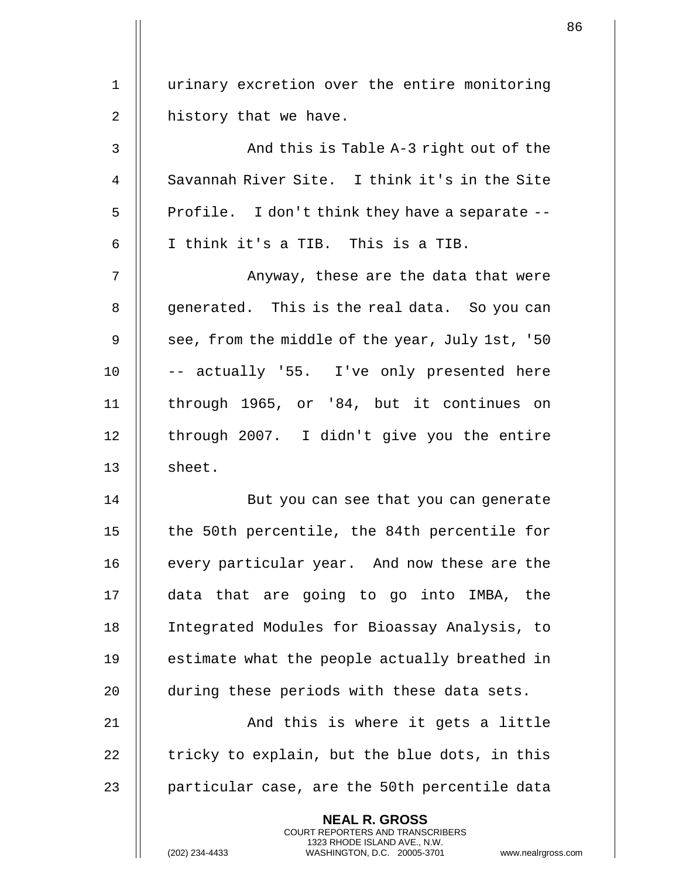1 || urinary excretion over the entire monitoring 2 || history that we have. 3 And this is Table A-3 right out of the 4 Savannah River Site. I think it's in the Site  $5$  || Profile. I don't think they have a separate  $6$  || I think it's a TIB. This is a TIB. 7 || Anyway, these are the data that were 8 || qenerated. This is the real data. So you can 9  $\parallel$  see, from the middle of the year, July 1st, '50  $10$   $\vert$  -- actually '55. I've only presented here 11 through 1965, or '84, but it continues on 12 || through 2007. I didn't give you the entire 13 || sheet. 14 || But you can see that you can generate 15 || the 50th percentile, the 84th percentile for 16 | every particular year. And now these are the 17 data that are going to go into IMBA, the 18 Integrated Modules for Bioassay Analysis, to  $19$   $\parallel$  estimate what the people actually breathed in 20 **during these periods with these data sets.** 21 || And this is where it gets a little 22  $\parallel$  tricky to explain, but the blue dots, in this 23  $\parallel$  particular case, are the 50th percentile data **NEAL R. GROSS** COURT REPORTERS AND TRANSCRIBERS 1323 RHODE ISLAND AVE., N.W.

(202) 234-4433 WASHINGTON, D.C. 20005-3701 www.nealrgross.com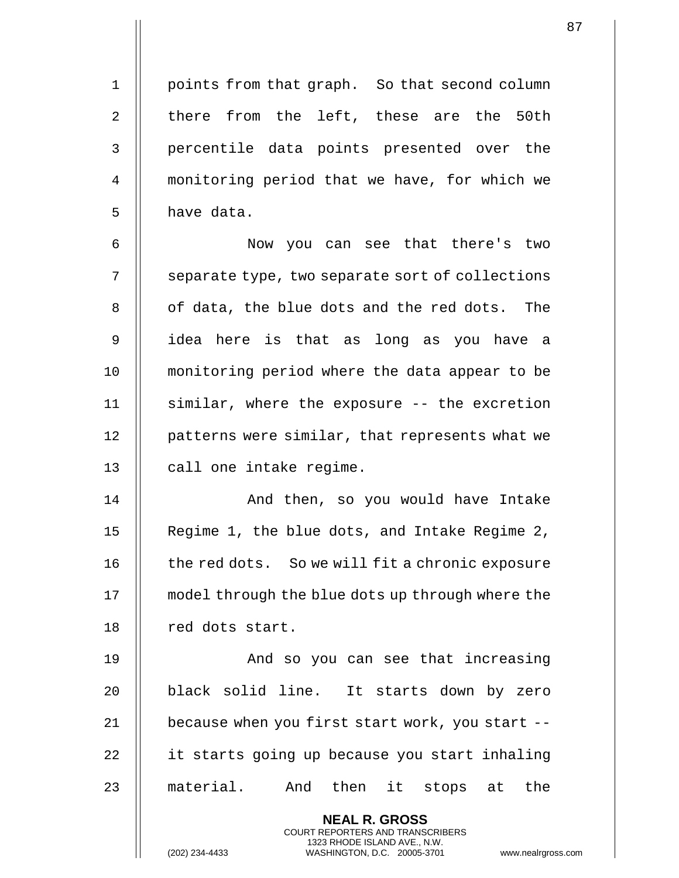1 | points from that graph. So that second column 2  $\parallel$  there from the left, these are the 50th 3 || percentile data points presented over the 4 monitoring period that we have, for which we

 Now you can see that there's two | separate type, two separate sort of collections 8 || of data, the blue dots and the red dots. The idea here is that as long as you have a monitoring period where the data appear to be similar, where the exposure -- the excretion 12 | patterns were similar, that represents what we 13 || call one intake regime.

14 And then, so you would have Intake 15 || Regime 1, the blue dots, and Intake Regime 2, 16 | the red dots. So we will fit a chronic exposure 17 model through the blue dots up through where the 18 || red dots start.

19 And so you can see that increasing 20 || black solid line. It starts down by zero 21  $\parallel$  because when you first start work, you start --22 | it starts going up because you start inhaling 23 || material. And then it stops at the

> **NEAL R. GROSS** COURT REPORTERS AND TRANSCRIBERS 1323 RHODE ISLAND AVE., N.W.

 $5$  | have data.

(202) 234-4433 WASHINGTON, D.C. 20005-3701 www.nealrgross.com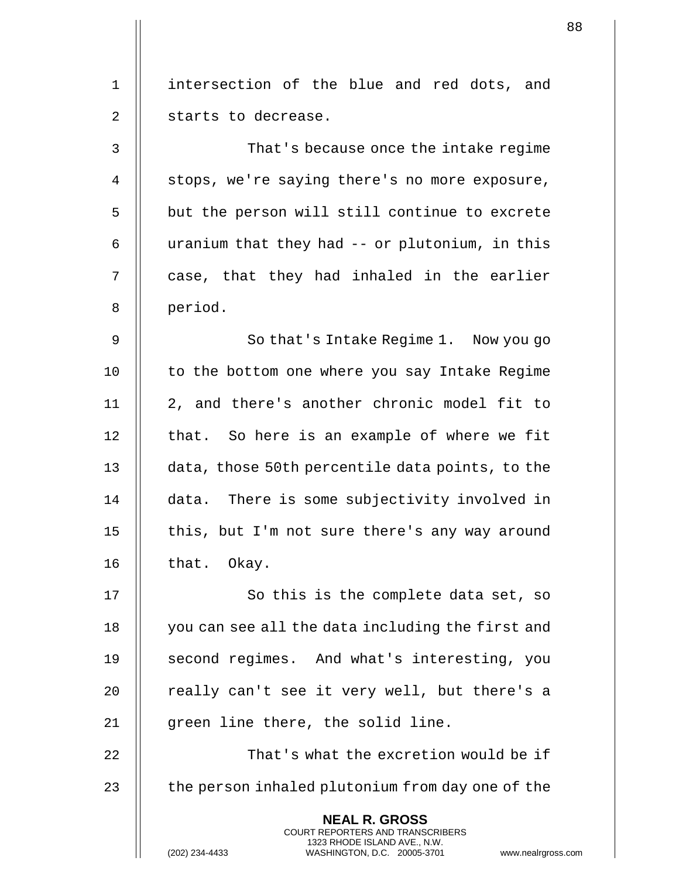|              |                                                                                                                                                                        | 88 |
|--------------|------------------------------------------------------------------------------------------------------------------------------------------------------------------------|----|
| $\mathbf{1}$ | intersection of the blue and red dots, and                                                                                                                             |    |
| 2            | starts to decrease.                                                                                                                                                    |    |
|              |                                                                                                                                                                        |    |
| 3            | That's because once the intake regime                                                                                                                                  |    |
| 4            | stops, we're saying there's no more exposure,                                                                                                                          |    |
| 5            | but the person will still continue to excrete                                                                                                                          |    |
| 6            | uranium that they had -- or plutonium, in this                                                                                                                         |    |
| 7            | case, that they had inhaled in the earlier                                                                                                                             |    |
| 8            | period.                                                                                                                                                                |    |
| 9            | So that's Intake Regime 1. Now you go                                                                                                                                  |    |
| 10           | to the bottom one where you say Intake Regime                                                                                                                          |    |
| 11           | 2, and there's another chronic model fit to                                                                                                                            |    |
| 12           | that. So here is an example of where we fit                                                                                                                            |    |
| 13           | data, those 50th percentile data points, to the                                                                                                                        |    |
| 14           | data. There is some subjectivity involved in                                                                                                                           |    |
| 15           | this, but I'm not sure there's any way around                                                                                                                          |    |
| 16           | that. Okay.                                                                                                                                                            |    |
| 17           | So this is the complete data set, so                                                                                                                                   |    |
| 18           | you can see all the data including the first and                                                                                                                       |    |
| 19           | second regimes. And what's interesting, you                                                                                                                            |    |
| 20           | really can't see it very well, but there's a                                                                                                                           |    |
| 21           | green line there, the solid line.                                                                                                                                      |    |
| 22           | That's what the excretion would be if                                                                                                                                  |    |
| 23           | the person inhaled plutonium from day one of the                                                                                                                       |    |
|              | <b>NEAL R. GROSS</b><br><b>COURT REPORTERS AND TRANSCRIBERS</b><br>1323 RHODE ISLAND AVE., N.W.<br>WASHINGTON, D.C. 20005-3701<br>(202) 234-4433<br>www.nealrgross.com |    |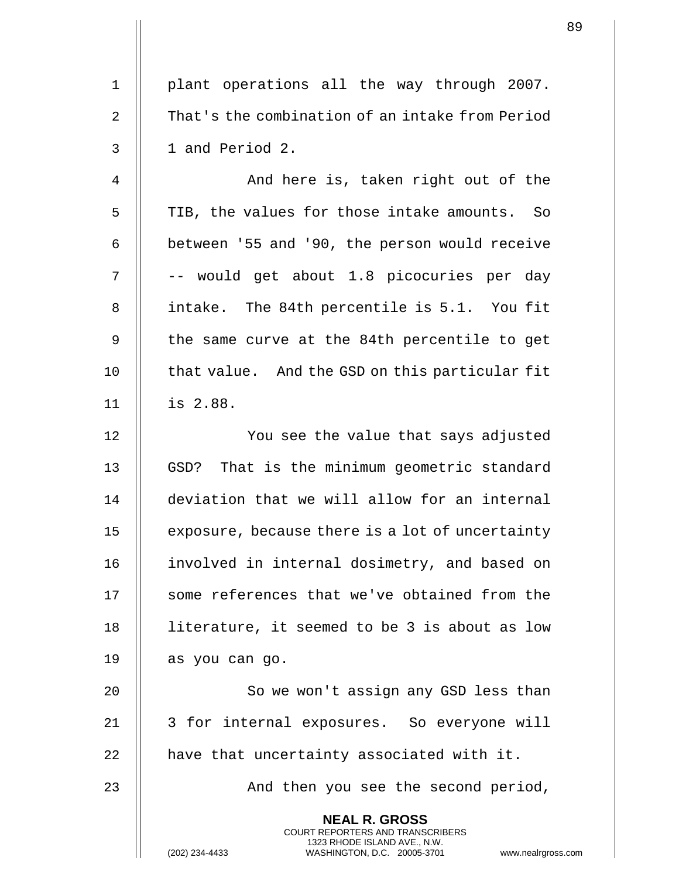1 || plant operations all the way through 2007. 2 | That's the combination of an intake from Period  $3 \parallel 1$  and Period 2. 4 And here is, taken right out of the 5 | TIB, the values for those intake amounts. So 6  $\parallel$  between '55 and '90, the person would receive  $7 \parallel$  -- would get about 1.8 picocuries per day 8 || intake. The 84th percentile is 5.1. You fit 9 || the same curve at the 84th percentile to get 10 | that value. And the GSD on this particular fit 11 is 2.88. 12 || You see the value that says adjusted 13 || GSD? That is the minimum geometric standard 14 deviation that we will allow for an internal 15 | exposure, because there is a lot of uncertainty 16 involved in internal dosimetry, and based on 17 || some references that we've obtained from the 18 literature, it seemed to be 3 is about as low 19  $\parallel$  as you can go. 20 || So we won't assign any GSD less than 21 || 3 for internal exposures. So everyone will  $22$  || have that uncertainty associated with it. 23 || And then you see the second period, **NEAL R. GROSS** COURT REPORTERS AND TRANSCRIBERS

1323 RHODE ISLAND AVE., N.W.

(202) 234-4433 WASHINGTON, D.C. 20005-3701 www.nealrgross.com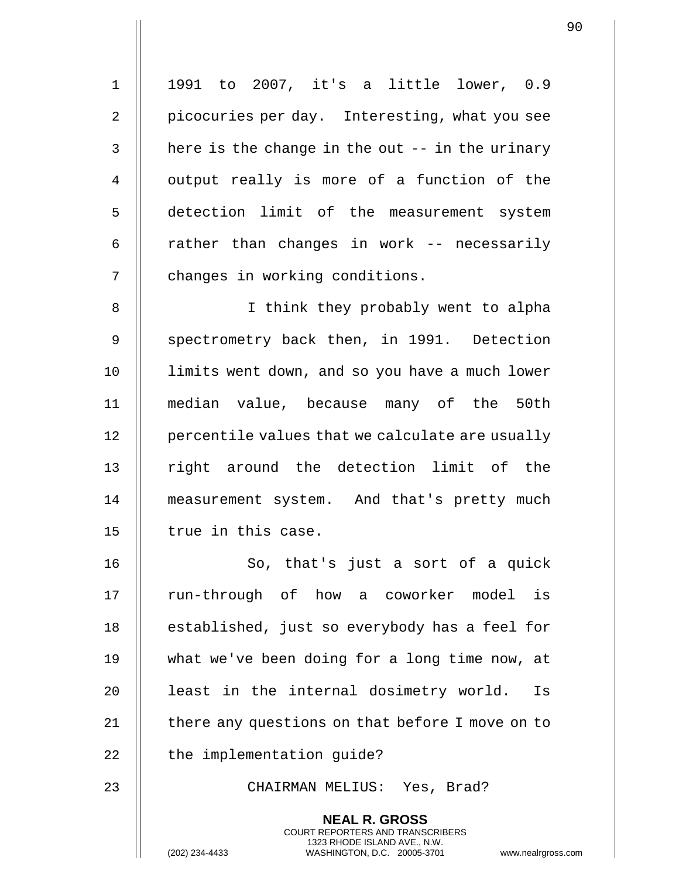1 1991 to 2007, it's a little lower, 0.9 2 || picocuries per day. Interesting, what you see  $3$  | here is the change in the out  $-$ - in the urinary 4 || output really is more of a function of the 5 detection limit of the measurement system 6  $\parallel$  rather than changes in work -- necessarily 7 | changes in working conditions. 8 || I think they probably went to alpha 9 Spectrometry back then, in 1991. Detection 10 limits went down, and so you have a much lower 11 median value, because many of the 50th 12 | percentile values that we calculate are usually 13 || right around the detection limit of the 14 measurement system. And that's pretty much  $15$  || true in this case. 16 || So, that's just a sort of a quick 17 || run-through of how a coworker model is 18 || established, just so everybody has a feel for 19 what we've been doing for a long time now, at 20 || least in the internal dosimetry world. Is 21  $\parallel$  there any questions on that before I move on to  $22$   $\parallel$  the implementation guide? 23 CHAIRMAN MELIUS: Yes, Brad? **NEAL R. GROSS** COURT REPORTERS AND TRANSCRIBERS 1323 RHODE ISLAND AVE., N.W.

(202) 234-4433 WASHINGTON, D.C. 20005-3701 www.nealrgross.com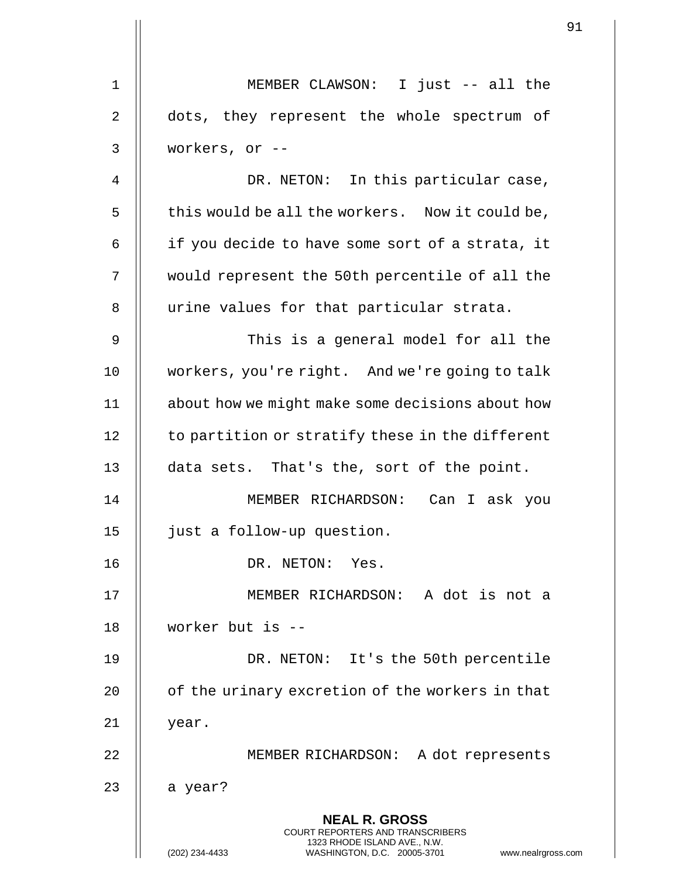|             |                                                                                                 | 91 |
|-------------|-------------------------------------------------------------------------------------------------|----|
| $\mathbf 1$ |                                                                                                 |    |
|             | MEMBER CLAWSON: I just -- all the                                                               |    |
| 2           | dots, they represent the whole spectrum of                                                      |    |
| 3           | workers, or --                                                                                  |    |
| 4           | DR. NETON: In this particular case,                                                             |    |
| 5           | this would be all the workers. Now it could be,                                                 |    |
| 6           | if you decide to have some sort of a strata, it                                                 |    |
| 7           | would represent the 50th percentile of all the                                                  |    |
| 8           | urine values for that particular strata.                                                        |    |
| 9           | This is a general model for all the                                                             |    |
| 10          | workers, you're right. And we're going to talk                                                  |    |
| 11          | about how we might make some decisions about how                                                |    |
| 12          | to partition or stratify these in the different                                                 |    |
| 13          | data sets. That's the, sort of the point.                                                       |    |
| 14          | MEMBER RICHARDSON: Can I ask you                                                                |    |
| 15          | just a follow-up question.                                                                      |    |
| 16          | DR. NETON: Yes.                                                                                 |    |
| 17          | MEMBER RICHARDSON: A dot is not a                                                               |    |
| 18          | worker but is --                                                                                |    |
| 19          | DR. NETON: It's the 50th percentile                                                             |    |
| 20          | of the urinary excretion of the workers in that                                                 |    |
| 21          | year.                                                                                           |    |
| 22          | MEMBER RICHARDSON: A dot represents                                                             |    |
| 23          | a year?                                                                                         |    |
|             | <b>NEAL R. GROSS</b><br><b>COURT REPORTERS AND TRANSCRIBERS</b><br>1323 RHODE ISLAND AVE., N.W. |    |
|             | (202) 234-4433<br>WASHINGTON, D.C. 20005-3701<br>www.nealrgross.com                             |    |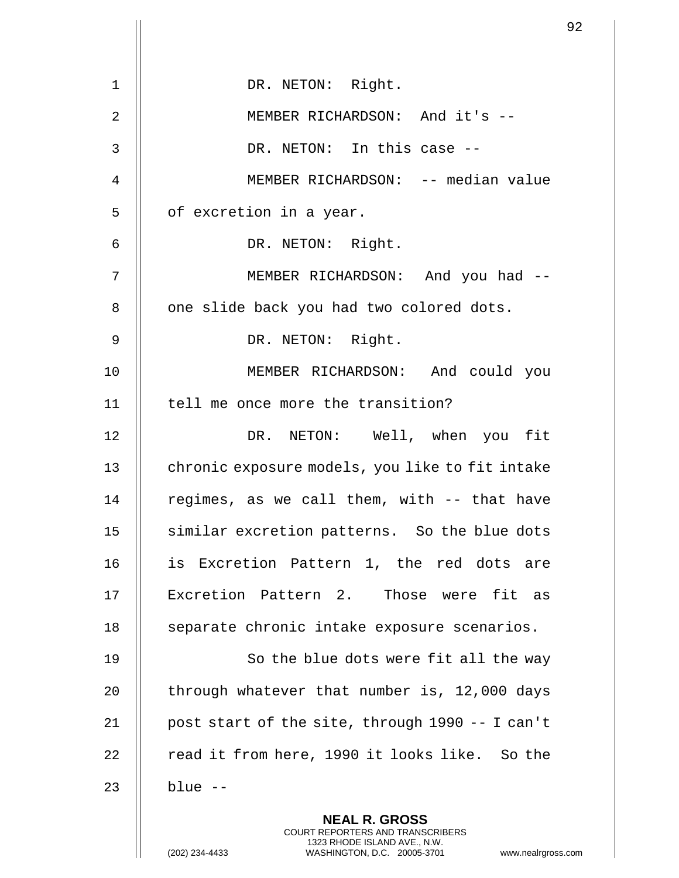| 1              | DR. NETON: Right.                                                                                                                                                    |
|----------------|----------------------------------------------------------------------------------------------------------------------------------------------------------------------|
| $\overline{2}$ | MEMBER RICHARDSON: And it's --                                                                                                                                       |
| 3              | DR. NETON: In this case --                                                                                                                                           |
| 4              | MEMBER RICHARDSON: -- median value                                                                                                                                   |
| 5              | of excretion in a year.                                                                                                                                              |
| 6              | DR. NETON: Right.                                                                                                                                                    |
| 7              | MEMBER RICHARDSON: And you had --                                                                                                                                    |
| 8              | one slide back you had two colored dots.                                                                                                                             |
| $\mathsf 9$    | DR. NETON: Right.                                                                                                                                                    |
| 10             | MEMBER RICHARDSON: And could you                                                                                                                                     |
| 11             | tell me once more the transition?                                                                                                                                    |
| 12             | DR. NETON: Well, when you fit                                                                                                                                        |
| 13             | chronic exposure models, you like to fit intake                                                                                                                      |
| 14             | regimes, as we call them, with -- that have                                                                                                                          |
| 15             | similar excretion patterns. So the blue dots                                                                                                                         |
| 16             | is Excretion Pattern 1, the red dots are                                                                                                                             |
| 17             | Excretion Pattern 2. Those were fit as                                                                                                                               |
| 18             | separate chronic intake exposure scenarios.                                                                                                                          |
| 19             | So the blue dots were fit all the way                                                                                                                                |
| 20             | through whatever that number is, 12,000 days                                                                                                                         |
| 21             | post start of the site, through 1990 -- I can't                                                                                                                      |
| 22             | read it from here, 1990 it looks like. So the                                                                                                                        |
| 23             | $blue -$                                                                                                                                                             |
|                | <b>NEAL R. GROSS</b><br><b>COURT REPORTERS AND TRANSCRIBERS</b><br>1323 RHODE ISLAND AVE., N.W.<br>(202) 234-4433<br>WASHINGTON, D.C. 20005-3701<br>www.nealrgross.o |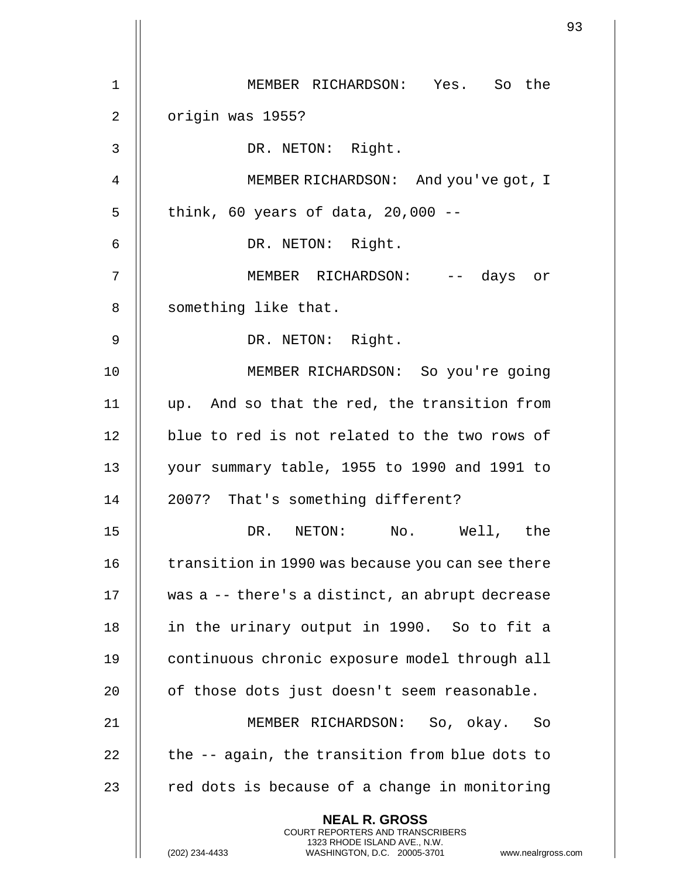| $\mathbf 1$    | MEMBER RICHARDSON: Yes. So the                                                                                                                                       |
|----------------|----------------------------------------------------------------------------------------------------------------------------------------------------------------------|
| $\overline{2}$ | origin was 1955?                                                                                                                                                     |
| 3              | DR. NETON: Right.                                                                                                                                                    |
| 4              | MEMBER RICHARDSON: And you've got, I                                                                                                                                 |
| 5              | think, 60 years of data, $20,000$ --                                                                                                                                 |
| 6              | DR. NETON: Right.                                                                                                                                                    |
| 7              | MEMBER RICHARDSON: -- days or                                                                                                                                        |
| 8              | something like that.                                                                                                                                                 |
| 9              | DR. NETON: Right.                                                                                                                                                    |
| 10             | MEMBER RICHARDSON: So you're going                                                                                                                                   |
| 11             | up. And so that the red, the transition from                                                                                                                         |
| 12             | blue to red is not related to the two rows of                                                                                                                        |
| 13             | your summary table, 1955 to 1990 and 1991 to                                                                                                                         |
| 14             | 2007? That's something different?                                                                                                                                    |
| 15             | DR. NETON: No. Well, the                                                                                                                                             |
| 16             | transition in 1990 was because you can see there                                                                                                                     |
| 17             | was a -- there's a distinct, an abrupt decrease                                                                                                                      |
| 18             | in the urinary output in 1990. So to fit a                                                                                                                           |
| 19             | continuous chronic exposure model through all                                                                                                                        |
| 20             | of those dots just doesn't seem reasonable.                                                                                                                          |
| 21             | MEMBER RICHARDSON: So, okay. So                                                                                                                                      |
| 22             | the -- again, the transition from blue dots to                                                                                                                       |
| 23             | red dots is because of a change in monitoring                                                                                                                        |
|                | <b>NEAL R. GROSS</b><br><b>COURT REPORTERS AND TRANSCRIBERS</b><br>1323 RHODE ISLAND AVE., N.W.<br>(202) 234-4433<br>WASHINGTON, D.C. 20005-3701<br>www.nealrgross.c |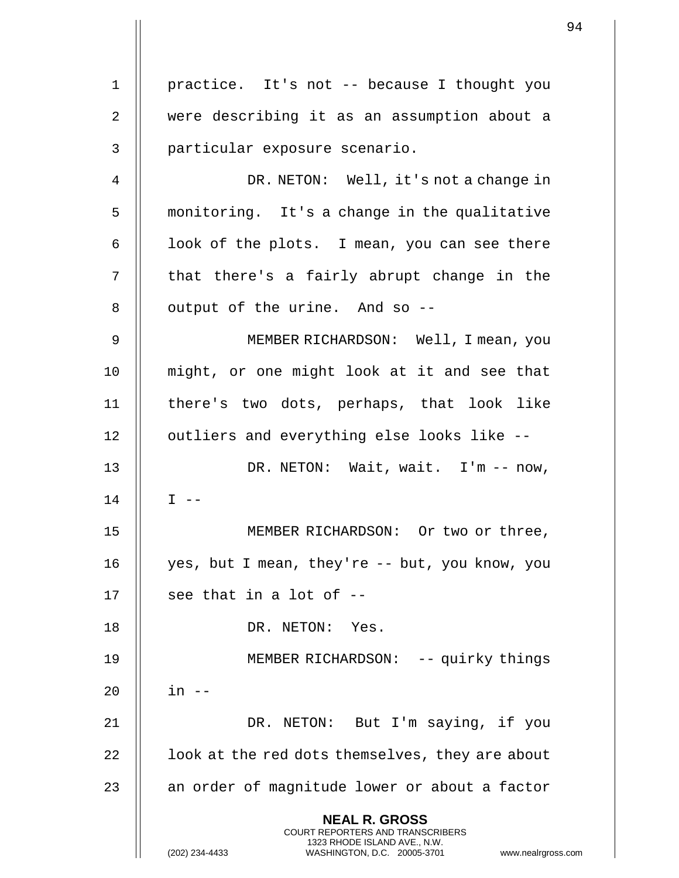practice. It's not -- because I thought you were describing it as an assumption about a particular exposure scenario. DR. NETON: Well, it's not a change in 5 | monitoring. It's a change in the qualitative | look of the plots. I mean, you can see there  $\parallel$  that there's a fairly abrupt change in the || output of the urine. And so  $-$  MEMBER RICHARDSON: Well, I mean, you might, or one might look at it and see that there's two dots, perhaps, that look like 12 || outliers and everything else looks like --13 || DR. NETON: Wait, wait. I'm -- now, I  $-$  MEMBER RICHARDSON: Or two or three, yes, but I mean, they're -- but, you know, you  $\parallel$  see that in a lot of --18 | DR. NETON: Yes. MEMBER RICHARDSON: -- quirky things in -- 21 || DR. NETON: But I'm saying, if you |  $\vert$  100k at the red dots themselves, they are about  $\parallel$  an order of magnitude lower or about a factor **NEAL R. GROSS** COURT REPORTERS AND TRANSCRIBERS 1323 RHODE ISLAND AVE., N.W.

(202) 234-4433 WASHINGTON, D.C. 20005-3701 www.nealrgross.com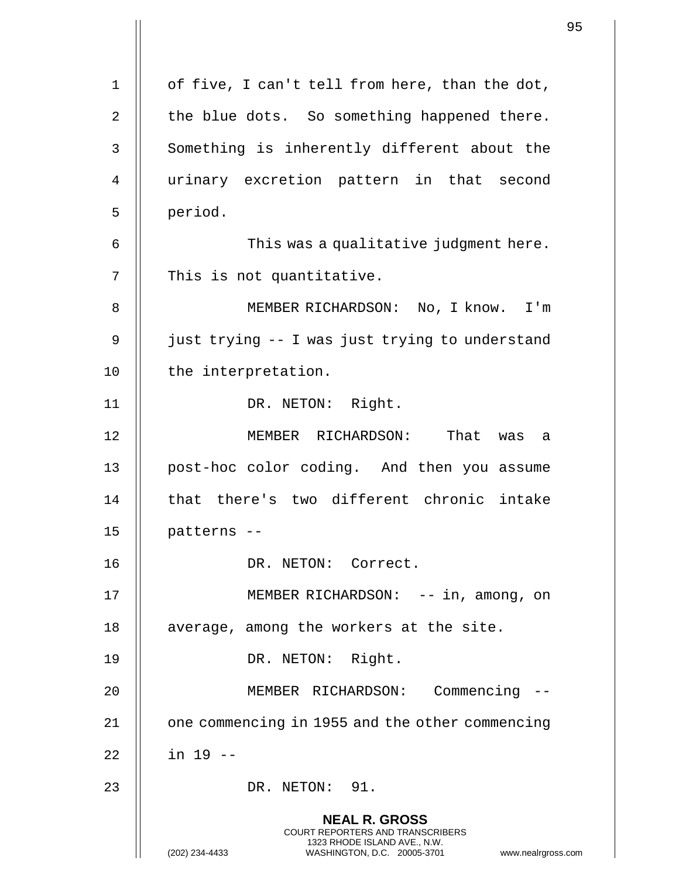|                |                                                                                                                                                                        | 95 |
|----------------|------------------------------------------------------------------------------------------------------------------------------------------------------------------------|----|
| $\mathbf 1$    | of five, I can't tell from here, than the dot,                                                                                                                         |    |
|                |                                                                                                                                                                        |    |
| $\overline{2}$ | the blue dots. So something happened there.                                                                                                                            |    |
| 3              | Something is inherently different about the                                                                                                                            |    |
| 4              | urinary excretion pattern in that second                                                                                                                               |    |
| 5              | period.                                                                                                                                                                |    |
| 6              | This was a qualitative judgment here.                                                                                                                                  |    |
| 7              | This is not quantitative.                                                                                                                                              |    |
| 8              | MEMBER RICHARDSON: No, I know. I'm                                                                                                                                     |    |
| 9              | just trying -- I was just trying to understand                                                                                                                         |    |
| 10             | the interpretation.                                                                                                                                                    |    |
| 11             | DR. NETON: Right.                                                                                                                                                      |    |
| 12             | MEMBER RICHARDSON: That was<br>a                                                                                                                                       |    |
| 13             | post-hoc color coding. And then you assume                                                                                                                             |    |
| 14             | that there's two different chronic intake                                                                                                                              |    |
| 15             | patterns --                                                                                                                                                            |    |
| 16             | DR. NETON: Correct.                                                                                                                                                    |    |
| 17             | MEMBER RICHARDSON: -- in, among, on                                                                                                                                    |    |
| 18             | average, among the workers at the site.                                                                                                                                |    |
| 19             | DR. NETON: Right.                                                                                                                                                      |    |
| 20             | MEMBER RICHARDSON: Commencing --                                                                                                                                       |    |
| 21             | one commencing in 1955 and the other commencing                                                                                                                        |    |
| 22             | $in 19 -$                                                                                                                                                              |    |
| 23             | DR. NETON: 91.                                                                                                                                                         |    |
|                | <b>NEAL R. GROSS</b><br><b>COURT REPORTERS AND TRANSCRIBERS</b><br>1323 RHODE ISLAND AVE., N.W.<br>(202) 234-4433<br>WASHINGTON, D.C. 20005-3701<br>www.nealrgross.com |    |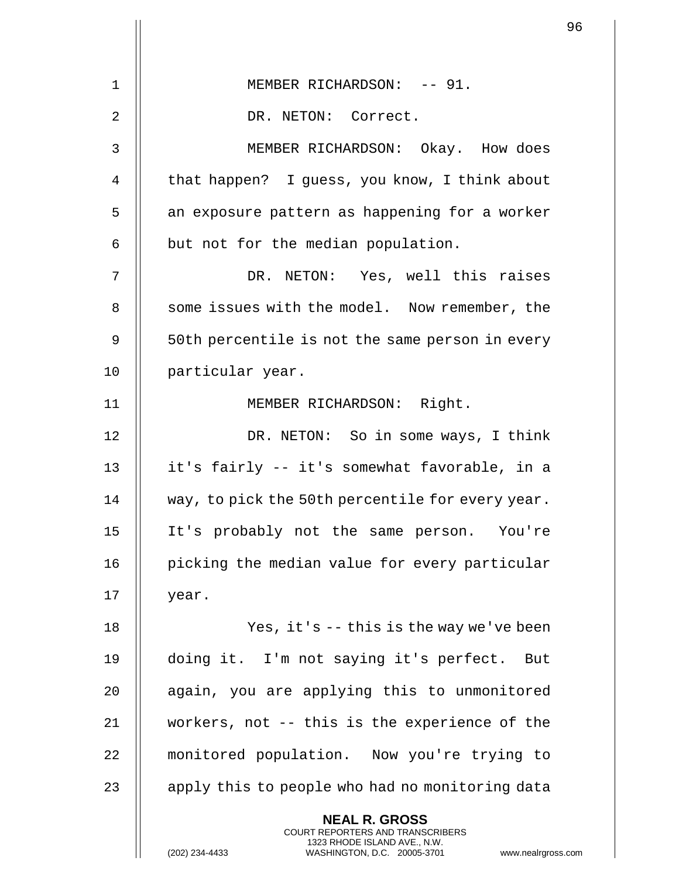| 1  | MEMBER RICHARDSON: -- 91.                                                                                                                                            |
|----|----------------------------------------------------------------------------------------------------------------------------------------------------------------------|
| 2  | DR. NETON: Correct.                                                                                                                                                  |
| 3  | MEMBER RICHARDSON: Okay. How does                                                                                                                                    |
| 4  | that happen? I guess, you know, I think about                                                                                                                        |
|    |                                                                                                                                                                      |
| 5  | an exposure pattern as happening for a worker                                                                                                                        |
| 6  | but not for the median population.                                                                                                                                   |
| 7  | DR. NETON: Yes, well this raises                                                                                                                                     |
| 8  | some issues with the model. Now remember, the                                                                                                                        |
| 9  | 50th percentile is not the same person in every                                                                                                                      |
| 10 | particular year.                                                                                                                                                     |
| 11 | MEMBER RICHARDSON: Right.                                                                                                                                            |
| 12 | DR. NETON: So in some ways, I think                                                                                                                                  |
| 13 | it's fairly -- it's somewhat favorable, in a                                                                                                                         |
| 14 | way, to pick the 50th percentile for every year.                                                                                                                     |
| 15 | It's probably not the same person. You're                                                                                                                            |
| 16 | picking the median value for every particular                                                                                                                        |
| 17 | year.                                                                                                                                                                |
| 18 | Yes, it's $-$ - this is the way we've been                                                                                                                           |
| 19 | doing it. I'm not saying it's perfect. But                                                                                                                           |
| 20 | again, you are applying this to unmonitored                                                                                                                          |
| 21 | workers, not -- this is the experience of the                                                                                                                        |
| 22 | monitored population. Now you're trying to                                                                                                                           |
| 23 | apply this to people who had no monitoring data                                                                                                                      |
|    | <b>NEAL R. GROSS</b><br><b>COURT REPORTERS AND TRANSCRIBERS</b><br>1323 RHODE ISLAND AVE., N.W.<br>(202) 234-4433<br>WASHINGTON, D.C. 20005-3701<br>www.nealrgross.c |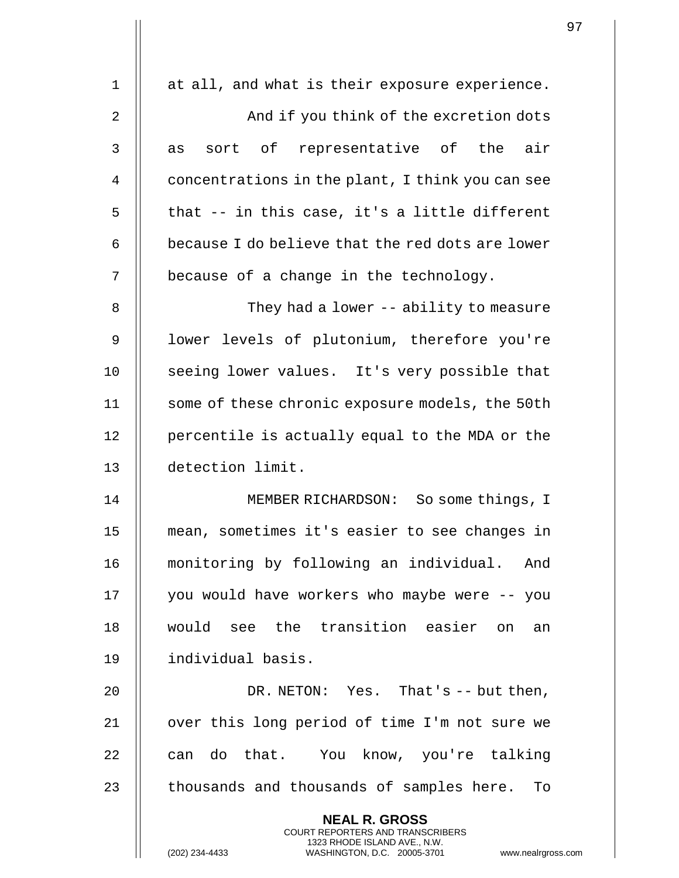| $\mathbf{1}$ | at all, and what is their exposure experience.                                                                                                                         |
|--------------|------------------------------------------------------------------------------------------------------------------------------------------------------------------------|
| 2            | And if you think of the excretion dots                                                                                                                                 |
| 3            | sort of representative of the air<br>as                                                                                                                                |
| 4            | concentrations in the plant, I think you can see                                                                                                                       |
| 5            | that -- in this case, it's a little different                                                                                                                          |
| 6            | because I do believe that the red dots are lower                                                                                                                       |
| 7            | because of a change in the technology.                                                                                                                                 |
| 8            | They had a lower -- ability to measure                                                                                                                                 |
| 9            | lower levels of plutonium, therefore you're                                                                                                                            |
| 10           | seeing lower values. It's very possible that                                                                                                                           |
| 11           | some of these chronic exposure models, the 50th                                                                                                                        |
| 12           | percentile is actually equal to the MDA or the                                                                                                                         |
| 13           | detection limit.                                                                                                                                                       |
| 14           | MEMBER RICHARDSON: So some things, I                                                                                                                                   |
| 15           | mean, sometimes it's easier to see changes in                                                                                                                          |
| 16           | monitoring by following an individual.<br>And                                                                                                                          |
| 17           | you would have workers who maybe were -- you                                                                                                                           |
| 18           | would see the transition easier on an                                                                                                                                  |
| 19           | individual basis.                                                                                                                                                      |
| 20           | DR. NETON: Yes. That's $-$ but then,                                                                                                                                   |
| 21           | over this long period of time I'm not sure we                                                                                                                          |
| 22           | can do that. You know, you're talking                                                                                                                                  |
| 23           | thousands and thousands of samples here. To                                                                                                                            |
|              | <b>NEAL R. GROSS</b><br><b>COURT REPORTERS AND TRANSCRIBERS</b><br>1323 RHODE ISLAND AVE., N.W.<br>(202) 234-4433<br>WASHINGTON, D.C. 20005-3701<br>www.nealrgross.com |

 $\mathbf{I}$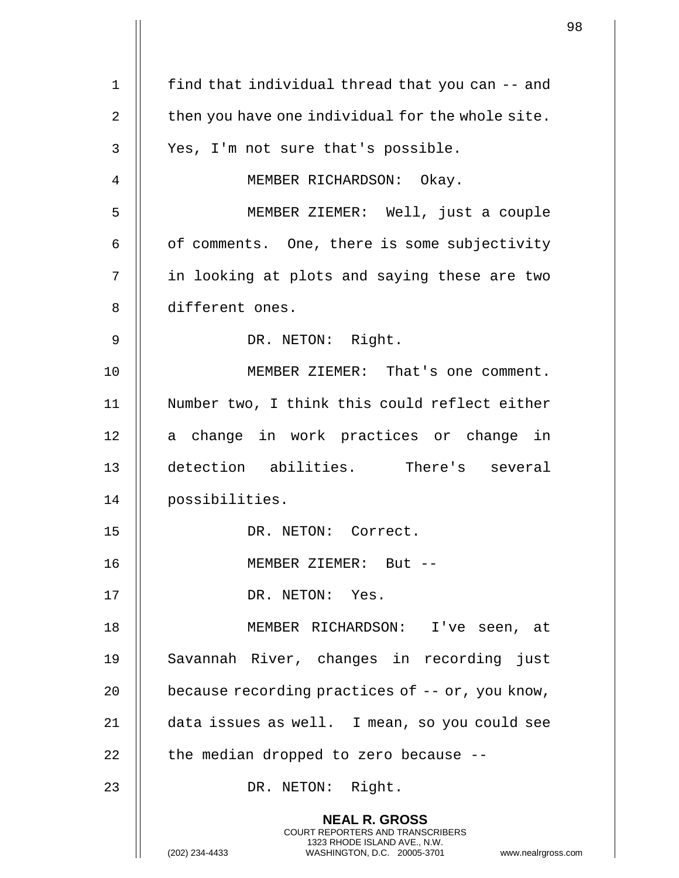|                |                                                                                                                                                                     | 98 |
|----------------|---------------------------------------------------------------------------------------------------------------------------------------------------------------------|----|
| $\mathbf 1$    | find that individual thread that you can -- and                                                                                                                     |    |
| $\overline{2}$ | then you have one individual for the whole site.                                                                                                                    |    |
|                |                                                                                                                                                                     |    |
| 3              | Yes, I'm not sure that's possible.                                                                                                                                  |    |
| 4              | MEMBER RICHARDSON: Okay.                                                                                                                                            |    |
| 5              | MEMBER ZIEMER: Well, just a couple                                                                                                                                  |    |
| 6              | of comments. One, there is some subjectivity                                                                                                                        |    |
| 7              | in looking at plots and saying these are two                                                                                                                        |    |
| 8              | different ones.                                                                                                                                                     |    |
| 9              | DR. NETON: Right.                                                                                                                                                   |    |
| 10             | MEMBER ZIEMER: That's one comment.                                                                                                                                  |    |
| 11             | Number two, I think this could reflect either                                                                                                                       |    |
| 12             | a change in work practices or change in                                                                                                                             |    |
| 13             | detection abilities. There's several                                                                                                                                |    |
| 14             | possibilities.                                                                                                                                                      |    |
| 15             | DR. NETON: Correct.                                                                                                                                                 |    |
| 16             | MEMBER ZIEMER: But --                                                                                                                                               |    |
| 17             | DR. NETON: Yes.                                                                                                                                                     |    |
| 18             | MEMBER RICHARDSON: I've seen, at                                                                                                                                    |    |
| 19             | Savannah River, changes in recording just                                                                                                                           |    |
| 20             | because recording practices of $-$ - or, you know,                                                                                                                  |    |
| 21             | data issues as well. I mean, so you could see                                                                                                                       |    |
| 22             | the median dropped to zero because --                                                                                                                               |    |
| 23             | DR. NETON: Right.                                                                                                                                                   |    |
|                | <b>NEAL R. GROSS</b><br><b>COURT REPORTERS AND TRANSCRIBERS</b><br>1323 RHODE ISLAND AVE., N.W.<br>WASHINGTON, D.C. 20005-3701 www.nealrgross.com<br>(202) 234-4433 |    |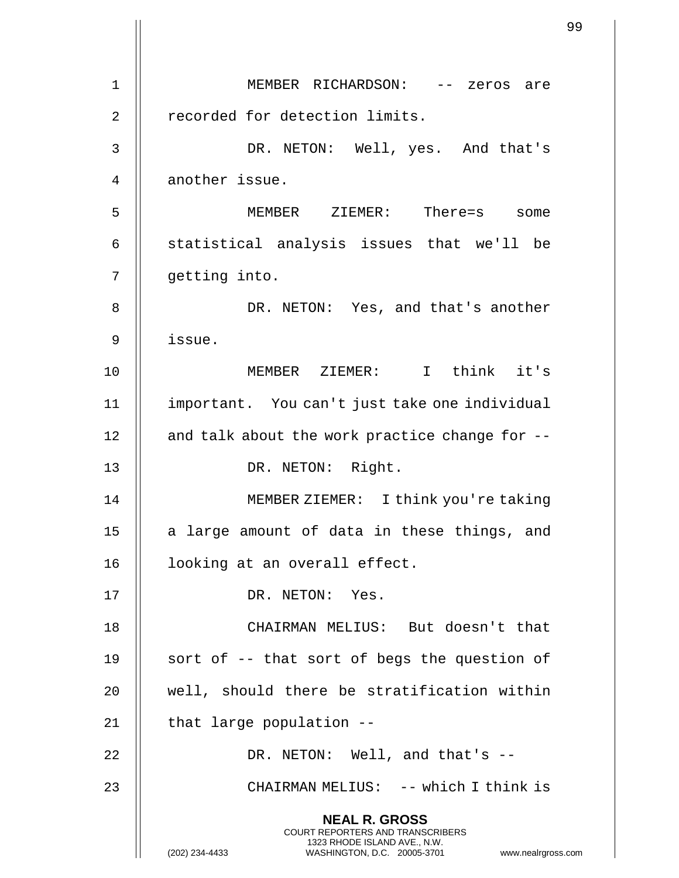|    |                                                                                                                                                | 99 |
|----|------------------------------------------------------------------------------------------------------------------------------------------------|----|
| 1  | MEMBER RICHARDSON: -- zeros are                                                                                                                |    |
| 2  | recorded for detection limits.                                                                                                                 |    |
|    |                                                                                                                                                |    |
| 3  | DR. NETON: Well, yes. And that's                                                                                                               |    |
| 4  | another issue.                                                                                                                                 |    |
| 5  | MEMBER ZIEMER: There=s some                                                                                                                    |    |
| 6  | statistical analysis issues that we'll be                                                                                                      |    |
| 7  | getting into.                                                                                                                                  |    |
| 8  | DR. NETON: Yes, and that's another                                                                                                             |    |
| 9  | issue.                                                                                                                                         |    |
| 10 | MEMBER ZIEMER: I think it's                                                                                                                    |    |
| 11 | important. You can't just take one individual                                                                                                  |    |
| 12 | and talk about the work practice change for --                                                                                                 |    |
| 13 | DR. NETON: Right.                                                                                                                              |    |
| 14 | MEMBER ZIEMER: I think you're taking                                                                                                           |    |
| 15 | a large amount of data in these things, and                                                                                                    |    |
| 16 | looking at an overall effect.                                                                                                                  |    |
| 17 | DR. NETON: Yes.                                                                                                                                |    |
| 18 | CHAIRMAN MELIUS: But doesn't that                                                                                                              |    |
| 19 | sort of -- that sort of begs the question of                                                                                                   |    |
| 20 | well, should there be stratification within                                                                                                    |    |
| 21 | that large population --                                                                                                                       |    |
| 22 | DR. NETON: Well, and that's --                                                                                                                 |    |
| 23 | CHAIRMAN MELIUS: -- which I think is                                                                                                           |    |
|    | <b>NEAL R. GROSS</b>                                                                                                                           |    |
|    | <b>COURT REPORTERS AND TRANSCRIBERS</b><br>1323 RHODE ISLAND AVE., N.W.<br>(202) 234-4433<br>WASHINGTON, D.C. 20005-3701<br>www.nealrgross.com |    |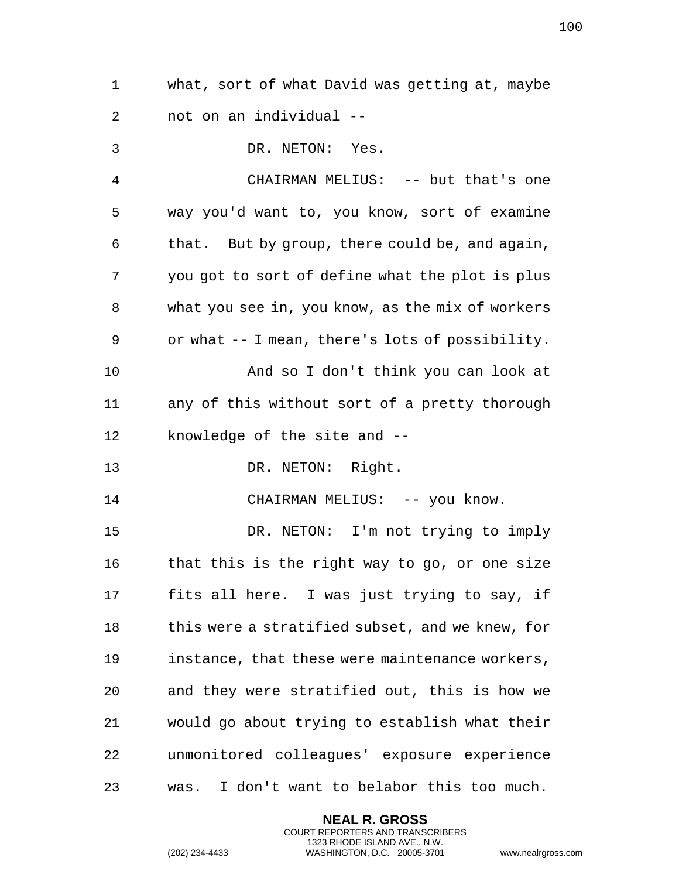|    |                                                  | $\mathbf 1$ |
|----|--------------------------------------------------|-------------|
| 1  | what, sort of what David was getting at, maybe   |             |
|    |                                                  |             |
| 2  | not on an individual --                          |             |
| 3  | DR. NETON: Yes.                                  |             |
| 4  | CHAIRMAN MELIUS: -- but that's one               |             |
| 5  | way you'd want to, you know, sort of examine     |             |
| 6  | that. But by group, there could be, and again,   |             |
| 7  | you got to sort of define what the plot is plus  |             |
| 8  | what you see in, you know, as the mix of workers |             |
| 9  | or what -- I mean, there's lots of possibility.  |             |
| 10 | And so I don't think you can look at             |             |
| 11 | any of this without sort of a pretty thorough    |             |
| 12 | knowledge of the site and --                     |             |
| 13 | DR. NETON: Right.                                |             |
| 14 | CHAIRMAN MELIUS: -- you know.                    |             |
| 15 | DR. NETON: I'm not trying to imply               |             |
| 16 | that this is the right way to go, or one size    |             |
| 17 | fits all here. I was just trying to say, if      |             |
| 18 | this were a stratified subset, and we knew, for  |             |
| 19 | instance, that these were maintenance workers,   |             |
| 20 | and they were stratified out, this is how we     |             |
| 21 | would go about trying to establish what their    |             |
| 22 | unmonitored colleagues' exposure experience      |             |
| 23 | was. I don't want to belabor this too much.      |             |
|    | <b>NEAL R. GROSS</b>                             |             |

COURT REPORTERS AND TRANSCRIBERS 1323 RHODE ISLAND AVE., N.W.

 $\parallel$ 

(202) 234-4433 WASHINGTON, D.C. 20005-3701 www.nealrgross.com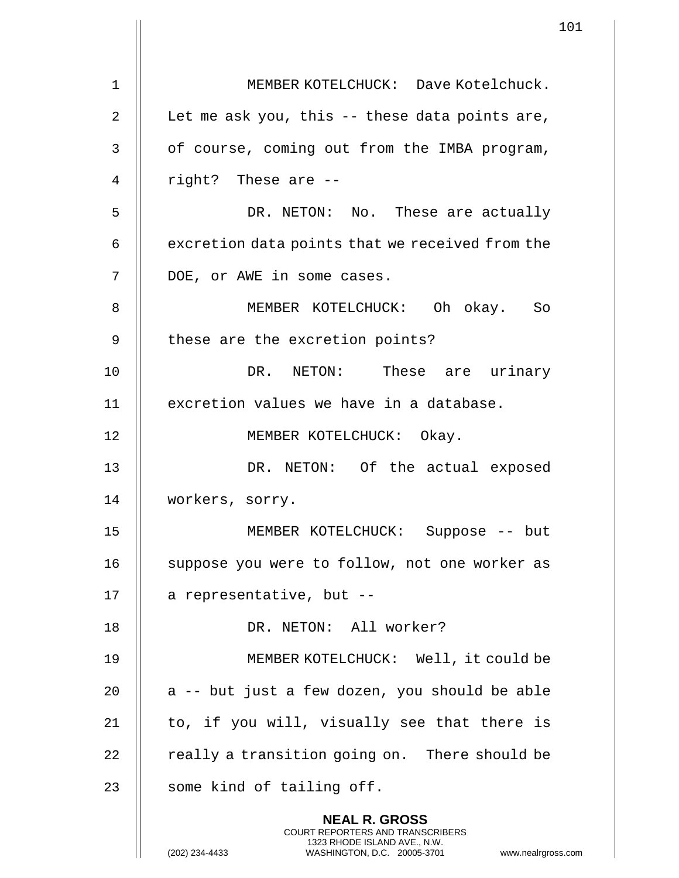|             |                                                                                                                                                                        | 101 |
|-------------|------------------------------------------------------------------------------------------------------------------------------------------------------------------------|-----|
| $\mathbf 1$ | MEMBER KOTELCHUCK: Dave Kotelchuck.                                                                                                                                    |     |
|             |                                                                                                                                                                        |     |
| 2           | Let me ask you, this -- these data points are,                                                                                                                         |     |
| 3           | of course, coming out from the IMBA program,                                                                                                                           |     |
| 4           | right? These are --                                                                                                                                                    |     |
| 5           | DR. NETON: No. These are actually                                                                                                                                      |     |
| 6           | excretion data points that we received from the                                                                                                                        |     |
| 7           | DOE, or AWE in some cases.                                                                                                                                             |     |
| 8           | MEMBER KOTELCHUCK: Oh okay. So                                                                                                                                         |     |
| 9           | these are the excretion points?                                                                                                                                        |     |
| 10          | DR. NETON: These are urinary                                                                                                                                           |     |
| 11          | excretion values we have in a database.                                                                                                                                |     |
| 12          | MEMBER KOTELCHUCK: Okay.                                                                                                                                               |     |
| 13          | DR. NETON: Of the actual exposed                                                                                                                                       |     |
| 14          | workers, sorry.                                                                                                                                                        |     |
| 15          | MEMBER KOTELCHUCK: Suppose -- but                                                                                                                                      |     |
| 16          | suppose you were to follow, not one worker as                                                                                                                          |     |
| 17          | a representative, but --                                                                                                                                               |     |
| 18          | DR. NETON: All worker?                                                                                                                                                 |     |
| 19          | MEMBER KOTELCHUCK: Well, it could be                                                                                                                                   |     |
| 20          | a -- but just a few dozen, you should be able                                                                                                                          |     |
| 21          | to, if you will, visually see that there is                                                                                                                            |     |
| 22          | really a transition going on. There should be                                                                                                                          |     |
|             |                                                                                                                                                                        |     |
| 23          | some kind of tailing off.                                                                                                                                              |     |
|             | <b>NEAL R. GROSS</b><br><b>COURT REPORTERS AND TRANSCRIBERS</b><br>1323 RHODE ISLAND AVE., N.W.<br>(202) 234-4433<br>WASHINGTON, D.C. 20005-3701<br>www.nealrgross.com |     |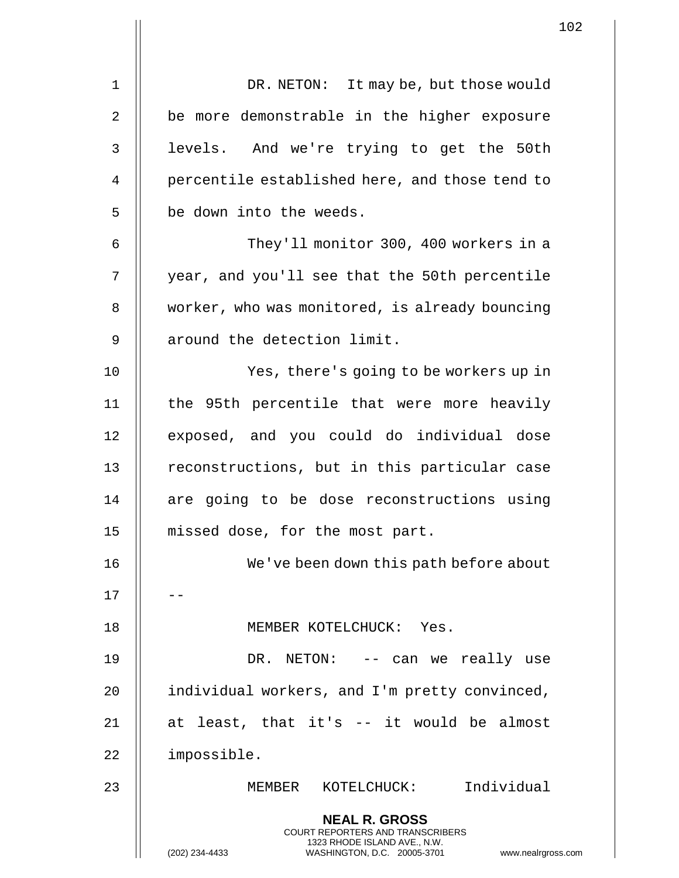|             |                                                                                                                                                                        | 102 |
|-------------|------------------------------------------------------------------------------------------------------------------------------------------------------------------------|-----|
| $\mathbf 1$ | DR. NETON: It may be, but those would                                                                                                                                  |     |
| 2           | be more demonstrable in the higher exposure                                                                                                                            |     |
| 3           | levels. And we're trying to get the 50th                                                                                                                               |     |
| 4           | percentile established here, and those tend to                                                                                                                         |     |
|             |                                                                                                                                                                        |     |
| 5           | be down into the weeds.                                                                                                                                                |     |
| 6           | They'll monitor 300, 400 workers in a                                                                                                                                  |     |
| 7           | year, and you'll see that the 50th percentile                                                                                                                          |     |
| 8           | worker, who was monitored, is already bouncing                                                                                                                         |     |
| 9           | around the detection limit.                                                                                                                                            |     |
| 10          | Yes, there's going to be workers up in                                                                                                                                 |     |
| 11          | the 95th percentile that were more heavily                                                                                                                             |     |
| 12          | exposed, and you could do individual dose                                                                                                                              |     |
| 13          | reconstructions, but in this particular case                                                                                                                           |     |
| 14          | are going to be dose reconstructions using                                                                                                                             |     |
| 15          | missed dose, for the most part.                                                                                                                                        |     |
| 16          | We've been down this path before about                                                                                                                                 |     |
| 17          |                                                                                                                                                                        |     |
| 18          | MEMBER KOTELCHUCK: Yes.                                                                                                                                                |     |
| 19          | DR. NETON: -- can we really use                                                                                                                                        |     |
| 20          | individual workers, and I'm pretty convinced,                                                                                                                          |     |
| 21          | at least, that it's -- it would be almost                                                                                                                              |     |
| 22          | impossible.                                                                                                                                                            |     |
| 23          | MEMBER KOTELCHUCK: Individual                                                                                                                                          |     |
|             | <b>NEAL R. GROSS</b><br><b>COURT REPORTERS AND TRANSCRIBERS</b><br>1323 RHODE ISLAND AVE., N.W.<br>(202) 234-4433<br>WASHINGTON, D.C. 20005-3701<br>www.nealrgross.com |     |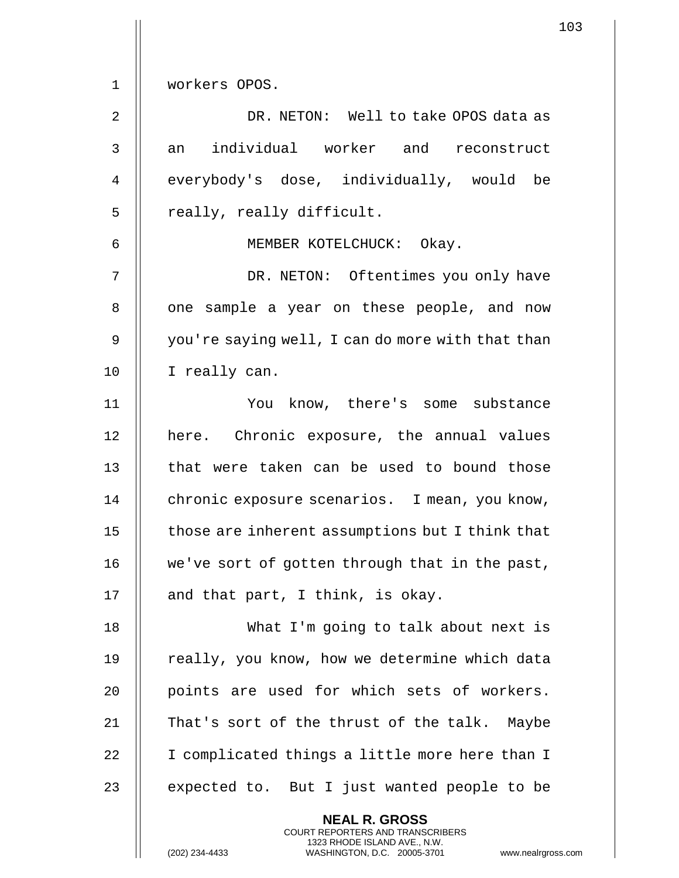1 workers OPOS.

2 DR. NETON: Well to take OPOS data as 3 || an individual worker and reconstruct 4 || everybody's dose, individually, would be 5 || really, really difficult.

6 MEMBER KOTELCHUCK: Okay.

7 || DR. NETON: Oftentimes you only have 8 || one sample a year on these people, and now 9 | you're saying well, I can do more with that than 10 | I really can.

11 You know, there's some substance 12 || here. Chronic exposure, the annual values 13 || that were taken can be used to bound those 14 | chronic exposure scenarios. I mean, you know,  $15$   $\parallel$  those are inherent assumptions but I think that 16 | we've sort of gotten through that in the past, 17  $\parallel$  and that part, I think, is okay.

18 What I'm going to talk about next is 19 || really, you know, how we determine which data 20 || points are used for which sets of workers. 21 || That's sort of the thrust of the talk. Maybe 22 | I complicated things a little more here than I 23  $\parallel$  expected to. But I just wanted people to be

> **NEAL R. GROSS** COURT REPORTERS AND TRANSCRIBERS 1323 RHODE ISLAND AVE., N.W.

(202) 234-4433 WASHINGTON, D.C. 20005-3701 www.nealrgross.com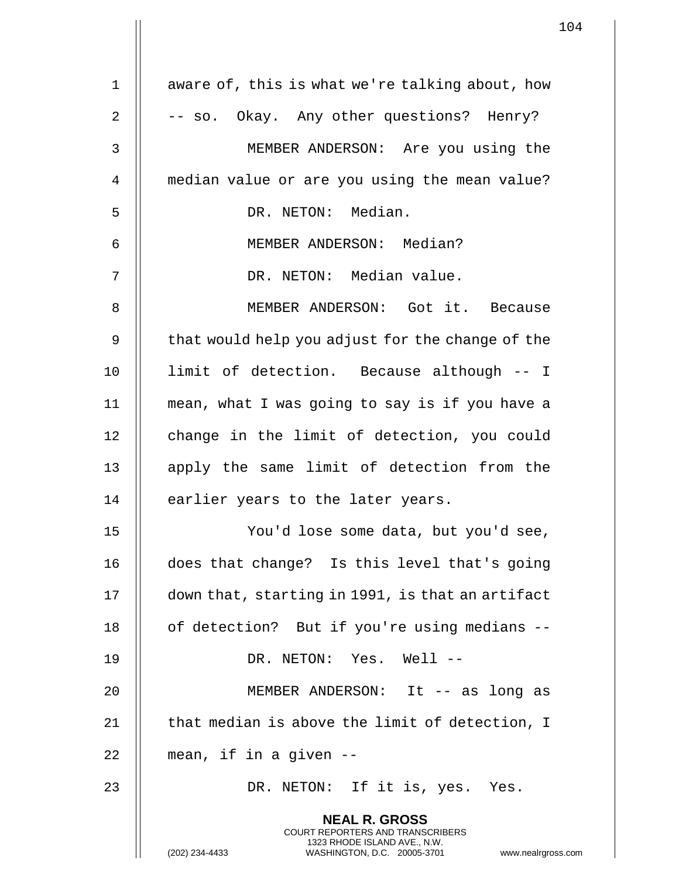|             |                                                                                                                                                                        | 104 |
|-------------|------------------------------------------------------------------------------------------------------------------------------------------------------------------------|-----|
| $\mathbf 1$ | aware of, this is what we're talking about, how                                                                                                                        |     |
|             |                                                                                                                                                                        |     |
| 2           | -- so. Okay. Any other questions? Henry?                                                                                                                               |     |
| 3           | MEMBER ANDERSON: Are you using the                                                                                                                                     |     |
| 4           | median value or are you using the mean value?                                                                                                                          |     |
| 5           | DR. NETON: Median.                                                                                                                                                     |     |
| 6           | MEMBER ANDERSON: Median?                                                                                                                                               |     |
| 7           | DR. NETON: Median value.                                                                                                                                               |     |
| 8           | MEMBER ANDERSON: Got it. Because                                                                                                                                       |     |
| 9           | that would help you adjust for the change of the                                                                                                                       |     |
| 10          | limit of detection. Because although -- I                                                                                                                              |     |
| 11          | mean, what I was going to say is if you have a                                                                                                                         |     |
| 12          | change in the limit of detection, you could                                                                                                                            |     |
| 13          | apply the same limit of detection from the                                                                                                                             |     |
| 14          | earlier years to the later years.                                                                                                                                      |     |
| 15          | You'd lose some data, but you'd see,                                                                                                                                   |     |
| 16          | does that change? Is this level that's going                                                                                                                           |     |
| 17          | down that, starting in 1991, is that an artifact                                                                                                                       |     |
| 18          | of detection? But if you're using medians --                                                                                                                           |     |
| 19          | DR. NETON: Yes. Well --                                                                                                                                                |     |
| 20          | MEMBER ANDERSON: It -- as long as                                                                                                                                      |     |
| 21          | that median is above the limit of detection, I                                                                                                                         |     |
| 22          | mean, if in a given --                                                                                                                                                 |     |
| 23          | DR. NETON: If it is, yes. Yes.                                                                                                                                         |     |
|             | <b>NEAL R. GROSS</b><br><b>COURT REPORTERS AND TRANSCRIBERS</b><br>1323 RHODE ISLAND AVE., N.W.<br>(202) 234-4433<br>WASHINGTON, D.C. 20005-3701<br>www.nealrgross.com |     |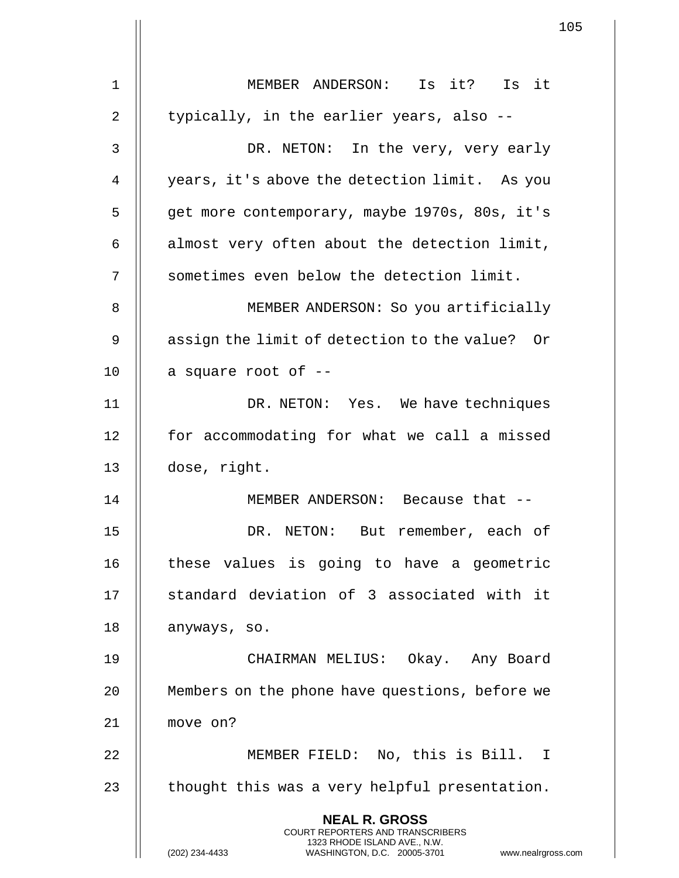|                | 105                                                                                                                                                                 |  |
|----------------|---------------------------------------------------------------------------------------------------------------------------------------------------------------------|--|
| 1              | MEMBER ANDERSON: Is it? Is it                                                                                                                                       |  |
|                |                                                                                                                                                                     |  |
| $\overline{2}$ | typically, in the earlier years, also --                                                                                                                            |  |
| 3              | DR. NETON: In the very, very early                                                                                                                                  |  |
| 4              | years, it's above the detection limit. As you                                                                                                                       |  |
| 5              | get more contemporary, maybe 1970s, 80s, it's                                                                                                                       |  |
| 6              | almost very often about the detection limit,                                                                                                                        |  |
| 7              | sometimes even below the detection limit.                                                                                                                           |  |
| 8              | MEMBER ANDERSON: So you artificially                                                                                                                                |  |
| 9              | assign the limit of detection to the value? Or                                                                                                                      |  |
| 10             | a square root of --                                                                                                                                                 |  |
| 11             | DR. NETON: Yes. We have techniques                                                                                                                                  |  |
| 12             | for accommodating for what we call a missed                                                                                                                         |  |
| 13             | dose, right.                                                                                                                                                        |  |
| 14             | MEMBER ANDERSON: Because that --                                                                                                                                    |  |
| 15             | DR. NETON: But remember, each of                                                                                                                                    |  |
| 16             | these values is going to have a geometric                                                                                                                           |  |
| 17             | standard deviation of 3 associated with it                                                                                                                          |  |
| 18             | anyways, so.                                                                                                                                                        |  |
| 19             | CHAIRMAN MELIUS: Okay. Any Board                                                                                                                                    |  |
| 20             | Members on the phone have questions, before we                                                                                                                      |  |
| 21             | move on?                                                                                                                                                            |  |
| 22             | MEMBER FIELD: No, this is Bill. I                                                                                                                                   |  |
| 23             | thought this was a very helpful presentation.                                                                                                                       |  |
|                | <b>NEAL R. GROSS</b><br><b>COURT REPORTERS AND TRANSCRIBERS</b><br>1323 RHODE ISLAND AVE., N.W.<br>(202) 234-4433<br>WASHINGTON, D.C. 20005-3701 www.nealrgross.com |  |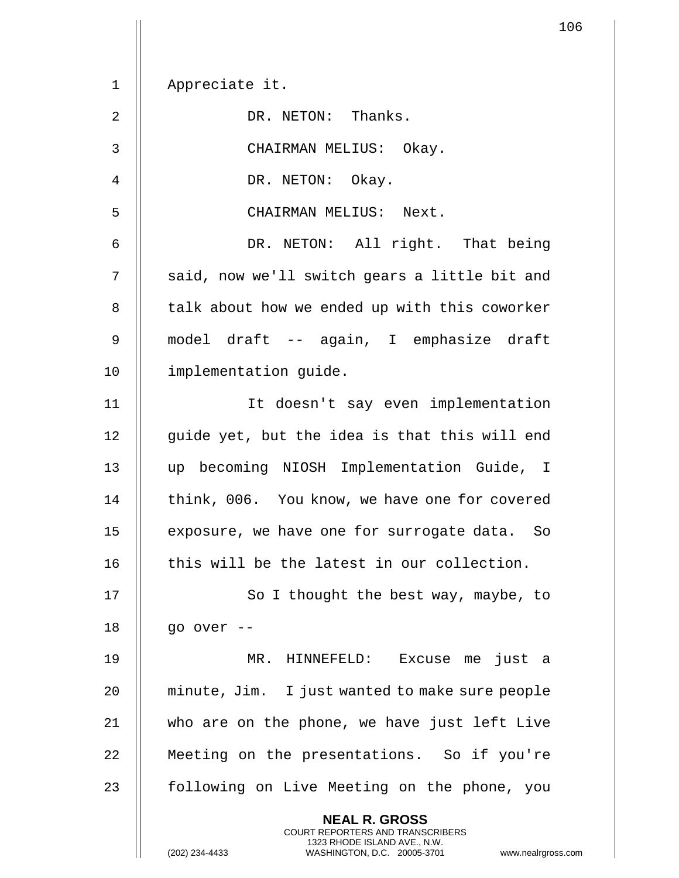1 Appreciate it. 2 | DR. NETON: Thanks. 3 CHAIRMAN MELIUS: Okay. 4 || DR. NETON: Okay. 5 || CHAIRMAN MELIUS: Next. 6 DR. NETON: All right. That being  $7$   $\parallel$  said, now we'll switch gears a little bit and 8 | talk about how we ended up with this coworker 9 model draft -- again, I emphasize draft 10 | implementation quide. 11 It doesn't say even implementation  $12$  | quide yet, but the idea is that this will end 13 up becoming NIOSH Implementation Guide, I 14 | think, 006. You know, we have one for covered 15 || exposure, we have one for surrogate data. So  $16$   $\parallel$  this will be the latest in our collection. 17 || So I thought the best way, maybe, to 18 || go over --19 MR. HINNEFELD: Excuse me just a 20 || minute, Jim. I just wanted to make sure people 21 who are on the phone, we have just left Live 22 | Meeting on the presentations. So if you're 23 || following on Live Meeting on the phone, you **NEAL R. GROSS**

> COURT REPORTERS AND TRANSCRIBERS 1323 RHODE ISLAND AVE., N.W.

(202) 234-4433 WASHINGTON, D.C. 20005-3701 www.nealrgross.com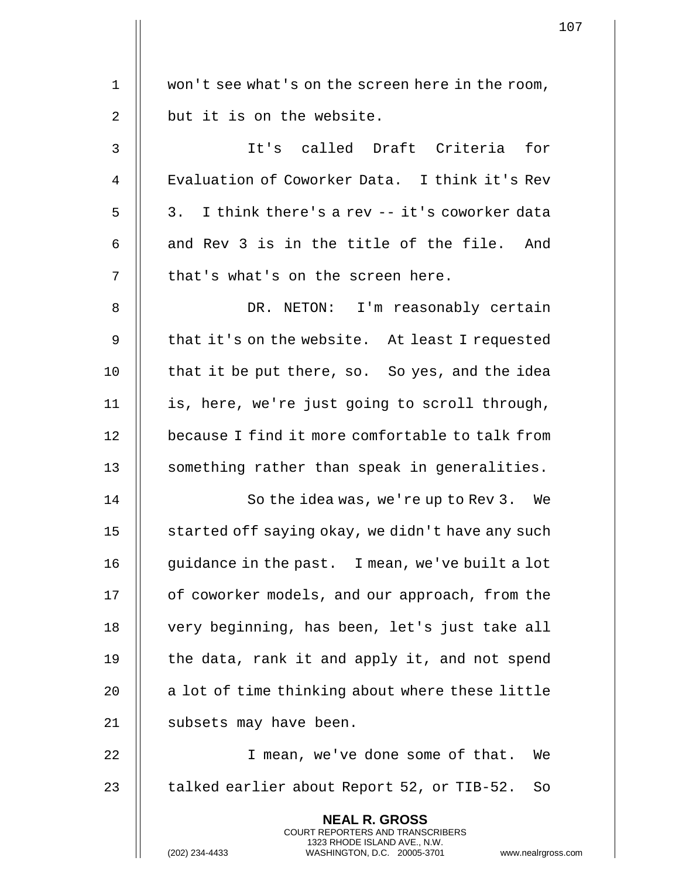|                | $\mathbf{1}$                                                                                                                                                        |
|----------------|---------------------------------------------------------------------------------------------------------------------------------------------------------------------|
| 1              | won't see what's on the screen here in the room,                                                                                                                    |
|                |                                                                                                                                                                     |
| $\overline{2}$ | but it is on the website.                                                                                                                                           |
| 3              | It's called Draft Criteria for                                                                                                                                      |
| 4              | Evaluation of Coworker Data. I think it's Rev                                                                                                                       |
| 5              | I think there's a rev -- it's coworker data<br>3.                                                                                                                   |
| 6              | and Rev 3 is in the title of the file. And                                                                                                                          |
| 7              | that's what's on the screen here.                                                                                                                                   |
| 8              | DR. NETON: I'm reasonably certain                                                                                                                                   |
| 9              | that it's on the website. At least I requested                                                                                                                      |
| 10             | that it be put there, so. So yes, and the idea                                                                                                                      |
| 11             | is, here, we're just going to scroll through,                                                                                                                       |
| 12             | because I find it more comfortable to talk from                                                                                                                     |
| 13             | something rather than speak in generalities.                                                                                                                        |
| 14             | So the idea was, we're up to Rev 3. We                                                                                                                              |
| 15             | started off saying okay, we didn't have any such                                                                                                                    |
| 16             | guidance in the past. I mean, we've built a lot                                                                                                                     |
| 17             | of coworker models, and our approach, from the                                                                                                                      |
| 18             | very beginning, has been, let's just take all                                                                                                                       |
| 19             | the data, rank it and apply it, and not spend                                                                                                                       |
| 20             | a lot of time thinking about where these little                                                                                                                     |
| 21             | subsets may have been.                                                                                                                                              |
| 22             | I mean, we've done some of that.<br>We                                                                                                                              |
| 23             | talked earlier about Report 52, or TIB-52.<br>So                                                                                                                    |
|                | <b>NEAL R. GROSS</b><br><b>COURT REPORTERS AND TRANSCRIBERS</b><br>1323 RHODE ISLAND AVE., N.W.<br>(202) 234-4433<br>WASHINGTON, D.C. 20005-3701<br>www.nealrgross. |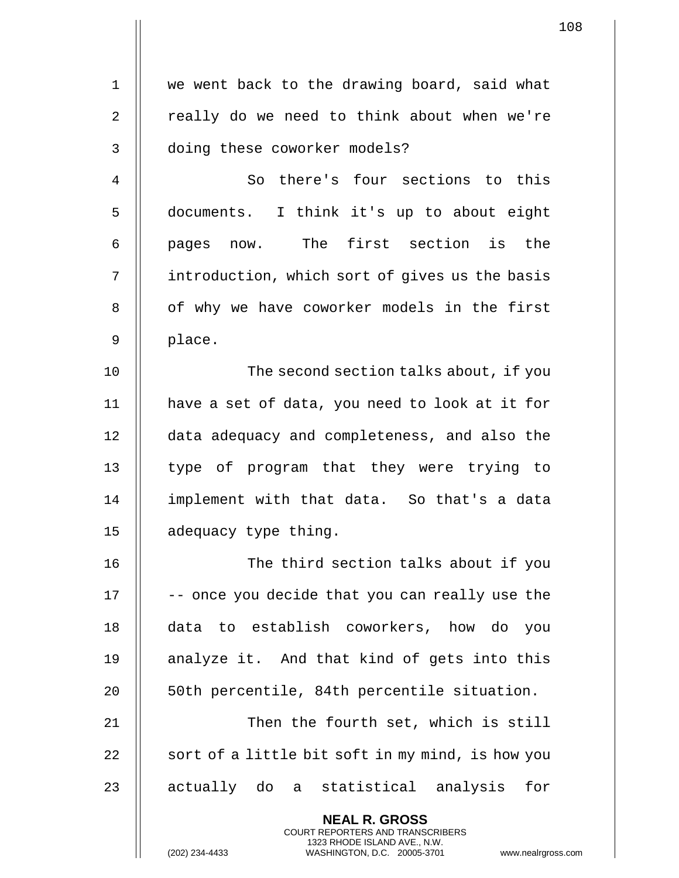1 || we went back to the drawing board, said what  $2 \parallel$  really do we need to think about when we're 3 | doing these coworker models? 4 || So there's four sections to this

5 documents. I think it's up to about eight 6 pages now. The first section is the 7 | introduction, which sort of gives us the basis 8 || of why we have coworker models in the first 9 || place.

10 || The second section talks about, if you 11 have a set of data, you need to look at it for 12 data adequacy and completeness, and also the 13 || type of program that they were trying to 14 implement with that data. So that's a data 15 || adequacy type thing.

16 || The third section talks about if you  $17$   $\parallel$  -- once you decide that you can really use the 18 data to establish coworkers, how do you 19  $\parallel$  analyze it. And that kind of gets into this 20 || 50th percentile, 84th percentile situation.

21 || Then the fourth set, which is still 22  $\parallel$  sort of a little bit soft in my mind, is how you 23 || actually do a statistical analysis for

> **NEAL R. GROSS** COURT REPORTERS AND TRANSCRIBERS 1323 RHODE ISLAND AVE., N.W.

(202) 234-4433 WASHINGTON, D.C. 20005-3701 www.nealrgross.com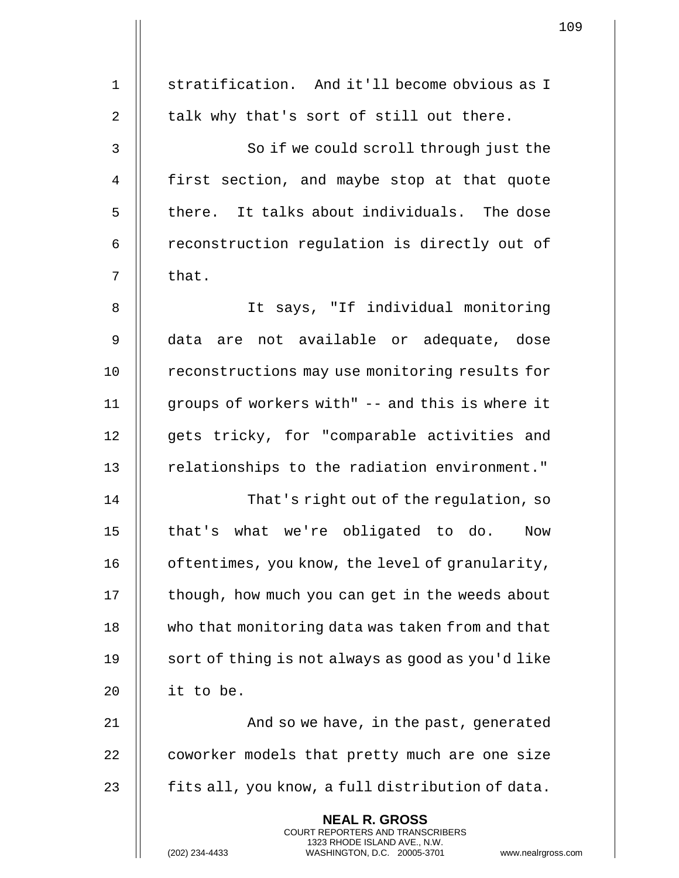| $\mathbf 1$    | stratification. And it'll become obvious as I                                                                                                                     |  |
|----------------|-------------------------------------------------------------------------------------------------------------------------------------------------------------------|--|
| $\overline{2}$ | talk why that's sort of still out there.                                                                                                                          |  |
| $\mathbf{3}$   | So if we could scroll through just the                                                                                                                            |  |
| $\overline{4}$ | first section, and maybe stop at that quote                                                                                                                       |  |
| 5              | there. It talks about individuals. The dose                                                                                                                       |  |
| 6              | reconstruction regulation is directly out of                                                                                                                      |  |
| 7              | that.                                                                                                                                                             |  |
| 8              | It says, "If individual monitoring                                                                                                                                |  |
| 9              | data are not available or adequate, dose                                                                                                                          |  |
| 10             | reconstructions may use monitoring results for                                                                                                                    |  |
| 11             | groups of workers with" -- and this is where it                                                                                                                   |  |
| 12             | gets tricky, for "comparable activities and                                                                                                                       |  |
| 13             | relationships to the radiation environment."                                                                                                                      |  |
| 14             | That's right out of the regulation, so                                                                                                                            |  |
| 15             | that's what we're obligated to do.<br>Now                                                                                                                         |  |
| 16             | oftentimes, you know, the level of granularity,                                                                                                                   |  |
| 17             | though, how much you can get in the weeds about                                                                                                                   |  |
| 18             | who that monitoring data was taken from and that                                                                                                                  |  |
| 19             | sort of thing is not always as good as you'd like                                                                                                                 |  |
| 20             | it to be.                                                                                                                                                         |  |
| 21             | And so we have, in the past, generated                                                                                                                            |  |
| 22             | coworker models that pretty much are one size                                                                                                                     |  |
| 23             | fits all, you know, a full distribution of data.                                                                                                                  |  |
|                | <b>NEAL R. GROSS</b><br><b>COURT REPORTERS AND TRANSCRIBERS</b><br>1323 RHODE ISLAND AVE., N.W.<br>(202) 234-4433<br>WASHINGTON, D.C. 20005-3701<br>www.nealrgros |  |

(202) 234-4433 WASHINGTON, D.C. 20005-3701 www.nealrgross.com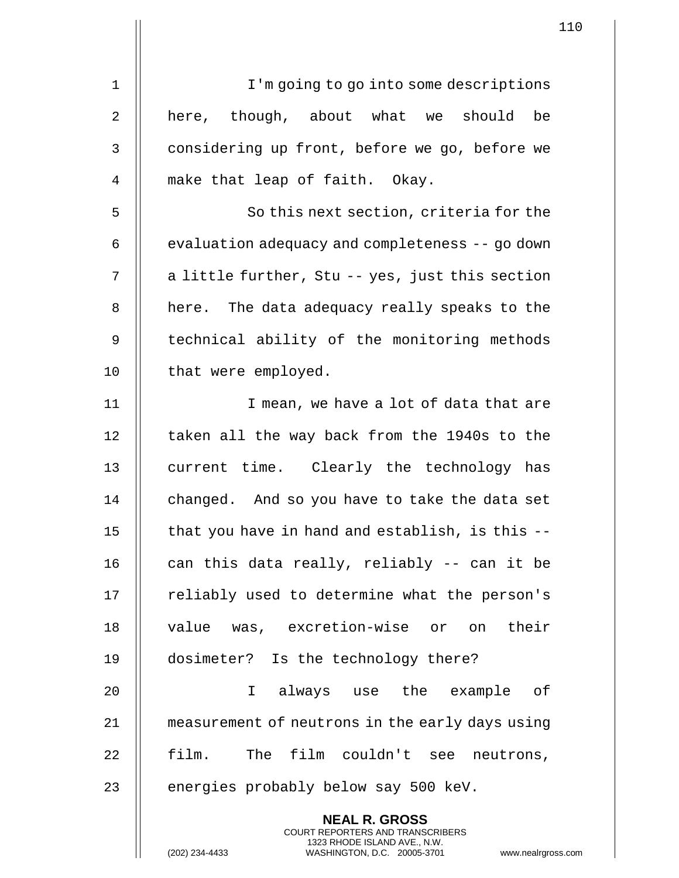|             | 1                                                                                                                                                                  |
|-------------|--------------------------------------------------------------------------------------------------------------------------------------------------------------------|
| $\mathbf 1$ | I'm going to go into some descriptions                                                                                                                             |
|             |                                                                                                                                                                    |
| 2           | here, though, about what we should<br>be                                                                                                                           |
| 3           | considering up front, before we go, before we                                                                                                                      |
| 4           | make that leap of faith. Okay.                                                                                                                                     |
| 5           | So this next section, criteria for the                                                                                                                             |
| 6           | evaluation adequacy and completeness -- go down                                                                                                                    |
| 7           | a little further, Stu -- yes, just this section                                                                                                                    |
| $\, 8$      | here. The data adequacy really speaks to the                                                                                                                       |
| 9           | technical ability of the monitoring methods                                                                                                                        |
| 10          | that were employed.                                                                                                                                                |
| 11          | I mean, we have a lot of data that are                                                                                                                             |
| 12          | taken all the way back from the 1940s to the                                                                                                                       |
| 13          | current time. Clearly the technology has                                                                                                                           |
| 14          | changed. And so you have to take the data set                                                                                                                      |
| 15          | that you have in hand and establish, is this --                                                                                                                    |
| 16          | can this data really, reliably -- can it be                                                                                                                        |
| 17          | reliably used to determine what the person's                                                                                                                       |
| 18          | value was, excretion-wise or on their                                                                                                                              |
| 19          | dosimeter? Is the technology there?                                                                                                                                |
| 20          | always use the example of<br>I.                                                                                                                                    |
| 21          | measurement of neutrons in the early days using                                                                                                                    |
| 22          | film. The film couldn't see neutrons,                                                                                                                              |
| 23          | energies probably below say 500 keV.                                                                                                                               |
|             | <b>NEAL R. GROSS</b><br><b>COURT REPORTERS AND TRANSCRIBERS</b><br>1323 RHODE ISLAND AVE., N.W.<br>WASHINGTON, D.C. 20005-3701<br>(202) 234-4433<br>www.nealrgross |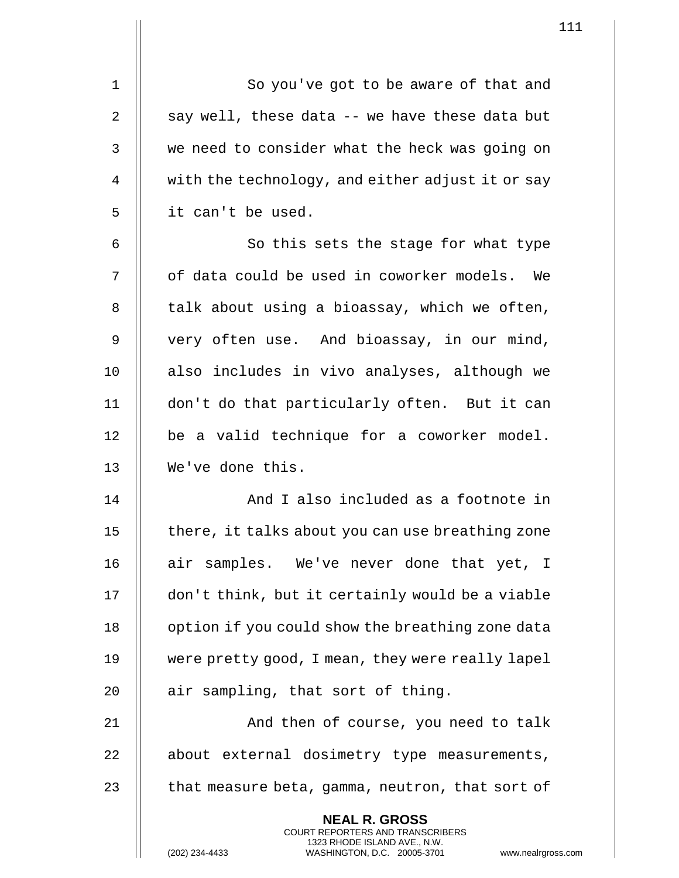| 1           | So you've got to be aware of that and                                                                                                                             |  |
|-------------|-------------------------------------------------------------------------------------------------------------------------------------------------------------------|--|
| 2           | say well, these data -- we have these data but                                                                                                                    |  |
| 3           | we need to consider what the heck was going on                                                                                                                    |  |
| 4           | with the technology, and either adjust it or say                                                                                                                  |  |
| 5           | it can't be used.                                                                                                                                                 |  |
| 6           | So this sets the stage for what type                                                                                                                              |  |
| 7           | of data could be used in coworker models. We                                                                                                                      |  |
| 8           | talk about using a bioassay, which we often,                                                                                                                      |  |
| $\mathsf 9$ | very often use. And bioassay, in our mind,                                                                                                                        |  |
| 10          | also includes in vivo analyses, although we                                                                                                                       |  |
| 11          | don't do that particularly often. But it can                                                                                                                      |  |
| 12          | be a valid technique for a coworker model.                                                                                                                        |  |
| 13          | We've done this.                                                                                                                                                  |  |
| 14          | And I also included as a footnote in                                                                                                                              |  |
| 15          | there, it talks about you can use breathing zone                                                                                                                  |  |
| 16          | air samples. We've never done that yet, I                                                                                                                         |  |
| 17          | don't think, but it certainly would be a viable                                                                                                                   |  |
| 18          | option if you could show the breathing zone data                                                                                                                  |  |
| 19          | were pretty good, I mean, they were really lapel                                                                                                                  |  |
| 20          | air sampling, that sort of thing.                                                                                                                                 |  |
| 21          | And then of course, you need to talk                                                                                                                              |  |
| 22          | about external dosimetry type measurements,                                                                                                                       |  |
| 23          | that measure beta, gamma, neutron, that sort of                                                                                                                   |  |
|             | <b>NEAL R. GROSS</b><br><b>COURT REPORTERS AND TRANSCRIBERS</b><br>1323 RHODE ISLAND AVE., N.W.<br>(202) 234-4433<br>www.nealrgros<br>WASHINGTON, D.C. 20005-3701 |  |

(202) 234-4433 WASHINGTON, D.C. 20005-3701 www.nealrgross.com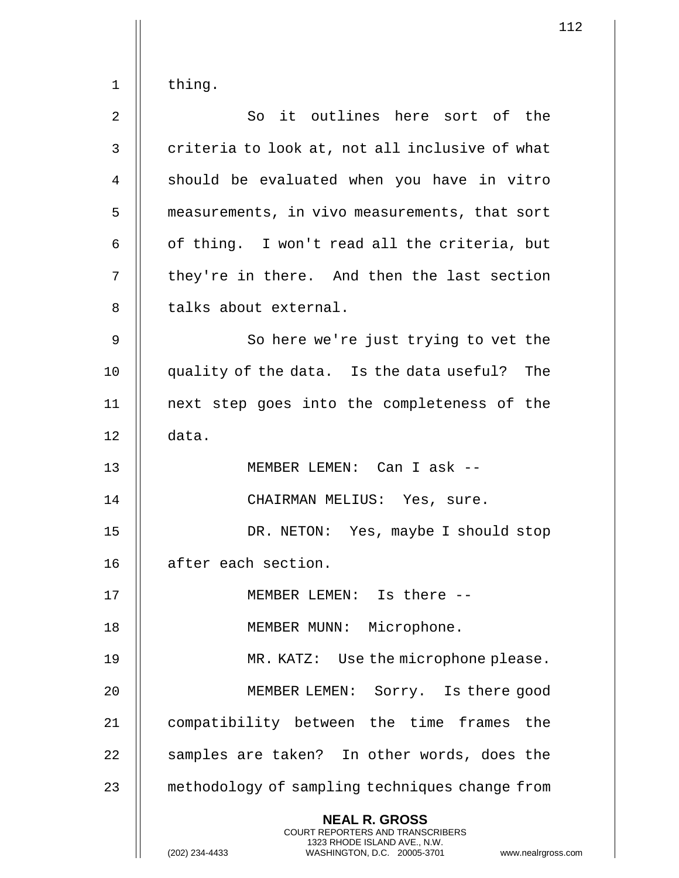2 || So it outlines here sort of the  $3$   $\parallel$  criteria to look at, not all inclusive of what 4 || should be evaluated when you have in vitro 5 | measurements, in vivo measurements, that sort 6  $\parallel$  of thing. I won't read all the criteria, but  $7$   $\parallel$  they're in there. And then the last section 8 || talks about external. 9 || So here we're just trying to vet the 10 quality of the data. Is the data useful? The 11 next step goes into the completeness of the 12 data. 13 MEMBER LEMEN: Can I ask -- 14 || CHAIRMAN MELIUS: Yes, sure. 15 DR. NETON: Yes, maybe I should stop 16 | after each section. 17 || MEMBER LEMEN: Is there --18 || MEMBER MUNN: Microphone. 19 MR. KATZ: Use the microphone please. 20 MEMBER LEMEN: Sorry. Is there good 21 compatibility between the time frames the 22 || samples are taken? In other words, does the 23 || methodology of sampling techniques change from **NEAL R. GROSS** COURT REPORTERS AND TRANSCRIBERS 1323 RHODE ISLAND AVE., N.W.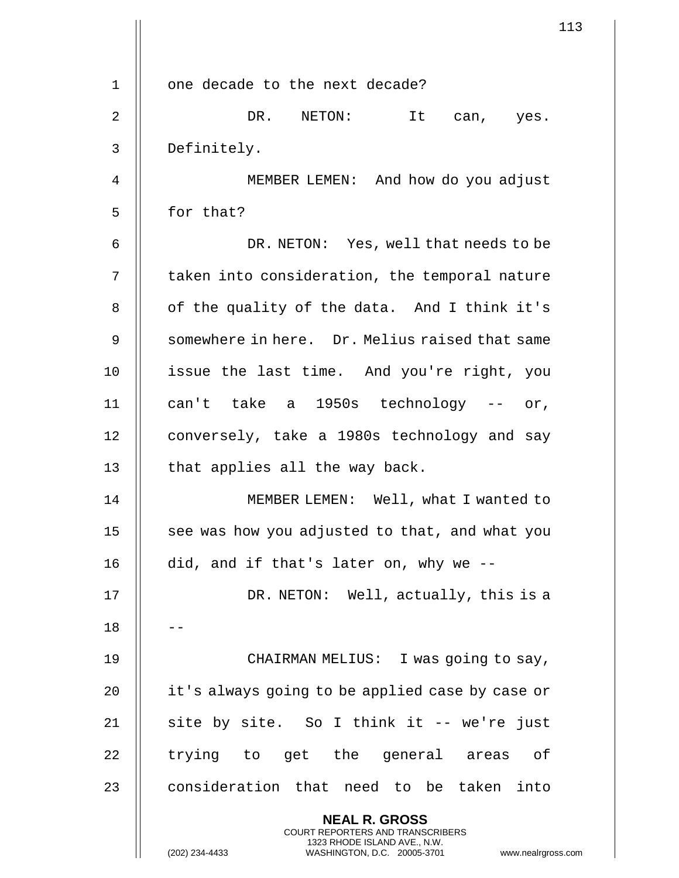|    | 113                                                                                                                                                                    |  |
|----|------------------------------------------------------------------------------------------------------------------------------------------------------------------------|--|
|    |                                                                                                                                                                        |  |
| 1  | one decade to the next decade?                                                                                                                                         |  |
| 2  | DR. NETON: It can, yes.                                                                                                                                                |  |
| 3  | Definitely.                                                                                                                                                            |  |
| 4  | MEMBER LEMEN: And how do you adjust                                                                                                                                    |  |
| 5  | for that?                                                                                                                                                              |  |
| 6  | DR. NETON: Yes, well that needs to be                                                                                                                                  |  |
| 7  | taken into consideration, the temporal nature                                                                                                                          |  |
| 8  | of the quality of the data. And I think it's                                                                                                                           |  |
| 9  | somewhere in here. Dr. Melius raised that same                                                                                                                         |  |
| 10 | issue the last time. And you're right, you                                                                                                                             |  |
| 11 | can't take a 1950s technology -- or,                                                                                                                                   |  |
| 12 | conversely, take a 1980s technology and say                                                                                                                            |  |
| 13 | that applies all the way back.                                                                                                                                         |  |
| 14 | MEMBER LEMEN: Well, what I wanted to                                                                                                                                   |  |
| 15 | see was how you adjusted to that, and what you                                                                                                                         |  |
| 16 | did, and if that's later on, why we --                                                                                                                                 |  |
| 17 | DR. NETON: Well, actually, this is a                                                                                                                                   |  |
| 18 |                                                                                                                                                                        |  |
| 19 | CHAIRMAN MELIUS: I was going to say,                                                                                                                                   |  |
| 20 | it's always going to be applied case by case or                                                                                                                        |  |
| 21 | site by site. So I think it -- we're just                                                                                                                              |  |
| 22 | trying to get the general areas of                                                                                                                                     |  |
| 23 | consideration that need to be taken into                                                                                                                               |  |
|    | <b>NEAL R. GROSS</b><br><b>COURT REPORTERS AND TRANSCRIBERS</b><br>1323 RHODE ISLAND AVE., N.W.<br>(202) 234-4433<br>WASHINGTON, D.C. 20005-3701<br>www.nealrgross.com |  |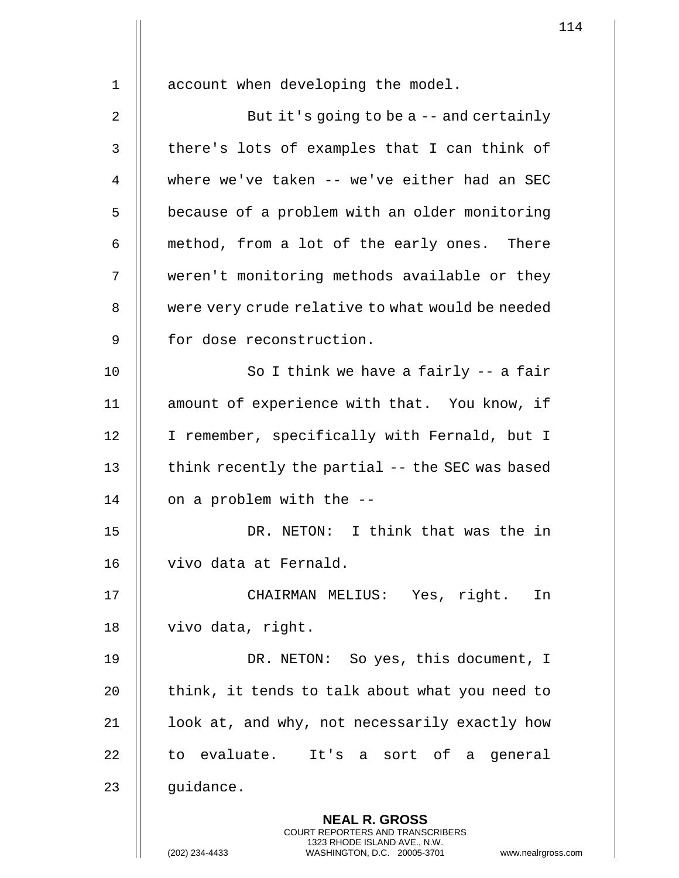1 | account when developing the model. 2 | But it's going to be a -- and certainly  $3$  | there's lots of examples that I can think of 4 Where we've taken -- we've either had an SEC 5 | because of a problem with an older monitoring  $6 \parallel$  method, from a lot of the early ones. There 7 weren't monitoring methods available or they 8 | were very crude relative to what would be needed 9 || for dose reconstruction. 10  $\parallel$  So I think we have a fairly -- a fair 11 || amount of experience with that. You know, if 12 | I remember, specifically with Fernald, but I 13  $\parallel$  think recently the partial -- the SEC was based 14  $\parallel$  on a problem with the  $-$ 15 DR. NETON: I think that was the in 16 | vivo data at Fernald. 17 CHAIRMAN MELIUS: Yes, right. In 18 | vivo data, right. 19 DR. NETON: So yes, this document, I  $20$  || think, it tends to talk about what you need to  $21$  |  $\vert$  look at, and why, not necessarily exactly how  $22$  || to evaluate. It's a sort of a general  $23$  || quidance. **NEAL R. GROSS** COURT REPORTERS AND TRANSCRIBERS 1323 RHODE ISLAND AVE., N.W.

(202) 234-4433 WASHINGTON, D.C. 20005-3701 www.nealrgross.com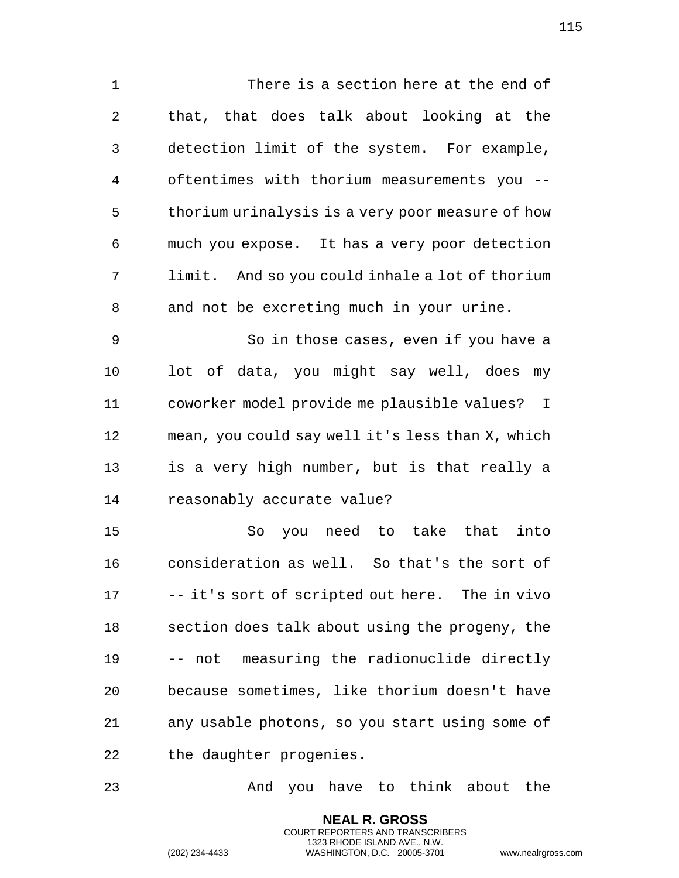| 1  | There is a section here at the end of                                                                                                                           |
|----|-----------------------------------------------------------------------------------------------------------------------------------------------------------------|
| 2  | that, that does talk about looking at the                                                                                                                       |
| 3  | detection limit of the system. For example,                                                                                                                     |
| 4  | oftentimes with thorium measurements you --                                                                                                                     |
| 5  | thorium urinalysis is a very poor measure of how                                                                                                                |
| 6  | much you expose. It has a very poor detection                                                                                                                   |
| 7  | limit. And so you could inhale a lot of thorium                                                                                                                 |
| 8  | and not be excreting much in your urine.                                                                                                                        |
| 9  | So in those cases, even if you have a                                                                                                                           |
| 10 | lot of data, you might say well, does my                                                                                                                        |
| 11 | coworker model provide me plausible values? I                                                                                                                   |
| 12 | mean, you could say well it's less than X, which                                                                                                                |
| 13 | is a very high number, but is that really a                                                                                                                     |
| 14 | reasonably accurate value?                                                                                                                                      |
| 15 | So<br>you need to take that<br>into                                                                                                                             |
| 16 | consideration as well. So that's the sort of                                                                                                                    |
| 17 | -- it's sort of scripted out here. The in vivo                                                                                                                  |
|    |                                                                                                                                                                 |
| 18 | section does talk about using the progeny, the                                                                                                                  |
| 19 | -- not measuring the radionuclide directly                                                                                                                      |
| 20 | because sometimes, like thorium doesn't have                                                                                                                    |
| 21 | any usable photons, so you start using some of                                                                                                                  |
| 22 | the daughter progenies.                                                                                                                                         |
| 23 | And you have to think about the                                                                                                                                 |
|    | <b>NEAL R. GROSS</b><br>COURT REPORTERS AND TRANSCRIBERS<br>1323 RHODE ISLAND AVE., N.W.<br>(202) 234-4433<br>www.nealrgross.com<br>WASHINGTON, D.C. 20005-3701 |

 $\mathbf{1}$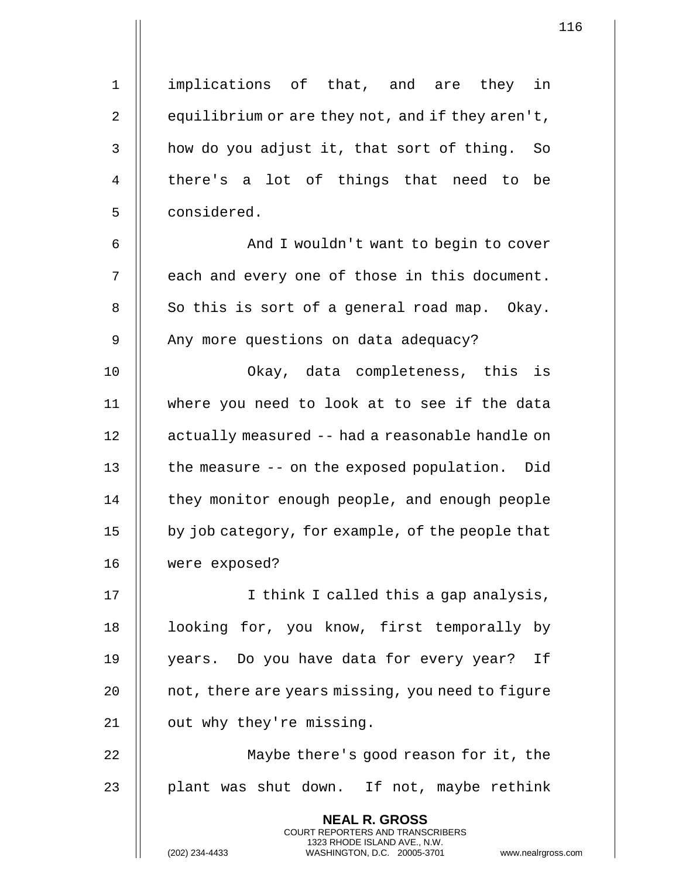1 || implications of that, and are they in 2  $\parallel$  equilibrium or are they not, and if they aren't,  $3$   $\parallel$  how do you adjust it, that sort of thing. So 4 || there's a lot of things that need to be 5 | considered.

6 | Robert And I wouldn't want to begin to cover  $7$   $\parallel$  each and every one of those in this document.  $8 \parallel$  So this is sort of a general road map. Okay. 9 | Any more questions on data adequacy?

10 Okay, data completeness, this is 11 where you need to look at to see if the data 12 | actually measured -- had a reasonable handle on 13 | the measure -- on the exposed population. Did 14 | they monitor enough people, and enough people 15 | by job category, for example, of the people that 16 were exposed?

17 || I think I called this a gap analysis, 18 || looking for, you know, first temporally by 19 years. Do you have data for every year? If  $20$  | not, there are years missing, you need to figure 21 | out why they're missing.

22 || Maybe there's good reason for it, the 23  $\parallel$  plant was shut down. If not, maybe rethink

> **NEAL R. GROSS** COURT REPORTERS AND TRANSCRIBERS 1323 RHODE ISLAND AVE., N.W.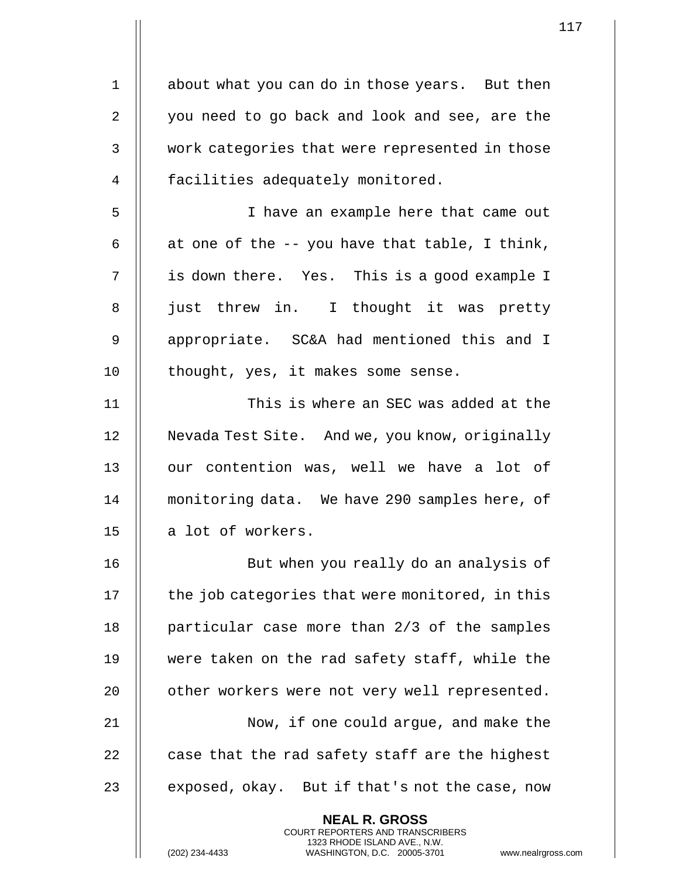| 1  | about what you can do in those years. But then                                                                                                                     |
|----|--------------------------------------------------------------------------------------------------------------------------------------------------------------------|
| 2  | you need to go back and look and see, are the                                                                                                                      |
| 3  | work categories that were represented in those                                                                                                                     |
| 4  | facilities adequately monitored.                                                                                                                                   |
| 5  | I have an example here that came out                                                                                                                               |
| 6  | at one of the -- you have that table, I think,                                                                                                                     |
| 7  | is down there. Yes. This is a good example I                                                                                                                       |
| 8  | just threw in. I thought it was pretty                                                                                                                             |
| 9  | appropriate. SC&A had mentioned this and I                                                                                                                         |
| 10 | thought, yes, it makes some sense.                                                                                                                                 |
| 11 | This is where an SEC was added at the                                                                                                                              |
| 12 | Nevada Test Site. And we, you know, originally                                                                                                                     |
| 13 | our contention was, well we have a lot of                                                                                                                          |
| 14 | monitoring data. We have 290 samples here, of                                                                                                                      |
| 15 | a lot of workers.                                                                                                                                                  |
| 16 | But when you really do an analysis of                                                                                                                              |
| 17 | the job categories that were monitored, in this                                                                                                                    |
| 18 | particular case more than 2/3 of the samples                                                                                                                       |
| 19 | were taken on the rad safety staff, while the                                                                                                                      |
| 20 | other workers were not very well represented.                                                                                                                      |
| 21 | Now, if one could argue, and make the                                                                                                                              |
| 22 | case that the rad safety staff are the highest                                                                                                                     |
| 23 | exposed, okay. But if that's not the case, now                                                                                                                     |
|    | <b>NEAL R. GROSS</b><br><b>COURT REPORTERS AND TRANSCRIBERS</b><br>1323 RHODE ISLAND AVE., N.W.<br>WASHINGTON, D.C. 20005-3701<br>(202) 234-4433<br>www.nealrgross |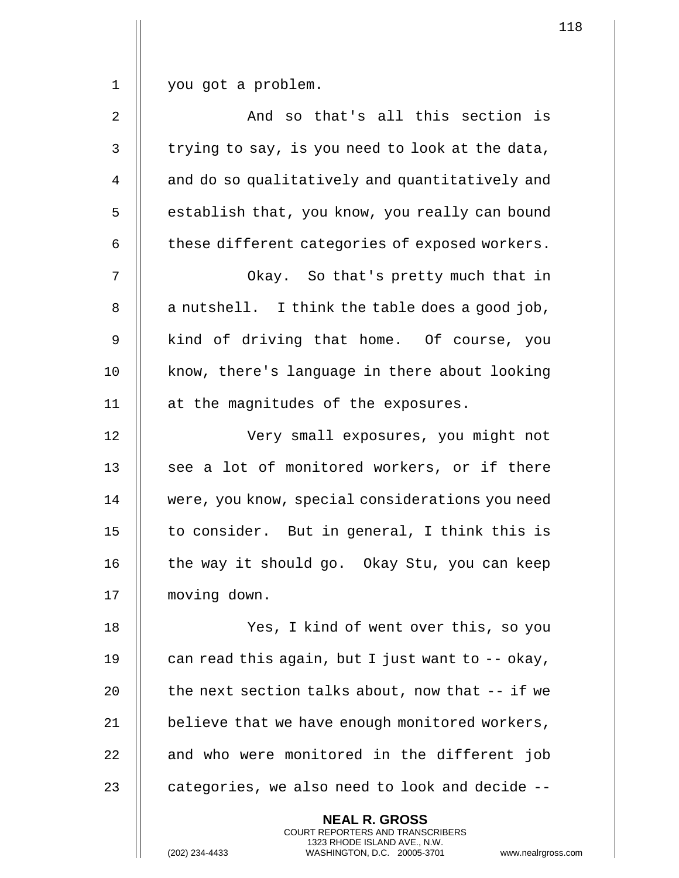1 you got a problem.

 $2 \parallel$  and so that's all this section is  $3 \parallel$  trying to say, is you need to look at the data, 4 | and do so qualitatively and quantitatively and 5 | establish that, you know, you really can bound  $6 \parallel$  these different categories of exposed workers.

7 || Okay. So that's pretty much that in  $8$  || a nutshell. I think the table does a good job, 9 || kind of driving that home. Of course, you 10 || know, there's language in there about looking 11 at the magnitudes of the exposures.

12 Very small exposures, you might not 13 || see a lot of monitored workers, or if there 14 | were, you know, special considerations you need 15  $\parallel$  to consider. But in general, I think this is 16 | the way it should go. Okay Stu, you can keep 17 moving down.

 Yes, I kind of went over this, so you  $\parallel$  can read this again, but I just want to -- okay,  $\parallel$  the next section talks about, now that  $-$  if we  $\parallel$  believe that we have enough monitored workers,  $\parallel$  and who were monitored in the different job  $\parallel$  categories, we also need to look and decide  $-$ -

> **NEAL R. GROSS** COURT REPORTERS AND TRANSCRIBERS 1323 RHODE ISLAND AVE., N.W.

118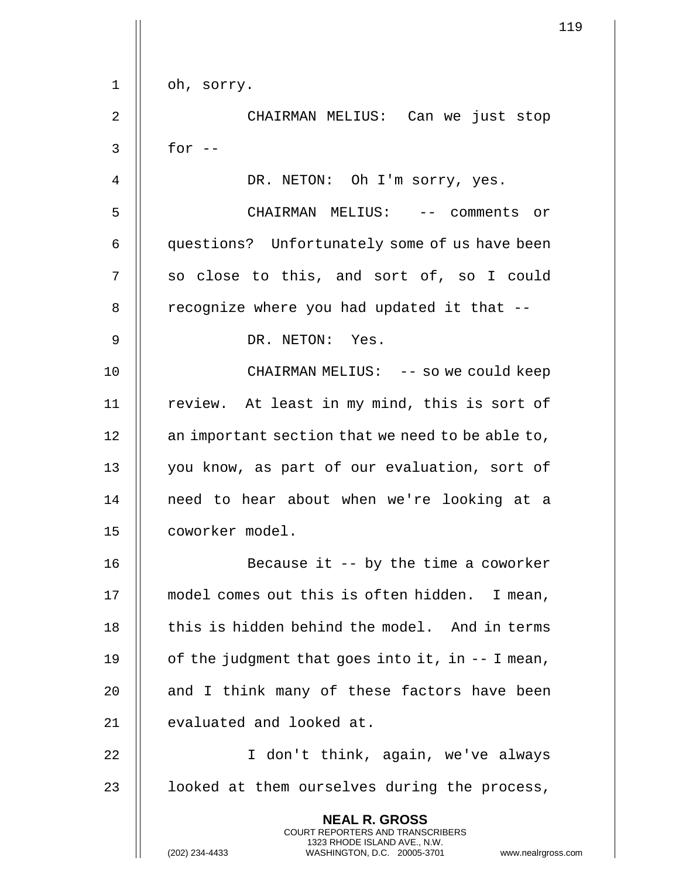| $\mathbf 1$  | oh, sorry.                                                                                                                                                         |
|--------------|--------------------------------------------------------------------------------------------------------------------------------------------------------------------|
|              |                                                                                                                                                                    |
| 2            | CHAIRMAN MELIUS: Can we just stop                                                                                                                                  |
| $\mathsf{3}$ | for $--$                                                                                                                                                           |
| 4            | DR. NETON: Oh I'm sorry, yes.                                                                                                                                      |
| 5            | CHAIRMAN MELIUS: -- comments or                                                                                                                                    |
| 6            | questions? Unfortunately some of us have been                                                                                                                      |
| 7            | so close to this, and sort of, so I could                                                                                                                          |
| 8            | recognize where you had updated it that --                                                                                                                         |
| 9            | DR. NETON: Yes.                                                                                                                                                    |
| 10           | CHAIRMAN MELIUS: -- so we could keep                                                                                                                               |
| 11           | review. At least in my mind, this is sort of                                                                                                                       |
| 12           | an important section that we need to be able to,                                                                                                                   |
| 13           | you know, as part of our evaluation, sort of                                                                                                                       |
| 14           | need to hear about when we're looking at a                                                                                                                         |
| 15           | coworker model.                                                                                                                                                    |
| 16           | Because it $-$ by the time a coworker                                                                                                                              |
| 17           | model comes out this is often hidden. I mean,                                                                                                                      |
| 18           | this is hidden behind the model. And in terms                                                                                                                      |
| 19           | of the judgment that goes into it, in $-$ I mean,                                                                                                                  |
| 20           | and I think many of these factors have been                                                                                                                        |
| 21           | evaluated and looked at.                                                                                                                                           |
| 22           | I don't think, again, we've always                                                                                                                                 |
| 23           | looked at them ourselves during the process,                                                                                                                       |
|              | <b>NEAL R. GROSS</b><br><b>COURT REPORTERS AND TRANSCRIBERS</b><br>1323 RHODE ISLAND AVE., N.W.<br>(202) 234-4433<br>WASHINGTON, D.C. 20005-3701<br>www.nealrgross |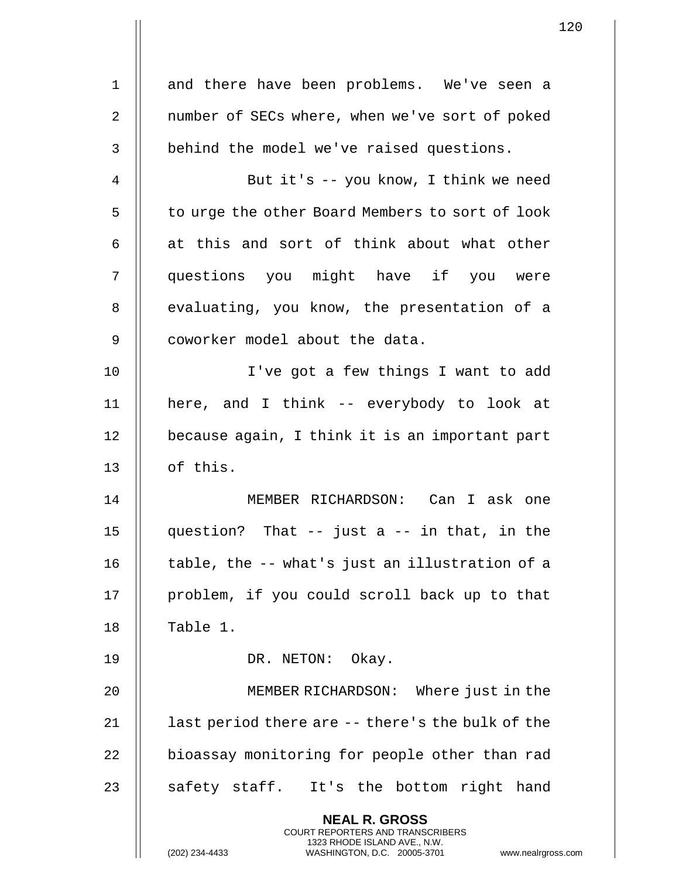|                | $\mathbf{1}$                                                                                                                                                         |  |
|----------------|----------------------------------------------------------------------------------------------------------------------------------------------------------------------|--|
| 1              | and there have been problems. We've seen a                                                                                                                           |  |
| $\overline{2}$ | number of SECs where, when we've sort of poked                                                                                                                       |  |
| 3              | behind the model we've raised questions.                                                                                                                             |  |
| 4              | But it's -- you know, I think we need                                                                                                                                |  |
| 5              | to urge the other Board Members to sort of look                                                                                                                      |  |
| 6              | at this and sort of think about what other                                                                                                                           |  |
| 7              | questions you might have if you were                                                                                                                                 |  |
| 8              | evaluating, you know, the presentation of a                                                                                                                          |  |
| 9              | coworker model about the data.                                                                                                                                       |  |
| 10             | I've got a few things I want to add                                                                                                                                  |  |
| 11             |                                                                                                                                                                      |  |
| 12             | here, and I think -- everybody to look at                                                                                                                            |  |
| 13             | because again, I think it is an important part<br>of this.                                                                                                           |  |
| 14             | MEMBER RICHARDSON: Can I ask one                                                                                                                                     |  |
| 15             |                                                                                                                                                                      |  |
|                | question? That -- just a -- in that, in the                                                                                                                          |  |
| 16             | table, the -- what's just an illustration of a                                                                                                                       |  |
| 17             | problem, if you could scroll back up to that                                                                                                                         |  |
| 18             | Table 1.                                                                                                                                                             |  |
| 19             | DR. NETON: Okay.                                                                                                                                                     |  |
| 20             | MEMBER RICHARDSON: Where just in the                                                                                                                                 |  |
| 21             | last period there are -- there's the bulk of the                                                                                                                     |  |
| 22             | bioassay monitoring for people other than rad                                                                                                                        |  |
| 23             | safety staff. It's the bottom right hand                                                                                                                             |  |
|                | <b>NEAL R. GROSS</b><br><b>COURT REPORTERS AND TRANSCRIBERS</b><br>1323 RHODE ISLAND AVE., N.W.<br>(202) 234-4433<br>WASHINGTON, D.C. 20005-3701<br>www.nealrgross.o |  |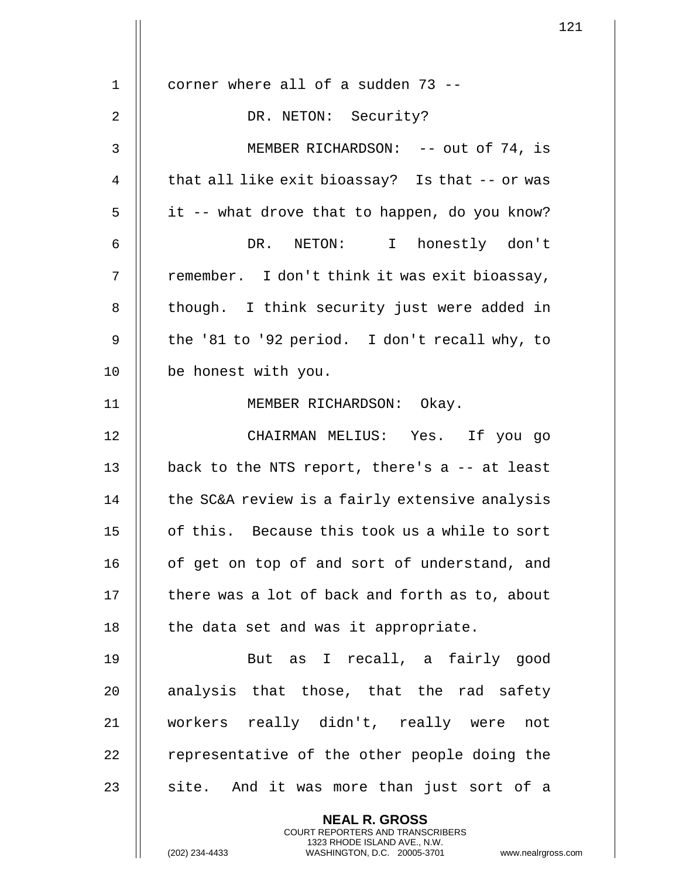|                | 1                                                                                                                                                                  |  |
|----------------|--------------------------------------------------------------------------------------------------------------------------------------------------------------------|--|
|                |                                                                                                                                                                    |  |
| $\mathbf{1}$   | corner where all of a sudden 73 --                                                                                                                                 |  |
| $\overline{2}$ | DR. NETON: Security?                                                                                                                                               |  |
| 3              | MEMBER RICHARDSON: -- out of 74, is                                                                                                                                |  |
| $\overline{4}$ | that all like exit bioassay? Is that -- or was                                                                                                                     |  |
| 5              | it -- what drove that to happen, do you know?                                                                                                                      |  |
| 6              | DR. NETON: I honestly don't                                                                                                                                        |  |
| 7              | remember. I don't think it was exit bioassay,                                                                                                                      |  |
| 8              | though. I think security just were added in                                                                                                                        |  |
| 9              | the '81 to '92 period. I don't recall why, to                                                                                                                      |  |
| 10             | be honest with you.                                                                                                                                                |  |
| 11             | MEMBER RICHARDSON: Okay.                                                                                                                                           |  |
| 12             | CHAIRMAN MELIUS: Yes. If you go                                                                                                                                    |  |
| 13             | back to the NTS report, there's a -- at least                                                                                                                      |  |
| 14             | the SC&A review is a fairly extensive analysis                                                                                                                     |  |
| 15             | of this. Because this took us a while to sort                                                                                                                      |  |
| 16             | of get on top of and sort of understand, and                                                                                                                       |  |
| 17             | there was a lot of back and forth as to, about                                                                                                                     |  |
| 18             | the data set and was it appropriate.                                                                                                                               |  |
| 19             | But as I recall, a fairly good                                                                                                                                     |  |
| 20             | analysis that those, that the rad safety                                                                                                                           |  |
| 21             | workers really didn't, really were not                                                                                                                             |  |
| 22             | representative of the other people doing the                                                                                                                       |  |
| 23             | site. And it was more than just sort of a                                                                                                                          |  |
|                | <b>NEAL R. GROSS</b><br><b>COURT REPORTERS AND TRANSCRIBERS</b><br>1323 RHODE ISLAND AVE., N.W.<br>(202) 234-4433<br>WASHINGTON, D.C. 20005-3701<br>www.nealrgross |  |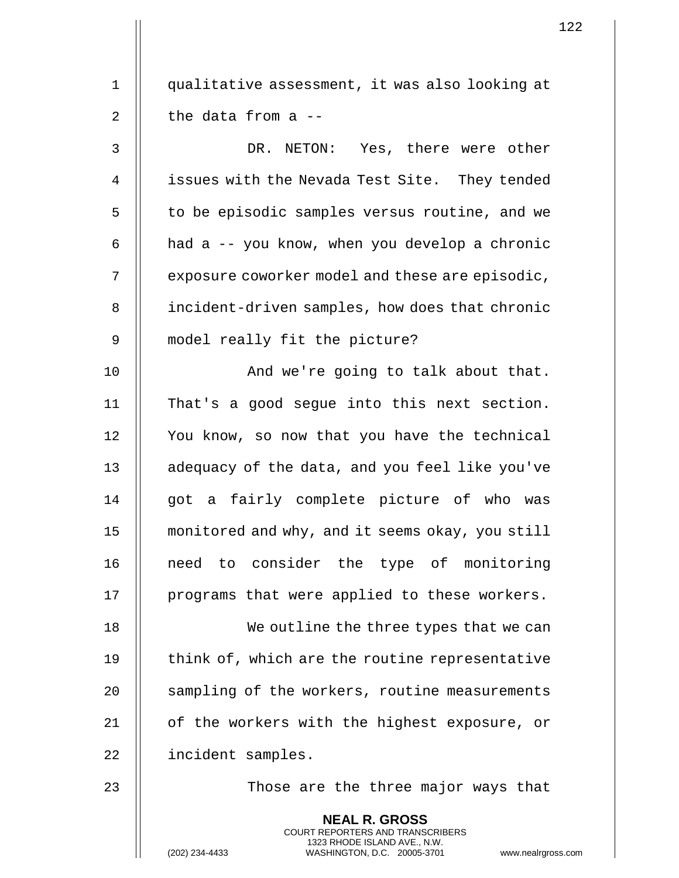| $\mathbf 1$    | qualitative assessment, it was also looking at                                                                                                                     |
|----------------|--------------------------------------------------------------------------------------------------------------------------------------------------------------------|
| $\overline{2}$ | the data from a --                                                                                                                                                 |
| 3              | NETON: Yes, there were other<br>DR.                                                                                                                                |
| 4              | issues with the Nevada Test Site. They tended                                                                                                                      |
| 5              | to be episodic samples versus routine, and we                                                                                                                      |
| 6              | had a -- you know, when you develop a chronic                                                                                                                      |
| 7              | exposure coworker model and these are episodic,                                                                                                                    |
| 8              | incident-driven samples, how does that chronic                                                                                                                     |
| 9              | model really fit the picture?                                                                                                                                      |
| 10             | And we're going to talk about that.                                                                                                                                |
| 11             | That's a good segue into this next section.                                                                                                                        |
| 12             | You know, so now that you have the technical                                                                                                                       |
| 13             | adequacy of the data, and you feel like you've                                                                                                                     |
| 14             | got a fairly complete picture of who was                                                                                                                           |
| 15             | monitored and why, and it seems okay, you still                                                                                                                    |
| 16             | need to consider the type of monitoring                                                                                                                            |
| 17             | programs that were applied to these workers.                                                                                                                       |
| 18             | We outline the three types that we can                                                                                                                             |
| 19             | think of, which are the routine representative                                                                                                                     |
| 20             | sampling of the workers, routine measurements                                                                                                                      |
| 21             | of the workers with the highest exposure, or                                                                                                                       |
| 22             | incident samples.                                                                                                                                                  |
| 23             | Those are the three major ways that                                                                                                                                |
|                | <b>NEAL R. GROSS</b><br><b>COURT REPORTERS AND TRANSCRIBERS</b><br>1323 RHODE ISLAND AVE., N.W.<br>(202) 234-4433<br>WASHINGTON, D.C. 20005-3701<br>www.nealrgross |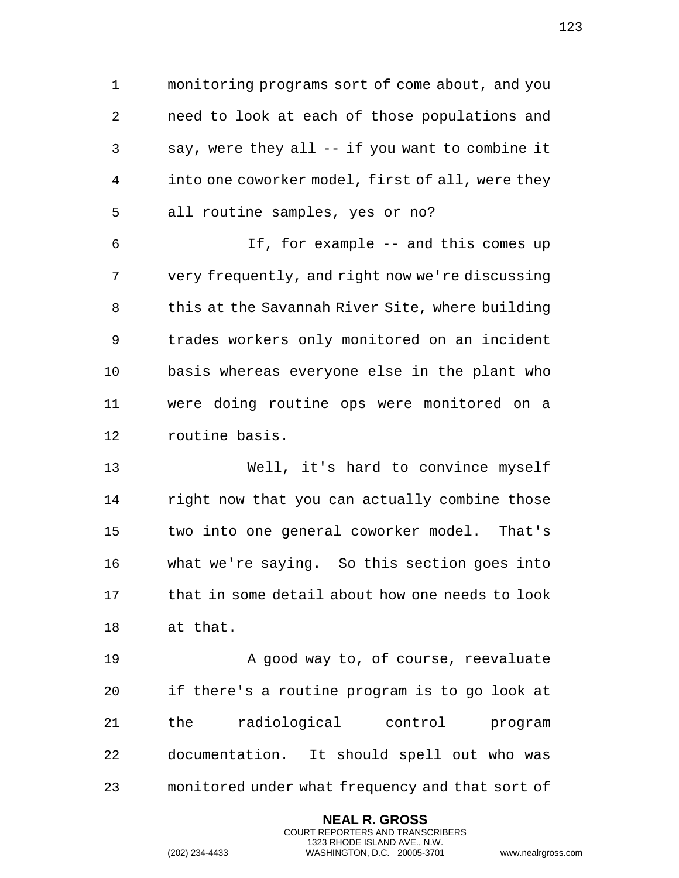1 | monitoring programs sort of come about, and you 2 | need to look at each of those populations and  $3 \parallel$  say, were they all -- if you want to combine it 4 | into one coworker model, first of all, were they 5 || all routine samples, yes or no?

6 If, for example -- and this comes up 7 | very frequently, and right now we're discussing 8 | this at the Savannah River Site, where building 9 || trades workers only monitored on an incident 10 || basis whereas everyone else in the plant who 11 were doing routine ops were monitored on a 12 || routine basis.

 Well, it's hard to convince myself | right now that you can actually combine those 15 || two into one general coworker model. That's what we're saying. So this section goes into  $\parallel$  that in some detail about how one needs to look  $\parallel$  at that.

19 || A good way to, of course, reevaluate 20 || if there's a routine program is to go look at 21 || the radiological control program 22 | documentation. It should spell out who was 23 || monitored under what frequency and that sort of

> **NEAL R. GROSS** COURT REPORTERS AND TRANSCRIBERS 1323 RHODE ISLAND AVE., N.W.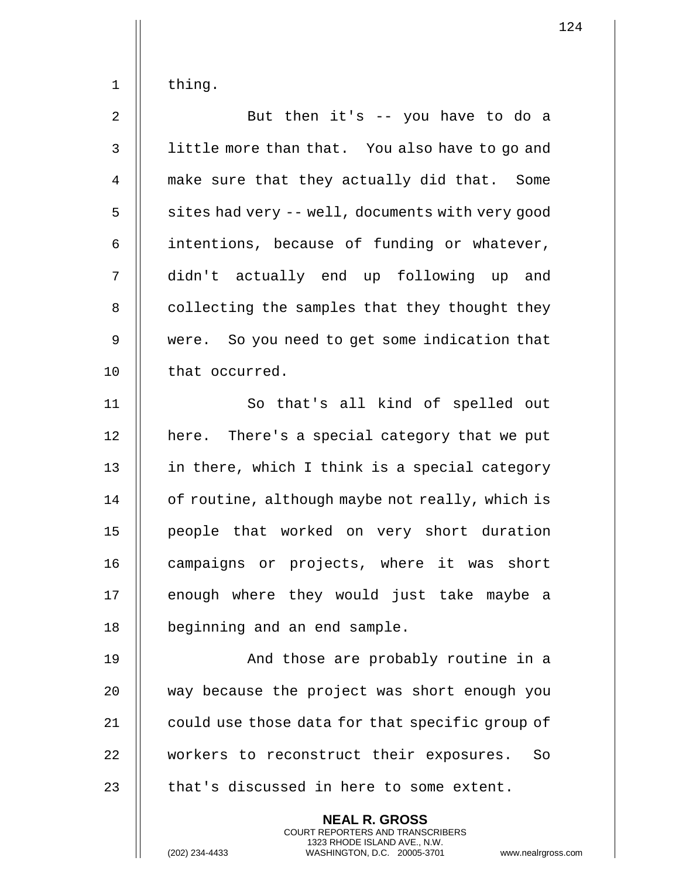| thing |
|-------|
|       |

| $\overline{2}$ | But then it's -- you have to do a                |
|----------------|--------------------------------------------------|
| $\mathsf{3}$   | little more than that. You also have to go and   |
| $\overline{4}$ | make sure that they actually did that. Some      |
| 5              | sites had very -- well, documents with very good |
| 6              | intentions, because of funding or whatever,      |
| 7              | didn't actually end up following up and          |
| 8              | collecting the samples that they thought they    |
| $\mathsf 9$    | were. So you need to get some indication that    |
| 10             | that occurred.                                   |
| 11             | So that's all kind of spelled out                |
| 12             | here. There's a special category that we put     |
| 13             | in there, which I think is a special category    |
| 14             | of routine, although maybe not really, which is  |
| 15             | people that worked on very short duration        |
| 16             | campaigns or projects, where it was short        |
| 17             | enough where they would just take maybe a        |
| 18             | beginning and an end sample.                     |
| 19             | And those are probably routine in a              |
| 20             | way because the project was short enough you     |
| 21             | could use those data for that specific group of  |
| 22             | workers to reconstruct their exposures.<br>So    |

23  $\parallel$  that's discussed in here to some extent.

**NEAL R. GROSS** COURT REPORTERS AND TRANSCRIBERS 1323 RHODE ISLAND AVE., N.W.

(202) 234-4433 WASHINGTON, D.C. 20005-3701 www.nealrgross.com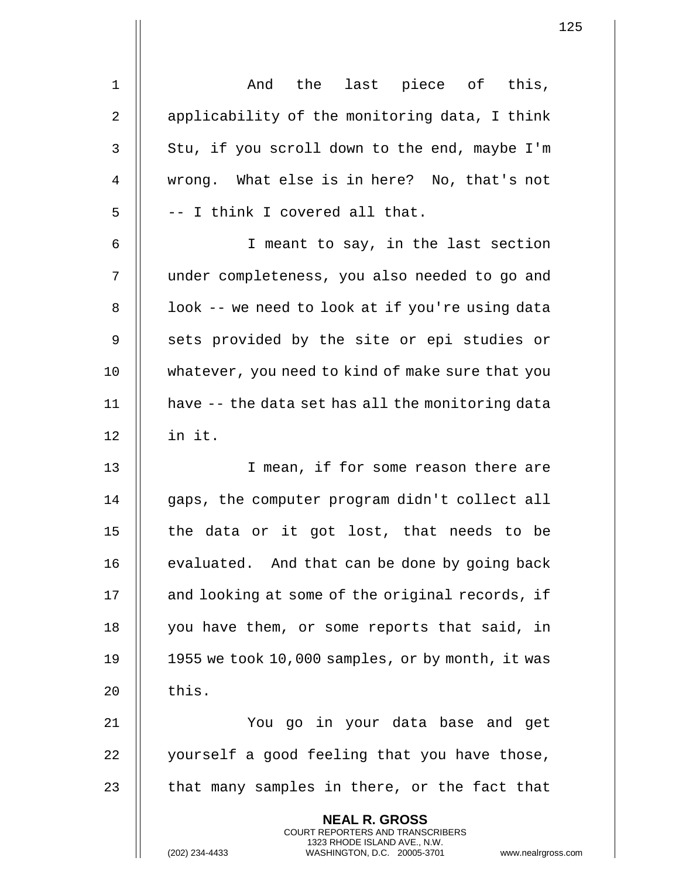| $\mathbf 1$    | And the last piece of this,                                                                                                                                       |
|----------------|-------------------------------------------------------------------------------------------------------------------------------------------------------------------|
| $\overline{2}$ | applicability of the monitoring data, I think                                                                                                                     |
| 3              | Stu, if you scroll down to the end, maybe I'm                                                                                                                     |
| $\overline{4}$ | wrong. What else is in here? No, that's not                                                                                                                       |
| 5              | -- I think I covered all that.                                                                                                                                    |
| 6              | I meant to say, in the last section                                                                                                                               |
| 7              | under completeness, you also needed to go and                                                                                                                     |
| 8              | look -- we need to look at if you're using data                                                                                                                   |
| 9              | sets provided by the site or epi studies or                                                                                                                       |
| 10             | whatever, you need to kind of make sure that you                                                                                                                  |
| 11             | have -- the data set has all the monitoring data                                                                                                                  |
| 12             | in it.                                                                                                                                                            |
| 13             | I mean, if for some reason there are                                                                                                                              |
| 14             | gaps, the computer program didn't collect all                                                                                                                     |
| 15             | the data or it got lost, that needs to be                                                                                                                         |
| 16             | evaluated. And that can be done by going back                                                                                                                     |
| 17             | and looking at some of the original records, if                                                                                                                   |
| 18             | you have them, or some reports that said, in                                                                                                                      |
| 19             | 1955 we took 10,000 samples, or by month, it was                                                                                                                  |
| 20             | this.                                                                                                                                                             |
| 21             | You go in your data base and get                                                                                                                                  |
| 22             | yourself a good feeling that you have those,                                                                                                                      |
| 23             | that many samples in there, or the fact that                                                                                                                      |
|                | <b>NEAL R. GROSS</b><br><b>COURT REPORTERS AND TRANSCRIBERS</b><br>1323 RHODE ISLAND AVE., N.W.<br>WASHINGTON, D.C. 20005-3701<br>(202) 234-4433<br>www.nealrgros |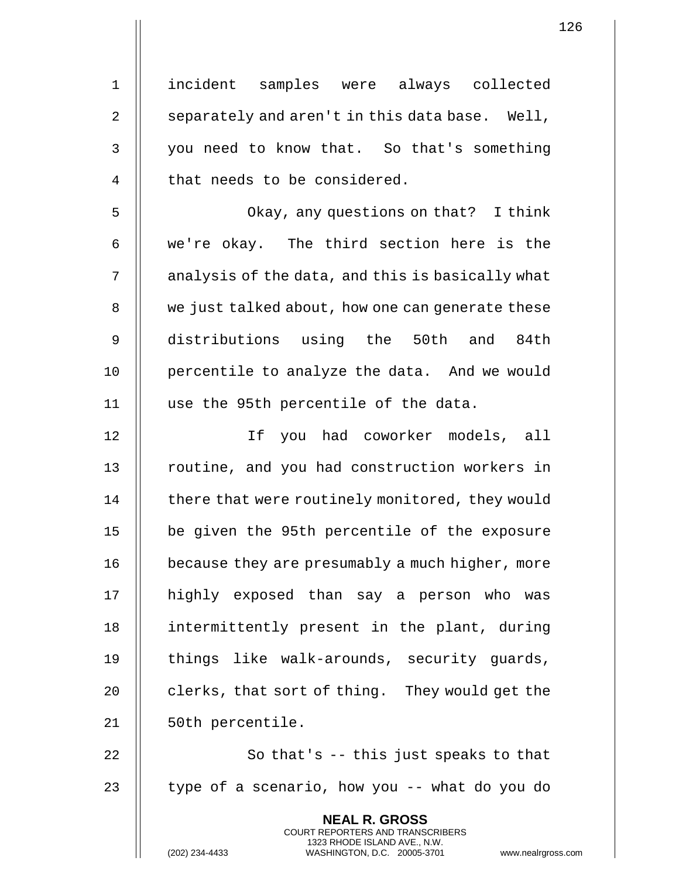1 incident samples were always collected 2  $\parallel$  separately and aren't in this data base. Well, 3 || you need to know that. So that's something 4 || that needs to be considered. 5 Okay, any questions on that? I think 6  $\parallel$  we're okay. The third section here is the  $7 \parallel$  analysis of the data, and this is basically what 8 | we just talked about, how one can generate these 9 distributions using the 50th and 84th 10 || percentile to analyze the data. And we would 11 use the 95th percentile of the data. 12 If you had coworker models, all 13 || routine, and you had construction workers in 14 | there that were routinely monitored, they would 15 be given the 95th percentile of the exposure 16 | because they are presumably a much higher, more 17 highly exposed than say a person who was 18 || intermittently present in the plant, during 19 || things like walk-arounds, security quards, 20  $\parallel$  clerks, that sort of thing. They would get the 21 | 50th percentile. 22  $\parallel$  So that's -- this just speaks to that 23  $\parallel$  type of a scenario, how you -- what do you do **NEAL R. GROSS** COURT REPORTERS AND TRANSCRIBERS

1323 RHODE ISLAND AVE., N.W.

(202) 234-4433 WASHINGTON, D.C. 20005-3701 www.nealrgross.com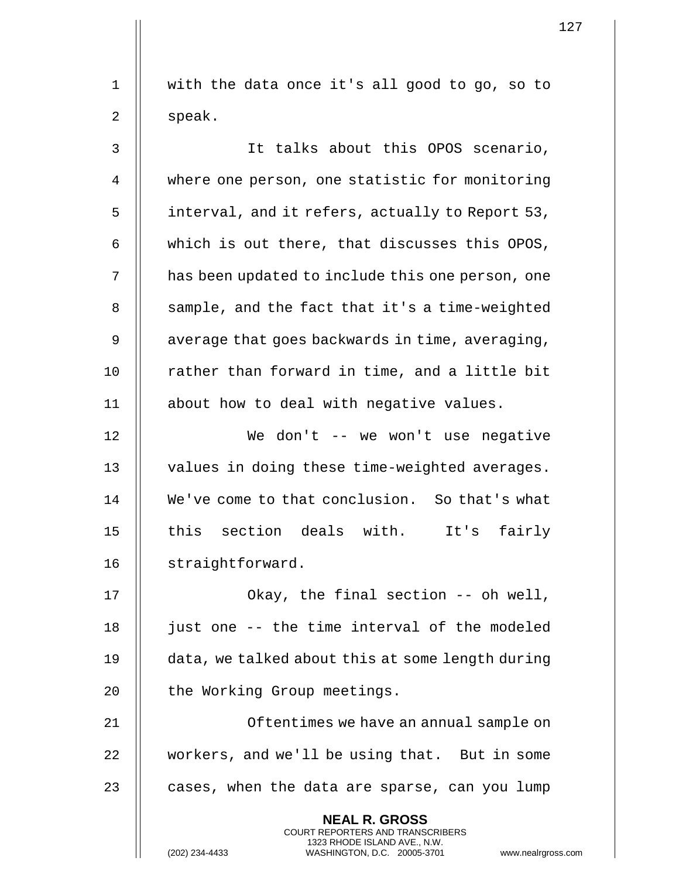1 || with the data once it's all good to go, so to  $2 \parallel$  speak.

3 It talks about this OPOS scenario, 4 where one person, one statistic for monitoring 5 | interval, and it refers, actually to Report 53, 6  $\parallel$  which is out there, that discusses this OPOS, 7 | has been updated to include this one person, one  $8$  || sample, and the fact that it's a time-weighted  $9 \parallel$  average that goes backwards in time, averaging, 10 || rather than forward in time, and a little bit 11 || about how to deal with negative values.

12 We don't -- we won't use negative 13 || values in doing these time-weighted averages. 14 We've come to that conclusion. So that's what 15 || this section deals with. It's fairly 16 | straightforward.

17 || Okay, the final section -- oh well,  $18$  || just one -- the time interval of the modeled 19 data, we talked about this at some length during 20 || the Working Group meetings.

21 || Contentimes we have an annual sample on 22 workers, and we'll be using that. But in some 23  $\parallel$  cases, when the data are sparse, can you lump

> **NEAL R. GROSS** COURT REPORTERS AND TRANSCRIBERS 1323 RHODE ISLAND AVE., N.W.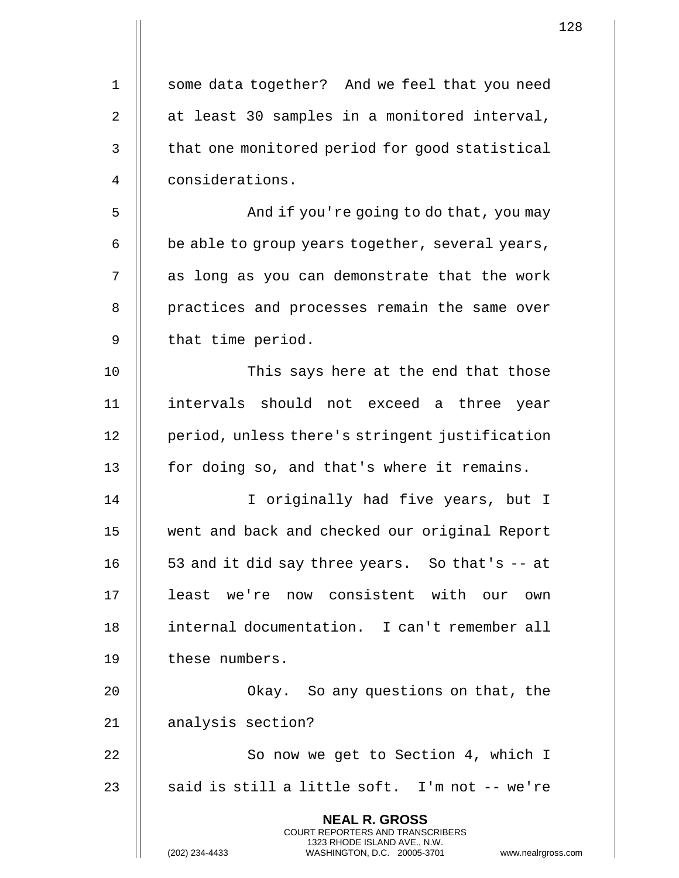| $\mathbf 1$ | some data together? And we feel that you need                                                                                                                      |
|-------------|--------------------------------------------------------------------------------------------------------------------------------------------------------------------|
| 2           | at least 30 samples in a monitored interval,                                                                                                                       |
| 3           | that one monitored period for good statistical                                                                                                                     |
| 4           | considerations.                                                                                                                                                    |
| 5           | And if you're going to do that, you may                                                                                                                            |
| 6           | be able to group years together, several years,                                                                                                                    |
| 7           | as long as you can demonstrate that the work                                                                                                                       |
| 8           | practices and processes remain the same over                                                                                                                       |
| 9           | that time period.                                                                                                                                                  |
| 10          | This says here at the end that those                                                                                                                               |
| 11          | intervals should not exceed a three year                                                                                                                           |
| 12          | period, unless there's stringent justification                                                                                                                     |
| 13          | for doing so, and that's where it remains.                                                                                                                         |
| 14          | I originally had five years, but I                                                                                                                                 |
| 15          | went and back and checked our original Report                                                                                                                      |
| 16          | 53 and it did say three years. So that's -- at                                                                                                                     |
| 17          | least we're now consistent with our<br>own                                                                                                                         |
| 18          | internal documentation. I can't remember all                                                                                                                       |
| 19          | these numbers.                                                                                                                                                     |
| 20          | Okay. So any questions on that, the                                                                                                                                |
| 21          | analysis section?                                                                                                                                                  |
| 22          | So now we get to Section 4, which I                                                                                                                                |
| 23          | said is still a little soft. I'm not -- we're                                                                                                                      |
|             | <b>NEAL R. GROSS</b><br><b>COURT REPORTERS AND TRANSCRIBERS</b><br>1323 RHODE ISLAND AVE., N.W.<br>(202) 234-4433<br>WASHINGTON, D.C. 20005-3701<br>www.nealrgross |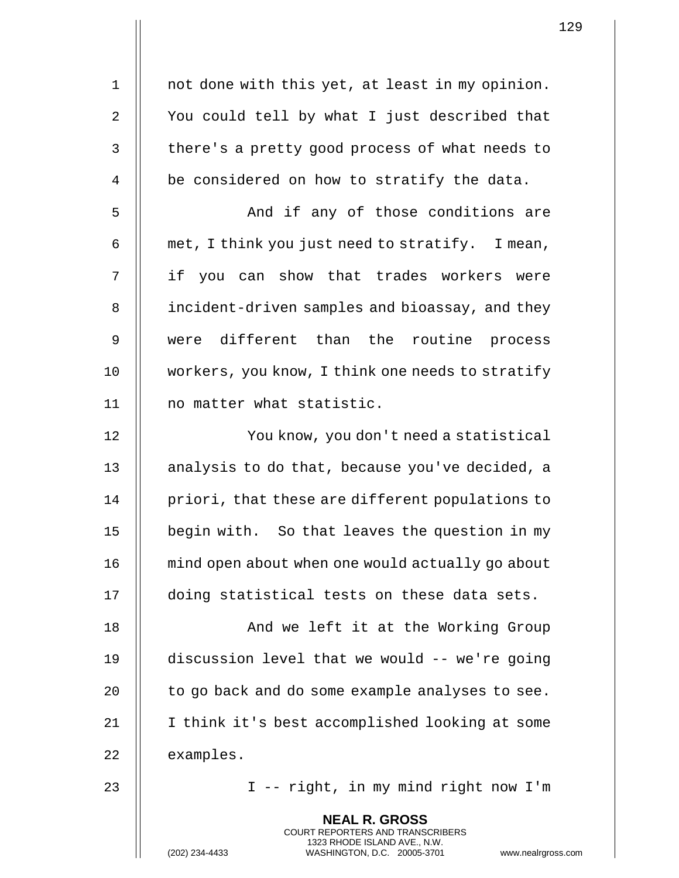| 1              | not done with this yet, at least in my opinion.                                                                                                                        |
|----------------|------------------------------------------------------------------------------------------------------------------------------------------------------------------------|
| $\overline{2}$ | You could tell by what I just described that                                                                                                                           |
| 3              | there's a pretty good process of what needs to                                                                                                                         |
| 4              | be considered on how to stratify the data.                                                                                                                             |
| 5              | And if any of those conditions are                                                                                                                                     |
| 6              | met, I think you just need to stratify. I mean,                                                                                                                        |
| 7              | if you can show that trades workers were                                                                                                                               |
| 8              | incident-driven samples and bioassay, and they                                                                                                                         |
| 9              | were different than the routine<br>process                                                                                                                             |
| 10             | workers, you know, I think one needs to stratify                                                                                                                       |
| 11             | no matter what statistic.                                                                                                                                              |
| 12             | You know, you don't need a statistical                                                                                                                                 |
| 13             | analysis to do that, because you've decided, a                                                                                                                         |
| 14             | priori, that these are different populations to                                                                                                                        |
| 15             | begin with. So that leaves the question in my                                                                                                                          |
| 16             | mind open about when one would actually go about                                                                                                                       |
| 17             | doing statistical tests on these data sets.                                                                                                                            |
| 18             | And we left it at the Working Group                                                                                                                                    |
| 19             | discussion level that we would -- we're going                                                                                                                          |
| 20             | to go back and do some example analyses to see.                                                                                                                        |
| 21             | I think it's best accomplished looking at some                                                                                                                         |
| 22             | examples.                                                                                                                                                              |
| 23             | I -- right, in my mind right now I'm                                                                                                                                   |
|                | <b>NEAL R. GROSS</b><br><b>COURT REPORTERS AND TRANSCRIBERS</b><br>1323 RHODE ISLAND AVE., N.W.<br>(202) 234-4433<br>WASHINGTON, D.C. 20005-3701<br>www.nealrgross.com |

 $\mathbf{1}$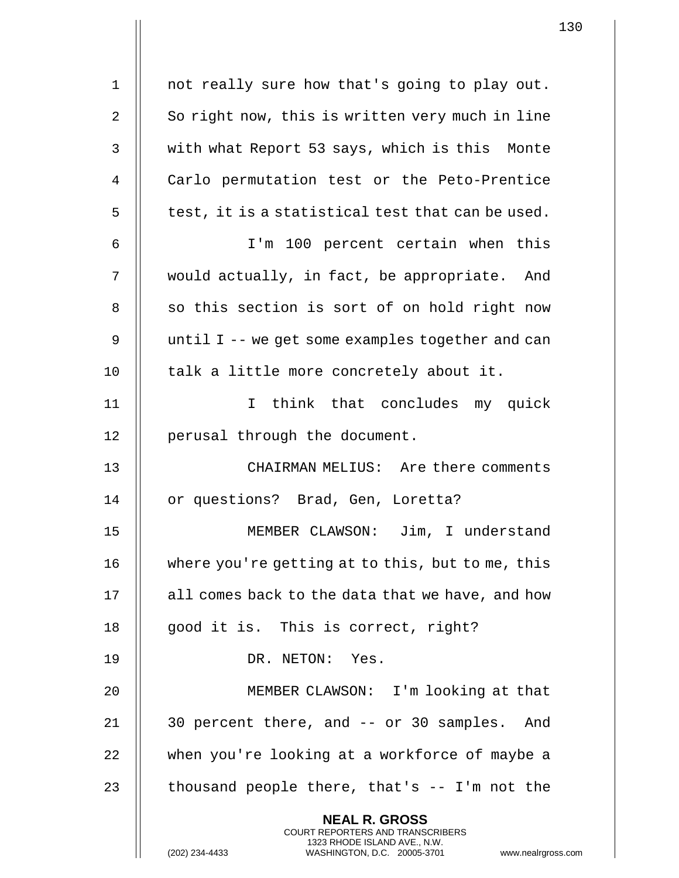| 1  | not really sure how that's going to play out.                                                    |
|----|--------------------------------------------------------------------------------------------------|
| 2  | So right now, this is written very much in line                                                  |
| 3  | with what Report 53 says, which is this Monte                                                    |
| 4  | Carlo permutation test or the Peto-Prentice                                                      |
| 5  | test, it is a statistical test that can be used.                                                 |
| 6  | I'm 100 percent certain when this                                                                |
| 7  | would actually, in fact, be appropriate. And                                                     |
| 8  | so this section is sort of on hold right now                                                     |
| 9  | until I -- we get some examples together and can                                                 |
| 10 | talk a little more concretely about it.                                                          |
| 11 | think that concludes my quick<br>$\mathbf{I}$                                                    |
| 12 | perusal through the document.                                                                    |
| 13 | CHAIRMAN MELIUS: Are there comments                                                              |
| 14 | or questions? Brad, Gen, Loretta?                                                                |
| 15 | MEMBER CLAWSON: Jim, I understand                                                                |
| 16 | where you're getting at to this, but to me, this                                                 |
| 17 | all comes back to the data that we have, and how                                                 |
| 18 | good it is. This is correct, right?                                                              |
| 19 | DR. NETON: Yes.                                                                                  |
| 20 | MEMBER CLAWSON: I'm looking at that                                                              |
| 21 | 30 percent there, and -- or 30 samples. And                                                      |
| 22 | when you're looking at a workforce of maybe a                                                    |
| 23 | thousand people there, that's $-$ I'm not the                                                    |
|    | <b>NEAL R. GROSS</b><br><b>COURT REPORTERS AND TRANSCRIBERS</b>                                  |
|    | 1323 RHODE ISLAND AVE., N.W.<br>WASHINGTON, D.C. 20005-3701<br>(202) 234-4433<br>www.nealrgross. |

 $\mathbf{1}$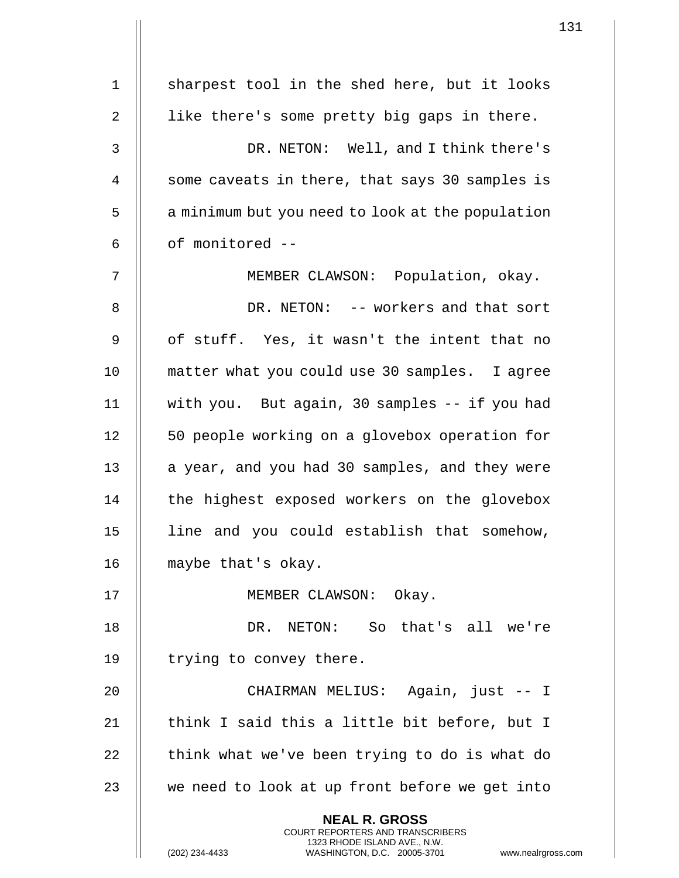|             |                                                                                                                                                                     | 131 |
|-------------|---------------------------------------------------------------------------------------------------------------------------------------------------------------------|-----|
| $\mathbf 1$ | sharpest tool in the shed here, but it looks                                                                                                                        |     |
|             |                                                                                                                                                                     |     |
| 2           | like there's some pretty big gaps in there.                                                                                                                         |     |
| 3           | DR. NETON: Well, and I think there's                                                                                                                                |     |
| 4           | some caveats in there, that says 30 samples is                                                                                                                      |     |
| 5           | a minimum but you need to look at the population                                                                                                                    |     |
| 6           | of monitored --                                                                                                                                                     |     |
| 7           | MEMBER CLAWSON: Population, okay.                                                                                                                                   |     |
| 8           | DR. NETON: -- workers and that sort                                                                                                                                 |     |
| 9           | of stuff. Yes, it wasn't the intent that no                                                                                                                         |     |
| 10          | matter what you could use 30 samples. I agree                                                                                                                       |     |
| 11          | with you. But again, 30 samples -- if you had                                                                                                                       |     |
| 12          | 50 people working on a glovebox operation for                                                                                                                       |     |
| 13          | a year, and you had 30 samples, and they were                                                                                                                       |     |
| 14          | the highest exposed workers on the glovebox                                                                                                                         |     |
| 15          | line and you could establish that somehow,                                                                                                                          |     |
| 16          | maybe that's okay.                                                                                                                                                  |     |
| 17          | MEMBER CLAWSON: Okay.                                                                                                                                               |     |
| 18          | DR. NETON: So that's all we're                                                                                                                                      |     |
| 19          | trying to convey there.                                                                                                                                             |     |
| 20          | CHAIRMAN MELIUS: Again, just -- I                                                                                                                                   |     |
| 21          | think I said this a little bit before, but I                                                                                                                        |     |
| 22          | think what we've been trying to do is what do                                                                                                                       |     |
| 23          | we need to look at up front before we get into                                                                                                                      |     |
|             | <b>NEAL R. GROSS</b><br><b>COURT REPORTERS AND TRANSCRIBERS</b><br>1323 RHODE ISLAND AVE., N.W.<br>WASHINGTON, D.C. 20005-3701 www.nealrgross.com<br>(202) 234-4433 |     |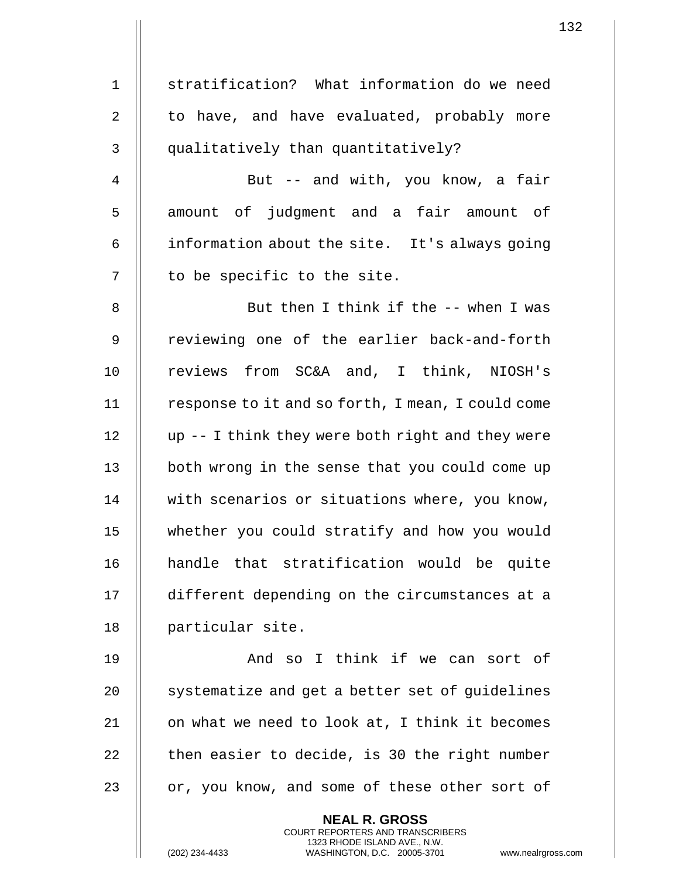1 || stratification? What information do we need  $2 \parallel$  to have, and have evaluated, probably more 3 || qualitatively than quantitatively? 4 || But -- and with, you know, a fair 5 || amount of judgment and a fair amount of 6  $\parallel$  information about the site. It's always going  $7$  | to be specific to the site. 8 || But then I think if the -- when I was 9 || reviewing one of the earlier back-and-forth 10 || reviews from SC&A and, I think, NIOSH's 11 | response to it and so forth, I mean, I could come 12  $\parallel$  up -- I think they were both right and they were 13 || both wrong in the sense that you could come up 14 || with scenarios or situations where, you know, 15 whether you could stratify and how you would 16 handle that stratification would be quite 17 different depending on the circumstances at a 18 | particular site. 19 And so I think if we can sort of  $20$   $\parallel$  systematize and get a better set of guidelines  $21$  || on what we need to look at, I think it becomes  $22$  | then easier to decide, is 30 the right number 23  $\parallel$  or, you know, and some of these other sort of **NEAL R. GROSS** COURT REPORTERS AND TRANSCRIBERS 1323 RHODE ISLAND AVE., N.W. (202) 234-4433 WASHINGTON, D.C. 20005-3701 www.nealrgross.com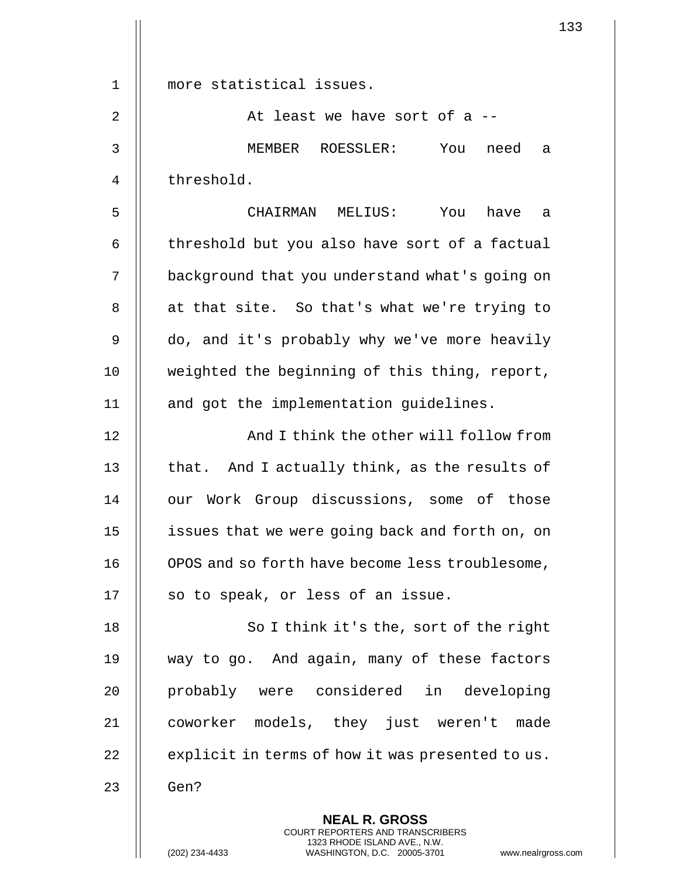|                | 133                                                                                                                                                                    |
|----------------|------------------------------------------------------------------------------------------------------------------------------------------------------------------------|
|                |                                                                                                                                                                        |
| $\mathbf 1$    | more statistical issues.                                                                                                                                               |
| $\overline{2}$ | At least we have sort of a --                                                                                                                                          |
| $\mathbf{3}$   | MEMBER ROESSLER:<br>You<br>need<br>a                                                                                                                                   |
| 4              | threshold.                                                                                                                                                             |
| 5              | CHAIRMAN MELIUS:<br>You have<br>a                                                                                                                                      |
| 6              | threshold but you also have sort of a factual                                                                                                                          |
| 7              | background that you understand what's going on                                                                                                                         |
| 8              | at that site. So that's what we're trying to                                                                                                                           |
| 9              | do, and it's probably why we've more heavily                                                                                                                           |
| 10             | weighted the beginning of this thing, report,                                                                                                                          |
| 11             | and got the implementation guidelines.                                                                                                                                 |
| 12             | And I think the other will follow from                                                                                                                                 |
| 13             | that. And I actually think, as the results of                                                                                                                          |
| 14             | our Work Group discussions, some of those                                                                                                                              |
| 15             | issues that we were going back and forth on, on                                                                                                                        |
| 16             | OPOS and so forth have become less troublesome,                                                                                                                        |
| 17             | so to speak, or less of an issue.                                                                                                                                      |
| 18             | So I think it's the, sort of the right                                                                                                                                 |
| 19             | way to go. And again, many of these factors                                                                                                                            |
| 20             | probably were considered in developing                                                                                                                                 |
| 21             | coworker models, they just weren't made                                                                                                                                |
| 22             | explicit in terms of how it was presented to us.                                                                                                                       |
| 23             | Gen?                                                                                                                                                                   |
|                | <b>NEAL R. GROSS</b><br><b>COURT REPORTERS AND TRANSCRIBERS</b><br>1323 RHODE ISLAND AVE., N.W.<br>(202) 234-4433<br>WASHINGTON, D.C. 20005-3701<br>www.nealrgross.com |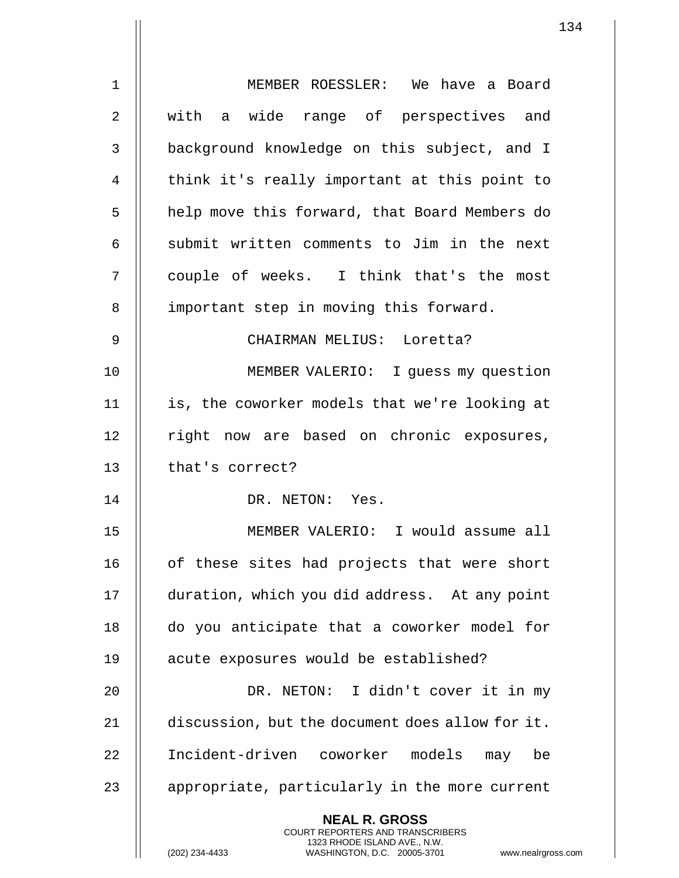|                | ᅩ                                                                                                                                                                   |
|----------------|---------------------------------------------------------------------------------------------------------------------------------------------------------------------|
| $\mathbf 1$    | MEMBER ROESSLER: We have a Board                                                                                                                                    |
| $\overline{2}$ | with a wide range of perspectives and                                                                                                                               |
| 3              | background knowledge on this subject, and I                                                                                                                         |
| 4              | think it's really important at this point to                                                                                                                        |
| 5              | help move this forward, that Board Members do                                                                                                                       |
| 6              | submit written comments to Jim in the next                                                                                                                          |
| 7              | couple of weeks. I think that's the most                                                                                                                            |
| 8              | important step in moving this forward.                                                                                                                              |
| 9              | CHAIRMAN MELIUS: Loretta?                                                                                                                                           |
| 10             | MEMBER VALERIO: I guess my question                                                                                                                                 |
| 11             | is, the coworker models that we're looking at                                                                                                                       |
| 12             | right now are based on chronic exposures,                                                                                                                           |
| 13             | that's correct?                                                                                                                                                     |
| 14             | DR. NETON: Yes.                                                                                                                                                     |
| 15             | MEMBER VALERIO: I would assume all                                                                                                                                  |
| 16             | of these sites had projects that were short                                                                                                                         |
| 17             | duration, which you did address. At any point                                                                                                                       |
| 18             | do you anticipate that a coworker model for                                                                                                                         |
| 19             | acute exposures would be established?                                                                                                                               |
| 20             | DR. NETON: I didn't cover it in my                                                                                                                                  |
| 21             | discussion, but the document does allow for it.                                                                                                                     |
| 22             | Incident-driven coworker models<br>may<br>be                                                                                                                        |
| 23             | appropriate, particularly in the more current                                                                                                                       |
|                | <b>NEAL R. GROSS</b><br><b>COURT REPORTERS AND TRANSCRIBERS</b><br>1323 RHODE ISLAND AVE., N.W.<br>(202) 234-4433<br>WASHINGTON, D.C. 20005-3701<br>www.nealrgross. |

 $\mathbf{I}$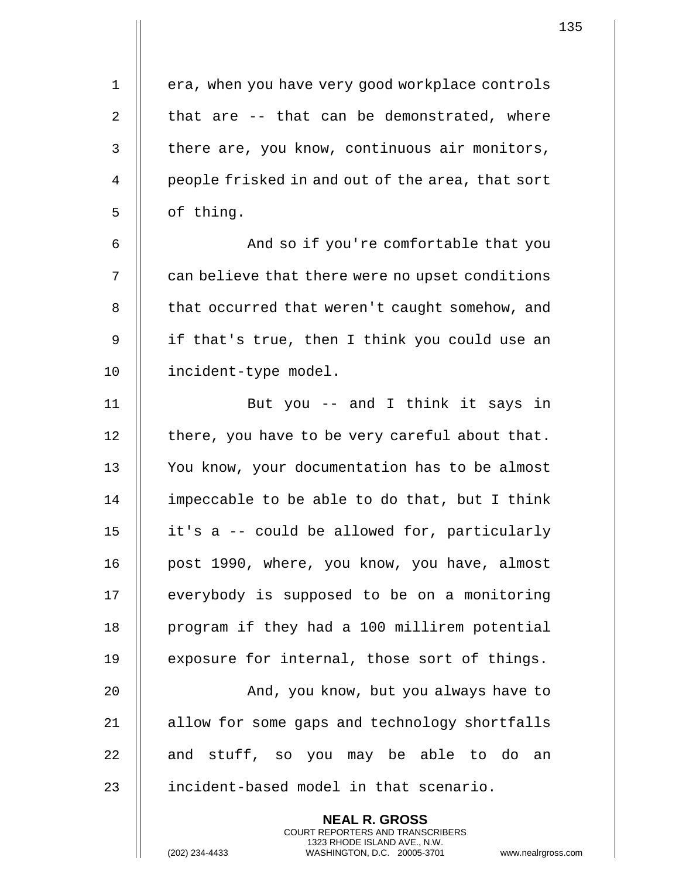1 | era, when you have very good workplace controls 2  $\parallel$  that are -- that can be demonstrated, where  $3$  | there are, you know, continuous air monitors, 4 || people frisked in and out of the area, that sort  $5 \parallel$  of thing. 6 || And so if you're comfortable that you 7 | can believe that there were no upset conditions 8 | that occurred that weren't caught somehow, and 9 || if that's true, then I think you could use an 10 | incident-type model. 11 || But you -- and I think it says in  $12$  | there, you have to be very careful about that. 13 || You know, your documentation has to be almost 14  $\parallel$  impeccable to be able to do that, but I think 15 it's a -- could be allowed for, particularly 16 || post 1990, where, you know, you have, almost 17 | everybody is supposed to be on a monitoring 18 | program if they had a 100 millirem potential 19  $\parallel$  exposure for internal, those sort of things. 20 And, you know, but you always have to 21 | allow for some gaps and technology shortfalls  $22$  || and stuff, so you may be able to do an 23 || incident-based model in that scenario. **NEAL R. GROSS**

> COURT REPORTERS AND TRANSCRIBERS 1323 RHODE ISLAND AVE., N.W.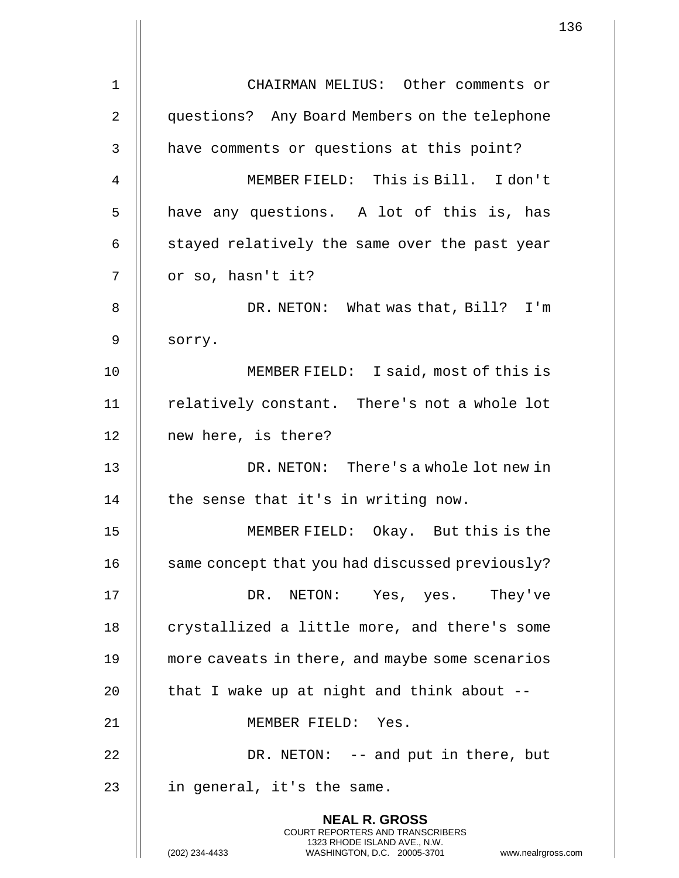|    |                                                                                                                                                                        | 136 |
|----|------------------------------------------------------------------------------------------------------------------------------------------------------------------------|-----|
|    |                                                                                                                                                                        |     |
| 1  | CHAIRMAN MELIUS: Other comments or                                                                                                                                     |     |
| 2  | questions? Any Board Members on the telephone                                                                                                                          |     |
| 3  | have comments or questions at this point?                                                                                                                              |     |
| 4  | MEMBER FIELD: This is Bill. I don't                                                                                                                                    |     |
| 5  | have any questions. A lot of this is, has                                                                                                                              |     |
| 6  | stayed relatively the same over the past year                                                                                                                          |     |
| 7  | or so, hasn't it?                                                                                                                                                      |     |
| 8  | DR. NETON: What was that, Bill? I'm                                                                                                                                    |     |
| 9  | sorry.                                                                                                                                                                 |     |
| 10 | MEMBER FIELD: I said, most of this is                                                                                                                                  |     |
| 11 | relatively constant. There's not a whole lot                                                                                                                           |     |
| 12 | new here, is there?                                                                                                                                                    |     |
| 13 | DR. NETON: There's a whole lot new in                                                                                                                                  |     |
| 14 | the sense that it's in writing now.                                                                                                                                    |     |
| 15 | MEMBER FIELD: Okay. But this is the                                                                                                                                    |     |
| 16 | same concept that you had discussed previously?                                                                                                                        |     |
| 17 | DR. NETON: Yes, yes. They've                                                                                                                                           |     |
| 18 | crystallized a little more, and there's some                                                                                                                           |     |
| 19 | more caveats in there, and maybe some scenarios                                                                                                                        |     |
| 20 | that I wake up at night and think about --                                                                                                                             |     |
| 21 | MEMBER FIELD: Yes.                                                                                                                                                     |     |
| 22 | DR. NETON: -- and put in there, but                                                                                                                                    |     |
| 23 | in general, it's the same.                                                                                                                                             |     |
|    | <b>NEAL R. GROSS</b><br><b>COURT REPORTERS AND TRANSCRIBERS</b><br>1323 RHODE ISLAND AVE., N.W.<br>(202) 234-4433<br>WASHINGTON, D.C. 20005-3701<br>www.nealrgross.com |     |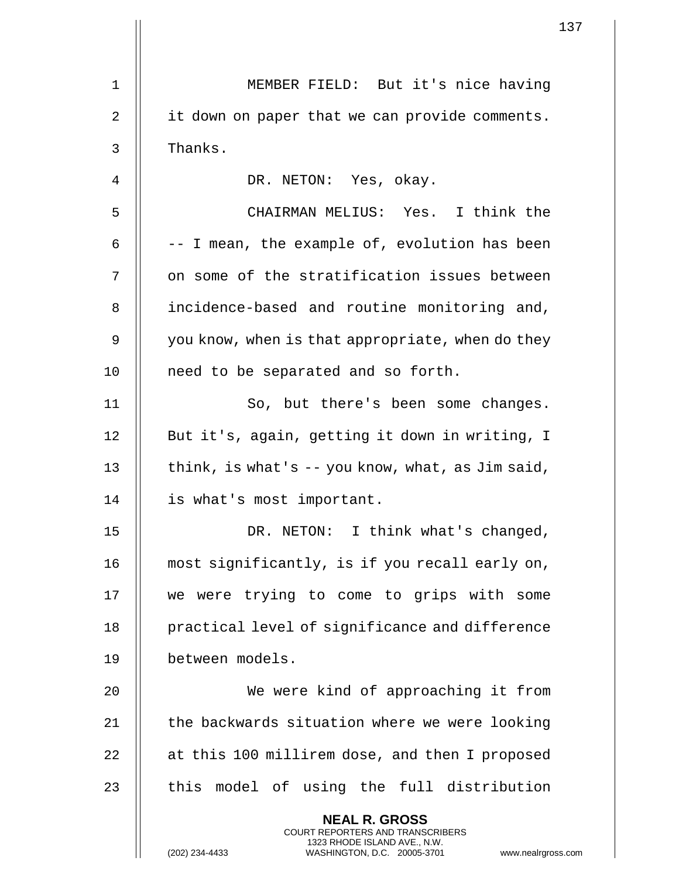|    |                                                                                                                                                                      | $1$ : |
|----|----------------------------------------------------------------------------------------------------------------------------------------------------------------------|-------|
| 1  | MEMBER FIELD: But it's nice having                                                                                                                                   |       |
| 2  | it down on paper that we can provide comments.                                                                                                                       |       |
| 3  | Thanks.                                                                                                                                                              |       |
| 4  | DR. NETON: Yes, okay.                                                                                                                                                |       |
| 5  | CHAIRMAN MELIUS: Yes. I think the                                                                                                                                    |       |
| 6  | -- I mean, the example of, evolution has been                                                                                                                        |       |
| 7  | on some of the stratification issues between                                                                                                                         |       |
|    |                                                                                                                                                                      |       |
| 8  | incidence-based and routine monitoring and,                                                                                                                          |       |
| 9  | you know, when is that appropriate, when do they                                                                                                                     |       |
| 10 | need to be separated and so forth.                                                                                                                                   |       |
| 11 | So, but there's been some changes.                                                                                                                                   |       |
| 12 | But it's, again, getting it down in writing, I                                                                                                                       |       |
| 13 | think, is what's -- you know, what, as Jim said,                                                                                                                     |       |
| 14 | is what's most important.                                                                                                                                            |       |
| 15 | DR. NETON: I think what's changed,                                                                                                                                   |       |
| 16 | most significantly, is if you recall early on,                                                                                                                       |       |
| 17 | we were trying to come to grips with some                                                                                                                            |       |
| 18 | practical level of significance and difference                                                                                                                       |       |
| 19 | between models.                                                                                                                                                      |       |
| 20 | We were kind of approaching it from                                                                                                                                  |       |
| 21 | the backwards situation where we were looking                                                                                                                        |       |
| 22 | at this 100 millirem dose, and then I proposed                                                                                                                       |       |
| 23 | this model of using the full distribution                                                                                                                            |       |
|    | <b>NEAL R. GROSS</b><br><b>COURT REPORTERS AND TRANSCRIBERS</b><br>1323 RHODE ISLAND AVE., N.W.<br>(202) 234-4433<br>WASHINGTON, D.C. 20005-3701<br>www.nealrgross.c |       |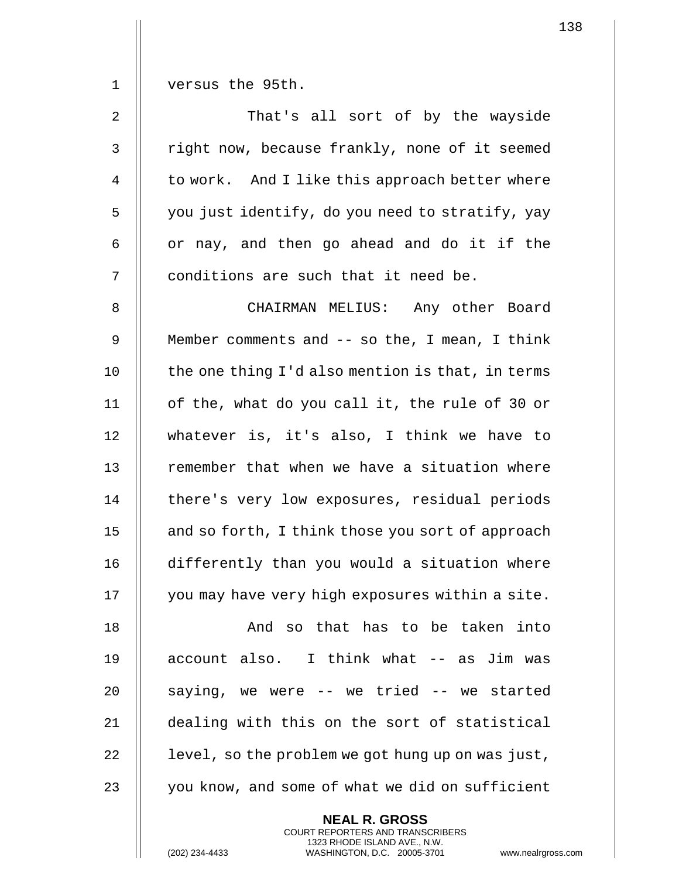1 versus the 95th.

2 || That's all sort of by the wayside 3 || right now, because frankly, none of it seemed 4 | to work. And I like this approach better where  $5$  || you just identify, do you need to stratify, yay  $6 \parallel$  or nay, and then go ahead and do it if the 7 || conditions are such that it need be.

8 CHAIRMAN MELIUS: Any other Board 9 | Member comments and -- so the, I mean, I think  $10$   $\parallel$  the one thing I'd also mention is that, in terms 11 of the, what do you call it, the rule of 30 or 12 whatever is, it's also, I think we have to 13 || remember that when we have a situation where 14 | there's very low exposures, residual periods 15 | and so forth, I think those you sort of approach 16 differently than you would a situation where 17 | you may have very high exposures within a site.

18 || The Rand so that has to be taken into 19 || account also. I think what -- as Jim was || saying, we were -- we tried -- we started dealing with this on the sort of statistical | level, so the problem we got hung up on was just,  $\parallel$  you know, and some of what we did on sufficient

> **NEAL R. GROSS** COURT REPORTERS AND TRANSCRIBERS 1323 RHODE ISLAND AVE., N.W.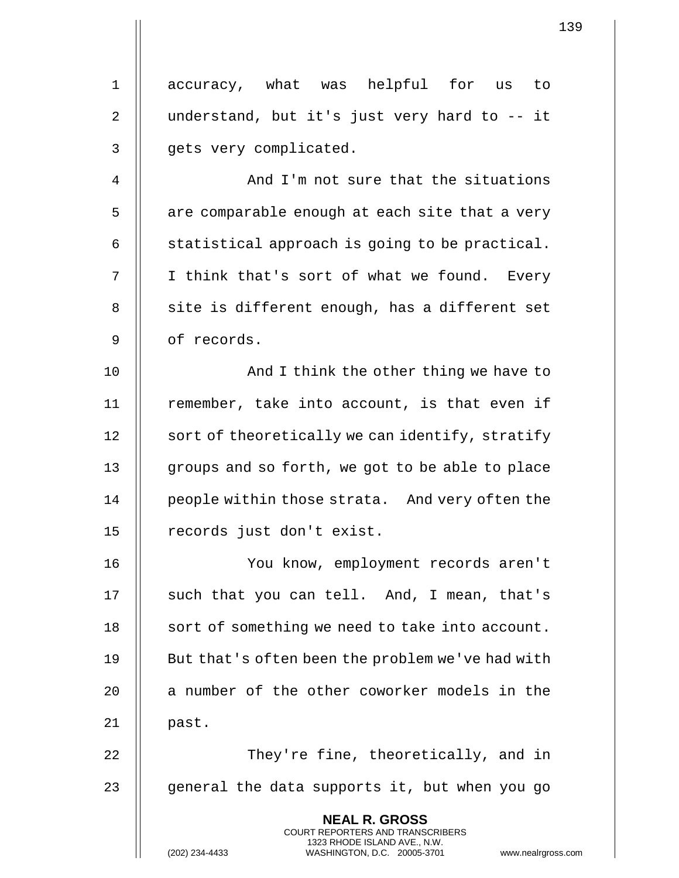1 || accuracy, what was helpful for us to 2 || understand, but it's just very hard to -- it 3 || qets very complicated. 4 || And I'm not sure that the situations  $5$  || are comparable enough at each site that a very 6  $\parallel$  statistical approach is going to be practical. 7 || I think that's sort of what we found. Every  $8$  || site is different enough, has a different set 9 | of records. 10 || And I think the other thing we have to 11 || remember, take into account, is that even if 12 | sort of theoretically we can identify, stratify 13 || groups and so forth, we got to be able to place 14 | people within those strata. And very often the 15 || records just don't exist. 16 You know, employment records aren't 17 || such that you can tell. And, I mean, that's 18 | sort of something we need to take into account. 19 || But that's often been the problem we've had with 20 || a number of the other coworker models in the  $21$  || past. 22 || They're fine, theoretically, and in 23  $\parallel$  qeneral the data supports it, but when you go **NEAL R. GROSS** COURT REPORTERS AND TRANSCRIBERS 1323 RHODE ISLAND AVE., N.W.

(202) 234-4433 WASHINGTON, D.C. 20005-3701 www.nealrgross.com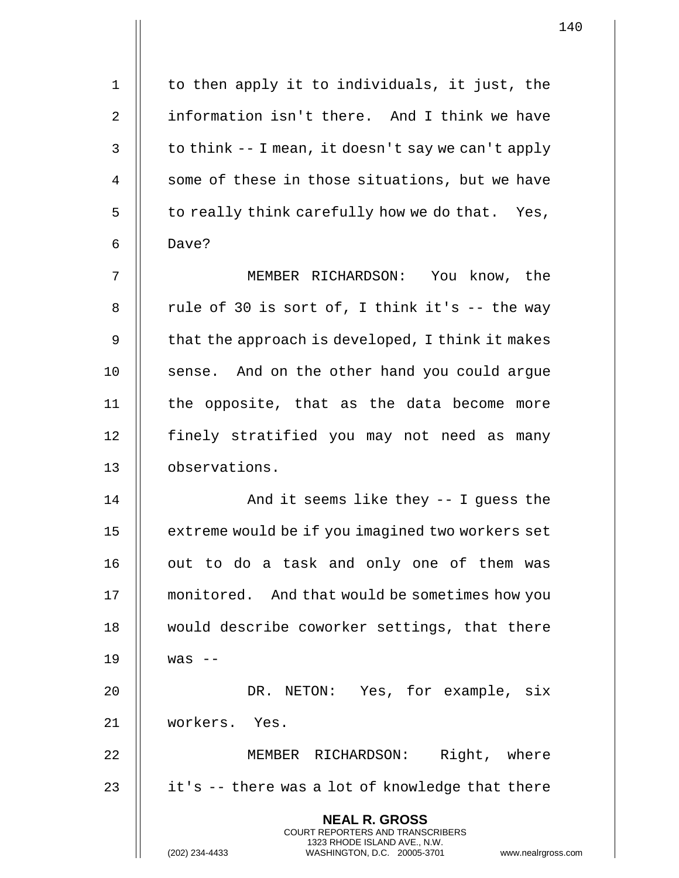| 1  | to then apply it to individuals, it just, the                                                                                                                  |
|----|----------------------------------------------------------------------------------------------------------------------------------------------------------------|
| 2  | information isn't there. And I think we have                                                                                                                   |
| 3  | to think -- I mean, it doesn't say we can't apply                                                                                                              |
| 4  | some of these in those situations, but we have                                                                                                                 |
| 5  | to really think carefully how we do that. Yes,                                                                                                                 |
| 6  | Dave?                                                                                                                                                          |
| 7  | MEMBER RICHARDSON: You know, the                                                                                                                               |
| 8  | rule of 30 is sort of, I think it's -- the way                                                                                                                 |
| 9  | that the approach is developed, I think it makes                                                                                                               |
| 10 | sense. And on the other hand you could argue                                                                                                                   |
| 11 | the opposite, that as the data become more                                                                                                                     |
| 12 | finely stratified you may not need as many                                                                                                                     |
| 13 | observations.                                                                                                                                                  |
| 14 | And it seems like they -- I guess the                                                                                                                          |
| 15 | extreme would be if you imagined two workers set                                                                                                               |
| 16 | out to do a task and only one of them was                                                                                                                      |
| 17 | monitored. And that would be sometimes how you                                                                                                                 |
| 18 | would describe coworker settings, that there                                                                                                                   |
| 19 | $was$ --                                                                                                                                                       |
| 20 | DR. NETON: Yes, for example, six                                                                                                                               |
| 21 | workers. Yes.                                                                                                                                                  |
| 22 | MEMBER RICHARDSON: Right, where                                                                                                                                |
| 23 | it's -- there was a lot of knowledge that there                                                                                                                |
|    | <b>NEAL R. GROSS</b><br><b>COURT REPORTERS AND TRANSCRIBERS</b><br>1323 RHODE ISLAND AVE., N.W.<br>WASHINGTON, D.C. 20005-3701 www.nealrgros<br>(202) 234-4433 |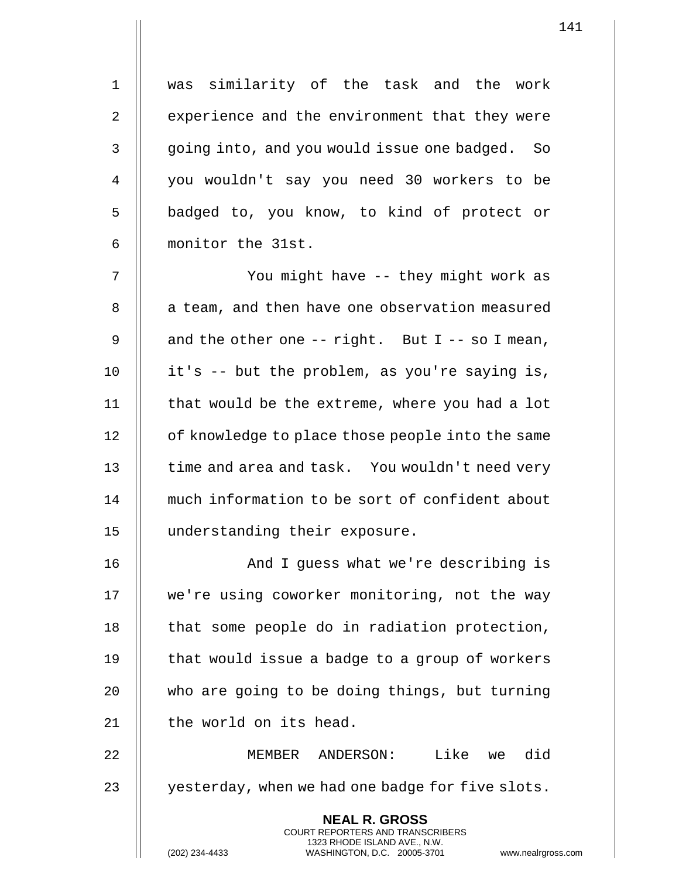1 was similarity of the task and the work 2 | experience and the environment that they were 3 || qoing into, and you would issue one badged. So 4 you wouldn't say you need 30 workers to be 5 || badged to, you know, to kind of protect or 6 monitor the 31st.

7 || You might have -- they might work as 8 | a team, and then have one observation measured 9  $\parallel$  and the other one -- right. But I -- so I mean, 10 || it's -- but the problem, as you're saying is,  $11$   $\parallel$  that would be the extreme, where you had a lot 12 | of knowledge to place those people into the same 13 || time and area and task. You wouldn't need very 14 much information to be sort of confident about 15 understanding their exposure.

16 || And I quess what we're describing is 17 || we're using coworker monitoring, not the way  $18$  || that some people do in radiation protection, 19  $\parallel$  that would issue a badge to a group of workers 20 || who are going to be doing things, but turning 21 | the world on its head.

22 MEMBER ANDERSON: Like we did 23  $\parallel$  yesterday, when we had one badge for five slots.

> **NEAL R. GROSS** COURT REPORTERS AND TRANSCRIBERS 1323 RHODE ISLAND AVE., N.W.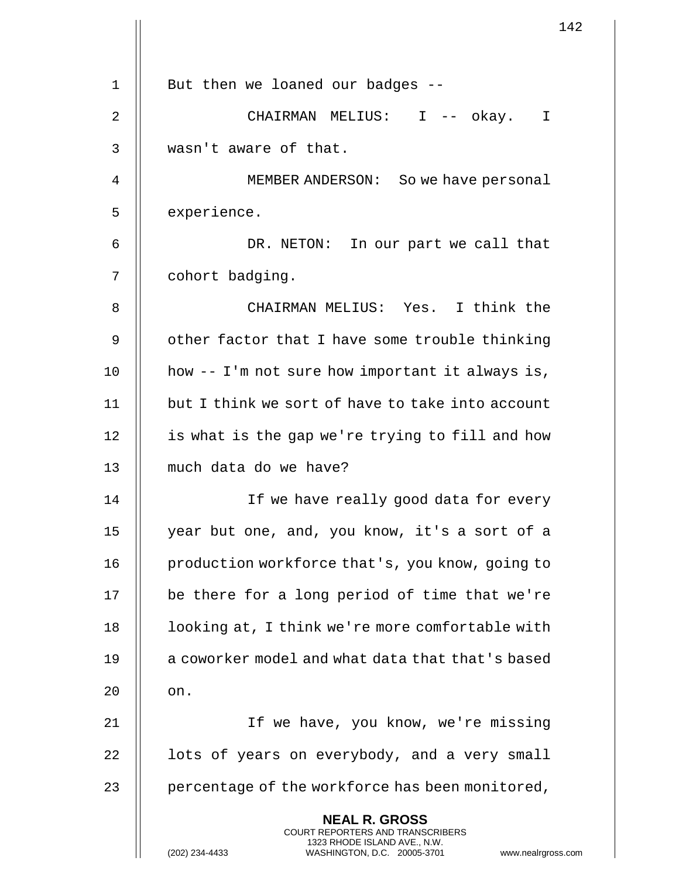|    |                                                                                                                                                                        | 142 |
|----|------------------------------------------------------------------------------------------------------------------------------------------------------------------------|-----|
|    |                                                                                                                                                                        |     |
| 1  | But then we loaned our badges --                                                                                                                                       |     |
| 2  | CHAIRMAN MELIUS: I -- okay. I                                                                                                                                          |     |
| 3  | wasn't aware of that.                                                                                                                                                  |     |
| 4  | MEMBER ANDERSON: So we have personal                                                                                                                                   |     |
| 5  | experience.                                                                                                                                                            |     |
| 6  | DR. NETON: In our part we call that                                                                                                                                    |     |
| 7  | cohort badging.                                                                                                                                                        |     |
| 8  | CHAIRMAN MELIUS: Yes. I think the                                                                                                                                      |     |
| 9  | other factor that I have some trouble thinking                                                                                                                         |     |
| 10 | how -- I'm not sure how important it always is,                                                                                                                        |     |
| 11 | but I think we sort of have to take into account                                                                                                                       |     |
| 12 | is what is the gap we're trying to fill and how                                                                                                                        |     |
| 13 | much data do we have?                                                                                                                                                  |     |
| 14 | If we have really good data for every                                                                                                                                  |     |
| 15 | year but one, and, you know, it's a sort of a                                                                                                                          |     |
| 16 | production workforce that's, you know, going to                                                                                                                        |     |
| 17 | be there for a long period of time that we're                                                                                                                          |     |
| 18 | looking at, I think we're more comfortable with                                                                                                                        |     |
| 19 | a coworker model and what data that that's based                                                                                                                       |     |
| 20 | on.                                                                                                                                                                    |     |
| 21 | If we have, you know, we're missing                                                                                                                                    |     |
| 22 | lots of years on everybody, and a very small                                                                                                                           |     |
| 23 | percentage of the workforce has been monitored,                                                                                                                        |     |
|    | <b>NEAL R. GROSS</b><br><b>COURT REPORTERS AND TRANSCRIBERS</b><br>1323 RHODE ISLAND AVE., N.W.<br>(202) 234-4433<br>WASHINGTON, D.C. 20005-3701<br>www.nealrgross.com |     |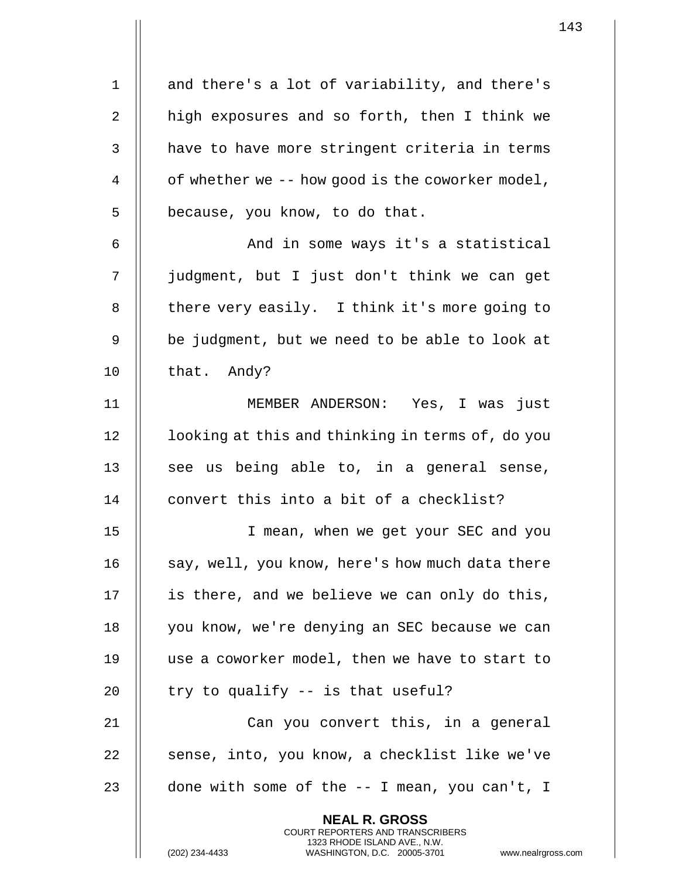1 || and there's a lot of variability, and there's 2  $\parallel$  high exposures and so forth, then I think we  $3$   $\parallel$  have to have more stringent criteria in terms 4  $\parallel$  of whether we -- how good is the coworker model,  $5 \parallel$  because, you know, to do that. 6 And in some ways it's a statistical 7 judgment, but I just don't think we can get 8 | there very easily. I think it's more going to  $9 \parallel$  be judgment, but we need to be able to look at  $10$  | that. Andy? 11 MEMBER ANDERSON: Yes, I was just 12 | looking at this and thinking in terms of, do you 13  $\parallel$  see us being able to, in a general sense, 14 | convert this into a bit of a checklist? 15 I mean, when we get your SEC and you 16 || say, well, you know, here's how much data there 17 | is there, and we believe we can only do this, 18 | you know, we're denying an SEC because we can 19 use a coworker model, then we have to start to 20  $\parallel$  try to qualify  $-$  is that useful? 21 || Can you convert this, in a general  $22$  || sense, into, you know, a checklist like we've 23  $\parallel$  done with some of the  $-$ - I mean, you can't, I **NEAL R. GROSS** COURT REPORTERS AND TRANSCRIBERS

1323 RHODE ISLAND AVE., N.W.

(202) 234-4433 WASHINGTON, D.C. 20005-3701 www.nealrgross.com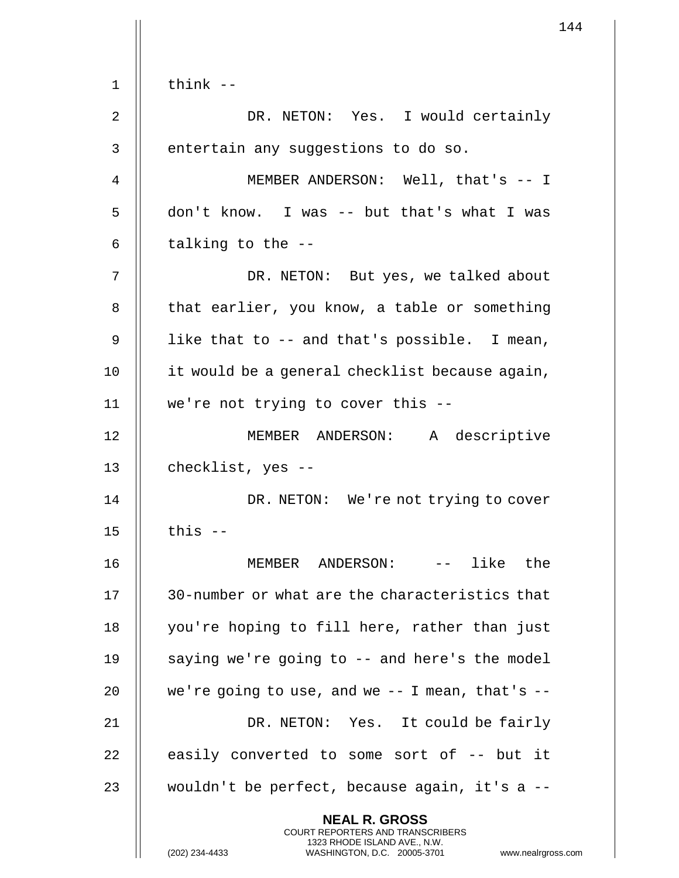$1$   $\parallel$  think  $-$ 2 DR. NETON: Yes. I would certainly 3 || entertain any suggestions to do so. 4 MEMBER ANDERSON: Well, that's -- I  $5 \parallel$  don't know. I was -- but that's what I was 6  $\parallel$  talking to the --7 DR. NETON: But yes, we talked about 8 | that earlier, you know, a table or something  $9 \parallel$  like that to -- and that's possible. I mean, 10 | it would be a general checklist because again, 11 we're not trying to cover this -- 12 MEMBER ANDERSON: A descriptive 13 | checklist, yes --14 || DR. NETON: We're not trying to cover  $15$   $\parallel$  this  $-$ 16 MEMBER ANDERSON: -- like the 17 || 30-number or what are the characteristics that 18 you're hoping to fill here, rather than just 19  $\parallel$  saying we're going to  $-$  and here's the model 20  $\parallel$  we're going to use, and we  $-$  I mean, that's  $-$ 21 || DR. NETON: Yes. It could be fairly  $22$  || easily converted to some sort of  $-$ - but it 23 || wouldn't be perfect, because again, it's a --**NEAL R. GROSS** COURT REPORTERS AND TRANSCRIBERS 1323 RHODE ISLAND AVE., N.W.

(202) 234-4433 WASHINGTON, D.C. 20005-3701 www.nealrgross.com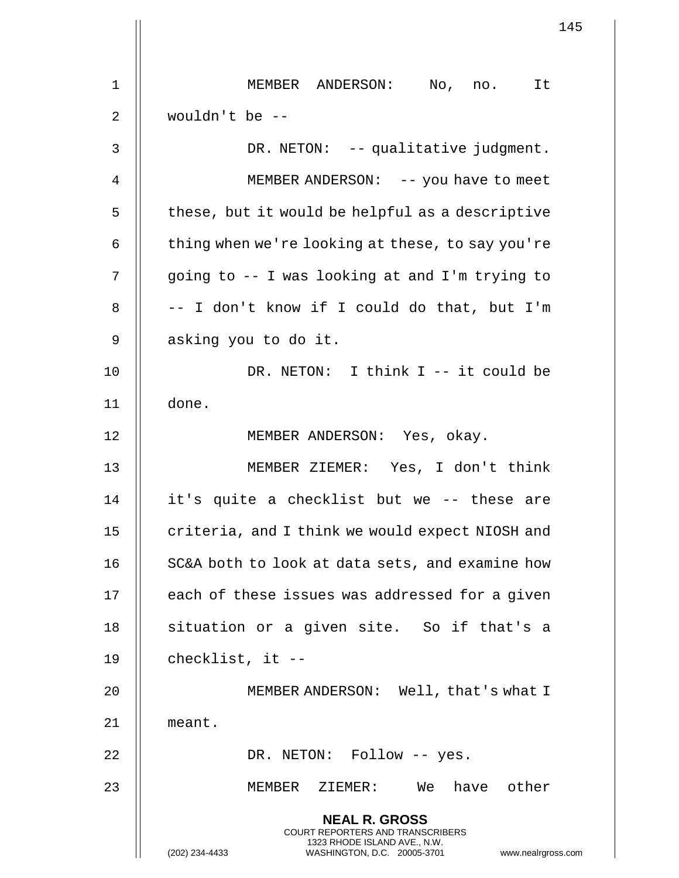|                | 145                                                                                                                                                                    |
|----------------|------------------------------------------------------------------------------------------------------------------------------------------------------------------------|
| $\mathbf 1$    | MEMBER ANDERSON: No, no. It                                                                                                                                            |
| 2              | wouldn't be $-$                                                                                                                                                        |
|                |                                                                                                                                                                        |
| 3              | DR. NETON: -- qualitative judgment.                                                                                                                                    |
| $\overline{4}$ | MEMBER ANDERSON: -- you have to meet                                                                                                                                   |
| 5              | these, but it would be helpful as a descriptive                                                                                                                        |
| 6              | thing when we're looking at these, to say you're                                                                                                                       |
| 7              | going to -- I was looking at and I'm trying to                                                                                                                         |
| 8              | -- I don't know if I could do that, but I'm                                                                                                                            |
| 9              | asking you to do it.                                                                                                                                                   |
| 10             | DR. NETON: I think I -- it could be                                                                                                                                    |
| 11             | done.                                                                                                                                                                  |
| 12             | MEMBER ANDERSON: Yes, okay.                                                                                                                                            |
| 13             | MEMBER ZIEMER: Yes, I don't think                                                                                                                                      |
| 14             | it's quite a checklist but we -- these are                                                                                                                             |
| 15             | criteria, and I think we would expect NIOSH and                                                                                                                        |
| 16             | SC&A both to look at data sets, and examine how                                                                                                                        |
| 17             | each of these issues was addressed for a given                                                                                                                         |
| 18             | situation or a given site. So if that's a                                                                                                                              |
| 19             | checklist, it --                                                                                                                                                       |
| 20             | MEMBER ANDERSON: Well, that's what I                                                                                                                                   |
| 21             | meant.                                                                                                                                                                 |
| 22             | DR. NETON: Follow -- yes.                                                                                                                                              |
| 23             | MEMBER ZIEMER: We have other                                                                                                                                           |
|                | <b>NEAL R. GROSS</b><br><b>COURT REPORTERS AND TRANSCRIBERS</b><br>1323 RHODE ISLAND AVE., N.W.<br>WASHINGTON, D.C. 20005-3701<br>(202) 234-4433<br>www.nealrgross.com |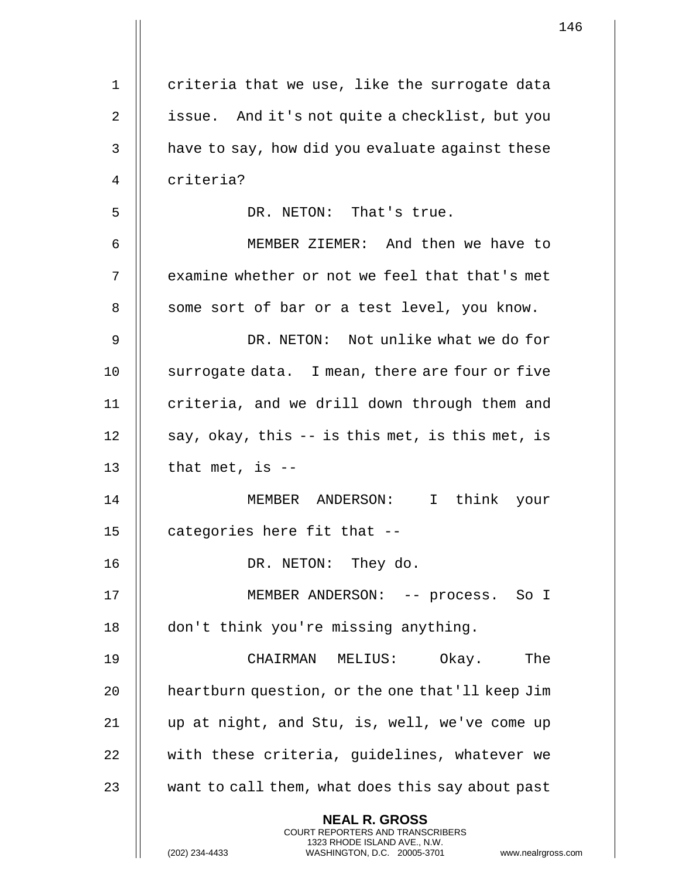|    |                                                                                                                                                                        | 146 |
|----|------------------------------------------------------------------------------------------------------------------------------------------------------------------------|-----|
| 1  | criteria that we use, like the surrogate data                                                                                                                          |     |
| 2  | issue. And it's not quite a checklist, but you                                                                                                                         |     |
|    |                                                                                                                                                                        |     |
| 3  | have to say, how did you evaluate against these                                                                                                                        |     |
| 4  | criteria?                                                                                                                                                              |     |
| 5  | DR. NETON: That's true.                                                                                                                                                |     |
| 6  | MEMBER ZIEMER: And then we have to                                                                                                                                     |     |
| 7  | examine whether or not we feel that that's met                                                                                                                         |     |
| 8  | some sort of bar or a test level, you know.                                                                                                                            |     |
| 9  | DR. NETON: Not unlike what we do for                                                                                                                                   |     |
| 10 | surrogate data. I mean, there are four or five                                                                                                                         |     |
| 11 | criteria, and we drill down through them and                                                                                                                           |     |
| 12 | say, okay, this -- is this met, is this met, is                                                                                                                        |     |
| 13 | that met, is $-$                                                                                                                                                       |     |
| 14 | MEMBER ANDERSON: I think your                                                                                                                                          |     |
| 15 | categories here fit that --                                                                                                                                            |     |
| 16 | DR. NETON: They do.                                                                                                                                                    |     |
| 17 | MEMBER ANDERSON: -- process. So I                                                                                                                                      |     |
| 18 | don't think you're missing anything.                                                                                                                                   |     |
| 19 | The<br>CHAIRMAN MELIUS: Okay.                                                                                                                                          |     |
| 20 | heartburn question, or the one that'll keep Jim                                                                                                                        |     |
| 21 | up at night, and Stu, is, well, we've come up                                                                                                                          |     |
| 22 | with these criteria, guidelines, whatever we                                                                                                                           |     |
| 23 | want to call them, what does this say about past                                                                                                                       |     |
|    | <b>NEAL R. GROSS</b><br><b>COURT REPORTERS AND TRANSCRIBERS</b><br>1323 RHODE ISLAND AVE., N.W.<br>(202) 234-4433<br>WASHINGTON, D.C. 20005-3701<br>www.nealrgross.com |     |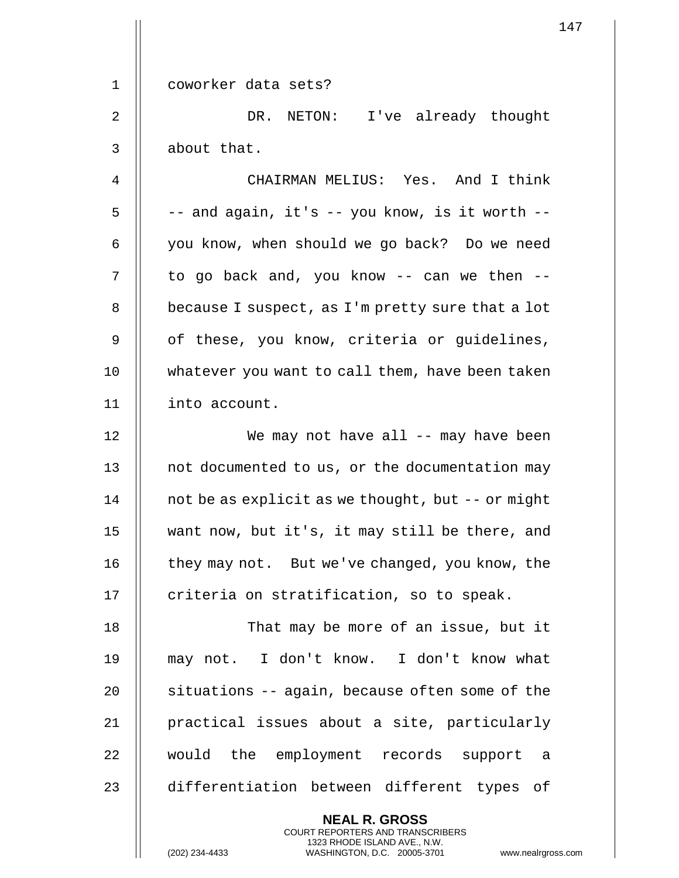|             | $\mathbf{1}$                                                                                                                                                        |
|-------------|---------------------------------------------------------------------------------------------------------------------------------------------------------------------|
| $\mathbf 1$ | coworker data sets?                                                                                                                                                 |
|             |                                                                                                                                                                     |
| 2           | DR. NETON: I've already thought                                                                                                                                     |
| 3           | about that.                                                                                                                                                         |
| 4           | CHAIRMAN MELIUS: Yes. And I think                                                                                                                                   |
| 5           | -- and again, it's -- you know, is it worth --                                                                                                                      |
| 6           | you know, when should we go back? Do we need                                                                                                                        |
| 7           | to go back and, you know -- can we then --                                                                                                                          |
| 8           | because I suspect, as I'm pretty sure that a lot                                                                                                                    |
| $\mathsf 9$ | of these, you know, criteria or guidelines,                                                                                                                         |
| 10          | whatever you want to call them, have been taken                                                                                                                     |
| 11          | into account.                                                                                                                                                       |
| 12          | We may not have all -- may have been                                                                                                                                |
| 13          | not documented to us, or the documentation may                                                                                                                      |
| 14          | not be as explicit as we thought, but -- or might                                                                                                                   |
| 15          | want now, but it's, it may still be there, and                                                                                                                      |
| 16          | they may not. But we've changed, you know, the                                                                                                                      |
| 17          | criteria on stratification, so to speak.                                                                                                                            |
| 18          | That may be more of an issue, but it                                                                                                                                |
| 19          | may not. I don't know. I don't know what                                                                                                                            |
| 20          | situations -- again, because often some of the                                                                                                                      |
| 21          | practical issues about a site, particularly                                                                                                                         |
| 22          | would the employment records support a                                                                                                                              |
| 23          | differentiation between different types of                                                                                                                          |
|             | <b>NEAL R. GROSS</b><br><b>COURT REPORTERS AND TRANSCRIBERS</b><br>1323 RHODE ISLAND AVE., N.W.<br>(202) 234-4433<br>WASHINGTON, D.C. 20005-3701<br>www.nealrgross. |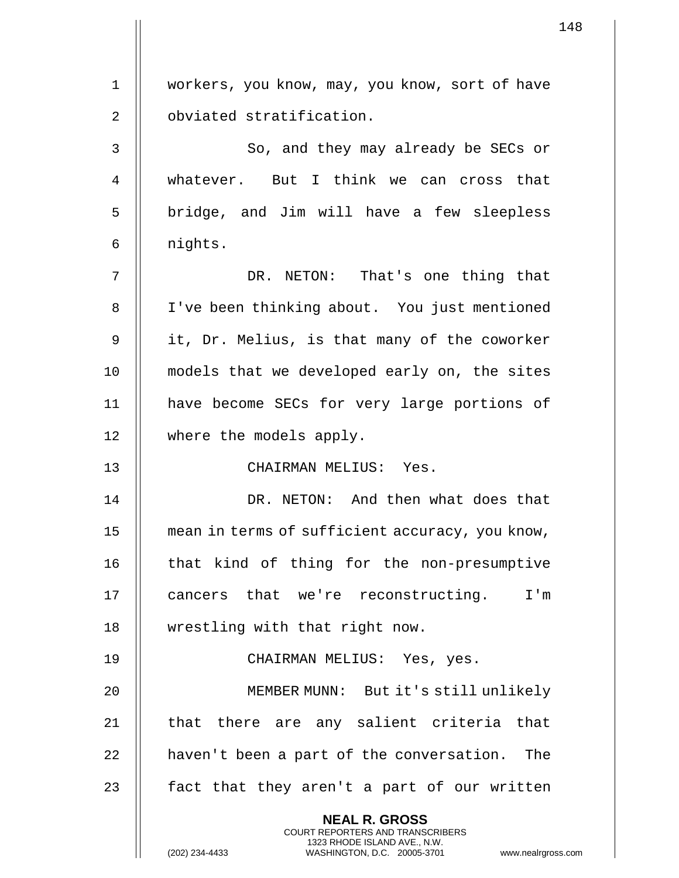| $\mathbf 1$ | workers, you know, may, you know, sort of have                                                                                                                     |
|-------------|--------------------------------------------------------------------------------------------------------------------------------------------------------------------|
| 2           | obviated stratification.                                                                                                                                           |
| 3           | So, and they may already be SECs or                                                                                                                                |
| 4           | whatever. But I think we can cross that                                                                                                                            |
| 5           |                                                                                                                                                                    |
|             | bridge, and Jim will have a few sleepless                                                                                                                          |
| 6           | nights.                                                                                                                                                            |
| 7           | DR. NETON: That's one thing that                                                                                                                                   |
| 8           | I've been thinking about. You just mentioned                                                                                                                       |
| 9           | it, Dr. Melius, is that many of the coworker                                                                                                                       |
| 10          | models that we developed early on, the sites                                                                                                                       |
| 11          | have become SECs for very large portions of                                                                                                                        |
| 12          | where the models apply.                                                                                                                                            |
| 13          | CHAIRMAN MELIUS: Yes.                                                                                                                                              |
| 14          | DR. NETON: And then what does that                                                                                                                                 |
| 15          | mean in terms of sufficient accuracy, you know,                                                                                                                    |
| 16          | that kind of thing for the non-presumptive                                                                                                                         |
| 17          | cancers that we're reconstructing. I'm                                                                                                                             |
| 18          | wrestling with that right now.                                                                                                                                     |
| 19          | CHAIRMAN MELIUS: Yes, yes.                                                                                                                                         |
| 20          | MEMBER MUNN: But it's still unlikely                                                                                                                               |
| 21          | that there are any salient criteria that                                                                                                                           |
| 22          | haven't been a part of the conversation. The                                                                                                                       |
| 23          | fact that they aren't a part of our written                                                                                                                        |
|             | <b>NEAL R. GROSS</b><br><b>COURT REPORTERS AND TRANSCRIBERS</b><br>1323 RHODE ISLAND AVE., N.W.<br>(202) 234-4433<br>WASHINGTON, D.C. 20005-3701<br>www.nealrgross |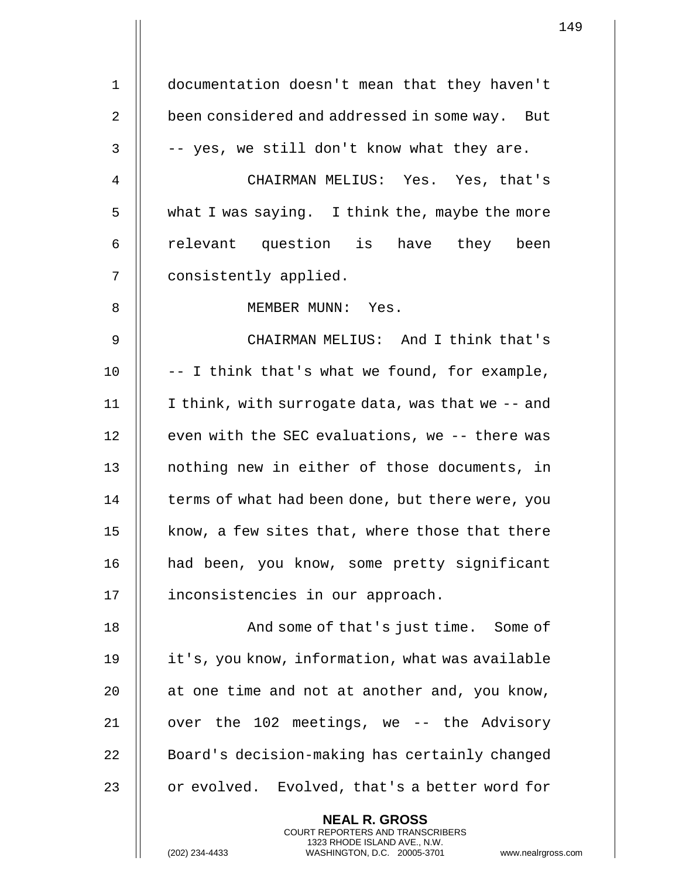1 documentation doesn't mean that they haven't 2 || been considered and addressed in some way. But  $3 \parallel -$  -yes, we still don't know what they are. 4 CHAIRMAN MELIUS: Yes. Yes, that's 5 what I was saying. I think the, maybe the more 6 || relevant question is have they been 7 | consistently applied. 8 || MEMBER MUNN: Yes. 9 CHAIRMAN MELIUS: And I think that's 10  $\parallel$  -- I think that's what we found, for example, 11 I think, with surrogate data, was that we -- and 12 || even with the SEC evaluations, we -- there was 13 || nothing new in either of those documents, in 14 | terms of what had been done, but there were, you 15  $\parallel$  know, a few sites that, where those that there 16 || had been, you know, some pretty significant 17 || inconsistencies in our approach. 18 And some of that's just time. Some of 19 it's, you know, information, what was available 20  $\parallel$  at one time and not at another and, you know, 21 || over the 102 meetings, we -- the Advisory 22 | Board's decision-making has certainly changed 23 || or evolved. Evolved, that's a better word for

> **NEAL R. GROSS** COURT REPORTERS AND TRANSCRIBERS 1323 RHODE ISLAND AVE., N.W.

(202) 234-4433 WASHINGTON, D.C. 20005-3701 www.nealrgross.com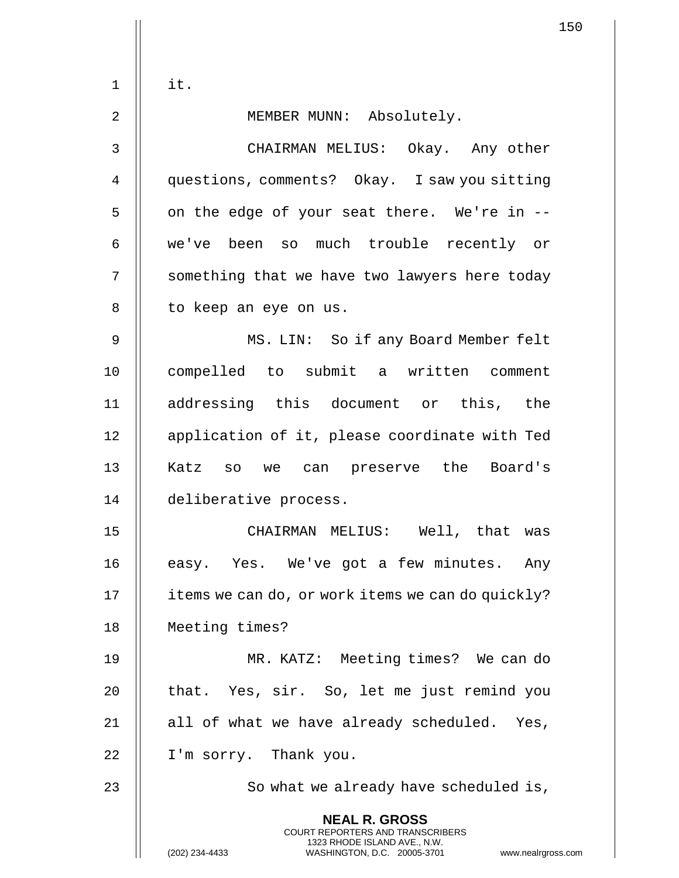$1$   $\parallel$  it.

2 || MEMBER MUNN: Absolutely.

3 CHAIRMAN MELIUS: Okay. Any other 4 questions, comments? Okay. I saw you sitting  $5 \parallel$  on the edge of your seat there. We're in --6 we've been so much trouble recently or 7 | something that we have two lawyers here today 8 | to keep an eye on us. 9 MS. LIN: So if any Board Member felt 10 || compelled to submit a written comment 11 addressing this document or this, the 12 || application of it, please coordinate with Ted 13 || Katz so we can preserve the Board's 14 deliberative process. 15 CHAIRMAN MELIUS: Well, that was 16 || easy. Yes. We've got a few minutes. Any 17 | items we can do, or work items we can do quickly? 18 Meeting times? 19 MR. KATZ: Meeting times? We can do 20 || that. Yes, sir. So, let me just remind you 21  $\parallel$  all of what we have already scheduled. Yes, 22 | I'm sorry. Thank you. 23 || So what we already have scheduled is, **NEAL R. GROSS** COURT REPORTERS AND TRANSCRIBERS 1323 RHODE ISLAND AVE., N.W. (202) 234-4433 WASHINGTON, D.C. 20005-3701 www.nealrgross.com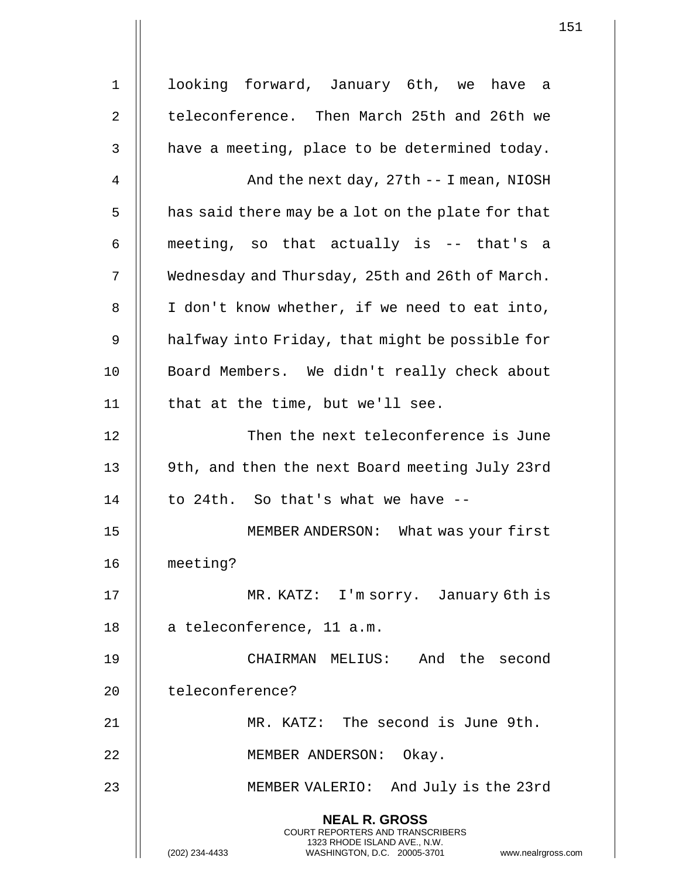1 || looking forward, January 6th, we have a 2 | teleconference. Then March 25th and 26th we  $3$   $\parallel$  have a meeting, place to be determined today. 4 | And the next day, 27th -- I mean, NIOSH  $5 \parallel$  has said there may be a lot on the plate for that  $6$  || meeting, so that actually is -- that's a 7 | Wednesday and Thursday, 25th and 26th of March.  $8$  || I don't know whether, if we need to eat into, 9 | halfway into Friday, that might be possible for 10 || Board Members. We didn't really check about 11 || that at the time, but we'll see. 12 || Then the next teleconference is June 13 || 9th, and then the next Board meeting July 23rd 14  $\parallel$  to 24th. So that's what we have  $-$ 15 MEMBER ANDERSON: What was your first 16 meeting? 17 || MR. KATZ: I'm sorry. January 6th is 18 | a teleconference, 11 a.m. 19 CHAIRMAN MELIUS: And the second 20 || teleconference? 21 MR. KATZ: The second is June 9th. 22 || MEMBER ANDERSON: Okay. 23 MEMBER VALERIO: And July is the 23rd **NEAL R. GROSS** COURT REPORTERS AND TRANSCRIBERS 1323 RHODE ISLAND AVE., N.W. (202) 234-4433 WASHINGTON, D.C. 20005-3701 www.nealrgross.com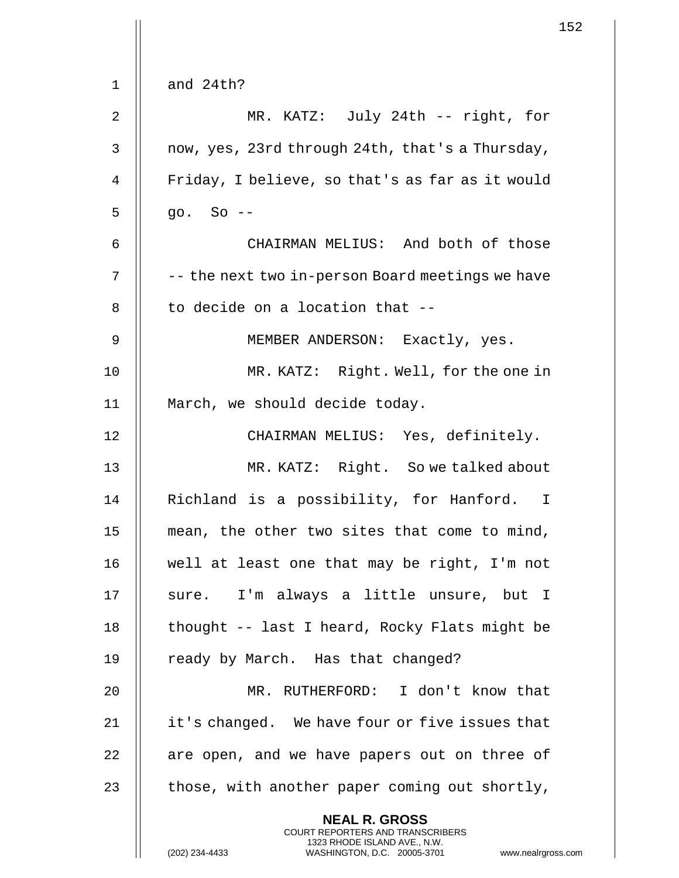|             |                                                                                                                                                                     | 152 |
|-------------|---------------------------------------------------------------------------------------------------------------------------------------------------------------------|-----|
| 1           | and 24th?                                                                                                                                                           |     |
| $\mathbf 2$ | MR. KATZ: July 24th -- right, for                                                                                                                                   |     |
|             |                                                                                                                                                                     |     |
| 3           | now, yes, 23rd through 24th, that's a Thursday,                                                                                                                     |     |
| 4           | Friday, I believe, so that's as far as it would                                                                                                                     |     |
| 5           | $go. So --$                                                                                                                                                         |     |
| 6           | CHAIRMAN MELIUS: And both of those                                                                                                                                  |     |
| 7           | -- the next two in-person Board meetings we have                                                                                                                    |     |
| 8           | to decide on a location that --                                                                                                                                     |     |
| 9           | MEMBER ANDERSON: Exactly, yes.                                                                                                                                      |     |
| 10          | MR. KATZ: Right. Well, for the one in                                                                                                                               |     |
| 11          | March, we should decide today.                                                                                                                                      |     |
| 12          | CHAIRMAN MELIUS: Yes, definitely.                                                                                                                                   |     |
| 13          | MR. KATZ: Right. So we talked about                                                                                                                                 |     |
| 14          | Richland is a possibility, for Hanford. I                                                                                                                           |     |
| 15          | mean, the other two sites that come to mind,                                                                                                                        |     |
| 16          | well at least one that may be right, I'm not                                                                                                                        |     |
| 17          | sure. I'm always a little unsure, but I                                                                                                                             |     |
| 18          | thought -- last I heard, Rocky Flats might be                                                                                                                       |     |
| 19          | ready by March. Has that changed?                                                                                                                                   |     |
| 20          | MR. RUTHERFORD: I don't know that                                                                                                                                   |     |
| 21          | it's changed. We have four or five issues that                                                                                                                      |     |
| 22          | are open, and we have papers out on three of                                                                                                                        |     |
| 23          | those, with another paper coming out shortly,                                                                                                                       |     |
|             | <b>NEAL R. GROSS</b><br><b>COURT REPORTERS AND TRANSCRIBERS</b><br>1323 RHODE ISLAND AVE., N.W.<br>(202) 234-4433<br>WASHINGTON, D.C. 20005-3701 www.nealrgross.com |     |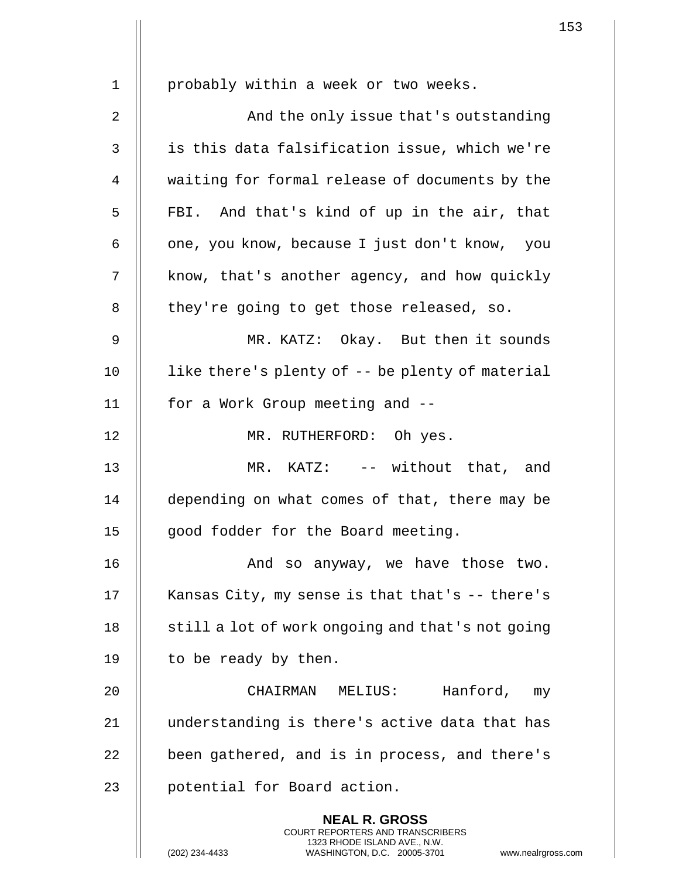| $\mathbf 1$ | probably within a week or two weeks.                                                                                                                               |
|-------------|--------------------------------------------------------------------------------------------------------------------------------------------------------------------|
| 2           | And the only issue that's outstanding                                                                                                                              |
|             |                                                                                                                                                                    |
| 3           | is this data falsification issue, which we're                                                                                                                      |
| 4           | waiting for formal release of documents by the                                                                                                                     |
| 5           | FBI. And that's kind of up in the air, that                                                                                                                        |
| 6           | one, you know, because I just don't know, you                                                                                                                      |
| 7           | know, that's another agency, and how quickly                                                                                                                       |
| 8           | they're going to get those released, so.                                                                                                                           |
| $\mathsf 9$ | MR. KATZ: Okay. But then it sounds                                                                                                                                 |
| 10          | like there's plenty of -- be plenty of material                                                                                                                    |
| 11          | for a Work Group meeting and --                                                                                                                                    |
| 12          | MR. RUTHERFORD: Oh yes.                                                                                                                                            |
| 13          | MR. KATZ: -- without that, and                                                                                                                                     |
| 14          | depending on what comes of that, there may be                                                                                                                      |
| 15          | good fodder for the Board meeting.                                                                                                                                 |
| 16          | And so anyway, we have those two.                                                                                                                                  |
| 17          | Kansas City, my sense is that that's -- there's                                                                                                                    |
| 18          | still a lot of work ongoing and that's not going                                                                                                                   |
| 19          | to be ready by then.                                                                                                                                               |
| 20          | Hanford, my<br>CHAIRMAN MELIUS:                                                                                                                                    |
| 21          | understanding is there's active data that has                                                                                                                      |
| 22          | been gathered, and is in process, and there's                                                                                                                      |
| 23          | potential for Board action.                                                                                                                                        |
|             | <b>NEAL R. GROSS</b><br><b>COURT REPORTERS AND TRANSCRIBERS</b><br>1323 RHODE ISLAND AVE., N.W.<br>(202) 234-4433<br>WASHINGTON, D.C. 20005-3701<br>www.nealrgross |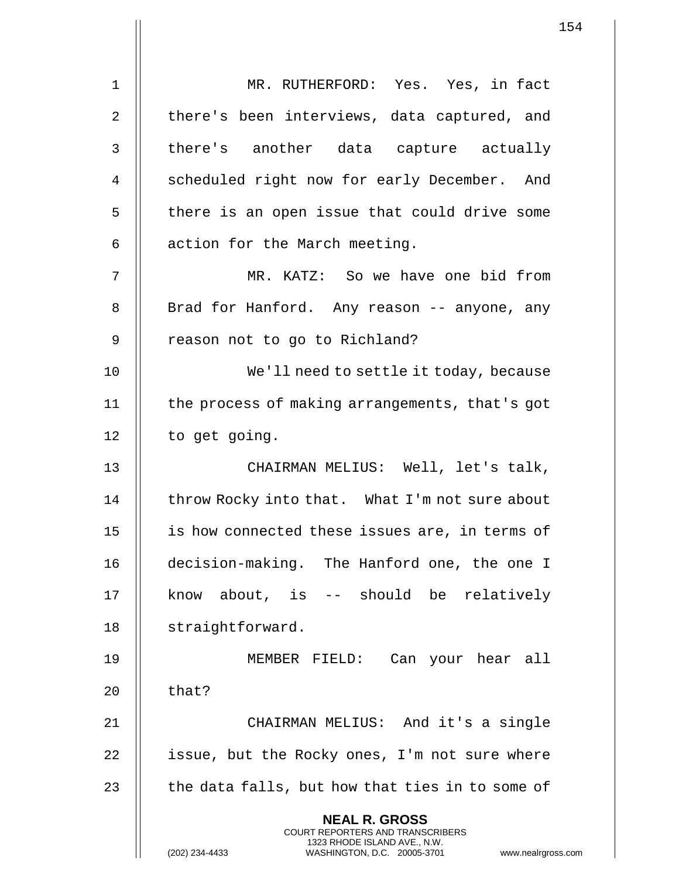|                | $\mathbf 1$                                                                                                                                                          |
|----------------|----------------------------------------------------------------------------------------------------------------------------------------------------------------------|
| $\mathbf 1$    | MR. RUTHERFORD: Yes. Yes, in fact                                                                                                                                    |
| $\overline{2}$ | there's been interviews, data captured, and                                                                                                                          |
| 3              | there's another data capture actually                                                                                                                                |
| 4              | scheduled right now for early December. And                                                                                                                          |
| 5              | there is an open issue that could drive some                                                                                                                         |
| 6              | action for the March meeting.                                                                                                                                        |
| 7              | MR. KATZ: So we have one bid from                                                                                                                                    |
| 8              | Brad for Hanford. Any reason -- anyone, any                                                                                                                          |
| 9              | reason not to go to Richland?                                                                                                                                        |
| 10             | We'll need to settle it today, because                                                                                                                               |
| 11             | the process of making arrangements, that's got                                                                                                                       |
| 12             | to get going.                                                                                                                                                        |
| 13             | CHAIRMAN MELIUS: Well, let's talk,                                                                                                                                   |
| 14             | throw Rocky into that. What I'm not sure about                                                                                                                       |
| 15             | is how connected these issues are, in terms of                                                                                                                       |
| 16             | decision-making. The Hanford one, the one I                                                                                                                          |
| 17             | know about, is -- should be relatively                                                                                                                               |
| 18             | straightforward.                                                                                                                                                     |
| 19             | MEMBER FIELD: Can your hear all                                                                                                                                      |
| 20             | that?                                                                                                                                                                |
| 21             | CHAIRMAN MELIUS: And it's a single                                                                                                                                   |
| 22             | issue, but the Rocky ones, I'm not sure where                                                                                                                        |
| 23             | the data falls, but how that ties in to some of                                                                                                                      |
|                | <b>NEAL R. GROSS</b><br><b>COURT REPORTERS AND TRANSCRIBERS</b><br>1323 RHODE ISLAND AVE., N.W.<br>(202) 234-4433<br>www.nealrgross.o<br>WASHINGTON, D.C. 20005-3701 |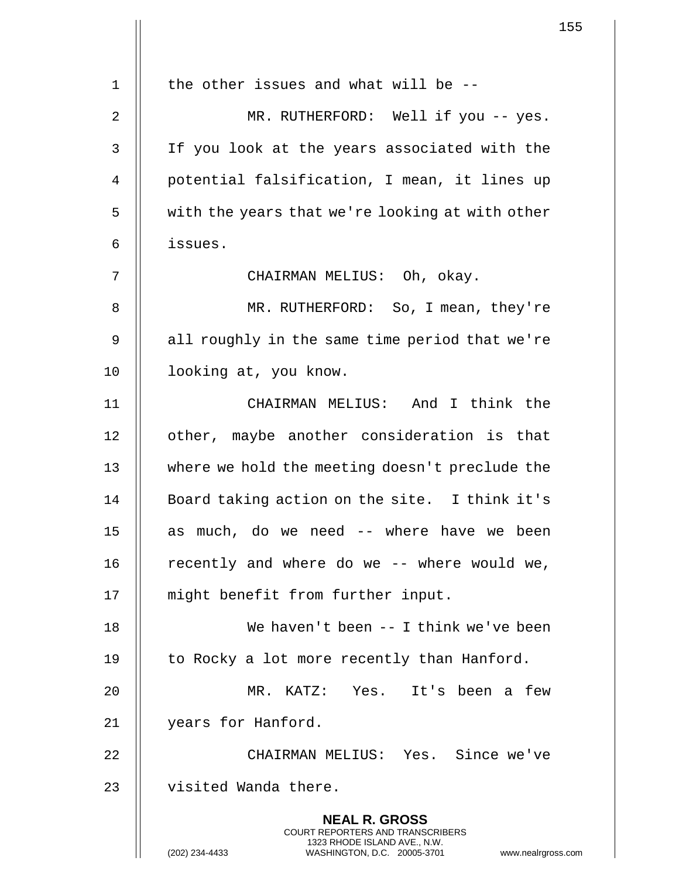|             |                                                                                                                                                                        | 155 |
|-------------|------------------------------------------------------------------------------------------------------------------------------------------------------------------------|-----|
|             |                                                                                                                                                                        |     |
| $\mathbf 1$ | the other issues and what will be $-$ -                                                                                                                                |     |
| 2           | MR. RUTHERFORD: Well if you -- yes.                                                                                                                                    |     |
| 3           | If you look at the years associated with the                                                                                                                           |     |
| 4           | potential falsification, I mean, it lines up                                                                                                                           |     |
| 5           | with the years that we're looking at with other                                                                                                                        |     |
| 6           | issues.                                                                                                                                                                |     |
| 7           | CHAIRMAN MELIUS: Oh, okay.                                                                                                                                             |     |
| 8           | MR. RUTHERFORD: So, I mean, they're                                                                                                                                    |     |
| 9           | all roughly in the same time period that we're                                                                                                                         |     |
| 10          | looking at, you know.                                                                                                                                                  |     |
| 11          | CHAIRMAN MELIUS: And I think the                                                                                                                                       |     |
| 12          | other, maybe another consideration is that                                                                                                                             |     |
| 13          | where we hold the meeting doesn't preclude the                                                                                                                         |     |
| 14          | Board taking action on the site. I think it's                                                                                                                          |     |
| 15          | as much, do we need -- where have we been                                                                                                                              |     |
| 16          | recently and where do we -- where would we,                                                                                                                            |     |
| 17          | might benefit from further input.                                                                                                                                      |     |
| 18          | We haven't been $-$ I think we've been                                                                                                                                 |     |
| 19          | to Rocky a lot more recently than Hanford.                                                                                                                             |     |
| 20          | MR. KATZ: Yes. It's been a few                                                                                                                                         |     |
| 21          | years for Hanford.                                                                                                                                                     |     |
| 22          | CHAIRMAN MELIUS: Yes. Since we've                                                                                                                                      |     |
| 23          | visited Wanda there.                                                                                                                                                   |     |
|             | <b>NEAL R. GROSS</b><br><b>COURT REPORTERS AND TRANSCRIBERS</b><br>1323 RHODE ISLAND AVE., N.W.<br>(202) 234-4433<br>WASHINGTON, D.C. 20005-3701<br>www.nealrgross.com |     |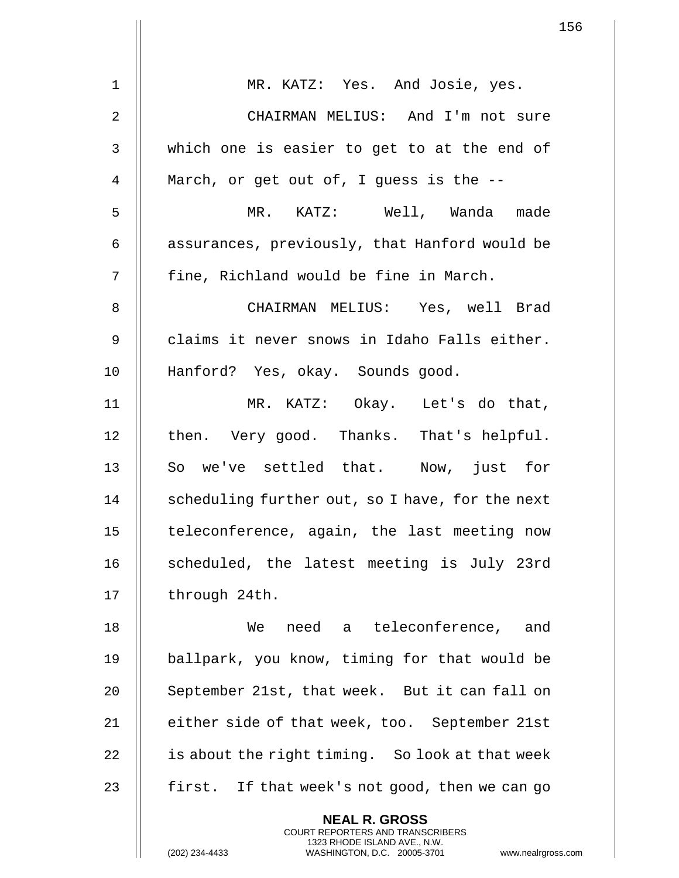|                | $\mathbf{1}$                                                                                                                                                       |
|----------------|--------------------------------------------------------------------------------------------------------------------------------------------------------------------|
|                |                                                                                                                                                                    |
| $\mathbf 1$    | MR. KATZ: Yes. And Josie, yes.                                                                                                                                     |
| $\overline{2}$ | CHAIRMAN MELIUS: And I'm not sure                                                                                                                                  |
| 3              | which one is easier to get to at the end of                                                                                                                        |
| 4              | March, or get out of, I guess is the --                                                                                                                            |
| 5              | MR. KATZ: Well, Wanda made                                                                                                                                         |
| 6              | assurances, previously, that Hanford would be                                                                                                                      |
| 7              | fine, Richland would be fine in March.                                                                                                                             |
| 8              | CHAIRMAN MELIUS: Yes, well Brad                                                                                                                                    |
| $\mathsf 9$    | claims it never snows in Idaho Falls either.                                                                                                                       |
| 10             | Hanford? Yes, okay. Sounds good.                                                                                                                                   |
| 11             | MR. KATZ: Okay. Let's do that,                                                                                                                                     |
| 12             | then. Very good. Thanks. That's helpful.                                                                                                                           |
| 13             | So we've settled that. Now, just for                                                                                                                               |
| 14             | scheduling further out, so I have, for the next                                                                                                                    |
| 15             | teleconference, again, the last meeting now                                                                                                                        |
| 16             | scheduled, the latest meeting is July 23rd                                                                                                                         |
| 17             | through 24th.                                                                                                                                                      |
| 18             | need a teleconference, and<br>We                                                                                                                                   |
| 19             | ballpark, you know, timing for that would be                                                                                                                       |
| 20             | September 21st, that week. But it can fall on                                                                                                                      |
| 21             | either side of that week, too. September 21st                                                                                                                      |
| 22             | is about the right timing. So look at that week                                                                                                                    |
| 23             | first. If that week's not good, then we can go                                                                                                                     |
|                | <b>NEAL R. GROSS</b><br><b>COURT REPORTERS AND TRANSCRIBERS</b><br>1323 RHODE ISLAND AVE., N.W.<br>(202) 234-4433<br>WASHINGTON, D.C. 20005-3701<br>www.nealrgross |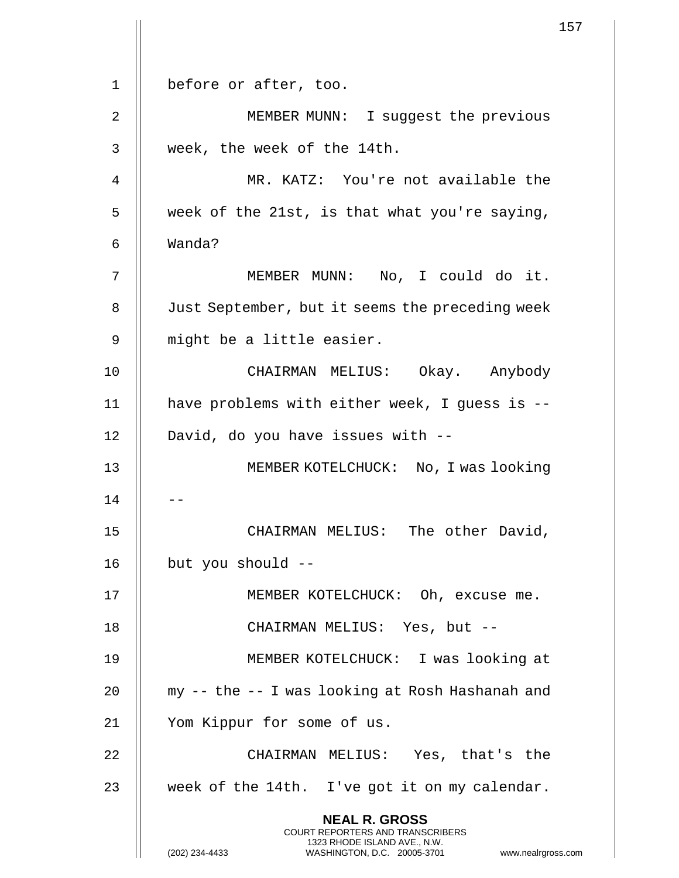1 || before or after, too. 2 | MEMBER MUNN: I suggest the previous 3 week, the week of the 14th. 4 MR. KATZ: You're not available the  $5 \parallel$  week of the 21st, is that what you're saying, 6 Wanda? 7 MEMBER MUNN: No, I could do it. 8 | Just September, but it seems the preceding week 9 || might be a little easier. 10 CHAIRMAN MELIUS: Okay. Anybody 11 have problems with either week, I guess is -- 12 || David, do you have issues with --13 MEMBER KOTELCHUCK: No, I was looking  $14$ 15 || CHAIRMAN MELIUS: The other David, 16  $\parallel$  but you should --17 || MEMBER KOTELCHUCK: Oh, excuse me. 18 || CHAIRMAN MELIUS: Yes, but --19 MEMBER KOTELCHUCK: I was looking at 20  $\parallel$  my -- the -- I was looking at Rosh Hashanah and 21 Yom Kippur for some of us. 22 CHAIRMAN MELIUS: Yes, that's the 23  $\parallel$  week of the 14th. I've got it on my calendar. **NEAL R. GROSS** COURT REPORTERS AND TRANSCRIBERS 1323 RHODE ISLAND AVE., N.W. (202) 234-4433 WASHINGTON, D.C. 20005-3701 www.nealrgross.com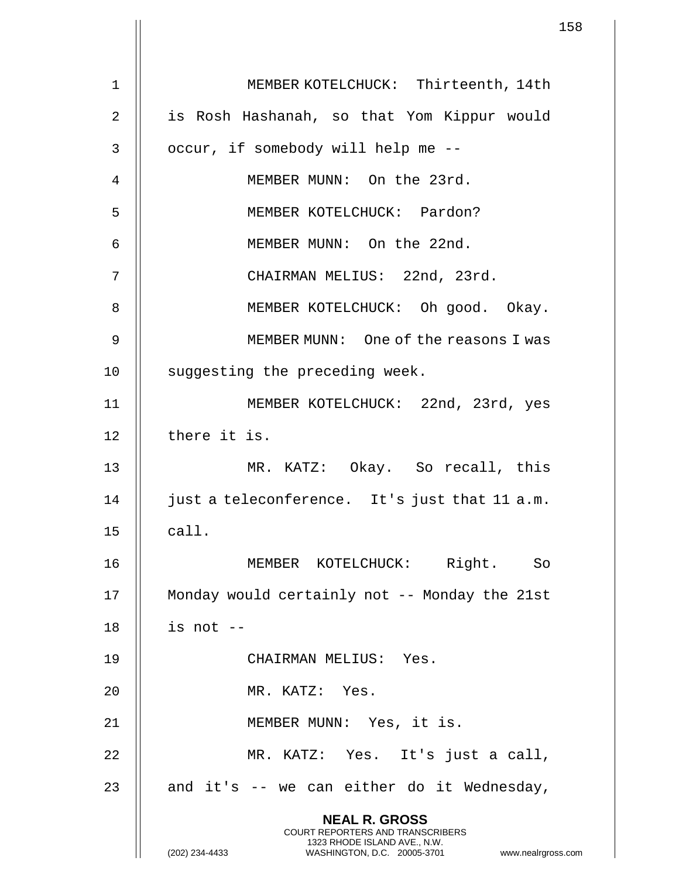|             | 158                                                                                                                                                                    |
|-------------|------------------------------------------------------------------------------------------------------------------------------------------------------------------------|
| $\mathbf 1$ | MEMBER KOTELCHUCK: Thirteenth, 14th                                                                                                                                    |
|             |                                                                                                                                                                        |
| 2           | is Rosh Hashanah, so that Yom Kippur would                                                                                                                             |
| 3           | occur, if somebody will help me --                                                                                                                                     |
| 4           | MEMBER MUNN: On the 23rd.                                                                                                                                              |
| 5           | MEMBER KOTELCHUCK: Pardon?                                                                                                                                             |
| 6           | MEMBER MUNN: On the 22nd.                                                                                                                                              |
| 7           | CHAIRMAN MELIUS: 22nd, 23rd.                                                                                                                                           |
| 8           | MEMBER KOTELCHUCK: Oh good. Okay.                                                                                                                                      |
| 9           | MEMBER MUNN: One of the reasons I was                                                                                                                                  |
| 10          | suggesting the preceding week.                                                                                                                                         |
| 11          | MEMBER KOTELCHUCK: 22nd, 23rd, yes                                                                                                                                     |
| 12          | there it is.                                                                                                                                                           |
| 13          | MR. KATZ: Okay. So recall, this                                                                                                                                        |
| 14          | just a teleconference. It's just that 11 a.m.                                                                                                                          |
| 15          | call.                                                                                                                                                                  |
| 16          | MEMBER KOTELCHUCK: Right. So                                                                                                                                           |
| 17          | Monday would certainly not -- Monday the 21st                                                                                                                          |
| 18          | is not --                                                                                                                                                              |
| 19          | CHAIRMAN MELIUS: Yes.                                                                                                                                                  |
| 20          | MR. KATZ: Yes.                                                                                                                                                         |
| 21          | MEMBER MUNN: Yes, it is.                                                                                                                                               |
| 22          | MR. KATZ: Yes. It's just a call,                                                                                                                                       |
| 23          | and it's -- we can either do it Wednesday,                                                                                                                             |
|             | <b>NEAL R. GROSS</b><br><b>COURT REPORTERS AND TRANSCRIBERS</b><br>1323 RHODE ISLAND AVE., N.W.<br>(202) 234-4433<br>WASHINGTON, D.C. 20005-3701<br>www.nealrgross.com |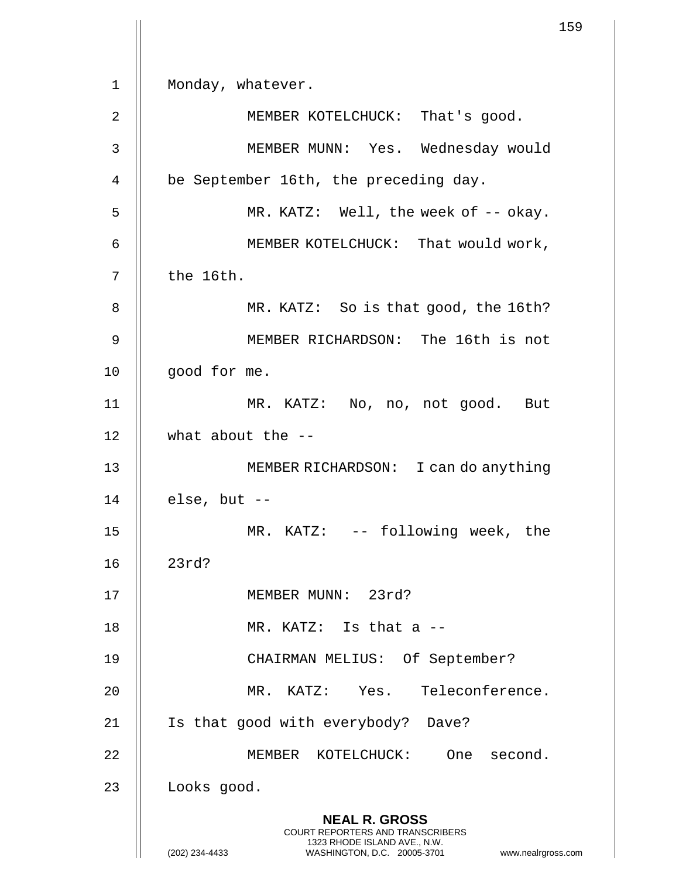1 || Monday, whatever. 2 || MEMBER KOTELCHUCK: That's good. 3 MEMBER MUNN: Yes. Wednesday would 4 | be September 16th, the preceding day. 5 || MR. KATZ: Well, the week of -- okay. 6 || MEMBER KOTELCHUCK: That would work,  $7 \parallel$  the 16th. 8 || MR. KATZ: So is that good, the 16th? 9 MEMBER RICHARDSON: The 16th is not 10 || good for me. 11 MR. KATZ: No, no, not good. But 12 what about the -- 13 MEMBER RICHARDSON: I can do anything  $14$  | else, but  $-$ 15 MR. KATZ: -- following week, the 16 23rd? 17 || MEMBER MUNN: 23rd? 18  $\parallel$  MR. KATZ: Is that a  $-$ 19 CHAIRMAN MELIUS: Of September? 20 MR. KATZ: Yes. Teleconference. 21 || Is that good with everybody? Dave? 22 || MEMBER KOTELCHUCK: One second. 23 | Looks good. **NEAL R. GROSS** COURT REPORTERS AND TRANSCRIBERS 1323 RHODE ISLAND AVE., N.W. (202) 234-4433 WASHINGTON, D.C. 20005-3701 www.nealrgross.com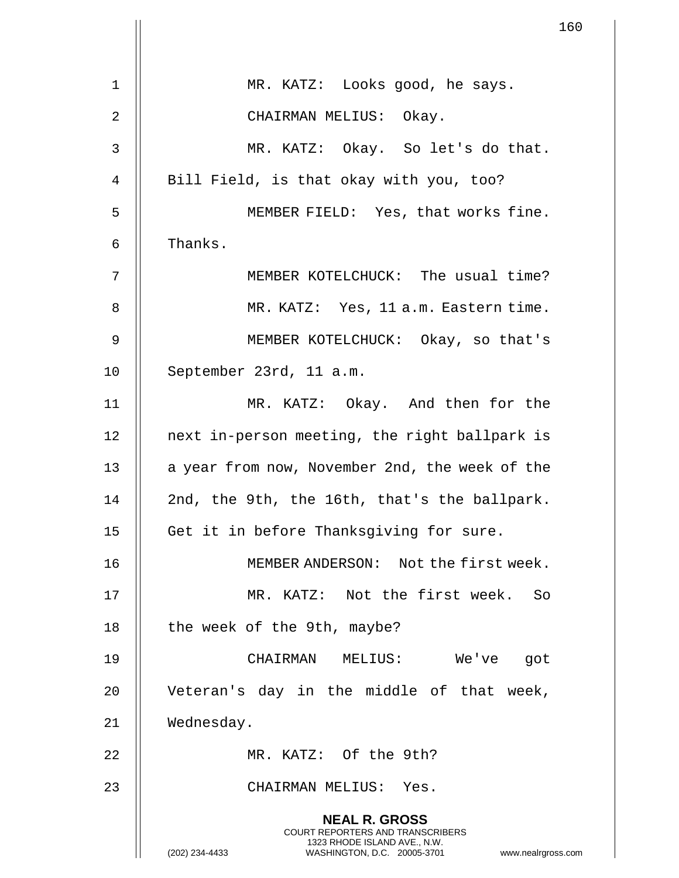|                |                                                                                                                                                                        | 160 |
|----------------|------------------------------------------------------------------------------------------------------------------------------------------------------------------------|-----|
|                |                                                                                                                                                                        |     |
| $\mathbf 1$    | MR. KATZ: Looks good, he says.                                                                                                                                         |     |
| $\overline{2}$ | CHAIRMAN MELIUS: Okay.                                                                                                                                                 |     |
| $\mathfrak{Z}$ | MR. KATZ: Okay. So let's do that.                                                                                                                                      |     |
| $\overline{4}$ | Bill Field, is that okay with you, too?                                                                                                                                |     |
| 5              | MEMBER FIELD: Yes, that works fine.                                                                                                                                    |     |
| 6              | Thanks.                                                                                                                                                                |     |
| 7              | MEMBER KOTELCHUCK: The usual time?                                                                                                                                     |     |
| 8              | MR. KATZ: Yes, 11 a.m. Eastern time.                                                                                                                                   |     |
| $\mathsf 9$    | MEMBER KOTELCHUCK: Okay, so that's                                                                                                                                     |     |
| 10             | September 23rd, 11 a.m.                                                                                                                                                |     |
| 11             | MR. KATZ: Okay. And then for the                                                                                                                                       |     |
| 12             | next in-person meeting, the right ballpark is                                                                                                                          |     |
| 13             | a year from now, November 2nd, the week of the                                                                                                                         |     |
| 14             | 2nd, the 9th, the 16th, that's the ballpark.                                                                                                                           |     |
| 15             | Get it in before Thanksgiving for sure.                                                                                                                                |     |
| 16             | MEMBER ANDERSON: Not the first week.                                                                                                                                   |     |
| 17             | MR. KATZ: Not the first week. So                                                                                                                                       |     |
| 18             | the week of the 9th, maybe?                                                                                                                                            |     |
| 19             | CHAIRMAN MELIUS:<br>We've<br>got                                                                                                                                       |     |
| 20             | Veteran's day in the middle of that week,                                                                                                                              |     |
| 21             | Wednesday.                                                                                                                                                             |     |
| 22             | MR. KATZ: Of the 9th?                                                                                                                                                  |     |
| 23             | CHAIRMAN MELIUS: Yes.                                                                                                                                                  |     |
|                | <b>NEAL R. GROSS</b><br><b>COURT REPORTERS AND TRANSCRIBERS</b><br>1323 RHODE ISLAND AVE., N.W.<br>(202) 234-4433<br>WASHINGTON, D.C. 20005-3701<br>www.nealrgross.com |     |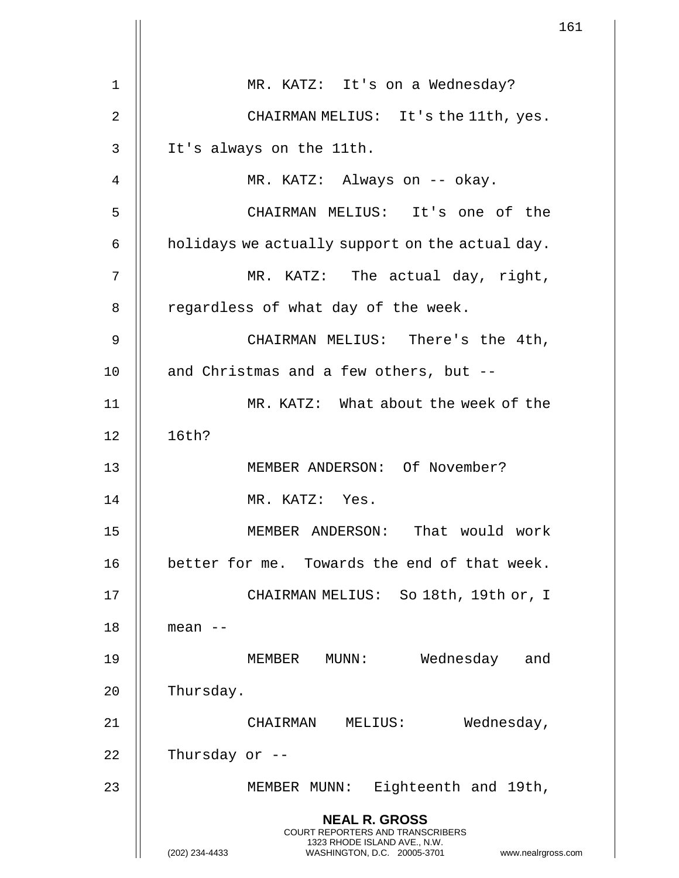|                | 161                                                                                                                                            |  |
|----------------|------------------------------------------------------------------------------------------------------------------------------------------------|--|
|                |                                                                                                                                                |  |
| $\mathbf 1$    | MR. KATZ: It's on a Wednesday?                                                                                                                 |  |
| 2              | CHAIRMAN MELIUS: It's the 11th, yes.                                                                                                           |  |
| $\mathsf{3}$   | It's always on the 11th.                                                                                                                       |  |
| $\overline{4}$ | MR. KATZ: Always on -- okay.                                                                                                                   |  |
| 5              | CHAIRMAN MELIUS: It's one of the                                                                                                               |  |
| 6              | holidays we actually support on the actual day.                                                                                                |  |
| 7              | MR. KATZ: The actual day, right,                                                                                                               |  |
| 8              | regardless of what day of the week.                                                                                                            |  |
| 9              | CHAIRMAN MELIUS: There's the 4th,                                                                                                              |  |
| 10             | and Christmas and a few others, but --                                                                                                         |  |
| 11             | MR. KATZ: What about the week of the                                                                                                           |  |
| 12             | 16th?                                                                                                                                          |  |
| 13             | MEMBER ANDERSON: Of November?                                                                                                                  |  |
| 14             | MR. KATZ: Yes.                                                                                                                                 |  |
| 15             | MEMBER ANDERSON: That would work                                                                                                               |  |
| 16             | better for me. Towards the end of that week.                                                                                                   |  |
| 17             | CHAIRMAN MELIUS: So 18th, 19th or, I                                                                                                           |  |
| 18             | mean --                                                                                                                                        |  |
| 19             | Wednesday and<br>MEMBER MUNN:                                                                                                                  |  |
| 20             | Thursday.                                                                                                                                      |  |
| 21             | Wednesday,<br>CHAIRMAN MELIUS:                                                                                                                 |  |
| 22             | Thursday or --                                                                                                                                 |  |
| 23             | MEMBER MUNN: Eighteenth and 19th,                                                                                                              |  |
|                | <b>NEAL R. GROSS</b>                                                                                                                           |  |
|                | <b>COURT REPORTERS AND TRANSCRIBERS</b><br>1323 RHODE ISLAND AVE., N.W.<br>WASHINGTON, D.C. 20005-3701<br>(202) 234-4433<br>www.nealrgross.com |  |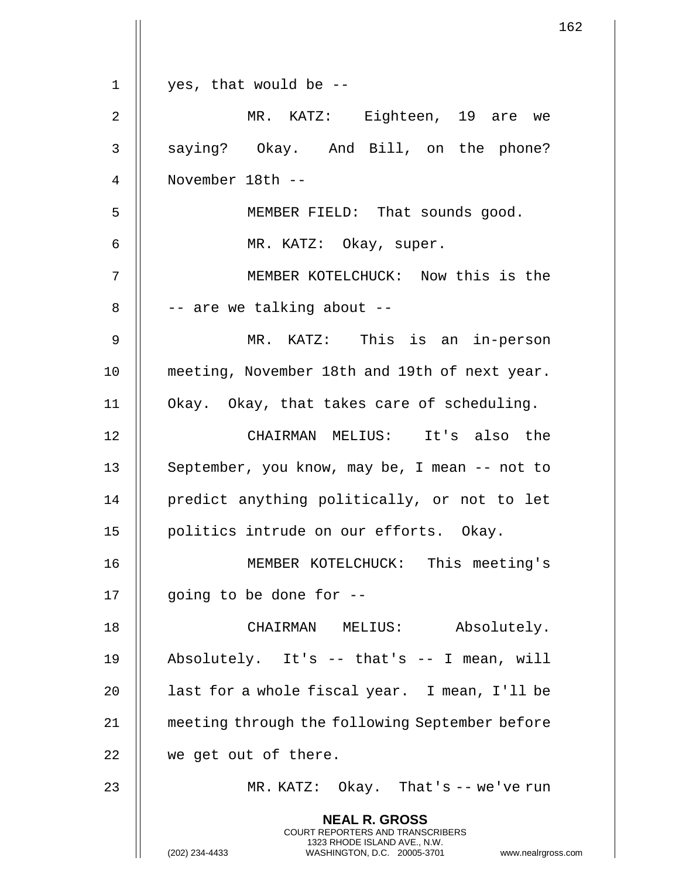|    | 162                                                                                                                                                                    |
|----|------------------------------------------------------------------------------------------------------------------------------------------------------------------------|
| 1  | yes, that would be --                                                                                                                                                  |
|    |                                                                                                                                                                        |
| 2  | MR. KATZ: Eighteen, 19 are we                                                                                                                                          |
| 3  | saying? Okay. And Bill, on the phone?                                                                                                                                  |
| 4  | November 18th --                                                                                                                                                       |
| 5  | MEMBER FIELD: That sounds good.                                                                                                                                        |
| 6  | MR. KATZ: Okay, super.                                                                                                                                                 |
| 7  | MEMBER KOTELCHUCK: Now this is the                                                                                                                                     |
| 8  | -- are we talking about --                                                                                                                                             |
| 9  | MR. KATZ: This is an in-person                                                                                                                                         |
| 10 | meeting, November 18th and 19th of next year.                                                                                                                          |
| 11 | Okay. Okay, that takes care of scheduling.                                                                                                                             |
| 12 | CHAIRMAN MELIUS: It's also the                                                                                                                                         |
| 13 | September, you know, may be, I mean -- not to                                                                                                                          |
| 14 | predict anything politically, or not to let                                                                                                                            |
| 15 | politics intrude on our efforts. Okay.                                                                                                                                 |
| 16 | MEMBER KOTELCHUCK: This meeting's                                                                                                                                      |
| 17 | going to be done for --                                                                                                                                                |
| 18 | CHAIRMAN MELIUS: Absolutely.                                                                                                                                           |
| 19 | Absolutely. It's -- that's -- I mean, will                                                                                                                             |
| 20 | last for a whole fiscal year. I mean, I'll be                                                                                                                          |
| 21 | meeting through the following September before                                                                                                                         |
| 22 | we get out of there.                                                                                                                                                   |
| 23 | MR. KATZ: $Okay$ . That's -- we've run                                                                                                                                 |
|    | <b>NEAL R. GROSS</b><br><b>COURT REPORTERS AND TRANSCRIBERS</b><br>1323 RHODE ISLAND AVE., N.W.<br>(202) 234-4433<br>WASHINGTON, D.C. 20005-3701<br>www.nealrgross.com |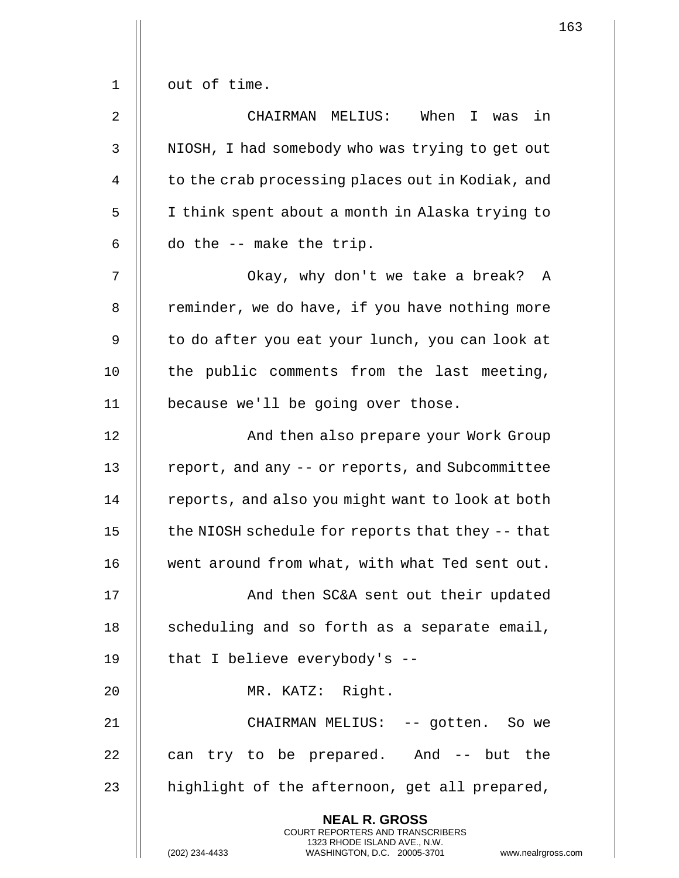1 || out of time. 2 CHAIRMAN MELIUS: When I was in 3 || NIOSH, I had somebody who was trying to get out 4 | to the crab processing places out in Kodiak, and 5 | I think spent about a month in Alaska trying to  $6 \parallel$  do the  $-$  make the trip. 7 || Okay, why don't we take a break? A 8 | reminder, we do have, if you have nothing more 9 || to do after you eat your lunch, you can look at 10  $\parallel$  the public comments from the last meeting, 11 | because we'll be going over those. 12 || And then also prepare your Work Group 13 | report, and any -- or reports, and Subcommittee 14 | reports, and also you might want to look at both 15  $\parallel$  the NIOSH schedule for reports that they  $-$ -that 16 || went around from what, with what Ted sent out. 17 || And then SC&A sent out their updated  $18$  || scheduling and so forth as a separate email, 19  $\parallel$  that I believe everybody's --20 MR. KATZ: Right. 21 CHAIRMAN MELIUS: -- gotten. So we 22  $\parallel$  can try to be prepared. And  $-$  but the 23  $\parallel$  highlight of the afternoon, get all prepared, **NEAL R. GROSS** COURT REPORTERS AND TRANSCRIBERS 1323 RHODE ISLAND AVE., N.W.

(202) 234-4433 WASHINGTON, D.C. 20005-3701 www.nealrgross.com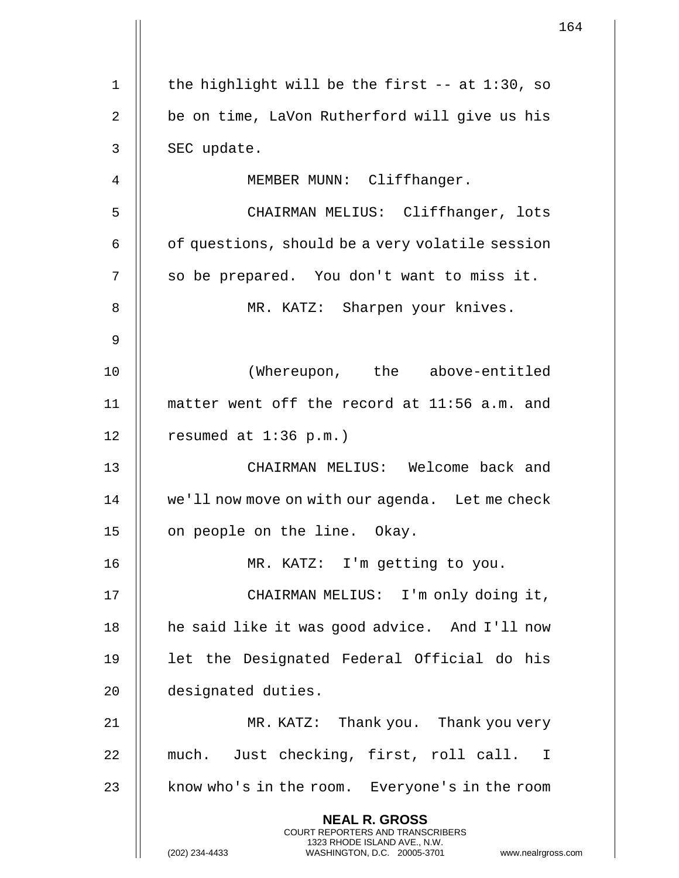1 | the highlight will be the first  $-$  at 1:30, so 2 || be on time, LaVon Rutherford will give us his  $3 \parallel$  SEC update. 4 || MEMBER MUNN: Cliffhanger. 5 CHAIRMAN MELIUS: Cliffhanger, lots  $6 \parallel$  of questions, should be a very volatile session 7 || so be prepared. You don't want to miss it. 8 || MR. KATZ: Sharpen your knives. 9 10 (Whereupon, the above-entitled 11 matter went off the record at 11:56 a.m. and 12 | resumed at  $1:36$  p.m.) 13 CHAIRMAN MELIUS: Welcome back and 14 | we'll now move on with our agenda. Let me check 15 | on people on the line. Okay. 16 MR. KATZ: I'm getting to you. 17 || CHAIRMAN MELIUS: I'm only doing it, 18 || he said like it was good advice. And I'll now 19 let the Designated Federal Official do his 20 designated duties. 21 MR. KATZ: Thank you. Thank you very 22 || much. Just checking, first, roll call. I 23 || know who's in the room. Everyone's in the room **NEAL R. GROSS** COURT REPORTERS AND TRANSCRIBERS 1323 RHODE ISLAND AVE., N.W. (202) 234-4433 WASHINGTON, D.C. 20005-3701 www.nealrgross.com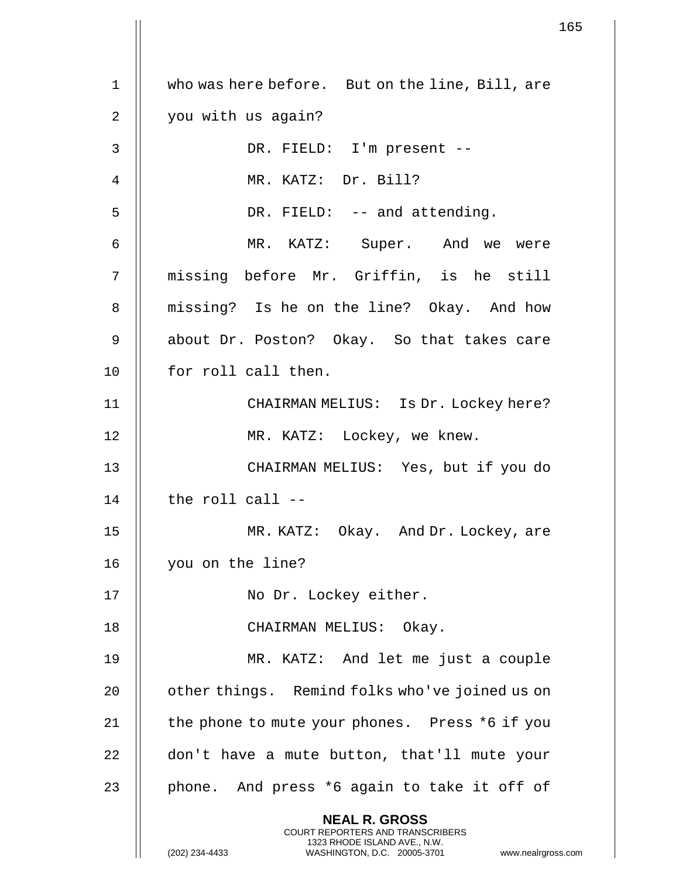1 | who was here before. But on the line, Bill, are 2 || you with us again? 3 DR. FIELD: I'm present -- 4 MR. KATZ: Dr. Bill? 5 || DR. FIELD: -- and attending. 6 MR. KATZ: Super. And we were 7 || missing before Mr. Griffin, is he still 8 || missing? Is he on the line? Okay. And how 9 || about Dr. Poston? Okay. So that takes care 10 || for roll call then. 11 CHAIRMAN MELIUS: Is Dr. Lockey here? 12 || MR. KATZ: Lockey, we knew. 13 CHAIRMAN MELIUS: Yes, but if you do  $14$   $\parallel$  the roll call  $-$ 15 MR. KATZ: Okay. And Dr. Lockey, are 16 you on the line? 17 || No Dr. Lockey either. 18 || CHAIRMAN MELIUS: Okay. 19 MR. KATZ: And let me just a couple 20 | other things. Remind folks who've joined us on 21  $\parallel$  the phone to mute your phones. Press \*6 if you 22 | don't have a mute button, that'll mute your 23 || phone. And press  $*6$  again to take it off of **NEAL R. GROSS** COURT REPORTERS AND TRANSCRIBERS 1323 RHODE ISLAND AVE., N.W. (202) 234-4433 WASHINGTON, D.C. 20005-3701 www.nealrgross.com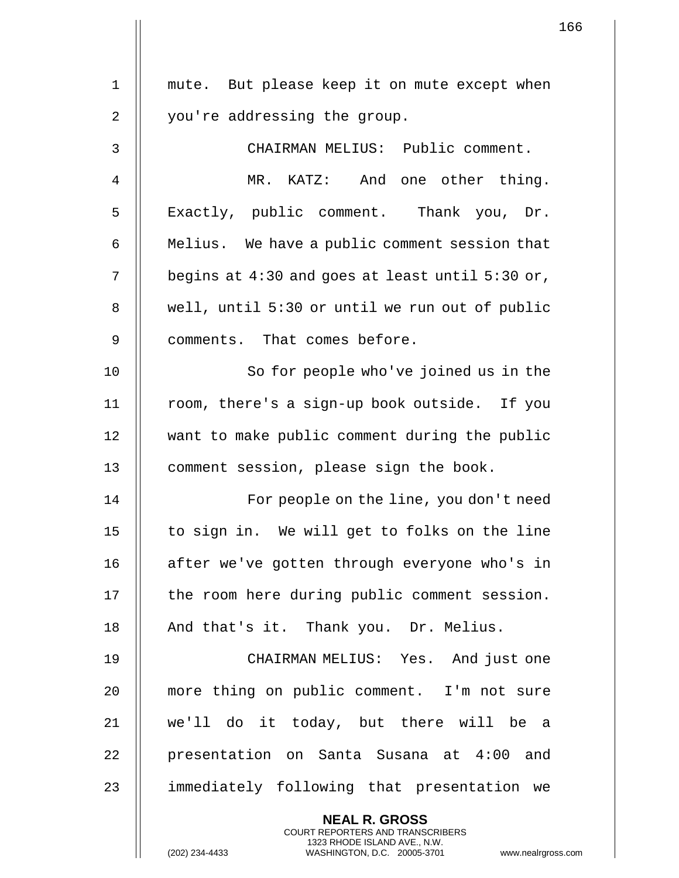|             | 1                                                                                                                                           |
|-------------|---------------------------------------------------------------------------------------------------------------------------------------------|
| $\mathbf 1$ | mute. But please keep it on mute except when                                                                                                |
|             |                                                                                                                                             |
| 2           | you're addressing the group.                                                                                                                |
| 3           | CHAIRMAN MELIUS: Public comment.                                                                                                            |
| 4           | MR. KATZ: And one other thing.                                                                                                              |
| 5           | Exactly, public comment. Thank you, Dr.                                                                                                     |
| 6           | Melius. We have a public comment session that                                                                                               |
| 7           | begins at $4:30$ and goes at least until $5:30$ or,                                                                                         |
| 8           | well, until 5:30 or until we run out of public                                                                                              |
| 9           | comments. That comes before.                                                                                                                |
| 10          | So for people who've joined us in the                                                                                                       |
| 11          | room, there's a sign-up book outside. If you                                                                                                |
| 12          | want to make public comment during the public                                                                                               |
| 13          | comment session, please sign the book.                                                                                                      |
| 14          | For people on the line, you don't need                                                                                                      |
| 15          | to sign in. We will get to folks on the line                                                                                                |
| 16          | after we've gotten through everyone who's in                                                                                                |
| 17          | the room here during public comment session.                                                                                                |
| 18          | And that's it. Thank you. Dr. Melius.                                                                                                       |
| 19          | CHAIRMAN MELIUS: Yes. And just one                                                                                                          |
| 20          | more thing on public comment. I'm not sure                                                                                                  |
| 21          | we'll do it today, but there will be a                                                                                                      |
| 22          | presentation on Santa Susana at 4:00 and                                                                                                    |
| 23          | immediately following that presentation we                                                                                                  |
|             | <b>NEAL R. GROSS</b>                                                                                                                        |
|             | <b>COURT REPORTERS AND TRANSCRIBERS</b><br>1323 RHODE ISLAND AVE., N.W.<br>WASHINGTON, D.C. 20005-3701<br>(202) 234-4433<br>www.nealrgross. |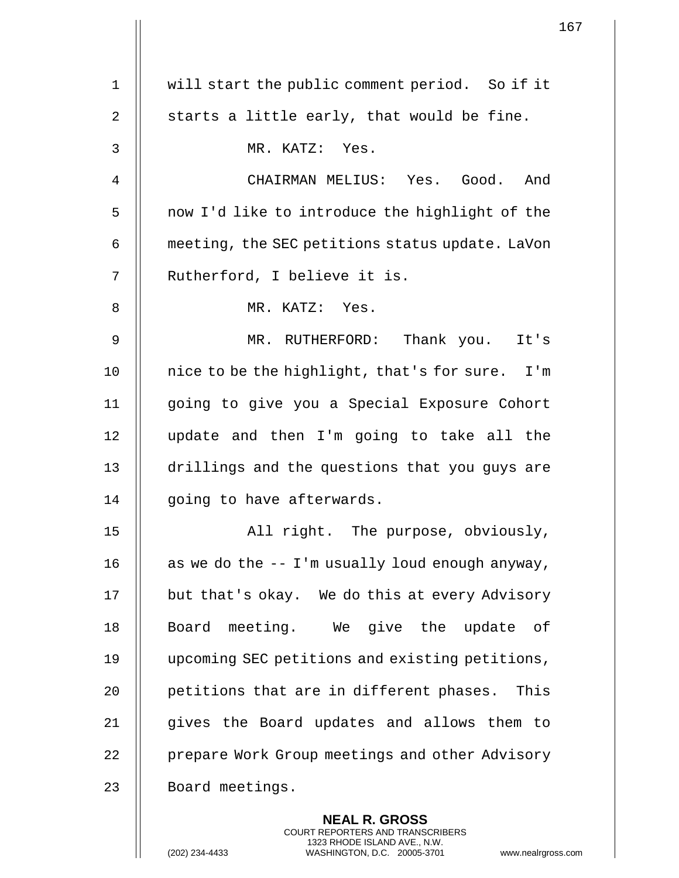|             | $\mathbf 1$                                     |
|-------------|-------------------------------------------------|
| $\mathbf 1$ | will start the public comment period. So if it  |
| 2           | starts a little early, that would be fine.      |
|             |                                                 |
| 3           | MR. KATZ: Yes.                                  |
| 4           | CHAIRMAN MELIUS: Yes. Good.<br>And              |
| 5           | now I'd like to introduce the highlight of the  |
| 6           | meeting, the SEC petitions status update. LaVon |
| 7           | Rutherford, I believe it is.                    |
| 8           | MR. KATZ: Yes.                                  |
| 9           | MR. RUTHERFORD: Thank you. It's                 |
| 10          | nice to be the highlight, that's for sure. I'm  |
| 11          | going to give you a Special Exposure Cohort     |
| 12          | update and then I'm going to take all the       |
| 13          | drillings and the questions that you guys are   |
| 14          | going to have afterwards.                       |
| 15          | All right. The purpose, obviously,              |
| 16          | as we do the -- I'm usually loud enough anyway, |
| 17          | but that's okay. We do this at every Advisory   |
| 18          | Board meeting. We give the update of            |
| 19          | upcoming SEC petitions and existing petitions,  |
| 20          | petitions that are in different phases. This    |
| 21          | gives the Board updates and allows them to      |
| 22          | prepare Work Group meetings and other Advisory  |
| 23          | Board meetings.                                 |
|             | <b>NEAL R. GROSS</b>                            |

COURT REPORTERS AND TRANSCRIBERS 1323 RHODE ISLAND AVE., N.W.

 $\mathsf{II}$ 

(202) 234-4433 WASHINGTON, D.C. 20005-3701 www.nealrgross.com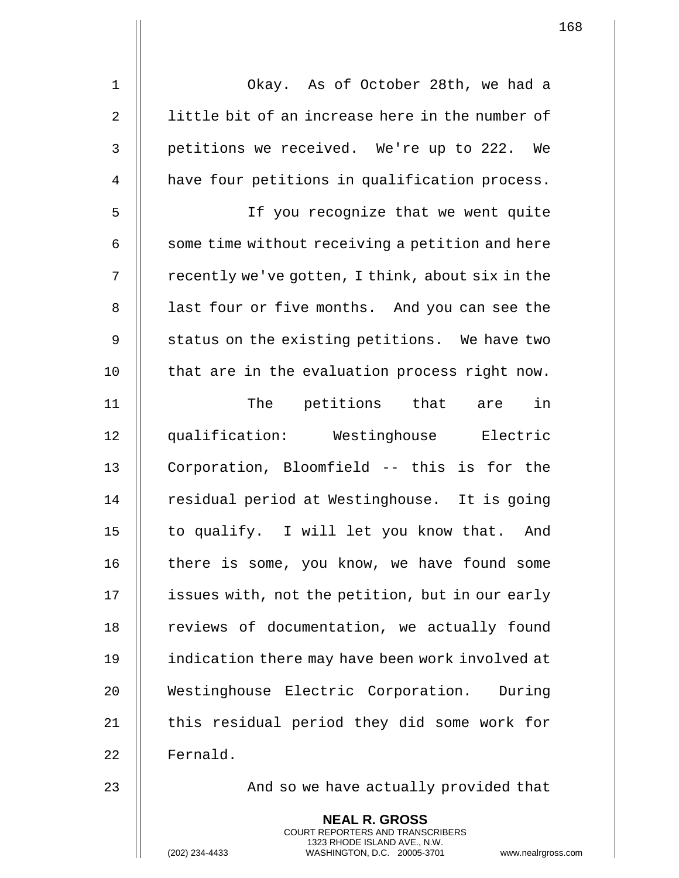| $\mathbf 1$    | Okay. As of October 28th, we had a               |
|----------------|--------------------------------------------------|
| $\overline{2}$ | little bit of an increase here in the number of  |
| 3              | petitions we received. We're up to 222. We       |
| 4              | have four petitions in qualification process.    |
| 5              | If you recognize that we went quite              |
| 6              | some time without receiving a petition and here  |
| 7              | recently we've gotten, I think, about six in the |
| 8              | last four or five months. And you can see the    |
| 9              | status on the existing petitions. We have two    |
| 10             | that are in the evaluation process right now.    |
| 11             | The petitions that are in                        |
| 12             | qualification: Westinghouse Electric             |
| 13             | Corporation, Bloomfield -- this is for the       |
| 14             | residual period at Westinghouse. It is going     |
| 15             | to qualify. I will let you know that. And        |
| 16             | there is some, you know, we have found some      |
| 17             | issues with, not the petition, but in our early  |
| 18             | reviews of documentation, we actually found      |
| 19             | indication there may have been work involved at  |
| 20             | Westinghouse Electric Corporation. During        |
| 21             | this residual period they did some work for      |
| 22             | Fernald.                                         |
|                |                                                  |

23 | And so we have actually provided that

**NEAL R. GROSS** COURT REPORTERS AND TRANSCRIBERS 1323 RHODE ISLAND AVE., N.W.

(202) 234-4433 WASHINGTON, D.C. 20005-3701 www.nealrgross.com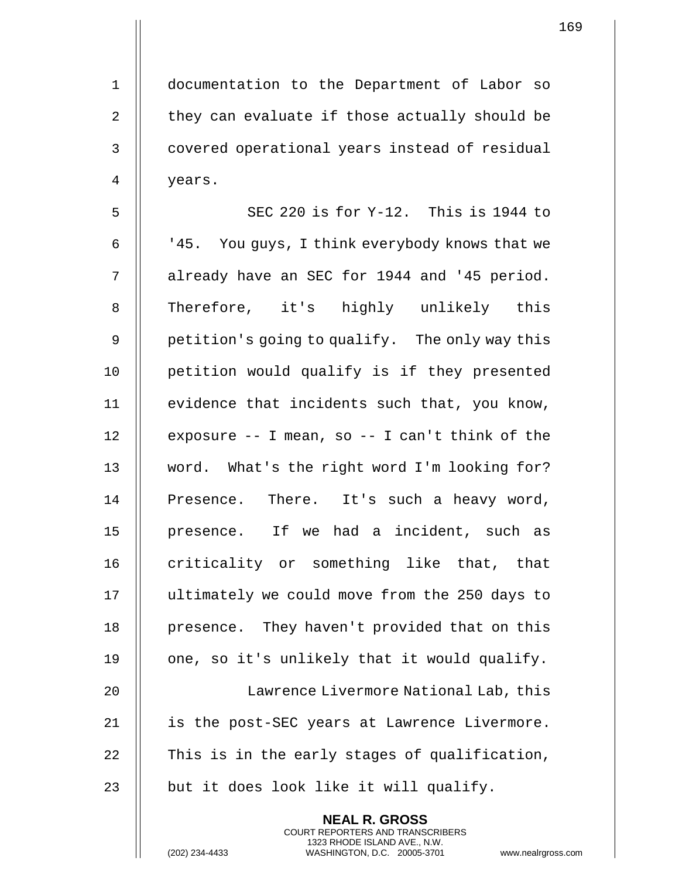1 documentation to the Department of Labor so 2  $\parallel$  they can evaluate if those actually should be 3 || covered operational years instead of residual 4 years.

5  $\parallel$  SEC 220 is for Y-12. This is 1944 to 6  $\parallel$   $\parallel$  45. You guys, I think everybody knows that we 7 | already have an SEC for 1944 and '45 period. 8 || Therefore, it's highly unlikely this 9 || petition's going to qualify. The only way this 10 petition would qualify is if they presented 11 || evidence that incidents such that, you know, 12  $\parallel$  exposure -- I mean, so -- I can't think of the 13 word. What's the right word I'm looking for? 14 || Presence. There. It's such a heavy word, 15 || presence. If we had a incident, such as 16 || criticality or something like that, that 17 | ultimately we could move from the 250 days to 18 || presence. They haven't provided that on this 19  $\parallel$  one, so it's unlikely that it would qualify. 20 || Lawrence Livermore National Lab, this 21 || is the post-SEC years at Lawrence Livermore. 22  $\parallel$  This is in the early stages of qualification, 23  $\parallel$  but it does look like it will qualify.

> **NEAL R. GROSS** COURT REPORTERS AND TRANSCRIBERS 1323 RHODE ISLAND AVE., N.W.

(202) 234-4433 WASHINGTON, D.C. 20005-3701 www.nealrgross.com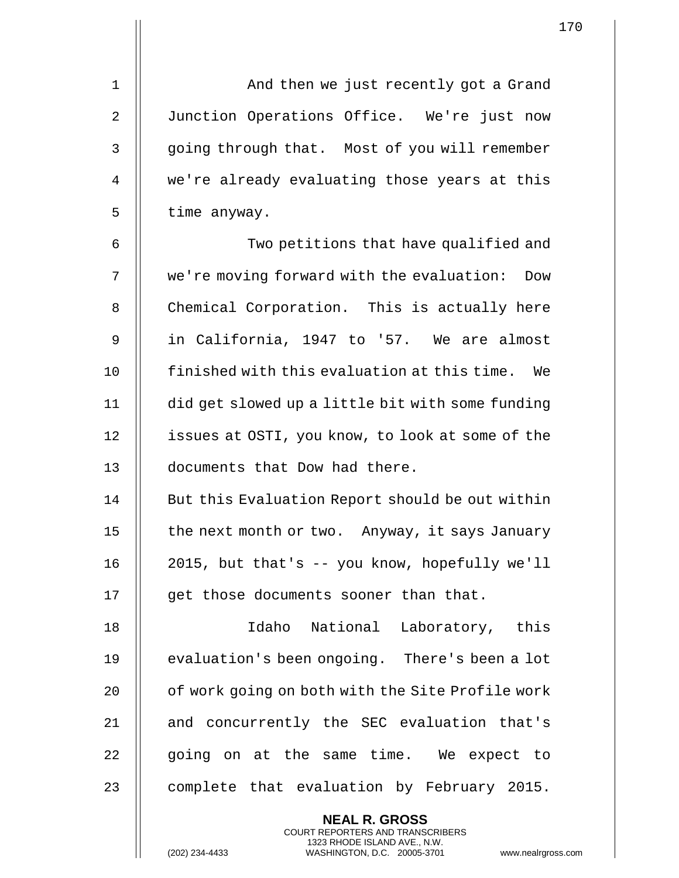1 And then we just recently got a Grand 2 | Junction Operations Office. We're just now 3 | going through that. Most of you will remember 4 || we're already evaluating those years at this  $5$  | time anyway.

6 || Two petitions that have qualified and 7 we're moving forward with the evaluation: Dow 8 | Chemical Corporation. This is actually here 9 in California, 1947 to '57. We are almost 10 || finished with this evaluation at this time. We 11 did get slowed up a little bit with some funding 12 | issues at OSTI, you know, to look at some of the 13 documents that Dow had there.

14 | But this Evaluation Report should be out within 15  $\parallel$  the next month or two. Anyway, it says January 16 2015, but that's -- you know, hopefully we'll 17 || qet those documents sooner than that.

18 Idaho National Laboratory, this 19 | evaluation's been ongoing. There's been a lot 20 | of work going on both with the Site Profile work 21 || and concurrently the SEC evaluation that's  $22$   $\parallel$  going on at the same time. We expect to 23  $\parallel$  complete that evaluation by February 2015.

> **NEAL R. GROSS** COURT REPORTERS AND TRANSCRIBERS 1323 RHODE ISLAND AVE., N.W.

(202) 234-4433 WASHINGTON, D.C. 20005-3701 www.nealrgross.com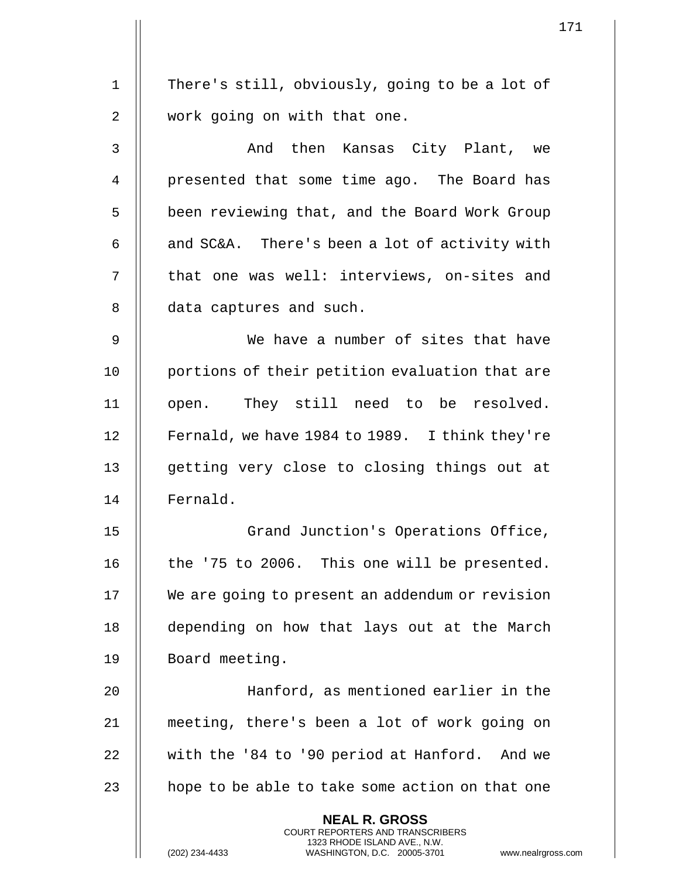1 | There's still, obviously, going to be a lot of 2 || work going on with that one. 3 And then Kansas City Plant, we 4 || presented that some time ago. The Board has 5 | been reviewing that, and the Board Work Group 6  $\parallel$  and SC&A. There's been a lot of activity with 7 || that one was well: interviews, on-sites and 8 | data captures and such. 9 We have a number of sites that have 10 || portions of their petition evaluation that are 11 || open. They still need to be resolved. 12 | Fernald, we have 1984 to 1989. I think they're 13 || getting very close to closing things out at 14 Fernald. 15 || Grand Junction's Operations Office, 16  $\parallel$  the '75 to 2006. This one will be presented. 17 We are going to present an addendum or revision 18 depending on how that lays out at the March 19 || Board meeting. 20 || Hanford, as mentioned earlier in the 21 meeting, there's been a lot of work going on 22 with the '84 to '90 period at Hanford. And we 23  $\parallel$  hope to be able to take some action on that one **NEAL R. GROSS** COURT REPORTERS AND TRANSCRIBERS 1323 RHODE ISLAND AVE., N.W.

(202) 234-4433 WASHINGTON, D.C. 20005-3701 www.nealrgross.com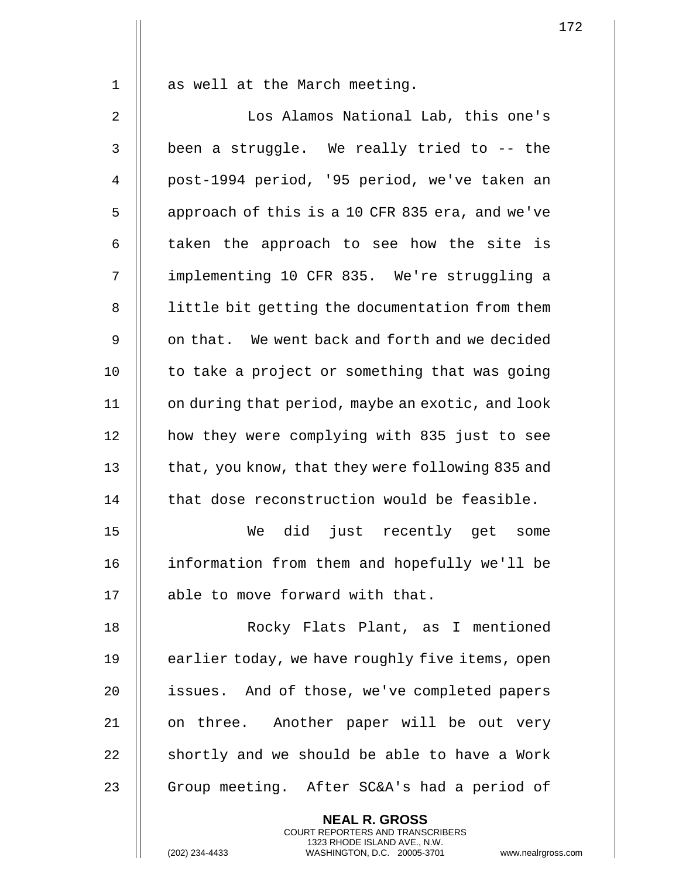1 || as well at the March meeting.

2 || Los Alamos National Lab, this one's  $3$   $\parallel$  been a struggle. We really tried to -- the 4 || post-1994 period, '95 period, we've taken an 5 | approach of this is a 10 CFR 835 era, and we've  $6$  || taken the approach to see how the site is 7 implementing 10 CFR 835. We're struggling a 8 | little bit getting the documentation from them 9 || on that. We went back and forth and we decided  $10$  | to take a project or something that was going 11 | on during that period, maybe an exotic, and look 12 how they were complying with 835 just to see 13 | that, you know, that they were following 835 and  $14$  | that dose reconstruction would be feasible. 15 We did just recently get some 16 information from them and hopefully we'll be 17 || able to move forward with that. 18 Rocky Flats Plant, as I mentioned 19  $\parallel$  earlier today, we have roughly five items, open 20 || issues. And of those, we've completed papers 21 || on three. Another paper will be out very  $22$   $\parallel$  shortly and we should be able to have a Work 23 || Group meeting. After SC&A's had a period of **NEAL R. GROSS**

COURT REPORTERS AND TRANSCRIBERS 1323 RHODE ISLAND AVE., N.W.

(202) 234-4433 WASHINGTON, D.C. 20005-3701 www.nealrgross.com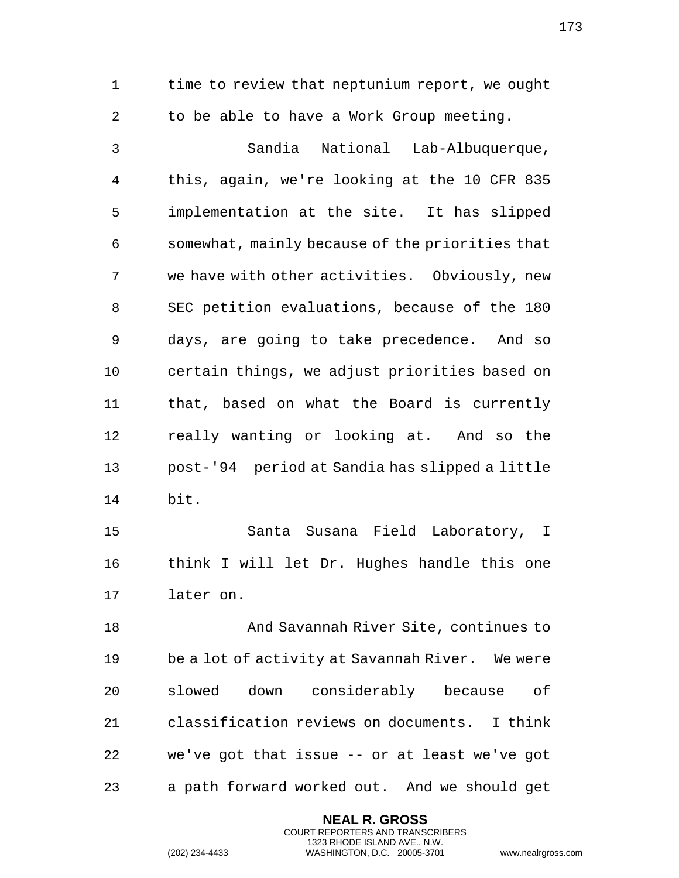| $\mathbf 1$    | time to review that neptunium report, we ought                                                                                                                     |
|----------------|--------------------------------------------------------------------------------------------------------------------------------------------------------------------|
|                |                                                                                                                                                                    |
| $\overline{2}$ | to be able to have a Work Group meeting.                                                                                                                           |
| $\mathsf{3}$   | Sandia National Lab-Albuquerque,                                                                                                                                   |
| 4              | this, again, we're looking at the 10 CFR 835                                                                                                                       |
| 5              | implementation at the site. It has slipped                                                                                                                         |
| 6              | somewhat, mainly because of the priorities that                                                                                                                    |
| 7              | we have with other activities. Obviously, new                                                                                                                      |
| 8              | SEC petition evaluations, because of the 180                                                                                                                       |
| 9              | days, are going to take precedence. And so                                                                                                                         |
| 10             | certain things, we adjust priorities based on                                                                                                                      |
| 11             | that, based on what the Board is currently                                                                                                                         |
| 12             | really wanting or looking at. And so the                                                                                                                           |
| 13             | post-'94 period at Sandia has slipped a little                                                                                                                     |
| 14             | bit.                                                                                                                                                               |
| 15             | Santa Susana Field Laboratory, I                                                                                                                                   |
| 16             | think I will let Dr. Hughes handle this one                                                                                                                        |
| 17             | later on.                                                                                                                                                          |
| 18             | And Savannah River Site, continues to                                                                                                                              |
| 19             | be a lot of activity at Savannah River. We were                                                                                                                    |
| 20             | slowed down considerably because of                                                                                                                                |
| 21             | classification reviews on documents. I think                                                                                                                       |
| 22             | we've got that issue $-$ or at least we've got                                                                                                                     |
| 23             | a path forward worked out. And we should get                                                                                                                       |
|                | <b>NEAL R. GROSS</b><br><b>COURT REPORTERS AND TRANSCRIBERS</b><br>1323 RHODE ISLAND AVE., N.W.<br>WASHINGTON, D.C. 20005-3701<br>(202) 234-4433<br>www.nealrgros: |

(202) 234-4433 WASHINGTON, D.C. 20005-3701 www.nealrgross.com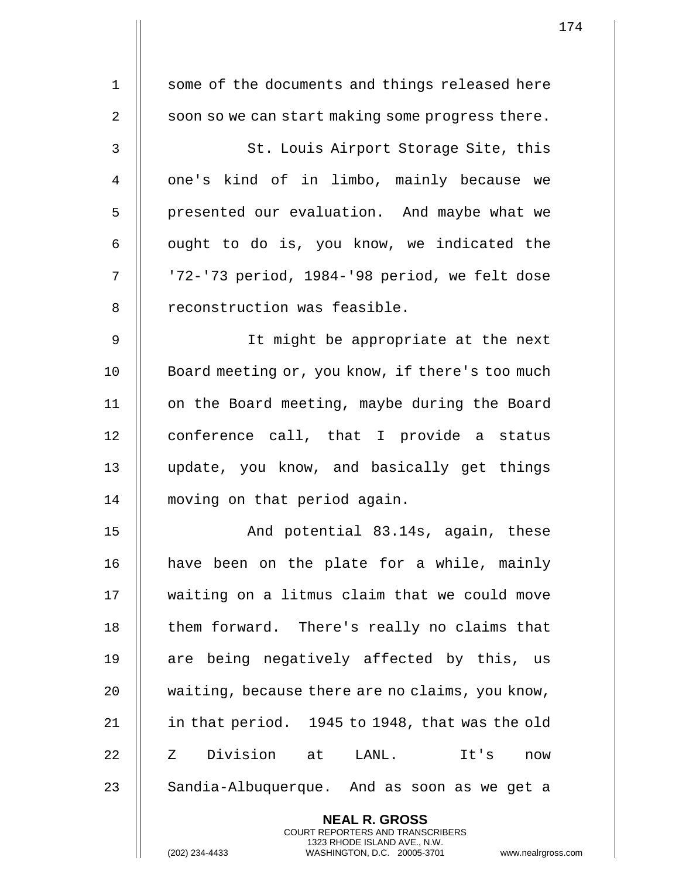| $\mathbf 1$    | some of the documents and things released here                                                                                                                     |
|----------------|--------------------------------------------------------------------------------------------------------------------------------------------------------------------|
| $\overline{2}$ | soon so we can start making some progress there.                                                                                                                   |
| 3              | St. Louis Airport Storage Site, this                                                                                                                               |
| $\overline{4}$ | one's kind of in limbo, mainly because we                                                                                                                          |
| 5              | presented our evaluation. And maybe what we                                                                                                                        |
| 6              | ought to do is, you know, we indicated the                                                                                                                         |
| 7              | '72-'73 period, 1984-'98 period, we felt dose                                                                                                                      |
| 8              | reconstruction was feasible.                                                                                                                                       |
| $\mathsf 9$    | It might be appropriate at the next                                                                                                                                |
| 10             | Board meeting or, you know, if there's too much                                                                                                                    |
| 11             | on the Board meeting, maybe during the Board                                                                                                                       |
| 12             | conference call, that I provide a status                                                                                                                           |
| 13             | update, you know, and basically get things                                                                                                                         |
| 14             | moving on that period again.                                                                                                                                       |
| 15             | And potential 83.14s, again, these                                                                                                                                 |
| 16             | have been on the plate for a while, mainly                                                                                                                         |
| 17             | waiting on a litmus claim that we could move                                                                                                                       |
| 18             | them forward. There's really no claims that                                                                                                                        |
| 19             | are being negatively affected by this, us                                                                                                                          |
| 20             | waiting, because there are no claims, you know,                                                                                                                    |
| 21             | in that period. 1945 to 1948, that was the old                                                                                                                     |
| 22             | Z Division at LANL.<br>It's<br>now                                                                                                                                 |
| 23             | Sandia-Albuquerque. And as soon as we get a                                                                                                                        |
|                | <b>NEAL R. GROSS</b><br><b>COURT REPORTERS AND TRANSCRIBERS</b><br>1323 RHODE ISLAND AVE., N.W.<br>(202) 234-4433<br>WASHINGTON, D.C. 20005-3701<br>www.nealrgross |

 $\mathbf{I}$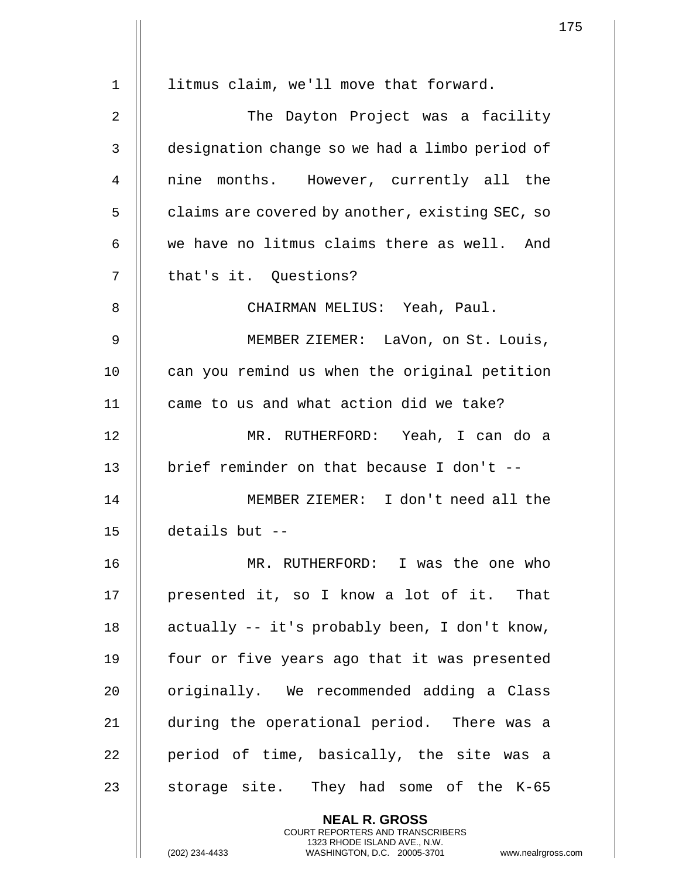|             | 1                                                                                                                                                                  |
|-------------|--------------------------------------------------------------------------------------------------------------------------------------------------------------------|
| $\mathbf 1$ | litmus claim, we'll move that forward.                                                                                                                             |
|             |                                                                                                                                                                    |
| 2           | The Dayton Project was a facility                                                                                                                                  |
| 3           | designation change so we had a limbo period of                                                                                                                     |
| 4           | nine months. However, currently all the                                                                                                                            |
| 5           | claims are covered by another, existing SEC, so                                                                                                                    |
| 6           | we have no litmus claims there as well. And                                                                                                                        |
| 7           | that's it. Questions?                                                                                                                                              |
| 8           | CHAIRMAN MELIUS: Yeah, Paul.                                                                                                                                       |
| 9           | MEMBER ZIEMER: LaVon, on St. Louis,                                                                                                                                |
| 10          | can you remind us when the original petition                                                                                                                       |
| 11          | came to us and what action did we take?                                                                                                                            |
| 12          | MR. RUTHERFORD: Yeah, I can do a                                                                                                                                   |
| 13          | brief reminder on that because I don't --                                                                                                                          |
| 14          | MEMBER ZIEMER: I don't need all the                                                                                                                                |
| 15          | details but $-$                                                                                                                                                    |
| 16          | MR. RUTHERFORD: I was the one who                                                                                                                                  |
| 17          | presented it, so I know a lot of it. That                                                                                                                          |
| 18          | actually -- it's probably been, I don't know,                                                                                                                      |
| 19          | four or five years ago that it was presented                                                                                                                       |
| 20          | originally. We recommended adding a Class                                                                                                                          |
| 21          | during the operational period. There was a                                                                                                                         |
| 22          | period of time, basically, the site was a                                                                                                                          |
| 23          | storage site. They had some of the K-65                                                                                                                            |
|             | <b>NEAL R. GROSS</b><br><b>COURT REPORTERS AND TRANSCRIBERS</b><br>1323 RHODE ISLAND AVE., N.W.<br>(202) 234-4433<br>www.nealrgross<br>WASHINGTON, D.C. 20005-3701 |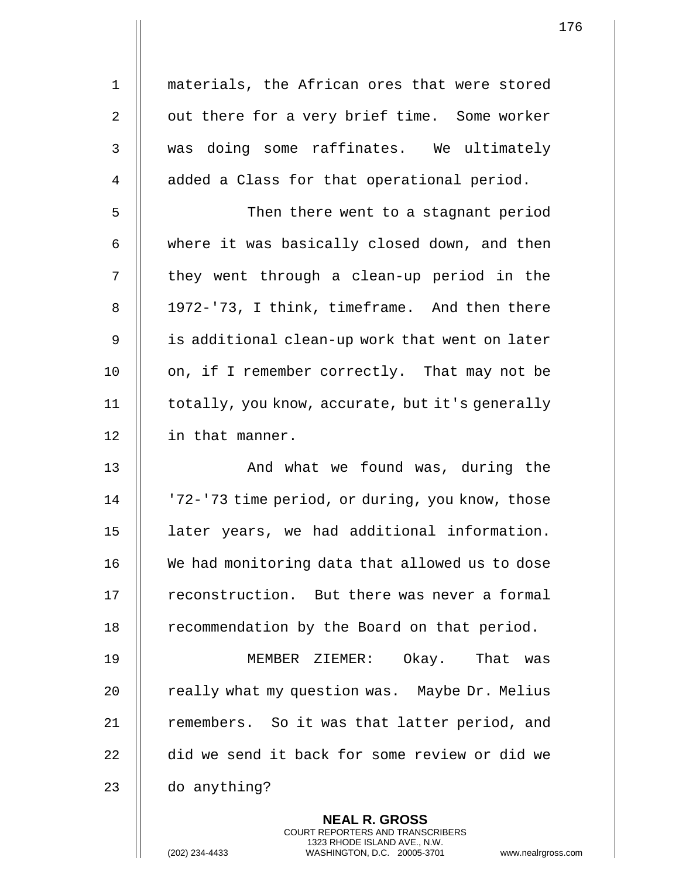1 materials, the African ores that were stored 2 || out there for a very brief time. Some worker 3 || was doing some raffinates. We ultimately 4 | added a Class for that operational period.

5 || Then there went to a stagnant period  $6 \parallel$  where it was basically closed down, and then  $7$  || they went through a clean-up period in the 8 || 1972-'73, I think, timeframe. And then there 9 || is additional clean-up work that went on later 10 | on, if I remember correctly. That may not be 11 | totally, you know, accurate, but it's generally 12 | in that manner.

13 || The Mondowhat we found was, during the 14 | '72-'73 time period, or during, you know, those 15 later years, we had additional information. 16 We had monitoring data that allowed us to dose 17 | reconstruction. But there was never a formal 18 | recommendation by the Board on that period.

19 MEMBER ZIEMER: Okay. That was 20 | really what my question was. Maybe Dr. Melius 21 || remembers. So it was that latter period, and 22 did we send it back for some review or did we 23 || do anything?

> **NEAL R. GROSS** COURT REPORTERS AND TRANSCRIBERS 1323 RHODE ISLAND AVE., N.W.

(202) 234-4433 WASHINGTON, D.C. 20005-3701 www.nealrgross.com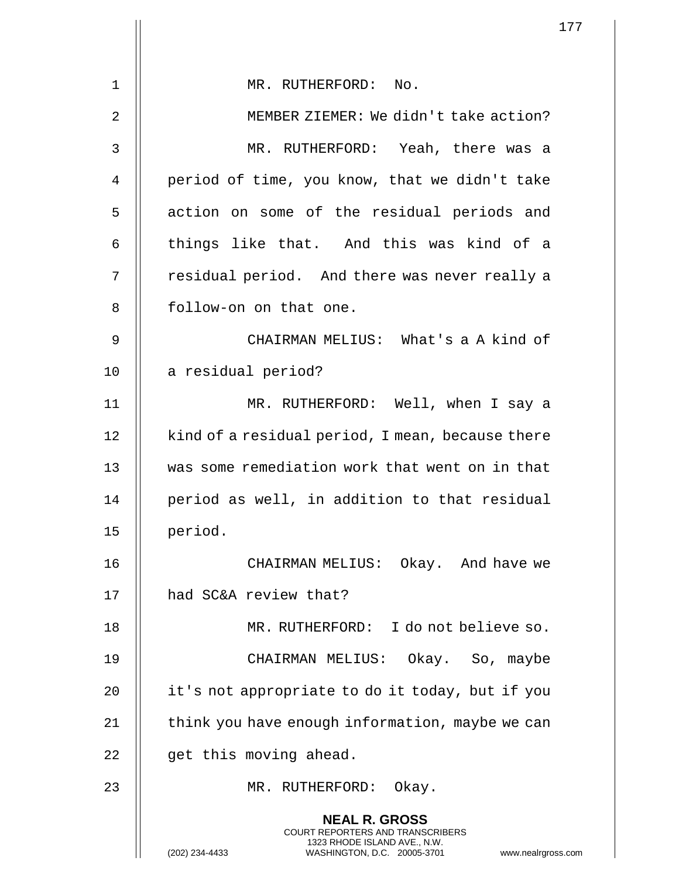|    |                                                                                                                                                                        | 177 |
|----|------------------------------------------------------------------------------------------------------------------------------------------------------------------------|-----|
| 1  | MR. RUTHERFORD: No.                                                                                                                                                    |     |
| 2  | MEMBER ZIEMER: We didn't take action?                                                                                                                                  |     |
|    |                                                                                                                                                                        |     |
| 3  | MR. RUTHERFORD: Yeah, there was a                                                                                                                                      |     |
| 4  | period of time, you know, that we didn't take                                                                                                                          |     |
| 5  | action on some of the residual periods and                                                                                                                             |     |
| 6  | things like that. And this was kind of a                                                                                                                               |     |
| 7  | residual period. And there was never really a                                                                                                                          |     |
| 8  | follow-on on that one.                                                                                                                                                 |     |
| 9  | CHAIRMAN MELIUS: What's a A kind of                                                                                                                                    |     |
| 10 | a residual period?                                                                                                                                                     |     |
| 11 | MR. RUTHERFORD: Well, when I say a                                                                                                                                     |     |
| 12 | kind of a residual period, I mean, because there                                                                                                                       |     |
| 13 | was some remediation work that went on in that                                                                                                                         |     |
| 14 | period as well, in addition to that residual                                                                                                                           |     |
| 15 | period.                                                                                                                                                                |     |
| 16 | CHAIRMAN MELIUS: Okay. And have we                                                                                                                                     |     |
| 17 | had SC&A review that?                                                                                                                                                  |     |
| 18 | MR. RUTHERFORD: I do not believe so.                                                                                                                                   |     |
| 19 | CHAIRMAN MELIUS: Okay. So, maybe                                                                                                                                       |     |
| 20 | it's not appropriate to do it today, but if you                                                                                                                        |     |
| 21 | think you have enough information, maybe we can                                                                                                                        |     |
| 22 | get this moving ahead.                                                                                                                                                 |     |
| 23 | MR. RUTHERFORD: Okay.                                                                                                                                                  |     |
|    | <b>NEAL R. GROSS</b><br><b>COURT REPORTERS AND TRANSCRIBERS</b><br>1323 RHODE ISLAND AVE., N.W.<br>(202) 234-4433<br>WASHINGTON, D.C. 20005-3701<br>www.nealrgross.com |     |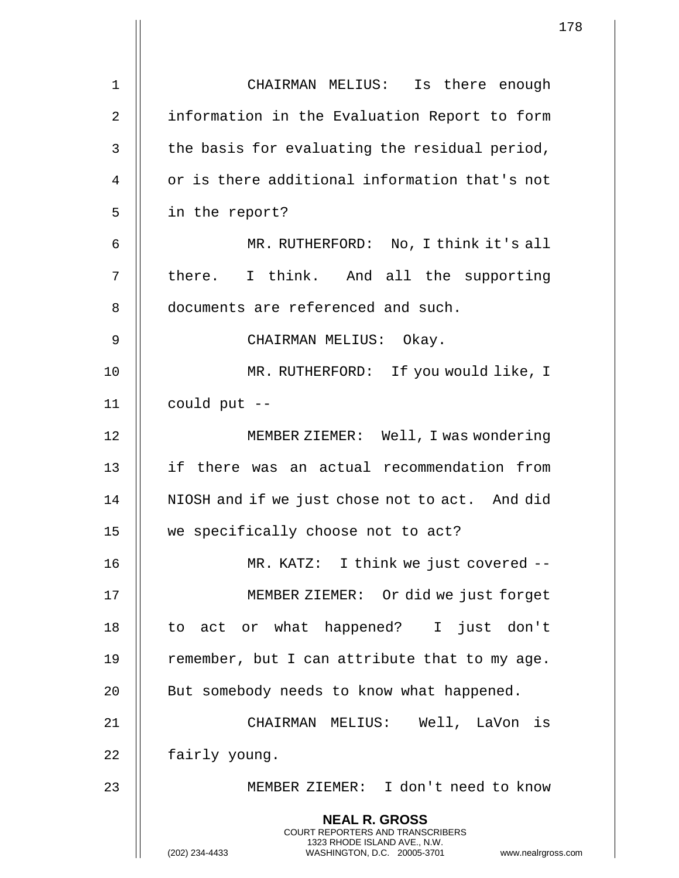|                |                                                                                                                                                                        | 178 |
|----------------|------------------------------------------------------------------------------------------------------------------------------------------------------------------------|-----|
|                |                                                                                                                                                                        |     |
| $\mathbf 1$    | CHAIRMAN MELIUS: Is there enough                                                                                                                                       |     |
| $\overline{2}$ | information in the Evaluation Report to form                                                                                                                           |     |
| 3              | the basis for evaluating the residual period,                                                                                                                          |     |
| $\overline{4}$ | or is there additional information that's not                                                                                                                          |     |
| 5              | in the report?                                                                                                                                                         |     |
| 6              | MR. RUTHERFORD: No, I think it's all                                                                                                                                   |     |
| 7              | there. I think. And all the supporting                                                                                                                                 |     |
| 8              | documents are referenced and such.                                                                                                                                     |     |
| 9              | CHAIRMAN MELIUS: Okay.                                                                                                                                                 |     |
| 10             | MR. RUTHERFORD: If you would like, I                                                                                                                                   |     |
| 11             | could put --                                                                                                                                                           |     |
| 12             | MEMBER ZIEMER: Well, I was wondering                                                                                                                                   |     |
| 13             | if there was an actual recommendation from                                                                                                                             |     |
| 14             | NIOSH and if we just chose not to act. And did                                                                                                                         |     |
| 15             | we specifically choose not to act?                                                                                                                                     |     |
| 16             | MR. KATZ: I think we just covered --                                                                                                                                   |     |
| 17             | MEMBER ZIEMER: Or did we just forget                                                                                                                                   |     |
| 18             | to act or what happened? I just don't                                                                                                                                  |     |
| 19             | remember, but I can attribute that to my age.                                                                                                                          |     |
| 20             | But somebody needs to know what happened.                                                                                                                              |     |
| 21             | CHAIRMAN MELIUS: Well, LaVon is                                                                                                                                        |     |
| 22             | fairly young.                                                                                                                                                          |     |
| 23             | MEMBER ZIEMER: I don't need to know                                                                                                                                    |     |
|                | <b>NEAL R. GROSS</b><br><b>COURT REPORTERS AND TRANSCRIBERS</b><br>1323 RHODE ISLAND AVE., N.W.<br>(202) 234-4433<br>WASHINGTON, D.C. 20005-3701<br>www.nealrgross.com |     |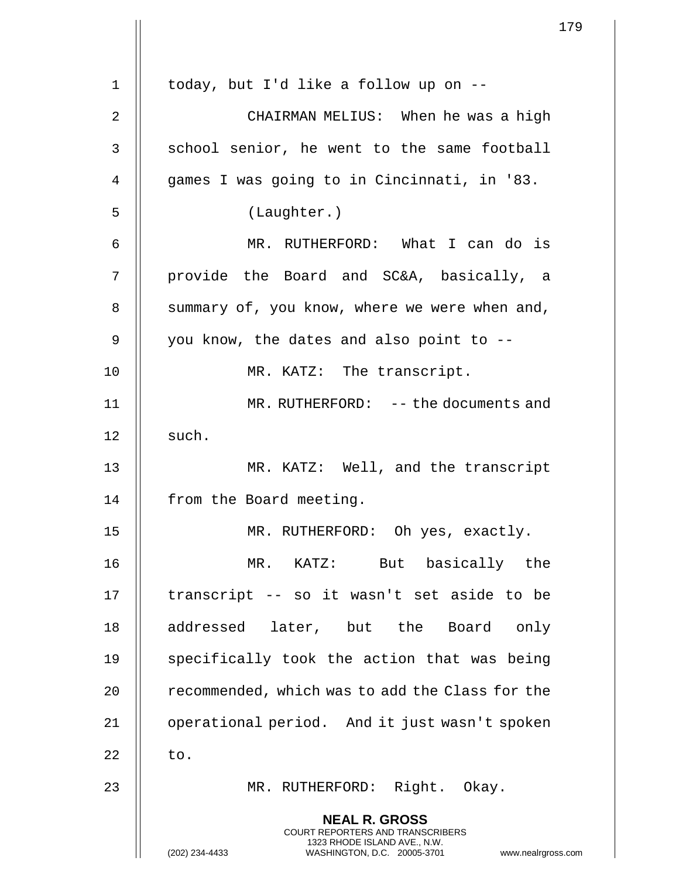|                |                                                                                                     | 179 |
|----------------|-----------------------------------------------------------------------------------------------------|-----|
|                |                                                                                                     |     |
| $\mathbf 1$    | today, but I'd like a follow up on --                                                               |     |
| $\overline{2}$ | CHAIRMAN MELIUS: When he was a high                                                                 |     |
| $\mathsf{3}$   | school senior, he went to the same football                                                         |     |
| $\overline{4}$ | games I was going to in Cincinnati, in '83.                                                         |     |
| 5              | (Laughter.)                                                                                         |     |
| 6              | MR. RUTHERFORD: What I can do is                                                                    |     |
| 7              | provide the Board and SC&A, basically, a                                                            |     |
| 8              | summary of, you know, where we were when and,                                                       |     |
| 9              | you know, the dates and also point to --                                                            |     |
| 10             | MR. KATZ: The transcript.                                                                           |     |
| 11             | MR. RUTHERFORD: -- the documents and                                                                |     |
| 12             | such.                                                                                               |     |
| 13             | MR. KATZ: Well, and the transcript                                                                  |     |
| 14             | from the Board meeting.                                                                             |     |
| 15             | MR. RUTHERFORD: Oh yes, exactly.                                                                    |     |
| 16             | But basically the<br>$MR.$ $KATZ:$                                                                  |     |
| 17             | transcript -- so it wasn't set aside to be                                                          |     |
| 18             | addressed later, but the Board only                                                                 |     |
| 19             | specifically took the action that was being                                                         |     |
| 20             | recommended, which was to add the Class for the                                                     |     |
| 21             | operational period. And it just wasn't spoken                                                       |     |
| 22             | to.                                                                                                 |     |
| 23             | MR. RUTHERFORD: Right. Okay.                                                                        |     |
|                | <b>NEAL R. GROSS</b><br><b>COURT REPORTERS AND TRANSCRIBERS</b>                                     |     |
|                | 1323 RHODE ISLAND AVE., N.W.<br>(202) 234-4433<br>WASHINGTON, D.C. 20005-3701<br>www.nealrgross.com |     |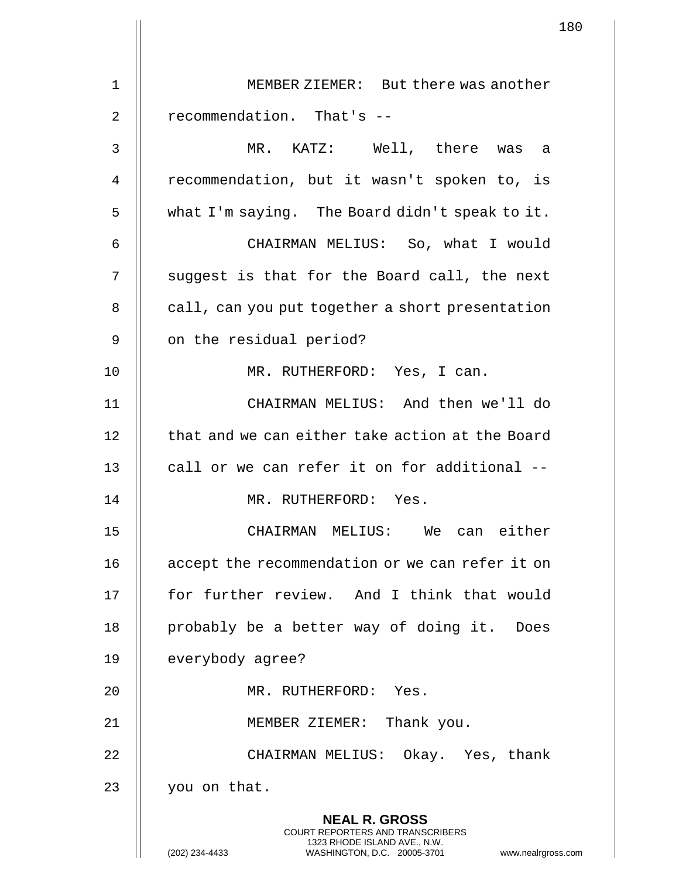|                   | 180                                                                                                                                                                    |  |
|-------------------|------------------------------------------------------------------------------------------------------------------------------------------------------------------------|--|
| $\mathbf 1$       | MEMBER ZIEMER: But there was another                                                                                                                                   |  |
|                   |                                                                                                                                                                        |  |
| $\overline{2}$    | recommendation. That's --                                                                                                                                              |  |
| $\mathsf{3}$      | MR. KATZ: Well, there was a                                                                                                                                            |  |
| 4                 | recommendation, but it wasn't spoken to, is                                                                                                                            |  |
| 5                 | what I'm saying. The Board didn't speak to it.                                                                                                                         |  |
| 6                 | CHAIRMAN MELIUS: So, what I would                                                                                                                                      |  |
| 7                 | suggest is that for the Board call, the next                                                                                                                           |  |
| 8                 | call, can you put together a short presentation                                                                                                                        |  |
| $\mathsf 9$       | on the residual period?                                                                                                                                                |  |
| 10                | MR. RUTHERFORD: Yes, I can.                                                                                                                                            |  |
| 11                | CHAIRMAN MELIUS: And then we'll do                                                                                                                                     |  |
| $12 \overline{ }$ | that and we can either take action at the Board                                                                                                                        |  |
| 13                | call or we can refer it on for additional --                                                                                                                           |  |
| 14                | MR. RUTHERFORD: Yes.                                                                                                                                                   |  |
| 15                | CHAIRMAN MELIUS: We can either                                                                                                                                         |  |
| 16                | accept the recommendation or we can refer it on                                                                                                                        |  |
| 17                | for further review. And I think that would                                                                                                                             |  |
| 18                | probably be a better way of doing it. Does                                                                                                                             |  |
| 19                | everybody agree?                                                                                                                                                       |  |
| 20                | MR. RUTHERFORD: Yes.                                                                                                                                                   |  |
| 21                | MEMBER ZIEMER: Thank you.                                                                                                                                              |  |
| 22                | CHAIRMAN MELIUS: Okay. Yes, thank                                                                                                                                      |  |
| 23                | you on that.                                                                                                                                                           |  |
|                   | <b>NEAL R. GROSS</b><br><b>COURT REPORTERS AND TRANSCRIBERS</b><br>1323 RHODE ISLAND AVE., N.W.<br>(202) 234-4433<br>WASHINGTON, D.C. 20005-3701<br>www.nealrgross.com |  |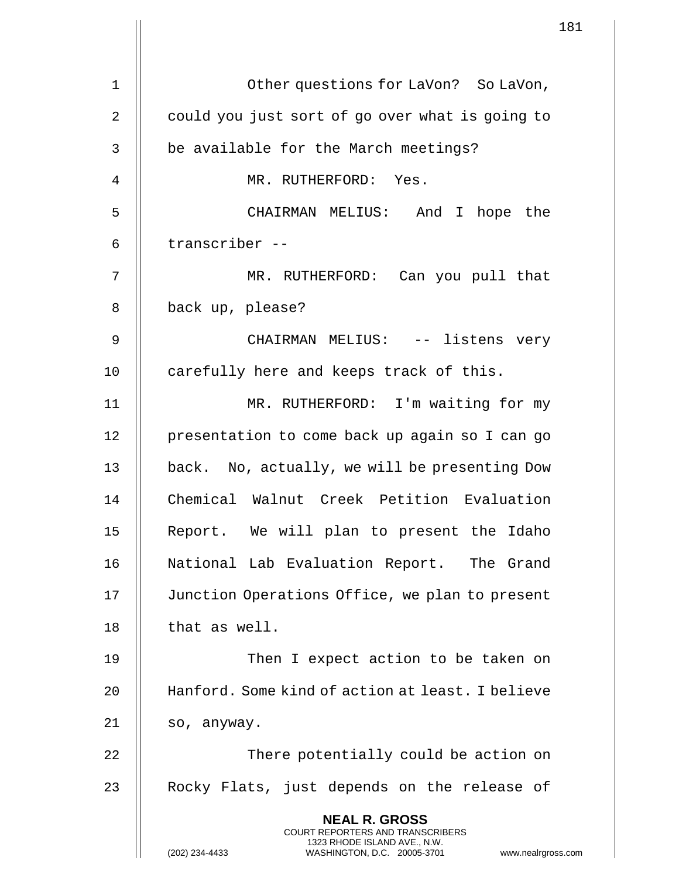|    |                                                                                                                                                                        | 181 |
|----|------------------------------------------------------------------------------------------------------------------------------------------------------------------------|-----|
|    |                                                                                                                                                                        |     |
| 1  | Other questions for LaVon? So LaVon,                                                                                                                                   |     |
| 2  | could you just sort of go over what is going to                                                                                                                        |     |
| 3  | be available for the March meetings?                                                                                                                                   |     |
| 4  | MR. RUTHERFORD: Yes.                                                                                                                                                   |     |
| 5  | CHAIRMAN MELIUS: And I hope the                                                                                                                                        |     |
| 6  | transcriber --                                                                                                                                                         |     |
| 7  | MR. RUTHERFORD: Can you pull that                                                                                                                                      |     |
| 8  | back up, please?                                                                                                                                                       |     |
| 9  | CHAIRMAN MELIUS: -- listens very                                                                                                                                       |     |
| 10 | carefully here and keeps track of this.                                                                                                                                |     |
| 11 | MR. RUTHERFORD: I'm waiting for my                                                                                                                                     |     |
| 12 | presentation to come back up again so I can go                                                                                                                         |     |
| 13 | back. No, actually, we will be presenting Dow                                                                                                                          |     |
| 14 | Chemical Walnut Creek Petition Evaluation                                                                                                                              |     |
| 15 | Report. We will plan to present the Idaho                                                                                                                              |     |
| 16 | National Lab Evaluation Report. The Grand                                                                                                                              |     |
| 17 | Junction Operations Office, we plan to present                                                                                                                         |     |
| 18 | that as well.                                                                                                                                                          |     |
| 19 | Then I expect action to be taken on                                                                                                                                    |     |
| 20 | Hanford. Some kind of action at least. I believe                                                                                                                       |     |
| 21 | so, anyway.                                                                                                                                                            |     |
| 22 | There potentially could be action on                                                                                                                                   |     |
| 23 | Rocky Flats, just depends on the release of                                                                                                                            |     |
|    | <b>NEAL R. GROSS</b><br><b>COURT REPORTERS AND TRANSCRIBERS</b><br>1323 RHODE ISLAND AVE., N.W.<br>(202) 234-4433<br>WASHINGTON, D.C. 20005-3701<br>www.nealrgross.com |     |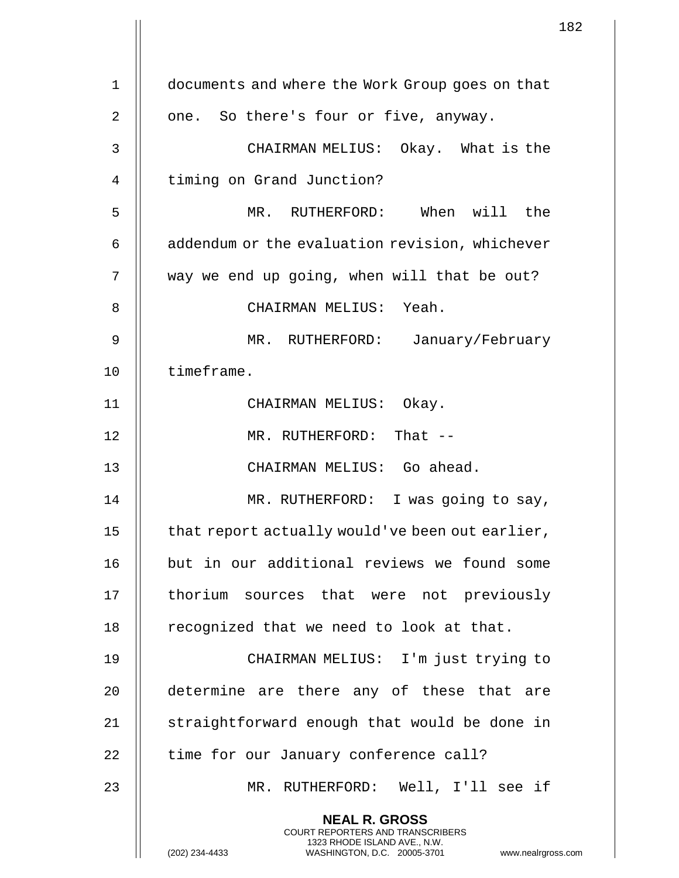|                |                                                                                                                                                                        | 182 |
|----------------|------------------------------------------------------------------------------------------------------------------------------------------------------------------------|-----|
| $\mathbf 1$    | documents and where the Work Group goes on that                                                                                                                        |     |
|                |                                                                                                                                                                        |     |
| $\overline{2}$ | one. So there's four or five, anyway.                                                                                                                                  |     |
| 3              | CHAIRMAN MELIUS: Okay. What is the                                                                                                                                     |     |
| 4              | timing on Grand Junction?                                                                                                                                              |     |
| 5              | MR. RUTHERFORD: When will the                                                                                                                                          |     |
| 6              | addendum or the evaluation revision, whichever                                                                                                                         |     |
| 7              | way we end up going, when will that be out?                                                                                                                            |     |
| 8              | CHAIRMAN MELIUS: Yeah.                                                                                                                                                 |     |
| 9              | MR. RUTHERFORD: January/February                                                                                                                                       |     |
| 10             | timeframe.                                                                                                                                                             |     |
| 11             | CHAIRMAN MELIUS: Okay.                                                                                                                                                 |     |
| 12             | MR. RUTHERFORD: That --                                                                                                                                                |     |
| 13             | CHAIRMAN MELIUS: Go ahead.                                                                                                                                             |     |
| 14             | MR. RUTHERFORD: I was going to say,                                                                                                                                    |     |
| 15             | that report actually would've been out earlier,                                                                                                                        |     |
| 16             | but in our additional reviews we found some                                                                                                                            |     |
| 17             | thorium sources that were not previously                                                                                                                               |     |
| 18             | recognized that we need to look at that.                                                                                                                               |     |
| 19             | CHAIRMAN MELIUS: I'm just trying to                                                                                                                                    |     |
| 20             | determine are there any of these that are                                                                                                                              |     |
| 21             | straightforward enough that would be done in                                                                                                                           |     |
| 22             | time for our January conference call?                                                                                                                                  |     |
| 23             | MR. RUTHERFORD: Well, I'll see if                                                                                                                                      |     |
|                | <b>NEAL R. GROSS</b><br><b>COURT REPORTERS AND TRANSCRIBERS</b><br>1323 RHODE ISLAND AVE., N.W.<br>(202) 234-4433<br>WASHINGTON, D.C. 20005-3701<br>www.nealrgross.com |     |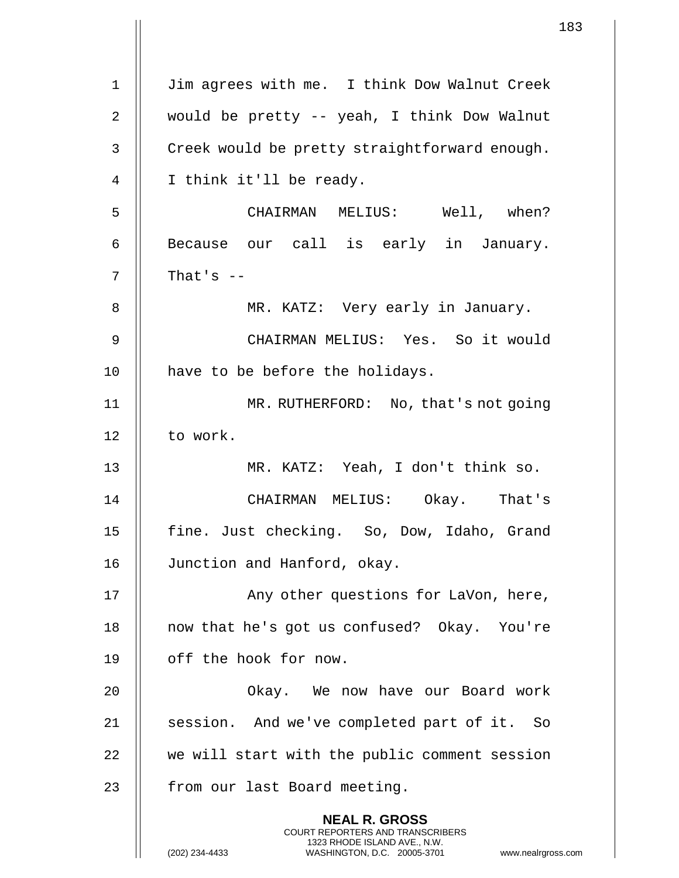1 | Jim agrees with me. I think Dow Walnut Creek 2 would be pretty -- yeah, I think Dow Walnut 3 | Creek would be pretty straightforward enough. 4 || I think it'll be ready. 5 CHAIRMAN MELIUS: Well, when? 6 || Because our call is early in January. 7  $\parallel$  That's  $-$ 8 || MR. KATZ: Very early in January. 9 CHAIRMAN MELIUS: Yes. So it would 10 || have to be before the holidays. 11 MR. RUTHERFORD: No, that's not going 12 | to work. 13 MR. KATZ: Yeah, I don't think so. 14 CHAIRMAN MELIUS: Okay. That's 15 || fine. Just checking. So, Dow, Idaho, Grand 16 Junction and Hanford, okay. 17 || Any other questions for LaVon, here, 18 || now that he's got us confused? Okay. You're 19 | off the hook for now. 20 Okay. We now have our Board work 21 || session. And we've completed part of it. So 22 || we will start with the public comment session 23 | from our last Board meeting. **NEAL R. GROSS** COURT REPORTERS AND TRANSCRIBERS 1323 RHODE ISLAND AVE., N.W. (202) 234-4433 WASHINGTON, D.C. 20005-3701 www.nealrgross.com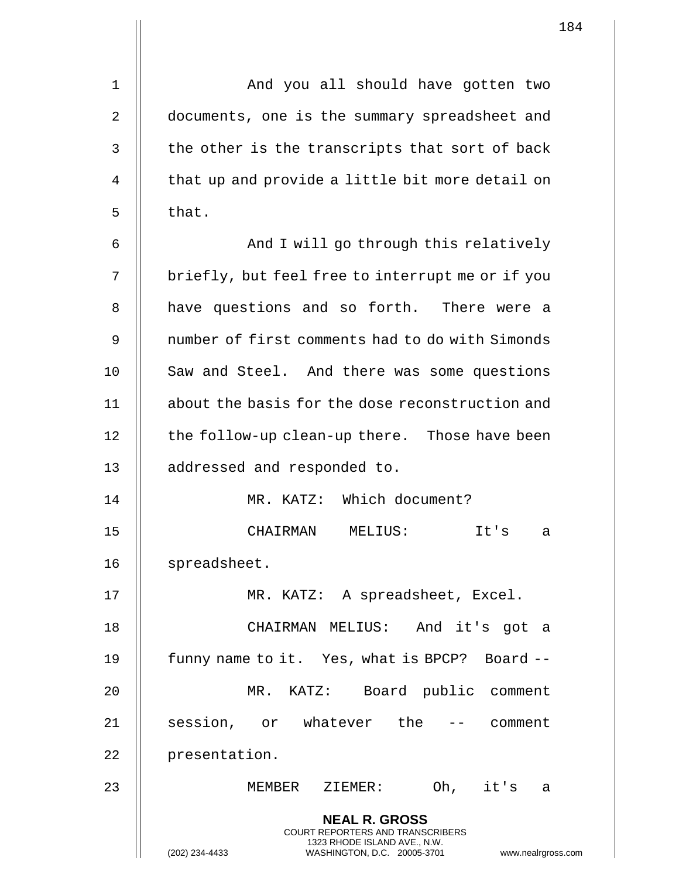| $\mathbf 1$ | And you all should have gotten two                                                                                                                                     |
|-------------|------------------------------------------------------------------------------------------------------------------------------------------------------------------------|
| 2           | documents, one is the summary spreadsheet and                                                                                                                          |
| 3           | the other is the transcripts that sort of back                                                                                                                         |
| 4           | that up and provide a little bit more detail on                                                                                                                        |
| 5           | that.                                                                                                                                                                  |
| 6           | And I will go through this relatively                                                                                                                                  |
| 7           | briefly, but feel free to interrupt me or if you                                                                                                                       |
| 8           | have questions and so forth. There were a                                                                                                                              |
| 9           | number of first comments had to do with Simonds                                                                                                                        |
| 10          | Saw and Steel. And there was some questions                                                                                                                            |
| 11          | about the basis for the dose reconstruction and                                                                                                                        |
| 12          | the follow-up clean-up there. Those have been                                                                                                                          |
| 13          | addressed and responded to.                                                                                                                                            |
| 14          | MR. KATZ: Which document?                                                                                                                                              |
| 15          | CHAIRMAN<br>MELIUS:<br>It's<br>а                                                                                                                                       |
| 16          | spreadsheet.                                                                                                                                                           |
| 17          | MR. KATZ: A spreadsheet, Excel.                                                                                                                                        |
| 18          | CHAIRMAN MELIUS: And it's got a                                                                                                                                        |
| 19          | funny name to it. Yes, what is BPCP? Board --                                                                                                                          |
| 20          | MR. KATZ: Board public comment                                                                                                                                         |
| 21          | session, or whatever the<br>-- comment                                                                                                                                 |
| 22          | presentation.                                                                                                                                                          |
| 23          | Oh, it's                                                                                                                                                               |
|             | MEMBER ZIEMER:<br>a                                                                                                                                                    |
|             | <b>NEAL R. GROSS</b><br><b>COURT REPORTERS AND TRANSCRIBERS</b><br>1323 RHODE ISLAND AVE., N.W.<br>(202) 234-4433<br>WASHINGTON, D.C. 20005-3701<br>www.nealrgross.com |

 $\mathbf{1}$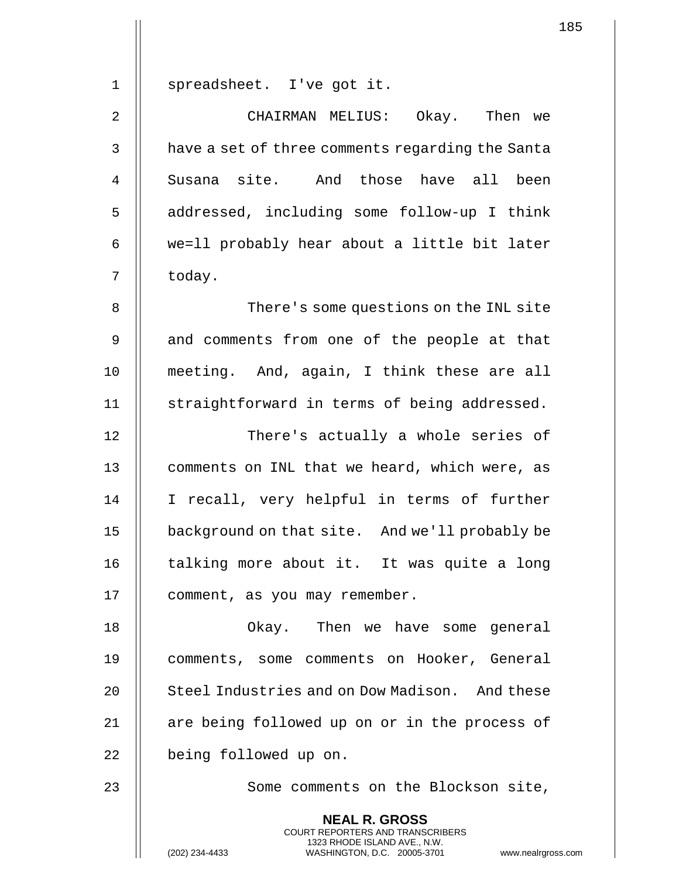1 || spreadsheet. I've got it.

2 CHAIRMAN MELIUS: Okay. Then we 3 | have a set of three comments regarding the Santa 4 || Susana site. And those have all been 5 | addressed, including some follow-up I think 6 || we=11 probably hear about a little bit later 7 | today.

8 | There's some questions on the INL site 9 || and comments from one of the people at that 10 meeting. And, again, I think these are all 11 || straightforward in terms of being addressed.

12 There's actually a whole series of 13 || comments on INL that we heard, which were, as 14 || I recall, very helpful in terms of further 15 background on that site. And we'll probably be 16 || talking more about it. It was quite a long 17 | comment, as you may remember.

18 Okay. Then we have some general 19 comments, some comments on Hooker, General 20 || Steel Industries and on Dow Madison. And these 21 || are being followed up on or in the process of 22 | being followed up on.

23 || Some comments on the Blockson site,

**NEAL R. GROSS** COURT REPORTERS AND TRANSCRIBERS 1323 RHODE ISLAND AVE., N.W.

(202) 234-4433 WASHINGTON, D.C. 20005-3701 www.nealrgross.com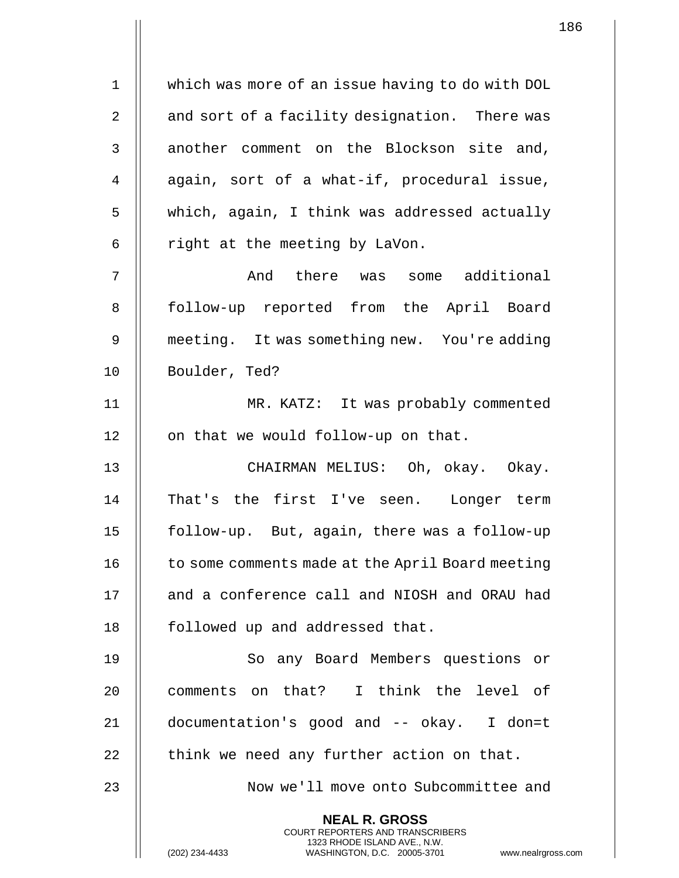1 which was more of an issue having to do with DOL 2 || and sort of a facility designation. There was 3 || another comment on the Blockson site and, 4 || again, sort of a what-if, procedural issue, 5 | which, again, I think was addressed actually  $6$  | right at the meeting by LaVon. 7 And there was some additional 8 || follow-up reported from the April Board 9 meeting. It was something new. You're adding 10 Boulder, Ted? 11 MR. KATZ: It was probably commented 12 || on that we would follow-up on that. 13 CHAIRMAN MELIUS: Oh, okay. Okay. 14 || That's the first I've seen. Longer term 15 follow-up. But, again, there was a follow-up 16 | to some comments made at the April Board meeting 17 || and a conference call and NIOSH and ORAU had 18 | followed up and addressed that. 19 || So any Board Members questions or 20 || comments on that? I think the level of 21 documentation's good and -- okay. I don=t  $22$  || think we need any further action on that. 23 || Now we'll move onto Subcommittee and **NEAL R. GROSS** COURT REPORTERS AND TRANSCRIBERS

1323 RHODE ISLAND AVE., N.W.

(202) 234-4433 WASHINGTON, D.C. 20005-3701 www.nealrgross.com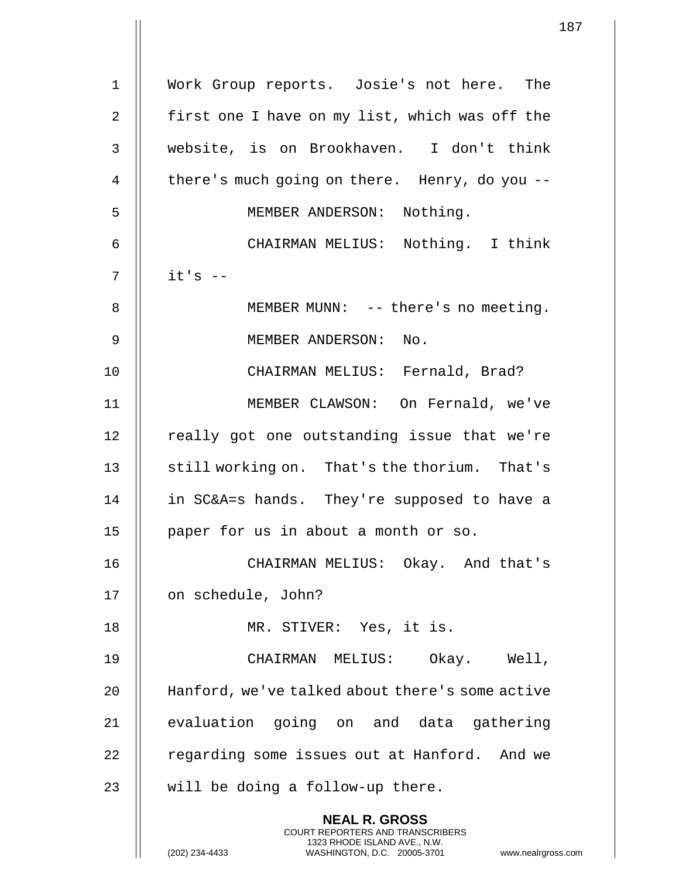|                | $\mathbf 1$                                                                                                                                                          |
|----------------|----------------------------------------------------------------------------------------------------------------------------------------------------------------------|
| $\mathbf{1}$   | Work Group reports. Josie's not here. The                                                                                                                            |
| $\overline{2}$ | first one I have on my list, which was off the                                                                                                                       |
|                |                                                                                                                                                                      |
| $\mathfrak{Z}$ | website, is on Brookhaven. I don't think                                                                                                                             |
| 4              | there's much going on there. Henry, do you --                                                                                                                        |
| 5              | MEMBER ANDERSON: Nothing.                                                                                                                                            |
| 6              | CHAIRMAN MELIUS: Nothing. I think                                                                                                                                    |
| 7              | $it's -$                                                                                                                                                             |
| 8              | MEMBER MUNN: -- there's no meeting.                                                                                                                                  |
| $\mathsf 9$    | MEMBER ANDERSON: No.                                                                                                                                                 |
| 10             | CHAIRMAN MELIUS: Fernald, Brad?                                                                                                                                      |
| 11             | MEMBER CLAWSON: On Fernald, we've                                                                                                                                    |
| 12             | really got one outstanding issue that we're                                                                                                                          |
| 13             | still working on. That's the thorium. That's                                                                                                                         |
| 14             | in SC&A=s hands. They're supposed to have a                                                                                                                          |
| 15             | paper for us in about a month or so.                                                                                                                                 |
| 16             | CHAIRMAN MELIUS: Okay. And that's                                                                                                                                    |
| 17             | on schedule, John?                                                                                                                                                   |
| 18             | MR. STIVER: Yes, it is.                                                                                                                                              |
| 19             | CHAIRMAN MELIUS: Okay. Well,                                                                                                                                         |
| 20             | Hanford, we've talked about there's some active                                                                                                                      |
| 21             | evaluation going on and data gathering                                                                                                                               |
| 22             | regarding some issues out at Hanford. And we                                                                                                                         |
| 23             | will be doing a follow-up there.                                                                                                                                     |
|                | <b>NEAL R. GROSS</b><br><b>COURT REPORTERS AND TRANSCRIBERS</b><br>1323 RHODE ISLAND AVE., N.W.<br>(202) 234-4433<br>WASHINGTON, D.C. 20005-3701<br>www.nealrgross.o |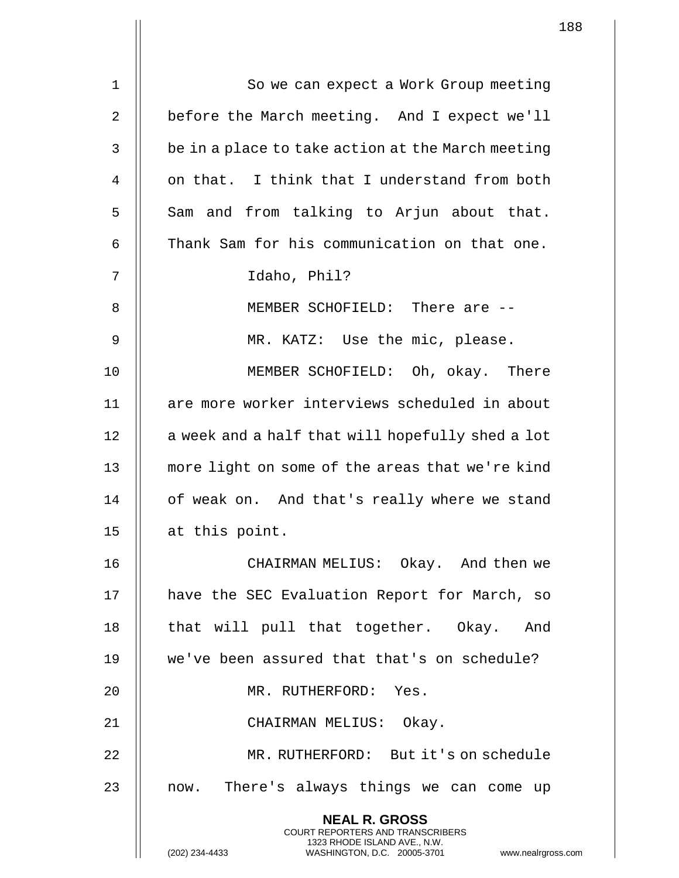|             | $\mathbf{1}$                                                                                                                                                        |
|-------------|---------------------------------------------------------------------------------------------------------------------------------------------------------------------|
| $\mathbf 1$ | So we can expect a Work Group meeting                                                                                                                               |
| 2           | before the March meeting. And I expect we'll                                                                                                                        |
|             |                                                                                                                                                                     |
| 3           | be in a place to take action at the March meeting                                                                                                                   |
| 4           | on that. I think that I understand from both                                                                                                                        |
| 5           | Sam and from talking to Arjun about that.                                                                                                                           |
| 6           | Thank Sam for his communication on that one.                                                                                                                        |
| 7           | Idaho, Phil?                                                                                                                                                        |
| 8           | MEMBER SCHOFIELD: There are --                                                                                                                                      |
| 9           | MR. KATZ: Use the mic, please.                                                                                                                                      |
| 10          | MEMBER SCHOFIELD: Oh, okay. There                                                                                                                                   |
| 11          | are more worker interviews scheduled in about                                                                                                                       |
| 12          | a week and a half that will hopefully shed a lot                                                                                                                    |
| 13          | more light on some of the areas that we're kind                                                                                                                     |
| 14          | of weak on. And that's really where we stand                                                                                                                        |
| 15          | at this point.                                                                                                                                                      |
| 16          | CHAIRMAN MELIUS: Okay. And then we                                                                                                                                  |
| 17          | have the SEC Evaluation Report for March, so                                                                                                                        |
| 18          | that will pull that together. Okay. And                                                                                                                             |
| 19          | we've been assured that that's on schedule?                                                                                                                         |
| 20          | MR. RUTHERFORD: Yes.                                                                                                                                                |
| 21          | CHAIRMAN MELIUS: Okay.                                                                                                                                              |
| 22          | MR. RUTHERFORD: But it's on schedule                                                                                                                                |
| 23          | now. There's always things we can come up                                                                                                                           |
|             | <b>NEAL R. GROSS</b><br><b>COURT REPORTERS AND TRANSCRIBERS</b><br>1323 RHODE ISLAND AVE., N.W.<br>(202) 234-4433<br>WASHINGTON, D.C. 20005-3701<br>www.nealrgross. |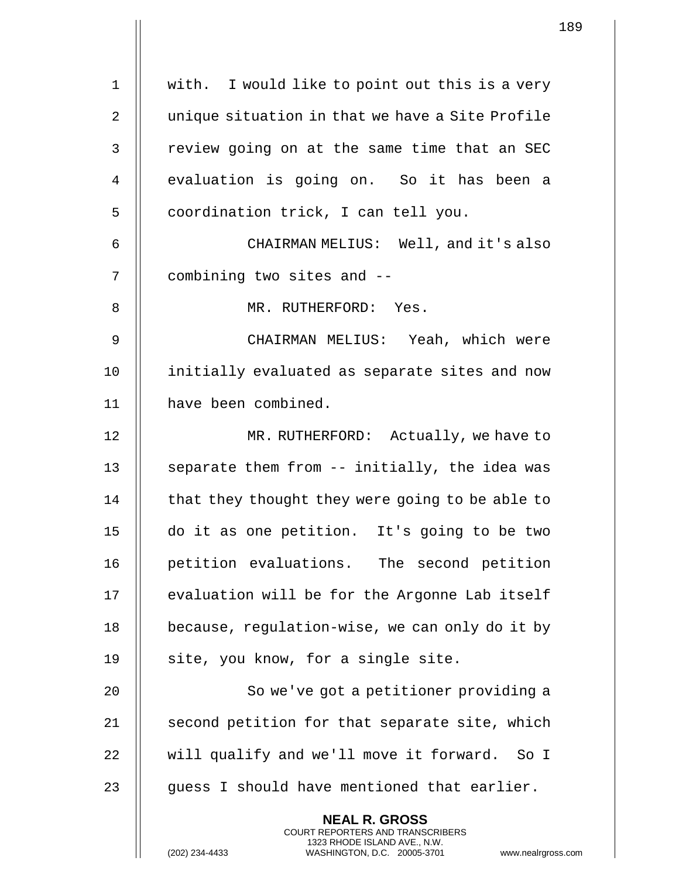|    | 1                                                                                                                                                                   |
|----|---------------------------------------------------------------------------------------------------------------------------------------------------------------------|
| 1  | with. I would like to point out this is a very                                                                                                                      |
|    |                                                                                                                                                                     |
| 2  | unique situation in that we have a Site Profile                                                                                                                     |
| 3  | review going on at the same time that an SEC                                                                                                                        |
| 4  | evaluation is going on. So it has been a                                                                                                                            |
| 5  | coordination trick, I can tell you.                                                                                                                                 |
| 6  | CHAIRMAN MELIUS: Well, and it's also                                                                                                                                |
| 7  | combining two sites and --                                                                                                                                          |
| 8  | MR. RUTHERFORD: Yes.                                                                                                                                                |
| 9  | CHAIRMAN MELIUS: Yeah, which were                                                                                                                                   |
| 10 | initially evaluated as separate sites and now                                                                                                                       |
| 11 | have been combined.                                                                                                                                                 |
| 12 | MR. RUTHERFORD: Actually, we have to                                                                                                                                |
| 13 | separate them from -- initially, the idea was                                                                                                                       |
| 14 | that they thought they were going to be able to                                                                                                                     |
| 15 | do it as one petition. It's going to be two                                                                                                                         |
| 16 | petition evaluations. The second petition                                                                                                                           |
| 17 | evaluation will be for the Argonne Lab itself                                                                                                                       |
| 18 | because, regulation-wise, we can only do it by                                                                                                                      |
| 19 | site, you know, for a single site.                                                                                                                                  |
| 20 | So we've got a petitioner providing a                                                                                                                               |
| 21 | second petition for that separate site, which                                                                                                                       |
| 22 | will qualify and we'll move it forward. So I                                                                                                                        |
| 23 | guess I should have mentioned that earlier.                                                                                                                         |
|    | <b>NEAL R. GROSS</b><br><b>COURT REPORTERS AND TRANSCRIBERS</b><br>1323 RHODE ISLAND AVE., N.W.<br>WASHINGTON, D.C. 20005-3701<br>(202) 234-4433<br>www.nealrgross. |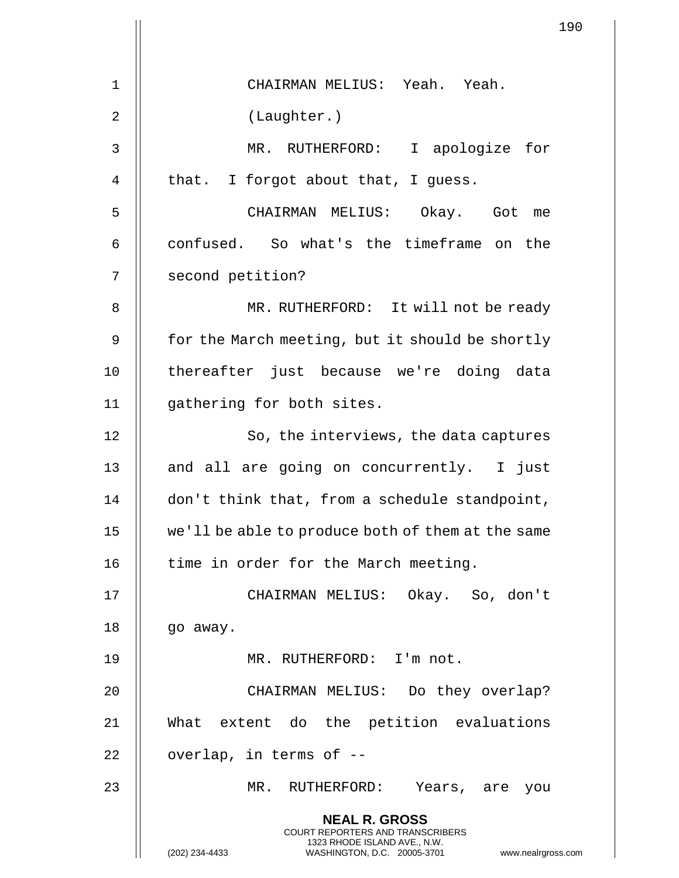|    | 190                                                                                                                                            |
|----|------------------------------------------------------------------------------------------------------------------------------------------------|
|    |                                                                                                                                                |
| 1  | CHAIRMAN MELIUS: Yeah. Yeah.                                                                                                                   |
| 2  | (Laughter.)                                                                                                                                    |
| 3  | MR. RUTHERFORD: I apologize for                                                                                                                |
| 4  | that. I forgot about that, I guess.                                                                                                            |
| 5  | CHAIRMAN MELIUS: Okay. Got me                                                                                                                  |
| 6  | confused. So what's the timeframe on the                                                                                                       |
| 7  | second petition?                                                                                                                               |
| 8  | MR. RUTHERFORD: It will not be ready                                                                                                           |
| 9  | for the March meeting, but it should be shortly                                                                                                |
| 10 | thereafter just because we're doing data                                                                                                       |
| 11 | gathering for both sites.                                                                                                                      |
| 12 | So, the interviews, the data captures                                                                                                          |
| 13 | and all are going on concurrently. I just                                                                                                      |
| 14 | don't think that, from a schedule standpoint,                                                                                                  |
| 15 | we'll be able to produce both of them at the same                                                                                              |
| 16 | time in order for the March meeting.                                                                                                           |
| 17 | CHAIRMAN MELIUS: Okay. So, don't                                                                                                               |
| 18 | go away.                                                                                                                                       |
| 19 | MR. RUTHERFORD: I'm not.                                                                                                                       |
| 20 | CHAIRMAN MELIUS: Do they overlap?                                                                                                              |
| 21 | What extent do the petition evaluations                                                                                                        |
| 22 | overlap, in terms of --                                                                                                                        |
| 23 | MR. RUTHERFORD: Years, are you                                                                                                                 |
|    | <b>NEAL R. GROSS</b>                                                                                                                           |
|    | <b>COURT REPORTERS AND TRANSCRIBERS</b><br>1323 RHODE ISLAND AVE., N.W.<br>(202) 234-4433<br>WASHINGTON, D.C. 20005-3701<br>www.nealrgross.com |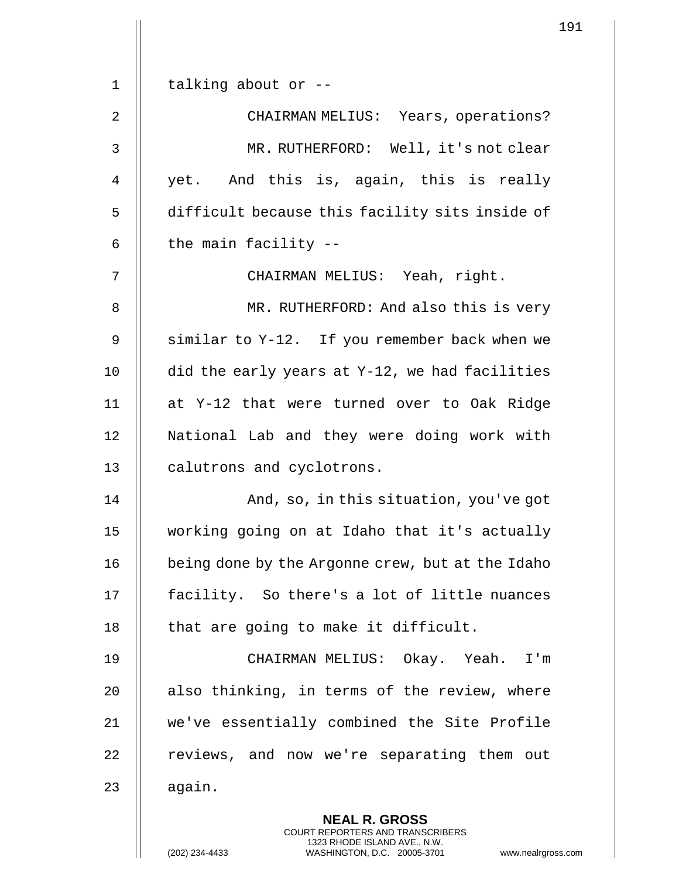1 || talking about or --2 | CHAIRMAN MELIUS: Years, operations? 3 MR. RUTHERFORD: Well, it's not clear 4 || yet. And this is, again, this is really 5 | difficult because this facility sits inside of  $6$  | the main facility  $-$ 7 CHAIRMAN MELIUS: Yeah, right. 8 || MR. RUTHERFORD: And also this is very 9 || similar to Y-12. If you remember back when we 10  $\parallel$  did the early years at Y-12, we had facilities 11 at Y-12 that were turned over to Oak Ridge 12 National Lab and they were doing work with 13 | calutrons and cyclotrons. 14 || Romand, so, in this situation, you've got 15 working going on at Idaho that it's actually 16 | being done by the Argonne crew, but at the Idaho 17 || facility. So there's a lot of little nuances 18  $\parallel$  that are going to make it difficult. 19 CHAIRMAN MELIUS: Okay. Yeah. I'm 20  $\parallel$  also thinking, in terms of the review, where 21 we've essentially combined the Site Profile 22 | reviews, and now we're separating them out  $23$   $\parallel$  again. **NEAL R. GROSS** COURT REPORTERS AND TRANSCRIBERS

1323 RHODE ISLAND AVE., N.W.

(202) 234-4433 WASHINGTON, D.C. 20005-3701 www.nealrgross.com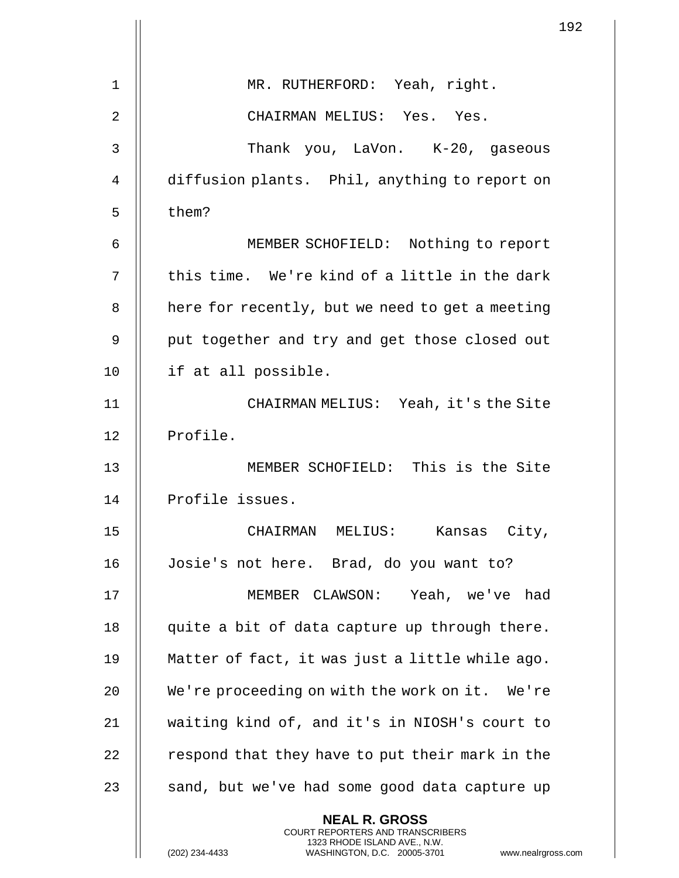|                |                                                                                                                                                               | 1 <sup>c</sup> |
|----------------|---------------------------------------------------------------------------------------------------------------------------------------------------------------|----------------|
| $\mathbf 1$    | MR. RUTHERFORD: Yeah, right.                                                                                                                                  |                |
| $\overline{2}$ | CHAIRMAN MELIUS: Yes. Yes.                                                                                                                                    |                |
| 3              | Thank you, LaVon. K-20, gaseous                                                                                                                               |                |
|                |                                                                                                                                                               |                |
| 4              | diffusion plants. Phil, anything to report on                                                                                                                 |                |
| 5              | them?                                                                                                                                                         |                |
| 6              | MEMBER SCHOFIELD: Nothing to report                                                                                                                           |                |
| 7              | this time. We're kind of a little in the dark                                                                                                                 |                |
| 8              | here for recently, but we need to get a meeting                                                                                                               |                |
| 9              | put together and try and get those closed out                                                                                                                 |                |
| 10             | if at all possible.                                                                                                                                           |                |
| 11             | CHAIRMAN MELIUS: Yeah, it's the Site                                                                                                                          |                |
| 12             | Profile.                                                                                                                                                      |                |
| 13             | MEMBER SCHOFIELD: This is the Site                                                                                                                            |                |
| 14             | Profile issues.                                                                                                                                               |                |
| 15             | CHAIRMAN MELIUS:<br>Kansas City,                                                                                                                              |                |
| 16             | Josie's not here. Brad, do you want to?                                                                                                                       |                |
| 17             | MEMBER CLAWSON: Yeah, we've had                                                                                                                               |                |
| 18             | quite a bit of data capture up through there.                                                                                                                 |                |
| 19             | Matter of fact, it was just a little while ago.                                                                                                               |                |
| 20             | We're proceeding on with the work on it. We're                                                                                                                |                |
| 21             | waiting kind of, and it's in NIOSH's court to                                                                                                                 |                |
| 22             | respond that they have to put their mark in the                                                                                                               |                |
| 23             | sand, but we've had some good data capture up                                                                                                                 |                |
|                | <b>NEAL R. GROSS</b><br>COURT REPORTERS AND TRANSCRIBERS<br>1323 RHODE ISLAND AVE., N.W.<br>(202) 234-4433<br>WASHINGTON, D.C. 20005-3701<br>www.nealrgross.c |                |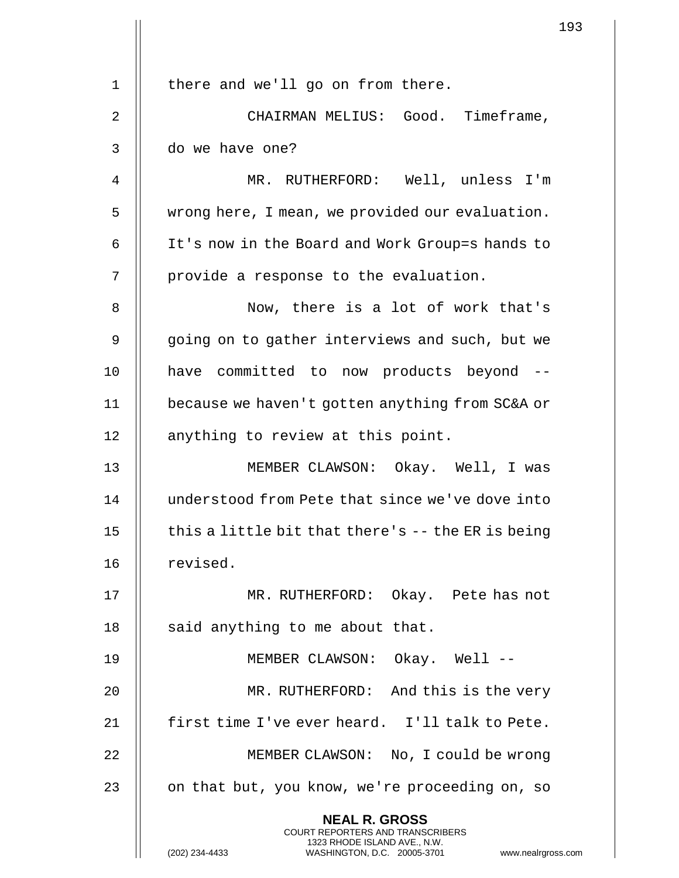|                | 1                                                                                               |
|----------------|-------------------------------------------------------------------------------------------------|
|                |                                                                                                 |
| $\mathbf 1$    | there and we'll go on from there.                                                               |
| $\overline{2}$ | CHAIRMAN MELIUS: Good. Timeframe,                                                               |
| 3              | do we have one?                                                                                 |
| 4              | MR. RUTHERFORD: Well, unless I'm                                                                |
| 5              | wrong here, I mean, we provided our evaluation.                                                 |
| 6              | It's now in the Board and Work Group=s hands to                                                 |
| 7              | provide a response to the evaluation.                                                           |
| 8              | Now, there is a lot of work that's                                                              |
| 9              | going on to gather interviews and such, but we                                                  |
| 10             | have committed to now products beyond --                                                        |
| 11             | because we haven't gotten anything from SC&A or                                                 |
| 12             | anything to review at this point.                                                               |
| 13             | MEMBER CLAWSON: Okay. Well, I was                                                               |
| 14             | understood from Pete that since we've dove into                                                 |
| 15             | this a little bit that there's $-$ - the ER is being                                            |
| 16             | revised.                                                                                        |
| 17             | MR. RUTHERFORD: Okay. Pete has not                                                              |
| 18             | said anything to me about that.                                                                 |
| 19             | MEMBER CLAWSON: Okay. Well --                                                                   |
| 20             | MR. RUTHERFORD: And this is the very                                                            |
| 21             | first time I've ever heard. I'll talk to Pete.                                                  |
| 22             | MEMBER CLAWSON: No, I could be wrong                                                            |
| 23             | on that but, you know, we're proceeding on, so                                                  |
|                | <b>NEAL R. GROSS</b><br><b>COURT REPORTERS AND TRANSCRIBERS</b><br>1323 RHODE ISLAND AVE., N.W. |
|                | (202) 234-4433<br>WASHINGTON, D.C. 20005-3701<br>www.nealrgross.c                               |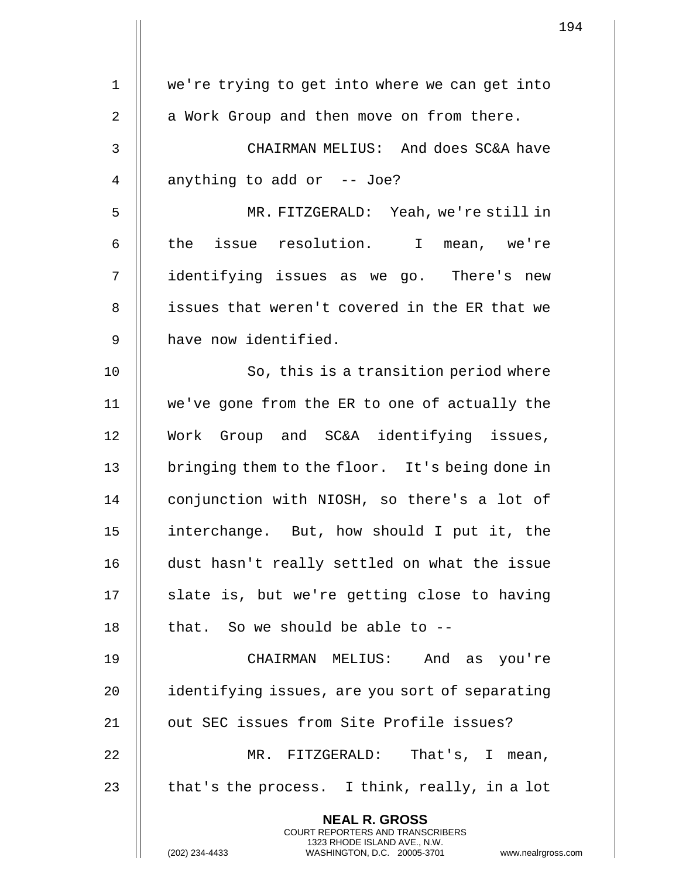1 || we're trying to get into where we can get into  $2 \parallel$  a Work Group and then move on from there. 3 CHAIRMAN MELIUS: And does SC&A have 4  $\parallel$  anything to add or -- Joe? 5 MR. FITZGERALD: Yeah, we're still in 6 || the issue resolution. I mean, we're 7 identifying issues as we go. There's new 8 || issues that weren't covered in the ER that we 9 || have now identified. 10 || So, this is a transition period where 11 we've gone from the ER to one of actually the 12 Work Group and SC&A identifying issues, 13 | bringing them to the floor. It's being done in 14 | conjunction with NIOSH, so there's a lot of 15 interchange. But, how should I put it, the 16 dust hasn't really settled on what the issue  $17$  || slate is, but we're getting close to having 18  $\parallel$  that. So we should be able to  $-$ 19 CHAIRMAN MELIUS: And as you're 20 | identifying issues, are you sort of separating 21 || out SEC issues from Site Profile issues? 22 MR. FITZGERALD: That's, I mean, 23  $\parallel$  that's the process. I think, really, in a lot **NEAL R. GROSS** COURT REPORTERS AND TRANSCRIBERS 1323 RHODE ISLAND AVE., N.W. (202) 234-4433 WASHINGTON, D.C. 20005-3701 www.nealrgross.com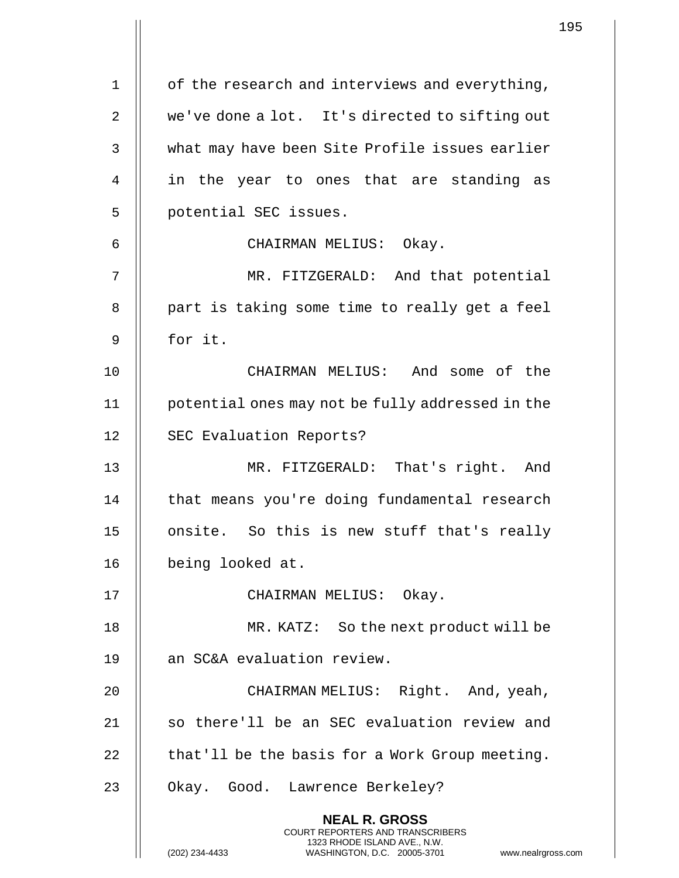|                | 1                                                                                                                                                                  |
|----------------|--------------------------------------------------------------------------------------------------------------------------------------------------------------------|
| $\mathbf 1$    | of the research and interviews and everything,                                                                                                                     |
| $\overline{2}$ | we've done a lot. It's directed to sifting out                                                                                                                     |
| 3              | what may have been Site Profile issues earlier                                                                                                                     |
| 4              | in the year to ones that are standing as                                                                                                                           |
| 5              | potential SEC issues.                                                                                                                                              |
| 6              | CHAIRMAN MELIUS: Okay.                                                                                                                                             |
| 7              | MR. FITZGERALD: And that potential                                                                                                                                 |
| 8              | part is taking some time to really get a feel                                                                                                                      |
| 9              | for it.                                                                                                                                                            |
| 10             | CHAIRMAN MELIUS: And some of the                                                                                                                                   |
| 11             | potential ones may not be fully addressed in the                                                                                                                   |
| 12             |                                                                                                                                                                    |
|                | SEC Evaluation Reports?                                                                                                                                            |
| 13             | MR. FITZGERALD: That's right. And                                                                                                                                  |
| 14             | that means you're doing fundamental research                                                                                                                       |
| 15             | onsite. So this is new stuff that's really                                                                                                                         |
| 16             | being looked at.                                                                                                                                                   |
| 17             | CHAIRMAN MELIUS: Okay.                                                                                                                                             |
| 18             | MR. KATZ: So the next product will be                                                                                                                              |
| 19             | an SC&A evaluation review.                                                                                                                                         |
| 20             | CHAIRMAN MELIUS: Right. And, yeah,                                                                                                                                 |
| 21             | so there'll be an SEC evaluation review and                                                                                                                        |
| 22             | that'll be the basis for a Work Group meeting.                                                                                                                     |
| 23             | Okay. Good. Lawrence Berkeley?                                                                                                                                     |
|                | <b>NEAL R. GROSS</b><br><b>COURT REPORTERS AND TRANSCRIBERS</b><br>1323 RHODE ISLAND AVE., N.W.<br>(202) 234-4433<br>WASHINGTON, D.C. 20005-3701<br>www.nealrgross |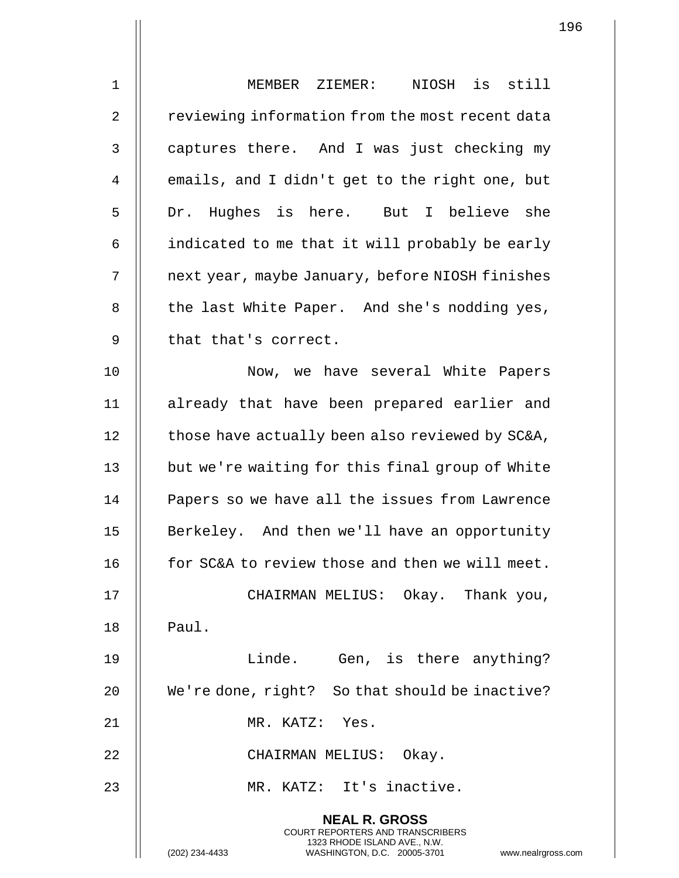| $\mathbf 1$ | MEMBER ZIEMER: NIOSH is still                                                                                                                               |
|-------------|-------------------------------------------------------------------------------------------------------------------------------------------------------------|
| 2           | reviewing information from the most recent data                                                                                                             |
| 3           | captures there. And I was just checking my                                                                                                                  |
| 4           | emails, and I didn't get to the right one, but                                                                                                              |
| 5           | Dr. Hughes is here. But I believe she                                                                                                                       |
| 6           | indicated to me that it will probably be early                                                                                                              |
| 7           | next year, maybe January, before NIOSH finishes                                                                                                             |
| 8           | the last White Paper. And she's nodding yes,                                                                                                                |
| 9           | that that's correct.                                                                                                                                        |
| 10          | Now, we have several White Papers                                                                                                                           |
| 11          | already that have been prepared earlier and                                                                                                                 |
| 12          | those have actually been also reviewed by SC&A,                                                                                                             |
| 13          | but we're waiting for this final group of White                                                                                                             |
| 14          | Papers so we have all the issues from Lawrence                                                                                                              |
| 15          | Berkeley. And then we'll have an opportunity                                                                                                                |
| 16          | for SC&A to review those and then we will meet.                                                                                                             |
| 17          | CHAIRMAN MELIUS: Okay. Thank you,                                                                                                                           |
| 18          | Paul.                                                                                                                                                       |
| 19          | Linde. Gen, is there anything?                                                                                                                              |
| 20          | We're done, right? So that should be inactive?                                                                                                              |
| 21          | MR. KATZ: Yes.                                                                                                                                              |
| 22          | CHAIRMAN MELIUS: Okay.                                                                                                                                      |
| 23          | MR. KATZ: It's inactive.                                                                                                                                    |
|             | <b>NEAL R. GROSS</b><br>COURT REPORTERS AND TRANSCRIBERS<br>1323 RHODE ISLAND AVE., N.W.<br>(202) 234-4433<br>WASHINGTON, D.C. 20005-3701<br>www.nealrgross |

 $\begin{array}{c} \hline \end{array}$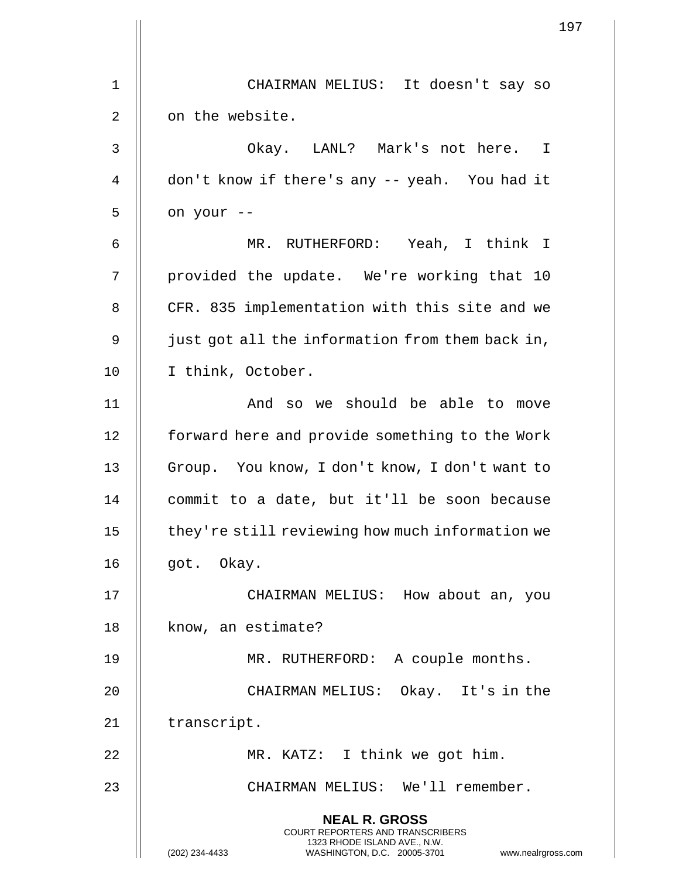|             | 197                                                                                                                                                                    |
|-------------|------------------------------------------------------------------------------------------------------------------------------------------------------------------------|
|             |                                                                                                                                                                        |
| $\mathbf 1$ | CHAIRMAN MELIUS: It doesn't say so                                                                                                                                     |
| 2           | on the website.                                                                                                                                                        |
| 3           | Okay. LANL? Mark's not here. I                                                                                                                                         |
| 4           | don't know if there's any -- yeah. You had it                                                                                                                          |
| 5           | on your --                                                                                                                                                             |
| 6           | MR. RUTHERFORD: Yeah, I think I                                                                                                                                        |
| 7           | provided the update. We're working that 10                                                                                                                             |
| 8           | CFR. 835 implementation with this site and we                                                                                                                          |
| 9           | just got all the information from them back in,                                                                                                                        |
| 10          | I think, October.                                                                                                                                                      |
| 11          | And so we should be able to move                                                                                                                                       |
| 12          | forward here and provide something to the Work                                                                                                                         |
| 13          | Group. You know, I don't know, I don't want to                                                                                                                         |
| 14          | commit to a date, but it'll be soon because                                                                                                                            |
| 15          | they're still reviewing how much information we                                                                                                                        |
| 16          | got. Okay.                                                                                                                                                             |
| 17          | CHAIRMAN MELIUS: How about an, you                                                                                                                                     |
| 18          | know, an estimate?                                                                                                                                                     |
| 19          | MR. RUTHERFORD: A couple months.                                                                                                                                       |
| 20          | CHAIRMAN MELIUS: Okay. It's in the                                                                                                                                     |
| 21          | transcript.                                                                                                                                                            |
| 22          | MR. KATZ: I think we got him.                                                                                                                                          |
| 23          | CHAIRMAN MELIUS: We'll remember.                                                                                                                                       |
|             |                                                                                                                                                                        |
|             | <b>NEAL R. GROSS</b><br><b>COURT REPORTERS AND TRANSCRIBERS</b><br>1323 RHODE ISLAND AVE., N.W.<br>(202) 234-4433<br>WASHINGTON, D.C. 20005-3701<br>www.nealrgross.com |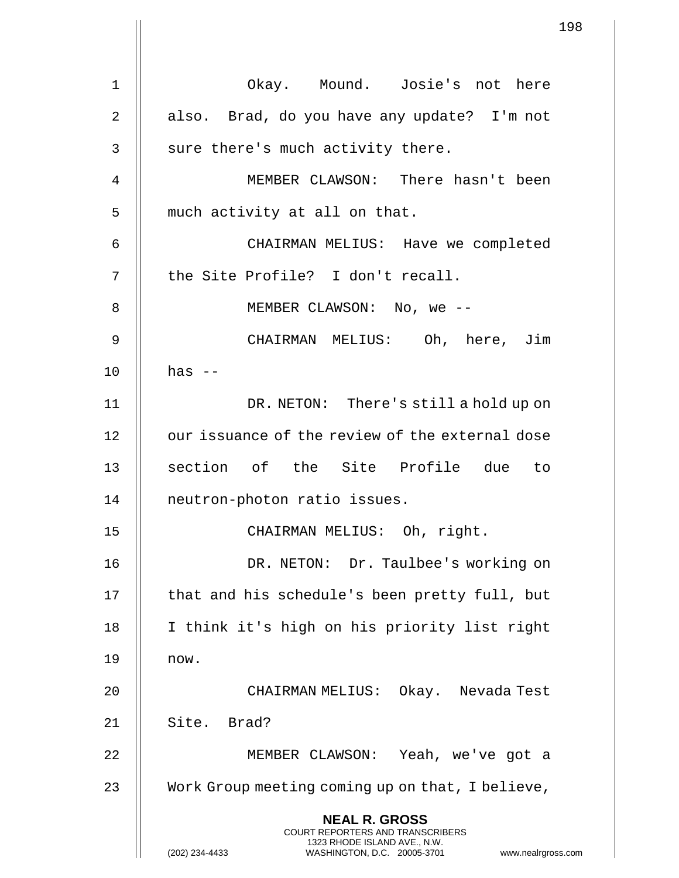1 Okay. Mound. Josie's not here 2  $\parallel$  also. Brad, do you have any update? I'm not  $3 \parallel$  sure there's much activity there. 4 MEMBER CLAWSON: There hasn't been 5 | much activity at all on that. 6 CHAIRMAN MELIUS: Have we completed 7 || the Site Profile? I don't recall. 8 || MEMBER CLAWSON: No, we --9 CHAIRMAN MELIUS: Oh, here, Jim  $10$  || has  $-$ 11 DR. NETON: There's still a hold up on 12 | our issuance of the review of the external dose 13 || section of the Site Profile due to 14 neutron-photon ratio issues. 15 CHAIRMAN MELIUS: Oh, right. 16 DR. NETON: Dr. Taulbee's working on 17 || that and his schedule's been pretty full, but 18 || I think it's high on his priority list right 19 now. 20 CHAIRMAN MELIUS: Okay. Nevada Test 21 || Site. Brad? 22 MEMBER CLAWSON: Yeah, we've got a 23 | Work Group meeting coming up on that, I believe, **NEAL R. GROSS** COURT REPORTERS AND TRANSCRIBERS 1323 RHODE ISLAND AVE., N.W. (202) 234-4433 WASHINGTON, D.C. 20005-3701 www.nealrgross.com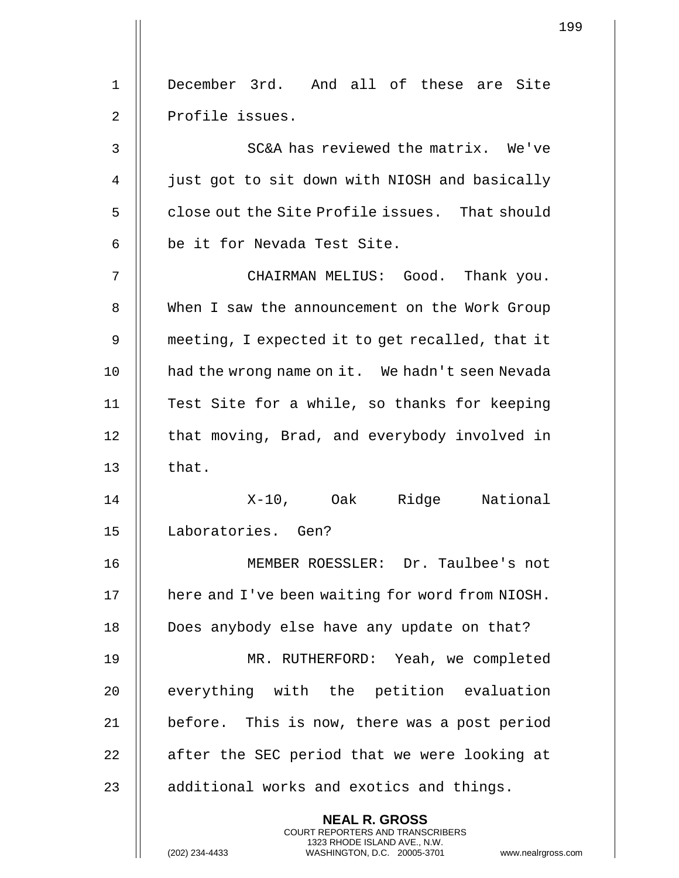|              | 1                                                                                                                                                                  |
|--------------|--------------------------------------------------------------------------------------------------------------------------------------------------------------------|
| $\mathbf 1$  | December 3rd. And all of these are Site                                                                                                                            |
| 2            | Profile issues.                                                                                                                                                    |
| $\mathsf{3}$ | SC&A has reviewed the matrix. We've                                                                                                                                |
| 4            | just got to sit down with NIOSH and basically                                                                                                                      |
| 5            | close out the Site Profile issues. That should                                                                                                                     |
| 6            | be it for Nevada Test Site.                                                                                                                                        |
| 7            | CHAIRMAN MELIUS: Good. Thank you.                                                                                                                                  |
| 8            | When I saw the announcement on the Work Group                                                                                                                      |
| 9            | meeting, I expected it to get recalled, that it                                                                                                                    |
| 10           | had the wrong name on it. We hadn't seen Nevada                                                                                                                    |
| 11           | Test Site for a while, so thanks for keeping                                                                                                                       |
| 12           | that moving, Brad, and everybody involved in                                                                                                                       |
| 13           | that.                                                                                                                                                              |
| 14           | X-10, Oak Ridge National                                                                                                                                           |
| 15           | Laboratories. Gen?                                                                                                                                                 |
| 16           | MEMBER ROESSLER: Dr. Taulbee's not                                                                                                                                 |
| 17           | here and I've been waiting for word from NIOSH.                                                                                                                    |
| 18           | Does anybody else have any update on that?                                                                                                                         |
| 19           | MR. RUTHERFORD: Yeah, we completed                                                                                                                                 |
| 20           | everything with the petition evaluation                                                                                                                            |
| 21           | before. This is now, there was a post period                                                                                                                       |
| 22           | after the SEC period that we were looking at                                                                                                                       |
| 23           | additional works and exotics and things.                                                                                                                           |
|              | <b>NEAL R. GROSS</b><br><b>COURT REPORTERS AND TRANSCRIBERS</b><br>1323 RHODE ISLAND AVE., N.W.<br>WASHINGTON, D.C. 20005-3701<br>(202) 234-4433<br>www.nealrgross |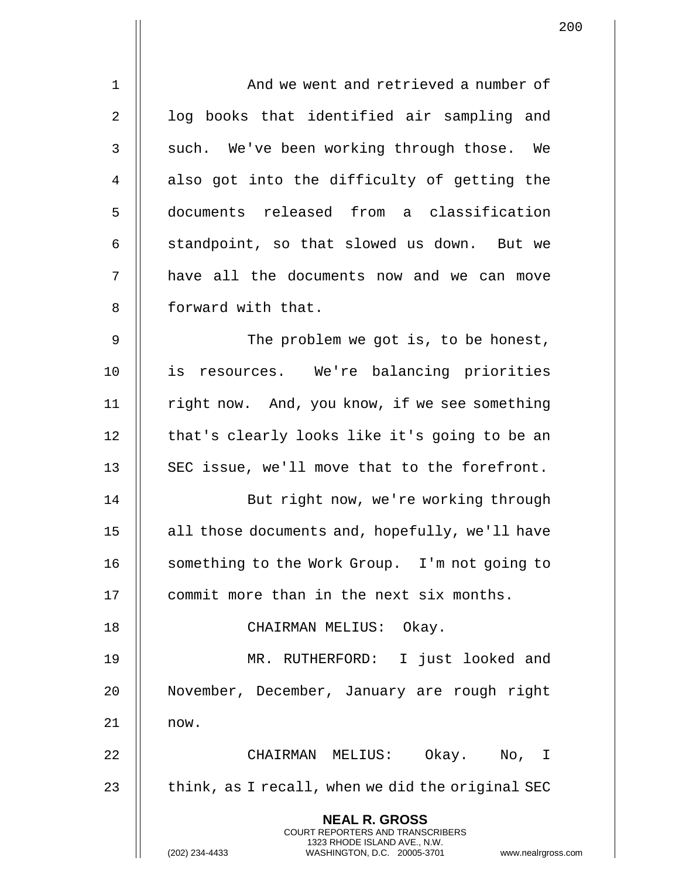| $\mathbf 1$    | And we went and retrieved a number of                                                                                                                              |
|----------------|--------------------------------------------------------------------------------------------------------------------------------------------------------------------|
| $\overline{2}$ | log books that identified air sampling and                                                                                                                         |
| 3              | such. We've been working through those. We                                                                                                                         |
| 4              | also got into the difficulty of getting the                                                                                                                        |
| 5              | documents released from a classification                                                                                                                           |
| 6              | standpoint, so that slowed us down. But we                                                                                                                         |
| 7              | have all the documents now and we can move                                                                                                                         |
| $\,8\,$        | forward with that.                                                                                                                                                 |
| 9              | The problem we got is, to be honest,                                                                                                                               |
| 10             | is resources. We're balancing priorities                                                                                                                           |
| 11             | right now. And, you know, if we see something                                                                                                                      |
| 12             | that's clearly looks like it's going to be an                                                                                                                      |
| 13             | SEC issue, we'll move that to the forefront.                                                                                                                       |
| 14             | But right now, we're working through                                                                                                                               |
| 15             | all those documents and, hopefully, we'll have                                                                                                                     |
| 16             | something to the Work Group. I'm not going to                                                                                                                      |
| 17             | commit more than in the next six months.                                                                                                                           |
| 18             | CHAIRMAN MELIUS: Okay.                                                                                                                                             |
| 19             | MR. RUTHERFORD: I just looked and                                                                                                                                  |
| 20             | November, December, January are rough right                                                                                                                        |
| 21             | now.                                                                                                                                                               |
| 22             | CHAIRMAN MELIUS: Okay. No, I                                                                                                                                       |
| 23             | think, as I recall, when we did the original SEC                                                                                                                   |
|                | <b>NEAL R. GROSS</b><br><b>COURT REPORTERS AND TRANSCRIBERS</b><br>1323 RHODE ISLAND AVE., N.W.<br>(202) 234-4433<br>WASHINGTON, D.C. 20005-3701<br>www.nealrgross |

 $\mathbf{1}$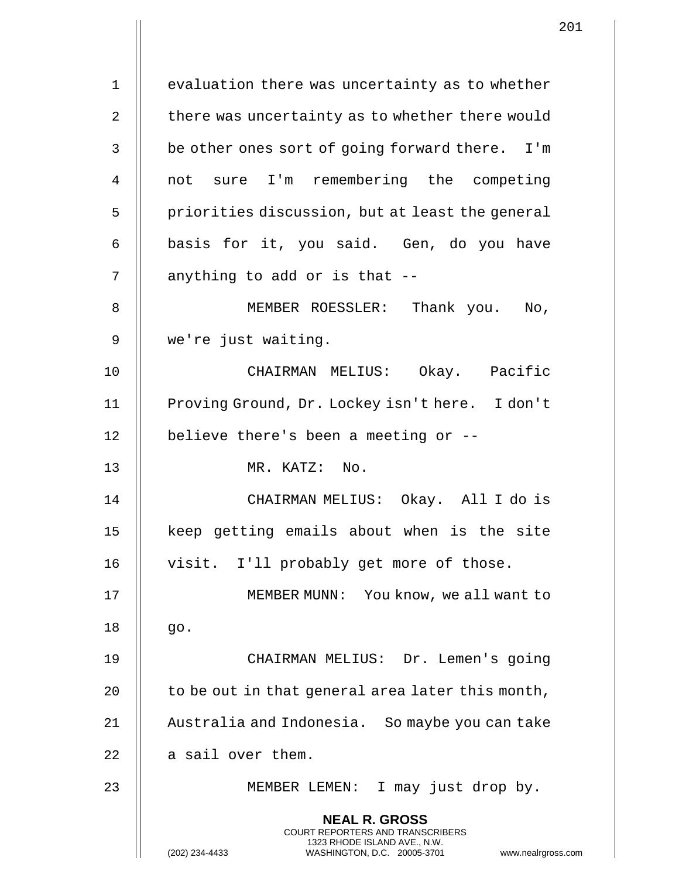1 | evaluation there was uncertainty as to whether  $\parallel$  there was uncertainty as to whether there would  $3 \parallel$  be other ones sort of going forward there. I'm not sure I'm remembering the competing | priorities discussion, but at least the general  $6 \parallel$  basis for it, you said. Gen, do you have | anything to add or is that  $-$  MEMBER ROESSLER: Thank you. No, we're just waiting. CHAIRMAN MELIUS: Okay. Pacific 11 | Proving Ground, Dr. Lockey isn't here. I don't  $\parallel$  believe there's been a meeting or -- MR. KATZ: No. CHAIRMAN MELIUS: Okay. All I do is 15 || keep getting emails about when is the site 16 || visit. I'll probably get more of those. MEMBER MUNN: You know, we all want to || go. CHAIRMAN MELIUS: Dr. Lemen's going | to be out in that general area later this month, Australia and Indonesia. So maybe you can take | a sail over them. 23 || MEMBER LEMEN: I may just drop by. **NEAL R. GROSS** COURT REPORTERS AND TRANSCRIBERS 1323 RHODE ISLAND AVE., N.W. (202) 234-4433 WASHINGTON, D.C. 20005-3701 www.nealrgross.com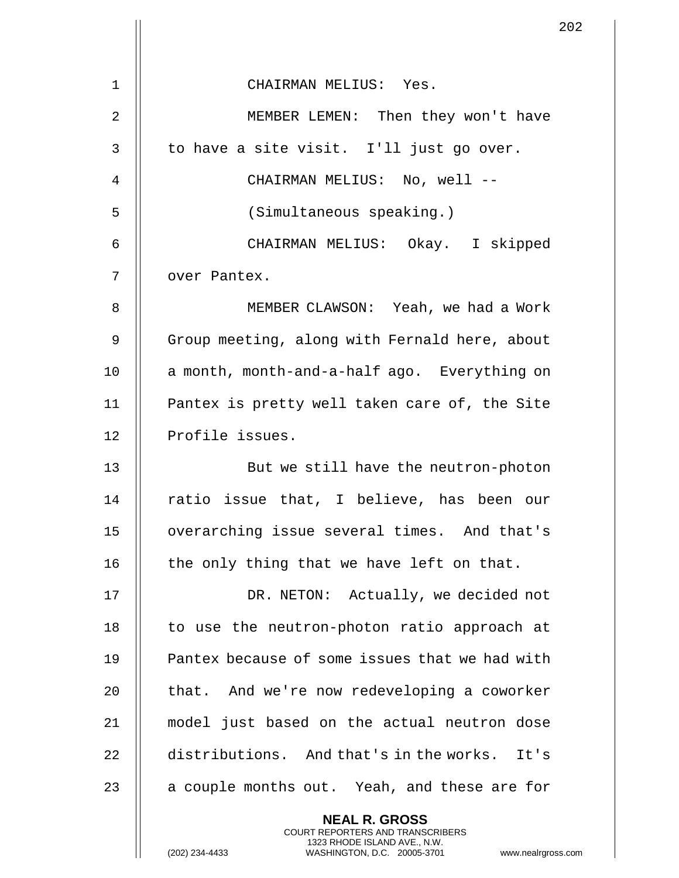|                | 2                                                                                                                                                                   |
|----------------|---------------------------------------------------------------------------------------------------------------------------------------------------------------------|
| 1              | CHAIRMAN MELIUS: Yes.                                                                                                                                               |
| $\overline{2}$ | MEMBER LEMEN: Then they won't have                                                                                                                                  |
| $\mathsf{3}$   | to have a site visit. I'll just go over.                                                                                                                            |
| $\overline{4}$ | CHAIRMAN MELIUS: No, well --                                                                                                                                        |
|                |                                                                                                                                                                     |
| 5              | (Simultaneous speaking.)                                                                                                                                            |
| 6              | CHAIRMAN MELIUS: Okay. I skipped                                                                                                                                    |
| 7              | over Pantex.                                                                                                                                                        |
| 8              | MEMBER CLAWSON: Yeah, we had a Work                                                                                                                                 |
| 9              | Group meeting, along with Fernald here, about                                                                                                                       |
| 10             | a month, month-and-a-half ago. Everything on                                                                                                                        |
| 11             | Pantex is pretty well taken care of, the Site                                                                                                                       |
| 12             | Profile issues.                                                                                                                                                     |
| 13             | But we still have the neutron-photon                                                                                                                                |
| 14             | ratio issue that, I believe, has been our                                                                                                                           |
| 15             | overarching issue several times. And that's                                                                                                                         |
| 16             | the only thing that we have left on that.                                                                                                                           |
| 17             | DR. NETON: Actually, we decided not                                                                                                                                 |
| 18             | to use the neutron-photon ratio approach at                                                                                                                         |
| 19             | Pantex because of some issues that we had with                                                                                                                      |
| 20             | that. And we're now redeveloping a coworker                                                                                                                         |
| 21             | model just based on the actual neutron dose                                                                                                                         |
| 22             | distributions. And that's in the works. It's                                                                                                                        |
| 23             | a couple months out. Yeah, and these are for                                                                                                                        |
|                | <b>NEAL R. GROSS</b><br><b>COURT REPORTERS AND TRANSCRIBERS</b><br>1323 RHODE ISLAND AVE., N.W.<br>(202) 234-4433<br>WASHINGTON, D.C. 20005-3701<br>www.nealrgross. |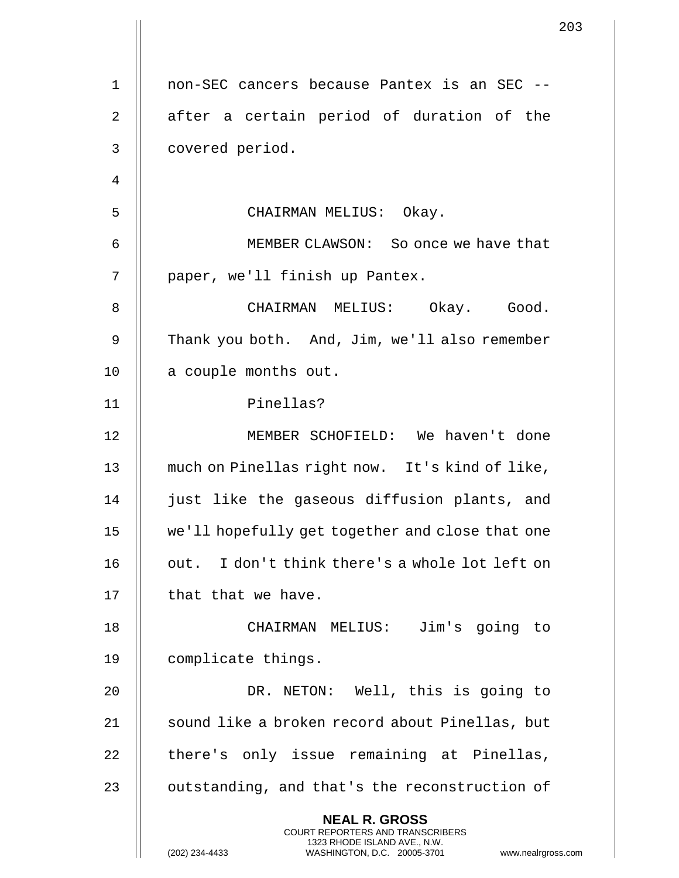|                |                                                                                                                                                                        | 203 |
|----------------|------------------------------------------------------------------------------------------------------------------------------------------------------------------------|-----|
|                |                                                                                                                                                                        |     |
| $\mathbf 1$    | non-SEC cancers because Pantex is an SEC --                                                                                                                            |     |
| 2              | after a certain period of duration of the                                                                                                                              |     |
| 3              | covered period.                                                                                                                                                        |     |
| $\overline{4}$ |                                                                                                                                                                        |     |
| 5              | CHAIRMAN MELIUS: Okay.                                                                                                                                                 |     |
| 6              | MEMBER CLAWSON: So once we have that                                                                                                                                   |     |
| 7              | paper, we'll finish up Pantex.                                                                                                                                         |     |
| 8              | CHAIRMAN MELIUS: Okay. Good.                                                                                                                                           |     |
| 9              | Thank you both. And, Jim, we'll also remember                                                                                                                          |     |
| 10             | a couple months out.                                                                                                                                                   |     |
| 11             | Pinellas?                                                                                                                                                              |     |
| 12             | MEMBER SCHOFIELD: We haven't done                                                                                                                                      |     |
| 13             | much on Pinellas right now. It's kind of like,                                                                                                                         |     |
| 14             | just like the gaseous diffusion plants, and                                                                                                                            |     |
| 15             | we'll hopefully get together and close that one                                                                                                                        |     |
| 16             | out. I don't think there's a whole lot left on                                                                                                                         |     |
| 17             | that that we have.                                                                                                                                                     |     |
| 18             | CHAIRMAN MELIUS: Jim's going to                                                                                                                                        |     |
| 19             | complicate things.                                                                                                                                                     |     |
| 20             | DR. NETON: Well, this is going to                                                                                                                                      |     |
| 21             | sound like a broken record about Pinellas, but                                                                                                                         |     |
| 22             | there's only issue remaining at Pinellas,                                                                                                                              |     |
| 23             | outstanding, and that's the reconstruction of                                                                                                                          |     |
|                | <b>NEAL R. GROSS</b><br><b>COURT REPORTERS AND TRANSCRIBERS</b><br>1323 RHODE ISLAND AVE., N.W.<br>(202) 234-4433<br>WASHINGTON, D.C. 20005-3701<br>www.nealrgross.com |     |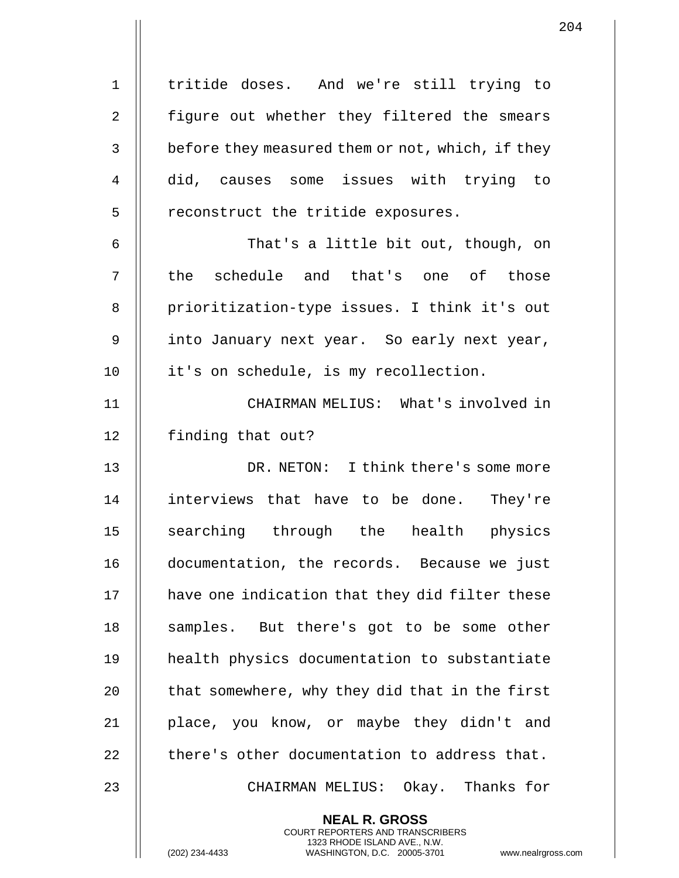| $\mathbf 1$  | tritide doses. And we're still trying to                                                                                                                          |
|--------------|-------------------------------------------------------------------------------------------------------------------------------------------------------------------|
| 2            | figure out whether they filtered the smears                                                                                                                       |
| $\mathbf{3}$ | before they measured them or not, which, if they                                                                                                                  |
| 4            | did, causes some issues with trying to                                                                                                                            |
| 5            | reconstruct the tritide exposures.                                                                                                                                |
| 6            | That's a little bit out, though, on                                                                                                                               |
| 7            | the schedule and that's one of those                                                                                                                              |
| 8            | prioritization-type issues. I think it's out                                                                                                                      |
| 9            | into January next year. So early next year,                                                                                                                       |
| 10           | it's on schedule, is my recollection.                                                                                                                             |
| 11           | CHAIRMAN MELIUS: What's involved in                                                                                                                               |
| 12           | finding that out?                                                                                                                                                 |
| 13           | DR. NETON: I think there's some more                                                                                                                              |
| 14           | interviews that have to be done. They're                                                                                                                          |
| 15           | searching through the health physics                                                                                                                              |
| 16           | documentation, the records. Because we just                                                                                                                       |
| 17           | have one indication that they did filter these                                                                                                                    |
| 18           | samples. But there's got to be some other                                                                                                                         |
| 19           | health physics documentation to substantiate                                                                                                                      |
| 20           | that somewhere, why they did that in the first                                                                                                                    |
| 21           | place, you know, or maybe they didn't and                                                                                                                         |
| 22           | there's other documentation to address that.                                                                                                                      |
| 23           | CHAIRMAN MELIUS: Okay. Thanks for                                                                                                                                 |
|              | <b>NEAL R. GROSS</b><br><b>COURT REPORTERS AND TRANSCRIBERS</b><br>1323 RHODE ISLAND AVE., N.W.<br>(202) 234-4433<br>WASHINGTON, D.C. 20005-3701<br>www.nealrgros |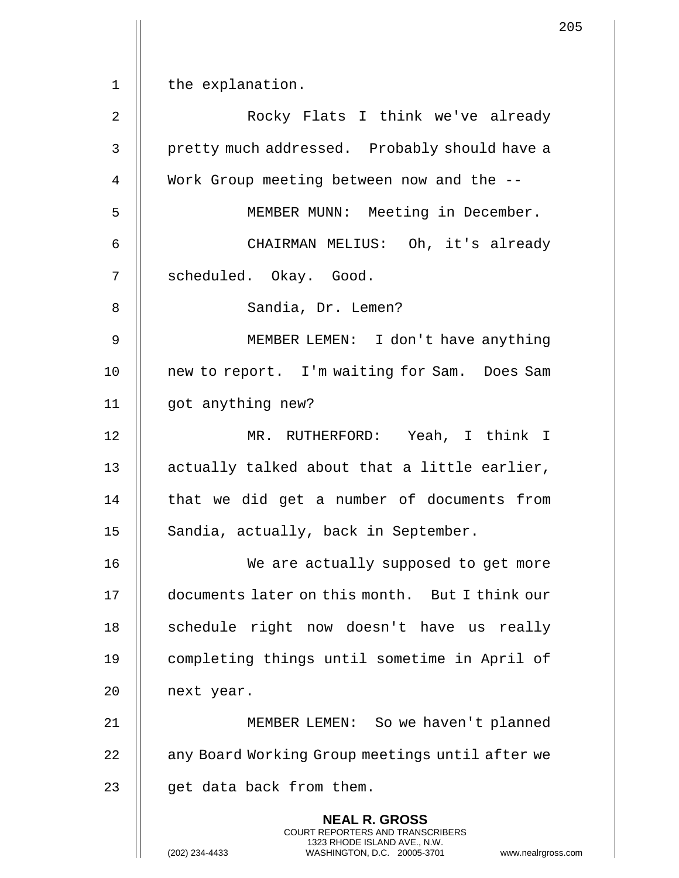1 | the explanation.

2 Rocky Flats I think we've already 3 || pretty much addressed. Probably should have a 4 || Work Group meeting between now and the --5 || MEMBER MUNN: Meeting in December. 6 CHAIRMAN MELIUS: Oh, it's already 7 || scheduled. Okay. Good. 8 || Sandia, Dr. Lemen? 9 MEMBER LEMEN: I don't have anything 10 || new to report. I'm waiting for Sam. Does Sam 11 got anything new? 12 MR. RUTHERFORD: Yeah, I think I 13 || actually talked about that a little earlier, 14 || that we did get a number of documents from 15 || Sandia, actually, back in September. 16 || We are actually supposed to get more 17 documents later on this month. But I think our 18 || schedule right now doesn't have us really 19 completing things until sometime in April of 20 || next year. 21 MEMBER LEMEN: So we haven't planned 22 | any Board Working Group meetings until after we  $23$  || qet data back from them. **NEAL R. GROSS** COURT REPORTERS AND TRANSCRIBERS 1323 RHODE ISLAND AVE., N.W.

(202) 234-4433 WASHINGTON, D.C. 20005-3701 www.nealrgross.com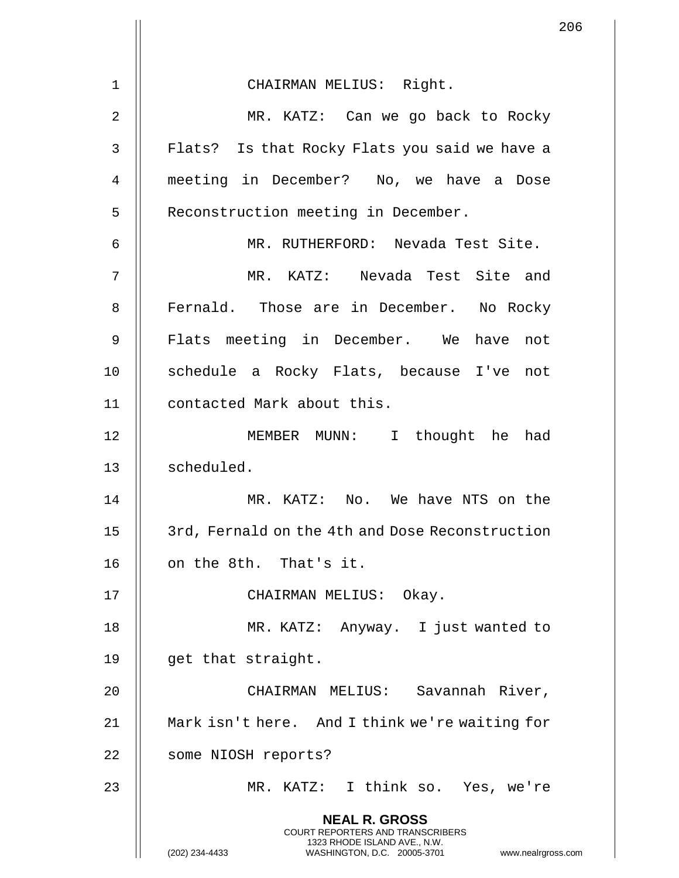|                |                                                                                                                                                                        | 206 |
|----------------|------------------------------------------------------------------------------------------------------------------------------------------------------------------------|-----|
|                |                                                                                                                                                                        |     |
| 1              | CHAIRMAN MELIUS: Right.                                                                                                                                                |     |
| $\overline{2}$ | MR. KATZ: Can we go back to Rocky                                                                                                                                      |     |
| 3              | Flats? Is that Rocky Flats you said we have a                                                                                                                          |     |
| 4              | meeting in December? No, we have a Dose                                                                                                                                |     |
| 5              | Reconstruction meeting in December.                                                                                                                                    |     |
| 6              | MR. RUTHERFORD: Nevada Test Site.                                                                                                                                      |     |
| 7              | MR. KATZ: Nevada Test Site and                                                                                                                                         |     |
| 8              | Fernald. Those are in December. No Rocky                                                                                                                               |     |
| 9              | Flats meeting in December. We have not                                                                                                                                 |     |
| 10             | schedule a Rocky Flats, because I've not                                                                                                                               |     |
| 11             | contacted Mark about this.                                                                                                                                             |     |
| 12             | MEMBER MUNN: I thought he<br>had                                                                                                                                       |     |
| 13             | scheduled.                                                                                                                                                             |     |
| 14             | MR. KATZ: No. We have NTS on the                                                                                                                                       |     |
| 15             | 3rd, Fernald on the 4th and Dose Reconstruction                                                                                                                        |     |
| 16             | on the 8th. That's it.                                                                                                                                                 |     |
| 17             | CHAIRMAN MELIUS: Okay.                                                                                                                                                 |     |
| 18             | MR. KATZ: Anyway. I just wanted to                                                                                                                                     |     |
| 19             | get that straight.                                                                                                                                                     |     |
| 20             | CHAIRMAN MELIUS: Savannah River,                                                                                                                                       |     |
| 21             | Mark isn't here. And I think we're waiting for                                                                                                                         |     |
| 22             | some NIOSH reports?                                                                                                                                                    |     |
| 23             | MR. KATZ: I think so. Yes, we're                                                                                                                                       |     |
|                | <b>NEAL R. GROSS</b><br><b>COURT REPORTERS AND TRANSCRIBERS</b><br>1323 RHODE ISLAND AVE., N.W.<br>(202) 234-4433<br>WASHINGTON, D.C. 20005-3701<br>www.nealrgross.com |     |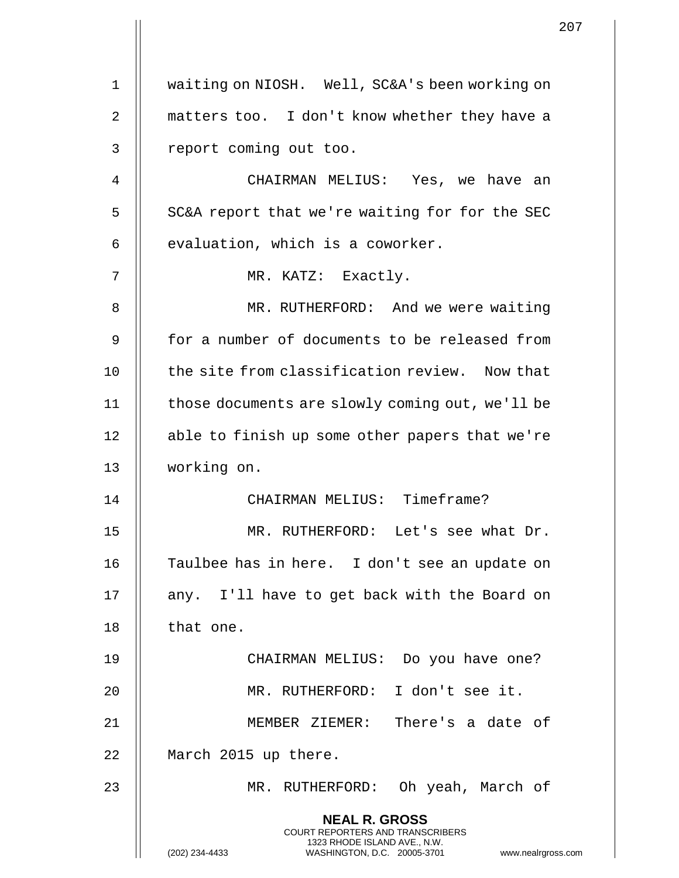1 | waiting on NIOSH. Well, SC&A's been working on 2 || matters too. I don't know whether they have a 3 || report coming out too. 4 CHAIRMAN MELIUS: Yes, we have an  $5$  | SC&A report that we're waiting for for the SEC  $6$  | evaluation, which is a coworker. 7 || MR. KATZ: Exactly. 8 || MR. RUTHERFORD: And we were waiting 9 for a number of documents to be released from 10 || the site from classification review. Now that 11 | those documents are slowly coming out, we'll be 12 || able to finish up some other papers that we're 13 working on. 14 CHAIRMAN MELIUS: Timeframe? 15 MR. RUTHERFORD: Let's see what Dr. 16 Taulbee has in here. I don't see an update on 17 || any. I'll have to get back with the Board on  $18$  || that one. 19 CHAIRMAN MELIUS: Do you have one? 20 MR. RUTHERFORD: I don't see it. 21 MEMBER ZIEMER: There's a date of 22 | March 2015 up there. 23 MR. RUTHERFORD: Oh yeah, March of **NEAL R. GROSS** COURT REPORTERS AND TRANSCRIBERS 1323 RHODE ISLAND AVE., N.W. (202) 234-4433 WASHINGTON, D.C. 20005-3701 www.nealrgross.com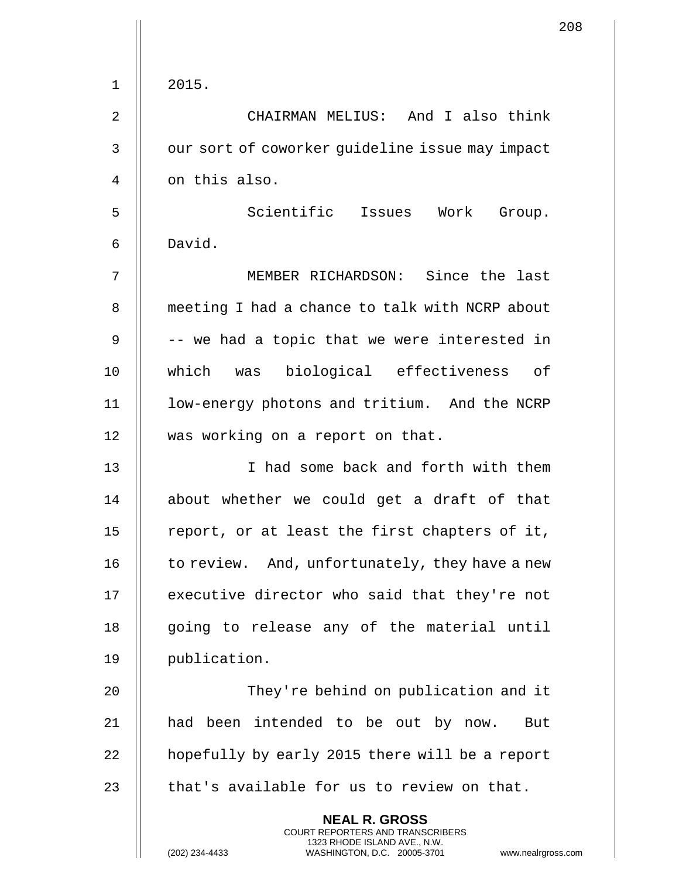| $\mathbf 1$    | 2015.                                                                                                                                                      |
|----------------|------------------------------------------------------------------------------------------------------------------------------------------------------------|
| $\overline{2}$ | CHAIRMAN MELIUS: And I also think                                                                                                                          |
| 3              | our sort of coworker guideline issue may impact                                                                                                            |
| 4              | on this also.                                                                                                                                              |
| 5              | Scientific Issues Work Group.                                                                                                                              |
| 6              | David.                                                                                                                                                     |
| 7              | MEMBER RICHARDSON: Since the last                                                                                                                          |
| 8              | meeting I had a chance to talk with NCRP about                                                                                                             |
| 9              | -- we had a topic that we were interested in                                                                                                               |
| 10             | which was biological effectiveness of                                                                                                                      |
| 11             | low-energy photons and tritium. And the NCRP                                                                                                               |
| 12             | was working on a report on that.                                                                                                                           |
| 13             | I had some back and forth with them                                                                                                                        |
| 14             | about whether we could get a draft of that                                                                                                                 |
| 15             | report, or at least the first chapters of it,                                                                                                              |
| 16             | to review. And, unfortunately, they have a new                                                                                                             |
| 17             | executive director who said that they're not                                                                                                               |
| 18             | going to release any of the material until                                                                                                                 |
| 19             | publication.                                                                                                                                               |
| 20             | They're behind on publication and it                                                                                                                       |
| 21             | had been intended to be out by now. But                                                                                                                    |
| 22             | hopefully by early 2015 there will be a report                                                                                                             |
| 23             | that's available for us to review on that.                                                                                                                 |
|                | <b>NEAL R. GROSS</b><br>COURT REPORTERS AND TRANSCRIBERS<br>1323 RHODE ISLAND AVE., N.W.<br>(202) 234-4433<br>WASHINGTON, D.C. 20005-3701<br>www.nealrgros |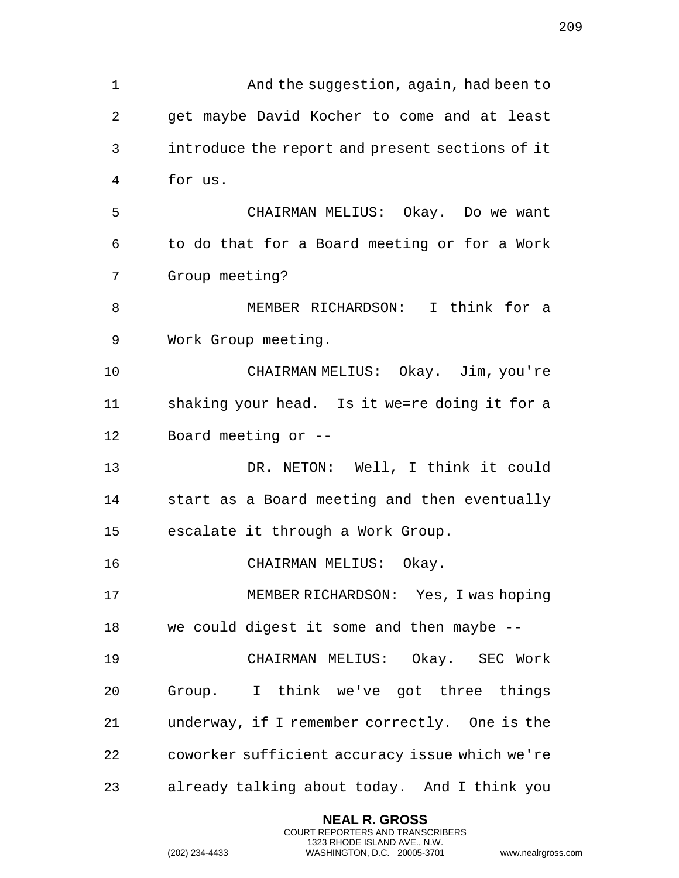|    |                                                                                                                                                                     | 209 |
|----|---------------------------------------------------------------------------------------------------------------------------------------------------------------------|-----|
| 1  | And the suggestion, again, had been to                                                                                                                              |     |
| 2  | get maybe David Kocher to come and at least                                                                                                                         |     |
|    |                                                                                                                                                                     |     |
| 3  | introduce the report and present sections of it                                                                                                                     |     |
| 4  | for us.                                                                                                                                                             |     |
| 5  | CHAIRMAN MELIUS: Okay. Do we want                                                                                                                                   |     |
| 6  | to do that for a Board meeting or for a Work                                                                                                                        |     |
| 7  | Group meeting?                                                                                                                                                      |     |
| 8  | MEMBER RICHARDSON: I think for a                                                                                                                                    |     |
| 9  | Work Group meeting.                                                                                                                                                 |     |
| 10 | CHAIRMAN MELIUS: Okay. Jim, you're                                                                                                                                  |     |
| 11 | shaking your head. Is it we=re doing it for a                                                                                                                       |     |
| 12 | Board meeting or --                                                                                                                                                 |     |
| 13 | DR. NETON: Well, I think it could                                                                                                                                   |     |
| 14 | start as a Board meeting and then eventually                                                                                                                        |     |
| 15 | escalate it through a Work Group.                                                                                                                                   |     |
| 16 | CHAIRMAN MELIUS: Okay.                                                                                                                                              |     |
| 17 | MEMBER RICHARDSON: Yes, I was hoping                                                                                                                                |     |
| 18 | we could digest it some and then maybe --                                                                                                                           |     |
| 19 | CHAIRMAN MELIUS: Okay. SEC Work                                                                                                                                     |     |
| 20 | Group. I think we've got three things                                                                                                                               |     |
| 21 | underway, if I remember correctly. One is the                                                                                                                       |     |
| 22 | coworker sufficient accuracy issue which we're                                                                                                                      |     |
| 23 | already talking about today. And I think you                                                                                                                        |     |
|    | <b>NEAL R. GROSS</b><br><b>COURT REPORTERS AND TRANSCRIBERS</b><br>1323 RHODE ISLAND AVE., N.W.<br>(202) 234-4433<br>WASHINGTON, D.C. 20005-3701 www.nealrgross.com |     |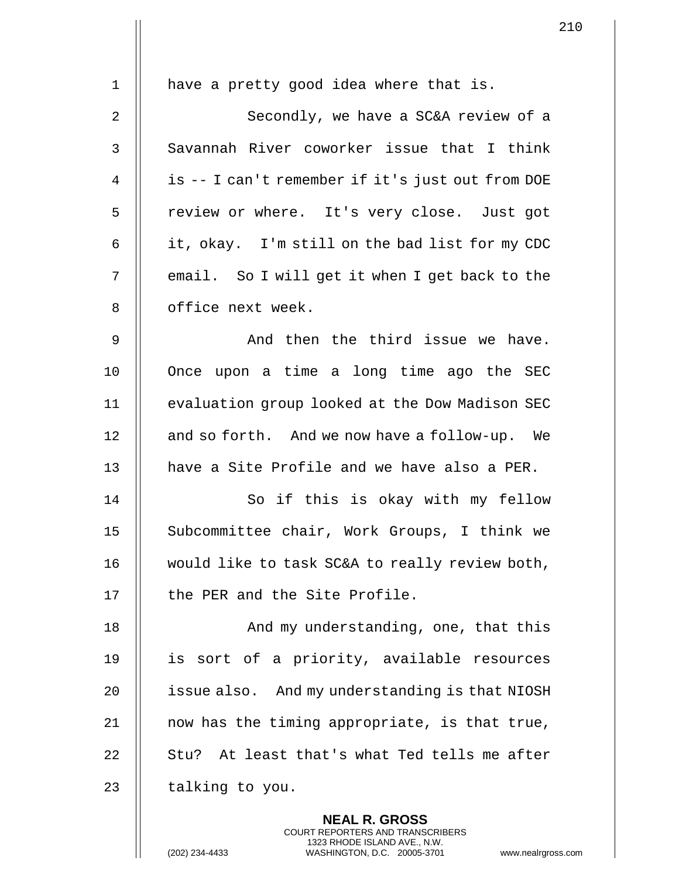| $\mathbf 1$    | have a pretty good idea where that is.           |
|----------------|--------------------------------------------------|
| $\overline{2}$ | Secondly, we have a SC&A review of a             |
|                |                                                  |
| $\mathfrak{Z}$ | Savannah River coworker issue that I think       |
| 4              | is -- I can't remember if it's just out from DOE |
| 5              | review or where. It's very close. Just got       |
| 6              | it, okay. I'm still on the bad list for my CDC   |
| 7              | email. So I will get it when I get back to the   |
| 8              | office next week.                                |
| $\mathsf 9$    | And then the third issue we have.                |
| 10             | Once upon a time a long time ago the SEC         |
| 11             | evaluation group looked at the Dow Madison SEC   |
| 12             | and so forth. And we now have a follow-up. We    |
| 13             | have a Site Profile and we have also a PER.      |
| 14             | So if this is okay with my fellow                |
| 15             | Subcommittee chair, Work Groups, I think we      |
| 16             | would like to task SC&A to really review both,   |
| 17             | the PER and the Site Profile.                    |
| 18             | And my understanding, one, that this             |
| 19             | is sort of a priority, available resources       |
| 20             | issue also. And my understanding is that NIOSH   |
| 21             | now has the timing appropriate, is that true,    |
| 22             | Stu? At least that's what Ted tells me after     |
| 23             | talking to you.                                  |
|                | <b>NEAL R. GROSS</b>                             |

COURT REPORTERS AND TRANSCRIBERS 1323 RHODE ISLAND AVE., N.W.

(202) 234-4433 WASHINGTON, D.C. 20005-3701 www.nealrgross.com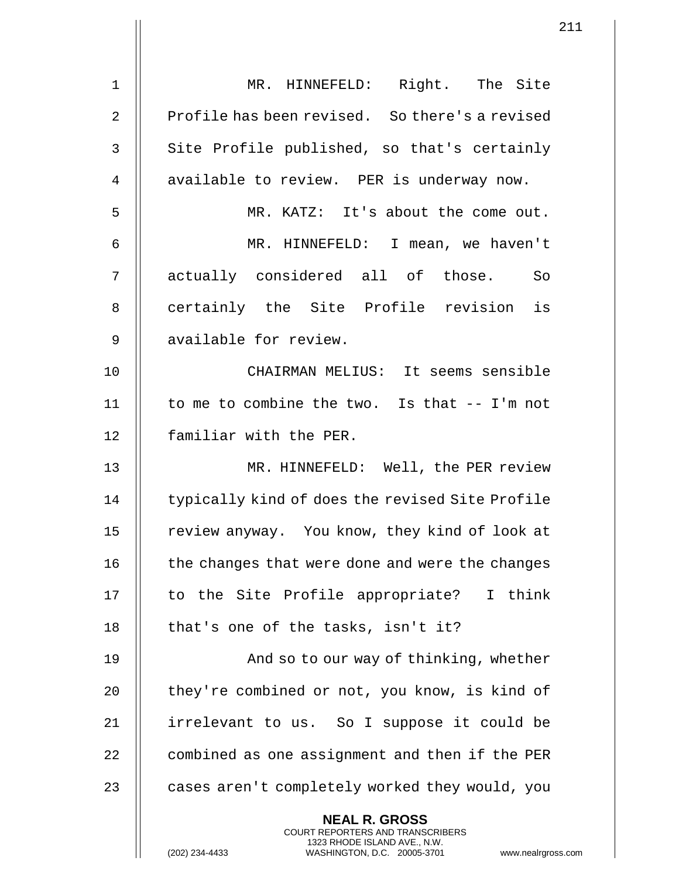|                | 2 <sup>1</sup>                                                                                                                                                       |
|----------------|----------------------------------------------------------------------------------------------------------------------------------------------------------------------|
| 1              | MR. HINNEFELD: Right. The Site                                                                                                                                       |
| $\overline{2}$ | Profile has been revised. So there's a revised                                                                                                                       |
| 3              | Site Profile published, so that's certainly                                                                                                                          |
| 4              | available to review. PER is underway now.                                                                                                                            |
| 5              | MR. KATZ: It's about the come out.                                                                                                                                   |
| 6              | MR. HINNEFELD: I mean, we haven't                                                                                                                                    |
| 7              | actually considered all of those. So                                                                                                                                 |
| 8              | certainly the Site Profile revision is                                                                                                                               |
| 9              | available for review.                                                                                                                                                |
| 10             | CHAIRMAN MELIUS: It seems sensible                                                                                                                                   |
| 11             | to me to combine the two. Is that -- I'm not                                                                                                                         |
| 12             | familiar with the PER.                                                                                                                                               |
| 13             | MR. HINNEFELD: Well, the PER review                                                                                                                                  |
| 14             | typically kind of does the revised Site Profile                                                                                                                      |
| 15             | review anyway. You know, they kind of look at                                                                                                                        |
| 16             | the changes that were done and were the changes                                                                                                                      |
| 17             | to the Site Profile appropriate? I think                                                                                                                             |
| 18             | that's one of the tasks, isn't it?                                                                                                                                   |
| 19             | And so to our way of thinking, whether                                                                                                                               |
| 20             | they're combined or not, you know, is kind of                                                                                                                        |
| 21             | irrelevant to us. So I suppose it could be                                                                                                                           |
| 22             | combined as one assignment and then if the PER                                                                                                                       |
| 23             | cases aren't completely worked they would, you                                                                                                                       |
|                | <b>NEAL R. GROSS</b><br><b>COURT REPORTERS AND TRANSCRIBERS</b><br>1323 RHODE ISLAND AVE., N.W.<br>(202) 234-4433<br>www.nealrgross.c<br>WASHINGTON, D.C. 20005-3701 |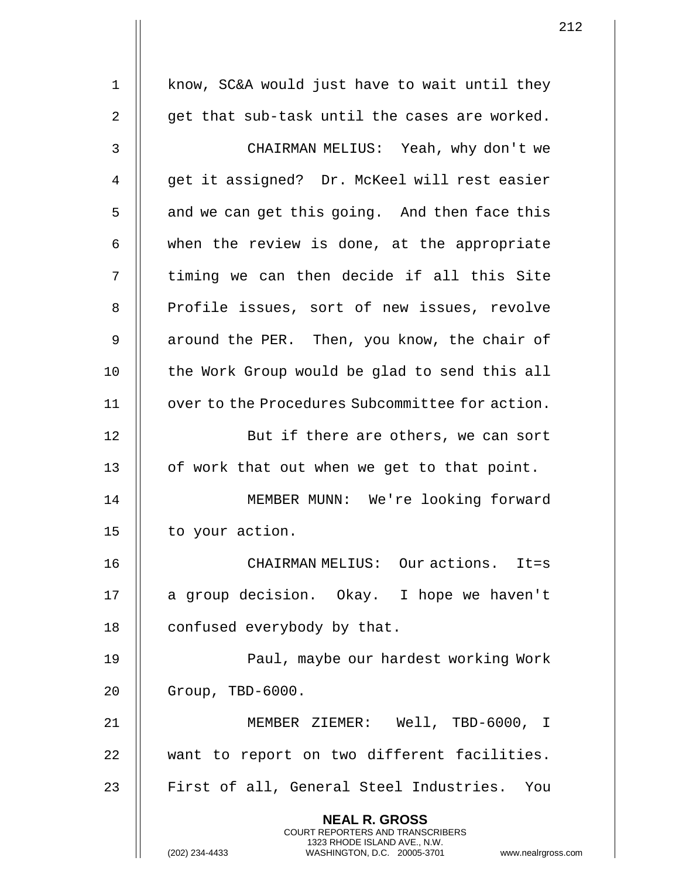1 | know, SC&A would just have to wait until they 2  $\parallel$  qet that sub-task until the cases are worked. 3 CHAIRMAN MELIUS: Yeah, why don't we 4 || qet it assigned? Dr. McKeel will rest easier  $5 \parallel$  and we can get this going. And then face this  $6 \parallel$  when the review is done, at the appropriate  $7$   $\parallel$  timing we can then decide if all this Site 8 || Profile issues, sort of new issues, revolve 9 | around the PER. Then, you know, the chair of 10 || the Work Group would be glad to send this all 11 | over to the Procedures Subcommittee for action. 12 || But if there are others, we can sort 13  $\parallel$  of work that out when we get to that point. 14 MEMBER MUNN: We're looking forward 15 | to your action. 16 CHAIRMAN MELIUS: Our actions. It=s 17 || a group decision. Okay. I hope we haven't 18 | confused everybody by that. 19 || Paul, maybe our hardest working Work 20 Group, TBD-6000. 21 MEMBER ZIEMER: Well, TBD-6000, I 22 || want to report on two different facilities. 23 || First of all, General Steel Industries. You **NEAL R. GROSS** COURT REPORTERS AND TRANSCRIBERS 1323 RHODE ISLAND AVE., N.W.

(202) 234-4433 WASHINGTON, D.C. 20005-3701 www.nealrgross.com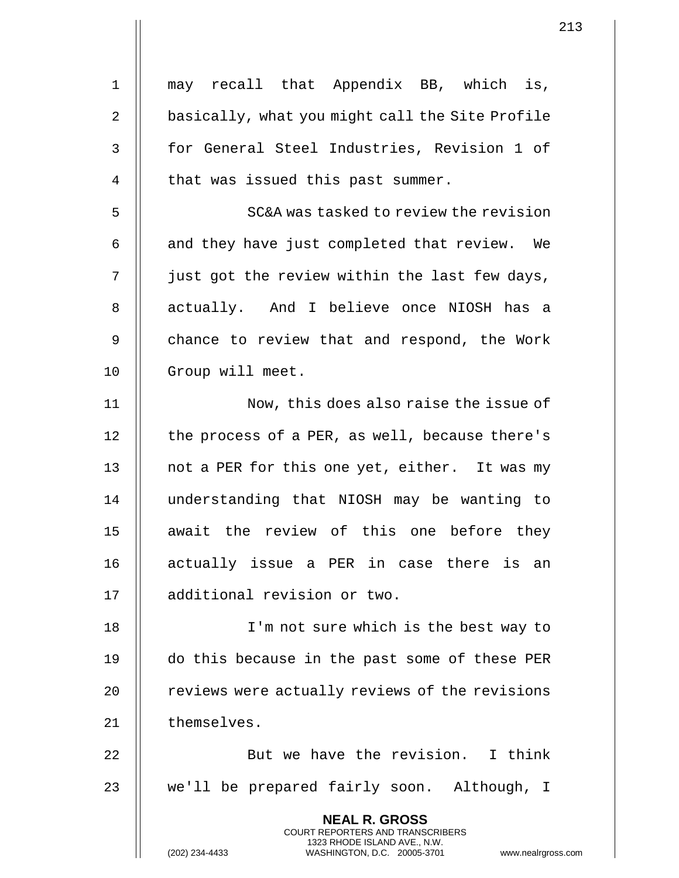| $\mathbf{1}$   | may recall that Appendix BB, which is,                                                                                                                          |
|----------------|-----------------------------------------------------------------------------------------------------------------------------------------------------------------|
| $\overline{2}$ | basically, what you might call the Site Profile                                                                                                                 |
| $\mathsf 3$    | for General Steel Industries, Revision 1 of                                                                                                                     |
| $\overline{4}$ | that was issued this past summer.                                                                                                                               |
| 5              | SC&A was tasked to review the revision                                                                                                                          |
|                |                                                                                                                                                                 |
| 6              | and they have just completed that review. We                                                                                                                    |
| 7              | just got the review within the last few days,                                                                                                                   |
| $\,8\,$        | actually. And I believe once NIOSH has a                                                                                                                        |
| $\mathsf 9$    | chance to review that and respond, the Work                                                                                                                     |
| 10             | Group will meet.                                                                                                                                                |
| 11             | Now, this does also raise the issue of                                                                                                                          |
| 12             | the process of a PER, as well, because there's                                                                                                                  |
| 13             | not a PER for this one yet, either. It was my                                                                                                                   |
| 14             | understanding that NIOSH may be wanting to                                                                                                                      |
| 15             | await the review of this one before they                                                                                                                        |
| 16             | actually issue a PER in case there is an                                                                                                                        |
| 17             | additional revision or two.                                                                                                                                     |
| 18             | I'm not sure which is the best way to                                                                                                                           |
| 19             | do this because in the past some of these PER                                                                                                                   |
| 20             | reviews were actually reviews of the revisions                                                                                                                  |
| 21             | themselves.                                                                                                                                                     |
| 22             | But we have the revision. I think                                                                                                                               |
| 23             | we'll be prepared fairly soon. Although, I                                                                                                                      |
|                | <b>NEAL R. GROSS</b><br><b>COURT REPORTERS AND TRANSCRIBERS</b><br>1323 RHODE ISLAND AVE., N.W.<br>WASHINGTON, D.C. 20005-3701 www.nealrgross<br>(202) 234-4433 |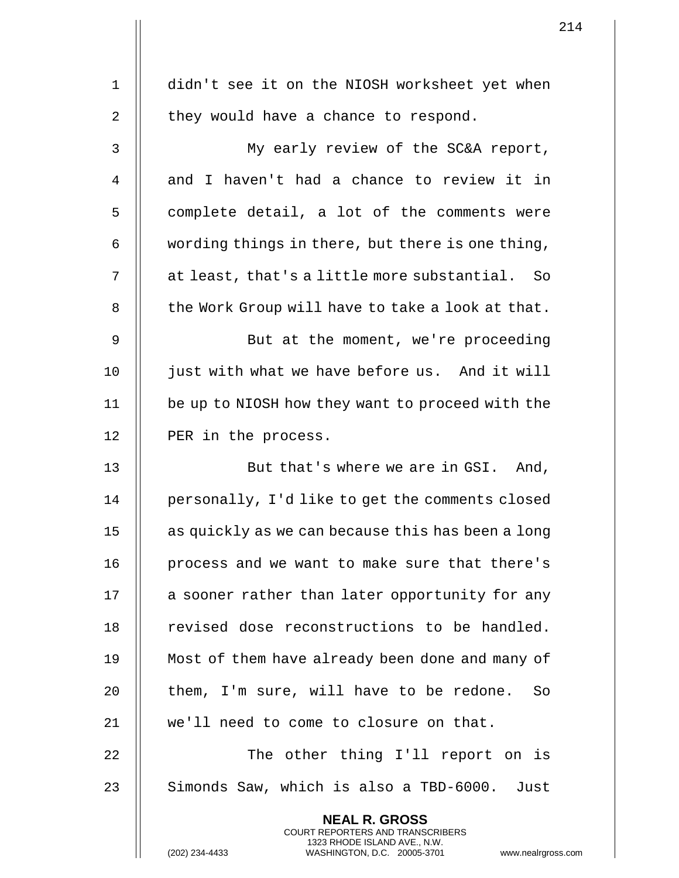|    |                                                                                                     | 2 T T |
|----|-----------------------------------------------------------------------------------------------------|-------|
|    |                                                                                                     |       |
| 1  | didn't see it on the NIOSH worksheet yet when                                                       |       |
| 2  | they would have a chance to respond.                                                                |       |
| 3  | My early review of the SC&A report,                                                                 |       |
| 4  | and I haven't had a chance to review it in                                                          |       |
| 5  | complete detail, a lot of the comments were                                                         |       |
| 6  | wording things in there, but there is one thing,                                                    |       |
| 7  | at least, that's a little more substantial. So                                                      |       |
| 8  | the Work Group will have to take a look at that.                                                    |       |
| 9  | But at the moment, we're proceeding                                                                 |       |
| 10 | just with what we have before us. And it will                                                       |       |
| 11 | be up to NIOSH how they want to proceed with the                                                    |       |
| 12 | PER in the process.                                                                                 |       |
| 13 | But that's where we are in GSI. And,                                                                |       |
| 14 | personally, I'd like to get the comments closed                                                     |       |
| 15 | as quickly as we can because this has been a long                                                   |       |
| 16 | process and we want to make sure that there's                                                       |       |
| 17 | a sooner rather than later opportunity for any                                                      |       |
| 18 | revised dose reconstructions to be handled.                                                         |       |
| 19 | Most of them have already been done and many of                                                     |       |
| 20 | them, I'm sure, will have to be redone.<br>So                                                       |       |
| 21 | we'll need to come to closure on that.                                                              |       |
| 22 | The other thing I'll report on is                                                                   |       |
| 23 | Simonds Saw, which is also a TBD-6000. Just                                                         |       |
|    | <b>NEAL R. GROSS</b><br><b>COURT REPORTERS AND TRANSCRIBERS</b>                                     |       |
|    | 1323 RHODE ISLAND AVE., N.W.<br>(202) 234-4433<br>www.nealrgross.com<br>WASHINGTON, D.C. 20005-3701 |       |

 $\mathbf{1}$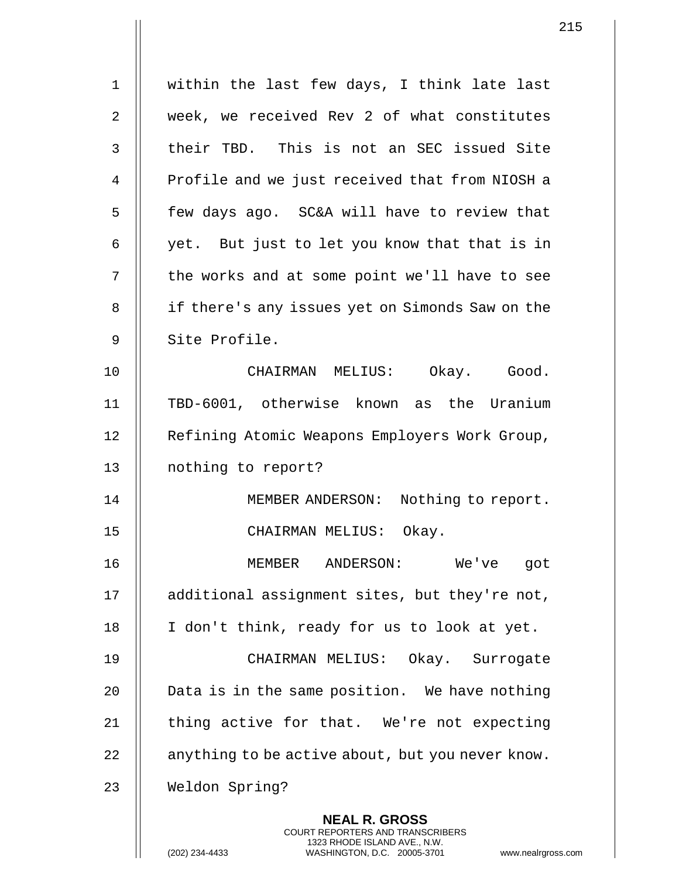| $\mathbf 1$ | within the last few days, I think late last                                                                                                                 |
|-------------|-------------------------------------------------------------------------------------------------------------------------------------------------------------|
| 2           | week, we received Rev 2 of what constitutes                                                                                                                 |
| 3           | their TBD. This is not an SEC issued Site                                                                                                                   |
| 4           | Profile and we just received that from NIOSH a                                                                                                              |
| 5           | few days ago. SC&A will have to review that                                                                                                                 |
| 6           | yet. But just to let you know that that is in                                                                                                               |
| 7           | the works and at some point we'll have to see                                                                                                               |
| 8           | if there's any issues yet on Simonds Saw on the                                                                                                             |
| 9           | Site Profile.                                                                                                                                               |
| 10          | CHAIRMAN MELIUS: Okay. Good.                                                                                                                                |
| 11          | TBD-6001, otherwise known as the Uranium                                                                                                                    |
| 12          | Refining Atomic Weapons Employers Work Group,                                                                                                               |
| 13          | nothing to report?                                                                                                                                          |
| 14          | MEMBER ANDERSON:<br>Nothing to report.                                                                                                                      |
| 15          | CHAIRMAN MELIUS: Okay.                                                                                                                                      |
| 16          | MEMBER ANDERSON:<br>We've<br>got                                                                                                                            |
| 17          | additional assignment sites, but they're not,                                                                                                               |
| 18          | I don't think, ready for us to look at yet.                                                                                                                 |
| 19          | CHAIRMAN MELIUS: Okay. Surrogate                                                                                                                            |
| 20          | Data is in the same position. We have nothing                                                                                                               |
| 21          | thing active for that. We're not expecting                                                                                                                  |
| 22          | anything to be active about, but you never know.                                                                                                            |
| 23          | Weldon Spring?                                                                                                                                              |
|             | <b>NEAL R. GROSS</b><br>COURT REPORTERS AND TRANSCRIBERS<br>1323 RHODE ISLAND AVE., N.W.<br>(202) 234-4433<br>WASHINGTON, D.C. 20005-3701<br>www.nealrgross |

 $\mathbf{I}$  $\mathsf{l}$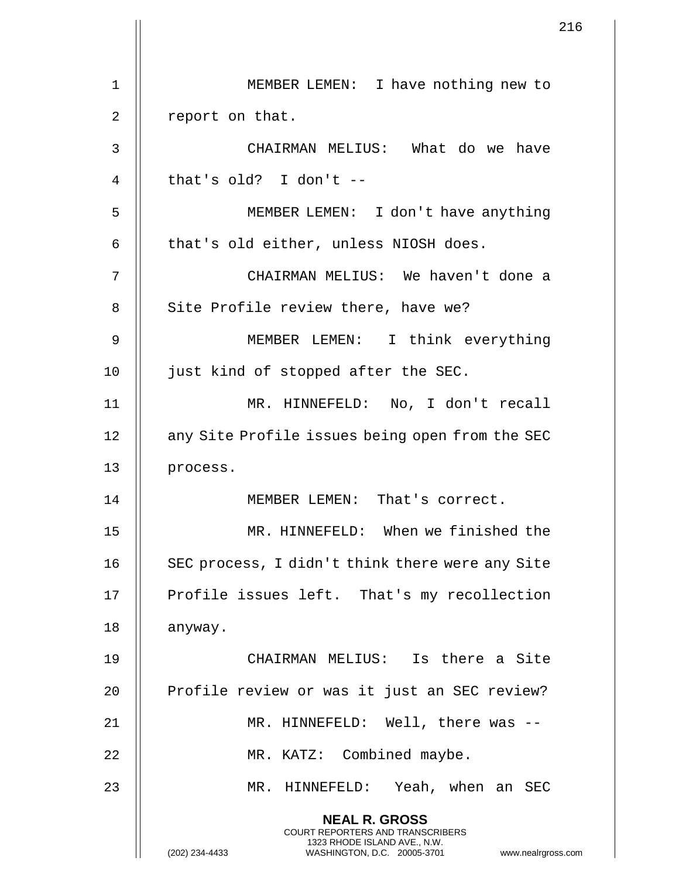|    | 216                                                                                                                                                                 |  |
|----|---------------------------------------------------------------------------------------------------------------------------------------------------------------------|--|
| 1  | MEMBER LEMEN: I have nothing new to                                                                                                                                 |  |
|    |                                                                                                                                                                     |  |
| 2  | report on that.                                                                                                                                                     |  |
| 3  | CHAIRMAN MELIUS: What do we have                                                                                                                                    |  |
| 4  | that's old? I don't $--$                                                                                                                                            |  |
| 5  | MEMBER LEMEN: I don't have anything                                                                                                                                 |  |
| 6  | that's old either, unless NIOSH does.                                                                                                                               |  |
| 7  | CHAIRMAN MELIUS: We haven't done a                                                                                                                                  |  |
| 8  | Site Profile review there, have we?                                                                                                                                 |  |
| 9  | MEMBER LEMEN: I think everything                                                                                                                                    |  |
| 10 | just kind of stopped after the SEC.                                                                                                                                 |  |
| 11 | MR. HINNEFELD: No, I don't recall                                                                                                                                   |  |
| 12 | any Site Profile issues being open from the SEC                                                                                                                     |  |
| 13 | process.                                                                                                                                                            |  |
| 14 | MEMBER LEMEN: That's correct.                                                                                                                                       |  |
| 15 | MR. HINNEFELD: When we finished the                                                                                                                                 |  |
| 16 | SEC process, I didn't think there were any Site                                                                                                                     |  |
| 17 | Profile issues left. That's my recollection                                                                                                                         |  |
| 18 | anyway.                                                                                                                                                             |  |
| 19 | CHAIRMAN MELIUS: Is there a Site                                                                                                                                    |  |
| 20 | Profile review or was it just an SEC review?                                                                                                                        |  |
| 21 | MR. HINNEFELD: Well, there was --                                                                                                                                   |  |
| 22 | MR. KATZ: Combined maybe.                                                                                                                                           |  |
| 23 | MR. HINNEFELD: Yeah, when an SEC                                                                                                                                    |  |
|    |                                                                                                                                                                     |  |
|    | <b>NEAL R. GROSS</b><br><b>COURT REPORTERS AND TRANSCRIBERS</b><br>1323 RHODE ISLAND AVE., N.W.<br>(202) 234-4433<br>WASHINGTON, D.C. 20005-3701 www.nealrgross.com |  |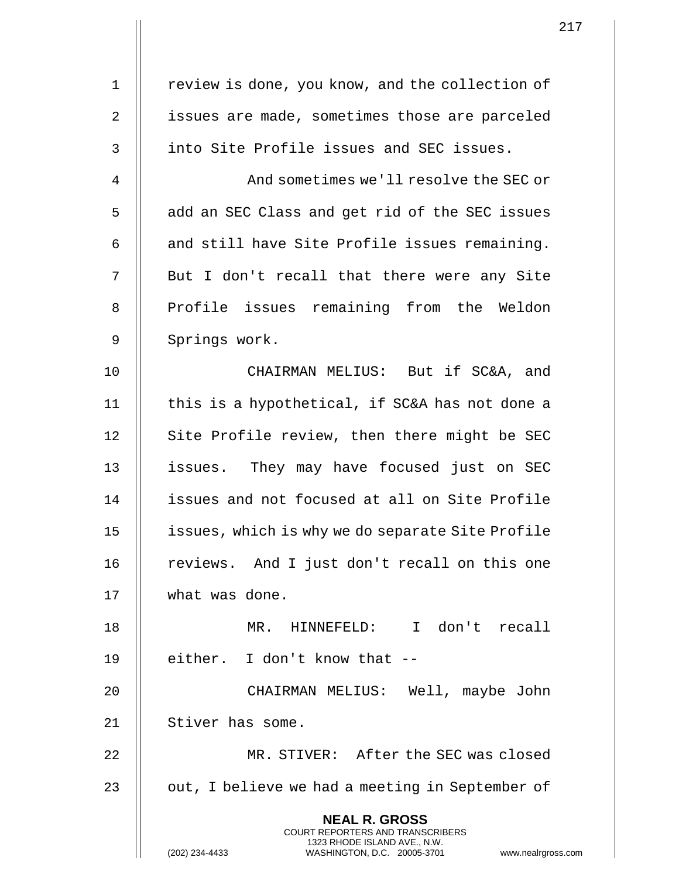|             |                                                                                                                                                                        | 217 |
|-------------|------------------------------------------------------------------------------------------------------------------------------------------------------------------------|-----|
| $\mathbf 1$ | review is done, you know, and the collection of                                                                                                                        |     |
|             |                                                                                                                                                                        |     |
| 2           | issues are made, sometimes those are parceled                                                                                                                          |     |
| 3           | into Site Profile issues and SEC issues.                                                                                                                               |     |
| 4           | And sometimes we'll resolve the SEC or                                                                                                                                 |     |
| 5           | add an SEC Class and get rid of the SEC issues                                                                                                                         |     |
| 6           | and still have Site Profile issues remaining.                                                                                                                          |     |
| 7           | But I don't recall that there were any Site                                                                                                                            |     |
| 8           | Profile issues remaining from the Weldon                                                                                                                               |     |
| 9           | Springs work.                                                                                                                                                          |     |
| 10          | CHAIRMAN MELIUS: But if SC&A, and                                                                                                                                      |     |
| 11          | this is a hypothetical, if SC&A has not done a                                                                                                                         |     |
| 12          | Site Profile review, then there might be SEC                                                                                                                           |     |
| 13          | issues. They may have focused just on SEC                                                                                                                              |     |
| 14          | issues and not focused at all on Site Profile                                                                                                                          |     |
| 15          | issues, which is why we do separate Site Profile                                                                                                                       |     |
| 16          | reviews. And I just don't recall on this one                                                                                                                           |     |
| 17          | what was done.                                                                                                                                                         |     |
| 18          | MR. HINNEFELD: I don't recall                                                                                                                                          |     |
| 19          | either. I don't know that --                                                                                                                                           |     |
| 20          | CHAIRMAN MELIUS: Well, maybe John                                                                                                                                      |     |
| 21          | Stiver has some.                                                                                                                                                       |     |
| 22          | MR. STIVER: After the SEC was closed                                                                                                                                   |     |
| 23          | out, I believe we had a meeting in September of                                                                                                                        |     |
|             | <b>NEAL R. GROSS</b><br><b>COURT REPORTERS AND TRANSCRIBERS</b><br>1323 RHODE ISLAND AVE., N.W.<br>(202) 234-4433<br>WASHINGTON, D.C. 20005-3701<br>www.nealrgross.com |     |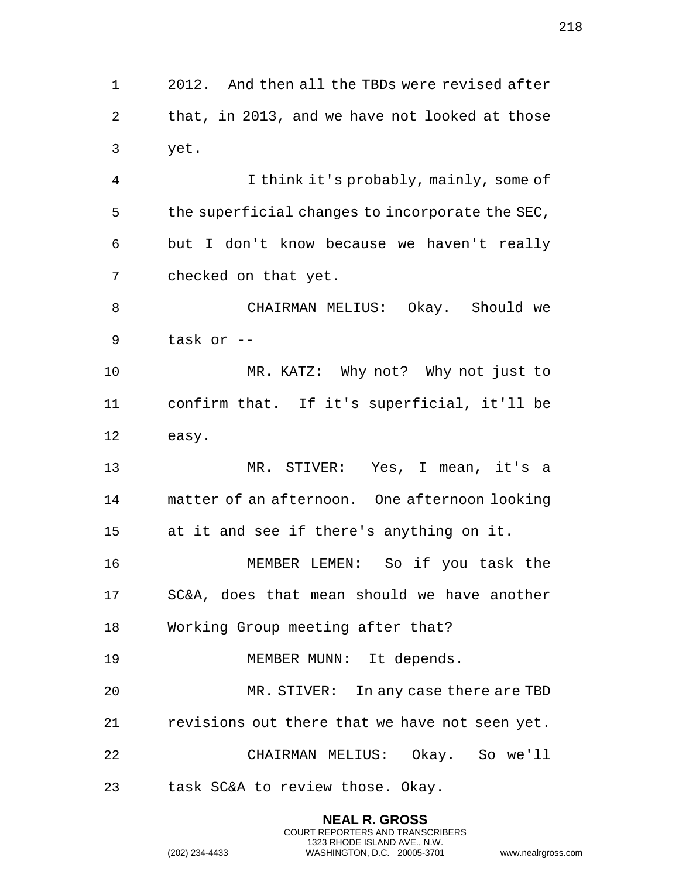|                |                                                                                                                                                                       | 21 |
|----------------|-----------------------------------------------------------------------------------------------------------------------------------------------------------------------|----|
|                |                                                                                                                                                                       |    |
| $\mathbf 1$    | 2012. And then all the TBDs were revised after                                                                                                                        |    |
| $\overline{2}$ | that, in 2013, and we have not looked at those                                                                                                                        |    |
| 3              | yet.                                                                                                                                                                  |    |
| 4              | I think it's probably, mainly, some of                                                                                                                                |    |
| 5              | the superficial changes to incorporate the SEC,                                                                                                                       |    |
| 6              | but I don't know because we haven't really                                                                                                                            |    |
| 7              | checked on that yet.                                                                                                                                                  |    |
| 8              | CHAIRMAN MELIUS: Okay. Should we                                                                                                                                      |    |
| 9              | task or --                                                                                                                                                            |    |
| 10             | MR. KATZ: Why not? Why not just to                                                                                                                                    |    |
| 11             | confirm that. If it's superficial, it'll be                                                                                                                           |    |
| 12             | easy.                                                                                                                                                                 |    |
| 13             | MR. STIVER: Yes, I mean, it's a                                                                                                                                       |    |
| 14             | matter of an afternoon. One afternoon looking                                                                                                                         |    |
| 15             | at it and see if there's anything on it.                                                                                                                              |    |
| 16             | MEMBER LEMEN: So if you task the                                                                                                                                      |    |
| 17             | SC&A, does that mean should we have another                                                                                                                           |    |
| 18             | Working Group meeting after that?                                                                                                                                     |    |
| 19             | MEMBER MUNN: It depends.                                                                                                                                              |    |
| 20             | MR. STIVER: In any case there are TBD                                                                                                                                 |    |
| 21             | revisions out there that we have not seen yet.                                                                                                                        |    |
| 22             | CHAIRMAN MELIUS: Okay. So we'll                                                                                                                                       |    |
| 23             | task SC&A to review those. Okay.                                                                                                                                      |    |
|                | <b>NEAL R. GROSS</b><br><b>COURT REPORTERS AND TRANSCRIBERS</b><br>1323 RHODE ISLAND AVE., N.W.<br>(202) 234-4433<br>WASHINGTON, D.C. 20005-3701<br>www.nealrgross.co |    |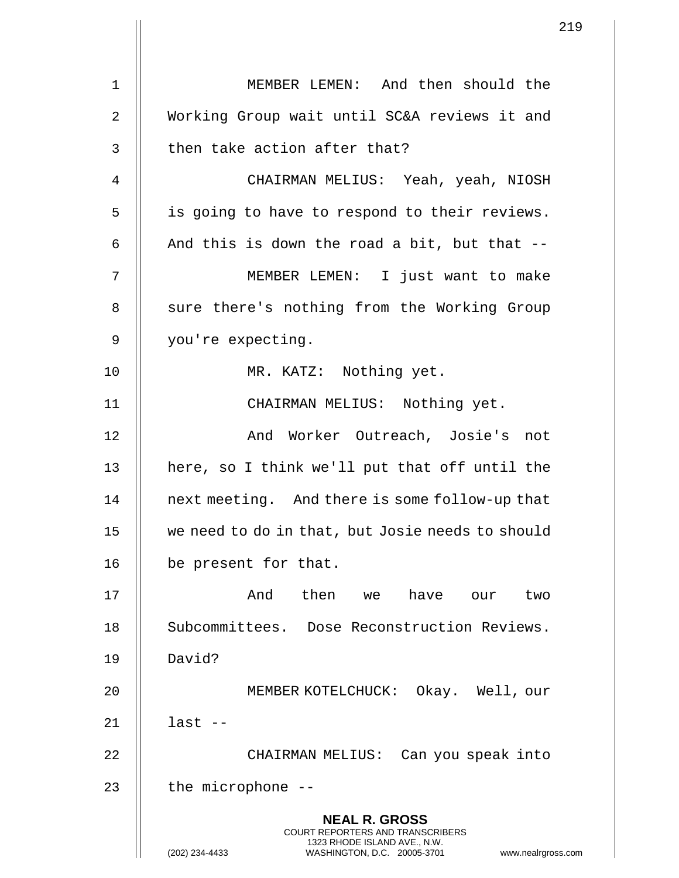1 MEMBER LEMEN: And then should the 2 Working Group wait until SC&A reviews it and  $3$   $\parallel$  then take action after that? 4 CHAIRMAN MELIUS: Yeah, yeah, NIOSH 5 || is going to have to respond to their reviews. 6  $\parallel$  And this is down the road a bit, but that --7 MEMBER LEMEN: I just want to make 8 || sure there's nothing from the Working Group 9 | you're expecting. 10 MR. KATZ: Nothing yet. 11 CHAIRMAN MELIUS: Nothing yet. 12 || And Worker Outreach, Josie's not 13 || here, so I think we'll put that off until the 14 | next meeting. And there is some follow-up that 15 we need to do in that, but Josie needs to should 16 | be present for that. 17 And then we have our two 18 || Subcommittees. Dose Reconstruction Reviews. 19 David? 20 MEMBER KOTELCHUCK: Okay. Well, our 21 last -- 22 CHAIRMAN MELIUS: Can you speak into  $23$  || the microphone  $-$ **NEAL R. GROSS** COURT REPORTERS AND TRANSCRIBERS 1323 RHODE ISLAND AVE., N.W. (202) 234-4433 WASHINGTON, D.C. 20005-3701 www.nealrgross.com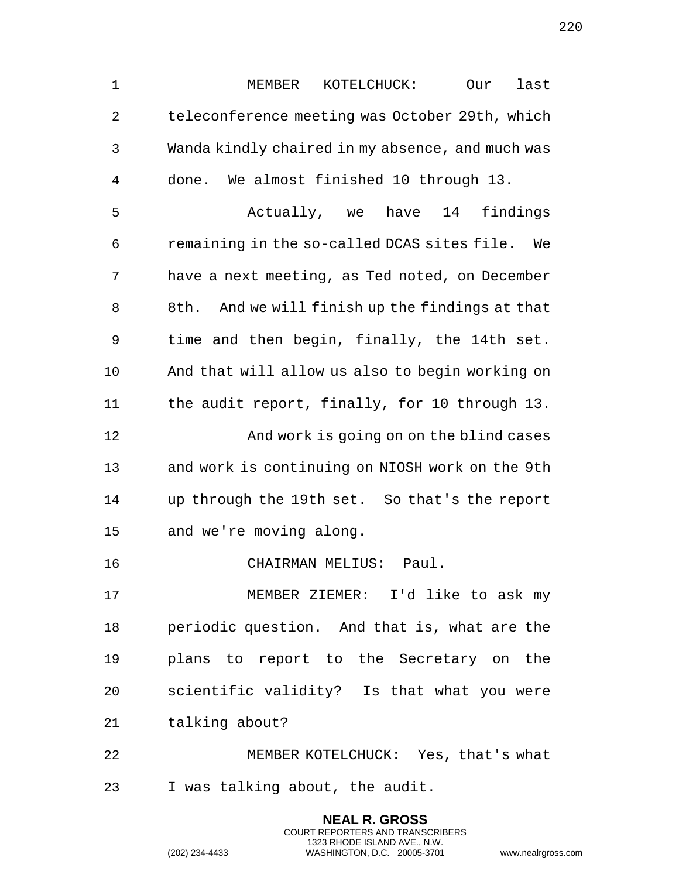|    | 2                                                                                                                                                                   |
|----|---------------------------------------------------------------------------------------------------------------------------------------------------------------------|
| 1  | MEMBER<br>KOTELCHUCK:<br>last<br>Our                                                                                                                                |
| 2  | teleconference meeting was October 29th, which                                                                                                                      |
| 3  | Wanda kindly chaired in my absence, and much was                                                                                                                    |
| 4  | done. We almost finished 10 through 13.                                                                                                                             |
| 5  | Actually, we have 14 findings                                                                                                                                       |
| 6  | remaining in the so-called DCAS sites file.<br>We                                                                                                                   |
| 7  | have a next meeting, as Ted noted, on December                                                                                                                      |
| 8  | 8th. And we will finish up the findings at that                                                                                                                     |
| 9  | time and then begin, finally, the 14th set.                                                                                                                         |
| 10 | And that will allow us also to begin working on                                                                                                                     |
| 11 | the audit report, finally, for 10 through 13.                                                                                                                       |
| 12 | And work is going on on the blind cases                                                                                                                             |
| 13 | and work is continuing on NIOSH work on the 9th                                                                                                                     |
| 14 | up through the 19th set. So that's the report                                                                                                                       |
| 15 | and we're moving along.                                                                                                                                             |
| 16 | CHAIRMAN MELIUS: Paul.                                                                                                                                              |
| 17 | MEMBER ZIEMER: I'd like to ask my                                                                                                                                   |
| 18 | periodic question. And that is, what are the                                                                                                                        |
| 19 | plans to report to the Secretary on the                                                                                                                             |
| 20 | scientific validity? Is that what you were                                                                                                                          |
| 21 | talking about?                                                                                                                                                      |
| 22 | MEMBER KOTELCHUCK: Yes, that's what                                                                                                                                 |
| 23 | I was talking about, the audit.                                                                                                                                     |
|    | <b>NEAL R. GROSS</b><br><b>COURT REPORTERS AND TRANSCRIBERS</b><br>1323 RHODE ISLAND AVE., N.W.<br>(202) 234-4433<br>WASHINGTON, D.C. 20005-3701<br>www.nealrgross. |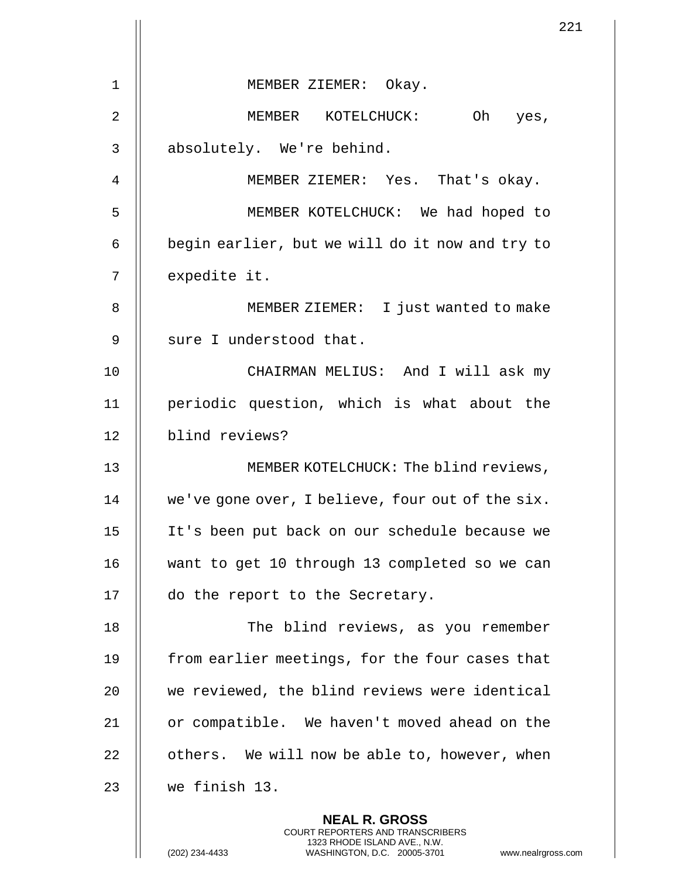|    | 2 <sup>2</sup>                                                                                                                                                       |
|----|----------------------------------------------------------------------------------------------------------------------------------------------------------------------|
| 1  | MEMBER ZIEMER: Okay.                                                                                                                                                 |
|    |                                                                                                                                                                      |
| 2  | MEMBER KOTELCHUCK: Oh yes,                                                                                                                                           |
| 3  | absolutely. We're behind.                                                                                                                                            |
| 4  | MEMBER ZIEMER: Yes. That's okay.                                                                                                                                     |
| 5  | MEMBER KOTELCHUCK: We had hoped to                                                                                                                                   |
| 6  | begin earlier, but we will do it now and try to                                                                                                                      |
| 7  | expedite it.                                                                                                                                                         |
| 8  | MEMBER ZIEMER: I just wanted to make                                                                                                                                 |
| 9  | sure I understood that.                                                                                                                                              |
| 10 | CHAIRMAN MELIUS: And I will ask my                                                                                                                                   |
| 11 | periodic question, which is what about the                                                                                                                           |
| 12 | blind reviews?                                                                                                                                                       |
| 13 | MEMBER KOTELCHUCK: The blind reviews,                                                                                                                                |
| 14 | we've gone over, I believe, four out of the six.                                                                                                                     |
| 15 | It's been put back on our schedule because we                                                                                                                        |
| 16 | want to get 10 through 13 completed so we can                                                                                                                        |
| 17 | do the report to the Secretary.                                                                                                                                      |
| 18 | The blind reviews, as you remember                                                                                                                                   |
| 19 | from earlier meetings, for the four cases that                                                                                                                       |
| 20 | we reviewed, the blind reviews were identical                                                                                                                        |
| 21 | or compatible. We haven't moved ahead on the                                                                                                                         |
| 22 | others. We will now be able to, however, when                                                                                                                        |
|    |                                                                                                                                                                      |
| 23 | we finish 13.                                                                                                                                                        |
|    | <b>NEAL R. GROSS</b><br><b>COURT REPORTERS AND TRANSCRIBERS</b><br>1323 RHODE ISLAND AVE., N.W.<br>(202) 234-4433<br>WASHINGTON, D.C. 20005-3701<br>www.nealrgross.c |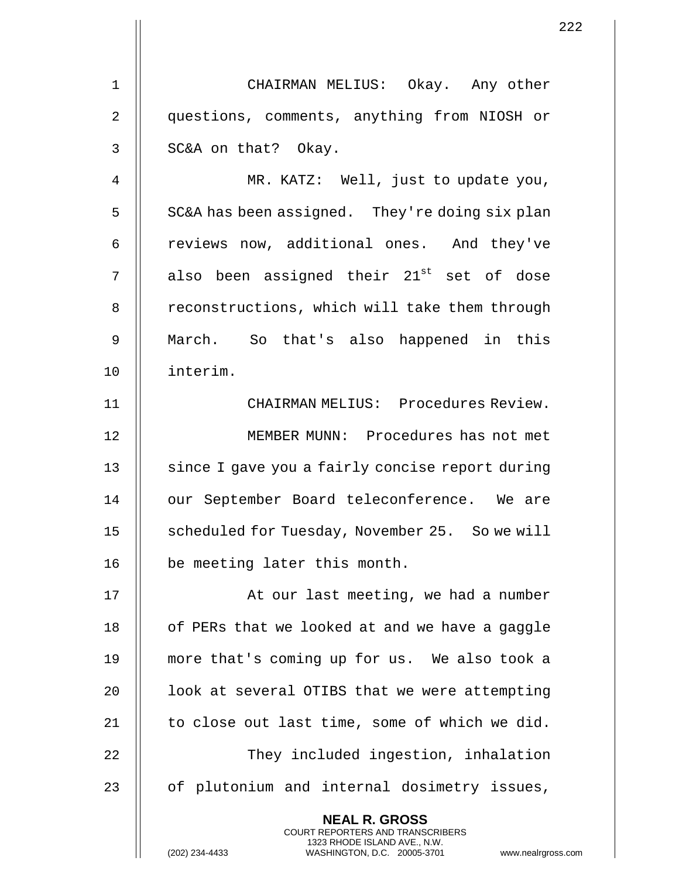1 CHAIRMAN MELIUS: Okay. Any other 2 || questions, comments, anything from NIOSH or  $3 \parallel$  SC&A on that? Okay.

4 || MR. KATZ: Well, just to update you,  $5 \parallel$  SC&A has been assigned. They're doing six plan 6 | reviews now, additional ones. And they've  $7$   $\parallel$  also been assigned their  $21^\text{st}$  set of dose 8 | reconstructions, which will take them through 9 March. So that's also happened in this 10 interim.

11 CHAIRMAN MELIUS: Procedures Review. 12 MEMBER MUNN: Procedures has not met 13 || since I gave you a fairly concise report during 14 || our September Board teleconference. We are 15 | scheduled for Tuesday, November 25. So we will 16 || be meeting later this month.

17 || At our last meeting, we had a number 18 | of PERs that we looked at and we have a gaggle 19 more that's coming up for us. We also took a 20  $\parallel$  100k at several OTIBS that we were attempting 21 || to close out last time, some of which we did. 22 || They included ingestion, inhalation 23 || of plutonium and internal dosimetry issues,

> **NEAL R. GROSS** COURT REPORTERS AND TRANSCRIBERS 1323 RHODE ISLAND AVE., N.W.

(202) 234-4433 WASHINGTON, D.C. 20005-3701 www.nealrgross.com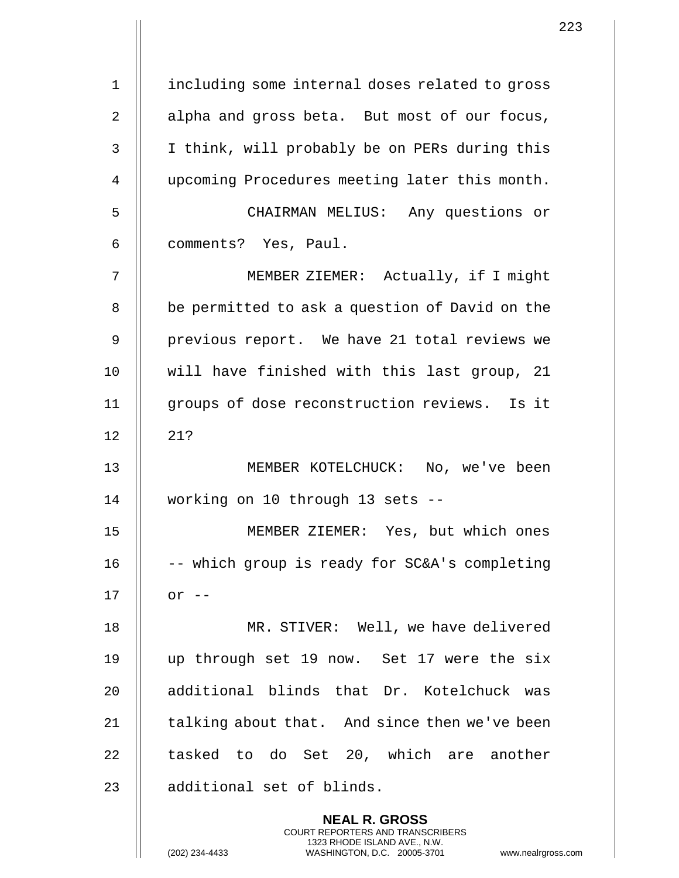1 | including some internal doses related to gross 2 || alpha and gross beta. But most of our focus, 3 || I think, will probably be on PERs during this 4 upcoming Procedures meeting later this month. 5 CHAIRMAN MELIUS: Any questions or 6 | comments? Yes, Paul. 7 MEMBER ZIEMER: Actually, if I might 8 || be permitted to ask a question of David on the 9 || previous report. We have 21 total reviews we 10 will have finished with this last group, 21 11 groups of dose reconstruction reviews. Is it  $12$   $\parallel$   $21?$ 13 MEMBER KOTELCHUCK: No, we've been 14 working on 10 through 13 sets -- 15 MEMBER ZIEMER: Yes, but which ones 16  $\parallel$  -- which group is ready for SC&A's completing  $17$   $\parallel$  or  $-$ 18 MR. STIVER: Well, we have delivered 19 up through set 19 now. Set 17 were the six 20 || additional blinds that Dr. Kotelchuck was 21  $\parallel$  talking about that. And since then we've been 22 || tasked to do Set 20, which are another 23 || additional set of blinds. **NEAL R. GROSS** COURT REPORTERS AND TRANSCRIBERS

1323 RHODE ISLAND AVE., N.W.

(202) 234-4433 WASHINGTON, D.C. 20005-3701 www.nealrgross.com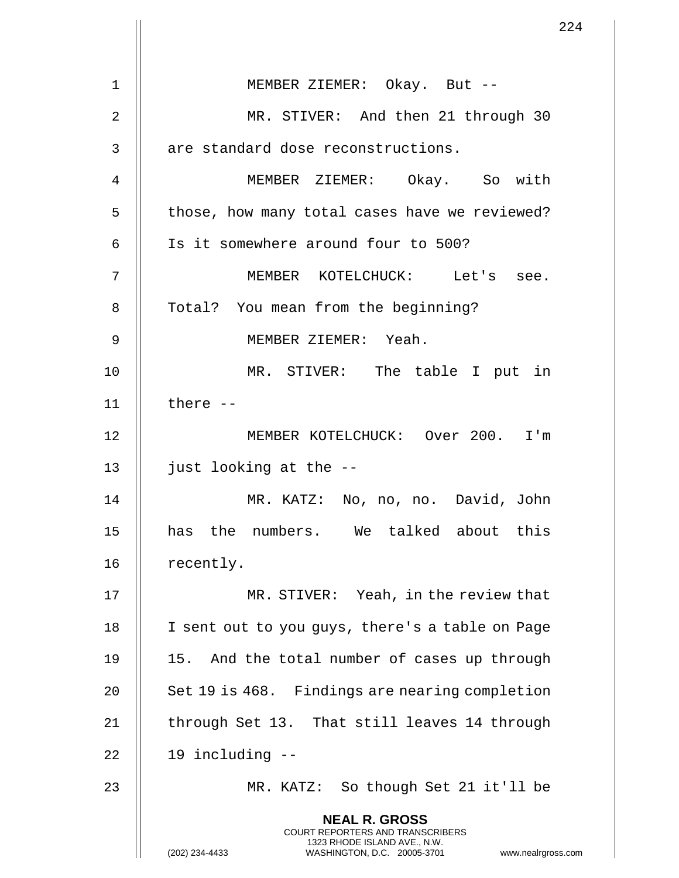|    | 224                                                                                                                                                                    |
|----|------------------------------------------------------------------------------------------------------------------------------------------------------------------------|
| 1  | MEMBER ZIEMER: Okay. But --                                                                                                                                            |
| 2  | MR. STIVER: And then 21 through 30                                                                                                                                     |
| 3  | are standard dose reconstructions.                                                                                                                                     |
| 4  | MEMBER ZIEMER: Okay. So with                                                                                                                                           |
| 5  | those, how many total cases have we reviewed?                                                                                                                          |
| 6  | Is it somewhere around four to 500?                                                                                                                                    |
| 7  | MEMBER KOTELCHUCK: Let's see.                                                                                                                                          |
|    |                                                                                                                                                                        |
| 8  | Total? You mean from the beginning?                                                                                                                                    |
| 9  | MEMBER ZIEMER: Yeah.                                                                                                                                                   |
| 10 | MR. STIVER: The table I put in                                                                                                                                         |
| 11 | there $--$                                                                                                                                                             |
| 12 | MEMBER KOTELCHUCK: Over 200. I'm                                                                                                                                       |
| 13 | just looking at the --                                                                                                                                                 |
| 14 | MR. KATZ: No, no, no. David, John                                                                                                                                      |
| 15 | has the numbers. We talked about this                                                                                                                                  |
| 16 | recently.                                                                                                                                                              |
| 17 | MR. STIVER: Yeah, in the review that                                                                                                                                   |
| 18 | I sent out to you guys, there's a table on Page                                                                                                                        |
| 19 | 15. And the total number of cases up through                                                                                                                           |
| 20 | Set 19 is 468. Findings are nearing completion                                                                                                                         |
| 21 | through Set 13. That still leaves 14 through                                                                                                                           |
| 22 | 19 including --                                                                                                                                                        |
| 23 | MR. KATZ: So though Set 21 it'll be                                                                                                                                    |
|    | <b>NEAL R. GROSS</b><br><b>COURT REPORTERS AND TRANSCRIBERS</b><br>1323 RHODE ISLAND AVE., N.W.<br>(202) 234-4433<br>WASHINGTON, D.C. 20005-3701<br>www.nealrgross.com |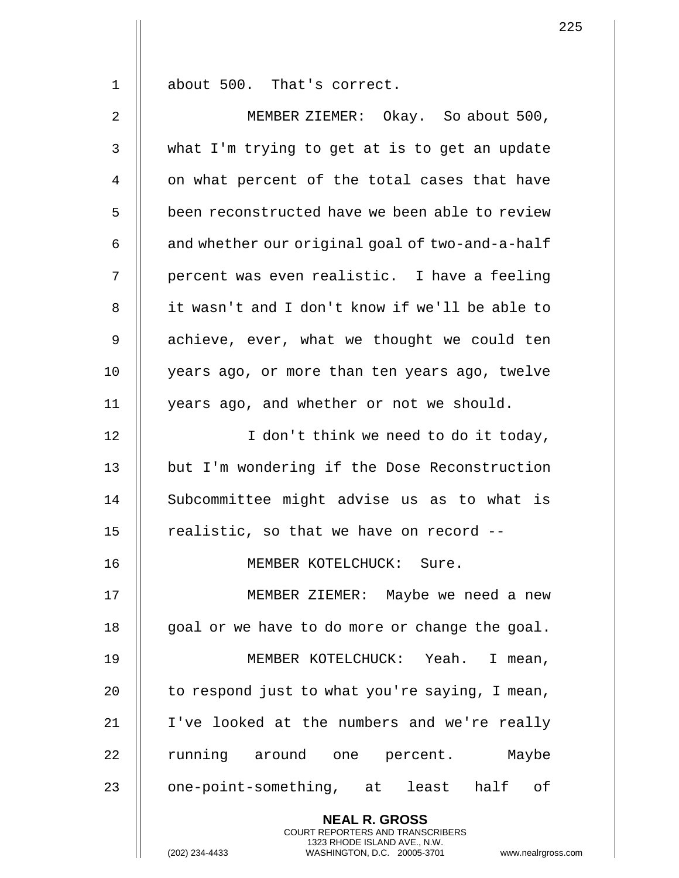1 about 500. That's correct.

2 MEMBER ZIEMER: Okay. So about 500,  $3 \parallel$  what I'm trying to get at is to get an update 4 || on what percent of the total cases that have 5 | been reconstructed have we been able to review  $6 \parallel$  and whether our original goal of two-and-a-half 7 || percent was even realistic. I have a feeling 8 it wasn't and I don't know if we'll be able to 9 || achieve, ever, what we thought we could ten 10 || years ago, or more than ten years ago, twelve 11 years ago, and whether or not we should. 12 || I don't think we need to do it today, 13 || but I'm wondering if the Dose Reconstruction 14 || Subcommittee might advise us as to what is 15  $\parallel$  realistic, so that we have on record --16 MEMBER KOTELCHUCK: Sure. 17 || MEMBER ZIEMER: Maybe we need a new 18  $\parallel$  goal or we have to do more or change the goal. 19 MEMBER KOTELCHUCK: Yeah. I mean, 20  $\parallel$  to respond just to what you're saying, I mean, 21 I've looked at the numbers and we're really 22 || running around one percent. Maybe 23 || one-point-something, at least half of **NEAL R. GROSS** COURT REPORTERS AND TRANSCRIBERS

1323 RHODE ISLAND AVE., N.W.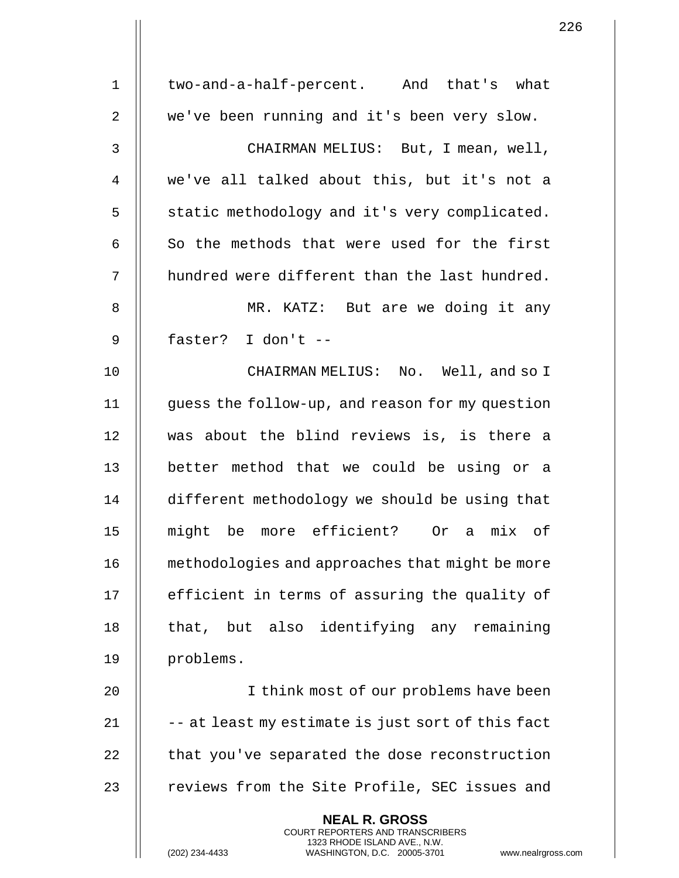| $\mathbf 1$    | two-and-a-half-percent. And that's what                                                                                                                            |
|----------------|--------------------------------------------------------------------------------------------------------------------------------------------------------------------|
| $\overline{2}$ | we've been running and it's been very slow.                                                                                                                        |
| 3              | CHAIRMAN MELIUS: But, I mean, well,                                                                                                                                |
| 4              | we've all talked about this, but it's not a                                                                                                                        |
| 5              | static methodology and it's very complicated.                                                                                                                      |
| 6              | So the methods that were used for the first                                                                                                                        |
| 7              | hundred were different than the last hundred.                                                                                                                      |
| 8              | MR. KATZ: But are we doing it any                                                                                                                                  |
| $\mathsf 9$    | faster? I don't --                                                                                                                                                 |
| 10             | CHAIRMAN MELIUS: No. Well, and so I                                                                                                                                |
| 11             | guess the follow-up, and reason for my question                                                                                                                    |
| 12             | was about the blind reviews is, is there a                                                                                                                         |
| 13             | better method that we could be using or a                                                                                                                          |
| 14             | different methodology we should be using that                                                                                                                      |
| 15             | might be more efficient? Or a mix of                                                                                                                               |
| 16             | methodologies and approaches that might be more                                                                                                                    |
| 17             | efficient in terms of assuring the quality of                                                                                                                      |
| 18             | that, but also identifying any remaining                                                                                                                           |
| 19             | problems.                                                                                                                                                          |
| 20             | I think most of our problems have been                                                                                                                             |
| 21             | -- at least my estimate is just sort of this fact                                                                                                                  |
| 22             | that you've separated the dose reconstruction                                                                                                                      |
| 23             | reviews from the Site Profile, SEC issues and                                                                                                                      |
|                | <b>NEAL R. GROSS</b><br><b>COURT REPORTERS AND TRANSCRIBERS</b><br>1323 RHODE ISLAND AVE., N.W.<br>(202) 234-4433<br>WASHINGTON, D.C. 20005-3701<br>www.nealrgross |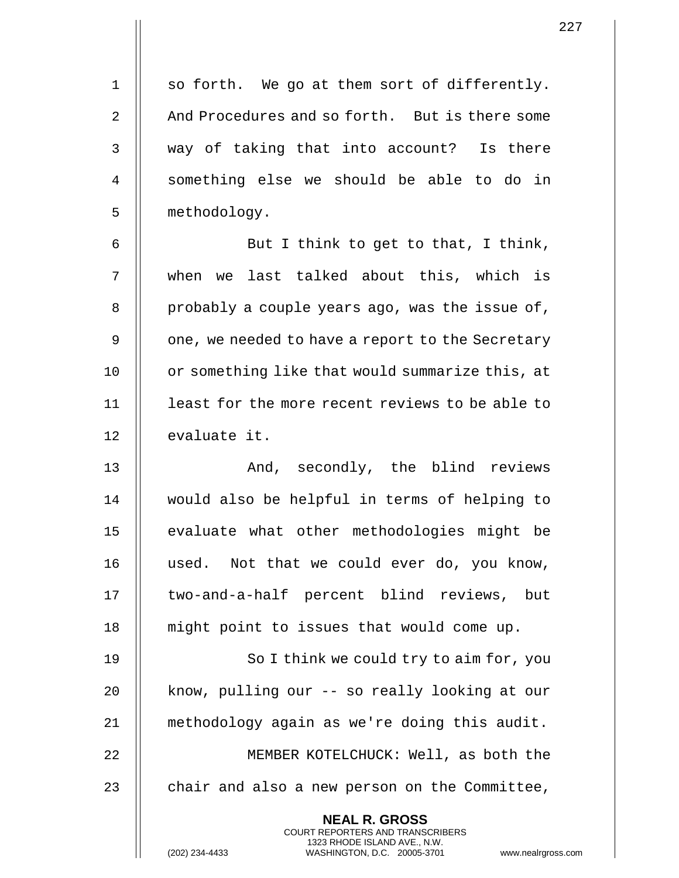$1 \parallel$  so forth. We go at them sort of differently. 2 And Procedures and so forth. But is there some 3 || way of taking that into account? Is there 4 || something else we should be able to do in 5 | methodology.

6  $\parallel$  But I think to get to that, I think, 7 when we last talked about this, which is 8 || probably a couple years ago, was the issue of, 9 | one, we needed to have a report to the Secretary 10 | or something like that would summarize this, at 11 least for the more recent reviews to be able to 12 | evaluate it.

13 And, secondly, the blind reviews 14 would also be helpful in terms of helping to 15 || evaluate what other methodologies might be 16 used. Not that we could ever do, you know, 17 || two-and-a-half percent blind reviews, but 18 || might point to issues that would come up.

19 || So I think we could try to aim for, you 20 || know, pulling our -- so really looking at our 21 methodology again as we're doing this audit. 22 || MEMBER KOTELCHUCK: Well, as both the 23  $\parallel$  chair and also a new person on the Committee,

> **NEAL R. GROSS** COURT REPORTERS AND TRANSCRIBERS 1323 RHODE ISLAND AVE., N.W.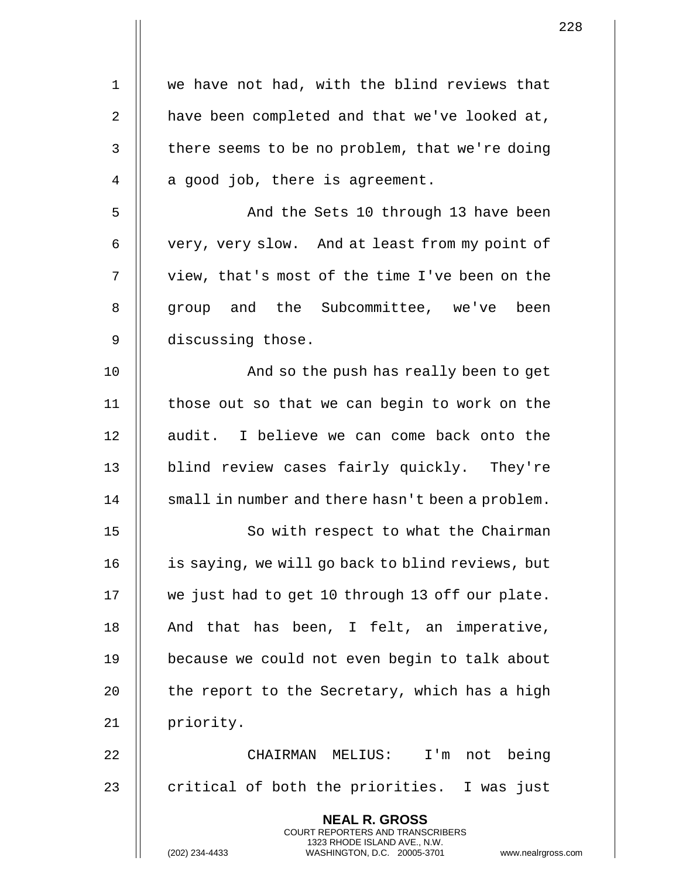| 1  | we have not had, with the blind reviews that                                                                                                                       |
|----|--------------------------------------------------------------------------------------------------------------------------------------------------------------------|
| 2  | have been completed and that we've looked at,                                                                                                                      |
| 3  | there seems to be no problem, that we're doing                                                                                                                     |
| 4  | a good job, there is agreement.                                                                                                                                    |
| 5  | And the Sets 10 through 13 have been                                                                                                                               |
| 6  | very, very slow. And at least from my point of                                                                                                                     |
| 7  | view, that's most of the time I've been on the                                                                                                                     |
| 8  | group and the Subcommittee, we've been                                                                                                                             |
| 9  | discussing those.                                                                                                                                                  |
| 10 | And so the push has really been to get                                                                                                                             |
| 11 | those out so that we can begin to work on the                                                                                                                      |
| 12 | audit. I believe we can come back onto the                                                                                                                         |
| 13 | blind review cases fairly quickly. They're                                                                                                                         |
| 14 | small in number and there hasn't been a problem.                                                                                                                   |
| 15 | So with respect to what the Chairman                                                                                                                               |
| 16 | is saying, we will go back to blind reviews, but                                                                                                                   |
| 17 | we just had to get 10 through 13 off our plate.                                                                                                                    |
| 18 | And that has been, I felt, an imperative,                                                                                                                          |
| 19 | because we could not even begin to talk about                                                                                                                      |
| 20 | the report to the Secretary, which has a high                                                                                                                      |
| 21 | priority.                                                                                                                                                          |
| 22 | CHAIRMAN MELIUS: I'm not being                                                                                                                                     |
| 23 | critical of both the priorities. I was just                                                                                                                        |
|    | <b>NEAL R. GROSS</b><br><b>COURT REPORTERS AND TRANSCRIBERS</b><br>1323 RHODE ISLAND AVE., N.W.<br>(202) 234-4433<br>www.nealrgross<br>WASHINGTON, D.C. 20005-3701 |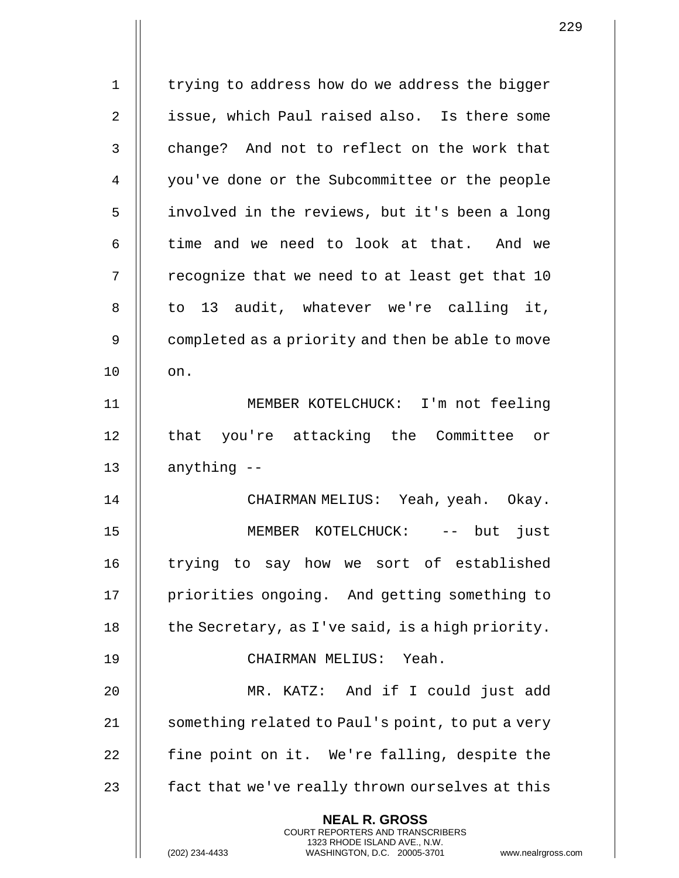1 | trying to address how do we address the bigger 2 || issue, which Paul raised also. Is there some 3 || change? And not to reflect on the work that 4 | you've done or the Subcommittee or the people 5 | involved in the reviews, but it's been a long  $6$  || time and we need to look at that. And we  $7$  || recognize that we need to at least get that 10 8 || to 13 audit, whatever we're calling it, 9 | completed as a priority and then be able to move 10 || on. 11 MEMBER KOTELCHUCK: I'm not feeling 12 || that you're attacking the Committee or  $13$  || anything  $-$ 14 CHAIRMAN MELIUS: Yeah, yeah. Okay. 15 MEMBER KOTELCHUCK: -- but just 16 || trying to say how we sort of established 17 | priorities ongoing. And getting something to 18  $\parallel$  the Secretary, as I've said, is a high priority. 19 CHAIRMAN MELIUS: Yeah. 20 MR. KATZ: And if I could just add 21 | something related to Paul's point, to put a very 22  $\parallel$  fine point on it. We're falling, despite the 23  $\parallel$  fact that we've really thrown ourselves at this **NEAL R. GROSS** COURT REPORTERS AND TRANSCRIBERS 1323 RHODE ISLAND AVE., N.W.

(202) 234-4433 WASHINGTON, D.C. 20005-3701 www.nealrgross.com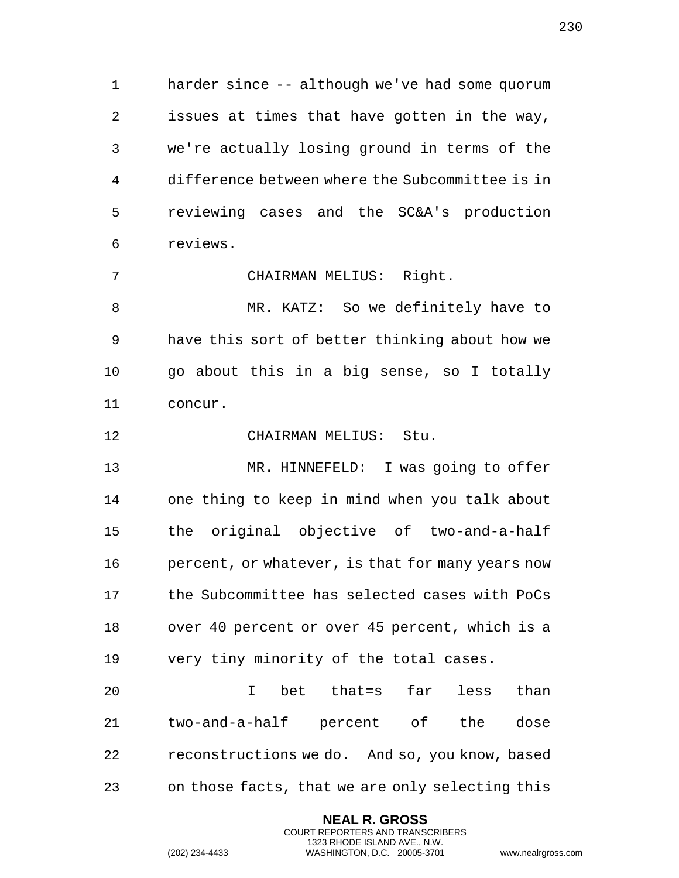1 | harder since -- although we've had some quorum 2  $\parallel$  issues at times that have gotten in the way, 3 We're actually losing ground in terms of the 4 difference between where the Subcommittee is in 5 || reviewing cases and the SC&A's production 6 | reviews. 7 CHAIRMAN MELIUS: Right. 8 MR. KATZ: So we definitely have to 9 || have this sort of better thinking about how we 10  $\parallel$  go about this in a big sense, so I totally 11 concur. 12 CHAIRMAN MELIUS: Stu. 13 MR. HINNEFELD: I was going to offer 14 || one thing to keep in mind when you talk about 15 || the original objective of two-and-a-half 16 | percent, or whatever, is that for many years now 17 || the Subcommittee has selected cases with PoCs 18 || over 40 percent or over 45 percent, which is a 19 || very tiny minority of the total cases. 20 I bet that=s far less than 21 || two-and-a-half percent of the dose 22  $\parallel$  reconstructions we do. And so, you know, based 23  $\parallel$  on those facts, that we are only selecting this **NEAL R. GROSS** COURT REPORTERS AND TRANSCRIBERS 1323 RHODE ISLAND AVE., N.W. (202) 234-4433 WASHINGTON, D.C. 20005-3701 www.nealrgross.com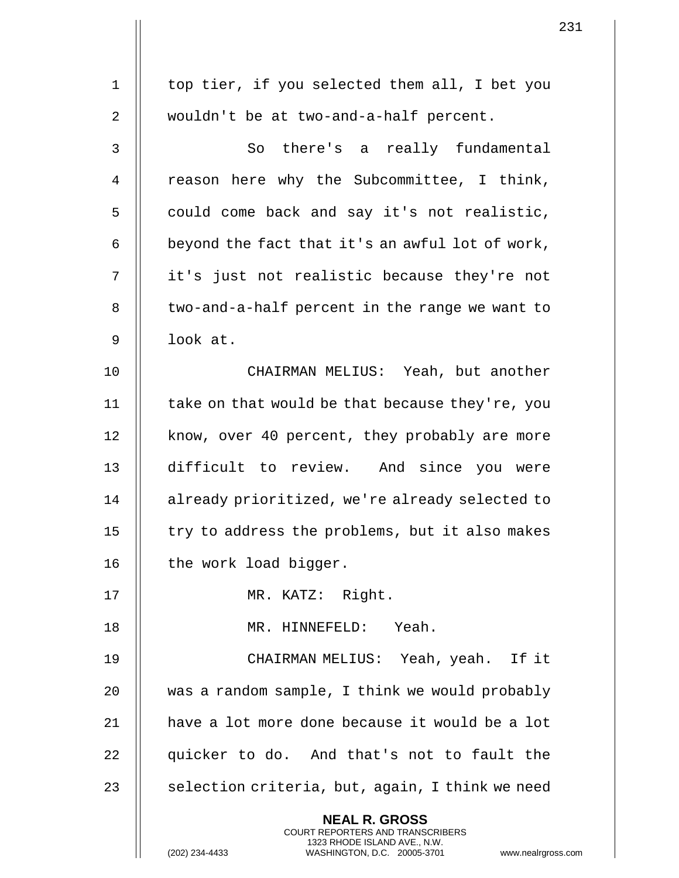|             |                                                                                                                                                                        | 231 |
|-------------|------------------------------------------------------------------------------------------------------------------------------------------------------------------------|-----|
| $\mathbf 1$ | top tier, if you selected them all, I bet you                                                                                                                          |     |
|             |                                                                                                                                                                        |     |
| 2           | wouldn't be at two-and-a-half percent.                                                                                                                                 |     |
| 3           | So there's a really fundamental                                                                                                                                        |     |
| 4           | reason here why the Subcommittee, I think,                                                                                                                             |     |
| 5           | could come back and say it's not realistic,                                                                                                                            |     |
| 6           | beyond the fact that it's an awful lot of work,                                                                                                                        |     |
| 7           | it's just not realistic because they're not                                                                                                                            |     |
| 8           | two-and-a-half percent in the range we want to                                                                                                                         |     |
| 9           | look at.                                                                                                                                                               |     |
| 10          | CHAIRMAN MELIUS: Yeah, but another                                                                                                                                     |     |
| 11          | take on that would be that because they're, you                                                                                                                        |     |
| 12          | know, over 40 percent, they probably are more                                                                                                                          |     |
| 13          | difficult to review. And since you were                                                                                                                                |     |
| 14          | already prioritized, we're already selected to                                                                                                                         |     |
| 15          | try to address the problems, but it also makes                                                                                                                         |     |
| 16          | the work load bigger.                                                                                                                                                  |     |
| 17          | MR. KATZ: Right.                                                                                                                                                       |     |
| 18          | MR. HINNEFELD: Yeah.                                                                                                                                                   |     |
| 19          | CHAIRMAN MELIUS: Yeah, yeah. If it                                                                                                                                     |     |
| 20          | was a random sample, I think we would probably                                                                                                                         |     |
| 21          | have a lot more done because it would be a lot                                                                                                                         |     |
| 22          | quicker to do. And that's not to fault the                                                                                                                             |     |
| 23          | selection criteria, but, again, I think we need                                                                                                                        |     |
|             | <b>NEAL R. GROSS</b><br><b>COURT REPORTERS AND TRANSCRIBERS</b><br>1323 RHODE ISLAND AVE., N.W.<br>(202) 234-4433<br>WASHINGTON, D.C. 20005-3701<br>www.nealrgross.com |     |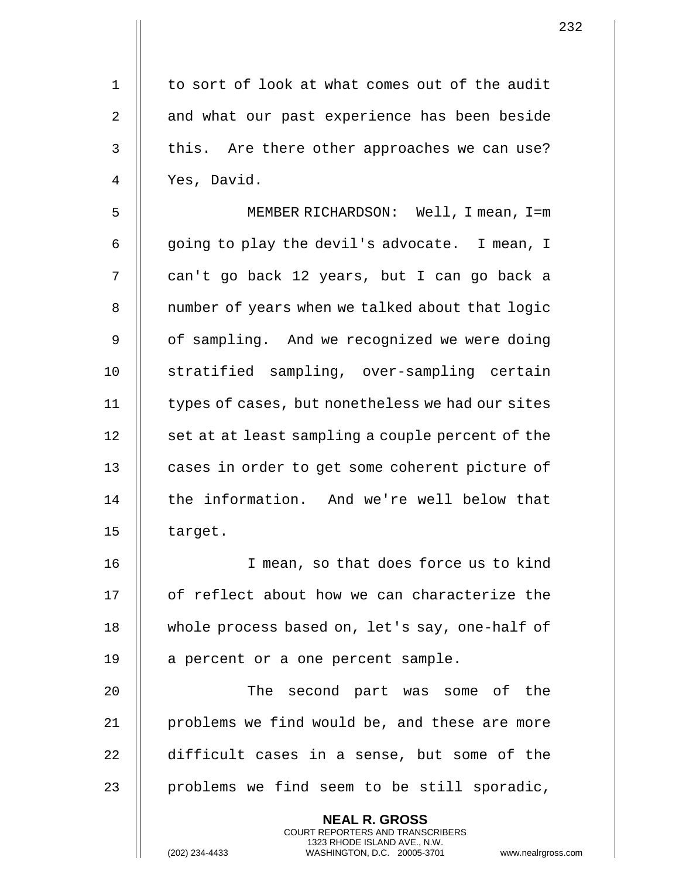1 | to sort of look at what comes out of the audit 2 || and what our past experience has been beside  $3$   $\parallel$  this. Are there other approaches we can use? 4 Yes, David.

5 MEMBER RICHARDSON: Well, I mean, I=m 6  $\parallel$  qoing to play the devil's advocate. I mean, I 7 || can't go back 12 years, but I can go back a 8 | number of years when we talked about that logic 9 || of sampling. And we recognized we were doing 10 || stratified sampling, over-sampling certain 11 | types of cases, but nonetheless we had our sites 12 | set at at least sampling a couple percent of the 13 || cases in order to get some coherent picture of 14 || the information. And we're well below that  $15$  | target.

16 || I mean, so that does force us to kind 17 || of reflect about how we can characterize the 18 | whole process based on, let's say, one-half of 19 | a percent or a one percent sample.

20 || The second part was some of the  $21$  | problems we find would be, and these are more 22 difficult cases in a sense, but some of the 23  $\parallel$  problems we find seem to be still sporadic,

> **NEAL R. GROSS** COURT REPORTERS AND TRANSCRIBERS 1323 RHODE ISLAND AVE., N.W.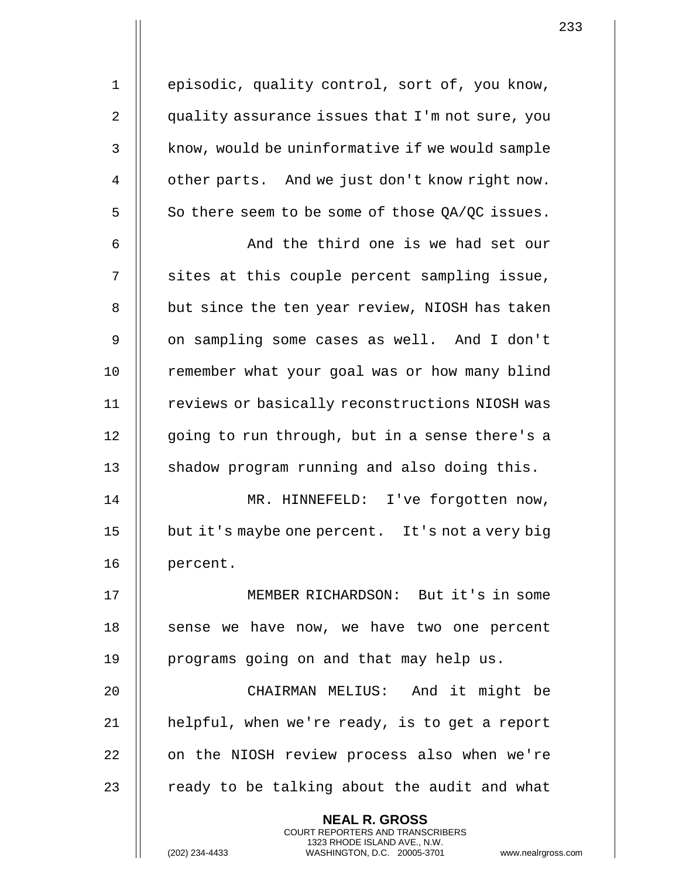1 || episodic, quality control, sort of, you know, 2  $\parallel$  quality assurance issues that I'm not sure, you 3 | know, would be uninformative if we would sample 4 | other parts. And we just don't know right now.  $5 \parallel$  So there seem to be some of those QA/QC issues. 6 || And the third one is we had set our  $7$   $\parallel$  sites at this couple percent sampling issue, 8 | but since the ten year review, NIOSH has taken 9 || on sampling some cases as well. And I don't

10 || remember what your goal was or how many blind 11 | reviews or basically reconstructions NIOSH was 12 || qoing to run through, but in a sense there's a 13 || shadow program running and also doing this.

14 || MR. HINNEFELD: I've forgotten now, 15 but it's maybe one percent. It's not a very big 16 | percent.

17 MEMBER RICHARDSON: But it's in some  $18$  || sense we have now, we have two one percent 19 || programs going on and that may help us.

20 CHAIRMAN MELIUS: And it might be 21 | helpful, when we're ready, is to get a report 22 | on the NIOSH review process also when we're 23  $\parallel$  ready to be talking about the audit and what

> **NEAL R. GROSS** COURT REPORTERS AND TRANSCRIBERS 1323 RHODE ISLAND AVE., N.W.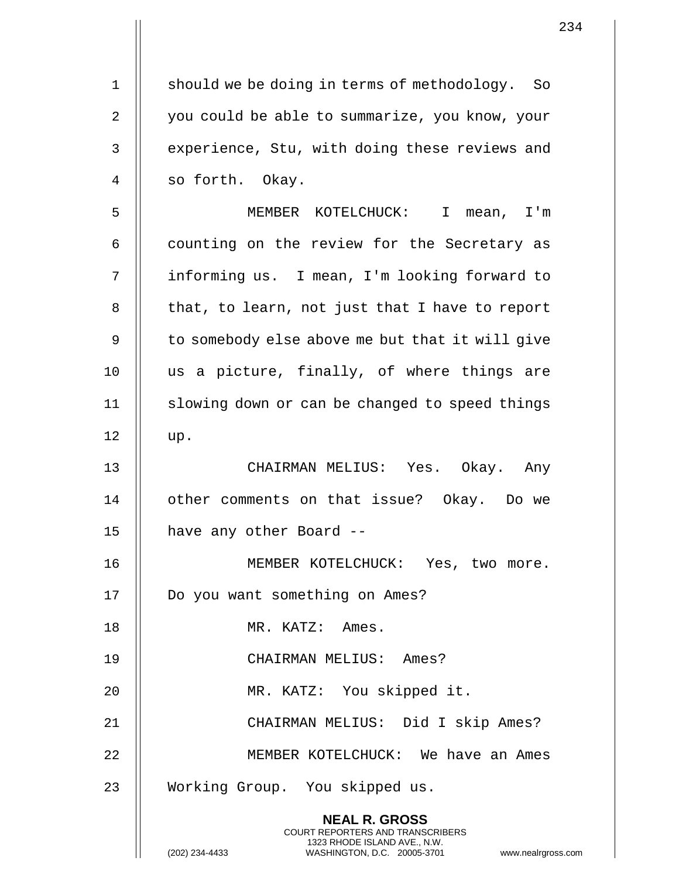1 | should we be doing in terms of methodology. So 2 | you could be able to summarize, you know, your 3 || experience, Stu, with doing these reviews and 4 || so forth. Okay.

5 MEMBER KOTELCHUCK: I mean, I'm  $6 \parallel$  counting on the review for the Secretary as 7 informing us. I mean, I'm looking forward to  $8$  || that, to learn, not just that I have to report 9 || to somebody else above me but that it will give 10 us a picture, finally, of where things are 11 || slowing down or can be changed to speed things  $12 \parallel \text{up.}$ 

13 CHAIRMAN MELIUS: Yes. Okay. Any 14 | other comments on that issue? Okay. Do we 15 || have any other Board --

16 || MEMBER KOTELCHUCK: Yes, two more. 17 | Do you want something on Ames? 18 | MR. KATZ: Ames. 19 CHAIRMAN MELIUS: Ames? 20 MR. KATZ: You skipped it. 21 CHAIRMAN MELIUS: Did I skip Ames? 22 || MEMBER KOTELCHUCK: We have an Ames 23 || Working Group. You skipped us.

> **NEAL R. GROSS** COURT REPORTERS AND TRANSCRIBERS 1323 RHODE ISLAND AVE., N.W.

234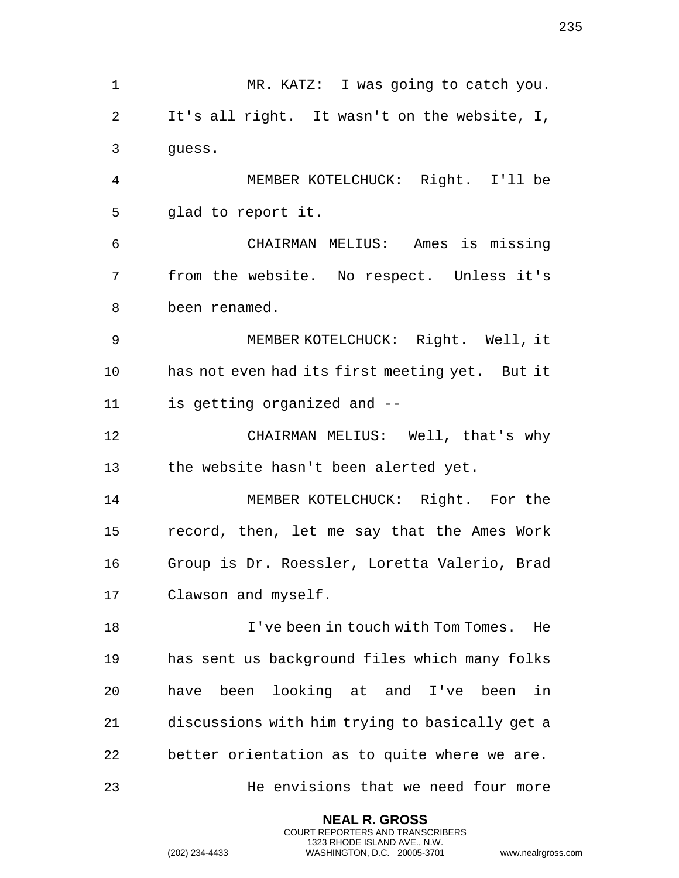|    |                                                                                                                                                                        | 235 |
|----|------------------------------------------------------------------------------------------------------------------------------------------------------------------------|-----|
|    |                                                                                                                                                                        |     |
| 1  | MR. KATZ: I was going to catch you.                                                                                                                                    |     |
| 2  | It's all right. It wasn't on the website, I,                                                                                                                           |     |
| 3  | guess.                                                                                                                                                                 |     |
| 4  | MEMBER KOTELCHUCK: Right. I'll be                                                                                                                                      |     |
| 5  | glad to report it.                                                                                                                                                     |     |
| 6  | CHAIRMAN MELIUS: Ames is missing                                                                                                                                       |     |
| 7  | from the website. No respect. Unless it's                                                                                                                              |     |
| 8  | been renamed.                                                                                                                                                          |     |
| 9  | MEMBER KOTELCHUCK: Right. Well, it                                                                                                                                     |     |
| 10 | has not even had its first meeting yet. But it                                                                                                                         |     |
| 11 | is getting organized and --                                                                                                                                            |     |
| 12 | CHAIRMAN MELIUS: Well, that's why                                                                                                                                      |     |
| 13 | the website hasn't been alerted yet.                                                                                                                                   |     |
| 14 | MEMBER KOTELCHUCK: Right. For the                                                                                                                                      |     |
| 15 | record, then, let me say that the Ames Work                                                                                                                            |     |
| 16 | Group is Dr. Roessler, Loretta Valerio, Brad                                                                                                                           |     |
| 17 | Clawson and myself.                                                                                                                                                    |     |
| 18 | I've been in touch with Tom Tomes. He                                                                                                                                  |     |
| 19 | has sent us background files which many folks                                                                                                                          |     |
| 20 | have been looking at and I've been in                                                                                                                                  |     |
| 21 | discussions with him trying to basically get a                                                                                                                         |     |
| 22 | better orientation as to quite where we are.                                                                                                                           |     |
| 23 | He envisions that we need four more                                                                                                                                    |     |
|    | <b>NEAL R. GROSS</b><br><b>COURT REPORTERS AND TRANSCRIBERS</b><br>1323 RHODE ISLAND AVE., N.W.<br>(202) 234-4433<br>WASHINGTON, D.C. 20005-3701<br>www.nealrgross.com |     |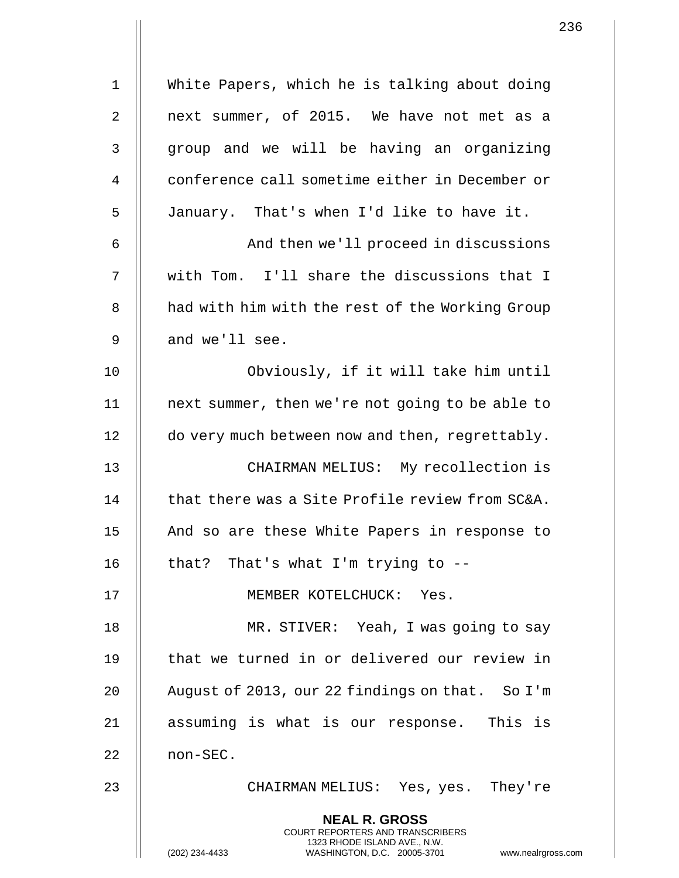| $\mathbf 1$ | White Papers, which he is talking about doing                                                                                                                          |
|-------------|------------------------------------------------------------------------------------------------------------------------------------------------------------------------|
| 2           | next summer, of 2015. We have not met as a                                                                                                                             |
| 3           | group and we will be having an organizing                                                                                                                              |
| 4           | conference call sometime either in December or                                                                                                                         |
| 5           | January. That's when I'd like to have it.                                                                                                                              |
| 6           | And then we'll proceed in discussions                                                                                                                                  |
| 7           | with Tom. I'll share the discussions that I                                                                                                                            |
| 8           | had with him with the rest of the Working Group                                                                                                                        |
| 9           | and we'll see.                                                                                                                                                         |
| 10          | Obviously, if it will take him until                                                                                                                                   |
| 11          | next summer, then we're not going to be able to                                                                                                                        |
| 12          | do very much between now and then, regrettably.                                                                                                                        |
| 13          | CHAIRMAN MELIUS: My recollection is                                                                                                                                    |
| 14          | that there was a Site Profile review from SC&A.                                                                                                                        |
| 15          | And so are these White Papers in response to                                                                                                                           |
| 16          | that? That's what I'm trying to                                                                                                                                        |
| 17          | MEMBER KOTELCHUCK: Yes.                                                                                                                                                |
| 18          | MR. STIVER: Yeah, I was going to say                                                                                                                                   |
| 19          | that we turned in or delivered our review in                                                                                                                           |
| 20          | August of 2013, our 22 findings on that. So I'm                                                                                                                        |
| 21          | assuming is what is our response. This is                                                                                                                              |
| 22          | non-SEC.                                                                                                                                                               |
| 23          | CHAIRMAN MELIUS: Yes, yes. They're                                                                                                                                     |
|             | <b>NEAL R. GROSS</b><br><b>COURT REPORTERS AND TRANSCRIBERS</b><br>1323 RHODE ISLAND AVE., N.W.<br>(202) 234-4433<br>WASHINGTON, D.C. 20005-3701<br>www.nealrgross.com |

 $\mathsf{l}\mathsf{l}$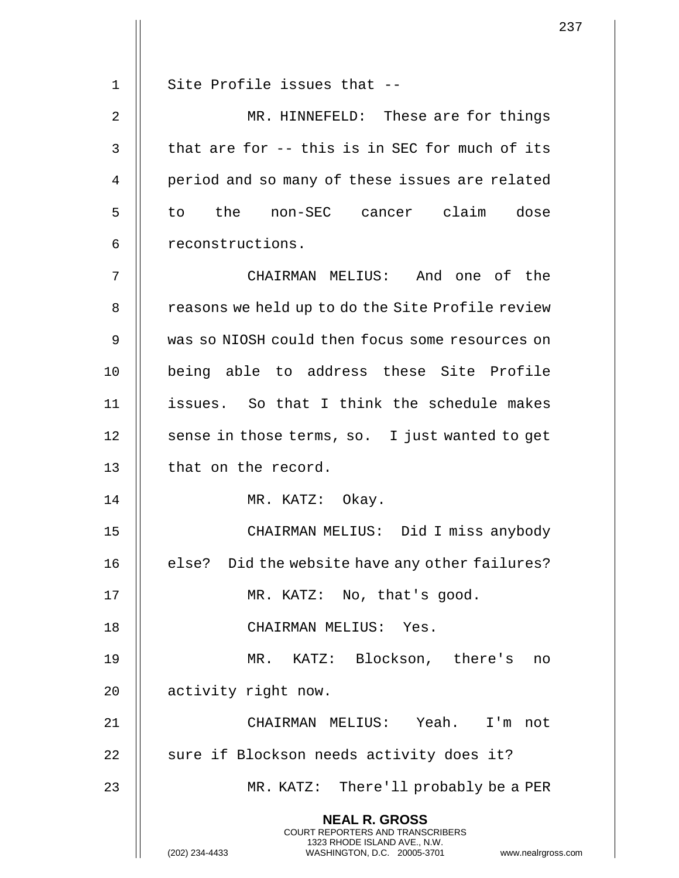|    | 2                                                                                                                                                                   |
|----|---------------------------------------------------------------------------------------------------------------------------------------------------------------------|
| 1  | Site Profile issues that --                                                                                                                                         |
| 2  | MR. HINNEFELD: These are for things                                                                                                                                 |
|    |                                                                                                                                                                     |
| 3  | that are for -- this is in SEC for much of its                                                                                                                      |
| 4  | period and so many of these issues are related                                                                                                                      |
| 5  | to the non-SEC cancer claim dose                                                                                                                                    |
| 6  | reconstructions.                                                                                                                                                    |
| 7  | CHAIRMAN MELIUS: And one of the                                                                                                                                     |
| 8  | reasons we held up to do the Site Profile review                                                                                                                    |
| 9  | was so NIOSH could then focus some resources on                                                                                                                     |
| 10 | being able to address these Site Profile                                                                                                                            |
| 11 | issues. So that I think the schedule makes                                                                                                                          |
| 12 | sense in those terms, so. I just wanted to get                                                                                                                      |
| 13 | that on the record.                                                                                                                                                 |
| 14 | MR. KATZ: Okay.                                                                                                                                                     |
| 15 | CHAIRMAN MELIUS: Did I miss anybody                                                                                                                                 |
| 16 | else? Did the website have any other failures?                                                                                                                      |
| 17 | MR. KATZ: No, that's good.                                                                                                                                          |
| 18 | CHAIRMAN MELIUS: Yes.                                                                                                                                               |
| 19 | MR. KATZ: Blockson, there's<br>no                                                                                                                                   |
| 20 | activity right now.                                                                                                                                                 |
| 21 | CHAIRMAN MELIUS: Yeah. I'm not                                                                                                                                      |
| 22 | sure if Blockson needs activity does it?                                                                                                                            |
| 23 | MR. KATZ: There'll probably be a PER                                                                                                                                |
|    | <b>NEAL R. GROSS</b><br><b>COURT REPORTERS AND TRANSCRIBERS</b><br>1323 RHODE ISLAND AVE., N.W.<br>(202) 234-4433<br>WASHINGTON, D.C. 20005-3701<br>www.nealrgross. |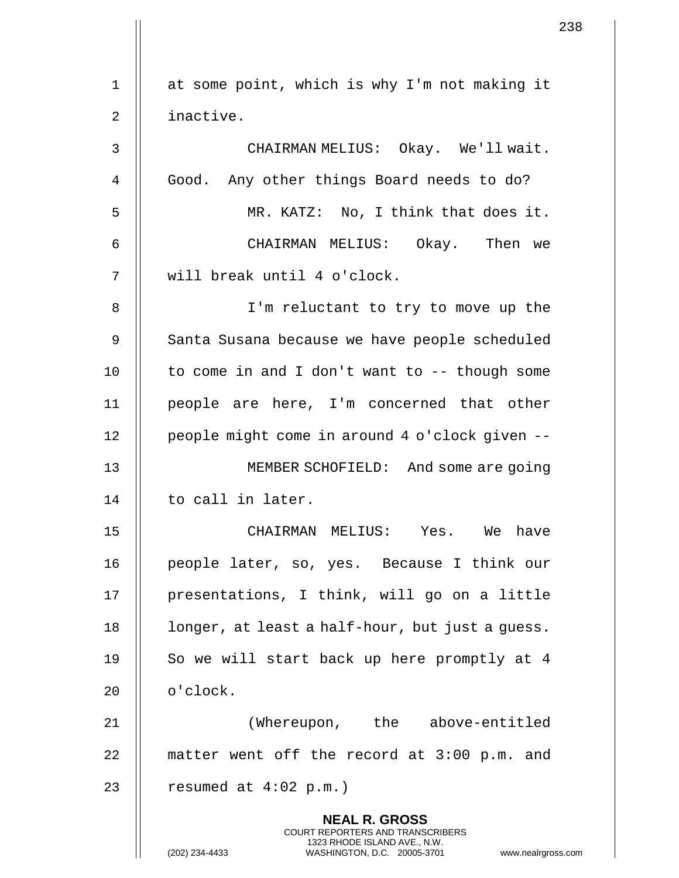|    |                                                                                                                                                | 238 |
|----|------------------------------------------------------------------------------------------------------------------------------------------------|-----|
| 1  | at some point, which is why I'm not making it                                                                                                  |     |
|    |                                                                                                                                                |     |
| 2  | inactive.                                                                                                                                      |     |
| 3  | CHAIRMAN MELIUS: Okay. We'll wait.                                                                                                             |     |
| 4  | Good. Any other things Board needs to do?                                                                                                      |     |
| 5  | MR. KATZ: No, I think that does it.                                                                                                            |     |
| 6  | CHAIRMAN MELIUS: Okay. Then we                                                                                                                 |     |
| 7  | will break until 4 o'clock.                                                                                                                    |     |
| 8  | I'm reluctant to try to move up the                                                                                                            |     |
| 9  | Santa Susana because we have people scheduled                                                                                                  |     |
| 10 | to come in and I don't want to -- though some                                                                                                  |     |
| 11 | people are here, I'm concerned that other                                                                                                      |     |
| 12 | people might come in around 4 o'clock given --                                                                                                 |     |
| 13 | MEMBER SCHOFIELD: And some are going                                                                                                           |     |
| 14 | to call in later.                                                                                                                              |     |
| 15 | CHAIRMAN MELIUS: Yes. We have                                                                                                                  |     |
| 16 | people later, so, yes. Because I think our                                                                                                     |     |
| 17 | presentations, I think, will go on a little                                                                                                    |     |
| 18 | longer, at least a half-hour, but just a guess.                                                                                                |     |
| 19 | So we will start back up here promptly at 4                                                                                                    |     |
| 20 | o'clock.                                                                                                                                       |     |
| 21 | (Whereupon, the above-entitled                                                                                                                 |     |
| 22 | matter went off the record at 3:00 p.m. and                                                                                                    |     |
| 23 | resumed at $4:02$ p.m.)                                                                                                                        |     |
|    | <b>NEAL R. GROSS</b>                                                                                                                           |     |
|    | <b>COURT REPORTERS AND TRANSCRIBERS</b><br>1323 RHODE ISLAND AVE., N.W.<br>(202) 234-4433<br>WASHINGTON, D.C. 20005-3701<br>www.nealrgross.com |     |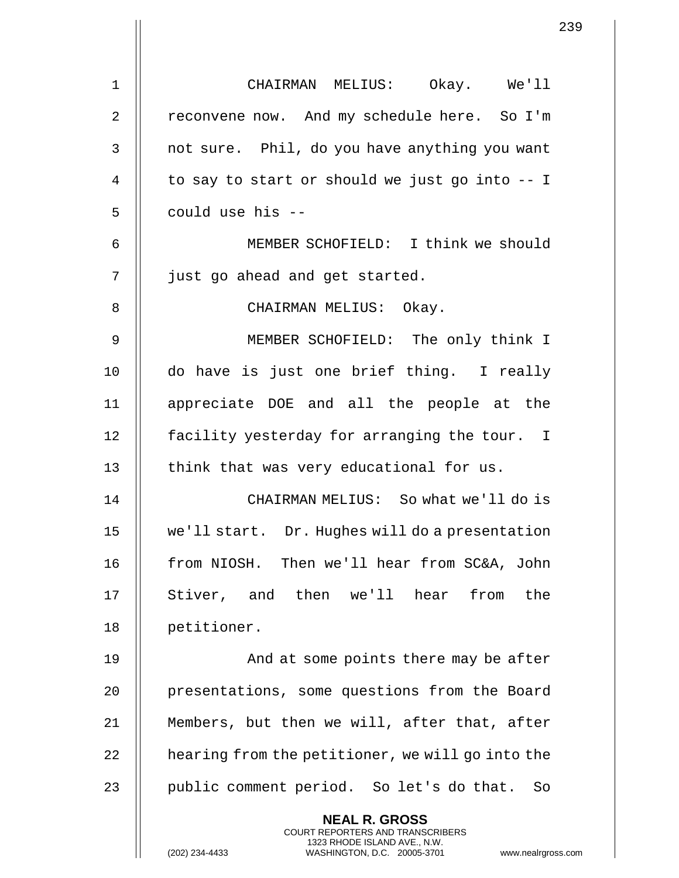|                | 2                                                                                                                                                                   |
|----------------|---------------------------------------------------------------------------------------------------------------------------------------------------------------------|
| $\mathbf 1$    | CHAIRMAN MELIUS: Okay. We'll                                                                                                                                        |
| $\overline{2}$ | reconvene now. And my schedule here. So I'm                                                                                                                         |
| 3              | not sure. Phil, do you have anything you want                                                                                                                       |
| 4              | to say to start or should we just go into -- I                                                                                                                      |
| 5              | could use his --                                                                                                                                                    |
| 6              | MEMBER SCHOFIELD: I think we should                                                                                                                                 |
| 7              | just go ahead and get started.                                                                                                                                      |
| 8              | CHAIRMAN MELIUS: Okay.                                                                                                                                              |
| 9              | MEMBER SCHOFIELD: The only think I                                                                                                                                  |
| 10             | do have is just one brief thing. I really                                                                                                                           |
| 11             | appreciate DOE and all the people at the                                                                                                                            |
| 12             | facility yesterday for arranging the tour. I                                                                                                                        |
| 13             | think that was very educational for us.                                                                                                                             |
| 14             | CHAIRMAN MELIUS: So what we'll do is                                                                                                                                |
| 15             | we'll start. Dr. Hughes will do a presentation                                                                                                                      |
| 16             | from NIOSH. Then we'll hear from SC&A, John                                                                                                                         |
| 17             | Stiver, and then we'll hear<br>the<br>from                                                                                                                          |
| 18             | petitioner.                                                                                                                                                         |
| 19             | And at some points there may be after                                                                                                                               |
| 20             | presentations, some questions from the Board                                                                                                                        |
| 21             | Members, but then we will, after that, after                                                                                                                        |
| 22             | hearing from the petitioner, we will go into the                                                                                                                    |
| 23             | public comment period. So let's do that.<br>So                                                                                                                      |
|                | <b>NEAL R. GROSS</b><br><b>COURT REPORTERS AND TRANSCRIBERS</b><br>1323 RHODE ISLAND AVE., N.W.<br>(202) 234-4433<br>WASHINGTON, D.C. 20005-3701<br>www.nealrgross. |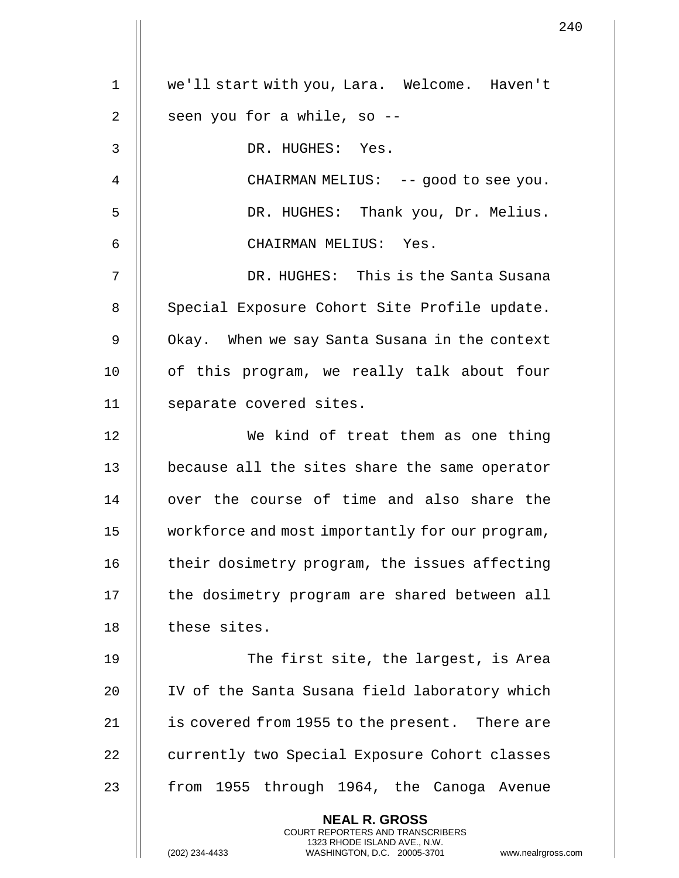1 we'll start with you, Lara. Welcome. Haven't  $2 \parallel$  seen you for a while, so --3 DR. HUGHES: Yes. 4 || CHAIRMAN MELIUS: -- good to see you. 5 DR. HUGHES: Thank you, Dr. Melius. 6 CHAIRMAN MELIUS: Yes. 7 DR. HUGHES: This is the Santa Susana 8 | Special Exposure Cohort Site Profile update. 9 | Okay. When we say Santa Susana in the context 10 || of this program, we really talk about four 11 | separate covered sites. 12 || We kind of treat them as one thing 13 || because all the sites share the same operator 14 || over the course of time and also share the 15 workforce and most importantly for our program, 16 | their dosimetry program, the issues affecting 17 || the dosimetry program are shared between all 18 | these sites. 19 The first site, the largest, is Area 20 || IV of the Santa Susana field laboratory which 21 | is covered from 1955 to the present. There are 22 | currently two Special Exposure Cohort classes 23 || from 1955 through 1964, the Canoga Avenue **NEAL R. GROSS** COURT REPORTERS AND TRANSCRIBERS 1323 RHODE ISLAND AVE., N.W.

(202) 234-4433 WASHINGTON, D.C. 20005-3701 www.nealrgross.com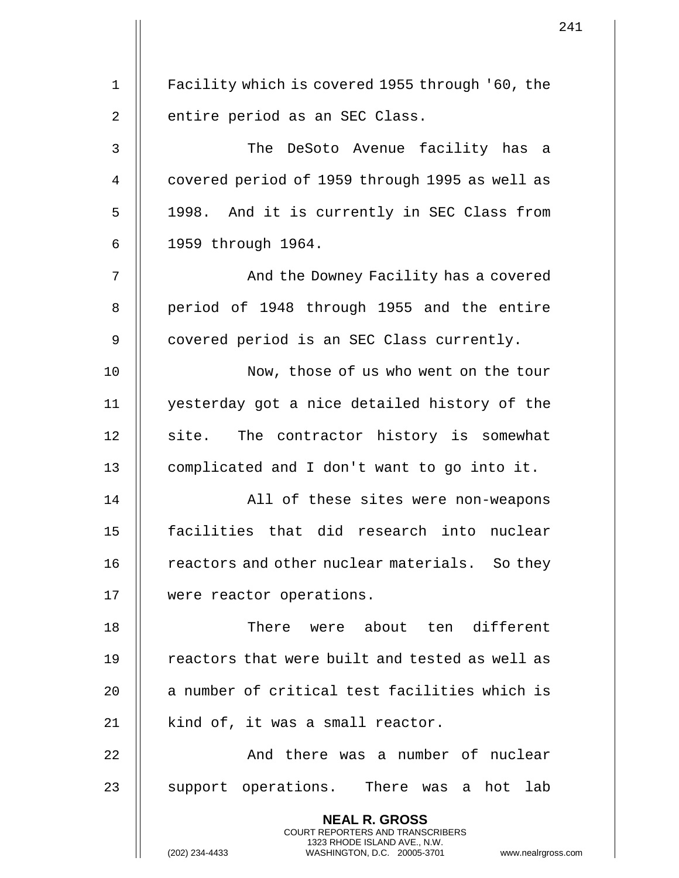| $\mathbf 1$    | Facility which is covered 1955 through '60, the                                                 |
|----------------|-------------------------------------------------------------------------------------------------|
| $\overline{2}$ | entire period as an SEC Class.                                                                  |
| 3              | The DeSoto Avenue facility has a                                                                |
| 4              | covered period of 1959 through 1995 as well as                                                  |
| 5              | 1998. And it is currently in SEC Class from                                                     |
| 6              | 1959 through 1964.                                                                              |
| 7              | And the Downey Facility has a covered                                                           |
| 8              | period of 1948 through 1955 and the entire                                                      |
| 9              | covered period is an SEC Class currently.                                                       |
| 10             | Now, those of us who went on the tour                                                           |
| 11             | yesterday got a nice detailed history of the                                                    |
| 12             | site. The contractor history is somewhat                                                        |
| 13             | complicated and I don't want to go into it.                                                     |
| 14             | All of these sites were non-weapons                                                             |
| 15             | facilities that did research into nuclear                                                       |
| 16             | reactors and other nuclear materials. So they                                                   |
| 17             | were reactor operations.                                                                        |
| 18             | There were about ten different                                                                  |
| 19             | reactors that were built and tested as well as                                                  |
| 20             | a number of critical test facilities which is                                                   |
| 21             | kind of, it was a small reactor.                                                                |
| 22             | And there was a number of nuclear                                                               |
| 23             | support operations. There was a hot lab                                                         |
|                | <b>NEAL R. GROSS</b><br><b>COURT REPORTERS AND TRANSCRIBERS</b>                                 |
|                | 1323 RHODE ISLAND AVE., N.W.<br>(202) 234-4433<br>WASHINGTON, D.C. 20005-3701<br>www.nealrgross |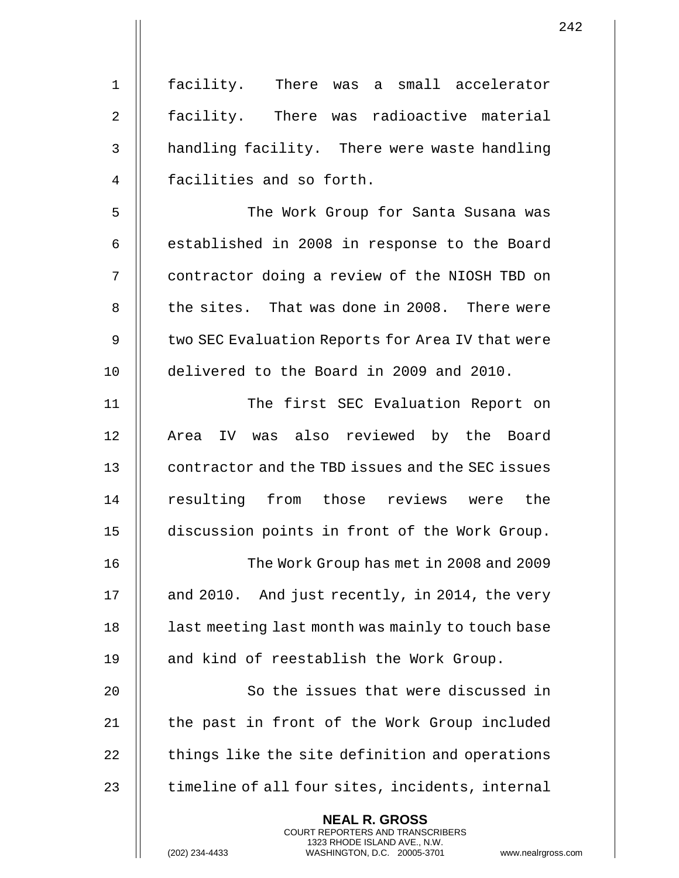| $1\,$          | facility. There was a small accelerator                                                                                                                            |
|----------------|--------------------------------------------------------------------------------------------------------------------------------------------------------------------|
| $\overline{2}$ | facility. There was radioactive material                                                                                                                           |
| 3              | handling facility. There were waste handling                                                                                                                       |
| 4              | facilities and so forth.                                                                                                                                           |
| 5              | The Work Group for Santa Susana was                                                                                                                                |
| 6              | established in 2008 in response to the Board                                                                                                                       |
| 7              | contractor doing a review of the NIOSH TBD on                                                                                                                      |
| 8              | the sites. That was done in 2008. There were                                                                                                                       |
| 9              | two SEC Evaluation Reports for Area IV that were                                                                                                                   |
| 10             | delivered to the Board in 2009 and 2010.                                                                                                                           |
| 11             | The first SEC Evaluation Report on                                                                                                                                 |
| 12             | IV was also reviewed by the Board<br>Area                                                                                                                          |
| 13             | contractor and the TBD issues and the SEC issues                                                                                                                   |
| 14             | resulting from those reviews<br>were the                                                                                                                           |
| 15             | discussion points in front of the Work Group.                                                                                                                      |
| 16             | The Work Group has met in 2008 and 2009                                                                                                                            |
| 17             | and 2010. And just recently, in 2014, the very                                                                                                                     |
| 18             | last meeting last month was mainly to touch base                                                                                                                   |
| 19             | and kind of reestablish the Work Group.                                                                                                                            |
| 20             | So the issues that were discussed in                                                                                                                               |
| 21             | the past in front of the Work Group included                                                                                                                       |
| 22             | things like the site definition and operations                                                                                                                     |
| 23             | timeline of all four sites, incidents, internal                                                                                                                    |
|                | <b>NEAL R. GROSS</b><br><b>COURT REPORTERS AND TRANSCRIBERS</b><br>1323 RHODE ISLAND AVE., N.W.<br>(202) 234-4433<br>WASHINGTON, D.C. 20005-3701<br>www.nealrgross |

(202) 234-4433 WASHINGTON, D.C. 20005-3701 www.nealrgross.com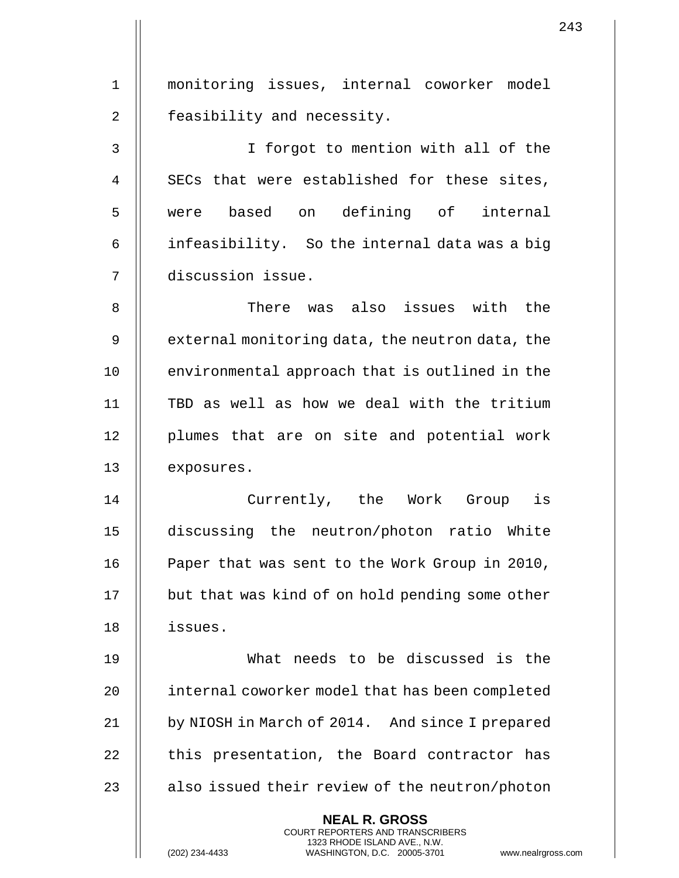| 1  | monitoring issues, internal coworker model                                                                                                                         |
|----|--------------------------------------------------------------------------------------------------------------------------------------------------------------------|
| 2  | feasibility and necessity.                                                                                                                                         |
| 3  | I forgot to mention with all of the                                                                                                                                |
| 4  | SECs that were established for these sites,                                                                                                                        |
| 5  | were based on defining of internal                                                                                                                                 |
| 6  | infeasibility. So the internal data was a big                                                                                                                      |
| 7  | discussion issue.                                                                                                                                                  |
| 8  | There was also issues with the                                                                                                                                     |
| 9  | external monitoring data, the neutron data, the                                                                                                                    |
| 10 | environmental approach that is outlined in the                                                                                                                     |
| 11 | TBD as well as how we deal with the tritium                                                                                                                        |
| 12 | plumes that are on site and potential work                                                                                                                         |
| 13 | exposures.                                                                                                                                                         |
| 14 | Currently, the Work Group<br>is                                                                                                                                    |
| 15 | discussing the neutron/photon ratio White                                                                                                                          |
| 16 | Paper that was sent to the Work Group in 2010,                                                                                                                     |
| 17 | but that was kind of on hold pending some other                                                                                                                    |
| 18 | issues.                                                                                                                                                            |
| 19 | What needs to be discussed is the                                                                                                                                  |
| 20 | internal coworker model that has been completed                                                                                                                    |
| 21 | by NIOSH in March of 2014. And since I prepared                                                                                                                    |
| 22 | this presentation, the Board contractor has                                                                                                                        |
| 23 | also issued their review of the neutron/photon                                                                                                                     |
|    | <b>NEAL R. GROSS</b><br><b>COURT REPORTERS AND TRANSCRIBERS</b><br>1323 RHODE ISLAND AVE., N.W.<br>(202) 234-4433<br>www.nealrgross<br>WASHINGTON, D.C. 20005-3701 |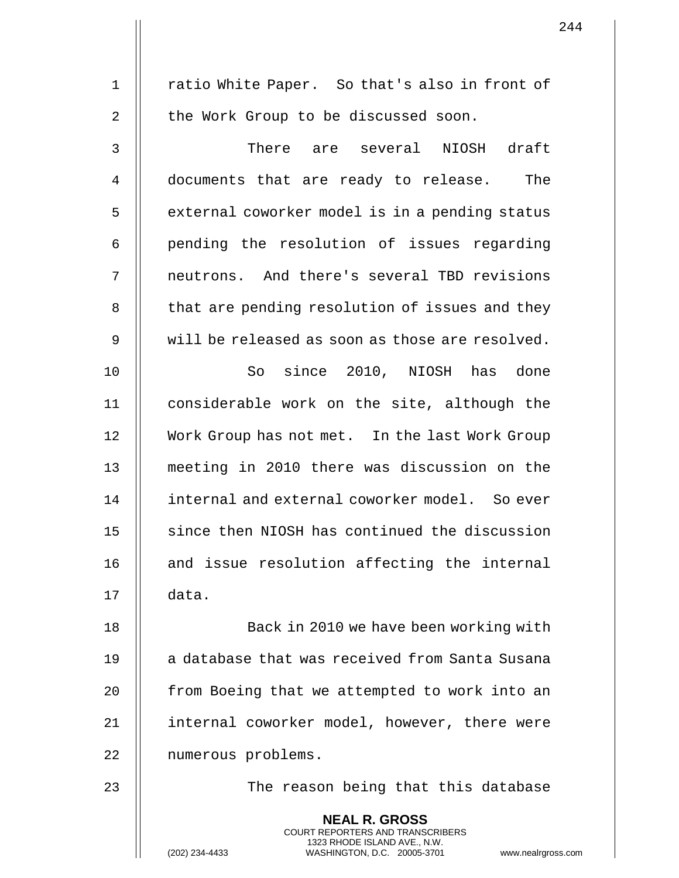1 || ratio White Paper. So that's also in front of 2 | the Work Group to be discussed soon. 3 || There are several NIOSH draft 4 documents that are ready to release. The 5 | external coworker model is in a pending status 6 pending the resolution of issues regarding 7 || neutrons. And there's several TBD revisions 8 | that are pending resolution of issues and they  $9$   $\parallel$  will be released as soon as those are resolved. 10 So since 2010, NIOSH has done 11 considerable work on the site, although the 12 Work Group has not met. In the last Work Group 13 meeting in 2010 there was discussion on the 14 internal and external coworker model. So ever 15 || since then NIOSH has continued the discussion 16 || and issue resolution affecting the internal 17 data. 18 || Back in 2010 we have been working with 19 || a database that was received from Santa Susana 20 | from Boeing that we attempted to work into an 21 || internal coworker model, however, there were 22 | numerous problems. 23 The reason being that this database **NEAL R. GROSS** COURT REPORTERS AND TRANSCRIBERS 1323 RHODE ISLAND AVE., N.W.

(202) 234-4433 WASHINGTON, D.C. 20005-3701 www.nealrgross.com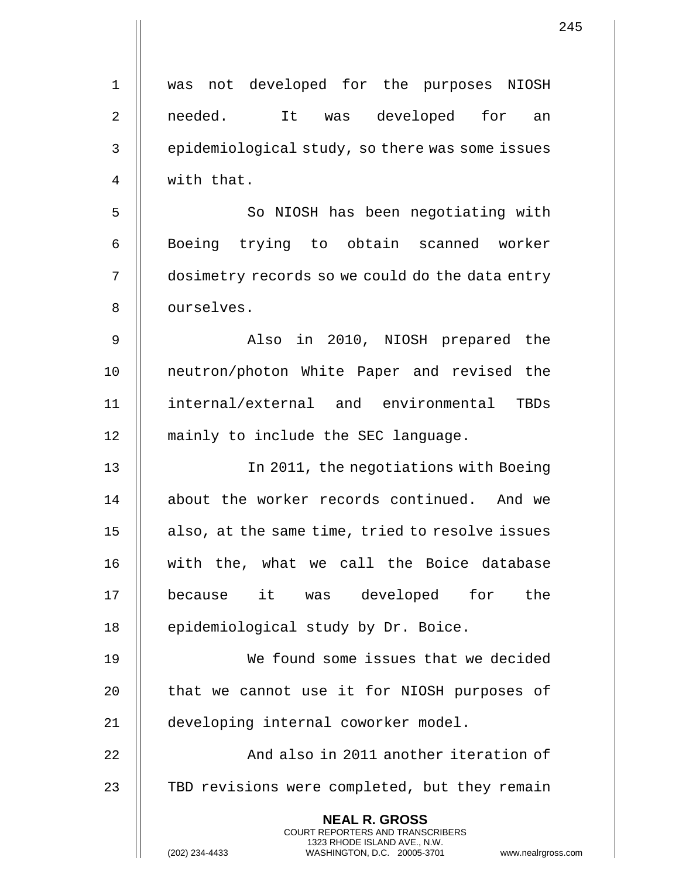|             | 245                                                                                                                                                                    |
|-------------|------------------------------------------------------------------------------------------------------------------------------------------------------------------------|
| $\mathbf 1$ | was not developed for the purposes NIOSH                                                                                                                               |
| 2           | needed.<br>It was developed for<br>an                                                                                                                                  |
| 3           | epidemiological study, so there was some issues                                                                                                                        |
| 4           | with that.                                                                                                                                                             |
| 5           | So NIOSH has been negotiating with                                                                                                                                     |
| 6           | Boeing trying to obtain scanned worker                                                                                                                                 |
| 7           | dosimetry records so we could do the data entry                                                                                                                        |
| 8           | ourselves.                                                                                                                                                             |
| 9           | Also in 2010, NIOSH prepared the                                                                                                                                       |
| 10          | neutron/photon White Paper and revised the                                                                                                                             |
| 11          | internal/external and environmental TBDs                                                                                                                               |
| 12          | mainly to include the SEC language.                                                                                                                                    |
| 13          | In 2011, the negotiations with Boeing                                                                                                                                  |
| 14          | about the worker records continued. And we                                                                                                                             |
| 15          | also, at the same time, tried to resolve issues                                                                                                                        |
| 16          | with the, what we call the Boice database                                                                                                                              |
| 17          | was developed for the<br>it<br>because                                                                                                                                 |
| 18          | epidemiological study by Dr. Boice.                                                                                                                                    |
| 19          | We found some issues that we decided                                                                                                                                   |
| 20          | that we cannot use it for NIOSH purposes of                                                                                                                            |
| 21          | developing internal coworker model.                                                                                                                                    |
| 22          | And also in 2011 another iteration of                                                                                                                                  |
| 23          | TBD revisions were completed, but they remain                                                                                                                          |
|             | <b>NEAL R. GROSS</b><br><b>COURT REPORTERS AND TRANSCRIBERS</b><br>1323 RHODE ISLAND AVE., N.W.<br>(202) 234-4433<br>WASHINGTON, D.C. 20005-3701<br>www.nealrgross.com |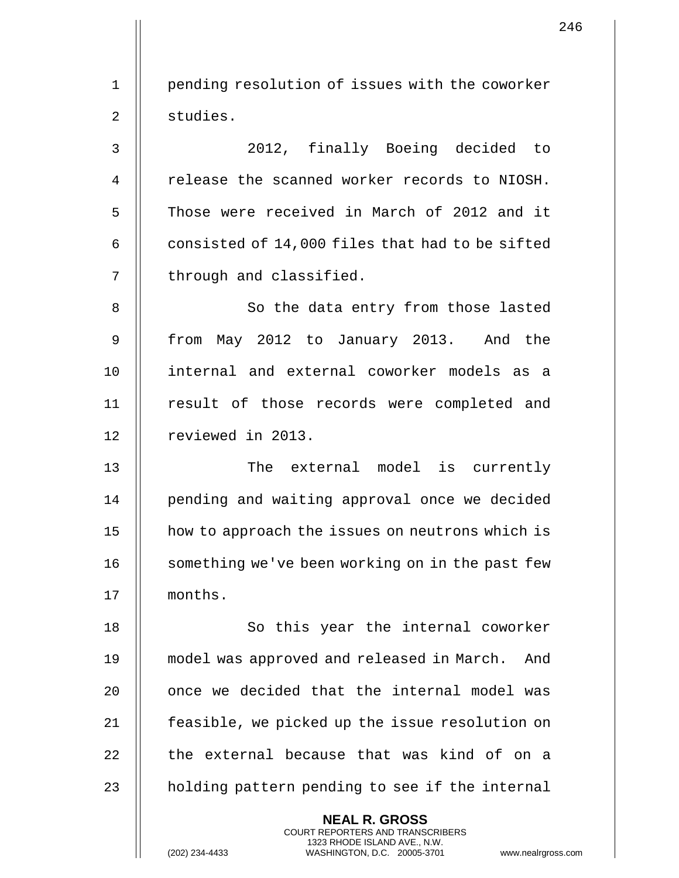1 | pending resolution of issues with the coworker 2 studies. 3 2012, finally Boeing decided to 4 | release the scanned worker records to NIOSH. 5 || Those were received in March of 2012 and it 6  $\parallel$  consisted of 14,000 files that had to be sifted 7 | through and classified. 8 || So the data entry from those lasted 9 || from May 2012 to January 2013. And the 10 internal and external coworker models as a 11 || result of those records were completed and 12 | reviewed in 2013. 13 || The external model is currently 14 || pending and waiting approval once we decided 15 how to approach the issues on neutrons which is 16 | something we've been working on in the past few 17 months. 18 || So this year the internal coworker 19 model was approved and released in March. And 20 || once we decided that the internal model was 21 | feasible, we picked up the issue resolution on  $22$   $\parallel$  the external because that was kind of on a 23  $\parallel$  holding pattern pending to see if the internal **NEAL R. GROSS**

> COURT REPORTERS AND TRANSCRIBERS 1323 RHODE ISLAND AVE., N.W.

(202) 234-4433 WASHINGTON, D.C. 20005-3701 www.nealrgross.com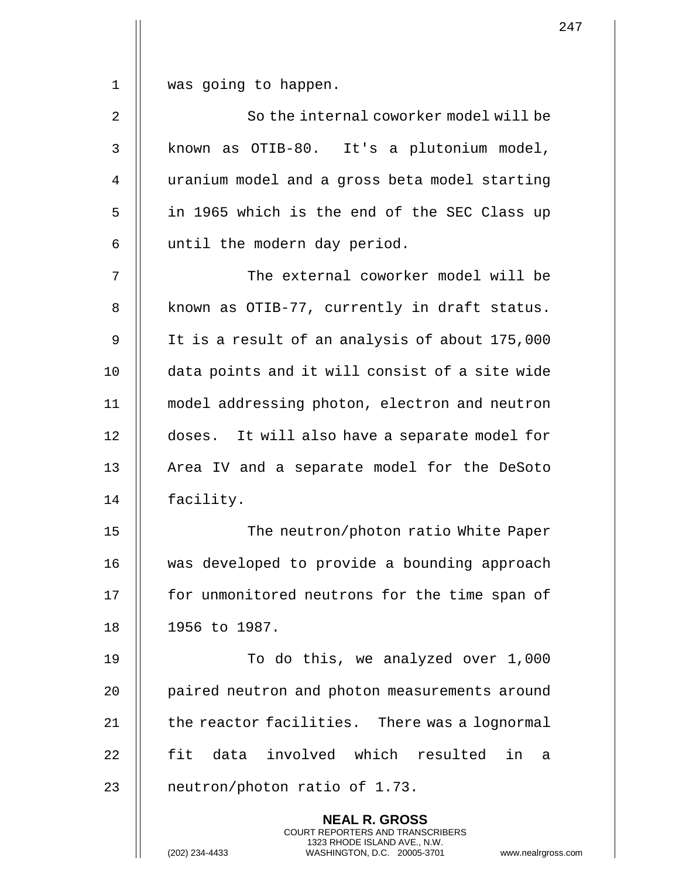1 was going to happen.

| $\overline{2}$ | So the internal coworker model will be        |
|----------------|-----------------------------------------------|
| $\overline{3}$ | known as OTIB-80. It's a plutonium model,     |
| $\overline{4}$ | uranium model and a gross beta model starting |
| 5              | in 1965 which is the end of the SEC Class up  |
| 6              | until the modern day period.                  |
|                |                                               |

 The external coworker model will be 8 | known as OTIB-77, currently in draft status. It is a result of an analysis of about 175,000 10 || data points and it will consist of a site wide model addressing photon, electron and neutron doses. It will also have a separate model for 13 || Area IV and a separate model for the DeSoto facility.

15 || The neutron/photon ratio White Paper 16 || was developed to provide a bounding approach 17 || for unmonitored neutrons for the time span of 18 1956 to 1987.

19 To do this, we analyzed over 1,000 20 | paired neutron and photon measurements around  $21$   $\parallel$  the reactor facilities. There was a lognormal 22 H fit data involved which resulted in a 23 || neutron/photon ratio of 1.73.

> **NEAL R. GROSS** COURT REPORTERS AND TRANSCRIBERS 1323 RHODE ISLAND AVE., N.W.

247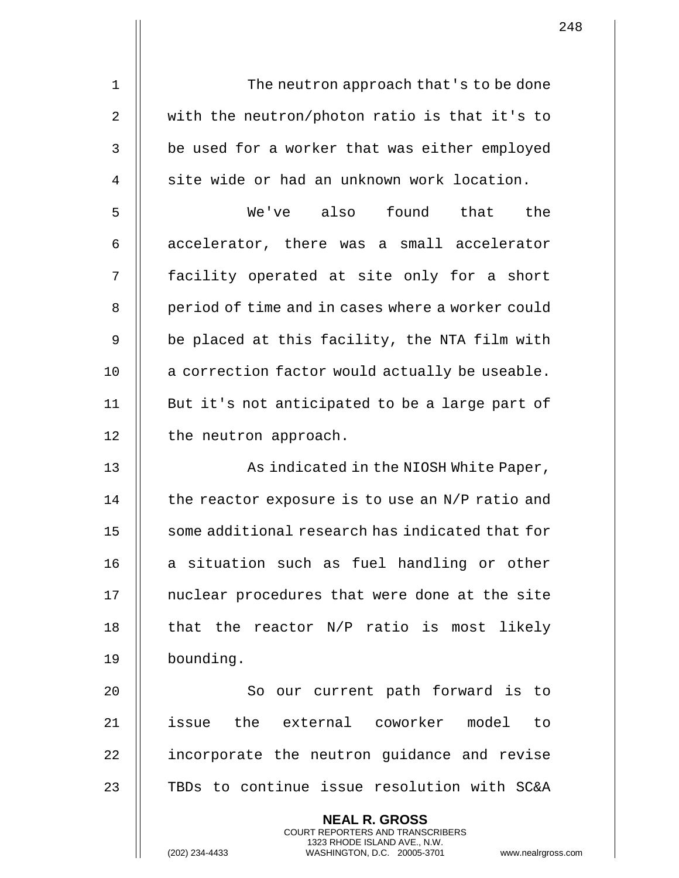1 || The neutron approach that's to be done 2  $\parallel$  with the neutron/photon ratio is that it's to 3 || be used for a worker that was either employed  $4 \parallel$  site wide or had an unknown work location. 5 We've also found that the  $6$  || accelerator, there was a small accelerator 7 || facility operated at site only for a short 8 | period of time and in cases where a worker could

9 || be placed at this facility, the NTA film with  $10$  | a correction factor would actually be useable. 11 || But it's not anticipated to be a large part of 12 | the neutron approach.

13 || As indicated in the NIOSH White Paper,  $14$  | the reactor exposure is to use an N/P ratio and 15 || some additional research has indicated that for  $16$  | a situation such as fuel handling or other 17 || nuclear procedures that were done at the site 18  $\parallel$  that the reactor N/P ratio is most likely 19 bounding.

20 || So our current path forward is to 21 issue the external coworker model to 22 | incorporate the neutron guidance and revise 23 || TBDs to continue issue resolution with SC&A

> **NEAL R. GROSS** COURT REPORTERS AND TRANSCRIBERS 1323 RHODE ISLAND AVE., N.W.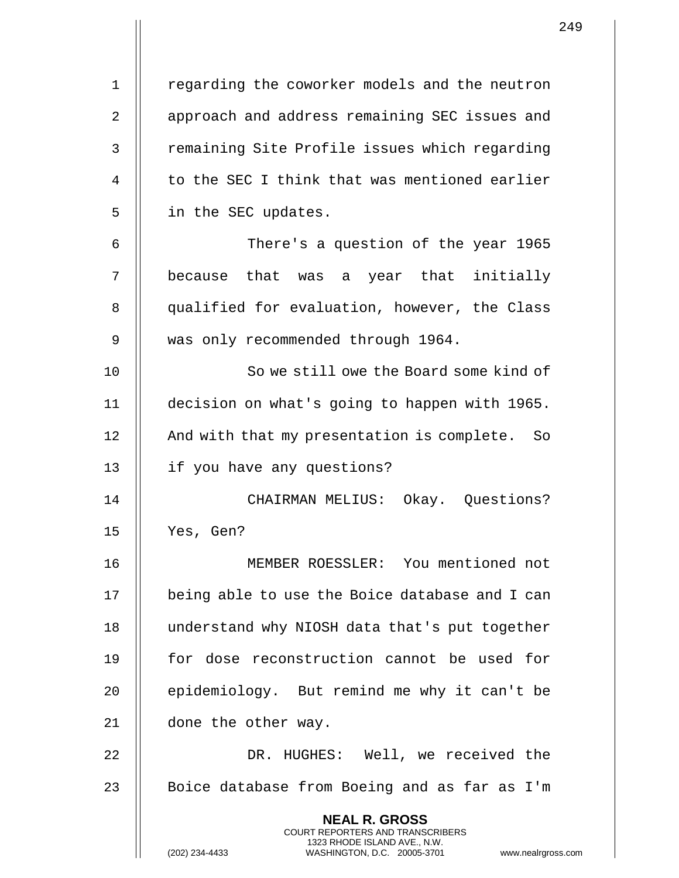1 | regarding the coworker models and the neutron 2 || approach and address remaining SEC issues and 3 | remaining Site Profile issues which regarding 4 || to the SEC I think that was mentioned earlier 5 | in the SEC updates. 6 There's a question of the year 1965

7 || because that was a year that initially 8 || qualified for evaluation, however, the Class 9 || was only recommended through 1964.

10 || So we still owe the Board some kind of 11 decision on what's going to happen with 1965. 12 || And with that my presentation is complete. So 13 || if you have any questions?

14 CHAIRMAN MELIUS: Okay. Questions? 15 Yes, Gen?

16 MEMBER ROESSLER: You mentioned not 17 | being able to use the Boice database and I can 18 || understand why NIOSH data that's put together 19 || for dose reconstruction cannot be used for 20 || epidemiology. But remind me why it can't be 21 | done the other way.

22 DR. HUGHES: Well, we received the 23 || Boice database from Boeing and as far as I'm

> **NEAL R. GROSS** COURT REPORTERS AND TRANSCRIBERS 1323 RHODE ISLAND AVE., N.W.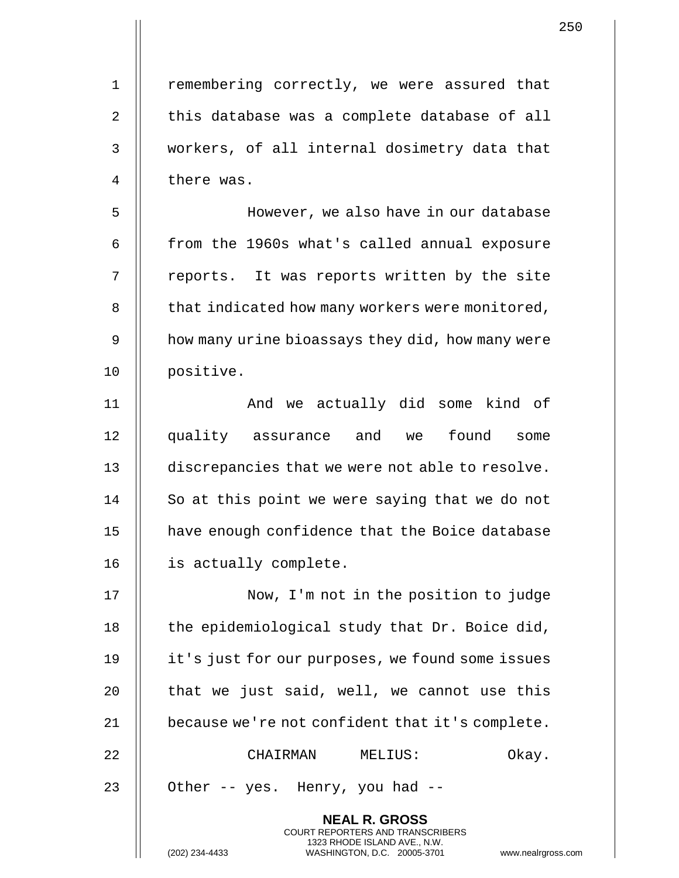1 | remembering correctly, we were assured that  $2 \parallel$  this database was a complete database of all 3 workers, of all internal dosimetry data that 4 || there was.

 However, we also have in our database  $\parallel$  from the 1960s what's called annual exposure || reports. It was reports written by the site 8 | that indicated how many workers were monitored, 9 | how many urine bioassays they did, how many were positive.

11 || And we actually did some kind of 12 || quality assurance and we found some 13 discrepancies that we were not able to resolve. 14 || So at this point we were saying that we do not 15 | have enough confidence that the Boice database 16 | is actually complete.

17 || Now, I'm not in the position to judge  $\parallel$  the epidemiological study that Dr. Boice did, it's just for our purposes, we found some issues  $\parallel$  that we just said, well, we cannot use this  $\parallel$  because we're not confident that it's complete. CHAIRMAN MELIUS: Okay.

> **NEAL R. GROSS** COURT REPORTERS AND TRANSCRIBERS 1323 RHODE ISLAND AVE., N.W.

23  $\parallel$  Other -- yes. Henry, you had --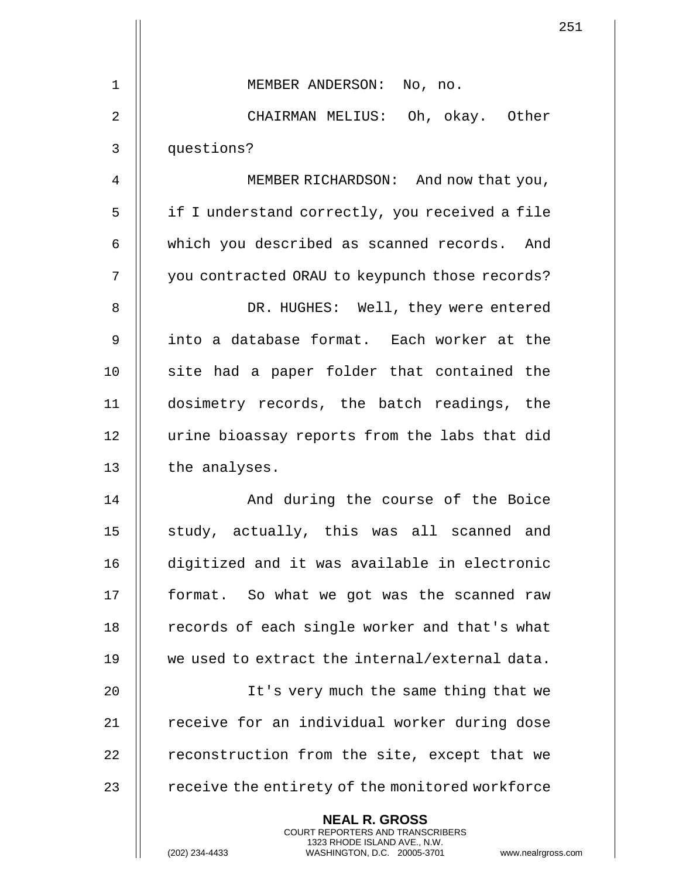|                | 2!                                                                                                                                                                   |
|----------------|----------------------------------------------------------------------------------------------------------------------------------------------------------------------|
| $\mathbf 1$    | MEMBER ANDERSON: No, no.                                                                                                                                             |
| 2              | CHAIRMAN MELIUS: Oh, okay. Other                                                                                                                                     |
| 3              |                                                                                                                                                                      |
|                | questions?                                                                                                                                                           |
| $\overline{4}$ | MEMBER RICHARDSON: And now that you,                                                                                                                                 |
| 5              | if I understand correctly, you received a file                                                                                                                       |
| 6              | which you described as scanned records. And                                                                                                                          |
| 7              | you contracted ORAU to keypunch those records?                                                                                                                       |
| 8              | DR. HUGHES: Well, they were entered                                                                                                                                  |
| 9              | into a database format. Each worker at the                                                                                                                           |
| 10             | site had a paper folder that contained the                                                                                                                           |
| 11             | dosimetry records, the batch readings, the                                                                                                                           |
| 12             | urine bioassay reports from the labs that did                                                                                                                        |
| 13             | the analyses.                                                                                                                                                        |
| 14             | And during the course of the Boice                                                                                                                                   |
| 15             | study, actually, this was all scanned and                                                                                                                            |
| 16             | digitized and it was available in electronic                                                                                                                         |
| 17             | format. So what we got was the scanned raw                                                                                                                           |
| 18             | records of each single worker and that's what                                                                                                                        |
| 19             | we used to extract the internal/external data.                                                                                                                       |
| 20             | It's very much the same thing that we                                                                                                                                |
| 21             | receive for an individual worker during dose                                                                                                                         |
| 22             | reconstruction from the site, except that we                                                                                                                         |
| 23             | receive the entirety of the monitored workforce                                                                                                                      |
|                | <b>NEAL R. GROSS</b><br><b>COURT REPORTERS AND TRANSCRIBERS</b><br>1323 RHODE ISLAND AVE., N.W.<br>(202) 234-4433<br>WASHINGTON, D.C. 20005-3701<br>www.nealrgross.c |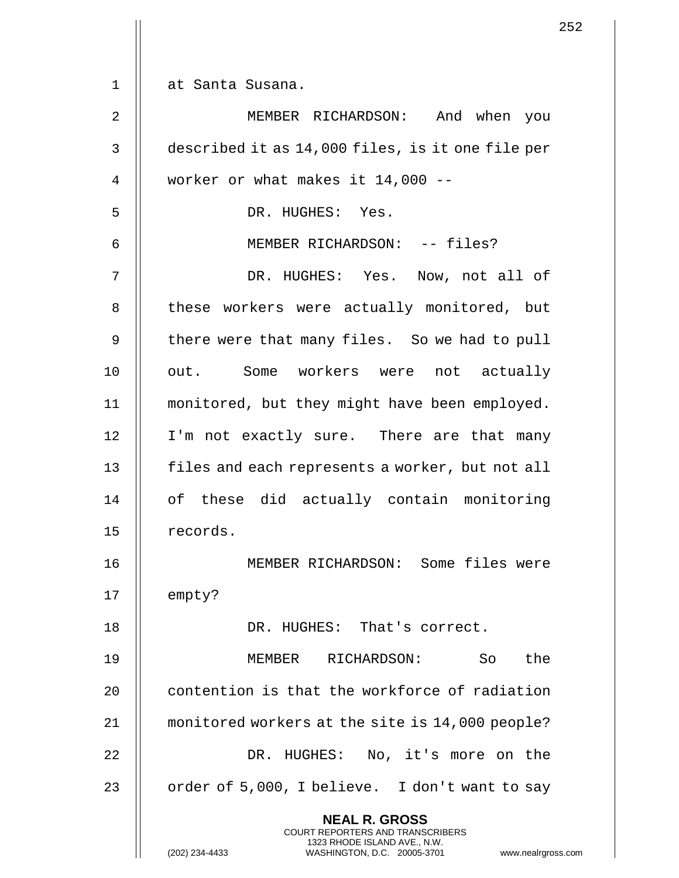1 at Santa Susana.

2 MEMBER RICHARDSON: And when you 3 described it as 14,000 files, is it one file per  $4 \parallel$  worker or what makes it 14,000 --5 || DR. HUGHES: Yes. 6 || MEMBER RICHARDSON: -- files? 7 DR. HUGHES: Yes. Now, not all of 8 || these workers were actually monitored, but 9 || there were that many files. So we had to pull 10 || out. Some workers were not actually 11 monitored, but they might have been employed. 12 || I'm not exactly sure. There are that many 13 | files and each represents a worker, but not all 14 || of these did actually contain monitoring 15 || records. 16 MEMBER RICHARDSON: Some files were  $17$  | empty? 18 || DR. HUGHES: That's correct. 19 MEMBER RICHARDSON: So the 20 **contention is that the workforce of radiation** 21 monitored workers at the site is 14,000 people? 22 DR. HUGHES: No, it's more on the 23  $\parallel$  order of 5,000, I believe. I don't want to say **NEAL R. GROSS** COURT REPORTERS AND TRANSCRIBERS 1323 RHODE ISLAND AVE., N.W.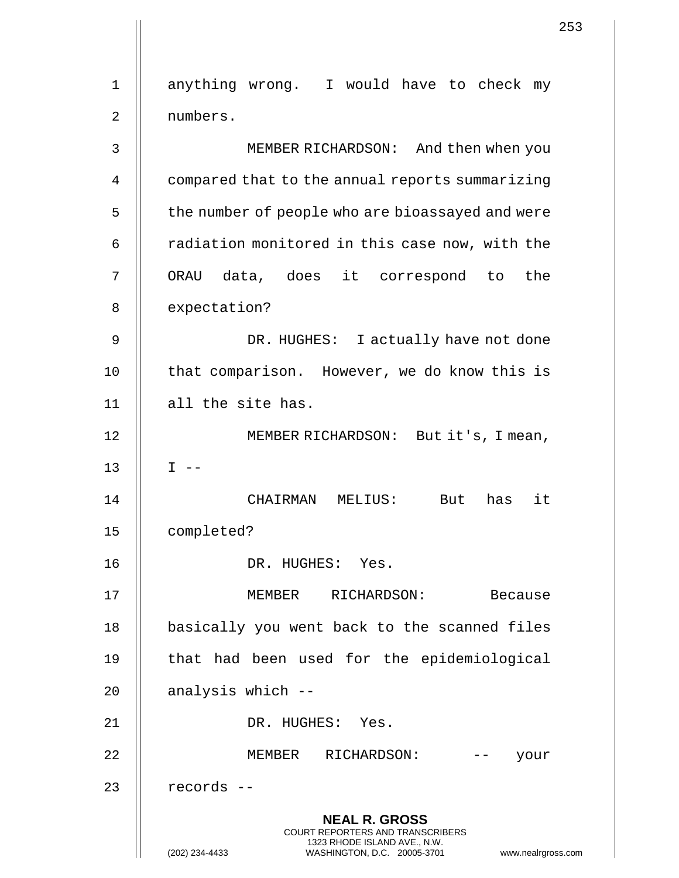1 || anything wrong. I would have to check my 2 numbers. 3 MEMBER RICHARDSON: And then when you 4 compared that to the annual reports summarizing 5 | the number of people who are bioassayed and were  $6$  | radiation monitored in this case now, with the 7 || ORAU data, does it correspond to the 8 | expectation? 9 DR. HUGHES: I actually have not done 10 || that comparison. However, we do know this is 11 || all the site has. 12 || MEMBER RICHARDSON: But it's, I mean, 13  $\parallel$  I --14 CHAIRMAN MELIUS: But has it 15 completed? 16 DR. HUGHES: Yes. 17 MEMBER RICHARDSON: Because 18 || basically you went back to the scanned files 19 || that had been used for the epidemiological  $20$  | analysis which  $-$ 21 DR. HUGHES: Yes. 22 MEMBER RICHARDSON: -- your 23 || records --**NEAL R. GROSS** COURT REPORTERS AND TRANSCRIBERS 1323 RHODE ISLAND AVE., N.W. (202) 234-4433 WASHINGTON, D.C. 20005-3701 www.nealrgross.com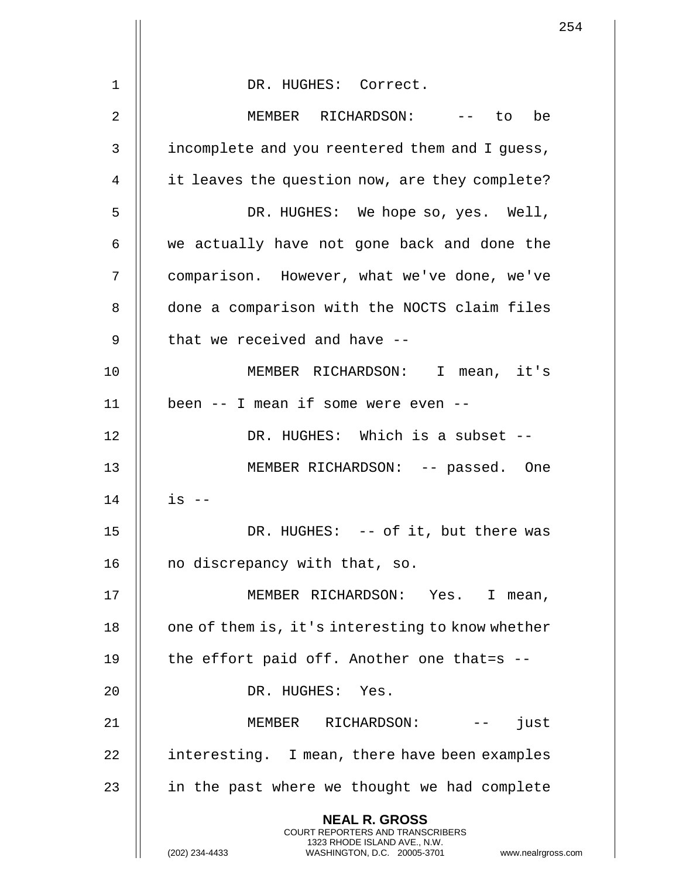|    | 254                                                                                                                                                                    |
|----|------------------------------------------------------------------------------------------------------------------------------------------------------------------------|
| 1  | DR. HUGHES: Correct.                                                                                                                                                   |
|    |                                                                                                                                                                        |
| 2  | MEMBER RICHARDSON: -- to be                                                                                                                                            |
| 3  | incomplete and you reentered them and I quess,                                                                                                                         |
| 4  | it leaves the question now, are they complete?                                                                                                                         |
| 5  | DR. HUGHES: We hope so, yes. Well,                                                                                                                                     |
| 6  | we actually have not gone back and done the                                                                                                                            |
| 7  | comparison. However, what we've done, we've                                                                                                                            |
| 8  | done a comparison with the NOCTS claim files                                                                                                                           |
| 9  | that we received and have --                                                                                                                                           |
| 10 | MEMBER RICHARDSON: I mean, it's                                                                                                                                        |
| 11 | been -- I mean if some were even --                                                                                                                                    |
| 12 | DR. HUGHES: Which is a subset --                                                                                                                                       |
| 13 | MEMBER RICHARDSON: -- passed. One                                                                                                                                      |
| 14 | $is$ --                                                                                                                                                                |
| 15 | DR. HUGHES: -- of it, but there was                                                                                                                                    |
| 16 | no discrepancy with that, so.                                                                                                                                          |
| 17 | MEMBER RICHARDSON: Yes. I mean,                                                                                                                                        |
| 18 | one of them is, it's interesting to know whether                                                                                                                       |
|    |                                                                                                                                                                        |
| 19 | the effort paid off. Another one that=s --                                                                                                                             |
| 20 | DR. HUGHES: Yes.                                                                                                                                                       |
| 21 | MEMBER RICHARDSON:<br>just<br>$- -$                                                                                                                                    |
| 22 | interesting. I mean, there have been examples                                                                                                                          |
| 23 | in the past where we thought we had complete                                                                                                                           |
|    | <b>NEAL R. GROSS</b><br><b>COURT REPORTERS AND TRANSCRIBERS</b><br>1323 RHODE ISLAND AVE., N.W.<br>(202) 234-4433<br>WASHINGTON, D.C. 20005-3701<br>www.nealrgross.com |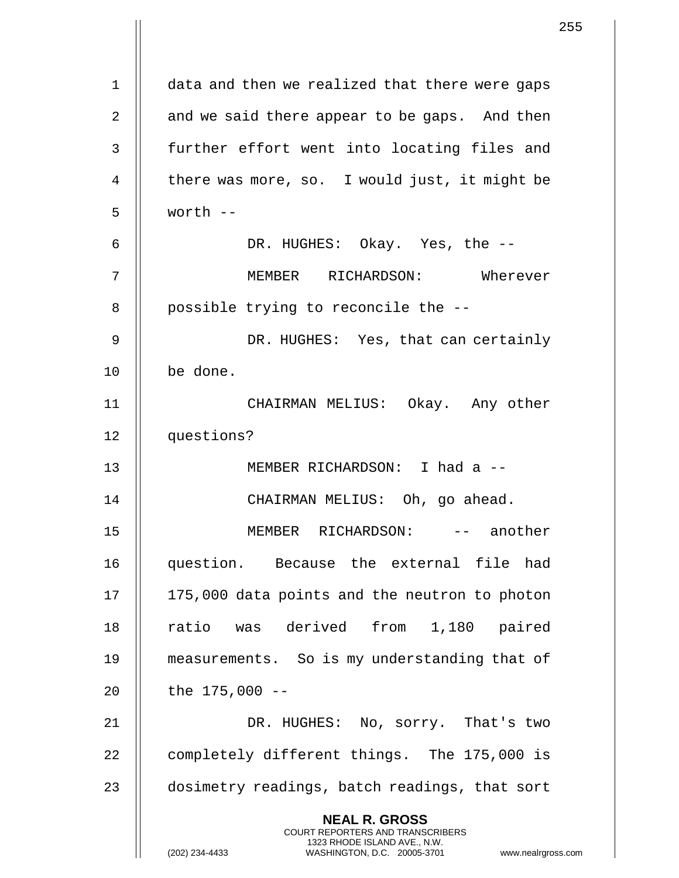|    |                                                                                                                                                                     | 255 |
|----|---------------------------------------------------------------------------------------------------------------------------------------------------------------------|-----|
| 1  | data and then we realized that there were gaps                                                                                                                      |     |
|    |                                                                                                                                                                     |     |
| 2  | and we said there appear to be gaps. And then                                                                                                                       |     |
| 3  | further effort went into locating files and                                                                                                                         |     |
| 4  | there was more, so. I would just, it might be                                                                                                                       |     |
| 5  | worth $--$                                                                                                                                                          |     |
| 6  | DR. HUGHES: Okay. Yes, the --                                                                                                                                       |     |
| 7  | MEMBER RICHARDSON: Wherever                                                                                                                                         |     |
| 8  | possible trying to reconcile the --                                                                                                                                 |     |
| 9  | DR. HUGHES: Yes, that can certainly                                                                                                                                 |     |
| 10 | be done.                                                                                                                                                            |     |
| 11 | CHAIRMAN MELIUS: Okay. Any other                                                                                                                                    |     |
| 12 | questions?                                                                                                                                                          |     |
| 13 | MEMBER RICHARDSON: I had a --                                                                                                                                       |     |
| 14 | CHAIRMAN MELIUS: Oh, go ahead.                                                                                                                                      |     |
| 15 | MEMBER RICHARDSON: -- another                                                                                                                                       |     |
| 16 | question. Because the external file had                                                                                                                             |     |
| 17 | 175,000 data points and the neutron to photon                                                                                                                       |     |
| 18 | ratio was derived from 1,180 paired                                                                                                                                 |     |
| 19 | measurements. So is my understanding that of                                                                                                                        |     |
| 20 | the $175,000 - -$                                                                                                                                                   |     |
| 21 | DR. HUGHES: No, sorry. That's two                                                                                                                                   |     |
| 22 | completely different things. The 175,000 is                                                                                                                         |     |
| 23 | dosimetry readings, batch readings, that sort                                                                                                                       |     |
|    | <b>NEAL R. GROSS</b><br><b>COURT REPORTERS AND TRANSCRIBERS</b><br>1323 RHODE ISLAND AVE., N.W.<br>(202) 234-4433<br>WASHINGTON, D.C. 20005-3701 www.nealrgross.com |     |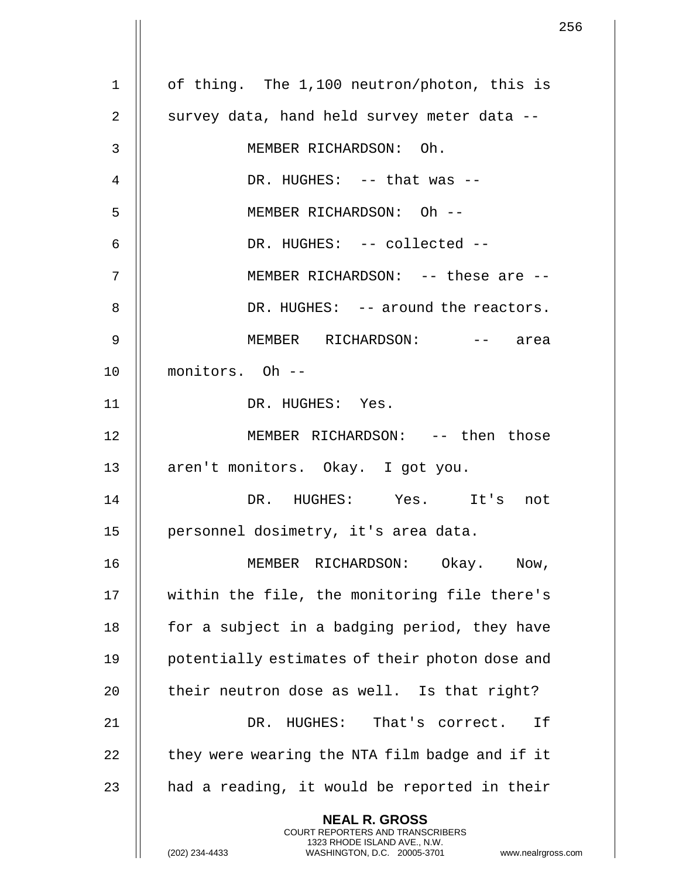1 | of thing. The 1,100 neutron/photon, this is 2  $\parallel$  survey data, hand held survey meter data --3 MEMBER RICHARDSON: Oh.  $\parallel$  DR. HUGHES: -- that was --5 MEMBER RICHARDSON: Oh -- 6 DR. HUGHES: -- collected -- 7 || MEMBER RICHARDSON: -- these are --8 DR. HUGHES: -- around the reactors. 9 MEMBER RICHARDSON: -- area 10 monitors. Oh -- 11 || DR. HUGHES: Yes. 12 MEMBER RICHARDSON: -- then those 13 || aren't monitors. Okay. I got you. 14 DR. HUGHES: Yes. It's not 15 || personnel dosimetry, it's area data. 16 MEMBER RICHARDSON: Okay. Now, 17 || within the file, the monitoring file there's 18  $\parallel$  for a subject in a badging period, they have 19 || potentially estimates of their photon dose and 20  $\parallel$  their neutron dose as well. Is that right? 21 DR. HUGHES: That's correct. If 22  $\parallel$  they were wearing the NTA film badge and if it 23  $\parallel$  had a reading, it would be reported in their **NEAL R. GROSS** COURT REPORTERS AND TRANSCRIBERS 1323 RHODE ISLAND AVE., N.W.

(202) 234-4433 WASHINGTON, D.C. 20005-3701 www.nealrgross.com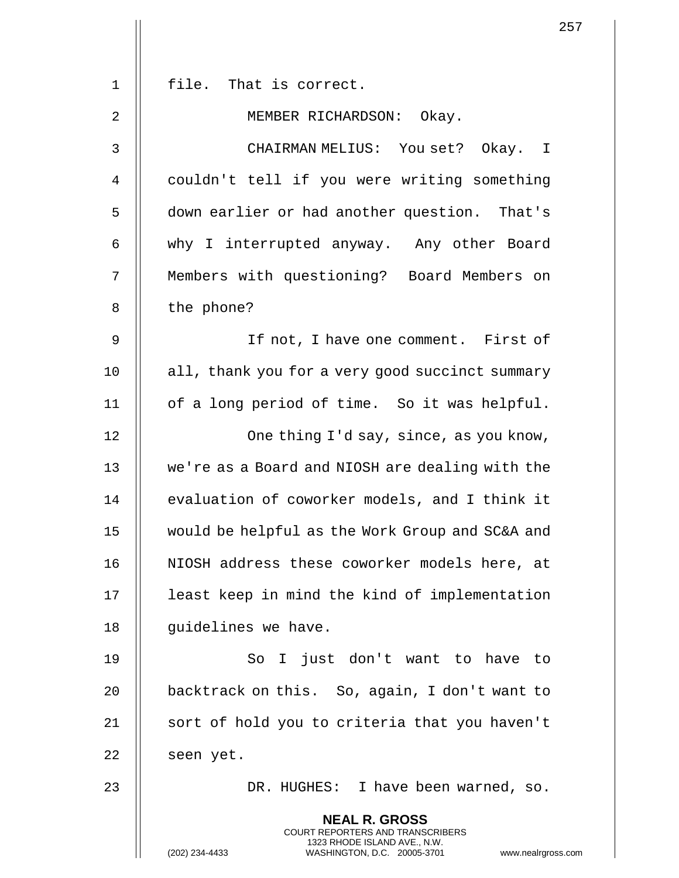|    | 257                                                                                                                                                                    |
|----|------------------------------------------------------------------------------------------------------------------------------------------------------------------------|
|    | file. That is correct.                                                                                                                                                 |
| 1  |                                                                                                                                                                        |
| 2  | MEMBER RICHARDSON: Okay.                                                                                                                                               |
| 3  | CHAIRMAN MELIUS: You set? Okay. I                                                                                                                                      |
| 4  | couldn't tell if you were writing something                                                                                                                            |
| 5  | down earlier or had another question. That's                                                                                                                           |
| 6  | why I interrupted anyway. Any other Board                                                                                                                              |
| 7  | Members with questioning? Board Members on                                                                                                                             |
| 8  | the phone?                                                                                                                                                             |
| 9  | If not, I have one comment. First of                                                                                                                                   |
| 10 | all, thank you for a very good succinct summary                                                                                                                        |
| 11 | of a long period of time. So it was helpful.                                                                                                                           |
| 12 | One thing I'd say, since, as you know,                                                                                                                                 |
| 13 | we're as a Board and NIOSH are dealing with the                                                                                                                        |
| 14 | evaluation of coworker models, and I think it                                                                                                                          |
| 15 | would be helpful as the Work Group and SC&A and                                                                                                                        |
| 16 | NIOSH address these coworker models here, at                                                                                                                           |
| 17 | least keep in mind the kind of implementation                                                                                                                          |
| 18 | quidelines we have.                                                                                                                                                    |
| 19 | So I just don't want to have to                                                                                                                                        |
| 20 | backtrack on this. So, again, I don't want to                                                                                                                          |
| 21 | sort of hold you to criteria that you haven't                                                                                                                          |
| 22 | seen yet.                                                                                                                                                              |
| 23 | DR. HUGHES: I have been warned, so.                                                                                                                                    |
|    | <b>NEAL R. GROSS</b><br><b>COURT REPORTERS AND TRANSCRIBERS</b><br>1323 RHODE ISLAND AVE., N.W.<br>(202) 234-4433<br>WASHINGTON, D.C. 20005-3701<br>www.nealrgross.com |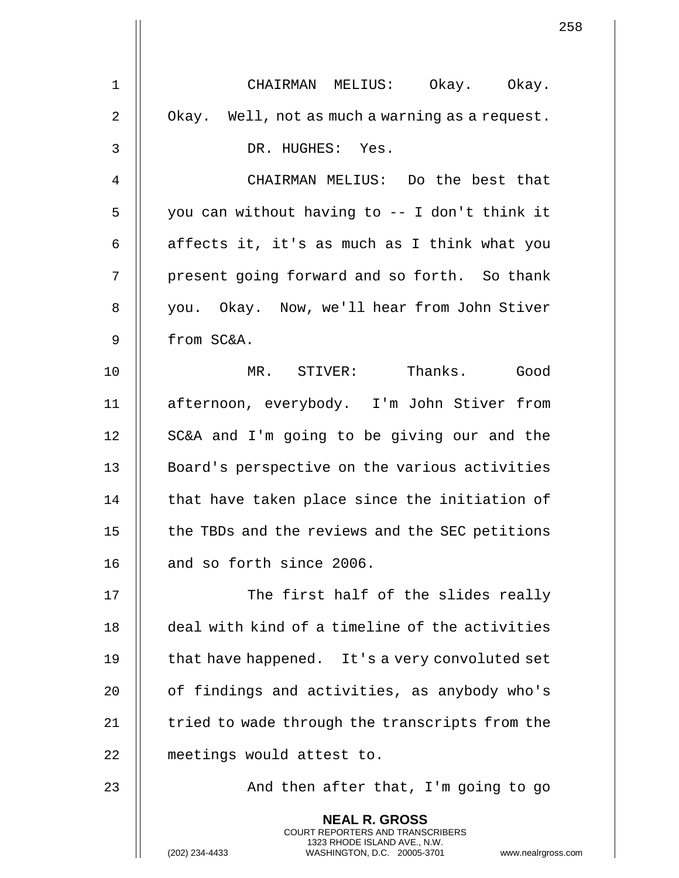|    | 258                                                                                                                                                                    |
|----|------------------------------------------------------------------------------------------------------------------------------------------------------------------------|
| 1  | CHAIRMAN MELIUS: Okay. Okay.                                                                                                                                           |
| 2  | Okay. Well, not as much a warning as a request.                                                                                                                        |
| 3  | DR. HUGHES: Yes.                                                                                                                                                       |
| 4  | CHAIRMAN MELIUS: Do the best that                                                                                                                                      |
| 5  | you can without having to -- I don't think it                                                                                                                          |
|    |                                                                                                                                                                        |
| 6  | affects it, it's as much as I think what you                                                                                                                           |
| 7  | present going forward and so forth. So thank                                                                                                                           |
| 8  | you. Okay. Now, we'll hear from John Stiver                                                                                                                            |
| 9  | from SC&A.                                                                                                                                                             |
| 10 | MR. STIVER: Thanks. Good                                                                                                                                               |
| 11 | afternoon, everybody. I'm John Stiver from                                                                                                                             |
| 12 | SC&A and I'm going to be giving our and the                                                                                                                            |
| 13 | Board's perspective on the various activities                                                                                                                          |
| 14 | that have taken place since the initiation of                                                                                                                          |
| 15 | the TBDs and the reviews and the SEC petitions                                                                                                                         |
| 16 | and so forth since 2006.                                                                                                                                               |
| 17 | The first half of the slides really                                                                                                                                    |
| 18 | deal with kind of a timeline of the activities                                                                                                                         |
| 19 | that have happened. It's a very convoluted set                                                                                                                         |
| 20 | of findings and activities, as anybody who's                                                                                                                           |
| 21 | tried to wade through the transcripts from the                                                                                                                         |
| 22 | meetings would attest to.                                                                                                                                              |
| 23 | And then after that, I'm going to go                                                                                                                                   |
|    | <b>NEAL R. GROSS</b><br><b>COURT REPORTERS AND TRANSCRIBERS</b><br>1323 RHODE ISLAND AVE., N.W.<br>(202) 234-4433<br>WASHINGTON, D.C. 20005-3701<br>www.nealrgross.com |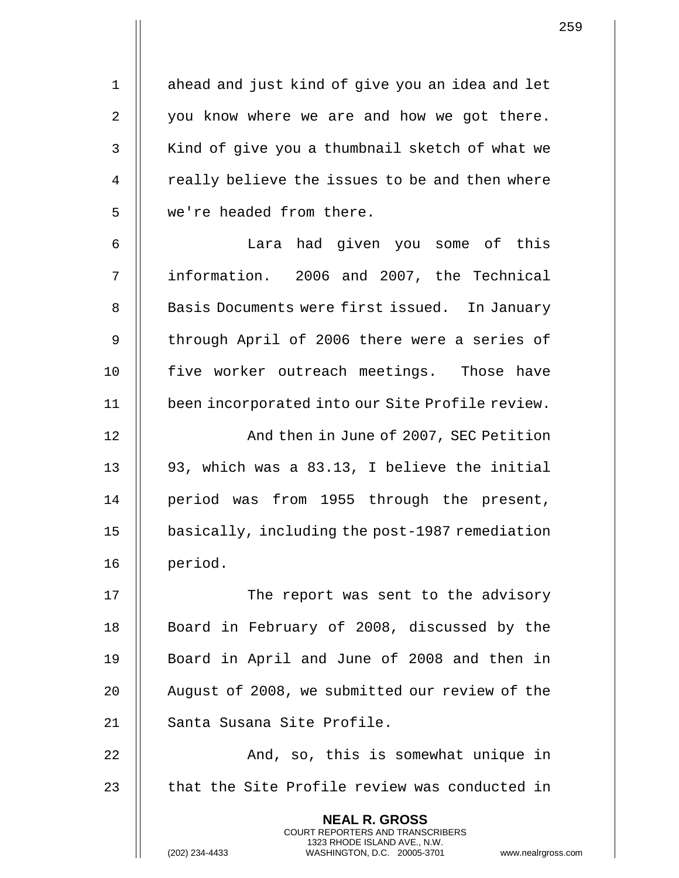1 | ahead and just kind of give you an idea and let  $2 \parallel$  you know where we are and how we got there. 3 || Kind of give you a thumbnail sketch of what we 4 | really believe the issues to be and then where 5 | we're headed from there.

6 Lara had given you some of this 7 information. 2006 and 2007, the Technical 8 | Basis Documents were first issued. In January 9 || through April of 2006 there were a series of 10 || five worker outreach meetings. Those have 11 been incorporated into our Site Profile review.

12 || And then in June of 2007, SEC Petition 13  $\parallel$  93, which was a 83.13, I believe the initial 14 || period was from 1955 through the present, 15 basically, including the post-1987 remediation 16 period.

17 || The report was sent to the advisory 18 || Board in February of 2008, discussed by the 19 || Board in April and June of 2008 and then in 20 | August of 2008, we submitted our review of the 21 | Santa Susana Site Profile.

22 || And, so, this is somewhat unique in 23  $\parallel$  that the Site Profile review was conducted in

> **NEAL R. GROSS** COURT REPORTERS AND TRANSCRIBERS 1323 RHODE ISLAND AVE., N.W.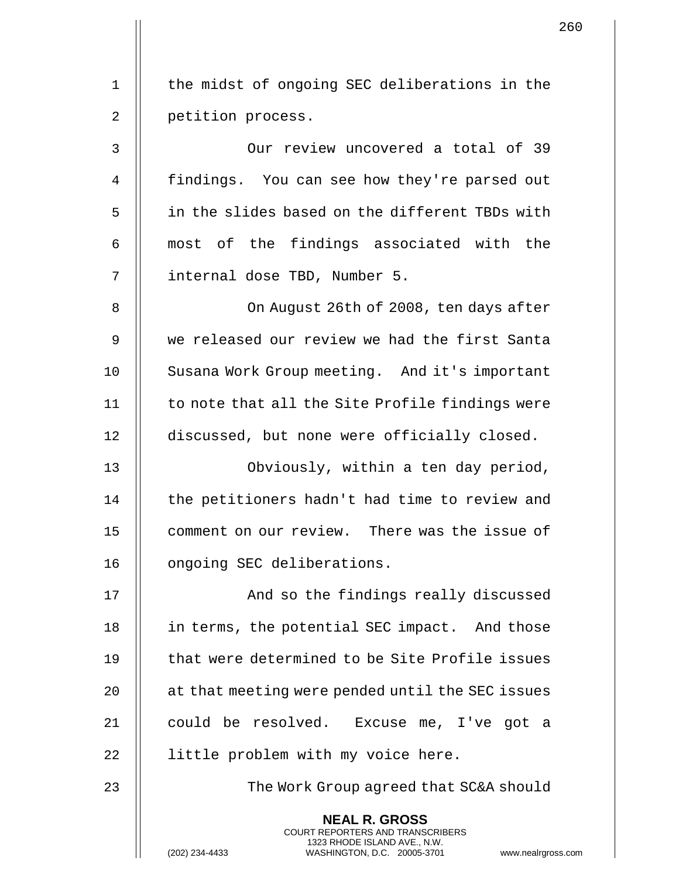1 || the midst of ongoing SEC deliberations in the 2 | petition process.

3 Our review uncovered a total of 39 4 | findings. You can see how they're parsed out 5 in the slides based on the different TBDs with  $6$  || most of the findings associated with the 7 || internal dose TBD, Number 5.

8 || Con August 26th of 2008, ten days after 9 we released our review we had the first Santa 10 || Susana Work Group meeting. And it's important  $11$   $\parallel$  to note that all the Site Profile findings were 12 discussed, but none were officially closed.

13 Obviously, within a ten day period, 14 | the petitioners hadn't had time to review and 15 | comment on our review. There was the issue of 16 | ongoing SEC deliberations.

17 || **And so the findings really discussed** 18 || in terms, the potential SEC impact. And those 19  $\parallel$  that were determined to be Site Profile issues 20 | at that meeting were pended until the SEC issues 21 || could be resolved. Excuse me, I've got a 22 | little problem with my voice here.

23 || The Work Group agreed that SC&A should

**NEAL R. GROSS** COURT REPORTERS AND TRANSCRIBERS 1323 RHODE ISLAND AVE., N.W.

(202) 234-4433 WASHINGTON, D.C. 20005-3701 www.nealrgross.com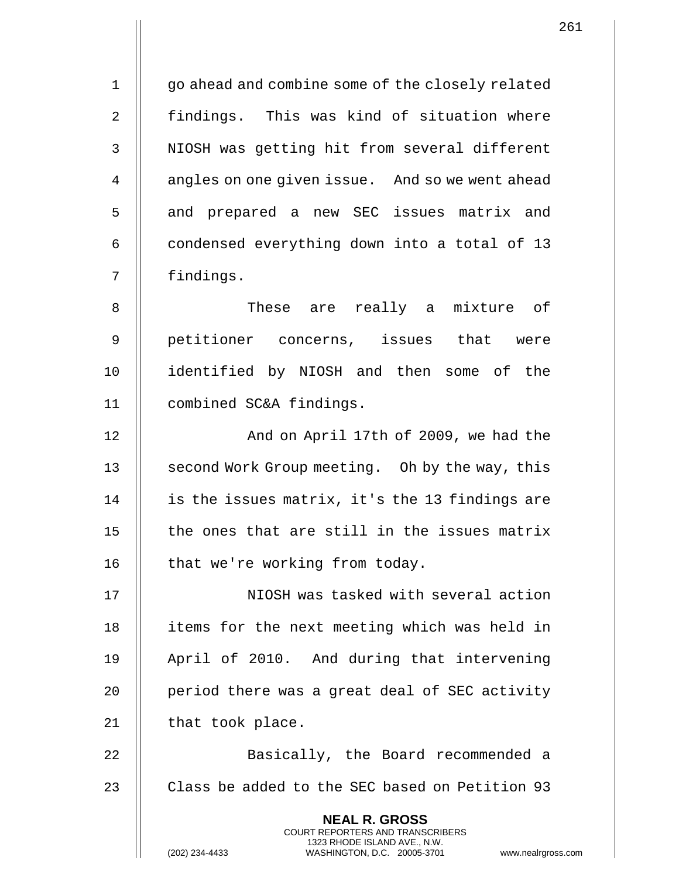1 | go ahead and combine some of the closely related 2 || findings. This was kind of situation where 3 || NIOSH was getting hit from several different 4 | angles on one given issue. And so we went ahead 5 || and prepared a new SEC issues matrix and 6  $\parallel$  condensed everything down into a total of 13 7 findings.

8 || These are really a mixture of 9 || petitioner concerns, issues that were 10 identified by NIOSH and then some of the 11 combined SC&A findings.

12 || Robert And on April 17th of 2009, we had the 13 || second Work Group meeting. Oh by the way, this 14 || is the issues matrix, it's the 13 findings are 15  $\parallel$  the ones that are still in the issues matrix 16 | that we're working from today.

17 || NIOSH was tasked with several action 18 || items for the next meeting which was held in 19 || April of 2010. And during that intervening 20 || period there was a great deal of SEC activity 21 | that took place.

22 || Basically, the Board recommended a 23  $\parallel$  Class be added to the SEC based on Petition 93

> **NEAL R. GROSS** COURT REPORTERS AND TRANSCRIBERS 1323 RHODE ISLAND AVE., N.W.

(202) 234-4433 WASHINGTON, D.C. 20005-3701 www.nealrgross.com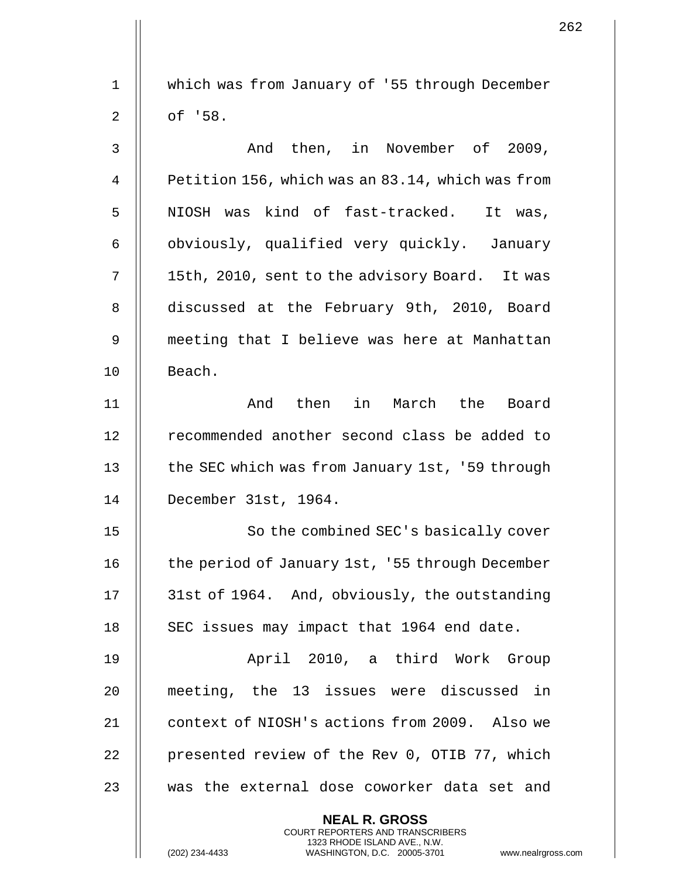1 which was from January of '55 through December  $2 \parallel$  of '58. 3 And then, in November of 2009, 4 | Petition 156, which was an 83.14, which was from 5 || NIOSH was kind of fast-tracked. It was, 6 | obviously, qualified very quickly. January 7 | 15th, 2010, sent to the advisory Board. It was 8 discussed at the February 9th, 2010, Board 9 meeting that I believe was here at Manhattan 10 | Beach. 11 And then in March the Board 12 || recommended another second class be added to 13 | the SEC which was from January 1st, '59 through 14 December 31st, 1964. 15 || So the combined SEC's basically cover 16 | the period of January 1st, '55 through December 17 31st of 1964. And, obviously, the outstanding 18 | SEC issues may impact that 1964 end date. 19 || April 2010, a third Work Group 20 meeting, the 13 issues were discussed in 21 || context of NIOSH's actions from 2009. Also we 22 | presented review of the Rev 0, OTIB 77, which 23 || was the external dose coworker data set and **NEAL R. GROSS** COURT REPORTERS AND TRANSCRIBERS

1323 RHODE ISLAND AVE., N.W.

(202) 234-4433 WASHINGTON, D.C. 20005-3701 www.nealrgross.com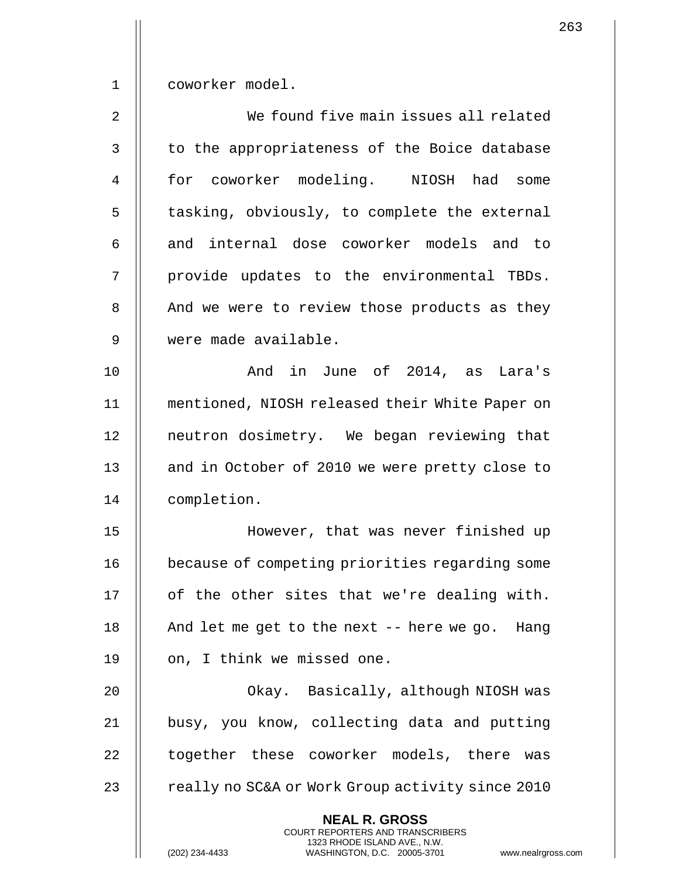1 coworker model.

2 We found five main issues all related 3 || to the appropriateness of the Boice database 4 for coworker modeling. NIOSH had some 5 | tasking, obviously, to complete the external  $6$  || and internal dose coworker models and to 7 || provide updates to the environmental TBDs. 8 | And we were to review those products as they 9 were made available.

10 And in June of 2014, as Lara's 11 mentioned, NIOSH released their White Paper on 12 || neutron dosimetry. We began reviewing that 13 || and in October of 2010 we were pretty close to 14 completion.

 However, that was never finished up because of competing priorities regarding some | of the other sites that we're dealing with.  $\parallel$  And let me get to the next -- here we go. Hang 19 || on, I think we missed one.

20 Okay. Basically, although NIOSH was 21 || busy, you know, collecting data and putting 22 || together these coworker models, there was 23 | really no SC&A or Work Group activity since 2010

> **NEAL R. GROSS** COURT REPORTERS AND TRANSCRIBERS 1323 RHODE ISLAND AVE., N.W.

263

(202) 234-4433 WASHINGTON, D.C. 20005-3701 www.nealrgross.com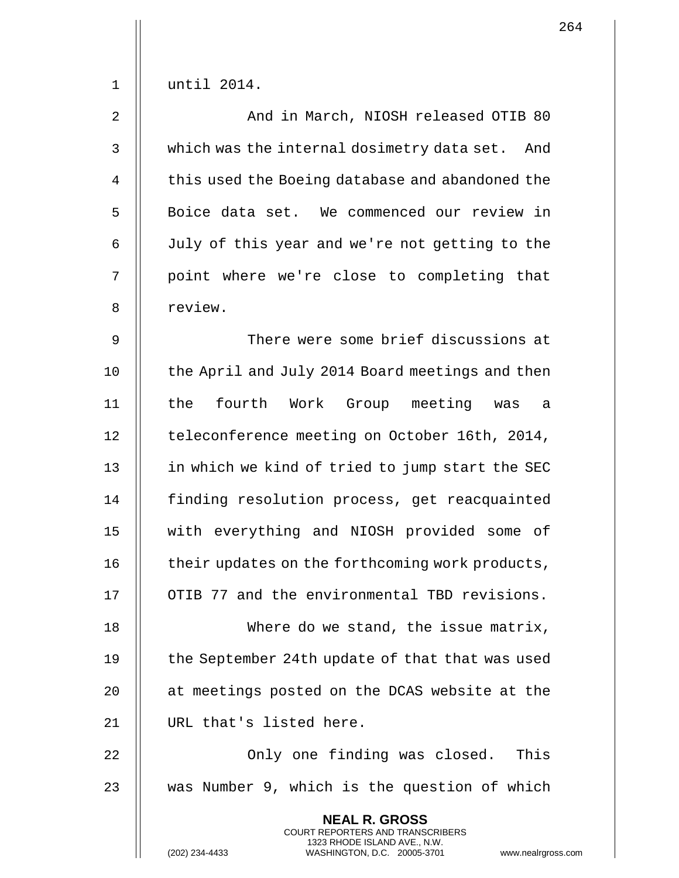1 until 2014. 2 || And in March, NIOSH released OTIB 80 3 Which was the internal dosimetry data set. And 4 | this used the Boeing database and abandoned the 5 | Boice data set. We commenced our review in 6 July of this year and we're not getting to the 7 || point where we're close to completing that 8 || review. 9 || There were some brief discussions at 10 | the April and July 2014 Board meetings and then 11 the fourth Work Group meeting was a 12 | teleconference meeting on October 16th, 2014, 13 || in which we kind of tried to jump start the SEC 14 | finding resolution process, get reacquainted 15 with everything and NIOSH provided some of 16 **their updates on the forthcoming work products,** 17 || OTIB 77 and the environmental TBD revisions. 18 || Where do we stand, the issue matrix, 19 | the September 24th update of that that was used 20 || at meetings posted on the DCAS website at the 21 URL that's listed here. 22 || Only one finding was closed. This 23  $\parallel$  was Number 9, which is the question of which **NEAL R. GROSS** COURT REPORTERS AND TRANSCRIBERS

1323 RHODE ISLAND AVE., N.W.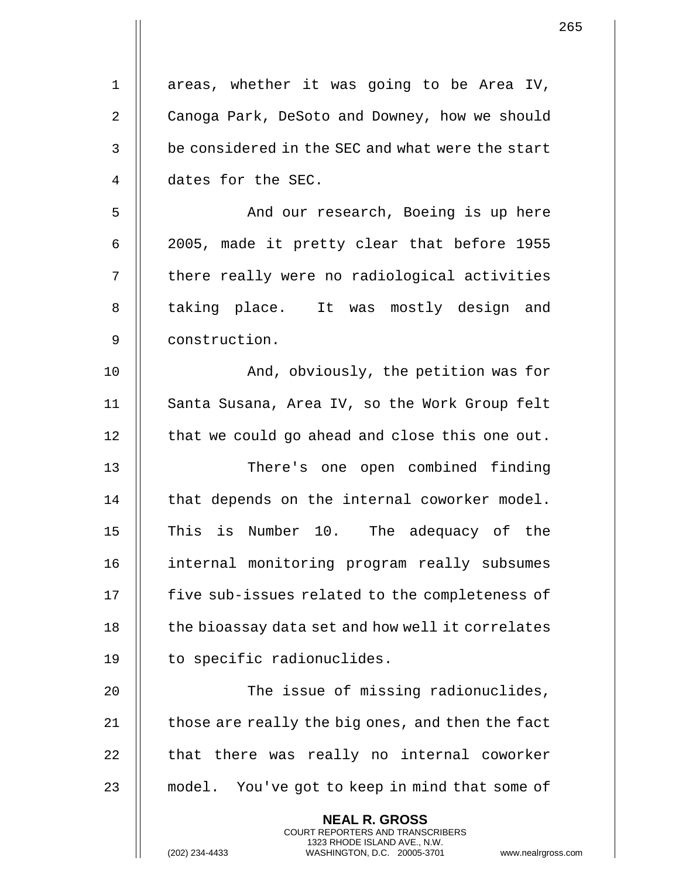| $\mathbf 1$ | areas, whether it was going to be Area IV,               |
|-------------|----------------------------------------------------------|
| 2           | Canoga Park, DeSoto and Downey, how we should            |
| 3           | be considered in the SEC and what were the start         |
| 4           | dates for the SEC.                                       |
| 5           | And our research, Boeing is up here                      |
| 6           | 2005, made it pretty clear that before 1955              |
| 7           | there really were no radiological activities             |
| 8           | taking place. It was mostly design and                   |
| 9           | construction.                                            |
| 10          | And, obviously, the petition was for                     |
| 11          | Santa Susana, Area IV, so the Work Group felt            |
| 12          | that we could go ahead and close this one out.           |
| 13          | There's one open combined finding                        |
| 14          | that depends on the internal coworker model.             |
| 15          | This is Number 10. The adequacy of the                   |
| 16          | internal monitoring program really subsumes              |
| 17          | five sub-issues related to the completeness of           |
| 18          | the bioassay data set and how well it correlates         |
| 19          | to specific radionuclides.                               |
| 20          | The issue of missing radionuclides,                      |
| 21          | those are really the big ones, and then the fact         |
| 22          | that there was really no internal coworker               |
| 23          | model. You've got to keep in mind that some of           |
|             | <b>NEAL R. GROSS</b><br>COURT REPORTERS AND TRANSCRIBERS |

1323 RHODE ISLAND AVE., N.W.

 $\prod$ 

(202) 234-4433 WASHINGTON, D.C. 20005-3701 www.nealrgross.com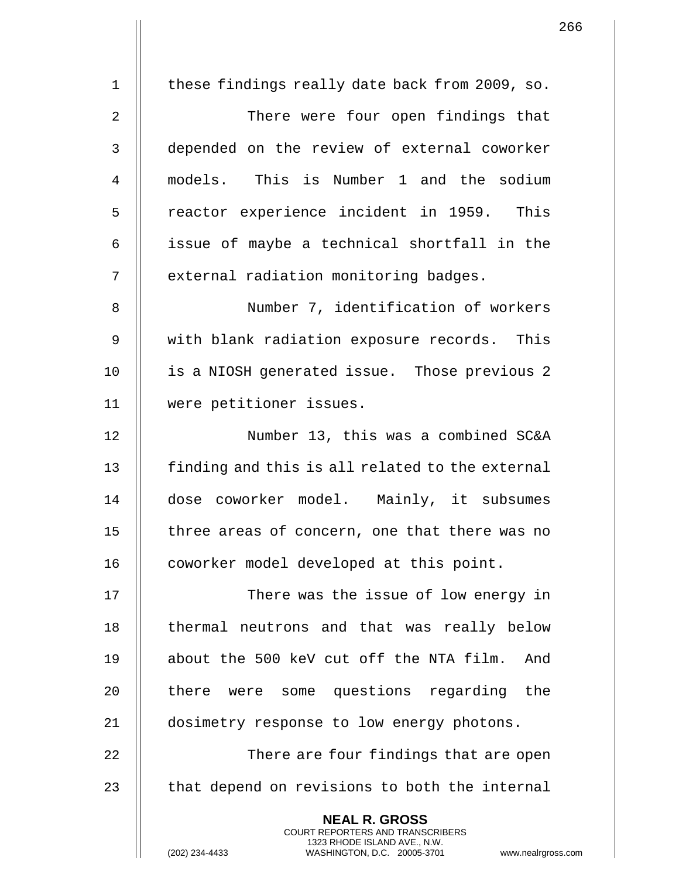1 | these findings really date back from 2009, so. 2 | There were four open findings that 3 depended on the review of external coworker 4 models. This is Number 1 and the sodium 5 || reactor experience incident in 1959. This  $6$  || issue of maybe a technical shortfall in the 7 | external radiation monitoring badges. 8 | Number 7, identification of workers 9 || with blank radiation exposure records. This 10 || is a NIOSH generated issue. Those previous 2 11 were petitioner issues. 12 Number 13, this was a combined SC&A  $13$   $\parallel$  finding and this is all related to the external 14 dose coworker model. Mainly, it subsumes 15 | three areas of concern, one that there was no 16 | coworker model developed at this point. 17 || There was the issue of low energy in 18 || thermal neutrons and that was really below 19 about the 500 keV cut off the NTA film. And 20 || there were some questions regarding the 21 | dosimetry response to low energy photons. 22 || There are four findings that are open  $23$   $\parallel$  that depend on revisions to both the internal **NEAL R. GROSS** COURT REPORTERS AND TRANSCRIBERS 1323 RHODE ISLAND AVE., N.W.

(202) 234-4433 WASHINGTON, D.C. 20005-3701 www.nealrgross.com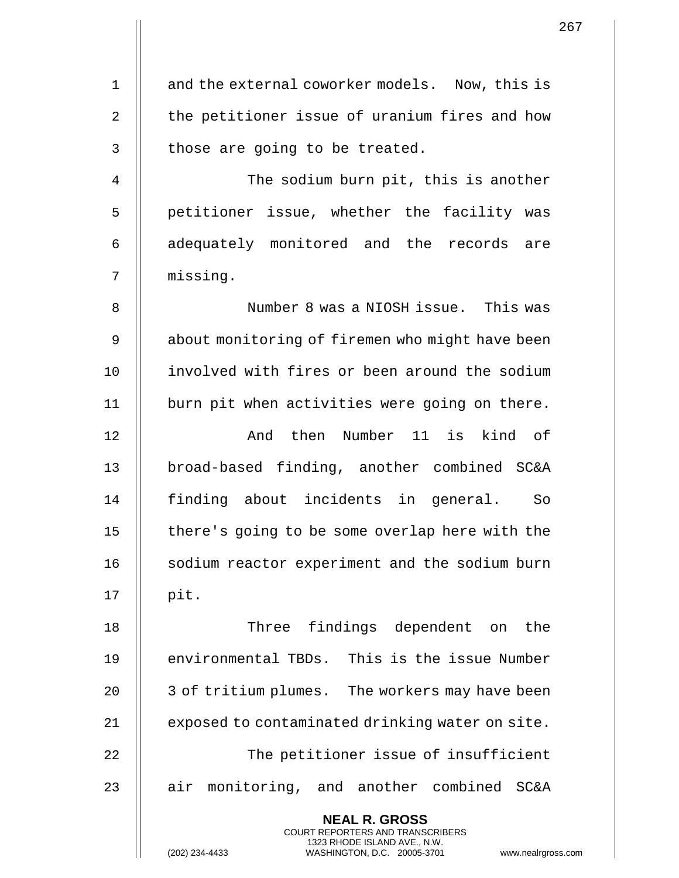1 || and the external coworker models. Now, this is 2  $\parallel$  the petitioner issue of uranium fires and how  $3$  | those are going to be treated. 4 The sodium burn pit, this is another 5 | petitioner issue, whether the facility was 6 || adequately monitored and the records are 7 missing. 8 || Number 8 was a NIOSH issue. This was 9 | about monitoring of firemen who might have been 10 || involved with fires or been around the sodium 11 || burn pit when activities were going on there. 12 || The Rumber 11 is kind of 13 || broad-based finding, another combined SC&A 14 || finding about incidents in general. So 15 || there's going to be some overlap here with the 16 | sodium reactor experiment and the sodium burn  $17$  || pit. 18 || Three findings dependent on the 19 || environmental TBDs. This is the issue Number 20 || 3 of tritium plumes. The workers may have been 21 | exposed to contaminated drinking water on site. 22 || The petitioner issue of insufficient 23  $\parallel$  air monitoring, and another combined SC&A **NEAL R. GROSS** COURT REPORTERS AND TRANSCRIBERS 1323 RHODE ISLAND AVE., N.W.

267

(202) 234-4433 WASHINGTON, D.C. 20005-3701 www.nealrgross.com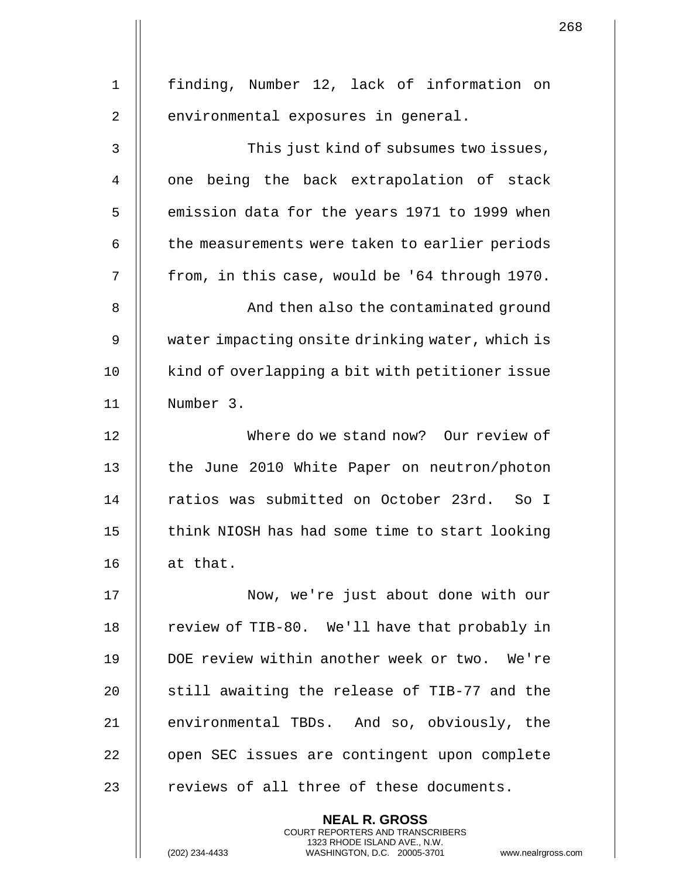| $\mathbf{1}$ | finding, Number 12, lack of information on      |
|--------------|-------------------------------------------------|
| 2            | environmental exposures in general.             |
| 3            | This just kind of subsumes two issues,          |
| 4            | one being the back extrapolation of stack       |
| 5            | emission data for the years 1971 to 1999 when   |
| 6            | the measurements were taken to earlier periods  |
| 7            | from, in this case, would be '64 through 1970.  |
| 8            | And then also the contaminated ground           |
| 9            | water impacting onsite drinking water, which is |
| 10           | kind of overlapping a bit with petitioner issue |
| 11           | Number 3.                                       |
| 12           | Where do we stand now? Our review of            |
| 13           | the June 2010 White Paper on neutron/photon     |
| 14           | ratios was submitted on October 23rd. So I      |
| 15           | think NIOSH has had some time to start looking  |
| 16           | at that.                                        |
| 17           | Now, we're just about done with our             |
| 18           | review of TIB-80. We'll have that probably in   |
| 19           | DOE review within another week or two. We're    |
| 20           | still awaiting the release of TIB-77 and the    |
| 21           | environmental TBDs. And so, obviously, the      |
| 22           | open SEC issues are contingent upon complete    |
| 23           | reviews of all three of these documents.        |
|              | <b>NEAL R. GROSS</b>                            |

COURT REPORTERS AND TRANSCRIBERS 1323 RHODE ISLAND AVE., N.W.

 $\mathsf{II}$ 

 $\mathbf{1}$  $\mathsf{l}\mathsf{l}$ 

(202) 234-4433 WASHINGTON, D.C. 20005-3701 www.nealrgross.com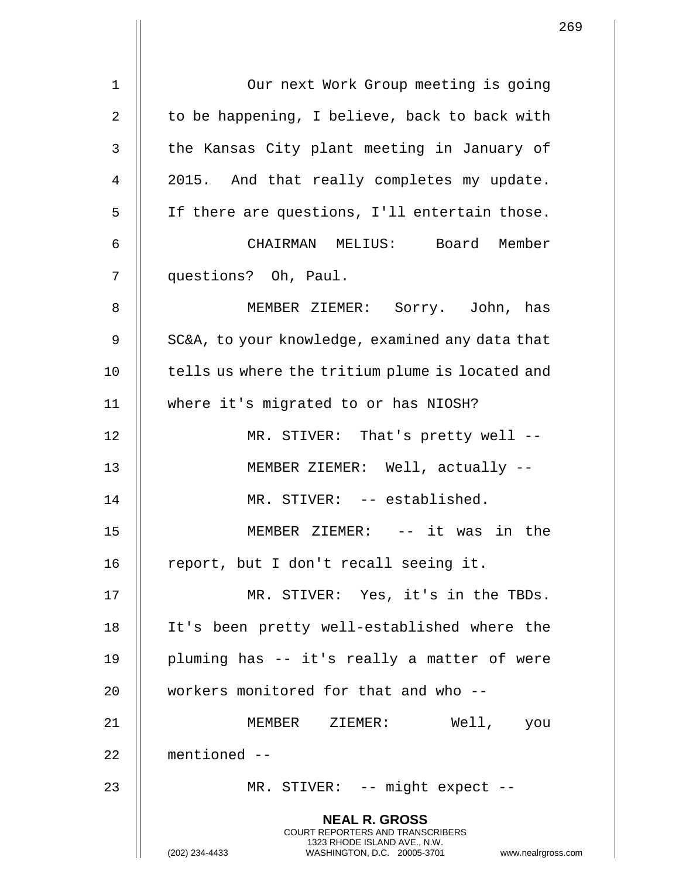|                |                                                                                                                                                                        | 269 |
|----------------|------------------------------------------------------------------------------------------------------------------------------------------------------------------------|-----|
| $1\,$          | Our next Work Group meeting is going                                                                                                                                   |     |
|                |                                                                                                                                                                        |     |
| $\overline{2}$ | to be happening, I believe, back to back with                                                                                                                          |     |
| 3              | the Kansas City plant meeting in January of                                                                                                                            |     |
| 4              | 2015. And that really completes my update.                                                                                                                             |     |
| 5              | If there are questions, I'll entertain those.                                                                                                                          |     |
| 6              | CHAIRMAN MELIUS: Board Member                                                                                                                                          |     |
| 7              | questions? Oh, Paul.                                                                                                                                                   |     |
| 8              | MEMBER ZIEMER: Sorry. John, has                                                                                                                                        |     |
| $\mathsf 9$    | SC&A, to your knowledge, examined any data that                                                                                                                        |     |
| 10             | tells us where the tritium plume is located and                                                                                                                        |     |
| 11             | where it's migrated to or has NIOSH?                                                                                                                                   |     |
| 12             | MR. STIVER: That's pretty well --                                                                                                                                      |     |
| 13             | MEMBER ZIEMER: Well, actually --                                                                                                                                       |     |
| 14             | MR. STIVER: -- established.                                                                                                                                            |     |
| 15             | MEMBER ZIEMER: -- it was in the                                                                                                                                        |     |
| 16             | report, but I don't recall seeing it.                                                                                                                                  |     |
| 17             | MR. STIVER: Yes, it's in the TBDs.                                                                                                                                     |     |
| 18             | It's been pretty well-established where the                                                                                                                            |     |
| 19             | pluming has -- it's really a matter of were                                                                                                                            |     |
| 20             | workers monitored for that and who --                                                                                                                                  |     |
| 21             | MEMBER ZIEMER:<br>Well, you                                                                                                                                            |     |
| 22             | mentioned $--$                                                                                                                                                         |     |
| 23             | MR. STIVER: -- might expect --                                                                                                                                         |     |
|                | <b>NEAL R. GROSS</b><br><b>COURT REPORTERS AND TRANSCRIBERS</b><br>1323 RHODE ISLAND AVE., N.W.<br>www.nealrgross.com<br>(202) 234-4433<br>WASHINGTON, D.C. 20005-3701 |     |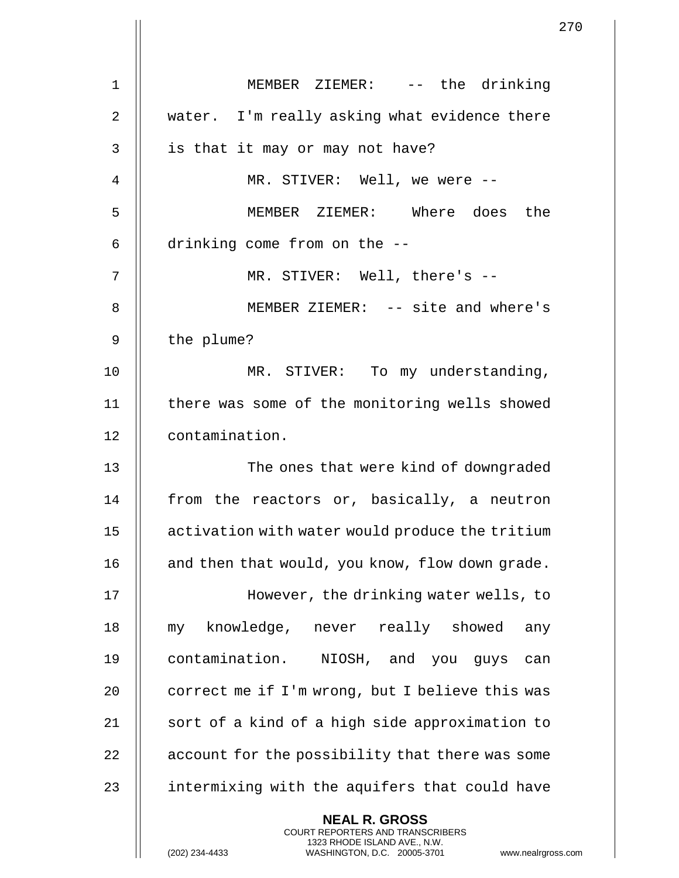|                | 2 <sup>7</sup>                                  |
|----------------|-------------------------------------------------|
| 1              | MEMBER ZIEMER: -- the drinking                  |
| $\overline{2}$ | water. I'm really asking what evidence there    |
| 3              | is that it may or may not have?                 |
| 4              | MR. STIVER: Well, we were --                    |
| 5              | MEMBER ZIEMER: Where does the                   |
| 6              | drinking come from on the --                    |
| 7              | MR. STIVER: Well, there's --                    |
| 8              | MEMBER ZIEMER: -- site and where's              |
| 9              | the plume?                                      |
| 10             | MR. STIVER: To my understanding,                |
| 11             | there was some of the monitoring wells showed   |
| 12             | contamination.                                  |
| 13             | The ones that were kind of downgraded           |
| 14             | from the reactors or, basically, a neutron      |
| 15             | activation with water would produce the tritium |
| 16             | and then that would, you know, flow down grade. |
| 17             | However, the drinking water wells, to           |
| 18             | my knowledge, never really showed<br>any        |
| 19             | contamination. NIOSH, and you guys<br>can       |
| 20             | correct me if I'm wrong, but I believe this was |
| 21             | sort of a kind of a high side approximation to  |
| 22             | account for the possibility that there was some |
| 23             | intermixing with the aquifers that could have   |
|                | <b>NEAL R. GROSS</b>                            |

COURT REPORTERS AND TRANSCRIBERS 1323 RHODE ISLAND AVE., N.W.

 $\prod$ 

(202) 234-4433 WASHINGTON, D.C. 20005-3701 www.nealrgross.com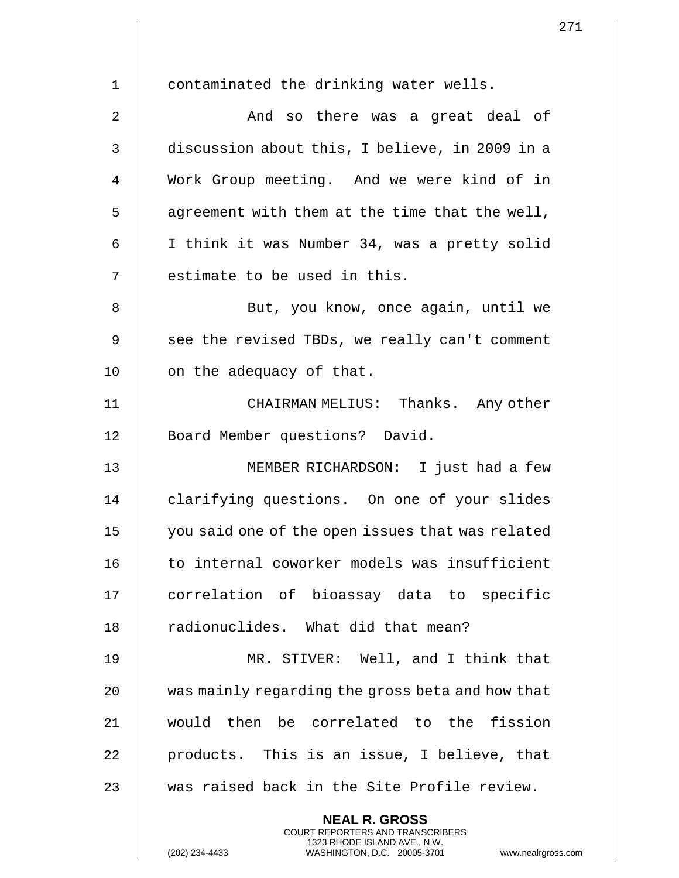| $\mathbf{1}$ | contaminated the drinking water wells.                                                       |
|--------------|----------------------------------------------------------------------------------------------|
| 2            | And so there was a great deal of                                                             |
| 3            | discussion about this, I believe, in 2009 in a                                               |
| 4            | Work Group meeting. And we were kind of in                                                   |
| 5            | agreement with them at the time that the well,                                               |
| 6            | I think it was Number 34, was a pretty solid                                                 |
| 7            | estimate to be used in this.                                                                 |
| 8            | But, you know, once again, until we                                                          |
| 9            | see the revised TBDs, we really can't comment                                                |
| 10           | on the adequacy of that.                                                                     |
| 11           | CHAIRMAN MELIUS: Thanks. Any other                                                           |
| 12           | Board Member questions? David.                                                               |
| 13           | MEMBER RICHARDSON: I just had a few                                                          |
| 14           | clarifying questions. On one of your slides                                                  |
| 15           | you said one of the open issues that was related                                             |
| 16           | to internal coworker models was insufficient                                                 |
| 17           | correlation of bioassay data to specific                                                     |
| 18           | radionuclides. What did that mean?                                                           |
| 19           | MR. STIVER: Well, and I think that                                                           |
| 20           | was mainly regarding the gross beta and how that                                             |
| 21           | would then be correlated to the fission                                                      |
| 22           | products. This is an issue, I believe, that                                                  |
| 23           | was raised back in the Site Profile review.                                                  |
|              | <b>NEAL R. GROSS</b><br><b>COURT REPORTERS AND TRANSCRIBERS</b>                              |
|              | 1323 RHODE ISLAND AVE., N.W.<br>WASHINGTON, D.C. 20005-3701 www.nealrgross<br>(202) 234-4433 |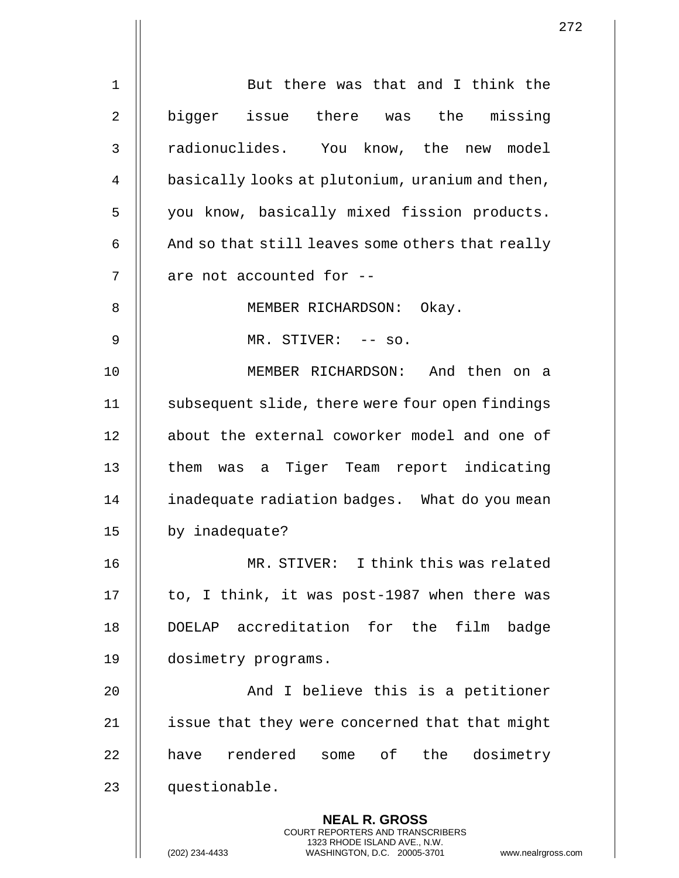|             | $\overline{2}$                                                                                                                                                      |
|-------------|---------------------------------------------------------------------------------------------------------------------------------------------------------------------|
| $\mathbf 1$ | But there was that and I think the                                                                                                                                  |
| 2           | bigger issue there was the missing                                                                                                                                  |
| 3           | radionuclides. You know, the new model                                                                                                                              |
| 4           | basically looks at plutonium, uranium and then,                                                                                                                     |
| 5           | you know, basically mixed fission products.                                                                                                                         |
| 6           | And so that still leaves some others that really                                                                                                                    |
| 7           | are not accounted for --                                                                                                                                            |
| 8           | MEMBER RICHARDSON: Okay.                                                                                                                                            |
| 9           | MR. STIVER: -- so.                                                                                                                                                  |
| 10          | MEMBER RICHARDSON: And then on a                                                                                                                                    |
| 11          | subsequent slide, there were four open findings                                                                                                                     |
| 12          | about the external coworker model and one of                                                                                                                        |
| 13          | them was a Tiger Team report indicating                                                                                                                             |
| 14          | inadequate radiation badges. What do you mean                                                                                                                       |
| 15          | by inadequate?                                                                                                                                                      |
| 16          | MR. STIVER: I think this was related                                                                                                                                |
| 17          | to, I think, it was post-1987 when there was                                                                                                                        |
| 18          | DOELAP accreditation for the film badge                                                                                                                             |
| 19          | dosimetry programs.                                                                                                                                                 |
| 20          | And I believe this is a petitioner                                                                                                                                  |
| 21          | issue that they were concerned that that might                                                                                                                      |
| 22          | have rendered some of the dosimetry                                                                                                                                 |
| 23          | questionable.                                                                                                                                                       |
|             | <b>NEAL R. GROSS</b><br><b>COURT REPORTERS AND TRANSCRIBERS</b><br>1323 RHODE ISLAND AVE., N.W.<br>(202) 234-4433<br>WASHINGTON, D.C. 20005-3701<br>www.nealrgross. |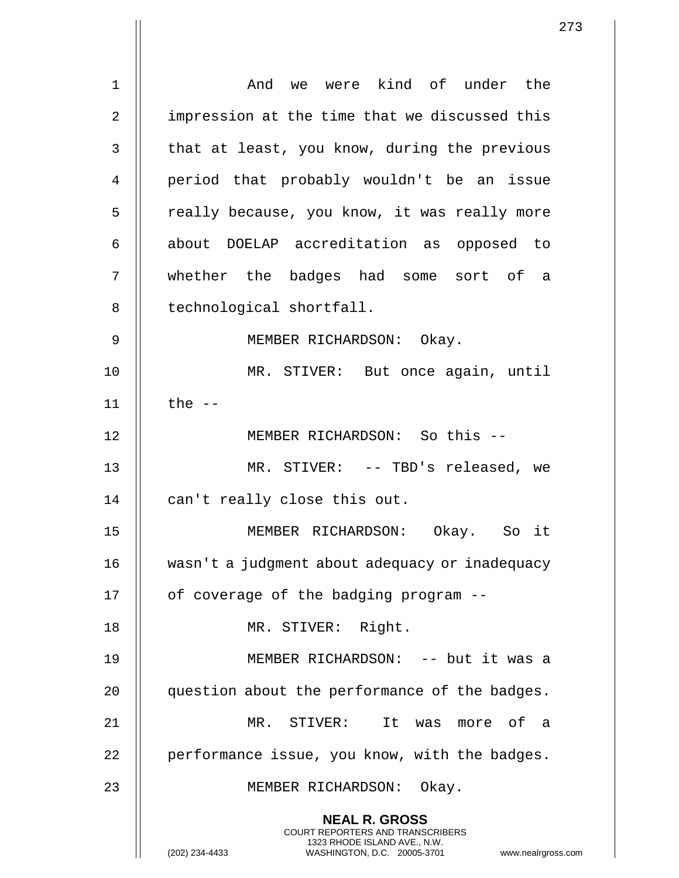|    | 2                                                                                                                                                                   |
|----|---------------------------------------------------------------------------------------------------------------------------------------------------------------------|
| 1  | And we were kind of under the                                                                                                                                       |
| 2  | impression at the time that we discussed this                                                                                                                       |
| 3  | that at least, you know, during the previous                                                                                                                        |
| 4  | period that probably wouldn't be an issue                                                                                                                           |
| 5  | really because, you know, it was really more                                                                                                                        |
| 6  | about DOELAP accreditation as opposed to                                                                                                                            |
| 7  | whether the badges had some sort of a                                                                                                                               |
| 8  | technological shortfall.                                                                                                                                            |
| 9  | MEMBER RICHARDSON: Okay.                                                                                                                                            |
| 10 | MR. STIVER: But once again, until                                                                                                                                   |
| 11 | the $--$                                                                                                                                                            |
| 12 | MEMBER RICHARDSON: So this --                                                                                                                                       |
| 13 | MR. STIVER: -- TBD's released, we                                                                                                                                   |
| 14 |                                                                                                                                                                     |
|    | can't really close this out.                                                                                                                                        |
| 15 | MEMBER RICHARDSON: Okay. So it                                                                                                                                      |
| 16 | wasn't a judgment about adequacy or inadequacy                                                                                                                      |
| 17 | of coverage of the badging program --                                                                                                                               |
| 18 | MR. STIVER: Right.                                                                                                                                                  |
| 19 | MEMBER RICHARDSON: -- but it was a                                                                                                                                  |
| 20 | question about the performance of the badges.                                                                                                                       |
| 21 | MR. STIVER: It was more of a                                                                                                                                        |
| 22 | performance issue, you know, with the badges.                                                                                                                       |
| 23 | MEMBER RICHARDSON: Okay.                                                                                                                                            |
|    | <b>NEAL R. GROSS</b><br><b>COURT REPORTERS AND TRANSCRIBERS</b><br>1323 RHODE ISLAND AVE., N.W.<br>WASHINGTON, D.C. 20005-3701<br>(202) 234-4433<br>www.nealrgross. |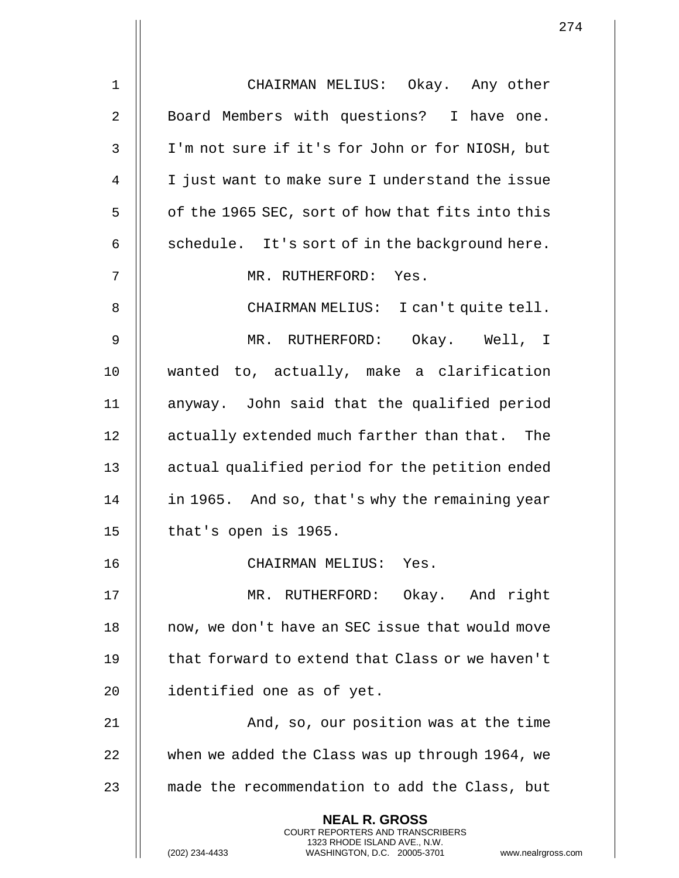1 CHAIRMAN MELIUS: Okay. Any other 2 | Board Members with questions? I have one. 3 I'm not sure if it's for John or for NIOSH, but 4 || I just want to make sure I understand the issue  $5 \parallel$  of the 1965 SEC, sort of how that fits into this 6  $\parallel$  schedule. It's sort of in the background here. 7 MR. RUTHERFORD: Yes. 8 | CHAIRMAN MELIUS: I can't quite tell. 9 MR. RUTHERFORD: Okay. Well, I 10 wanted to, actually, make a clarification 11 anyway. John said that the qualified period 12 || actually extended much farther than that. The 13 || actual qualified period for the petition ended 14 | in 1965. And so, that's why the remaining year  $15$  || that's open is 1965. 16 CHAIRMAN MELIUS: Yes. 17 MR. RUTHERFORD: Okay. And right 18 || now, we don't have an SEC issue that would move 19 || that forward to extend that Class or we haven't 20 || identified one as of yet. 21 || And, so, our position was at the time 22 | when we added the Class was up through 1964, we 23 || made the recommendation to add the Class, but **NEAL R. GROSS** COURT REPORTERS AND TRANSCRIBERS 1323 RHODE ISLAND AVE., N.W. (202) 234-4433 WASHINGTON, D.C. 20005-3701 www.nealrgross.com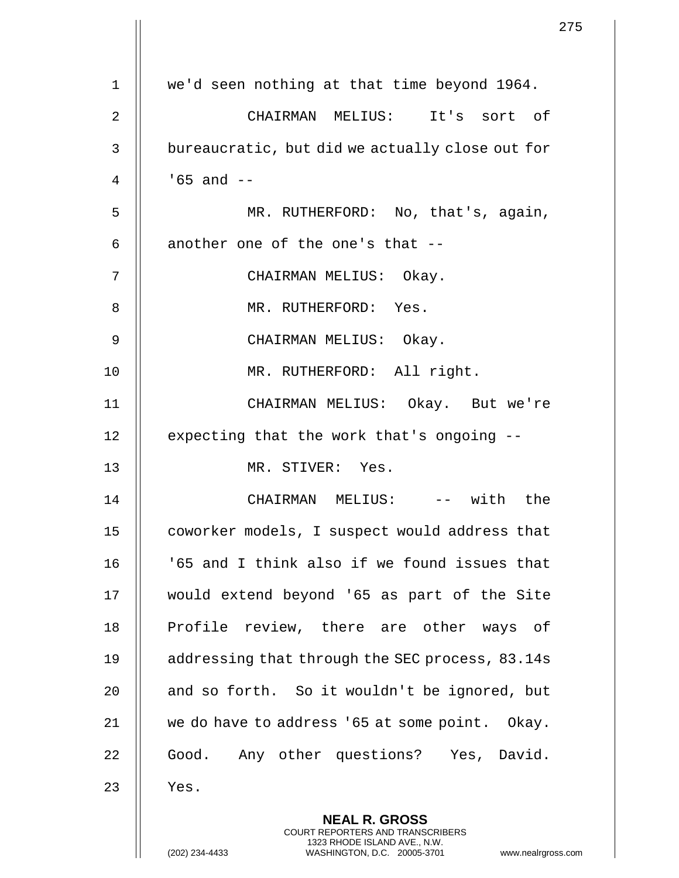|    | 275                                                                                                                                                                    |
|----|------------------------------------------------------------------------------------------------------------------------------------------------------------------------|
| 1  | we'd seen nothing at that time beyond 1964.                                                                                                                            |
|    |                                                                                                                                                                        |
| 2  | CHAIRMAN MELIUS: It's sort of                                                                                                                                          |
| 3  | bureaucratic, but did we actually close out for                                                                                                                        |
| 4  | $165$ and $-$                                                                                                                                                          |
| 5  | MR. RUTHERFORD: No, that's, again,                                                                                                                                     |
| 6  | another one of the one's that --                                                                                                                                       |
| 7  | CHAIRMAN MELIUS: Okay.                                                                                                                                                 |
| 8  | MR. RUTHERFORD: Yes.                                                                                                                                                   |
| 9  | CHAIRMAN MELIUS: Okay.                                                                                                                                                 |
| 10 | MR. RUTHERFORD: All right.                                                                                                                                             |
| 11 | CHAIRMAN MELIUS: Okay. But we're                                                                                                                                       |
| 12 | expecting that the work that's ongoing --                                                                                                                              |
| 13 | MR. STIVER: Yes.                                                                                                                                                       |
| 14 | CHAIRMAN MELIUS: -- with the                                                                                                                                           |
| 15 | coworker models, I suspect would address that                                                                                                                          |
| 16 | '65 and I think also if we found issues that                                                                                                                           |
| 17 | would extend beyond '65 as part of the Site                                                                                                                            |
| 18 | Profile review, there are other ways of                                                                                                                                |
| 19 | addressing that through the SEC process, 83.14s                                                                                                                        |
| 20 | and so forth. So it wouldn't be ignored, but                                                                                                                           |
| 21 | we do have to address '65 at some point. Okay.                                                                                                                         |
| 22 | Good. Any other questions? Yes, David.                                                                                                                                 |
| 23 | Yes.                                                                                                                                                                   |
|    | <b>NEAL R. GROSS</b><br><b>COURT REPORTERS AND TRANSCRIBERS</b><br>1323 RHODE ISLAND AVE., N.W.<br>(202) 234-4433<br>WASHINGTON, D.C. 20005-3701<br>www.nealrgross.com |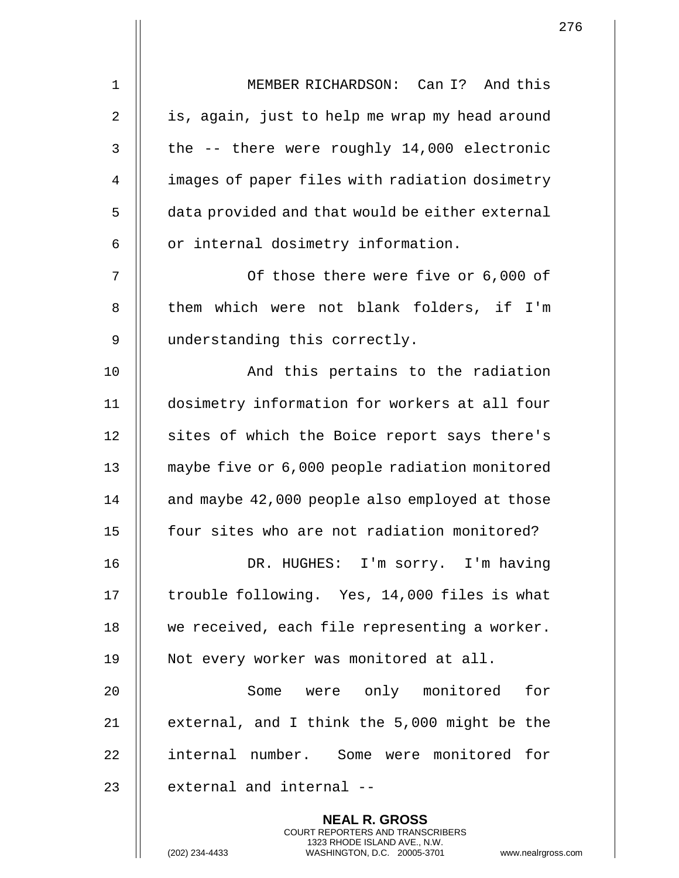| $\mathbf 1$ | MEMBER RICHARDSON: Can I? And this                                                                                                                                |
|-------------|-------------------------------------------------------------------------------------------------------------------------------------------------------------------|
| 2           | is, again, just to help me wrap my head around                                                                                                                    |
| 3           | the -- there were roughly 14,000 electronic                                                                                                                       |
| 4           | images of paper files with radiation dosimetry                                                                                                                    |
| 5           | data provided and that would be either external                                                                                                                   |
| 6           | or internal dosimetry information.                                                                                                                                |
| 7           | Of those there were five or 6,000 of                                                                                                                              |
| 8           | them which were not blank folders, if I'm                                                                                                                         |
| 9           | understanding this correctly.                                                                                                                                     |
| 10          | And this pertains to the radiation                                                                                                                                |
| 11          | dosimetry information for workers at all four                                                                                                                     |
| 12          | sites of which the Boice report says there's                                                                                                                      |
| 13          | maybe five or 6,000 people radiation monitored                                                                                                                    |
| 14          | and maybe 42,000 people also employed at those                                                                                                                    |
| 15          | four sites who are not radiation monitored?                                                                                                                       |
| 16          | DR. HUGHES: I'm sorry. I'm having                                                                                                                                 |
| 17          | trouble following. Yes, 14,000 files is what                                                                                                                      |
| 18          | we received, each file representing a worker.                                                                                                                     |
| 19          | Not every worker was monitored at all.                                                                                                                            |
| 20          | Some were only monitored<br>for                                                                                                                                   |
| 21          | external, and I think the 5,000 might be the                                                                                                                      |
| 22          | internal number. Some were monitored for                                                                                                                          |
| 23          | external and internal --                                                                                                                                          |
|             | <b>NEAL R. GROSS</b><br><b>COURT REPORTERS AND TRANSCRIBERS</b><br>1323 RHODE ISLAND AVE., N.W.<br>(202) 234-4433<br>WASHINGTON, D.C. 20005-3701<br>www.nealrgros |

(202) 234-4433 WASHINGTON, D.C. 20005-3701 www.nealrgross.com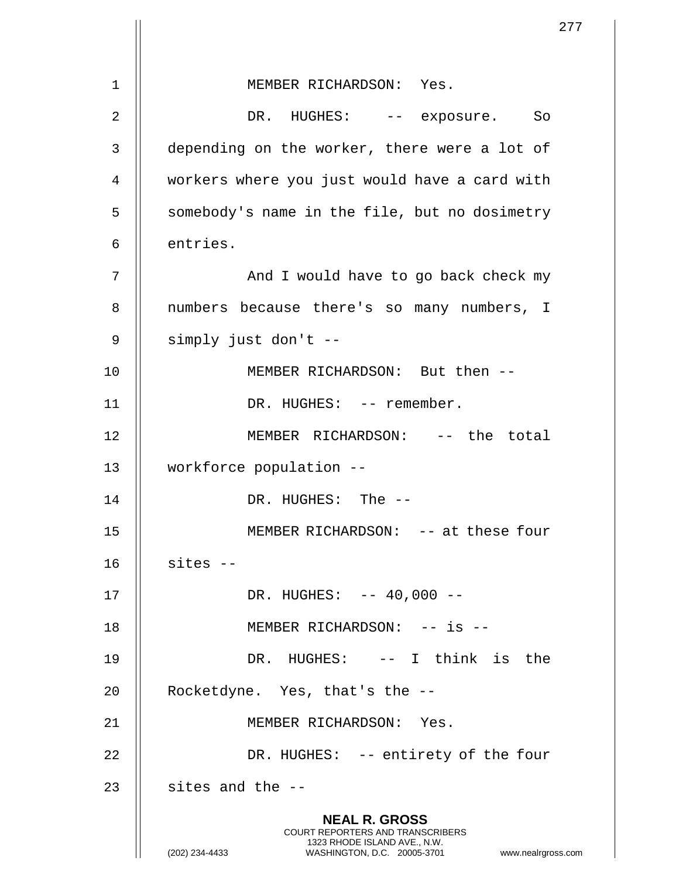|                |                                                                                                                                                                        | 277 |
|----------------|------------------------------------------------------------------------------------------------------------------------------------------------------------------------|-----|
| $\mathbf 1$    | MEMBER RICHARDSON: Yes.                                                                                                                                                |     |
|                |                                                                                                                                                                        |     |
| $\overline{2}$ | DR. HUGHES: -- exposure. So                                                                                                                                            |     |
| 3              | depending on the worker, there were a lot of                                                                                                                           |     |
| 4              | workers where you just would have a card with                                                                                                                          |     |
| 5              | somebody's name in the file, but no dosimetry                                                                                                                          |     |
| 6              | entries.                                                                                                                                                               |     |
| 7              | And I would have to go back check my                                                                                                                                   |     |
| 8              | numbers because there's so many numbers, I                                                                                                                             |     |
| 9              | simply just don't --                                                                                                                                                   |     |
| 10             | MEMBER RICHARDSON: But then --                                                                                                                                         |     |
| 11             | DR. HUGHES: -- remember.                                                                                                                                               |     |
| 12             | MEMBER RICHARDSON: -- the total                                                                                                                                        |     |
| 13             | workforce population --                                                                                                                                                |     |
| 14             | DR. HUGHES: The --                                                                                                                                                     |     |
| 15             | MEMBER RICHARDSON: -- at these four                                                                                                                                    |     |
| 16             | $sites --$                                                                                                                                                             |     |
| 17             | DR. HUGHES: -- 40,000 --                                                                                                                                               |     |
| 18             | MEMBER RICHARDSON: -- is --                                                                                                                                            |     |
| 19             | DR. HUGHES: -- I think is the                                                                                                                                          |     |
| 20             | Rocketdyne. Yes, that's the --                                                                                                                                         |     |
| 21             | MEMBER RICHARDSON: Yes.                                                                                                                                                |     |
| 22             | DR. HUGHES: -- entirety of the four                                                                                                                                    |     |
| 23             | sites and the --                                                                                                                                                       |     |
|                | <b>NEAL R. GROSS</b><br><b>COURT REPORTERS AND TRANSCRIBERS</b><br>1323 RHODE ISLAND AVE., N.W.<br>(202) 234-4433<br>WASHINGTON, D.C. 20005-3701<br>www.nealrgross.com |     |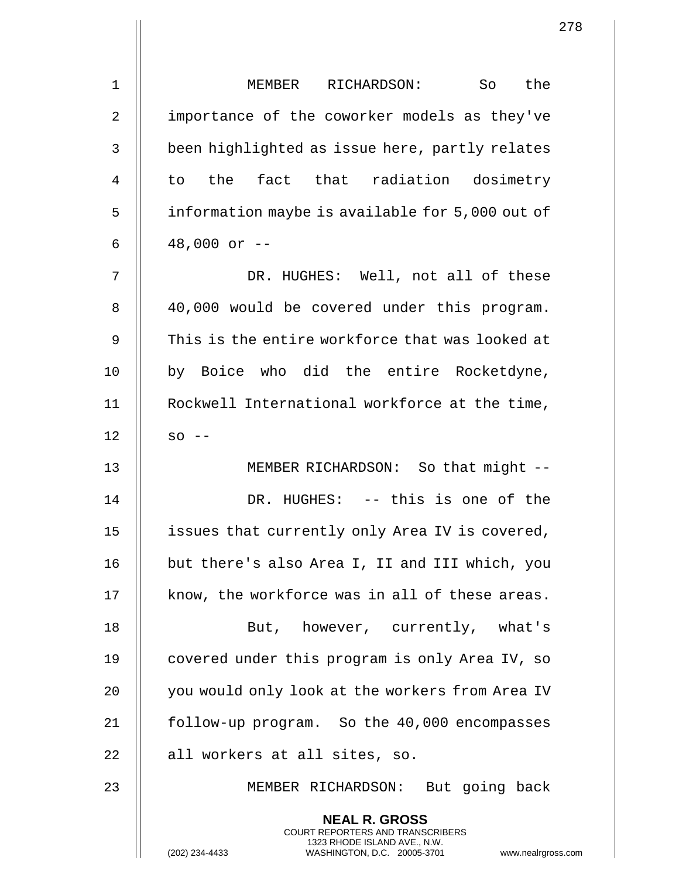| $\mathbf 1$    | the<br>MEMBER RICHARDSON:<br>So So                                                                                                                                |
|----------------|-------------------------------------------------------------------------------------------------------------------------------------------------------------------|
| $\overline{2}$ | importance of the coworker models as they've                                                                                                                      |
| 3              | been highlighted as issue here, partly relates                                                                                                                    |
| 4              | to the fact that radiation dosimetry                                                                                                                              |
| 5              | information maybe is available for 5,000 out of                                                                                                                   |
| 6              | $48,000$ or $-$                                                                                                                                                   |
| 7              | DR. HUGHES: Well, not all of these                                                                                                                                |
| 8              | 40,000 would be covered under this program.                                                                                                                       |
| 9              | This is the entire workforce that was looked at                                                                                                                   |
| 10             | by Boice who did the entire Rocketdyne,                                                                                                                           |
| 11             | Rockwell International workforce at the time,                                                                                                                     |
| 12             | $SO = -$                                                                                                                                                          |
| 13             | MEMBER RICHARDSON: So that might --                                                                                                                               |
| 14             | DR. HUGHES: -- this is one of the                                                                                                                                 |
| 15             | issues that currently only Area IV is covered,                                                                                                                    |
| 16             | but there's also Area I, II and III which, you                                                                                                                    |
| 17             | know, the workforce was in all of these areas.                                                                                                                    |
| 18             | But, however, currently, what's                                                                                                                                   |
| 19             | covered under this program is only Area IV, so                                                                                                                    |
| 20             | you would only look at the workers from Area IV                                                                                                                   |
| 21             | follow-up program. So the 40,000 encompasses                                                                                                                      |
| 22             | all workers at all sites, so.                                                                                                                                     |
| 23             | MEMBER RICHARDSON: But going back                                                                                                                                 |
|                | <b>NEAL R. GROSS</b><br><b>COURT REPORTERS AND TRANSCRIBERS</b><br>1323 RHODE ISLAND AVE., N.W.<br>(202) 234-4433<br>www.nealrgros<br>WASHINGTON, D.C. 20005-3701 |

(202) 234-4433 WASHINGTON, D.C. 20005-3701 www.nealrgross.com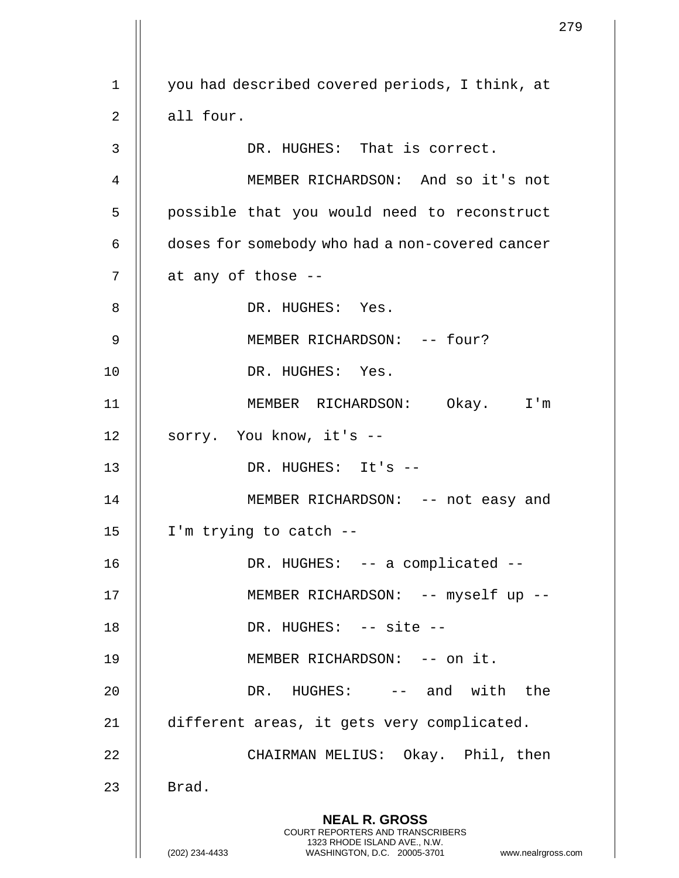|             |                                                                                                                                                                     | 279 |
|-------------|---------------------------------------------------------------------------------------------------------------------------------------------------------------------|-----|
| $\mathbf 1$ | you had described covered periods, I think, at                                                                                                                      |     |
|             |                                                                                                                                                                     |     |
| 2           | all four.                                                                                                                                                           |     |
| 3           | DR. HUGHES: That is correct.                                                                                                                                        |     |
| 4           | MEMBER RICHARDSON: And so it's not                                                                                                                                  |     |
| 5           | possible that you would need to reconstruct                                                                                                                         |     |
| 6           | doses for somebody who had a non-covered cancer                                                                                                                     |     |
| 7           | at any of those --                                                                                                                                                  |     |
| 8           | DR. HUGHES: Yes.                                                                                                                                                    |     |
| 9           | MEMBER RICHARDSON: -- four?                                                                                                                                         |     |
| 10          | DR. HUGHES: Yes.                                                                                                                                                    |     |
| 11          | MEMBER RICHARDSON: Okay. I'm                                                                                                                                        |     |
| 12          | sorry. You know, it's --                                                                                                                                            |     |
| 13          | DR. HUGHES: It's --                                                                                                                                                 |     |
| 14          | MEMBER RICHARDSON: -- not easy and                                                                                                                                  |     |
| 15          | I'm trying to catch --                                                                                                                                              |     |
| 16          | DR. HUGHES: -- a complicated --                                                                                                                                     |     |
| 17          | MEMBER RICHARDSON: -- myself up --                                                                                                                                  |     |
| 18          | DR. HUGHES: -- site --                                                                                                                                              |     |
| 19          | MEMBER RICHARDSON: -- on it.                                                                                                                                        |     |
| 20          | DR. HUGHES: -- and with the                                                                                                                                         |     |
| 21          | different areas, it gets very complicated.                                                                                                                          |     |
| 22          | CHAIRMAN MELIUS: Okay. Phil, then                                                                                                                                   |     |
| 23          | Brad.                                                                                                                                                               |     |
|             | <b>NEAL R. GROSS</b><br><b>COURT REPORTERS AND TRANSCRIBERS</b><br>1323 RHODE ISLAND AVE., N.W.<br>(202) 234-4433<br>WASHINGTON, D.C. 20005-3701 www.nealrgross.com |     |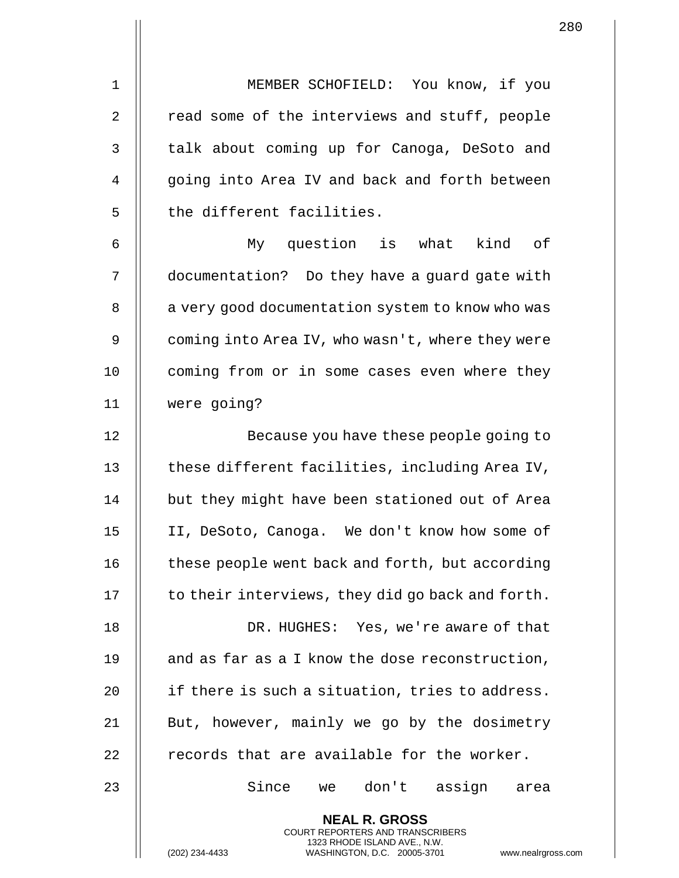1 MEMBER SCHOFIELD: You know, if you 2 || read some of the interviews and stuff, people 3 | talk about coming up for Canoga, DeSoto and 4 || qoing into Area IV and back and forth between

6 My question is what kind of 7 | documentation? Do they have a guard gate with 8 | a very good documentation system to know who was 9 | coming into Area IV, who wasn't, where they were 10 || coming from or in some cases even where they 11 were going?

5 || the different facilities.

12 || Because you have these people going to 13  $\parallel$  these different facilities, including Area IV, 14 | but they might have been stationed out of Area 15 II, DeSoto, Canoga. We don't know how some of 16 | these people went back and forth, but according  $17$   $\parallel$  to their interviews, they did go back and forth.

18 || DR. HUGHES: Yes, we're aware of that 19  $\parallel$  and as far as a I know the dose reconstruction, 20  $\parallel$  if there is such a situation, tries to address. 21 || But, however, mainly we go by the dosimetry 22  $\parallel$  records that are available for the worker.

23 Since we don't assign area

**NEAL R. GROSS** COURT REPORTERS AND TRANSCRIBERS 1323 RHODE ISLAND AVE., N.W.

(202) 234-4433 WASHINGTON, D.C. 20005-3701 www.nealrgross.com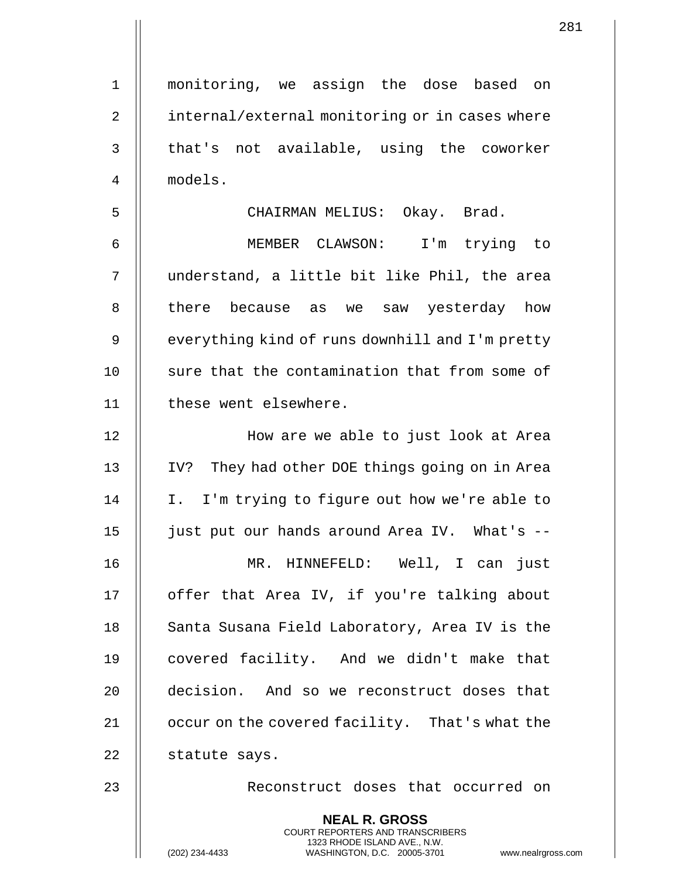1 monitoring, we assign the dose based on 2 | internal/external monitoring or in cases where  $3$   $\parallel$  that's not available, using the coworker 4 models. 5 CHAIRMAN MELIUS: Okay. Brad. 6 MEMBER CLAWSON: I'm trying to 7 understand, a little bit like Phil, the area 8 || there because as we saw yesterday how 9 | everything kind of runs downhill and I'm pretty 10 || sure that the contamination that from some of 11 | these went elsewhere. 12 || How are we able to just look at Area 13 IV? They had other DOE things going on in Area 14 || I. I'm trying to figure out how we're able to 15 just put our hands around Area IV. What's -- 16 MR. HINNEFELD: Well, I can just 17 || offer that Area IV, if you're talking about 18 || Santa Susana Field Laboratory, Area IV is the 19 || covered facility. And we didn't make that 20 || decision. And so we reconstruct doses that 21 | occur on the covered facility. That's what the 22 | statute says. 23 || Reconstruct doses that occurred on

> **NEAL R. GROSS** COURT REPORTERS AND TRANSCRIBERS 1323 RHODE ISLAND AVE., N.W.

(202) 234-4433 WASHINGTON, D.C. 20005-3701 www.nealrgross.com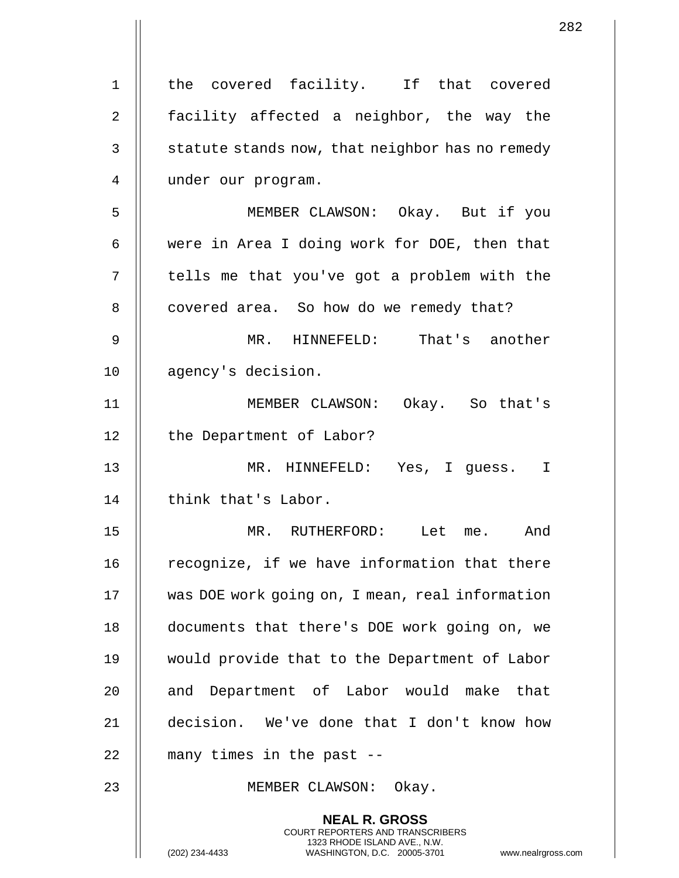|                |                                                                                                                                                                        | 282 |
|----------------|------------------------------------------------------------------------------------------------------------------------------------------------------------------------|-----|
| $\mathbf 1$    | the covered facility. If that covered                                                                                                                                  |     |
| $\overline{2}$ | facility affected a neighbor, the way the                                                                                                                              |     |
| 3              | statute stands now, that neighbor has no remedy                                                                                                                        |     |
| 4              | under our program.                                                                                                                                                     |     |
| 5              | MEMBER CLAWSON: Okay. But if you                                                                                                                                       |     |
| 6              | were in Area I doing work for DOE, then that                                                                                                                           |     |
|                |                                                                                                                                                                        |     |
| 7              | tells me that you've got a problem with the                                                                                                                            |     |
| 8              | covered area. So how do we remedy that?                                                                                                                                |     |
| 9              | MR. HINNEFELD: That's another                                                                                                                                          |     |
| 10             | agency's decision.                                                                                                                                                     |     |
| 11             | MEMBER CLAWSON: Okay. So that's                                                                                                                                        |     |
| 12             | the Department of Labor?                                                                                                                                               |     |
| 13             | MR. HINNEFELD: Yes, I guess. I                                                                                                                                         |     |
| 14             | think that's Labor.                                                                                                                                                    |     |
| 15             | MR. RUTHERFORD: Let me. And                                                                                                                                            |     |
| 16             | recognize, if we have information that there                                                                                                                           |     |
| 17             | was DOE work going on, I mean, real information                                                                                                                        |     |
| 18             | documents that there's DOE work going on, we                                                                                                                           |     |
| 19             | would provide that to the Department of Labor                                                                                                                          |     |
| 20             | and Department of Labor would make that                                                                                                                                |     |
| 21             | decision. We've done that I don't know how                                                                                                                             |     |
| 22             | many times in the past --                                                                                                                                              |     |
| 23             | MEMBER CLAWSON: Okay.                                                                                                                                                  |     |
|                | <b>NEAL R. GROSS</b><br><b>COURT REPORTERS AND TRANSCRIBERS</b><br>1323 RHODE ISLAND AVE., N.W.<br>(202) 234-4433<br>WASHINGTON, D.C. 20005-3701<br>www.nealrgross.com |     |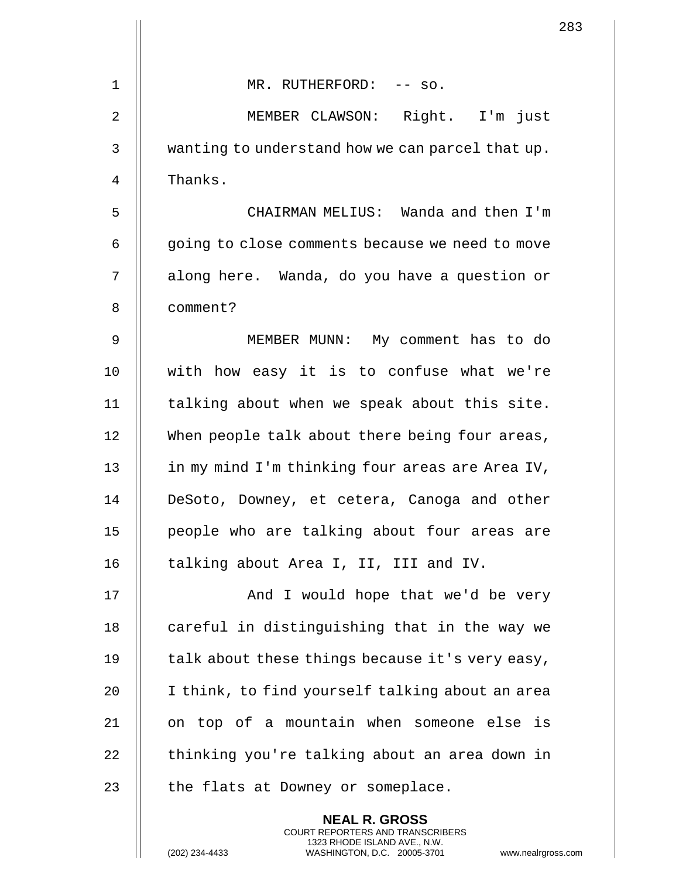|             |                                                                                                                                                                      | $\overline{2}$ |
|-------------|----------------------------------------------------------------------------------------------------------------------------------------------------------------------|----------------|
| 1           | MR. RUTHERFORD: -- so.                                                                                                                                               |                |
|             |                                                                                                                                                                      |                |
| 2           | MEMBER CLAWSON: Right. I'm just                                                                                                                                      |                |
| 3           | wanting to understand how we can parcel that up.                                                                                                                     |                |
| 4           | Thanks.                                                                                                                                                              |                |
| 5           | CHAIRMAN MELIUS: Wanda and then I'm                                                                                                                                  |                |
| 6           | going to close comments because we need to move                                                                                                                      |                |
| 7           | along here. Wanda, do you have a question or                                                                                                                         |                |
| 8           | comment?                                                                                                                                                             |                |
| $\mathsf 9$ | MEMBER MUNN: My comment has to do                                                                                                                                    |                |
| 10          | with how easy it is to confuse what we're                                                                                                                            |                |
| 11          | talking about when we speak about this site.                                                                                                                         |                |
| 12          | When people talk about there being four areas,                                                                                                                       |                |
| 13          | in my mind I'm thinking four areas are Area IV,                                                                                                                      |                |
| 14          | DeSoto, Downey, et cetera, Canoga and other                                                                                                                          |                |
| 15          | people who are talking about four areas are                                                                                                                          |                |
| 16          | talking about Area I, II, III and IV.                                                                                                                                |                |
| 17          | And I would hope that we'd be very                                                                                                                                   |                |
| 18          | careful in distinguishing that in the way we                                                                                                                         |                |
| 19          | talk about these things because it's very easy,                                                                                                                      |                |
| 20          | I think, to find yourself talking about an area                                                                                                                      |                |
| 21          | on top of a mountain when someone else is                                                                                                                            |                |
| 22          | thinking you're talking about an area down in                                                                                                                        |                |
| 23          | the flats at Downey or someplace.                                                                                                                                    |                |
|             | <b>NEAL R. GROSS</b><br><b>COURT REPORTERS AND TRANSCRIBERS</b><br>1323 RHODE ISLAND AVE., N.W.<br>(202) 234-4433<br>WASHINGTON, D.C. 20005-3701<br>www.nealrgross.o |                |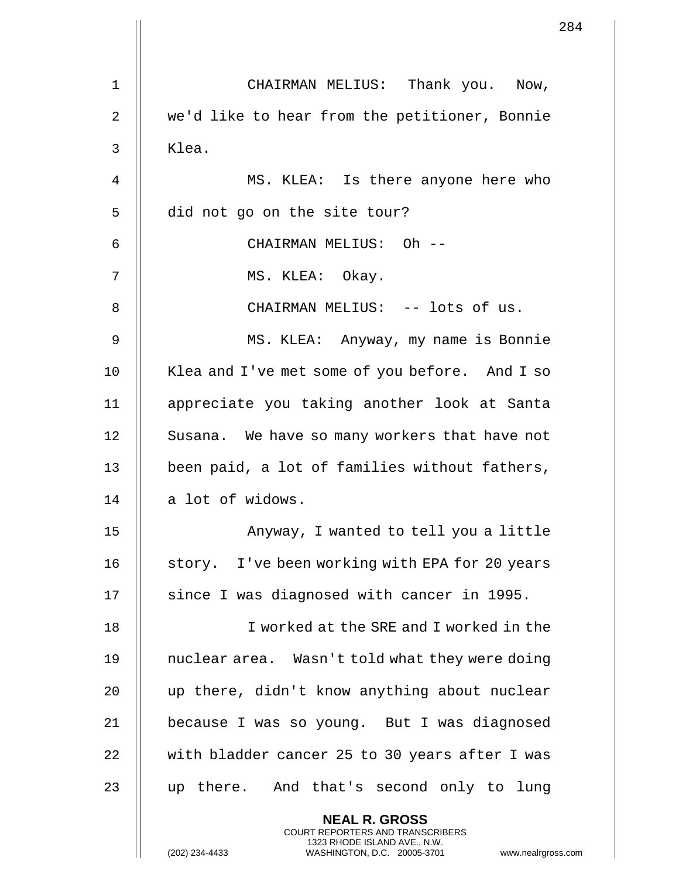|    | $2\xi$                                                                                                                                                               |
|----|----------------------------------------------------------------------------------------------------------------------------------------------------------------------|
| 1  | CHAIRMAN MELIUS: Thank you. Now,                                                                                                                                     |
| 2  | we'd like to hear from the petitioner, Bonnie                                                                                                                        |
| 3  | Klea.                                                                                                                                                                |
| 4  | MS. KLEA: Is there anyone here who                                                                                                                                   |
| 5  | did not go on the site tour?                                                                                                                                         |
| 6  | CHAIRMAN MELIUS: Oh --                                                                                                                                               |
| 7  | MS. KLEA: Okay.                                                                                                                                                      |
| 8  | CHAIRMAN MELIUS: -- lots of us.                                                                                                                                      |
| 9  | MS. KLEA: Anyway, my name is Bonnie                                                                                                                                  |
| 10 | Klea and I've met some of you before. And I so                                                                                                                       |
| 11 | appreciate you taking another look at Santa                                                                                                                          |
| 12 | Susana. We have so many workers that have not                                                                                                                        |
| 13 | been paid, a lot of families without fathers,                                                                                                                        |
| 14 | a lot of widows.                                                                                                                                                     |
| 15 | Anyway, I wanted to tell you a little                                                                                                                                |
| 16 | story. I've been working with EPA for 20 years                                                                                                                       |
| 17 | since I was diagnosed with cancer in 1995.                                                                                                                           |
| 18 | I worked at the SRE and I worked in the                                                                                                                              |
| 19 | nuclear area. Wasn't told what they were doing                                                                                                                       |
| 20 | up there, didn't know anything about nuclear                                                                                                                         |
| 21 | because I was so young. But I was diagnosed                                                                                                                          |
| 22 | with bladder cancer 25 to 30 years after I was                                                                                                                       |
| 23 | up there. And that's second only to lung                                                                                                                             |
|    | <b>NEAL R. GROSS</b><br><b>COURT REPORTERS AND TRANSCRIBERS</b><br>1323 RHODE ISLAND AVE., N.W.<br>(202) 234-4433<br>WASHINGTON, D.C. 20005-3701<br>www.nealrgross.c |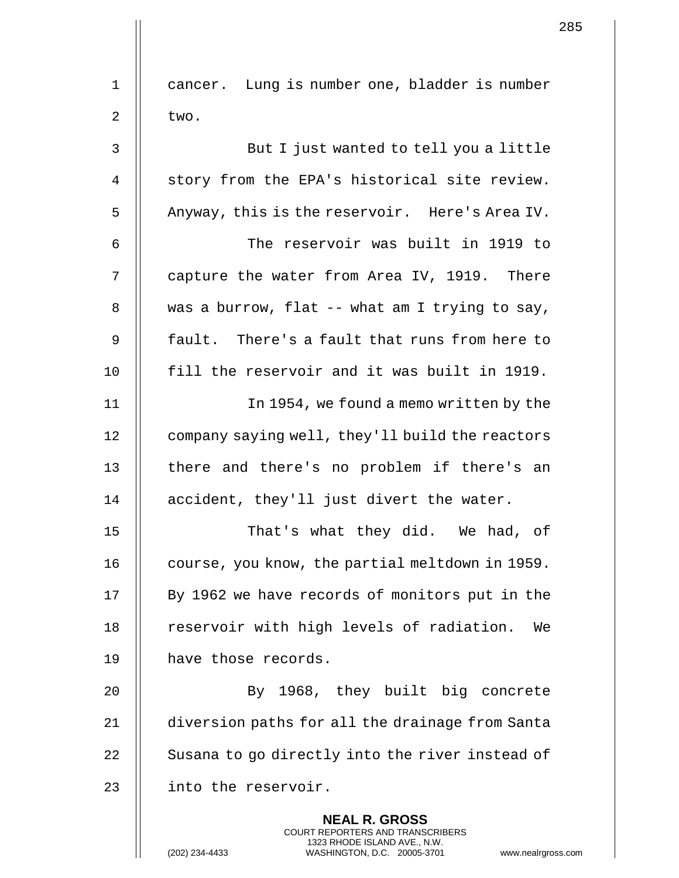|    | 2                                                                                                                                                                   |
|----|---------------------------------------------------------------------------------------------------------------------------------------------------------------------|
| 1  | cancer. Lung is number one, bladder is number                                                                                                                       |
| 2  | two.                                                                                                                                                                |
| 3  | But I just wanted to tell you a little                                                                                                                              |
| 4  | story from the EPA's historical site review.                                                                                                                        |
| 5  | Anyway, this is the reservoir. Here's Area IV.                                                                                                                      |
| 6  | The reservoir was built in 1919 to                                                                                                                                  |
| 7  | capture the water from Area IV, 1919. There                                                                                                                         |
| 8  | was a burrow, flat -- what am I trying to say,                                                                                                                      |
| 9  | fault. There's a fault that runs from here to                                                                                                                       |
| 10 | fill the reservoir and it was built in 1919.                                                                                                                        |
| 11 | In 1954, we found a memo written by the                                                                                                                             |
| 12 | company saying well, they'll build the reactors                                                                                                                     |
| 13 | there and there's no problem if there's an                                                                                                                          |
| 14 | accident, they'll just divert the water.                                                                                                                            |
| 15 | That's what they did. We had, of                                                                                                                                    |
| 16 | course, you know, the partial meltdown in 1959.                                                                                                                     |
| 17 | By 1962 we have records of monitors put in the                                                                                                                      |
| 18 | reservoir with high levels of radiation.<br>We                                                                                                                      |
| 19 | have those records.                                                                                                                                                 |
| 20 | By 1968, they built big concrete                                                                                                                                    |
| 21 | diversion paths for all the drainage from Santa                                                                                                                     |
| 22 | Susana to go directly into the river instead of                                                                                                                     |
| 23 | into the reservoir.                                                                                                                                                 |
|    | <b>NEAL R. GROSS</b><br><b>COURT REPORTERS AND TRANSCRIBERS</b><br>1323 RHODE ISLAND AVE., N.W.<br>(202) 234-4433<br>WASHINGTON, D.C. 20005-3701<br>www.nealrgross. |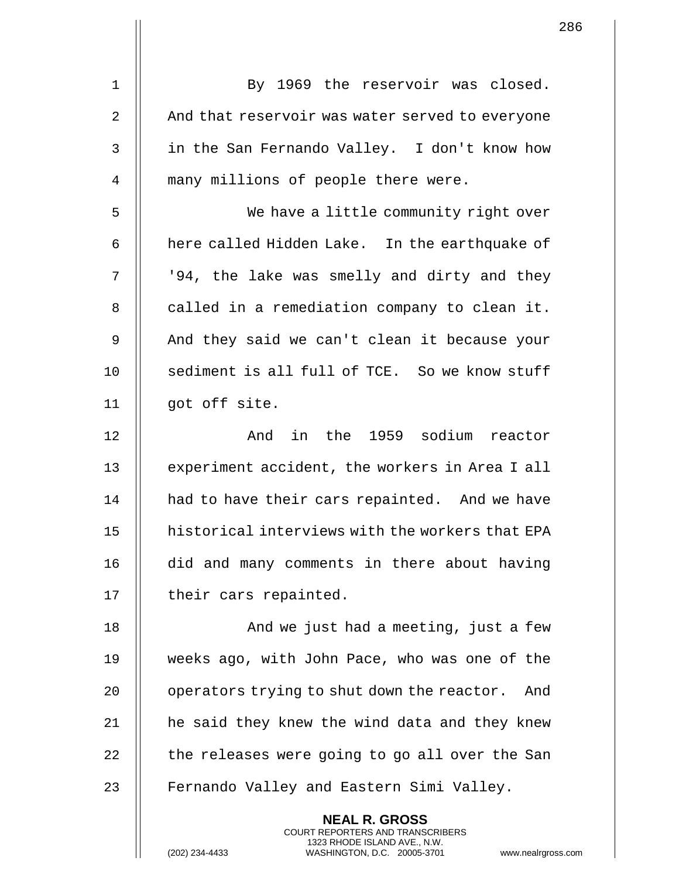|                | <b>NEAL R. GROSS</b>                              |
|----------------|---------------------------------------------------|
| 23             | Fernando Valley and Eastern Simi Valley.          |
| 22             | the releases were going to go all over the San    |
| 21             | he said they knew the wind data and they knew     |
| 20             | operators trying to shut down the reactor.<br>And |
| 19             | weeks ago, with John Pace, who was one of the     |
| 18             | And we just had a meeting, just a few             |
| 17             | their cars repainted.                             |
| 16             | did and many comments in there about having       |
| 15             | historical interviews with the workers that EPA   |
| 14             | had to have their cars repainted. And we have     |
| 13             | experiment accident, the workers in Area I all    |
| 12             | And in the 1959 sodium reactor                    |
| 11             | got off site.                                     |
| 10             | sediment is all full of TCE. So we know stuff     |
| 9              | And they said we can't clean it because your      |
| 8              | called in a remediation company to clean it.      |
| 7              | '94, the lake was smelly and dirty and they       |
| 6              | here called Hidden Lake. In the earthquake of     |
| 5              | We have a little community right over             |
| 4              | many millions of people there were.               |
| 3              | in the San Fernando Valley. I don't know how      |
| $\overline{2}$ | And that reservoir was water served to everyone   |
| $\mathbf 1$    | By 1969 the reservoir was closed.                 |
|                |                                                   |

COURT REPORTERS AND TRANSCRIBERS 1323 RHODE ISLAND AVE., N.W.

 $\mathsf{II}$ 

 $\mathbf{1}$  $\mathsf{l}\mathsf{l}$ 

(202) 234-4433 WASHINGTON, D.C. 20005-3701 www.nealrgross.com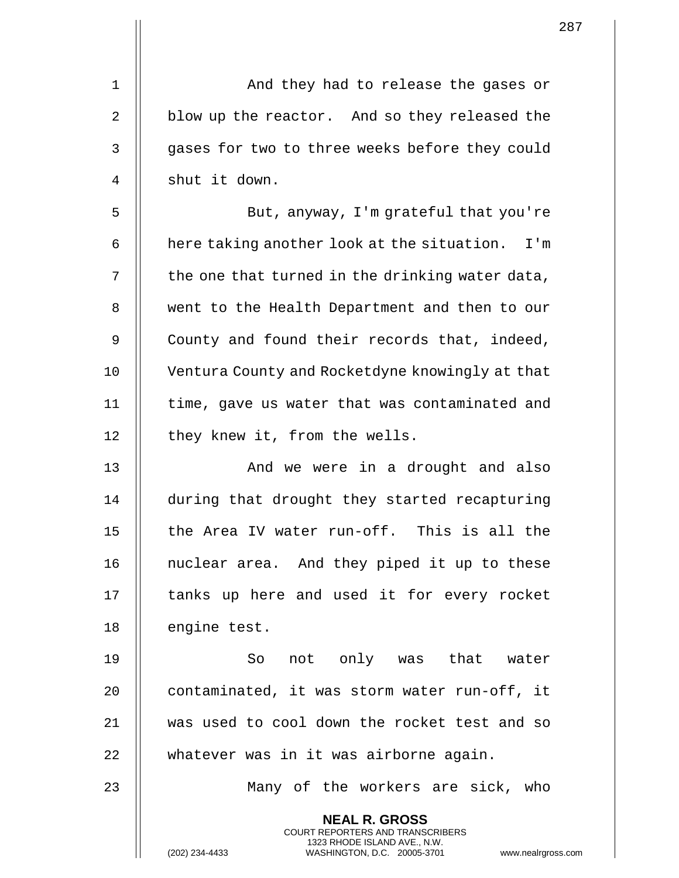|    |                                                                                                                                                                        | 287 |
|----|------------------------------------------------------------------------------------------------------------------------------------------------------------------------|-----|
|    |                                                                                                                                                                        |     |
| 1  | And they had to release the gases or                                                                                                                                   |     |
| 2  | blow up the reactor. And so they released the                                                                                                                          |     |
| 3  | gases for two to three weeks before they could                                                                                                                         |     |
| 4  | shut it down.                                                                                                                                                          |     |
| 5  | But, anyway, I'm grateful that you're                                                                                                                                  |     |
| 6  | here taking another look at the situation. I'm                                                                                                                         |     |
| 7  | the one that turned in the drinking water data,                                                                                                                        |     |
| 8  | went to the Health Department and then to our                                                                                                                          |     |
| 9  | County and found their records that, indeed,                                                                                                                           |     |
| 10 | Ventura County and Rocketdyne knowingly at that                                                                                                                        |     |
| 11 | time, gave us water that was contaminated and                                                                                                                          |     |
| 12 | they knew it, from the wells.                                                                                                                                          |     |
| 13 | And we were in a drought and also                                                                                                                                      |     |
| 14 | during that drought they started recapturing                                                                                                                           |     |
| 15 | the Area IV water run-off. This is all the                                                                                                                             |     |
| 16 | nuclear area. And they piped it up to these                                                                                                                            |     |
| 17 | tanks up here and used it for every rocket                                                                                                                             |     |
| 18 | engine test.                                                                                                                                                           |     |
| 19 | not only was that water<br>So                                                                                                                                          |     |
| 20 | contaminated, it was storm water run-off, it                                                                                                                           |     |
| 21 | was used to cool down the rocket test and so                                                                                                                           |     |
| 22 | whatever was in it was airborne again.                                                                                                                                 |     |
| 23 | Many of the workers are sick, who                                                                                                                                      |     |
|    | <b>NEAL R. GROSS</b><br><b>COURT REPORTERS AND TRANSCRIBERS</b><br>1323 RHODE ISLAND AVE., N.W.<br>(202) 234-4433<br>WASHINGTON, D.C. 20005-3701<br>www.nealrgross.com |     |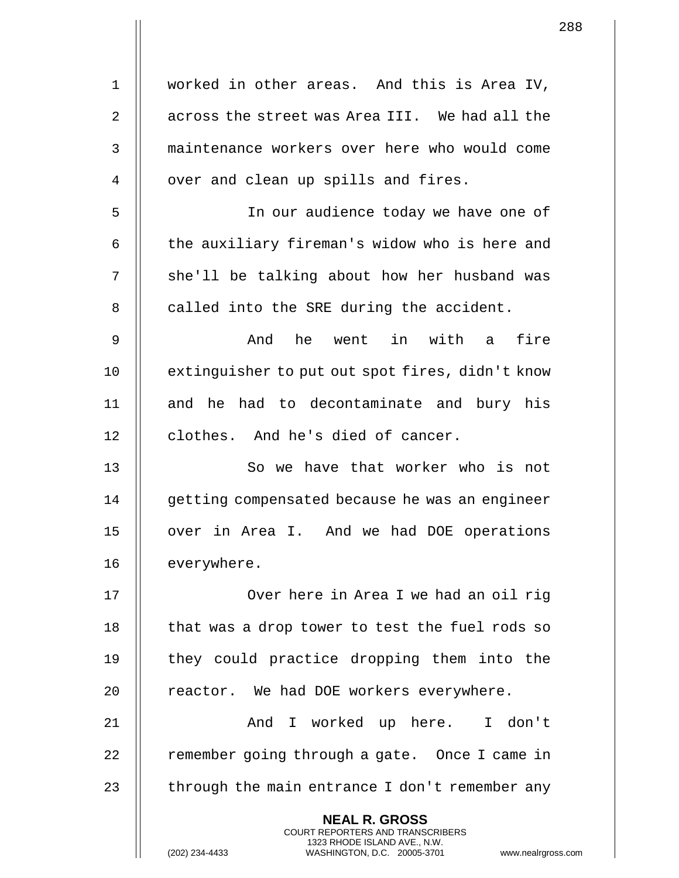|             | 2                                                                                                                                                                  |
|-------------|--------------------------------------------------------------------------------------------------------------------------------------------------------------------|
| $\mathbf 1$ | worked in other areas. And this is Area IV,                                                                                                                        |
| 2           | across the street was Area III. We had all the                                                                                                                     |
| 3           | maintenance workers over here who would come                                                                                                                       |
| 4           | over and clean up spills and fires.                                                                                                                                |
| 5           | In our audience today we have one of                                                                                                                               |
| 6           | the auxiliary fireman's widow who is here and                                                                                                                      |
| 7           | she'll be talking about how her husband was                                                                                                                        |
| 8           | called into the SRE during the accident.                                                                                                                           |
| 9           | he went in with a fire<br>And                                                                                                                                      |
| 10          | extinguisher to put out spot fires, didn't know                                                                                                                    |
| 11          | and he had to decontaminate and bury his                                                                                                                           |
| 12          | clothes. And he's died of cancer.                                                                                                                                  |
| 13          | So we have that worker who is not                                                                                                                                  |
| 14          | getting compensated because he was an engineer                                                                                                                     |
| 15          | over in Area I. And we had DOE operations                                                                                                                          |
| 16          | everywhere.                                                                                                                                                        |
| 17          | Over here in Area I we had an oil rig                                                                                                                              |
| 18          | that was a drop tower to test the fuel rods so                                                                                                                     |
| 19          | they could practice dropping them into the                                                                                                                         |
| 20          | reactor. We had DOE workers everywhere.                                                                                                                            |
| 21          | And I worked up here. I don't                                                                                                                                      |
| 22          | remember going through a gate. Once I came in                                                                                                                      |
| 23          | through the main entrance I don't remember any                                                                                                                     |
|             | <b>NEAL R. GROSS</b><br><b>COURT REPORTERS AND TRANSCRIBERS</b><br>1323 RHODE ISLAND AVE., N.W.<br>(202) 234-4433<br>www.nealrgross<br>WASHINGTON, D.C. 20005-3701 |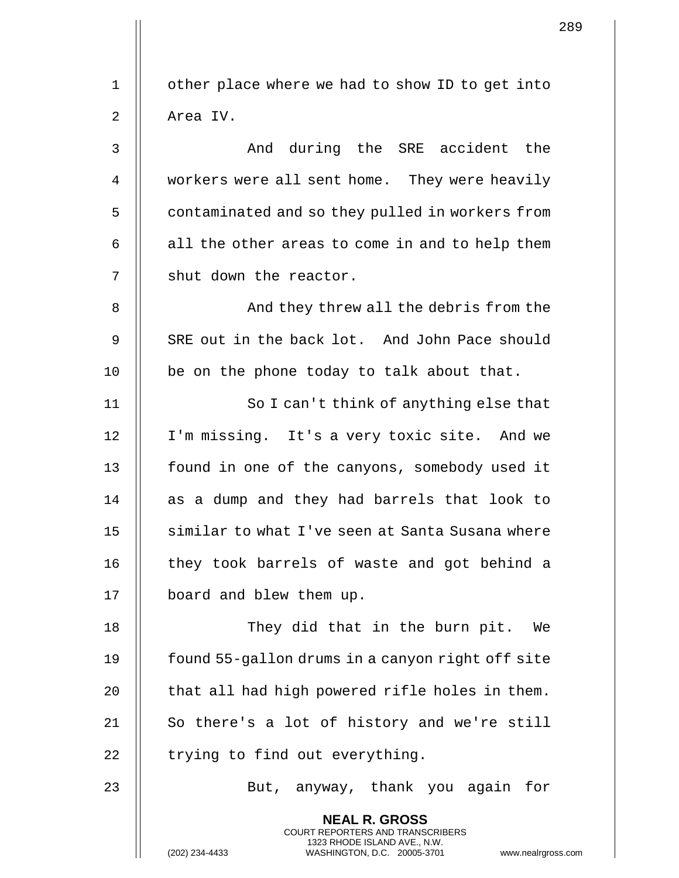1 | other place where we had to show ID to get into 2 | Area IV. 3 And during the SRE accident the 4 Workers were all sent home. They were heavily 5 | contaminated and so they pulled in workers from  $6 \parallel$  all the other areas to come in and to help them  $7$  | shut down the reactor. 8 | And they threw all the debris from the 9 || SRE out in the back lot. And John Pace should  $10$  || be on the phone today to talk about that. 11 || So I can't think of anything else that 12 I'm missing. It's a very toxic site. And we 13 || found in one of the canyons, somebody used it 14 || as a dump and they had barrels that look to 15 || similar to what I've seen at Santa Susana where 16 || they took barrels of waste and got behind a 17 | board and blew them up. 18 || They did that in the burn pit. We 19 | found 55-gallon drums in a canyon right off site 20  $\parallel$  that all had high powered rifle holes in them. 21 || So there's a lot of history and we're still  $22$  || trying to find out everything. 23 || But, anyway, thank you again for **NEAL R. GROSS** COURT REPORTERS AND TRANSCRIBERS 1323 RHODE ISLAND AVE., N.W.

(202) 234-4433 WASHINGTON, D.C. 20005-3701 www.nealrgross.com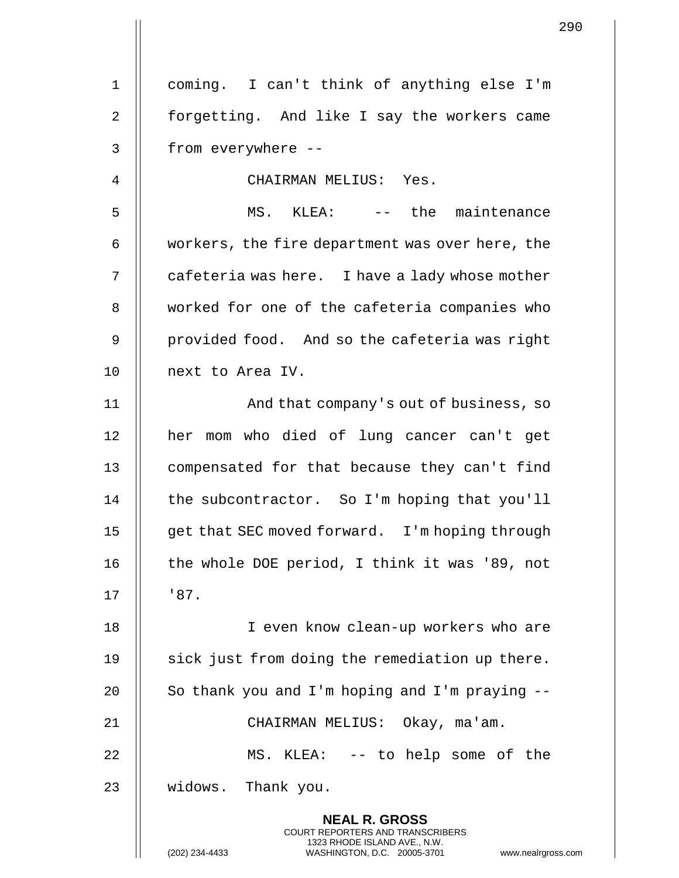1 coming. I can't think of anything else I'm 2 | forgetting. And like I say the workers came 3 || from everywhere --4 CHAIRMAN MELIUS: Yes. 5 MS. KLEA: -- the maintenance 6  $\parallel$  workers, the fire department was over here, the  $7 \parallel$  cafeteria was here. I have a lady whose mother 8 Worked for one of the cafeteria companies who 9 || provided food. And so the cafeteria was right 10 || next to Area IV. 11 || And that company's out of business, so 12 || her mom who died of lung cancer can't get 13 | compensated for that because they can't find 14 | the subcontractor. So I'm hoping that you'll 15 | get that SEC moved forward. I'm hoping through 16 || the whole DOE period, I think it was '89, not  $17 \parallel 87$ . 18 || I even know clean-up workers who are 19 || sick just from doing the remediation up there. 20  $\parallel$  So thank you and I'm hoping and I'm praying  $-$ 21 CHAIRMAN MELIUS: Okay, ma'am. 22 MS. KLEA: -- to help some of the 23 | widows. Thank you. **NEAL R. GROSS** COURT REPORTERS AND TRANSCRIBERS

1323 RHODE ISLAND AVE., N.W.

(202) 234-4433 WASHINGTON, D.C. 20005-3701 www.nealrgross.com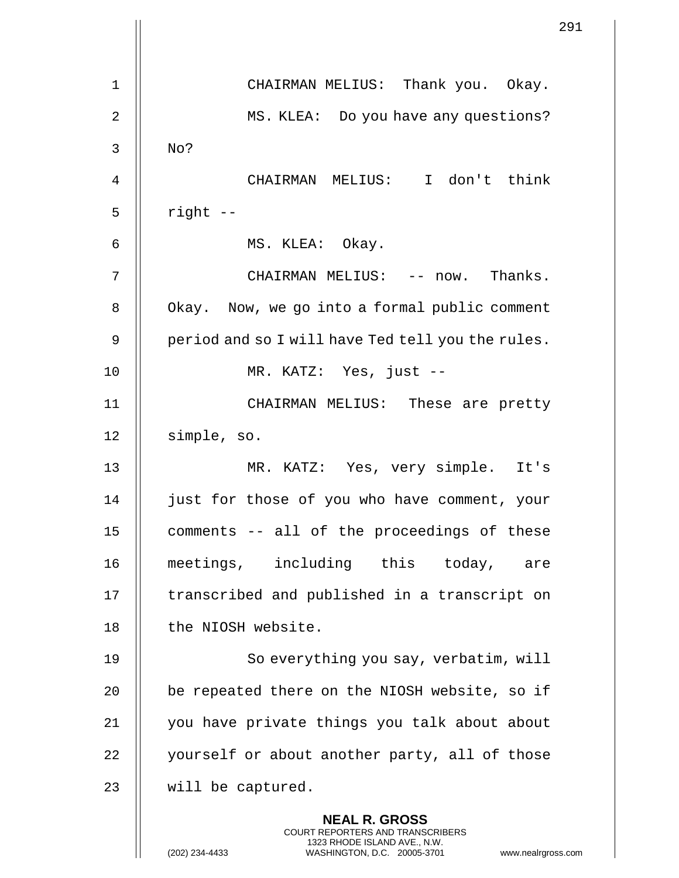|    | 291                                                                                                                                                                    |
|----|------------------------------------------------------------------------------------------------------------------------------------------------------------------------|
| 1  | CHAIRMAN MELIUS: Thank you. Okay.                                                                                                                                      |
| 2  | MS. KLEA: Do you have any questions?                                                                                                                                   |
| 3  | No?                                                                                                                                                                    |
| 4  | CHAIRMAN MELIUS: I don't think                                                                                                                                         |
| 5  | right --                                                                                                                                                               |
| 6  | MS. KLEA: Okay.                                                                                                                                                        |
| 7  | CHAIRMAN MELIUS: -- now. Thanks.                                                                                                                                       |
| 8  | Okay. Now, we go into a formal public comment                                                                                                                          |
| 9  | period and so I will have Ted tell you the rules.                                                                                                                      |
| 10 | MR. KATZ: Yes, just --                                                                                                                                                 |
| 11 | CHAIRMAN MELIUS: These are pretty                                                                                                                                      |
| 12 | simple, so.                                                                                                                                                            |
| 13 | MR. KATZ: Yes, very simple. It's                                                                                                                                       |
| 14 | just for those of you who have comment, your                                                                                                                           |
| 15 | comments -- all of the proceedings of these                                                                                                                            |
| 16 | meetings, including this today, are                                                                                                                                    |
| 17 | transcribed and published in a transcript on                                                                                                                           |
| 18 | the NIOSH website.                                                                                                                                                     |
| 19 | So everything you say, verbatim, will                                                                                                                                  |
| 20 | be repeated there on the NIOSH website, so if                                                                                                                          |
| 21 | you have private things you talk about about                                                                                                                           |
| 22 | yourself or about another party, all of those                                                                                                                          |
| 23 | will be captured.                                                                                                                                                      |
|    | <b>NEAL R. GROSS</b><br><b>COURT REPORTERS AND TRANSCRIBERS</b><br>1323 RHODE ISLAND AVE., N.W.<br>(202) 234-4433<br>WASHINGTON, D.C. 20005-3701<br>www.nealrgross.com |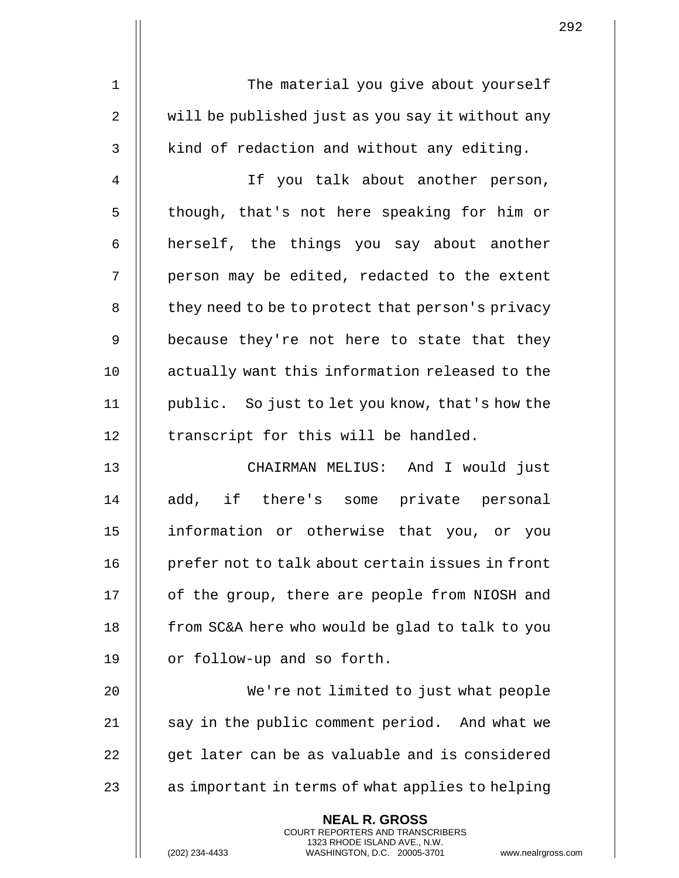1 || The material you give about yourself 2  $\parallel$  will be published just as you say it without any  $3$  | kind of redaction and without any editing.

4 If you talk about another person, 5 || though, that's not here speaking for him or  $6$  || herself, the things you say about another  $7$   $\parallel$  person may be edited, redacted to the extent 8 | they need to be to protect that person's privacy 9 || because they're not here to state that they 10 || actually want this information released to the 11 public. So just to let you know, that's how the  $12$  | transcript for this will be handled.

13 CHAIRMAN MELIUS: And I would just 14 || add, if there's some private personal 15 information or otherwise that you, or you 16 || prefer not to talk about certain issues in front 17 | of the group, there are people from NIOSH and 18  $\parallel$  from SC&A here who would be glad to talk to you 19 | or follow-up and so forth.

 We're not limited to just what people 21 || say in the public comment period. And what we || qet later can be as valuable and is considered  $\parallel$  as important in terms of what applies to helping

> **NEAL R. GROSS** COURT REPORTERS AND TRANSCRIBERS 1323 RHODE ISLAND AVE., N.W.

(202) 234-4433 WASHINGTON, D.C. 20005-3701 www.nealrgross.com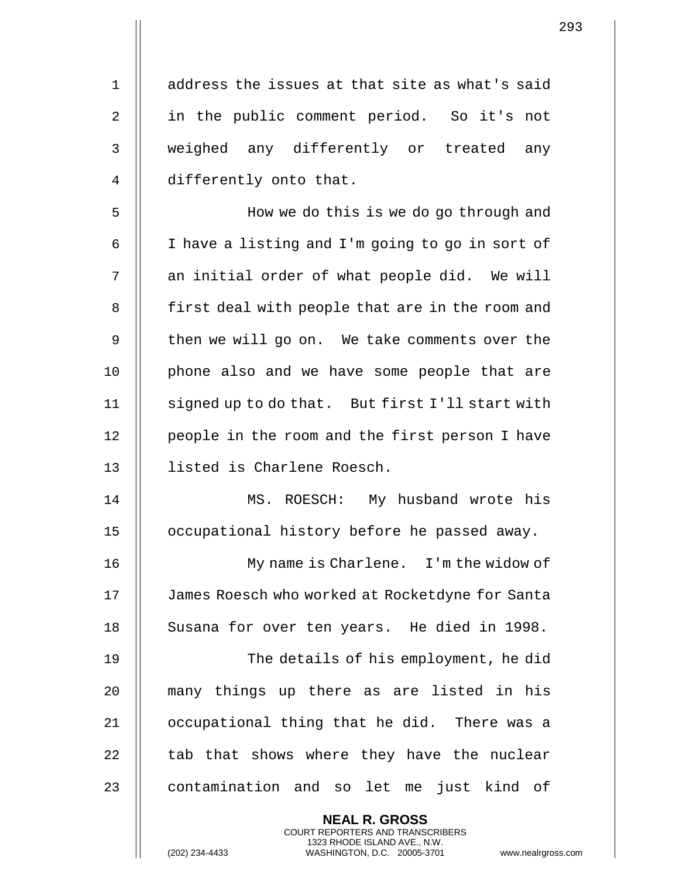1 || address the issues at that site as what's said 2 || in the public comment period. So it's not 3 || weighed any differently or treated any 4 | differently onto that.

5 How we do this is we do go through and 6  $\parallel$  I have a listing and I'm going to go in sort of  $7$  || an initial order of what people did. We will 8 | first deal with people that are in the room and 9 || then we will go on. We take comments over the 10 || phone also and we have some people that are 11 | signed up to do that. But first I'll start with 12 | people in the room and the first person I have 13 listed is Charlene Roesch.

14 MS. ROESCH: My husband wrote his 15 occupational history before he passed away.

16 My name is Charlene. I'm the widow of 17 | James Roesch who worked at Rocketdyne for Santa 18 || Susana for over ten years. He died in 1998.

 The details of his employment, he did many things up there as are listed in his occupational thing that he did. There was a  $\parallel$  tab that shows where they have the nuclear 23 || contamination and so let me just kind of

> **NEAL R. GROSS** COURT REPORTERS AND TRANSCRIBERS 1323 RHODE ISLAND AVE., N.W.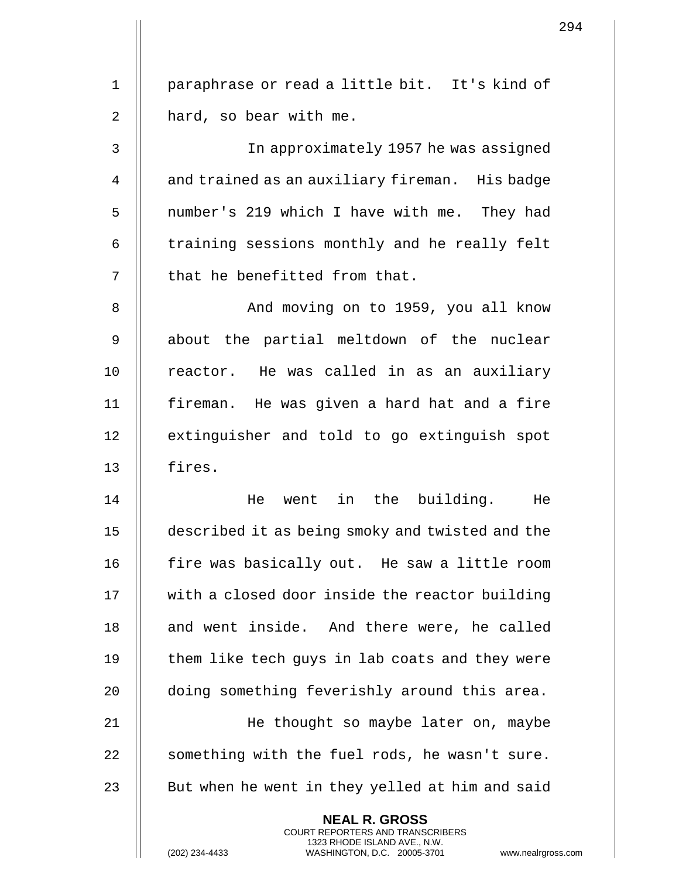1 || paraphrase or read a little bit. It's kind of  $2 \parallel$  hard, so bear with me.

3 In approximately 1957 he was assigned 4 | and trained as an auxiliary fireman. His badge 5 | number's 219 which I have with me. They had  $6$   $\parallel$  training sessions monthly and he really felt 7 || that he benefitted from that.

8 || The Moving on to 1959, you all know 9 || about the partial meltdown of the nuclear 10 || reactor. He was called in as an auxiliary 11 fireman. He was given a hard hat and a fire 12 || extinguisher and told to go extinguish spot 13 fires.

14 He went in the building. He 15 described it as being smoky and twisted and the 16 || fire was basically out. He saw a little room 17 | with a closed door inside the reactor building 18 || and went inside. And there were, he called 19  $\parallel$  them like tech guys in lab coats and they were 20 || doing something feverishly around this area. 21 He thought so maybe later on, maybe

22  $\parallel$  something with the fuel rods, he wasn't sure.  $23$   $\parallel$  But when he went in they yelled at him and said

> **NEAL R. GROSS** COURT REPORTERS AND TRANSCRIBERS 1323 RHODE ISLAND AVE., N.W.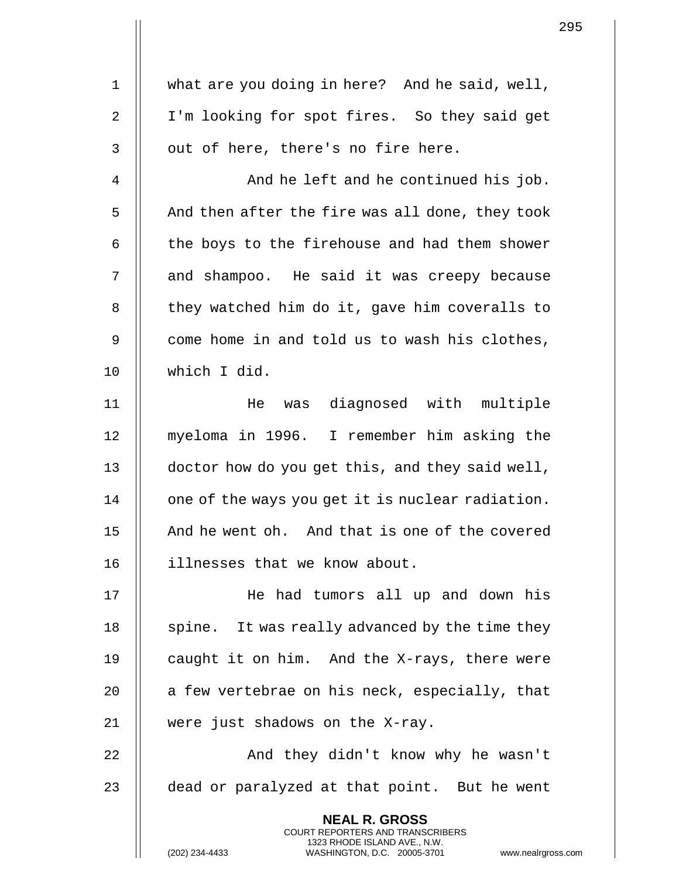1 | what are you doing in here? And he said, well, 2 || I'm looking for spot fires. So they said get  $3 \parallel$  out of here, there's no fire here. 4 | And he left and he continued his job.  $5$  | And then after the fire was all done, they took  $6$  | the boys to the firehouse and had them shower 7 || and shampoo. He said it was creepy because  $8$   $\parallel$  they watched him do it, gave him coveralls to 9 || come home in and told us to wash his clothes, 10 which I did. 11 He was diagnosed with multiple 12 myeloma in 1996. I remember him asking the 13 | doctor how do you get this, and they said well, 14 | one of the ways you get it is nuclear radiation. 15 || And he went oh. And that is one of the covered 16 illnesses that we know about. 17 || He had tumors all up and down his 18  $\parallel$  spine. It was really advanced by the time they 19  $\parallel$  caught it on him. And the X-rays, there were 20  $\parallel$  a few vertebrae on his neck, especially, that 21 were just shadows on the X-ray. 22 || And they didn't know why he wasn't 23  $\parallel$  dead or paralyzed at that point. But he went **NEAL R. GROSS** COURT REPORTERS AND TRANSCRIBERS 1323 RHODE ISLAND AVE., N.W. (202) 234-4433 WASHINGTON, D.C. 20005-3701 www.nealrgross.com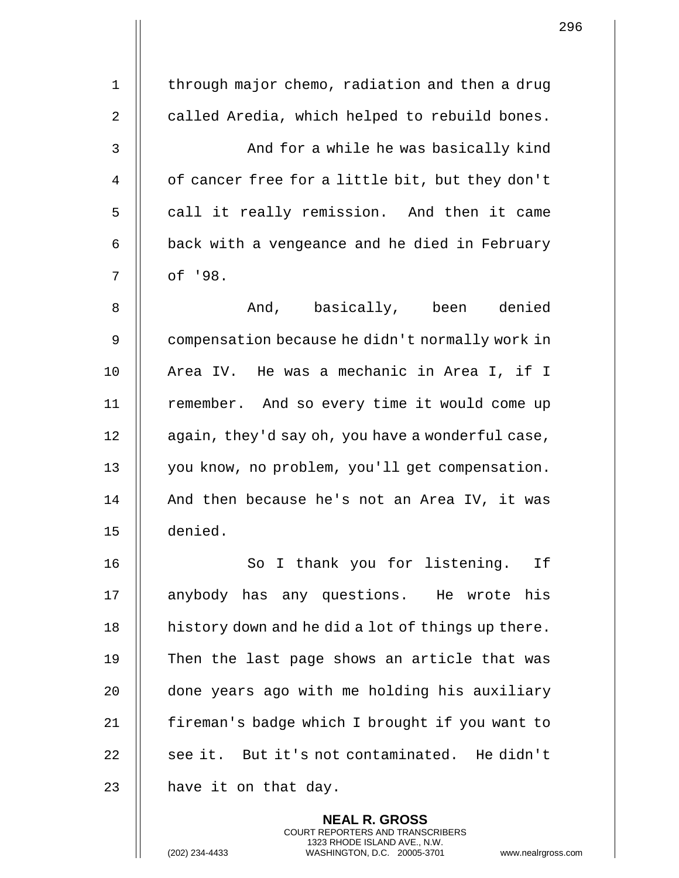| $\mathbf 1$    | through major chemo, radiation and then a drug    |
|----------------|---------------------------------------------------|
| $\overline{2}$ | called Aredia, which helped to rebuild bones.     |
| 3              | And for a while he was basically kind             |
| 4              | of cancer free for a little bit, but they don't   |
| 5              | call it really remission. And then it came        |
| 6              | back with a vengeance and he died in February     |
| 7              | of '98.                                           |
| 8              | And, basically, been denied                       |
| 9              | compensation because he didn't normally work in   |
| 10             | Area IV. He was a mechanic in Area I, if I        |
| 11             | remember. And so every time it would come up      |
| 12             | again, they'd say oh, you have a wonderful case,  |
| 13             | you know, no problem, you'll get compensation.    |
| 14             | And then because he's not an Area IV, it was      |
| 15             | denied.                                           |
| 16             | So I thank you for listening.<br>If               |
| 17             | anybody has any questions. He wrote his           |
| 18             | history down and he did a lot of things up there. |
| 19             | Then the last page shows an article that was      |
| 20             | done years ago with me holding his auxiliary      |
| 21             | fireman's badge which I brought if you want to    |
| 22             | see it. But it's not contaminated. He didn't      |
| 23             | have it on that day.                              |
|                | <b>NEAL R. GROSS</b>                              |

COURT REPORTERS AND TRANSCRIBERS 1323 RHODE ISLAND AVE., N.W.

 $\mathsf{I}$ 

(202) 234-4433 WASHINGTON, D.C. 20005-3701 www.nealrgross.com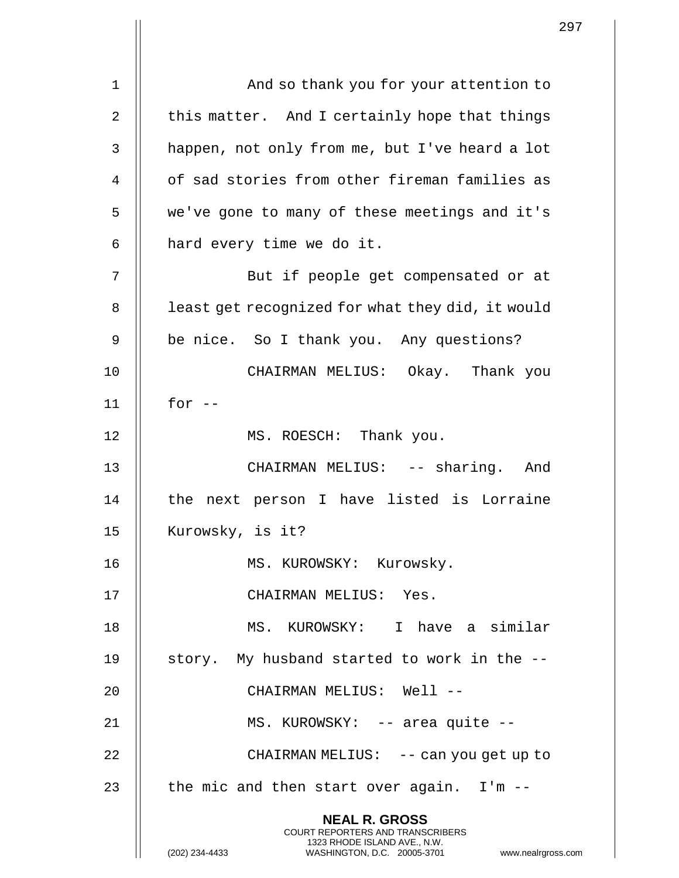|    |                                                                                                                                                                        | 297 |
|----|------------------------------------------------------------------------------------------------------------------------------------------------------------------------|-----|
| 1  | And so thank you for your attention to                                                                                                                                 |     |
|    |                                                                                                                                                                        |     |
| 2  | this matter. And I certainly hope that things                                                                                                                          |     |
| 3  | happen, not only from me, but I've heard a lot                                                                                                                         |     |
| 4  | of sad stories from other fireman families as                                                                                                                          |     |
| 5  | we've gone to many of these meetings and it's                                                                                                                          |     |
| 6  | hard every time we do it.                                                                                                                                              |     |
| 7  | But if people get compensated or at                                                                                                                                    |     |
| 8  | least get recognized for what they did, it would                                                                                                                       |     |
| 9  | be nice. So I thank you. Any questions?                                                                                                                                |     |
| 10 | CHAIRMAN MELIUS: Okay. Thank you                                                                                                                                       |     |
| 11 | for $--$                                                                                                                                                               |     |
| 12 | MS. ROESCH: Thank you.                                                                                                                                                 |     |
| 13 | CHAIRMAN MELIUS: -- sharing. And                                                                                                                                       |     |
| 14 | the next person I have listed is Lorraine                                                                                                                              |     |
| 15 | Kurowsky, is it?                                                                                                                                                       |     |
| 16 | MS. KUROWSKY: Kurowsky.                                                                                                                                                |     |
| 17 | CHAIRMAN MELIUS: Yes.                                                                                                                                                  |     |
| 18 | MS. KUROWSKY: I have a similar                                                                                                                                         |     |
| 19 | story. My husband started to work in the --                                                                                                                            |     |
| 20 | CHAIRMAN MELIUS: Well --                                                                                                                                               |     |
| 21 | MS. KUROWSKY: -- area quite --                                                                                                                                         |     |
| 22 | CHAIRMAN MELIUS: -- can you get up to                                                                                                                                  |     |
| 23 | the mic and then start over again. I'm --                                                                                                                              |     |
|    | <b>NEAL R. GROSS</b><br><b>COURT REPORTERS AND TRANSCRIBERS</b><br>1323 RHODE ISLAND AVE., N.W.<br>WASHINGTON, D.C. 20005-3701<br>www.nealrgross.com<br>(202) 234-4433 |     |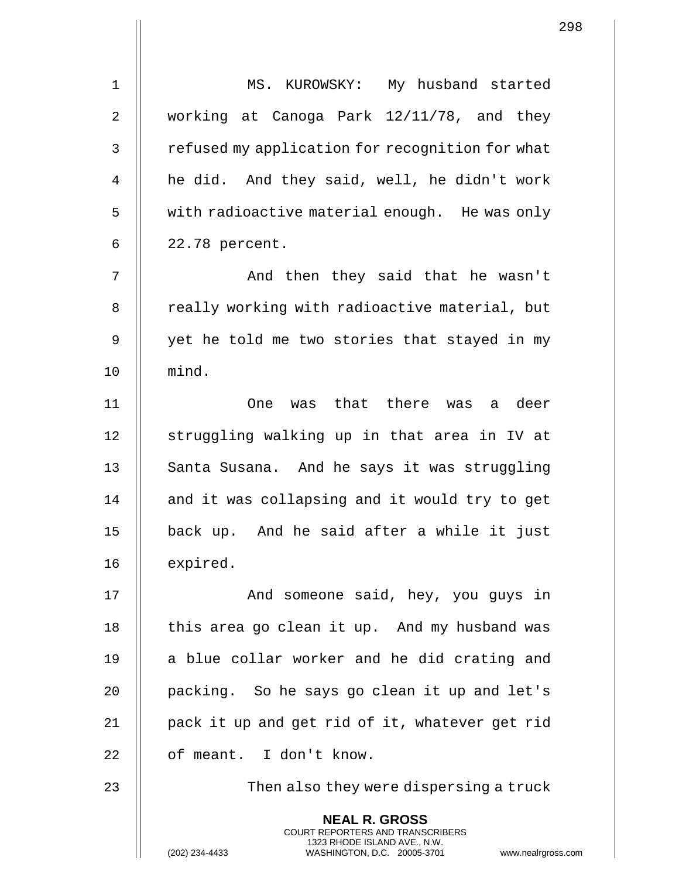|                |                                                                                                                                                                        | 298 |
|----------------|------------------------------------------------------------------------------------------------------------------------------------------------------------------------|-----|
| $1\,$          | MS. KUROWSKY: My husband started                                                                                                                                       |     |
| $\overline{2}$ | working at Canoga Park 12/11/78, and they                                                                                                                              |     |
| 3              | refused my application for recognition for what                                                                                                                        |     |
| 4              | he did. And they said, well, he didn't work                                                                                                                            |     |
| 5              | with radioactive material enough. He was only                                                                                                                          |     |
| 6              | 22.78 percent.                                                                                                                                                         |     |
| 7              | And then they said that he wasn't                                                                                                                                      |     |
| 8              | really working with radioactive material, but                                                                                                                          |     |
| 9              | yet he told me two stories that stayed in my                                                                                                                           |     |
| 10             | mind.                                                                                                                                                                  |     |
| 11             | was that there was a deer<br><b>One</b>                                                                                                                                |     |
| 12             | struggling walking up in that area in IV at                                                                                                                            |     |
| 13             | Santa Susana. And he says it was struggling                                                                                                                            |     |
| 14             | and it was collapsing and it would try to get                                                                                                                          |     |
| 15             | back up. And he said after a while it just                                                                                                                             |     |
| 16             | expired.                                                                                                                                                               |     |
| 17             | And someone said, hey, you guys in                                                                                                                                     |     |
| 18             | this area go clean it up. And my husband was                                                                                                                           |     |
| 19             | a blue collar worker and he did crating and                                                                                                                            |     |
| 20             | packing. So he says go clean it up and let's                                                                                                                           |     |
| 21             | pack it up and get rid of it, whatever get rid                                                                                                                         |     |
| 22             | of meant. I don't know.                                                                                                                                                |     |
| 23             | Then also they were dispersing a truck                                                                                                                                 |     |
|                | <b>NEAL R. GROSS</b><br><b>COURT REPORTERS AND TRANSCRIBERS</b><br>1323 RHODE ISLAND AVE., N.W.<br>(202) 234-4433<br>WASHINGTON, D.C. 20005-3701<br>www.nealrgross.com |     |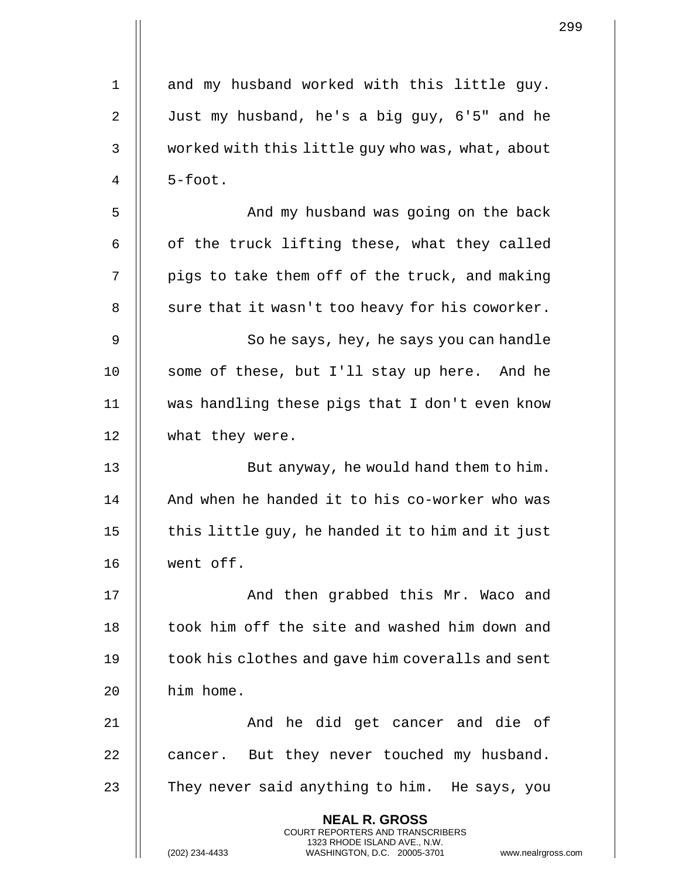|                |                                                                                                                                                                        | 299 |
|----------------|------------------------------------------------------------------------------------------------------------------------------------------------------------------------|-----|
| $\mathbf 1$    | and my husband worked with this little guy.                                                                                                                            |     |
|                |                                                                                                                                                                        |     |
| $\overline{2}$ | Just my husband, he's a big guy, 6'5" and he                                                                                                                           |     |
| 3              | worked with this little guy who was, what, about                                                                                                                       |     |
| 4              | $5$ -foot.                                                                                                                                                             |     |
| 5              | And my husband was going on the back                                                                                                                                   |     |
| 6              | of the truck lifting these, what they called                                                                                                                           |     |
| 7              | pigs to take them off of the truck, and making                                                                                                                         |     |
| 8              | sure that it wasn't too heavy for his coworker.                                                                                                                        |     |
| 9              | So he says, hey, he says you can handle                                                                                                                                |     |
| 10             | some of these, but I'll stay up here. And he                                                                                                                           |     |
| 11             | was handling these pigs that I don't even know                                                                                                                         |     |
| 12             | what they were.                                                                                                                                                        |     |
| 13             | But anyway, he would hand them to him.                                                                                                                                 |     |
| 14             | And when he handed it to his co-worker who was                                                                                                                         |     |
| 15             | this little guy, he handed it to him and it just                                                                                                                       |     |
| 16             | went off.                                                                                                                                                              |     |
| 17             | And then grabbed this Mr. Waco and                                                                                                                                     |     |
| 18             | took him off the site and washed him down and                                                                                                                          |     |
| 19             | took his clothes and gave him coveralls and sent                                                                                                                       |     |
| 20             | him home.                                                                                                                                                              |     |
| 21             | And he did get cancer and die of                                                                                                                                       |     |
| 22             | cancer. But they never touched my husband.                                                                                                                             |     |
| 23             | They never said anything to him. He says, you                                                                                                                          |     |
|                | <b>NEAL R. GROSS</b><br><b>COURT REPORTERS AND TRANSCRIBERS</b><br>1323 RHODE ISLAND AVE., N.W.<br>(202) 234-4433<br>WASHINGTON, D.C. 20005-3701<br>www.nealrgross.com |     |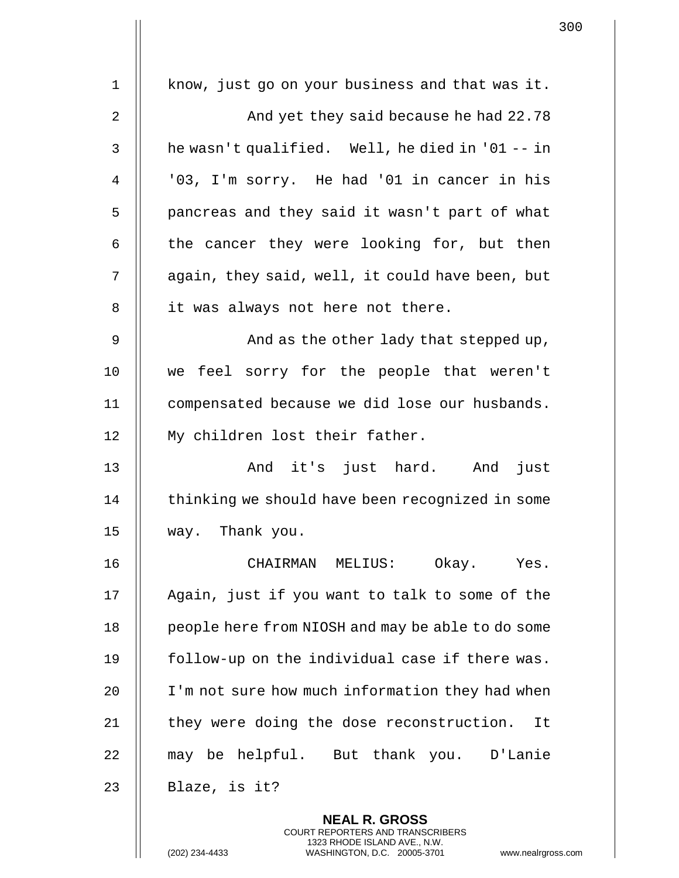| 1              | know, just go on your business and that was it.   |
|----------------|---------------------------------------------------|
| $\overline{2}$ | And yet they said because he had 22.78            |
|                |                                                   |
| 3              | he wasn't qualified. Well, he died in '01 -- in   |
| 4              | '03, I'm sorry. He had '01 in cancer in his       |
| 5              | pancreas and they said it wasn't part of what     |
| 6              | the cancer they were looking for, but then        |
| 7              | again, they said, well, it could have been, but   |
| 8              | it was always not here not there.                 |
| 9              | And as the other lady that stepped up,            |
| 10             | we feel sorry for the people that weren't         |
| 11             | compensated because we did lose our husbands.     |
| 12             | My children lost their father.                    |
| 13             | And it's just hard. And<br>just                   |
| 14             | thinking we should have been recognized in some   |
| 15             | way. Thank you.                                   |
| 16             | CHAIRMAN MELIUS: Okay. Yes.                       |
| 17             | Again, just if you want to talk to some of the    |
| 18             | people here from NIOSH and may be able to do some |
| 19             | follow-up on the individual case if there was.    |
| 20             | I'm not sure how much information they had when   |
| 21             | they were doing the dose reconstruction.<br>It    |
| 22             | may be helpful. But thank you. D'Lanie            |
| 23             | Blaze, is it?                                     |
|                | <b>NEAL R. GROSS</b>                              |

COURT REPORTERS AND TRANSCRIBERS 1323 RHODE ISLAND AVE., N.W.

 $\prod$ 

(202) 234-4433 WASHINGTON, D.C. 20005-3701 www.nealrgross.com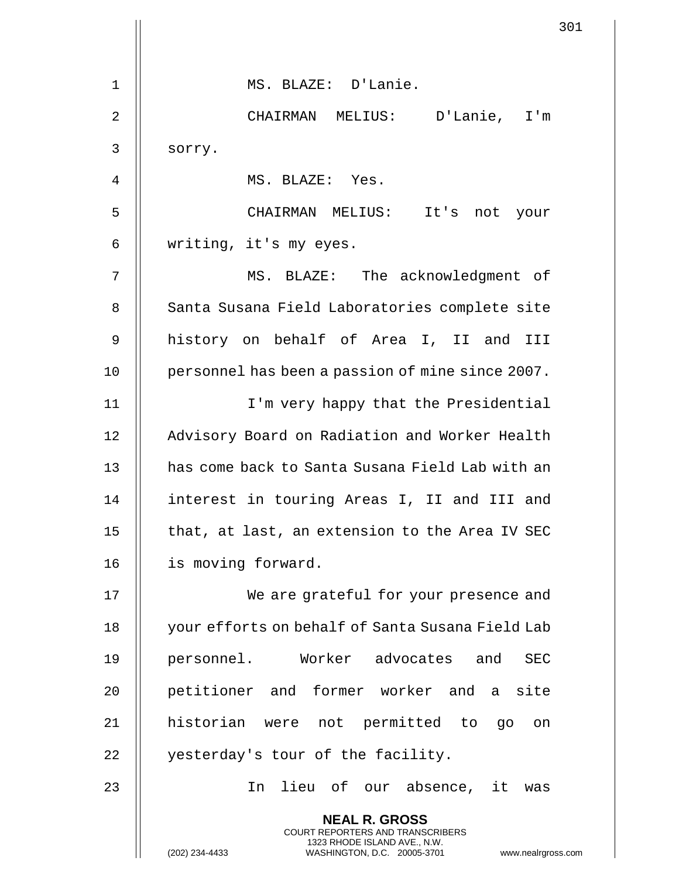|             | 301                                                                                                                                                                    |
|-------------|------------------------------------------------------------------------------------------------------------------------------------------------------------------------|
|             |                                                                                                                                                                        |
| $\mathbf 1$ | MS. BLAZE: D'Lanie.                                                                                                                                                    |
| 2           | CHAIRMAN MELIUS: D'Lanie, I'm                                                                                                                                          |
| 3           | sorry.                                                                                                                                                                 |
| 4           | MS. BLAZE: Yes.                                                                                                                                                        |
| 5           | CHAIRMAN MELIUS: It's not your                                                                                                                                         |
| 6           | writing, it's my eyes.                                                                                                                                                 |
| 7           | MS. BLAZE: The acknowledgment of                                                                                                                                       |
| 8           | Santa Susana Field Laboratories complete site                                                                                                                          |
| 9           | history on behalf of Area I, II and III                                                                                                                                |
| 10          | personnel has been a passion of mine since 2007.                                                                                                                       |
| 11          | I'm very happy that the Presidential                                                                                                                                   |
| 12          | Advisory Board on Radiation and Worker Health                                                                                                                          |
| 13          | has come back to Santa Susana Field Lab with an                                                                                                                        |
| 14          | interest in touring Areas I, II and III and                                                                                                                            |
| 15          | that, at last, an extension to the Area IV SEC                                                                                                                         |
| 16          | is moving forward.                                                                                                                                                     |
| 17          | We are grateful for your presence and                                                                                                                                  |
| 18          | your efforts on behalf of Santa Susana Field Lab                                                                                                                       |
| 19          | personnel. Worker advocates and<br><b>SEC</b>                                                                                                                          |
| 20          | petitioner and former worker and a site                                                                                                                                |
| 21          | historian were not permitted to go on                                                                                                                                  |
| 22          | yesterday's tour of the facility.                                                                                                                                      |
| 23          | lieu of our absence, it was<br>In                                                                                                                                      |
|             | <b>NEAL R. GROSS</b><br><b>COURT REPORTERS AND TRANSCRIBERS</b><br>1323 RHODE ISLAND AVE., N.W.<br>(202) 234-4433<br>WASHINGTON, D.C. 20005-3701<br>www.nealrgross.com |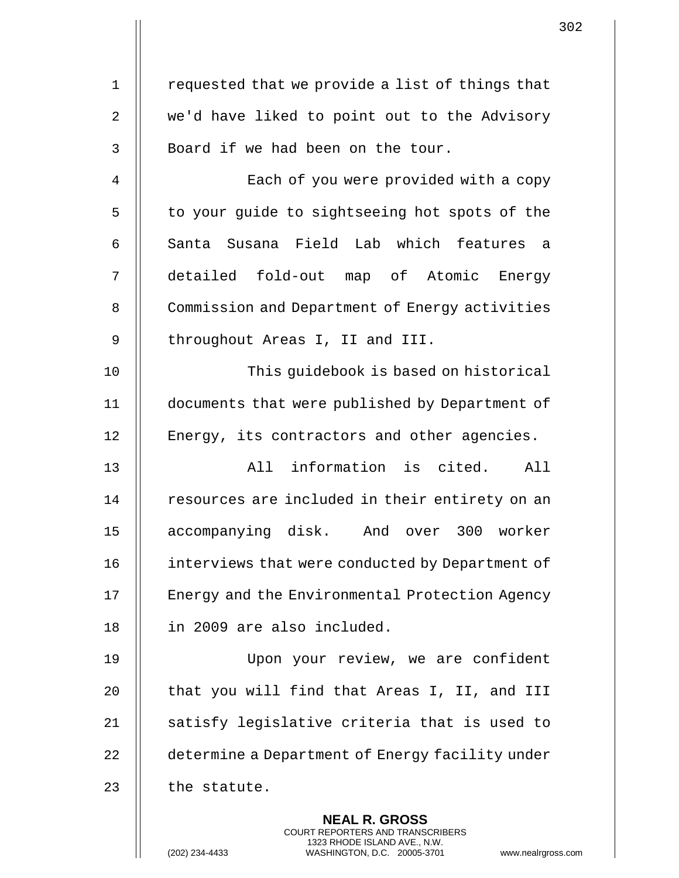| $\mathbf 1$    | requested that we provide a list of things that                                                                                                                    |
|----------------|--------------------------------------------------------------------------------------------------------------------------------------------------------------------|
| $\overline{2}$ | we'd have liked to point out to the Advisory                                                                                                                       |
| 3              | Board if we had been on the tour.                                                                                                                                  |
| 4              | Each of you were provided with a copy                                                                                                                              |
| 5              | to your guide to sightseeing hot spots of the                                                                                                                      |
| 6              | Santa Susana Field Lab which features<br>- a                                                                                                                       |
| 7              | detailed fold-out map of Atomic Energy                                                                                                                             |
| 8              | Commission and Department of Energy activities                                                                                                                     |
| 9              | throughout Areas I, II and III.                                                                                                                                    |
| 10             | This guidebook is based on historical                                                                                                                              |
| 11             | documents that were published by Department of                                                                                                                     |
| 12             | Energy, its contractors and other agencies.                                                                                                                        |
| 13             | All information is cited. All                                                                                                                                      |
| 14             | resources are included in their entirety on an                                                                                                                     |
| 15             | accompanying disk. And over 300 worker                                                                                                                             |
| 16             | interviews that were conducted by Department of                                                                                                                    |
| 17             | Energy and the Environmental Protection Agency                                                                                                                     |
| 18             | in 2009 are also included.                                                                                                                                         |
| 19             | Upon your review, we are confident                                                                                                                                 |
| 20             | that you will find that Areas I, II, and III                                                                                                                       |
| 21             | satisfy legislative criteria that is used to                                                                                                                       |
| 22             | determine a Department of Energy facility under                                                                                                                    |
| 23             | the statute.                                                                                                                                                       |
|                | <b>NEAL R. GROSS</b><br><b>COURT REPORTERS AND TRANSCRIBERS</b><br>1323 RHODE ISLAND AVE., N.W.<br>(202) 234-4433<br>WASHINGTON, D.C. 20005-3701<br>www.nealrgross |

(202) 234-4433 WASHINGTON, D.C. 20005-3701 www.nealrgross.com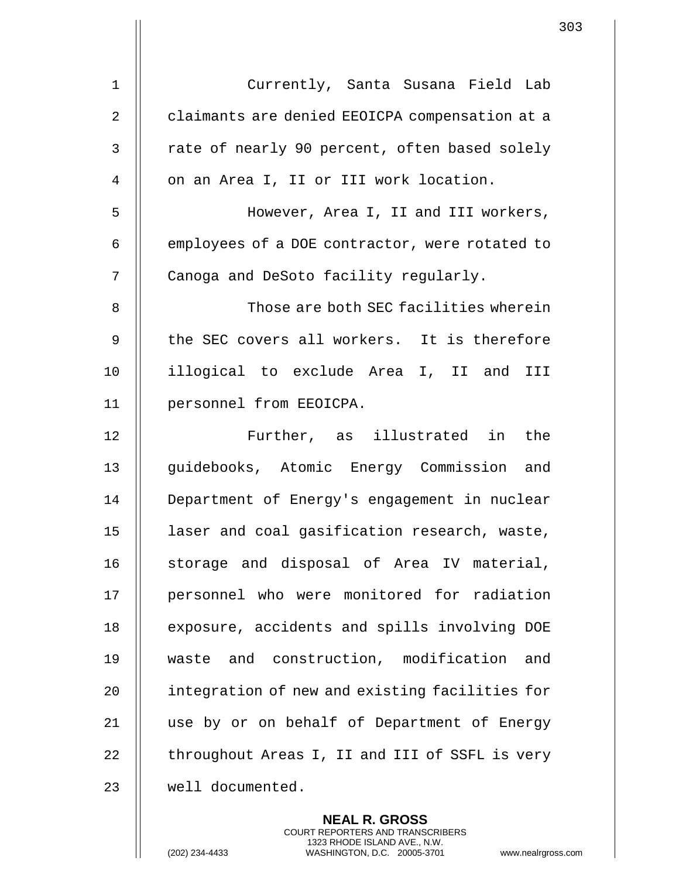| Currently, Santa Susana Field Lab              |
|------------------------------------------------|
| claimants are denied EEOICPA compensation at a |
| rate of nearly 90 percent, often based solely  |
| on an Area I, II or III work location.         |
| However, Area I, II and III workers,           |
| employees of a DOE contractor, were rotated to |
| Canoga and DeSoto facility regularly.          |
| Those are both SEC facilities wherein          |
| the SEC covers all workers. It is therefore    |
| illogical to exclude Area I, II and III        |
| personnel from EEOICPA.                        |
| Further, as illustrated in the                 |
| guidebooks, Atomic Energy Commission and       |
| Department of Energy's engagement in nuclear   |
| laser and coal gasification research, waste,   |
| storage and disposal of Area IV material,      |
| personnel who were monitored for radiation     |
| exposure, accidents and spills involving DOE   |
| waste and construction, modification<br>and    |
| integration of new and existing facilities for |
| use by or on behalf of Department of Energy    |
| throughout Areas I, II and III of SSFL is very |
| well documented.                               |
|                                                |

**NEAL R. GROSS** COURT REPORTERS AND TRANSCRIBERS 1323 RHODE ISLAND AVE., N.W.

 $\overline{\mathbf{u}}$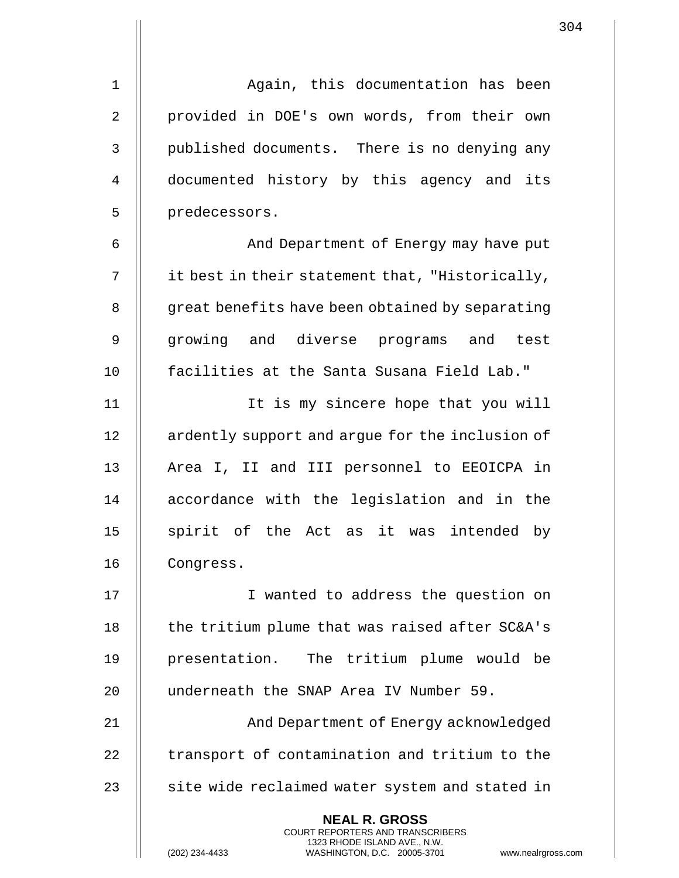1 Again, this documentation has been 2 || provided in DOE's own words, from their own 3 || published documents. There is no denying any 4 || documented history by this agency and its 5 | predecessors.

6 | And Department of Energy may have put 7  $\parallel$  it best in their statement that, "Historically, 8 | great benefits have been obtained by separating 9 || growing and diverse programs and test 10 facilities at the Santa Susana Field Lab."

11 It is my sincere hope that you will 12 | ardently support and arque for the inclusion of 13 || Area I, II and III personnel to EEOICPA in 14 || accordance with the legislation and in the 15 || spirit of the Act as it was intended by 16 || Congress.

17 || I wanted to address the question on 18  $\parallel$  the tritium plume that was raised after SC&A's 19 || presentation. The tritium plume would be 20 underneath the SNAP Area IV Number 59. 21 || And Department of Energy acknowledged

22 | transport of contamination and tritium to the  $23$   $\parallel$  site wide reclaimed water system and stated in

> **NEAL R. GROSS** COURT REPORTERS AND TRANSCRIBERS 1323 RHODE ISLAND AVE., N.W.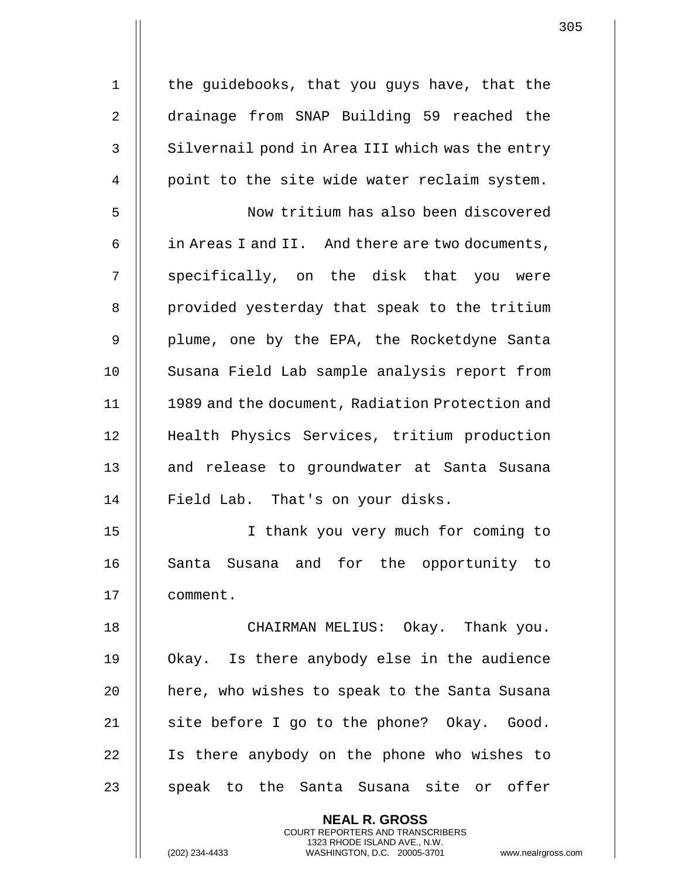1 | the guidebooks, that you guys have, that the 2 drainage from SNAP Building 59 reached the 3 || Silvernail pond in Area III which was the entry 4 || point to the site wide water reclaim system. 5 Now tritium has also been discovered 6  $\parallel$  in Areas I and II. And there are two documents, 7 || specifically, on the disk that you were 8 || provided yesterday that speak to the tritium 9 || plume, one by the EPA, the Rocketdyne Santa 10 || Susana Field Lab sample analysis report from 11 1989 and the document, Radiation Protection and 12 || Health Physics Services, tritium production 13 || and release to groundwater at Santa Susana 14 || Field Lab. That's on your disks. 15 I thank you very much for coming to 16 || Santa Susana and for the opportunity to 17 comment. 18 CHAIRMAN MELIUS: Okay. Thank you. 19 Okay. Is there anybody else in the audience 20 || here, who wishes to speak to the Santa Susana 21  $\parallel$  site before I go to the phone? Okay. Good. 22 || Is there anybody on the phone who wishes to 23 || speak to the Santa Susana site or offer **NEAL R. GROSS**

> COURT REPORTERS AND TRANSCRIBERS 1323 RHODE ISLAND AVE., N.W.

(202) 234-4433 WASHINGTON, D.C. 20005-3701 www.nealrgross.com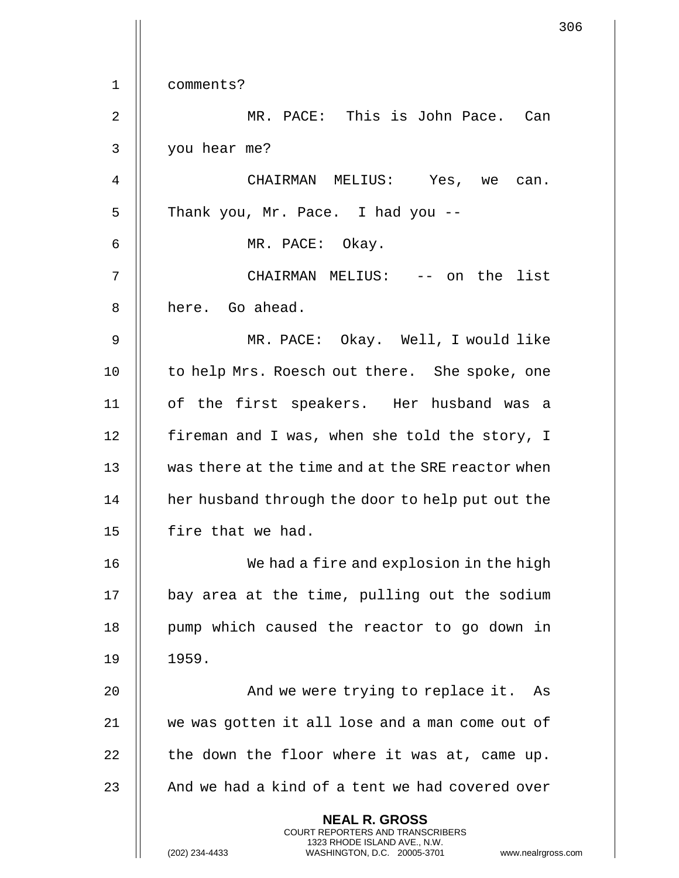|             | 306                                                                                                                                                                    |
|-------------|------------------------------------------------------------------------------------------------------------------------------------------------------------------------|
| $\mathbf 1$ | comments?                                                                                                                                                              |
| 2           | MR. PACE: This is John Pace. Can                                                                                                                                       |
|             |                                                                                                                                                                        |
| 3           | you hear me?                                                                                                                                                           |
| 4           | CHAIRMAN MELIUS: Yes, we can.                                                                                                                                          |
| 5           | Thank you, Mr. Pace. I had you --                                                                                                                                      |
| 6           | MR. PACE: Okay.                                                                                                                                                        |
| 7           | CHAIRMAN MELIUS: -- on the list                                                                                                                                        |
| 8           | here. Go ahead.                                                                                                                                                        |
| 9           | MR. PACE: Okay. Well, I would like                                                                                                                                     |
| 10          | to help Mrs. Roesch out there. She spoke, one                                                                                                                          |
| 11          | of the first speakers. Her husband was a                                                                                                                               |
| 12          | fireman and I was, when she told the story, I                                                                                                                          |
| 13          | was there at the time and at the SRE reactor when                                                                                                                      |
| 14          | her husband through the door to help put out the                                                                                                                       |
| 15          | fire that we had.                                                                                                                                                      |
| 16          | We had a fire and explosion in the high                                                                                                                                |
| 17          | bay area at the time, pulling out the sodium                                                                                                                           |
| 18          | pump which caused the reactor to go down in                                                                                                                            |
| 19          | 1959.                                                                                                                                                                  |
| 20          | And we were trying to replace it. As                                                                                                                                   |
| 21          | we was gotten it all lose and a man come out of                                                                                                                        |
| 22          | the down the floor where it was at, came up.                                                                                                                           |
| 23          | And we had a kind of a tent we had covered over                                                                                                                        |
|             | <b>NEAL R. GROSS</b><br><b>COURT REPORTERS AND TRANSCRIBERS</b><br>1323 RHODE ISLAND AVE., N.W.<br>(202) 234-4433<br>WASHINGTON, D.C. 20005-3701<br>www.nealrgross.com |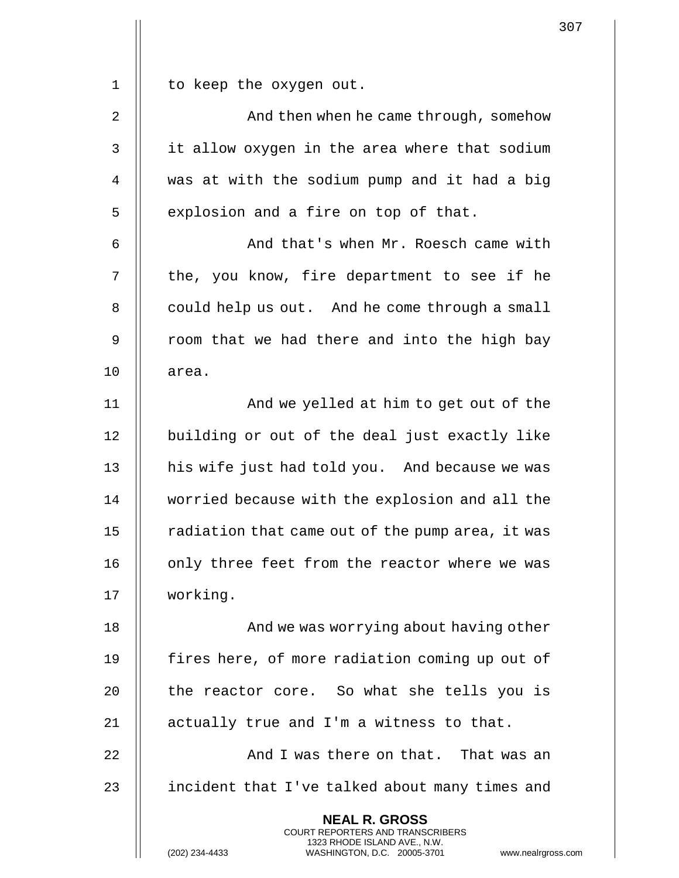| $1\,$          | to keep the oxygen out.                                                                                                                                           |
|----------------|-------------------------------------------------------------------------------------------------------------------------------------------------------------------|
| $\overline{2}$ | And then when he came through, somehow                                                                                                                            |
| $\mathfrak{Z}$ | it allow oxygen in the area where that sodium                                                                                                                     |
| $\overline{4}$ | was at with the sodium pump and it had a big                                                                                                                      |
| 5              | explosion and a fire on top of that.                                                                                                                              |
| 6              | And that's when Mr. Roesch came with                                                                                                                              |
| 7              | the, you know, fire department to see if he                                                                                                                       |
| 8              | could help us out. And he come through a small                                                                                                                    |
| $\mathsf 9$    | room that we had there and into the high bay                                                                                                                      |
| 10             | area.                                                                                                                                                             |
| 11             | And we yelled at him to get out of the                                                                                                                            |
| 12             | building or out of the deal just exactly like                                                                                                                     |
| 13             | his wife just had told you. And because we was                                                                                                                    |
| 14             | worried because with the explosion and all the                                                                                                                    |
| 15             | radiation that came out of the pump area, it was                                                                                                                  |
| 16             | only three feet from the reactor where we was                                                                                                                     |
| 17             | working.                                                                                                                                                          |
| 18             | And we was worrying about having other                                                                                                                            |
| 19             | fires here, of more radiation coming up out of                                                                                                                    |
| 20             | the reactor core. So what she tells you is                                                                                                                        |
| 21             | actually true and I'm a witness to that.                                                                                                                          |
| 22             | And I was there on that. That was an                                                                                                                              |
| 23             | incident that I've talked about many times and                                                                                                                    |
|                | <b>NEAL R. GROSS</b><br><b>COURT REPORTERS AND TRANSCRIBERS</b><br>1323 RHODE ISLAND AVE., N.W.<br>(202) 234-4433<br>WASHINGTON, D.C. 20005-3701<br>www.nealrgros |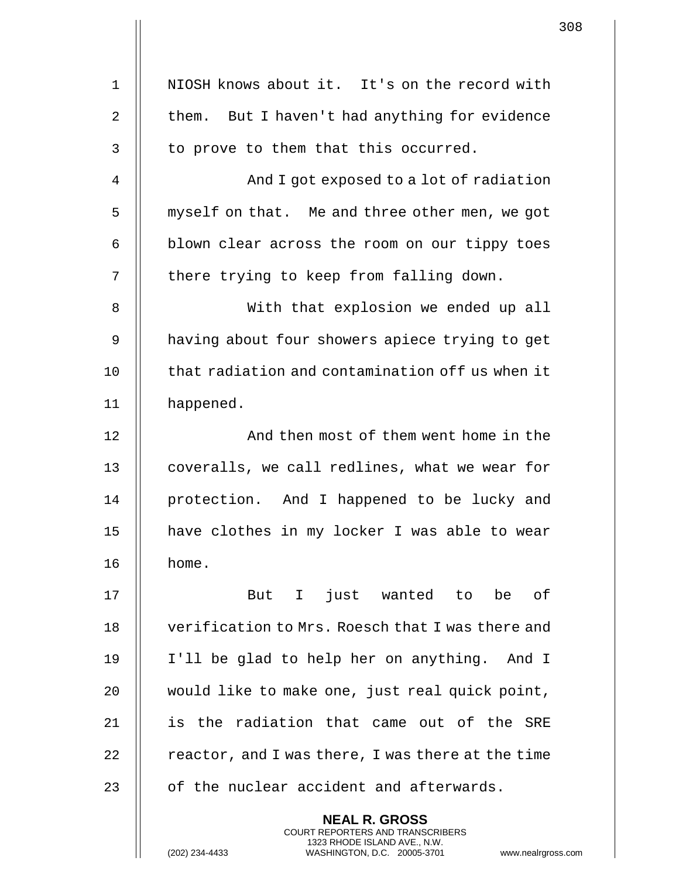| $\mathbf{1}$ | NIOSH knows about it. It's on the record with     |
|--------------|---------------------------------------------------|
|              |                                                   |
| 2            | them. But I haven't had anything for evidence     |
| $\mathbf{3}$ | to prove to them that this occurred.              |
| 4            | And I got exposed to a lot of radiation           |
| 5            | myself on that. Me and three other men, we got    |
| 6            | blown clear across the room on our tippy toes     |
| 7            | there trying to keep from falling down.           |
| 8            | With that explosion we ended up all               |
| 9            | having about four showers apiece trying to get    |
| 10           | that radiation and contamination off us when it   |
| 11           | happened.                                         |
| 12           | And then most of them went home in the            |
| 13           | coveralls, we call redlines, what we wear for     |
| 14           | protection. And I happened to be lucky and        |
| 15           | have clothes in my locker I was able to wear      |
| 16           | home.                                             |
| 17           | I just wanted to<br>be of<br>But                  |
| 18           | verification to Mrs. Roesch that I was there and  |
| 19           | I'll be glad to help her on anything. And I       |
| 20           | would like to make one, just real quick point,    |
| 21           | is the radiation that came out of the SRE         |
| 22           | reactor, and I was there, I was there at the time |
| 23           | of the nuclear accident and afterwards.           |
|              | <b>NEAL R. GROSS</b>                              |

COURT REPORTERS AND TRANSCRIBERS 1323 RHODE ISLAND AVE., N.W.

 $\mathsf{II}$ 

(202) 234-4433 WASHINGTON, D.C. 20005-3701 www.nealrgross.com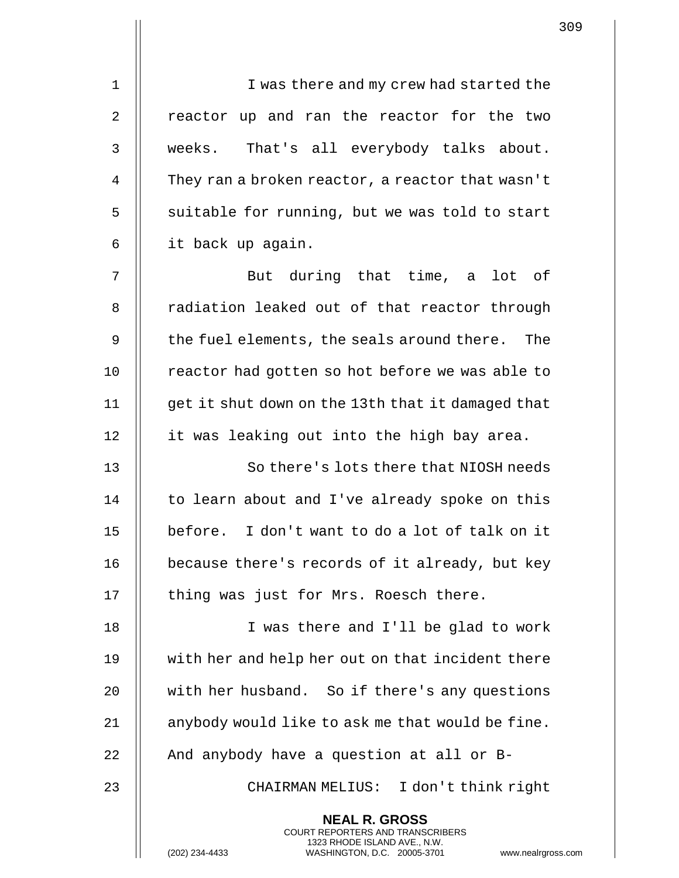1 || I was there and my crew had started the 2 || reactor up and ran the reactor for the two 3 weeks. That's all everybody talks about. 4 | They ran a broken reactor, a reactor that wasn't  $5$  || suitable for running, but we was told to start 6 it back up again.

7 || But during that time, a lot of 8 || radiation leaked out of that reactor through 9 || the fuel elements, the seals around there. The 10 | reactor had gotten so hot before we was able to 11 get it shut down on the 13th that it damaged that 12 | it was leaking out into the high bay area.

 So there's lots there that NIOSH needs 14 | to learn about and I've already spoke on this before. I don't want to do a lot of talk on it **because there's records of it already, but key** | thing was just for Mrs. Roesch there.

18 || I was there and I'll be glad to work 19 with her and help her out on that incident there 20 || with her husband. So if there's any questions 21  $\parallel$  anybody would like to ask me that would be fine. 22  $\parallel$  And anybody have a question at all or B-

23 || CHAIRMAN MELIUS: I don't think right

**NEAL R. GROSS** COURT REPORTERS AND TRANSCRIBERS 1323 RHODE ISLAND AVE., N.W.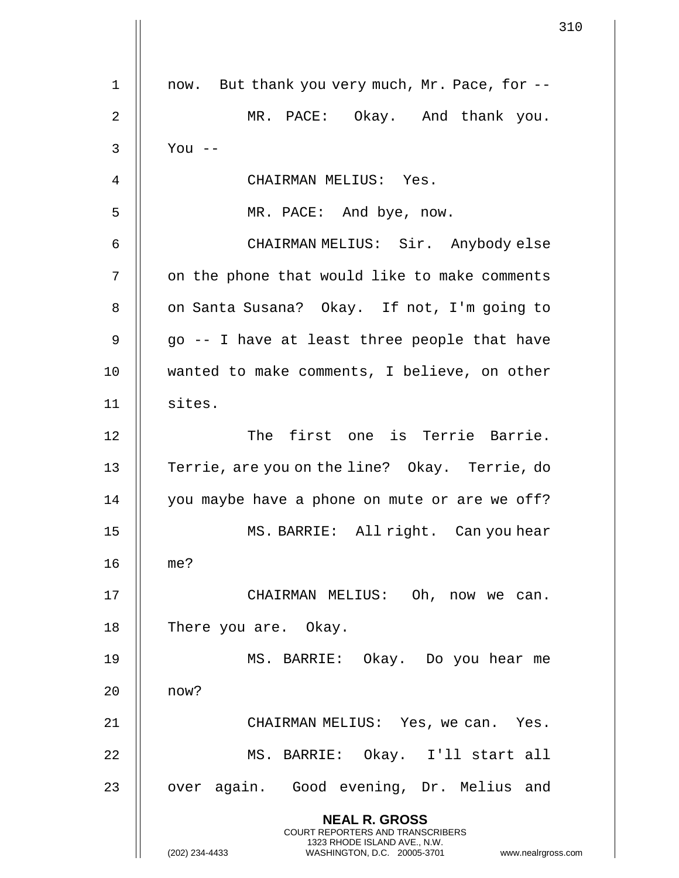1 || now. But thank you very much, Mr. Pace, for --2 MR. PACE: Okay. And thank you. 3 You -- 4 CHAIRMAN MELIUS: Yes. 5 || MR. PACE: And bye, now. 6 CHAIRMAN MELIUS: Sir. Anybody else 7 | on the phone that would like to make comments 8 | on Santa Susana? Okay. If not, I'm going to 9 || go -- I have at least three people that have 10 wanted to make comments, I believe, on other 11 sites. 12 The first one is Terrie Barrie. 13 || Terrie, are you on the line? Okay. Terrie, do 14 || you maybe have a phone on mute or are we off? 15 MS. BARRIE: All right. Can you hear 16 me? 17 CHAIRMAN MELIUS: Oh, now we can. 18 | There you are. Okay. 19 MS. BARRIE: Okay. Do you hear me 20 now? 21 CHAIRMAN MELIUS: Yes, we can. Yes. 22 MS. BARRIE: Okay. I'll start all 23 || over again. Good evening, Dr. Melius and **NEAL R. GROSS** COURT REPORTERS AND TRANSCRIBERS 1323 RHODE ISLAND AVE., N.W. (202) 234-4433 WASHINGTON, D.C. 20005-3701 www.nealrgross.com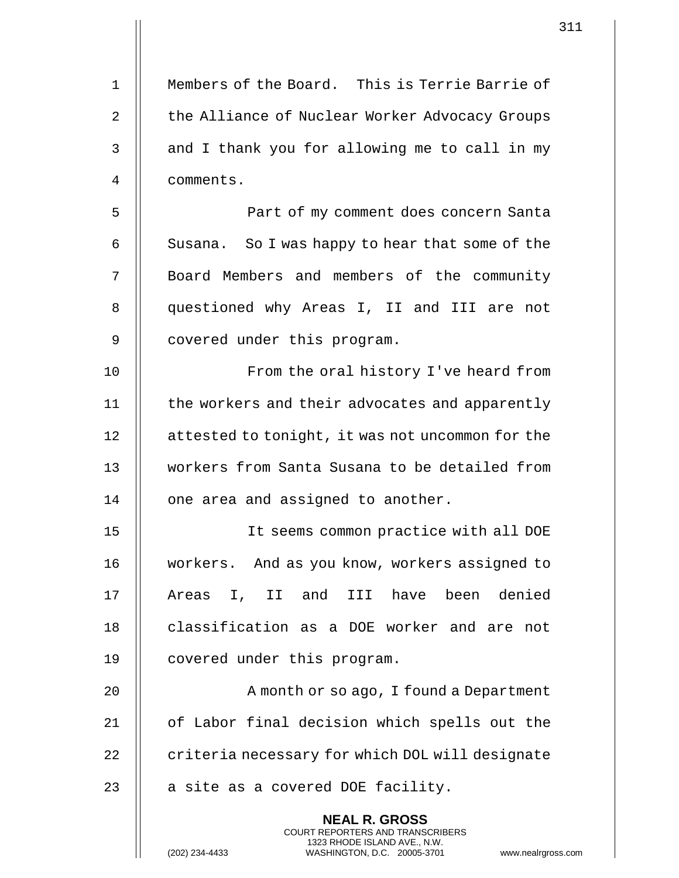| $\mathbf{1}$   | Members of the Board. This is Terrie Barrie of                                                                                                                     |  |
|----------------|--------------------------------------------------------------------------------------------------------------------------------------------------------------------|--|
| $\overline{2}$ | the Alliance of Nuclear Worker Advocacy Groups                                                                                                                     |  |
| 3              | and I thank you for allowing me to call in my                                                                                                                      |  |
| 4              | comments.                                                                                                                                                          |  |
| 5              | Part of my comment does concern Santa                                                                                                                              |  |
| 6              | Susana. So I was happy to hear that some of the                                                                                                                    |  |
| 7              | Board Members and members of the community                                                                                                                         |  |
| 8              | questioned why Areas I, II and III are not                                                                                                                         |  |
| 9              | covered under this program.                                                                                                                                        |  |
| 10             | From the oral history I've heard from                                                                                                                              |  |
| 11             | the workers and their advocates and apparently                                                                                                                     |  |
| 12             | attested to tonight, it was not uncommon for the                                                                                                                   |  |
| 13             | workers from Santa Susana to be detailed from                                                                                                                      |  |
| 14             | one area and assigned to another.                                                                                                                                  |  |
| 15             | It seems common practice with all DOE                                                                                                                              |  |
| 16             | workers. And as you know, workers assigned to                                                                                                                      |  |
| 17             | II and III have<br>been denied<br>Areas<br>$I_{\prime}$                                                                                                            |  |
| 18             | classification as a DOE worker and are not                                                                                                                         |  |
|                |                                                                                                                                                                    |  |
| 19             | covered under this program.                                                                                                                                        |  |
| 20             | A month or so ago, I found a Department                                                                                                                            |  |
| 21             | of Labor final decision which spells out the                                                                                                                       |  |
| 22             | criteria necessary for which DOL will designate                                                                                                                    |  |
| 23             | a site as a covered DOE facility.                                                                                                                                  |  |
|                | <b>NEAL R. GROSS</b><br><b>COURT REPORTERS AND TRANSCRIBERS</b><br>1323 RHODE ISLAND AVE., N.W.<br>(202) 234-4433<br>WASHINGTON, D.C. 20005-3701<br>www.nealrgross |  |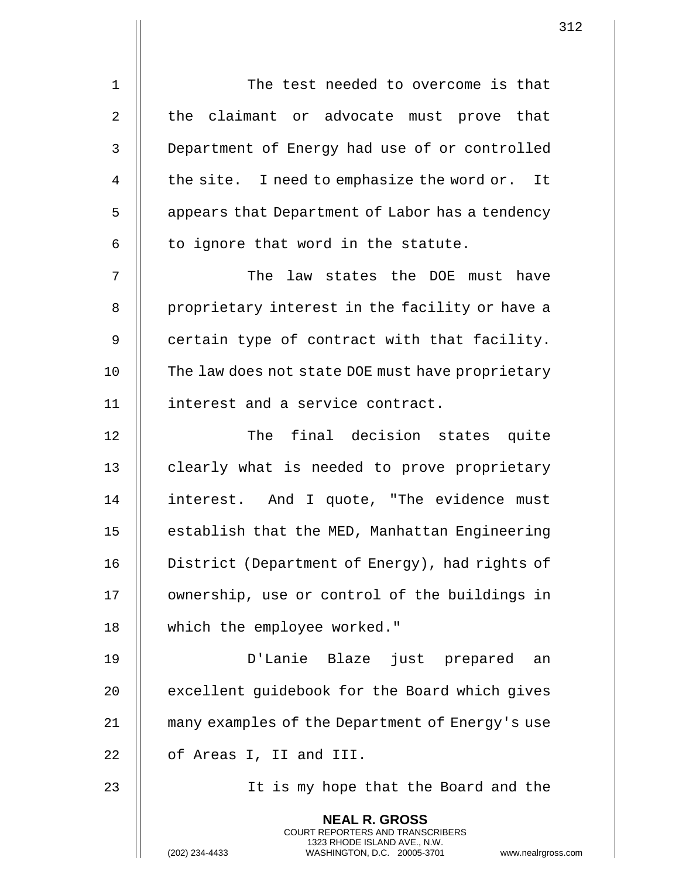| $\mathbf 1$    | The test needed to overcome is that                                                                                                                        |
|----------------|------------------------------------------------------------------------------------------------------------------------------------------------------------|
| $\overline{2}$ | the claimant or advocate must prove that                                                                                                                   |
| 3              | Department of Energy had use of or controlled                                                                                                              |
| 4              | the site. I need to emphasize the word or. It                                                                                                              |
| 5              | appears that Department of Labor has a tendency                                                                                                            |
| 6              | to ignore that word in the statute.                                                                                                                        |
| 7              | The law states the DOE must have                                                                                                                           |
| 8              | proprietary interest in the facility or have a                                                                                                             |
| 9              | certain type of contract with that facility.                                                                                                               |
| 10             | The law does not state DOE must have proprietary                                                                                                           |
| 11             | interest and a service contract.                                                                                                                           |
| 12             | The final decision states quite                                                                                                                            |
| 13             | clearly what is needed to prove proprietary                                                                                                                |
| 14             | interest. And I quote, "The evidence must                                                                                                                  |
| 15             | establish that the MED, Manhattan Engineering                                                                                                              |
| 16             | District (Department of Energy), had rights of                                                                                                             |
| 17             | ownership, use or control of the buildings in                                                                                                              |
| 18             | which the employee worked."                                                                                                                                |
| 19             | D'Lanie Blaze just prepared an                                                                                                                             |
| 20             | excellent guidebook for the Board which gives                                                                                                              |
| 21             | many examples of the Department of Energy's use                                                                                                            |
| 22             | of Areas I, II and III.                                                                                                                                    |
| 23             | It is my hope that the Board and the                                                                                                                       |
|                | <b>NEAL R. GROSS</b><br>COURT REPORTERS AND TRANSCRIBERS<br>1323 RHODE ISLAND AVE., N.W.<br>(202) 234-4433<br>WASHINGTON, D.C. 20005-3701<br>www.nealrgros |

(202) 234-4433 WASHINGTON, D.C. 20005-3701 www.nealrgross.com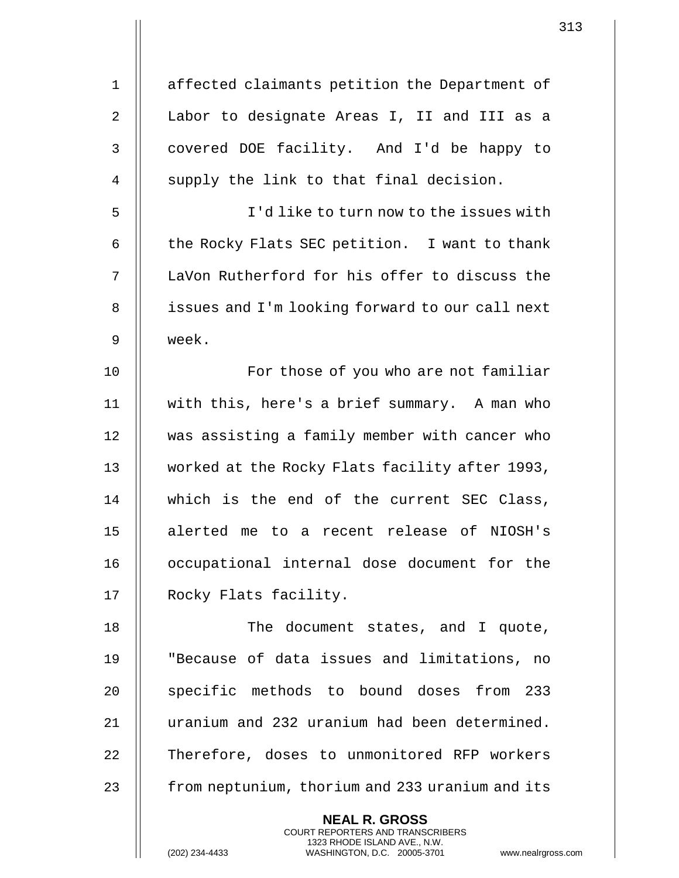| $\mathbf 1$    | affected claimants petition the Department of   |
|----------------|-------------------------------------------------|
| $\overline{2}$ | Labor to designate Areas I, II and III as a     |
| 3              | covered DOE facility. And I'd be happy to       |
| 4              | supply the link to that final decision.         |
| 5              | I'd like to turn now to the issues with         |
| 6              | the Rocky Flats SEC petition. I want to thank   |
| 7              | LaVon Rutherford for his offer to discuss the   |
| 8              | issues and I'm looking forward to our call next |
| 9              | week.                                           |
| 10             | For those of you who are not familiar           |
| 11             | with this, here's a brief summary. A man who    |
| 12             | was assisting a family member with cancer who   |
| 13             | worked at the Rocky Flats facility after 1993,  |
| 14             | which is the end of the current SEC Class,      |
| 15             | alerted me to a recent release of NIOSH's       |
| 16             | occupational internal dose document for the     |
| 17             | Rocky Flats facility.                           |
| 18             | The document states, and I quote,               |
| 19             | "Because of data issues and limitations, no     |
| 20             | specific methods to bound doses from 233        |
| 21             | uranium and 232 uranium had been determined.    |
| 22             | Therefore, doses to unmonitored RFP workers     |
| 23             | from neptunium, thorium and 233 uranium and its |
|                | <b>NEAL R. GROSS</b>                            |

COURT REPORTERS AND TRANSCRIBERS 1323 RHODE ISLAND AVE., N.W.

 $\mathsf{II}$ 

 $\begin{array}{c} \hline \end{array}$ 

(202) 234-4433 WASHINGTON, D.C. 20005-3701 www.nealrgross.com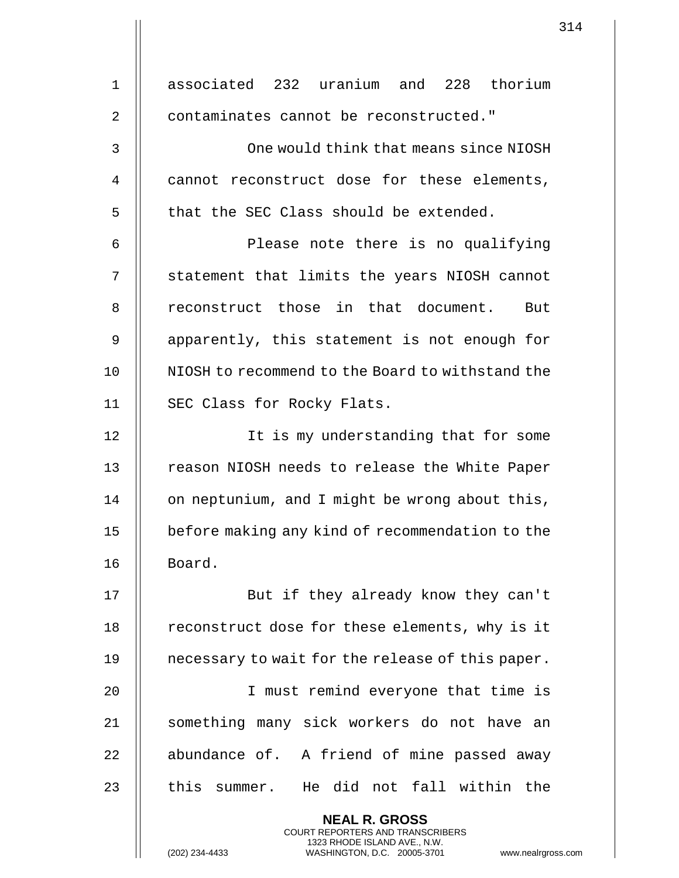| $\mathbf 1$ | associated 232 uranium and 228 thorium                                                            |
|-------------|---------------------------------------------------------------------------------------------------|
| 2           | contaminates cannot be reconstructed."                                                            |
| 3           | One would think that means since NIOSH                                                            |
| 4           | cannot reconstruct dose for these elements,                                                       |
| 5           | that the SEC Class should be extended.                                                            |
| 6           | Please note there is no qualifying                                                                |
| 7           | statement that limits the years NIOSH cannot                                                      |
| 8           | reconstruct those in that document. But                                                           |
| 9           | apparently, this statement is not enough for                                                      |
| 10          | NIOSH to recommend to the Board to withstand the                                                  |
| 11          | SEC Class for Rocky Flats.                                                                        |
| 12          | It is my understanding that for some                                                              |
| 13          | reason NIOSH needs to release the White Paper                                                     |
| 14          | on neptunium, and I might be wrong about this,                                                    |
| 15          | before making any kind of recommendation to the                                                   |
| 16          | Board.                                                                                            |
| 17          | But if they already know they can't                                                               |
| 18          | reconstruct dose for these elements, why is it                                                    |
| 19          | necessary to wait for the release of this paper.                                                  |
| 20          | I must remind everyone that time is                                                               |
| 21          | something many sick workers do not have an                                                        |
| 22          | abundance of. A friend of mine passed away                                                        |
| 23          | this summer. He did not fall within the                                                           |
|             | <b>NEAL R. GROSS</b><br><b>COURT REPORTERS AND TRANSCRIBERS</b>                                   |
|             | 1323 RHODE ISLAND AVE., N.W.<br>(202) 234-4433<br>WASHINGTON, D.C. 20005-3701<br>www.nealrgross.o |

 $\begin{array}{c} \hline \end{array}$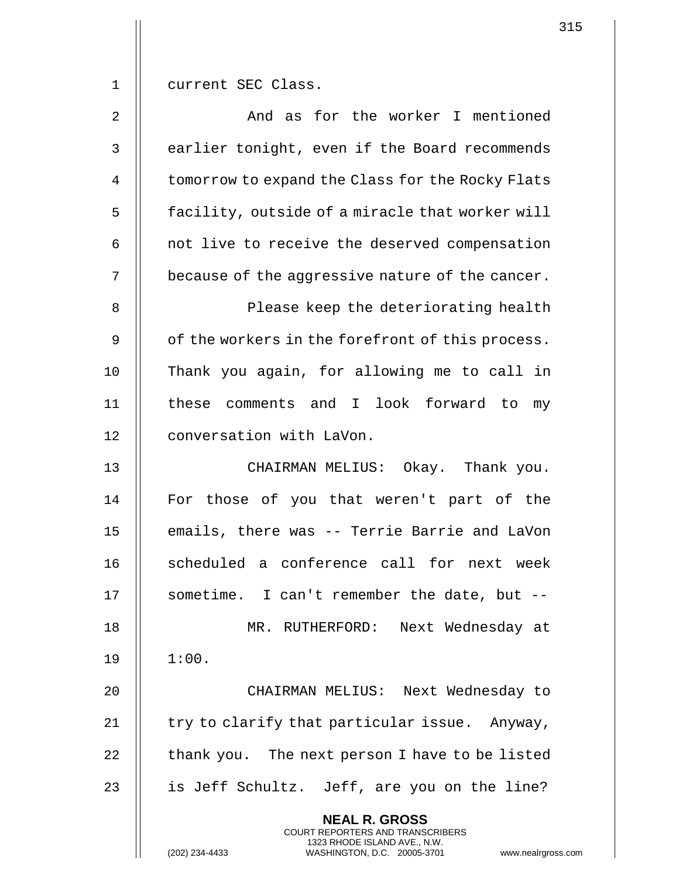1 || current SEC Class.

2 || The Mondia as for the worker I mentioned 3 || earlier tonight, even if the Board recommends 4 | tomorrow to expand the Class for the Rocky Flats 5 | facility, outside of a miracle that worker will  $6$  | not live to receive the deserved compensation 7  $\parallel$  because of the aggressive nature of the cancer.

8 || Please keep the deteriorating health 9 | of the workers in the forefront of this process. 10 Thank you again, for allowing me to call in 11 || these comments and I look forward to my 12 | conversation with LaVon.

13 || CHAIRMAN MELIUS: Okay. Thank you. 14 || For those of you that weren't part of the 15 || emails, there was -- Terrie Barrie and LaVon 16 || scheduled a conference call for next week 17 || sometime. I can't remember the date, but --18 || MR. RUTHERFORD: Next Wednesday at  $19 \parallel 1:00.$ 

 CHAIRMAN MELIUS: Next Wednesday to  $\parallel$  try to clarify that particular issue. Anyway,  $\parallel$  thank you. The next person I have to be listed 23 || is Jeff Schultz. Jeff, are you on the line?

> **NEAL R. GROSS** COURT REPORTERS AND TRANSCRIBERS

> > 1323 RHODE ISLAND AVE., N.W.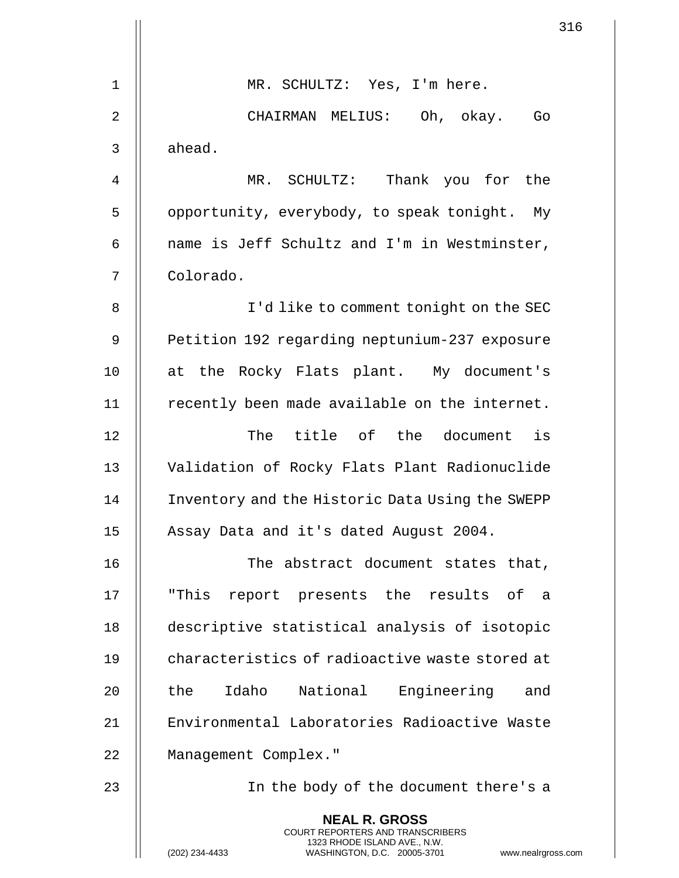|             | 316                                                                                                 |
|-------------|-----------------------------------------------------------------------------------------------------|
|             |                                                                                                     |
| $\mathbf 1$ | MR. SCHULTZ: Yes, I'm here.                                                                         |
| 2           | CHAIRMAN MELIUS: Oh, okay.<br>Go                                                                    |
| 3           | ahead.                                                                                              |
| 4           | Thank you for the<br>MR. SCHULTZ:                                                                   |
| 5           | opportunity, everybody, to speak tonight. My                                                        |
| 6           | name is Jeff Schultz and I'm in Westminster,                                                        |
| 7           | Colorado.                                                                                           |
| 8           | I'd like to comment tonight on the SEC                                                              |
| 9           | Petition 192 regarding neptunium-237 exposure                                                       |
| 10          | at the Rocky Flats plant. My document's                                                             |
| 11          | recently been made available on the internet.                                                       |
| 12          | The title of the document is                                                                        |
| 13          | Validation of Rocky Flats Plant Radionuclide                                                        |
| 14          | Inventory and the Historic Data Using the SWEPP                                                     |
| 15          | Assay Data and it's dated August 2004.                                                              |
| 16          | The abstract document states that,                                                                  |
| 17          | "This<br>report presents the results of a                                                           |
| 18          | descriptive statistical analysis of isotopic                                                        |
| 19          | characteristics of radioactive waste stored at                                                      |
| 20          | Idaho National<br>Engineering and<br>the                                                            |
| 21          | Environmental Laboratories Radioactive Waste                                                        |
| 22          | Management Complex."                                                                                |
| 23          | In the body of the document there's a                                                               |
|             | <b>NEAL R. GROSS</b><br><b>COURT REPORTERS AND TRANSCRIBERS</b>                                     |
|             | 1323 RHODE ISLAND AVE., N.W.<br>(202) 234-4433<br>WASHINGTON, D.C. 20005-3701<br>www.nealrgross.com |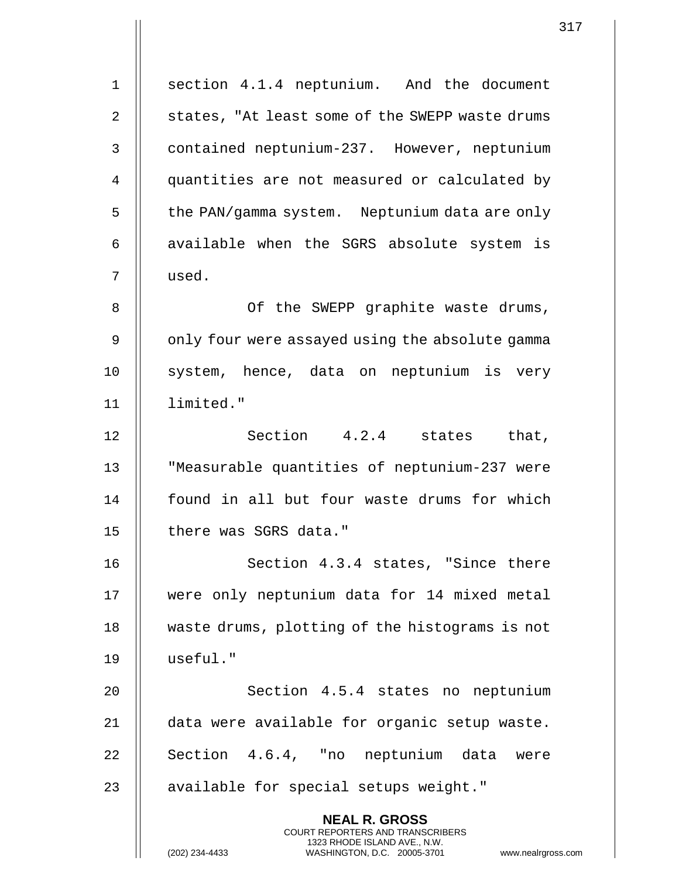| $\mathbf 1$    | section 4.1.4 neptunium. And the document                                                                                                      |
|----------------|------------------------------------------------------------------------------------------------------------------------------------------------|
| $\overline{a}$ | states, "At least some of the SWEPP waste drums                                                                                                |
| 3              | contained neptunium-237. However, neptunium                                                                                                    |
| 4              | quantities are not measured or calculated by                                                                                                   |
| 5              | the PAN/gamma system. Neptunium data are only                                                                                                  |
| 6              | available when the SGRS absolute system is                                                                                                     |
| 7              | used.                                                                                                                                          |
| 8              | Of the SWEPP graphite waste drums,                                                                                                             |
| $\mathsf 9$    |                                                                                                                                                |
|                | only four were assayed using the absolute gamma                                                                                                |
| 10             | system, hence, data on neptunium is very                                                                                                       |
| 11             | limited."                                                                                                                                      |
| 12             | Section 4.2.4 states that,                                                                                                                     |
| 13             | "Measurable quantities of neptunium-237 were                                                                                                   |
| 14             | found in all but four waste drums for which                                                                                                    |
| 15             | there was SGRS data."                                                                                                                          |
| 16             | Section 4.3.4 states, "Since there                                                                                                             |
| 17             | were only neptunium data for 14 mixed metal                                                                                                    |
| 18             | waste drums, plotting of the histograms is not                                                                                                 |
| 19             | useful."                                                                                                                                       |
| 20             | Section 4.5.4 states no neptunium                                                                                                              |
| 21             | data were available for organic setup waste.                                                                                                   |
| 22             | Section 4.6.4, "no neptunium data were                                                                                                         |
| 23             | available for special setups weight."                                                                                                          |
|                | <b>NEAL R. GROSS</b>                                                                                                                           |
|                | <b>COURT REPORTERS AND TRANSCRIBERS</b><br>1323 RHODE ISLAND AVE., N.W.<br>(202) 234-4433<br>WASHINGTON, D.C. 20005-3701<br>www.nealrgross.com |

 $\mathbf{1}$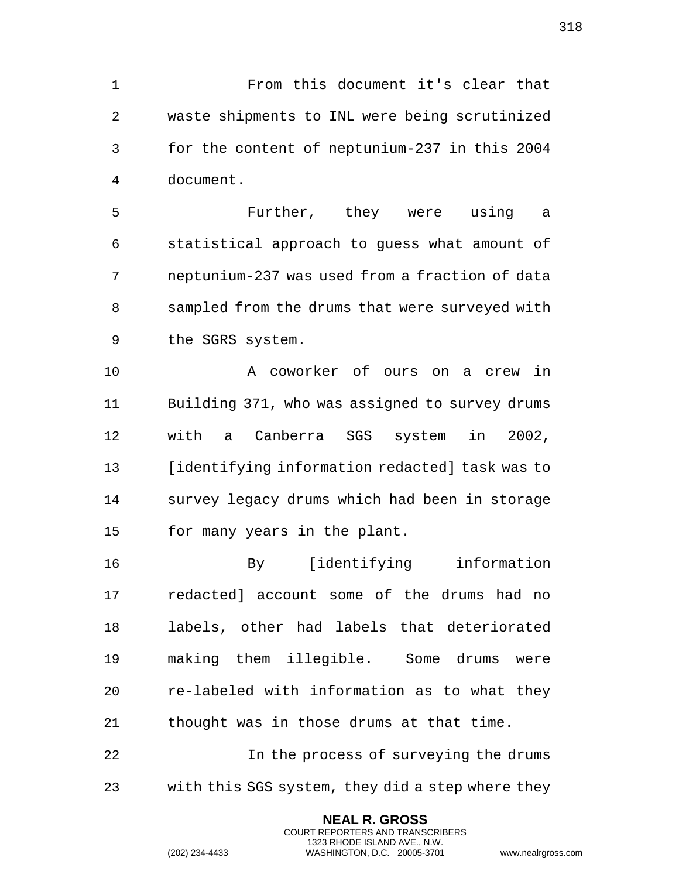| 1              | From this document it's clear that                                                                                                                                 |
|----------------|--------------------------------------------------------------------------------------------------------------------------------------------------------------------|
|                |                                                                                                                                                                    |
| $\overline{2}$ | waste shipments to INL were being scrutinized                                                                                                                      |
| $\mathsf{3}$   | for the content of neptunium-237 in this 2004                                                                                                                      |
| 4              | document.                                                                                                                                                          |
| 5              | Further, they were using<br>a                                                                                                                                      |
| 6              | statistical approach to guess what amount of                                                                                                                       |
| 7              | neptunium-237 was used from a fraction of data                                                                                                                     |
| 8              | sampled from the drums that were surveyed with                                                                                                                     |
| 9              | the SGRS system.                                                                                                                                                   |
| 10             | A coworker of ours on<br>a crew in                                                                                                                                 |
| 11             | Building 371, who was assigned to survey drums                                                                                                                     |
| 12             | with a Canberra SGS system in 2002,                                                                                                                                |
| 13             | [identifying information redacted] task was to                                                                                                                     |
| 14             | survey legacy drums which had been in storage                                                                                                                      |
| 15             | for many years in the plant.                                                                                                                                       |
| 16             | By [identifying information                                                                                                                                        |
| 17             | redacted] account some of the drums had no                                                                                                                         |
| 18             | labels, other had labels that deteriorated                                                                                                                         |
| 19             | making them illegible. Some drums were                                                                                                                             |
| 20             | re-labeled with information as to what they                                                                                                                        |
| 21             | thought was in those drums at that time.                                                                                                                           |
| 22             | In the process of surveying the drums                                                                                                                              |
| 23             | with this SGS system, they did a step where they                                                                                                                   |
|                | <b>NEAL R. GROSS</b><br><b>COURT REPORTERS AND TRANSCRIBERS</b><br>1323 RHODE ISLAND AVE., N.W.<br>(202) 234-4433<br>WASHINGTON, D.C. 20005-3701<br>www.nealrgross |

(202) 234-4433 WASHINGTON, D.C. 20005-3701 www.nealrgross.com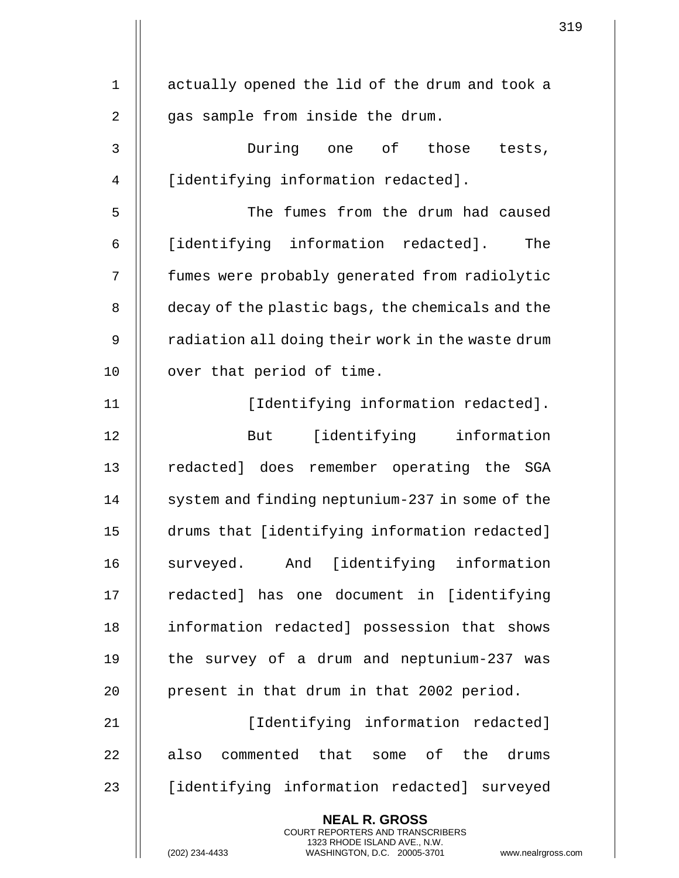| 1              | actually opened the lid of the drum and took a                                                                                                                     |
|----------------|--------------------------------------------------------------------------------------------------------------------------------------------------------------------|
| $\overline{2}$ | gas sample from inside the drum.                                                                                                                                   |
| 3              | During one of those<br>tests,                                                                                                                                      |
| 4              | [identifying information redacted].                                                                                                                                |
| 5              | The fumes from the drum had caused                                                                                                                                 |
| 6              | [identifying information redacted].<br>The                                                                                                                         |
| 7              | fumes were probably generated from radiolytic                                                                                                                      |
| 8              | decay of the plastic bags, the chemicals and the                                                                                                                   |
| 9              | radiation all doing their work in the waste drum                                                                                                                   |
| 10             | over that period of time.                                                                                                                                          |
| 11             | [Identifying information redacted].                                                                                                                                |
| 12             | [identifying information<br>But                                                                                                                                    |
| 13             | redacted] does remember operating the SGA                                                                                                                          |
| 14             | system and finding neptunium-237 in some of the                                                                                                                    |
| 15             | drums that [identifying information redacted]                                                                                                                      |
| 16             | surveyed. And [identifying information                                                                                                                             |
| 17             | redacted] has one document in [identifying                                                                                                                         |
| 18             | information redacted] possession that shows                                                                                                                        |
| 19             | the survey of a drum and neptunium-237 was                                                                                                                         |
| 20             | present in that drum in that 2002 period.                                                                                                                          |
| 21             | [Identifying information redacted]                                                                                                                                 |
| 22             | also commented that some of the drums                                                                                                                              |
| 23             | [identifying information redacted] surveyed                                                                                                                        |
|                | <b>NEAL R. GROSS</b><br><b>COURT REPORTERS AND TRANSCRIBERS</b><br>1323 RHODE ISLAND AVE., N.W.<br>(202) 234-4433<br>WASHINGTON, D.C. 20005-3701<br>www.nealrgross |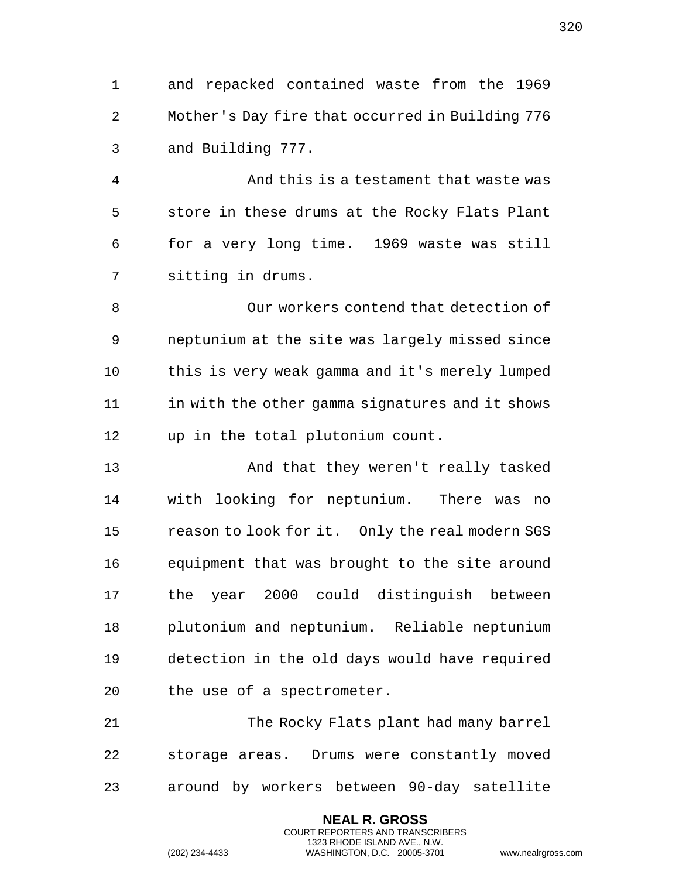| $\mathbf 1$    | and repacked contained waste from the 1969                                                                                                                         |
|----------------|--------------------------------------------------------------------------------------------------------------------------------------------------------------------|
| $\overline{2}$ | Mother's Day fire that occurred in Building 776                                                                                                                    |
| 3              | and Building 777.                                                                                                                                                  |
| 4              | And this is a testament that waste was                                                                                                                             |
| 5              | store in these drums at the Rocky Flats Plant                                                                                                                      |
|                |                                                                                                                                                                    |
| 6              | for a very long time. 1969 waste was still                                                                                                                         |
| 7              | sitting in drums.                                                                                                                                                  |
| 8              | Our workers contend that detection of                                                                                                                              |
| 9              | neptunium at the site was largely missed since                                                                                                                     |
| 10             | this is very weak gamma and it's merely lumped                                                                                                                     |
| 11             | in with the other gamma signatures and it shows                                                                                                                    |
| 12             | up in the total plutonium count.                                                                                                                                   |
| 13             | And that they weren't really tasked                                                                                                                                |
| 14             | with looking for neptunium. There was<br>no                                                                                                                        |
| 15             | reason to look for it. Only the real modern SGS                                                                                                                    |
| 16             | equipment that was brought to the site around                                                                                                                      |
| 17             | year 2000 could distinguish between<br>the                                                                                                                         |
| 18             | plutonium and neptunium. Reliable neptunium                                                                                                                        |
| 19             | detection in the old days would have required                                                                                                                      |
| 20             | the use of a spectrometer.                                                                                                                                         |
| 21             | The Rocky Flats plant had many barrel                                                                                                                              |
| 22             | storage areas. Drums were constantly moved                                                                                                                         |
| 23             | around by workers between 90-day satellite                                                                                                                         |
|                | <b>NEAL R. GROSS</b><br><b>COURT REPORTERS AND TRANSCRIBERS</b><br>1323 RHODE ISLAND AVE., N.W.<br>(202) 234-4433<br>WASHINGTON, D.C. 20005-3701<br>www.nealrgross |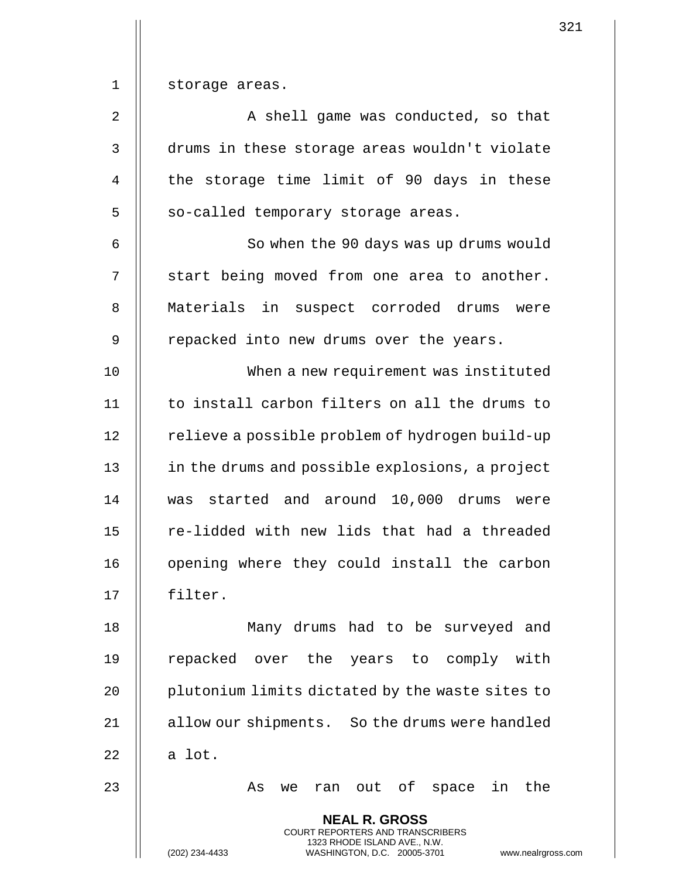1 | storage areas.

2 | A shell game was conducted, so that 3 drums in these storage areas wouldn't violate 4 || the storage time limit of 90 days in these 5 | so-called temporary storage areas.

6 || So when the 90 days was up drums would  $7 \parallel$  start being moved from one area to another. 8 || Materials in suspect corroded drums were 9 || repacked into new drums over the years.

10 When a new requirement was instituted 11 || to install carbon filters on all the drums to 12 | relieve a possible problem of hydrogen build-up 13 | in the drums and possible explosions, a project 14 was started and around 10,000 drums were 15 || re-lidded with new lids that had a threaded 16 || opening where they could install the carbon 17 filter.

18 Many drums had to be surveyed and 19 || repacked over the years to comply with 20 | plutonium limits dictated by the waste sites to 21 | allow our shipments. So the drums were handled  $22 \parallel$  a lot.

23 As we ran out of space in the

**NEAL R. GROSS** COURT REPORTERS AND TRANSCRIBERS 1323 RHODE ISLAND AVE., N.W.

321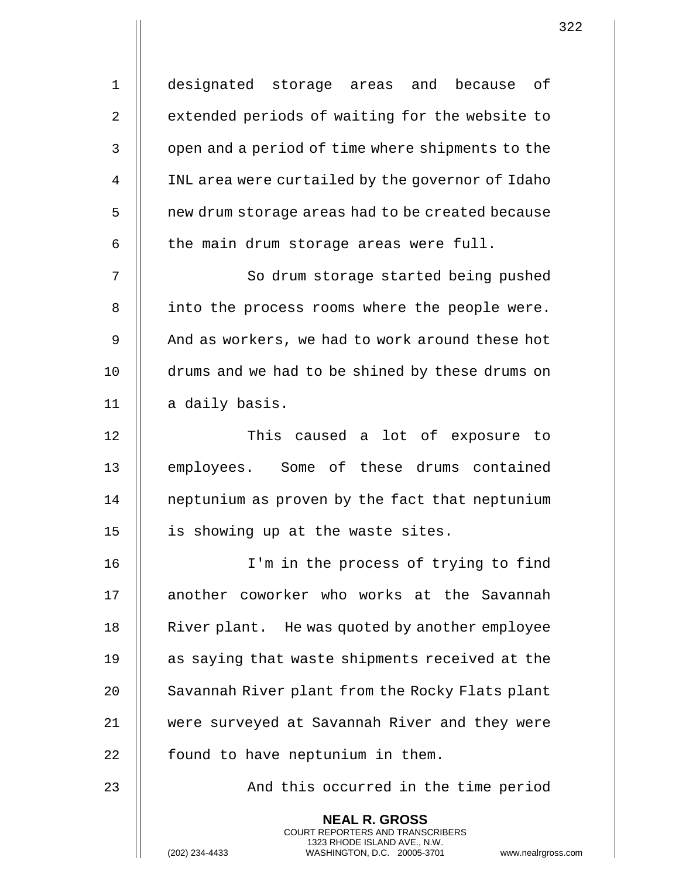| $\mathbf 1$ | designated storage areas and because of                                                                                                                           |
|-------------|-------------------------------------------------------------------------------------------------------------------------------------------------------------------|
| 2           | extended periods of waiting for the website to                                                                                                                    |
| 3           | open and a period of time where shipments to the                                                                                                                  |
| 4           | INL area were curtailed by the governor of Idaho                                                                                                                  |
| 5           | new drum storage areas had to be created because                                                                                                                  |
| 6           | the main drum storage areas were full.                                                                                                                            |
| 7           | So drum storage started being pushed                                                                                                                              |
| 8           | into the process rooms where the people were.                                                                                                                     |
| 9           | And as workers, we had to work around these hot                                                                                                                   |
| 10          | drums and we had to be shined by these drums on                                                                                                                   |
| 11          | a daily basis.                                                                                                                                                    |
| 12          | This caused a lot of exposure to                                                                                                                                  |
| 13          | employees. Some of these drums contained                                                                                                                          |
| 14          | neptunium as proven by the fact that neptunium                                                                                                                    |
| 15          | is showing up at the waste sites.                                                                                                                                 |
| 16          | I'm in the process of trying to find                                                                                                                              |
| 17          | another coworker who works at the Savannah                                                                                                                        |
| 18          | River plant. He was quoted by another employee                                                                                                                    |
| 19          | as saying that waste shipments received at the                                                                                                                    |
| 20          | Savannah River plant from the Rocky Flats plant                                                                                                                   |
| 21          | were surveyed at Savannah River and they were                                                                                                                     |
| 22          | found to have neptunium in them.                                                                                                                                  |
| 23          | And this occurred in the time period                                                                                                                              |
|             | <b>NEAL R. GROSS</b><br><b>COURT REPORTERS AND TRANSCRIBERS</b><br>1323 RHODE ISLAND AVE., N.W.<br>(202) 234-4433<br>WASHINGTON, D.C. 20005-3701<br>www.nealrgros |

 $\mathop{\textstyle\prod}$ 

(202) 234-4433 WASHINGTON, D.C. 20005-3701 www.nealrgross.com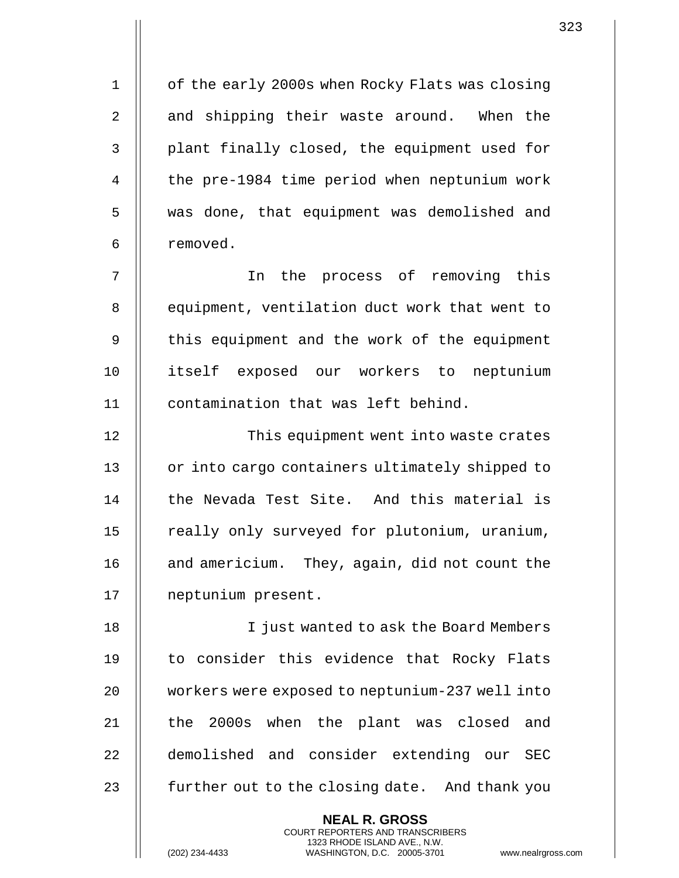1 | of the early 2000s when Rocky Flats was closing 2 || and shipping their waste around. When the 3 || plant finally closed, the equipment used for 4 | the pre-1984 time period when neptunium work 5 || was done, that equipment was demolished and 6 | removed.

7 || The process of removing this 8 || equipment, ventilation duct work that went to 9 || this equipment and the work of the equipment 10 itself exposed our workers to neptunium 11 contamination that was left behind.

12 || This equipment went into waste crates 13 || or into cargo containers ultimately shipped to 14 || the Nevada Test Site. And this material is 15 | really only surveyed for plutonium, uranium, 16 | and americium. They, again, did not count the 17 neptunium present.

18 || I just wanted to ask the Board Members 19 || to consider this evidence that Rocky Flats 20 workers were exposed to neptunium-237 well into 21 || the 2000s when the plant was closed and 22 || demolished and consider extending our SEC 23  $\parallel$  further out to the closing date. And thank you

> **NEAL R. GROSS** COURT REPORTERS AND TRANSCRIBERS 1323 RHODE ISLAND AVE., N.W.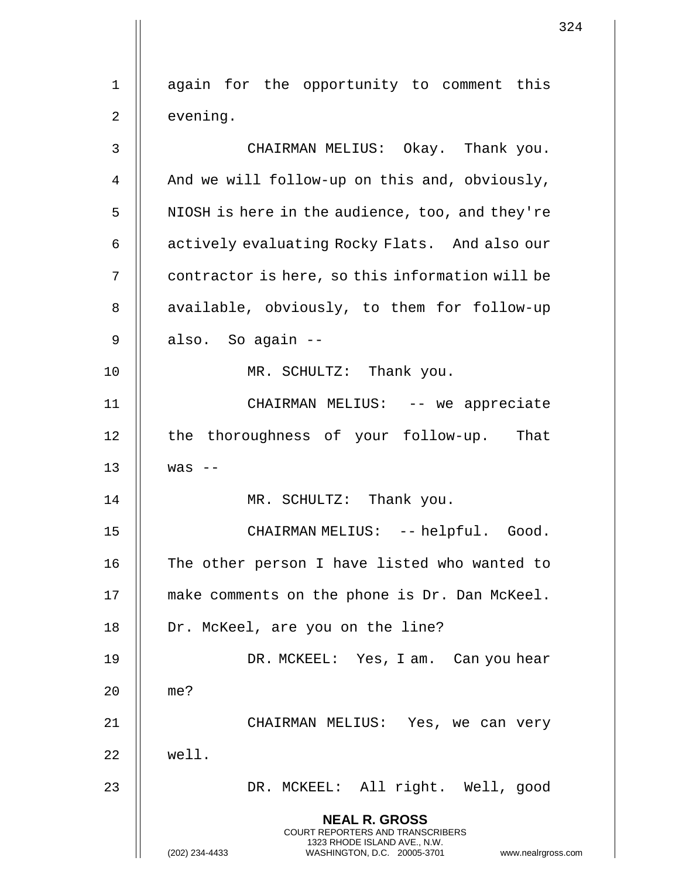|             | 324                                                                                                                                         |
|-------------|---------------------------------------------------------------------------------------------------------------------------------------------|
|             |                                                                                                                                             |
| $\mathbf 1$ | again for the opportunity to comment this                                                                                                   |
| 2           | evening.                                                                                                                                    |
| 3           | CHAIRMAN MELIUS: Okay. Thank you.                                                                                                           |
| 4           | And we will follow-up on this and, obviously,                                                                                               |
| 5           | NIOSH is here in the audience, too, and they're                                                                                             |
| 6           | actively evaluating Rocky Flats. And also our                                                                                               |
| 7           | contractor is here, so this information will be                                                                                             |
| 8           | available, obviously, to them for follow-up                                                                                                 |
| 9           | also. So again --                                                                                                                           |
| 10          | MR. SCHULTZ: Thank you.                                                                                                                     |
| 11          | CHAIRMAN MELIUS: -- we appreciate                                                                                                           |
| $12 \,$     | the thoroughness of your follow-up. That                                                                                                    |
| 13          | was                                                                                                                                         |
| 14          | MR. SCHULTZ: Thank you.                                                                                                                     |
| 15          | CHAIRMAN MELIUS: -- helpful. Good.                                                                                                          |
| 16          | The other person I have listed who wanted to                                                                                                |
| 17          | make comments on the phone is Dr. Dan McKeel.                                                                                               |
| 18          | Dr. McKeel, are you on the line?                                                                                                            |
| 19          | DR. MCKEEL: Yes, I am. Can you hear                                                                                                         |
| 20          | me?                                                                                                                                         |
| 21          | CHAIRMAN MELIUS: Yes, we can very                                                                                                           |
| 22          | well.                                                                                                                                       |
| 23          | DR. MCKEEL: All right. Well, good                                                                                                           |
|             | <b>NEAL R. GROSS</b>                                                                                                                        |
|             | <b>COURT REPORTERS AND TRANSCRIBERS</b><br>1323 RHODE ISLAND AVE., N.W.<br>(202) 234-4433<br>WASHINGTON, D.C. 20005-3701 www.nealrgross.com |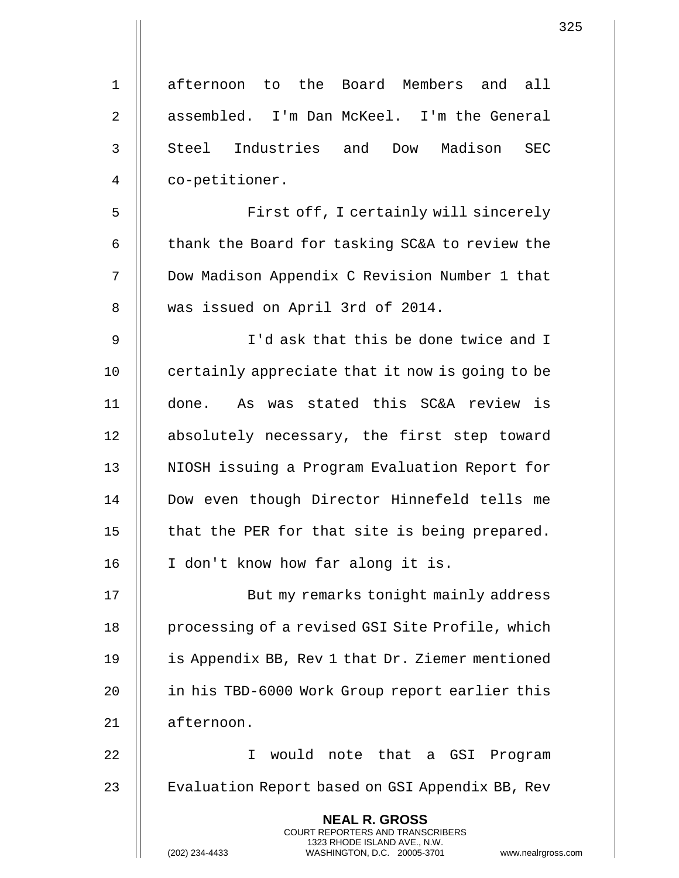| $\mathbf 1$    | afternoon to the Board Members and<br>all                                                                                                                         |
|----------------|-------------------------------------------------------------------------------------------------------------------------------------------------------------------|
| $\overline{2}$ | assembled. I'm Dan McKeel. I'm the General                                                                                                                        |
| 3              | Steel Industries and<br>Madison<br>Dow<br><b>SEC</b>                                                                                                              |
| $\overline{4}$ | co-petitioner.                                                                                                                                                    |
| 5              | First off, I certainly will sincerely                                                                                                                             |
| 6              | thank the Board for tasking SC&A to review the                                                                                                                    |
| 7              | Dow Madison Appendix C Revision Number 1 that                                                                                                                     |
| 8              | was issued on April 3rd of 2014.                                                                                                                                  |
| 9              | I'd ask that this be done twice and I                                                                                                                             |
| 10             | certainly appreciate that it now is going to be                                                                                                                   |
| 11             | done. As was stated this SC&A review is                                                                                                                           |
| 12             | absolutely necessary, the first step toward                                                                                                                       |
| 13             | NIOSH issuing a Program Evaluation Report for                                                                                                                     |
| 14             | Dow even though Director Hinnefeld tells me                                                                                                                       |
| 15             | that the PER for that site is being prepared.                                                                                                                     |
| 16             | I don't know how far along it is.                                                                                                                                 |
| 17             | But my remarks tonight mainly address                                                                                                                             |
| 18             | processing of a revised GSI Site Profile, which                                                                                                                   |
| 19             | is Appendix BB, Rev 1 that Dr. Ziemer mentioned                                                                                                                   |
| 20             | in his TBD-6000 Work Group report earlier this                                                                                                                    |
| 21             | afternoon.                                                                                                                                                        |
| 22             | would note that a GSI<br>T.<br>Program                                                                                                                            |
| 23             | Evaluation Report based on GSI Appendix BB, Rev                                                                                                                   |
|                | <b>NEAL R. GROSS</b><br><b>COURT REPORTERS AND TRANSCRIBERS</b><br>1323 RHODE ISLAND AVE., N.W.<br>(202) 234-4433<br>WASHINGTON, D.C. 20005-3701<br>www.nealrgros |

(202) 234-4433 WASHINGTON, D.C. 20005-3701 www.nealrgross.com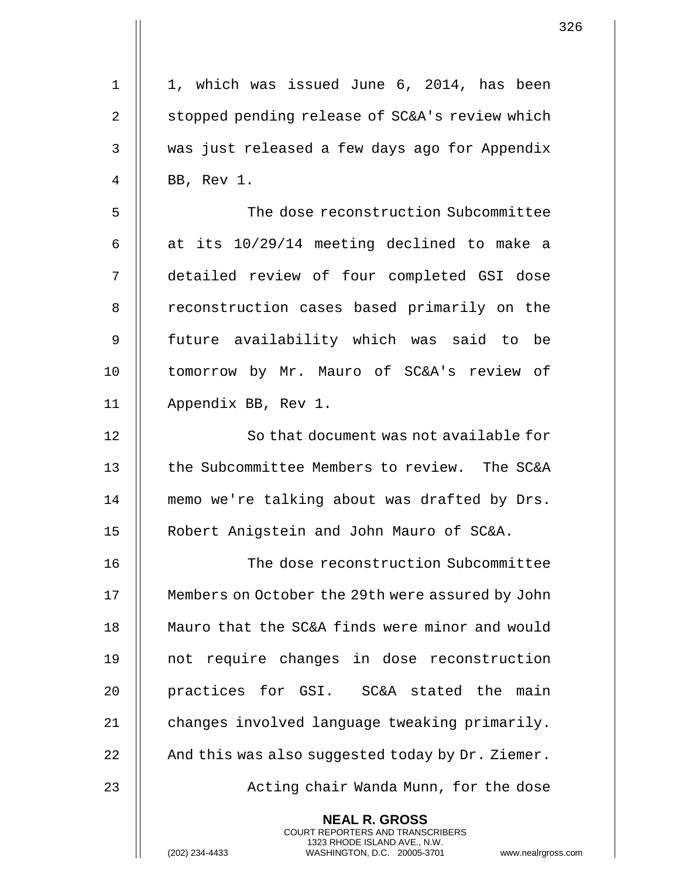| $\mathbf 1$    | 1, which was issued June 6, 2014, has been                                                                                                 |
|----------------|--------------------------------------------------------------------------------------------------------------------------------------------|
| $\overline{2}$ | stopped pending release of SC&A's review which                                                                                             |
| 3              | was just released a few days ago for Appendix                                                                                              |
| 4              | BB, Rev 1.                                                                                                                                 |
| 5              | The dose reconstruction Subcommittee                                                                                                       |
| 6              | at its 10/29/14 meeting declined to make a                                                                                                 |
| 7              | detailed review of four completed GSI dose                                                                                                 |
| 8              | reconstruction cases based primarily on the                                                                                                |
| 9              | future availability which was said to be                                                                                                   |
| 10             | tomorrow by Mr. Mauro of SC&A's review of                                                                                                  |
| 11             | Appendix BB, Rev 1.                                                                                                                        |
| 12             | So that document was not available for                                                                                                     |
| 13             | the Subcommittee Members to review. The SC&A                                                                                               |
| 14             | memo we're talking about was drafted by Drs.                                                                                               |
| 15             | Robert Anigstein and John Mauro of SC&A.                                                                                                   |
| 16             | The dose reconstruction Subcommittee                                                                                                       |
| 17             | Members on October the 29th were assured by John                                                                                           |
| 18             | Mauro that the SC&A finds were minor and would                                                                                             |
| 19             | not require changes in dose reconstruction                                                                                                 |
| 20             | practices for GSI. SC&A stated the main                                                                                                    |
| 21             | changes involved language tweaking primarily.                                                                                              |
| 22             | And this was also suggested today by Dr. Ziemer.                                                                                           |
| 23             | Acting chair Wanda Munn, for the dose                                                                                                      |
|                | <b>NEAL R. GROSS</b>                                                                                                                       |
|                | <b>COURT REPORTERS AND TRANSCRIBERS</b><br>1323 RHODE ISLAND AVE., N.W.<br>(202) 234-4433<br>www.nealrgross<br>WASHINGTON, D.C. 20005-3701 |

(202) 234-4433 WASHINGTON, D.C. 20005-3701 www.nealrgross.com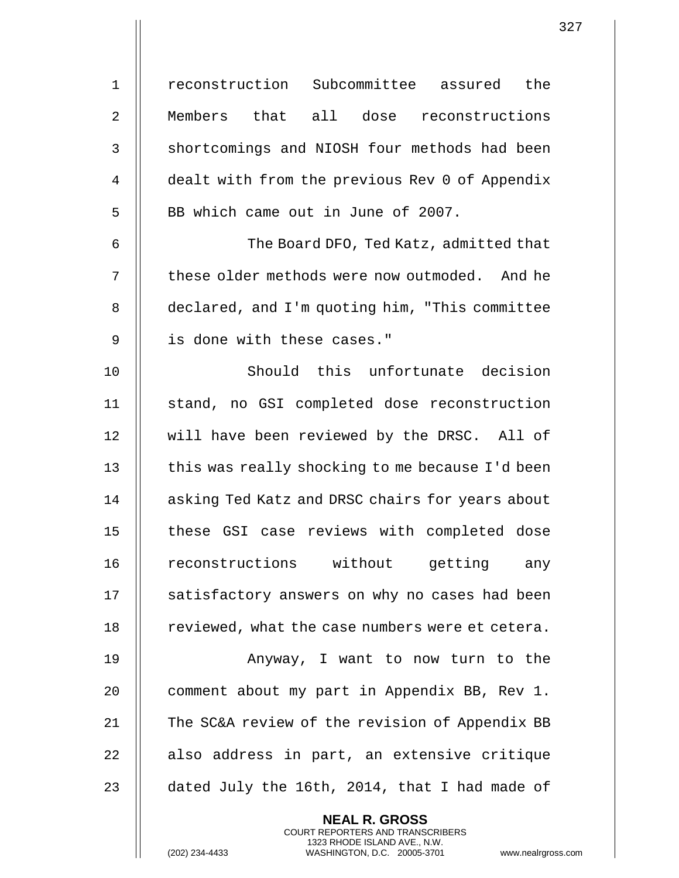1 || reconstruction Subcommittee assured the 2 Members that all dose reconstructions 3 | shortcomings and NIOSH four methods had been 4 | dealt with from the previous Rev 0 of Appendix 5 || BB which came out in June of 2007. 6 The Board DFO, Ted Katz, admitted that 7 || these older methods were now outmoded. And he 8 | declared, and I'm quoting him, "This committee 9 || is done with these cases." 10 || Should this unfortunate decision 11 stand, no GSI completed dose reconstruction 12 || will have been reviewed by the DRSC. All of  $13$   $\parallel$  this was really shocking to me because I'd been 14 | asking Ted Katz and DRSC chairs for years about 15 || these GSI case reviews with completed dose 16 || reconstructions without getting any 17 || satisfactory answers on why no cases had been 18 | reviewed, what the case numbers were et cetera. 19 || Anyway, I want to now turn to the 20 | comment about my part in Appendix BB, Rev 1. 21 | The SC&A review of the revision of Appendix BB  $22$  || also address in part, an extensive critique

23  $\parallel$  dated July the 16th, 2014, that I had made of

**NEAL R. GROSS** COURT REPORTERS AND TRANSCRIBERS 1323 RHODE ISLAND AVE., N.W.

(202) 234-4433 WASHINGTON, D.C. 20005-3701 www.nealrgross.com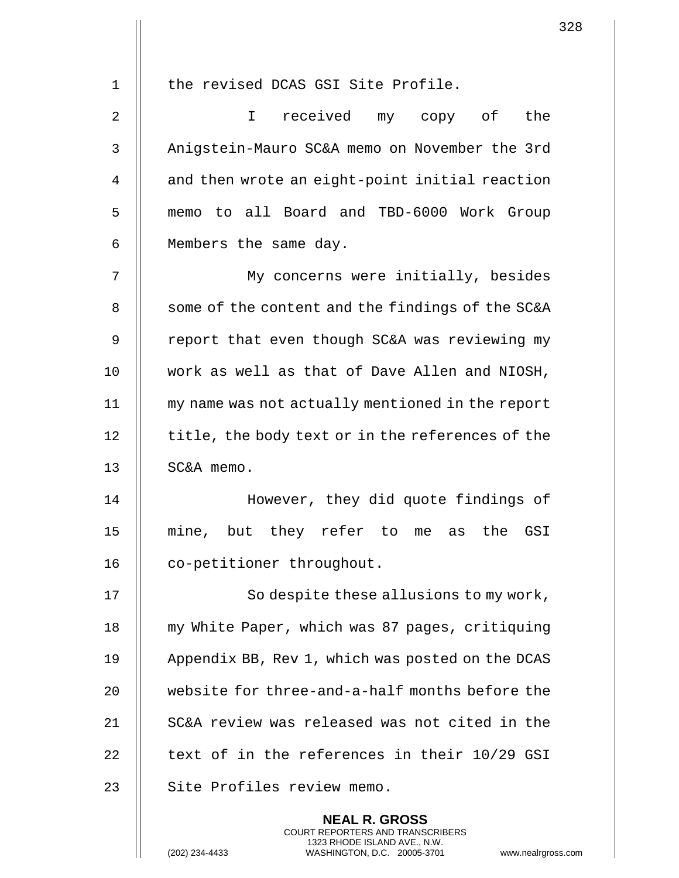1 || the revised DCAS GSI Site Profile. 2 I received my copy of the 3 | Anigstein-Mauro SC&A memo on November the 3rd 4 | and then wrote an eight-point initial reaction 5 || memo to all Board and TBD-6000 Work Group 6 || Members the same day. 7 My concerns were initially, besides 8 | some of the content and the findings of the SC&A 9 || report that even though SC&A was reviewing my 10 work as well as that of Dave Allen and NIOSH, 11 my name was not actually mentioned in the report 12 | title, the body text or in the references of the 13 SC&A memo. 14 || However, they did quote findings of 15 mine, but they refer to me as the GSI 16 | co-petitioner throughout. 17 || So despite these allusions to my work, 18 | my White Paper, which was 87 pages, critiquing 19 | Appendix BB, Rev 1, which was posted on the DCAS 20 || website for three-and-a-half months before the 21 SC&A review was released was not cited in the 22  $\parallel$  text of in the references in their 10/29 GSI 23 | Site Profiles review memo.

> **NEAL R. GROSS** COURT REPORTERS AND TRANSCRIBERS 1323 RHODE ISLAND AVE., N.W.

(202) 234-4433 WASHINGTON, D.C. 20005-3701 www.nealrgross.com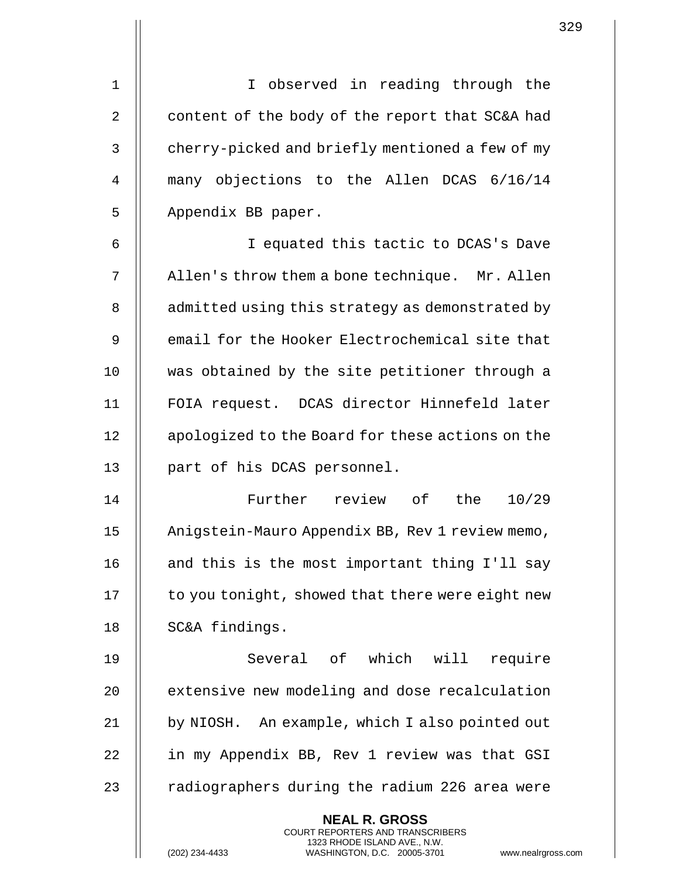1 || I observed in reading through the 2  $\parallel$  content of the body of the report that SC&A had 3 | cherry-picked and briefly mentioned a few of my 4 || many objections to the Allen DCAS 6/16/14 5 | Appendix BB paper. 6 I equated this tactic to DCAS's Dave 7 | Allen's throw them a bone technique. Mr. Allen 8 | admitted using this strategy as demonstrated by 9 || email for the Hooker Electrochemical site that 10 || was obtained by the site petitioner through a 11 FOIA request. DCAS director Hinnefeld later 12 | apologized to the Board for these actions on the 13 || part of his DCAS personnel. 14 Further review of the 10/29 15 | Anigstein-Mauro Appendix BB, Rev 1 review memo, 16  $\parallel$  and this is the most important thing I'll say  $17$  | to you tonight, showed that there were eight new 18 || SC&A findings. 19 Several of which will require 20 **extensive new modeling and dose recalculation** 21 | by NIOSH. An example, which I also pointed out 22 || in my Appendix BB, Rev 1 review was that GSI 23  $\parallel$  radiographers during the radium 226 area were

> **NEAL R. GROSS** COURT REPORTERS AND TRANSCRIBERS 1323 RHODE ISLAND AVE., N.W.

(202) 234-4433 WASHINGTON, D.C. 20005-3701 www.nealrgross.com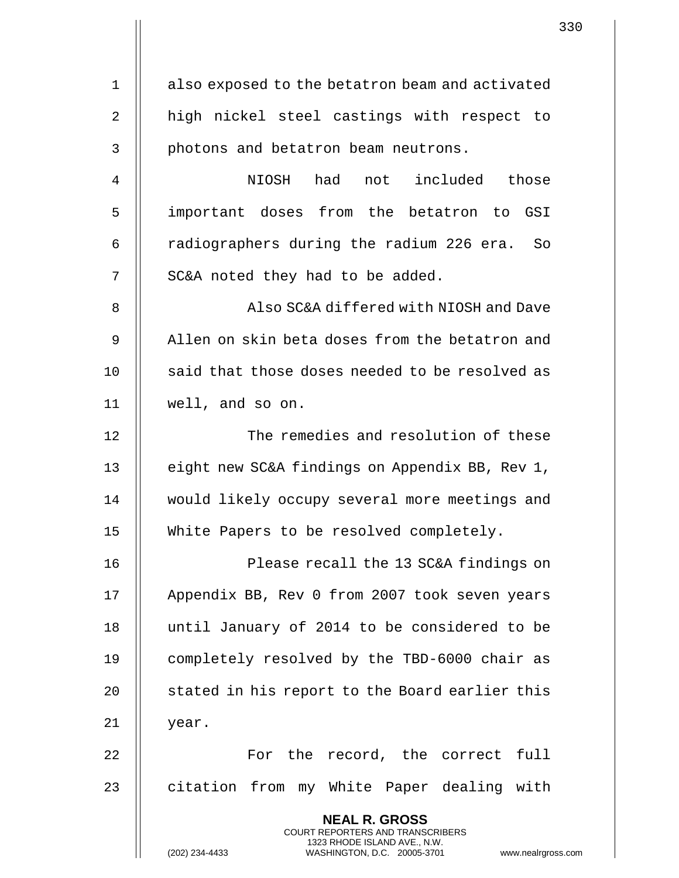1 | also exposed to the betatron beam and activated 2 || high nickel steel castings with respect to 3 || photons and betatron beam neutrons. 4 NIOSH had not included those 5 || important doses from the betatron to GSI 6  $\parallel$  radiographers during the radium 226 era. So  $7$  | SC&A noted they had to be added. 8 Also SC&A differed with NIOSH and Dave 9 || Allen on skin beta doses from the betatron and  $10$   $\parallel$  said that those doses needed to be resolved as 11 well, and so on. 12 | The remedies and resolution of these 13 || eight new SC&A findings on Appendix BB, Rev 1, 14 || would likely occupy several more meetings and 15 White Papers to be resolved completely. 16 || Please recall the 13 SC&A findings on 17 | Appendix BB, Rev 0 from 2007 took seven years 18 || until January of 2014 to be considered to be 19 || completely resolved by the TBD-6000 chair as 20 || stated in his report to the Board earlier this  $21$  | year. 22 || For the record, the correct full 23 || citation from my White Paper dealing with **NEAL R. GROSS** COURT REPORTERS AND TRANSCRIBERS 1323 RHODE ISLAND AVE., N.W. (202) 234-4433 WASHINGTON, D.C. 20005-3701 www.nealrgross.com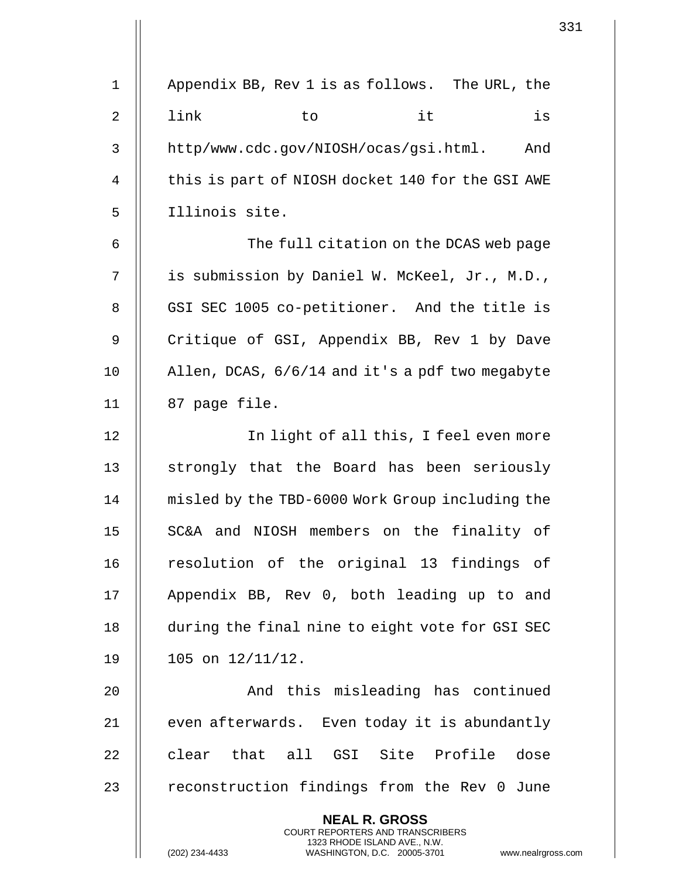|              | 331                                                                                                                                                                    |
|--------------|------------------------------------------------------------------------------------------------------------------------------------------------------------------------|
| $\mathbf{1}$ | Appendix BB, Rev 1 is as follows. The URL, the                                                                                                                         |
| 2            | it<br>link<br>is<br>to                                                                                                                                                 |
| 3            | http/www.cdc.gov/NIOSH/ocas/gsi.html. And                                                                                                                              |
| 4            | this is part of NIOSH docket 140 for the GSI AWE                                                                                                                       |
| 5            | Illinois site.                                                                                                                                                         |
| 6            | The full citation on the DCAS web page                                                                                                                                 |
| 7            | is submission by Daniel W. McKeel, Jr., M.D.,                                                                                                                          |
| 8            | GSI SEC 1005 co-petitioner. And the title is                                                                                                                           |
| 9            | Critique of GSI, Appendix BB, Rev 1 by Dave                                                                                                                            |
| 10           | Allen, DCAS, 6/6/14 and it's a pdf two megabyte                                                                                                                        |
| 11           | 87 page file.                                                                                                                                                          |
| 12           | In light of all this, I feel even more                                                                                                                                 |
| 13           | strongly that the Board has been seriously                                                                                                                             |
| 14           | misled by the TBD-6000 Work Group including the                                                                                                                        |
| 15           | SC&A and NIOSH members on the finality of                                                                                                                              |
| 16           | resolution of the original 13 findings of                                                                                                                              |
| 17           | Appendix BB, Rev 0, both leading up to and                                                                                                                             |
| 18           | during the final nine to eight vote for GSI SEC                                                                                                                        |
| 19           | 105 on 12/11/12.                                                                                                                                                       |
| 20           | And this misleading has continued                                                                                                                                      |
| 21           | even afterwards. Even today it is abundantly                                                                                                                           |
| 22           | clear that all GSI Site Profile dose                                                                                                                                   |
| 23           | reconstruction findings from the Rev 0 June                                                                                                                            |
|              | <b>NEAL R. GROSS</b><br><b>COURT REPORTERS AND TRANSCRIBERS</b><br>1323 RHODE ISLAND AVE., N.W.<br>(202) 234-4433<br>WASHINGTON, D.C. 20005-3701<br>www.nealrgross.com |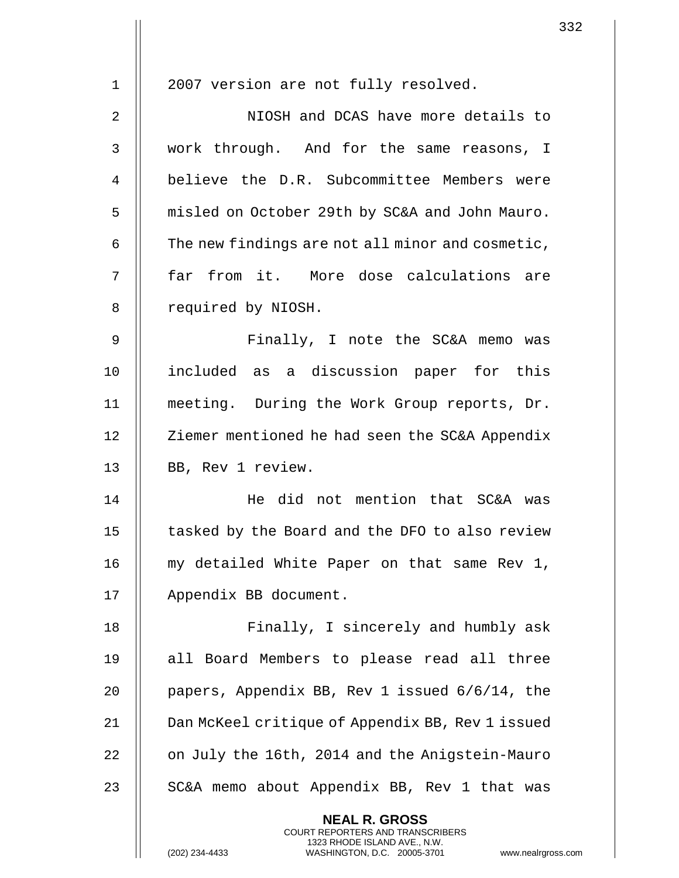| 1  | 2007 version are not fully resolved.                     |
|----|----------------------------------------------------------|
|    |                                                          |
| 2  | NIOSH and DCAS have more details to                      |
| 3  | work through. And for the same reasons, I                |
| 4  | believe the D.R. Subcommittee Members were               |
| 5  | misled on October 29th by SC&A and John Mauro.           |
| 6  | The new findings are not all minor and cosmetic,         |
| 7  | far from it. More dose calculations are                  |
| 8  | required by NIOSH.                                       |
| 9  | Finally, I note the SC&A memo was                        |
| 10 | included as a discussion paper for this                  |
| 11 | meeting. During the Work Group reports, Dr.              |
| 12 | Ziemer mentioned he had seen the SC&A Appendix           |
| 13 | BB, Rev 1 review.                                        |
| 14 | He did not mention that SC&A was                         |
| 15 | tasked by the Board and the DFO to also review           |
| 16 | my detailed White Paper on that same Rev 1,              |
| 17 | Appendix BB document.                                    |
| 18 | Finally, I sincerely and humbly ask                      |
| 19 | all Board Members to please read all three               |
| 20 | papers, Appendix BB, Rev 1 issued 6/6/14, the            |
| 21 | Dan McKeel critique of Appendix BB, Rev 1 issued         |
| 22 | on July the 16th, 2014 and the Anigstein-Mauro           |
| 23 | SC&A memo about Appendix BB, Rev 1 that was              |
|    | <b>NEAL R. GROSS</b><br>COURT REPORTERS AND TRANSCRIBERS |

1323 RHODE ISLAND AVE., N.W.

 $\prod$ 

(202) 234-4433 WASHINGTON, D.C. 20005-3701 www.nealrgross.com